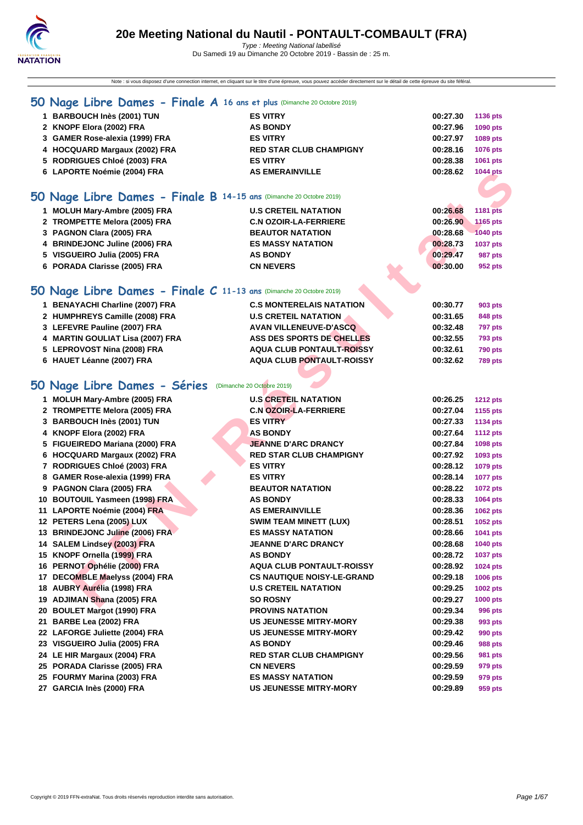

Note : si vous disposez d'une connection internet, en cliquant sur le titre d'une épreuve, vous pouvez accéder directement sur le détail de cette épreuve du site féféral.

| 1 BARBOUCH Inès (2001) TUN                                            | <b>ES VITRY</b>                  | 00:27.30 | 1136 pts        |
|-----------------------------------------------------------------------|----------------------------------|----------|-----------------|
| 2 KNOPF Elora (2002) FRA                                              | <b>AS BONDY</b>                  | 00:27.96 | 1090 pts        |
| 3 GAMER Rose-alexia (1999) FRA                                        | <b>ES VITRY</b>                  | 00:27.97 | 1089 pts        |
| 4 HOCQUARD Margaux (2002) FRA                                         | <b>RED STAR CLUB CHAMPIGNY</b>   | 00:28.16 | 1076 pts        |
| 5 RODRIGUES Chloé (2003) FRA                                          | <b>ES VITRY</b>                  | 00:28.38 | 1061 pts        |
| 6 LAPORTE Noémie (2004) FRA                                           | <b>AS EMERAINVILLE</b>           | 00:28.62 | 1044 pts        |
|                                                                       |                                  |          |                 |
| 50 Nage Libre Dames - Finale B 14-15 ans (Dimanche 20 Octobre 2019)   |                                  |          |                 |
| 1 MOLUH Mary-Ambre (2005) FRA                                         | <b>U.S CRETEIL NATATION</b>      | 00:26.68 | <b>1181 pts</b> |
| 2 TROMPETTE Melora (2005) FRA                                         | <b>C.N OZOIR-LA-FERRIERE</b>     | 00:26.90 | <b>1165 pts</b> |
| 3 PAGNON Clara (2005) FRA                                             | <b>BEAUTOR NATATION</b>          | 00:28.68 | <b>1040 pts</b> |
| 4 BRINDEJONC Juline (2006) FRA                                        | <b>ES MASSY NATATION</b>         | 00:28.73 | 1037 pts        |
| 5 VISGUEIRO Julia (2005) FRA                                          | <b>AS BONDY</b>                  | 00:29.47 | 987 pts         |
| 6 PORADA Clarisse (2005) FRA                                          | <b>CN NEVERS</b>                 | 00:30.00 | 952 pts         |
|                                                                       |                                  |          |                 |
| 50 Nage Libre Dames - Finale $C$ 11-13 ans (Dimanche 20 Octobre 2019) |                                  |          |                 |
| 1 BENAYACHI Charline (2007) FRA                                       | <b>C.S MONTERELAIS NATATION</b>  | 00:30.77 | 903 pts         |
| 2 HUMPHREYS Camille (2008) FRA                                        | <b>U.S CRETEIL NATATION</b>      | 00:31.65 | 848 pts         |
| 3 LEFEVRE Pauline (2007) FRA                                          | <b>AVAN VILLENEUVE-D'ASCQ</b>    | 00:32.48 | <b>797 pts</b>  |
| 4 MARTIN GOULIAT Lisa (2007) FRA                                      | ASS DES SPORTS DE CHELLES        | 00:32.55 | <b>793 pts</b>  |
| 5 LEPROVOST Nina (2008) FRA                                           | <b>AQUA CLUB PONTAULT-ROISSY</b> | 00:32.61 | <b>790 pts</b>  |
| 6 HAUET Léanne (2007) FRA                                             | <b>AQUA CLUB PONTAULT-ROISSY</b> | 00:32.62 | <b>789 pts</b>  |

## **50 Nage Libre Dames - Séries** (Dimanche 20 Octobre 2019)

| 6 LAPORTE Noémie (2004) FRA                                         | <b>AS EMERAINVILLE</b>            | 00:28.62 | <b>1044 pts</b> |
|---------------------------------------------------------------------|-----------------------------------|----------|-----------------|
|                                                                     |                                   |          |                 |
| iO Nage Libre Dames - Finale B 14-15 ans (Dimanche 20 Octobre 2019) |                                   |          |                 |
| 1 MOLUH Mary-Ambre (2005) FRA                                       | <b>U.S CRETEIL NATATION</b>       | 00:26.68 | <b>1181 pts</b> |
| 2 TROMPETTE Melora (2005) FRA                                       | <b>C.N OZOIR-LA-FERRIERE</b>      | 00:26.90 | 1165 pts        |
| 3 PAGNON Clara (2005) FRA                                           | <b>BEAUTOR NATATION</b>           | 00:28.68 | <b>1040 pts</b> |
| 4 BRINDEJONC Juline (2006) FRA                                      | <b>ES MASSY NATATION</b>          | 00:28.73 | 1037 pts        |
| 5 VISGUEIRO Julia (2005) FRA                                        | <b>AS BONDY</b>                   | 00:29.47 | <b>987 pts</b>  |
| 6 PORADA Clarisse (2005) FRA                                        | <b>CN NEVERS</b>                  | 00:30.00 | 952 pts         |
| iO Nage Libre Dames - Finale C 11-13 ans (Dimanche 20 Octobre 2019) |                                   |          |                 |
| 1 BENAYACHI Charline (2007) FRA                                     | <b>C.S MONTERELAIS NATATION</b>   | 00:30.77 | 903 pts         |
| 2 HUMPHREYS Camille (2008) FRA                                      | <b>U.S CRETEIL NATATION</b>       | 00:31.65 | 848 pts         |
| 3 LEFEVRE Pauline (2007) FRA                                        | <b>AVAN VILLENEUVE-D'ASCQ</b>     | 00:32.48 | <b>797 pts</b>  |
| 4 MARTIN GOULIAT Lisa (2007) FRA                                    | ASS DES SPORTS DE CHELLES         | 00:32.55 | <b>793 pts</b>  |
| 5 LEPROVOST Nina (2008) FRA                                         | <b>AQUA CLUB PONTAULT-ROISSY</b>  | 00:32.61 | <b>790 pts</b>  |
| 6 HAUET Léanne (2007) FRA                                           | <b>AQUA CLUB PONTAULT-ROISSY</b>  | 00:32.62 | <b>789 pts</b>  |
|                                                                     |                                   |          |                 |
| iO Nage Libre Dames - Séries (Dimanche 20 Octobre 2019)             |                                   |          |                 |
| 1 MOLUH Mary-Ambre (2005) FRA                                       | <b>U.S CRETEIL NATATION</b>       | 00:26.25 | <b>1212 pts</b> |
| 2 TROMPETTE Melora (2005) FRA                                       | <b>C.N OZOIR-LA-FERRIERE</b>      | 00:27.04 | 1155 pts        |
| 3 BARBOUCH Inès (2001) TUN                                          | <b>ES VITRY</b>                   | 00:27.33 | 1134 pts        |
| 4 KNOPF Elora (2002) FRA                                            | <b>AS BONDY</b>                   | 00:27.64 | <b>1112 pts</b> |
| 5 FIGUEIREDO Mariana (2000) FRA                                     | <b>JEANNE D'ARC DRANCY</b>        | 00:27.84 | 1098 pts        |
| 6 HOCQUARD Margaux (2002) FRA                                       | <b>RED STAR CLUB CHAMPIGNY</b>    | 00:27.92 | 1093 pts        |
| 7 RODRIGUES Chloé (2003) FRA                                        | <b>ES VITRY</b>                   | 00:28.12 | 1079 pts        |
| 8 GAMER Rose-alexia (1999) FRA                                      | <b>ES VITRY</b>                   | 00:28.14 | 1077 pts        |
| 9 PAGNON Clara (2005) FRA                                           | <b>BEAUTOR NATATION</b>           | 00:28.22 | <b>1072 pts</b> |
| 10 BOUTOUIL Yasmeen (1998) FRA                                      | <b>AS BONDY</b>                   | 00:28.33 | 1064 pts        |
| 11 LAPORTE Noémie (2004) FRA                                        | <b>AS EMERAINVILLE</b>            | 00:28.36 | 1062 pts        |
| 12 PETERS Lena (2005) LUX                                           | <b>SWIM TEAM MINETT (LUX)</b>     | 00:28.51 | 1052 pts        |
| 13 BRINDEJONC Juline (2006) FRA                                     | <b>ES MASSY NATATION</b>          | 00:28.66 | 1041 pts        |
| 14 SALEM Lindsey (2003) FRA                                         | <b>JEANNE D'ARC DRANCY</b>        | 00:28.68 | 1040 pts        |
| 15 KNOPF Ornella (1999) FRA                                         | <b>AS BONDY</b>                   | 00:28.72 | 1037 pts        |
| 16 PERNOT Ophélie (2000) FRA                                        | <b>AQUA CLUB PONTAULT-ROISSY</b>  | 00:28.92 | 1024 pts        |
| 17 DECOMBLE Maelyss (2004) FRA                                      | <b>CS NAUTIQUE NOISY-LE-GRAND</b> | 00:29.18 | 1006 pts        |
| 18 AUBRY Aurélia (1998) FRA                                         | <b>U.S CRETEIL NATATION</b>       | 00:29.25 | 1002 pts        |
| 19 ADJIMAN Shana (2005) FRA                                         | <b>SO ROSNY</b>                   | 00:29.27 | 1000 pts        |
| 20 BOULET Margot (1990) FRA                                         | <b>PROVINS NATATION</b>           | 00:29.34 | 996 pts         |
| 21 BARBE Lea (2002) FRA                                             | <b>US JEUNESSE MITRY-MORY</b>     | 00:29.38 | 993 pts         |
| 22 LAFORGE Juliette (2004) FRA                                      | <b>US JEUNESSE MITRY-MORY</b>     | 00:29.42 | 990 pts         |
| 23 VISGUEIRO Julia (2005) FRA                                       | <b>AS BONDY</b>                   | 00:29.46 | 988 pts         |
| 24 LE HIR Margaux (2004) FRA                                        | <b>RED STAR CLUB CHAMPIGNY</b>    | 00:29.56 | <b>981 pts</b>  |
| 25 PORADA Clarisse (2005) FRA                                       | <b>CN NEVERS</b>                  | 00:29.59 | 979 pts         |
| 25 FOURMY Marina (2003) FRA                                         | <b>ES MASSY NATATION</b>          | 00:29.59 | 979 pts         |
| 27 GARCIA Inès (2000) FRA                                           | <b>US JEUNESSE MITRY-MORY</b>     | 00:29.89 | 959 pts         |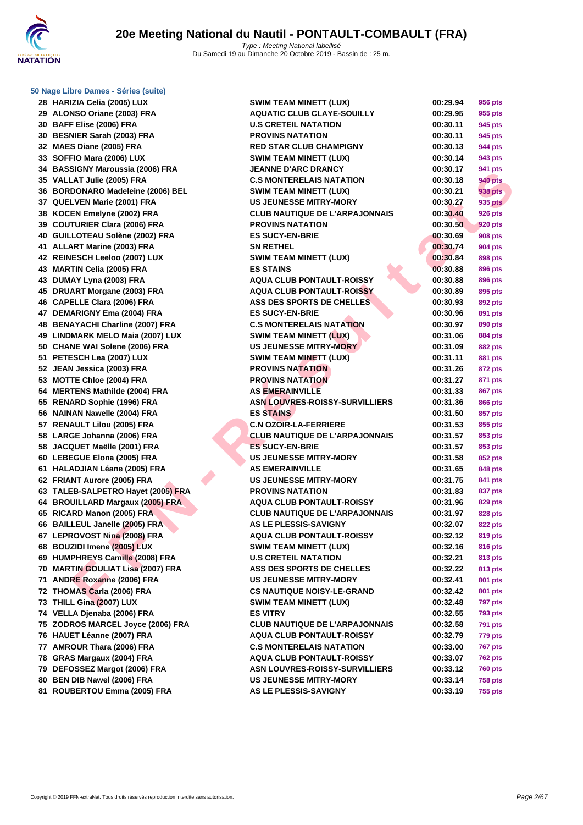

| 29 | ALONSO Oriane (2003) FRA              |
|----|---------------------------------------|
| 30 | BAFF Elise (2006) FRA                 |
| 30 | <b>BESNIER Sarah (2003) FRA</b>       |
| 32 | MAES Diane (2005) FRA                 |
| 33 | SOFFIO Mara (2006) LUX                |
| 34 | <b>BASSIGNY Maroussia (2006) FRA</b>  |
| 35 | VALLAT Julie (2005) FRA               |
| 36 | <b>BORDONARO Madeleine (2006) BEL</b> |
| 37 | QUELVEN Marie (2001) FRA              |
| 38 | KOCEN Emelyne (2002) FRA              |
| 39 | <b>COUTURIER Clara (2006) FRA</b>     |
| 40 | GUILLOTEAU Solène (2002) FRA          |
| 41 | <b>ALLART Marine (2003) FRA</b>       |
| 42 | REINESCH Leeloo (2007) LUX            |
| 43 | <b>MARTIN Celia (2005) FRA</b>        |
| 43 | DUMAY Lyna (2003) FRA                 |
| 45 | <b>DRUART Morgane (2003) FRA</b>      |
| 46 | <b>CAPELLE Clara (2006) FRA</b>       |
| 47 | <b>DEMARIGNY Ema (2004) FRA</b>       |
| 48 | <b>BENAYACHI Charline (2007) FRA</b>  |
| 49 | <b>LINDMARK MELO Maia (2007) LUX</b>  |
| 50 | <b>CHANE WAI Solene (2006) FRA</b>    |
| 51 | PETESCH Lea (2007) LUX                |
| 52 | JEAN Jessica (2003) FRA               |
| 53 | <b>MOTTE Chloe (2004) FRA</b>         |
| 54 | <b>MERTENS Mathilde (2004) FRA</b>    |
| 55 | <b>RENARD Sophie (1996) FRA</b>       |
| 56 | <b>NAINAN Nawelle (2004) FRA</b>      |
| 57 | <b>RENAULT Lilou (2005) FRA</b>       |
| 58 | LARGE Johanna (2006) FRA              |
| 58 | JACQUET Maëlle (2001) FRA             |
| 60 | <b>LEBEGUE Elona (2005) FRA</b>       |
| 61 | HALADJIAN Léane (2005) FRA            |
| 62 | FRIANT Aurore (2005) FRA              |
| 63 | TALEB-SALPETRO Hayet (2005) FRA       |
| 64 | <b>BROUILLARD Margaux (2005) FRA</b>  |
| 65 | RICARD Manon (2005) FRA               |
| 66 | <b>BAILLEUL Janelle (2005) FRA</b>    |
| 67 | LEPROVOST Nina (2008) FRA             |
| 68 | <b>BOUZIDI Imene (2005) LUX</b>       |
| 69 | HUMPHREYS Camille (2008) FRA          |
| 70 | <b>MARTIN GOULIAT Lisa (2007) FRA</b> |
| 71 | <b>ANDRE Roxanne (2006) FRA</b>       |
| 72 | THOMAS Carla (2006) FRA               |
| 73 | THILL Gina (2007) LUX                 |
| 74 | VELLA Djenaba (2006) FRA              |
| 75 | ZODROS MARCEL Joyce (2006) FRA        |
| 76 | HAUET Léanne (2007) FRA               |
| 77 | AMROUR Thara (2006) FRA               |
| 78 | GRAS Margaux (2004) FRA               |
|    | 79 DEFOSSEZ Margot (2006) FRA         |
|    | 80 BEN DIB Nawel (2006) FRA           |
|    | <b>81 POUREPTOU Emma (2005) EPA</b>   |

| 28 HARIZIA Celia (2005) LUX        | <b>SWIM TEAM MINETT (LUX)</b>                    | 00:29.94             | 956 pts        |
|------------------------------------|--------------------------------------------------|----------------------|----------------|
| 29 ALONSO Oriane (2003) FRA        | <b>AQUATIC CLUB CLAYE-SOUILLY</b>                | 00:29.95             | 955 pts        |
| 30 BAFF Elise (2006) FRA           | <b>U.S CRETEIL NATATION</b>                      | 00:30.11             | 945 pts        |
| 30 BESNIER Sarah (2003) FRA        | <b>PROVINS NATATION</b>                          | 00:30.11             | 945 pts        |
| 32 MAES Diane (2005) FRA           | <b>RED STAR CLUB CHAMPIGNY</b>                   | 00:30.13             | 944 pts        |
| 33 SOFFIO Mara (2006) LUX          | <b>SWIM TEAM MINETT (LUX)</b>                    | 00:30.14             | 943 pts        |
| 34 BASSIGNY Maroussia (2006) FRA   | <b>JEANNE D'ARC DRANCY</b>                       | 00:30.17             | 941 pts        |
| 35 VALLAT Julie (2005) FRA         | <b>C.S MONTERELAIS NATATION</b>                  | 00:30.18             | <b>940 pts</b> |
| 36 BORDONARO Madeleine (2006) BEL  | <b>SWIM TEAM MINETT (LUX)</b>                    | 00:30.21             | 938 pts        |
| 37 QUELVEN Marie (2001) FRA        | <b>US JEUNESSE MITRY-MORY</b>                    | 00:30.27             | 935 pts        |
| 38 KOCEN Emelyne (2002) FRA        | <b>CLUB NAUTIQUE DE L'ARPAJONNAIS</b>            | 00:30.40             | <b>926 pts</b> |
| 39 COUTURIER Clara (2006) FRA      | <b>PROVINS NATATION</b>                          | 00:30.50             | 920 pts        |
| 40 GUILLOTEAU Solène (2002) FRA    | <b>ES SUCY-EN-BRIE</b>                           | 00:30.69             | <b>908 pts</b> |
| 41 ALLART Marine (2003) FRA        | <b>SN RETHEL</b>                                 | 00:30.74             | <b>904 pts</b> |
| 42 REINESCH Leeloo (2007) LUX      | <b>SWIM TEAM MINETT (LUX)</b>                    | 00:30.84             | 898 pts        |
| 43 MARTIN Celia (2005) FRA         | <b>ES STAINS</b>                                 | 00:30.88             | 896 pts        |
| 43 DUMAY Lyna (2003) FRA           | <b>AQUA CLUB PONTAULT-ROISSY</b>                 | 00:30.88             | 896 pts        |
| 45 DRUART Morgane (2003) FRA       | <b>AQUA CLUB PONTAULT-ROISSY</b>                 | 00:30.89             | 895 pts        |
| 46 CAPELLE Clara (2006) FRA        | <b>ASS DES SPORTS DE CHELLES</b>                 | 00:30.93             | 892 pts        |
| 47 DEMARIGNY Ema (2004) FRA        | <b>ES SUCY-EN-BRIE</b>                           | 00:30.96             | 891 pts        |
| 48 BENAYACHI Charline (2007) FRA   | <b>C.S MONTERELAIS NATATION</b>                  | 00:30.97             | 890 pts        |
| 49 LINDMARK MELO Maia (2007) LUX   | SWIM TEAM MINETT (LUX)                           | 00:31.06             | 884 pts        |
| 50 CHANE WAI Solene (2006) FRA     | US JEUNESSE MITRY-MORY                           | 00:31.09             | <b>882 pts</b> |
| 51 PETESCH Lea (2007) LUX          | SWIM TEAM MINETT (LUX)                           | 00:31.11             | 881 pts        |
| 52 JEAN Jessica (2003) FRA         | <b>PROVINS NATATION</b>                          | 00:31.26             | 872 pts        |
| 53 MOTTE Chloe (2004) FRA          | <b>PROVINS NATATION</b>                          | 00:31.27             | 871 pts        |
| 54 MERTENS Mathilde (2004) FRA     | <b>AS EMERAINVILLE</b>                           | 00:31.33             | 867 pts        |
| 55 RENARD Sophie (1996) FRA        | <b>ASN LOUVRES-ROISSY-SURVILLIERS</b>            | 00:31.36             |                |
| 56 NAINAN Nawelle (2004) FRA       |                                                  |                      | 866 pts        |
|                                    | <b>ES STAINS</b><br><b>C.N OZOIR-LA-FERRIERE</b> | 00:31.50<br>00:31.53 | 857 pts        |
| 57 RENAULT Lilou (2005) FRA        |                                                  |                      | 855 pts        |
| 58 LARGE Johanna (2006) FRA        | <b>CLUB NAUTIQUE DE L'ARPAJONNAIS</b>            | 00:31.57             | 853 pts        |
| 58 JACQUET Maëlle (2001) FRA       | <b>ES SUCY-EN-BRIE</b>                           | 00:31.57             | 853 pts        |
| 60 LEBEGUE Elona (2005) FRA        | <b>US JEUNESSE MITRY-MORY</b>                    | 00:31.58             | 852 pts        |
| 61 HALADJIAN Léane (2005) FRA      | <b>AS EMERAINVILLE</b>                           | 00:31.65             | 848 pts        |
| 62 FRIANT Aurore (2005) FRA        | <b>US JEUNESSE MITRY-MORY</b>                    | 00:31.75             | 841 pts        |
| 63 TALEB-SALPETRO Hayet (2005) FRA | <b>PROVINS NATATION</b>                          | 00:31.83             | 837 pts        |
| 64 BROUILLARD Margaux (2005) FRA   | <b>AQUA CLUB PONTAULT-ROISSY</b>                 | 00:31.96             | 829 pts        |
| 65 RICARD Manon (2005) FRA         | <b>CLUB NAUTIQUE DE L'ARPAJONNAIS</b>            | 00:31.97             | 828 pts        |
| 66 BAILLEUL Janelle (2005) FRA     | <b>AS LE PLESSIS-SAVIGNY</b>                     | 00:32.07             | 822 pts        |
| 67 LEPROVOST Nina (2008) FRA       | AQUA CLUB PONTAULT-ROISSY                        | 00:32.12             | 819 pts        |
| 68 BOUZIDI Imene (2005) LUX        | <b>SWIM TEAM MINETT (LUX)</b>                    | 00:32.16             | 816 pts        |
| 69 HUMPHREYS Camille (2008) FRA    | <b>U.S CRETEIL NATATION</b>                      | 00:32.21             | 813 pts        |
| 70 MARTIN GOULIAT Lisa (2007) FRA  | <b>ASS DES SPORTS DE CHELLES</b>                 | 00:32.22             | 813 pts        |
| 71 ANDRE Roxanne (2006) FRA        | <b>US JEUNESSE MITRY-MORY</b>                    | 00:32.41             | 801 pts        |
| 72 THOMAS Carla (2006) FRA         | <b>CS NAUTIQUE NOISY-LE-GRAND</b>                | 00:32.42             | 801 pts        |
| 73 THILL Gina (2007) LUX           | <b>SWIM TEAM MINETT (LUX)</b>                    | 00:32.48             | <b>797 pts</b> |
| 74 VELLA Djenaba (2006) FRA        | <b>ES VITRY</b>                                  | 00:32.55             | <b>793 pts</b> |
| 75 ZODROS MARCEL Joyce (2006) FRA  | <b>CLUB NAUTIQUE DE L'ARPAJONNAIS</b>            | 00:32.58             | <b>791 pts</b> |
| 76 HAUET Léanne (2007) FRA         | <b>AQUA CLUB PONTAULT-ROISSY</b>                 | 00:32.79             | 779 pts        |
| 77 AMROUR Thara (2006) FRA         | <b>C.S MONTERELAIS NATATION</b>                  | 00:33.00             | <b>767 pts</b> |
| 78 GRAS Margaux (2004) FRA         | <b>AQUA CLUB PONTAULT-ROISSY</b>                 | 00:33.07             | <b>762 pts</b> |
| 79 DEFOSSEZ Margot (2006) FRA      | <b>ASN LOUVRES-ROISSY-SURVILLIERS</b>            | 00:33.12             | <b>760 pts</b> |
| 80 BEN DIB Nawel (2006) FRA        | <b>US JEUNESSE MITRY-MORY</b>                    | 00:33.14             | <b>758 pts</b> |
| 81 ROUBERTOU Emma (2005) FRA       | AS LE PLESSIS-SAVIGNY                            | 00:33.19             | <b>755 pts</b> |
|                                    |                                                  |                      |                |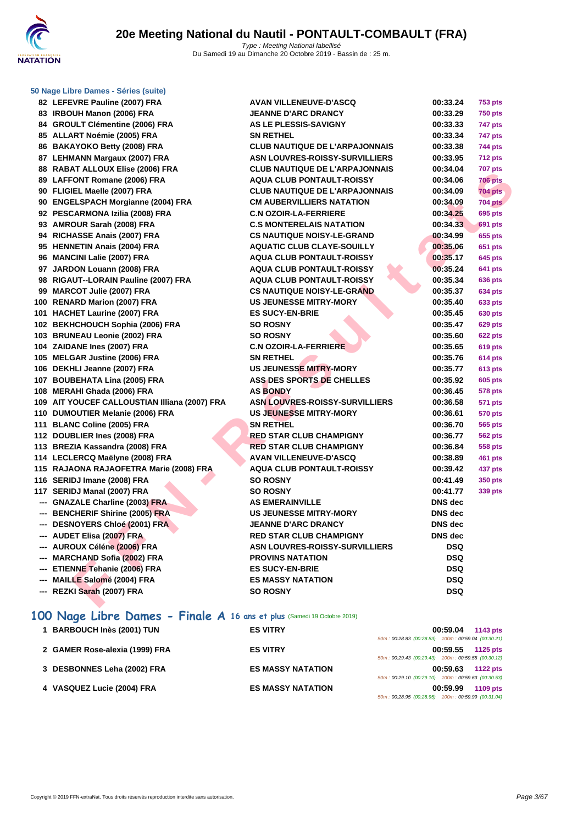

| 50 Nage Libre Dames - Séries (suite)          |                                       |                |                |
|-----------------------------------------------|---------------------------------------|----------------|----------------|
| 82 LEFEVRE Pauline (2007) FRA                 | <b>AVAN VILLENEUVE-D'ASCQ</b>         | 00:33.24       | <b>753 pts</b> |
| 83 IRBOUH Manon (2006) FRA                    | <b>JEANNE D'ARC DRANCY</b>            | 00:33.29       | <b>750 pts</b> |
| 84 GROULT Clémentine (2006) FRA               | AS LE PLESSIS-SAVIGNY                 | 00:33.33       | 747 pts        |
| 85 ALLART Noémie (2005) FRA                   | <b>SN RETHEL</b>                      | 00:33.34       | 747 pts        |
| 86 BAKAYOKO Betty (2008) FRA                  | <b>CLUB NAUTIQUE DE L'ARPAJONNAIS</b> | 00:33.38       | 744 pts        |
| 87 LEHMANN Margaux (2007) FRA                 | ASN LOUVRES-ROISSY-SURVILLIERS        | 00:33.95       | <b>712 pts</b> |
| 88 RABAT ALLOUX Elise (2006) FRA              | <b>CLUB NAUTIQUE DE L'ARPAJONNAIS</b> | 00:34.04       | <b>707 pts</b> |
| 89 LAFFONT Romane (2006) FRA                  | <b>AQUA CLUB PONTAULT-ROISSY</b>      | 00:34.06       | <b>706 pts</b> |
| 90 FLIGIEL Maelle (2007) FRA                  | <b>CLUB NAUTIQUE DE L'ARPAJONNAIS</b> | 00:34.09       | <b>704 pts</b> |
| 90 ENGELSPACH Morgianne (2004) FRA            | <b>CM AUBERVILLIERS NATATION</b>      | 00:34.09       | <b>704 pts</b> |
| 92 PESCARMONA Izilia (2008) FRA               | <b>C.N OZOIR-LA-FERRIERE</b>          | 00:34.25       | 695 pts        |
| 93 AMROUR Sarah (2008) FRA                    | <b>C.S MONTERELAIS NATATION</b>       | 00:34.33       | 691 pts        |
| 94 RICHASSE Anais (2007) FRA                  | <b>CS NAUTIQUE NOISY-LE-GRAND</b>     | 00:34.99       | 655 pts        |
| 95 HENNETIN Anais (2004) FRA                  | <b>AQUATIC CLUB CLAYE-SOUILLY</b>     | 00:35.06       | 651 pts        |
| 96 MANCINI Lalie (2007) FRA                   | <b>AQUA CLUB PONTAULT-ROISSY</b>      | 00:35.17       | 645 pts        |
| 97 JARDON Louann (2008) FRA                   | <b>AQUA CLUB PONTAULT-ROISSY</b>      | 00:35.24       | 641 pts        |
| 98 RIGAUT--LORAIN Pauline (2007) FRA          | <b>AQUA CLUB PONTAULT-ROISSY</b>      | 00:35.34       | 636 pts        |
| 99 MARCOT Julie (2007) FRA                    | <b>CS NAUTIQUE NOISY-LE-GRAND</b>     | 00:35.37       | 634 pts        |
| 100 RENARD Marion (2007) FRA                  | <b>US JEUNESSE MITRY-MORY</b>         | 00:35.40       | 633 pts        |
| 101 HACHET Laurine (2007) FRA                 | <b>ES SUCY-EN-BRIE</b>                | 00:35.45       | 630 pts        |
| 102 BEKHCHOUCH Sophia (2006) FRA              | <b>SO ROSNY</b>                       | 00:35.47       | <b>629 pts</b> |
| 103 BRUNEAU Leonie (2002) FRA                 | <b>SO ROSNY</b>                       | 00:35.60       | <b>622 pts</b> |
| 104 ZAIDANE Ines (2007) FRA                   | <b>C.N OZOIR-LA-FERRIERE</b>          | 00:35.65       | 619 pts        |
| 105 MELGAR Justine (2006) FRA                 | <b>SN RETHEL</b>                      | 00:35.76       | 614 pts        |
| 106 DEKHLI Jeanne (2007) FRA                  | <b>US JEUNESSE MITRY-MORY</b>         | 00:35.77       | 613 pts        |
| 107 BOUBEHATA Lina (2005) FRA                 | <b>ASS DES SPORTS DE CHELLES</b>      | 00:35.92       | 605 pts        |
| 108 MERAHI Ghada (2006) FRA                   | <b>AS BONDY</b>                       | 00:36.45       | 578 pts        |
| 109 AIT YOUCEF CALLOUSTIAN Illiana (2007) FRA | <b>ASN LOUVRES-ROISSY-SURVILLIERS</b> | 00:36.58       | 571 pts        |
| 110 DUMOUTIER Melanie (2006) FRA              | <b>US JEUNESSE MITRY-MORY</b>         | 00:36.61       | 570 pts        |
| 111 BLANC Coline (2005) FRA                   | <b>SN RETHEL</b>                      | 00:36.70       | 565 pts        |
| 112 DOUBLIER Ines (2008) FRA                  | RED STAR CLUB CHAMPIGNY               | 00:36.77       | <b>562 pts</b> |
| 113 BREZIA Kassandra (2008) FRA               | <b>RED STAR CLUB CHAMPIGNY</b>        | 00:36.84       | 558 pts        |
| 114 LECLERCQ Maëlyne (2008) FRA               | <b>AVAN VILLENEUVE-D'ASCQ</b>         | 00:38.89       | 461 pts        |
| 115 RAJAONA RAJAOFETRA Marie (2008) FRA       | <b>AQUA CLUB PONTAULT-ROISSY</b>      | 00:39.42       | 437 pts        |
| 116 SERIDJ Imane (2008) FRA                   | <b>SO ROSNY</b>                       | 00:41.49       | 350 pts        |
| 117 SERIDJ Manal (2007) FRA                   | <b>SO ROSNY</b>                       | 00:41.77       | 339 pts        |
| --- GNAZALE Charline (2003) FRA               | <b>AS EMERAINVILLE</b>                | DNS dec        |                |
| --- BENCHERIF Shirine (2005) FRA              | <b>US JEUNESSE MITRY-MORY</b>         | <b>DNS</b> dec |                |
| --- DESNOYERS Chloé (2001) FRA                | JEANNE D'ARC DRANCY                   | DNS dec        |                |
| --- AUDET Elisa (2007) FRA                    | <b>RED STAR CLUB CHAMPIGNY</b>        | DNS dec        |                |
| --- AUROUX Céléne (2006) FRA                  | <b>ASN LOUVRES-ROISSY-SURVILLIERS</b> | <b>DSQ</b>     |                |
| --- MARCHAND Sofia (2002) FRA                 | <b>PROVINS NATATION</b>               | <b>DSQ</b>     |                |
| --- ETIENNE Tehanie (2006) FRA                | <b>ES SUCY-EN-BRIE</b>                | <b>DSQ</b>     |                |
| --- MAILLE Salomé (2004) FRA                  | <b>ES MASSY NATATION</b>              | <b>DSQ</b>     |                |
| --- REZKI Sarah (2007) FRA                    | <b>SO ROSNY</b>                       | <b>DSQ</b>     |                |
|                                               |                                       |                |                |

## **100 Nage Libre Dames - Finale A 16 ans et plus** (Samedi 19 Octobre 2019)

| 1 BARBOUCH Inès (2001) TUN     | <b>ES VITRY</b>          | 00:59.04<br>$1143$ pts                                |
|--------------------------------|--------------------------|-------------------------------------------------------|
|                                |                          | 100m: 00:59.04 (00:30.21)<br>50m: 00:28.83 (00:28.83) |
| 2 GAMER Rose-alexia (1999) FRA | <b>ES VITRY</b>          | 00:59.55<br>$1125$ pts                                |
|                                |                          | 50m: 00:29.43 (00:29.43) 100m: 00:59.55 (00:30.12)    |
| 3 DESBONNES Leha (2002) FRA    | <b>ES MASSY NATATION</b> | 00:59.63<br><b>1122 pts</b>                           |
|                                |                          | 50m: 00:29.10 (00:29.10) 100m: 00:59.63 (00:30.53)    |
| 4 VASQUEZ Lucie (2004) FRA     | <b>ES MASSY NATATION</b> | 00:59.99<br>1109 pts                                  |
|                                |                          | 100m: 00:59.99 (00:31.04)<br>50m: 00:28.95 (00:28.95) |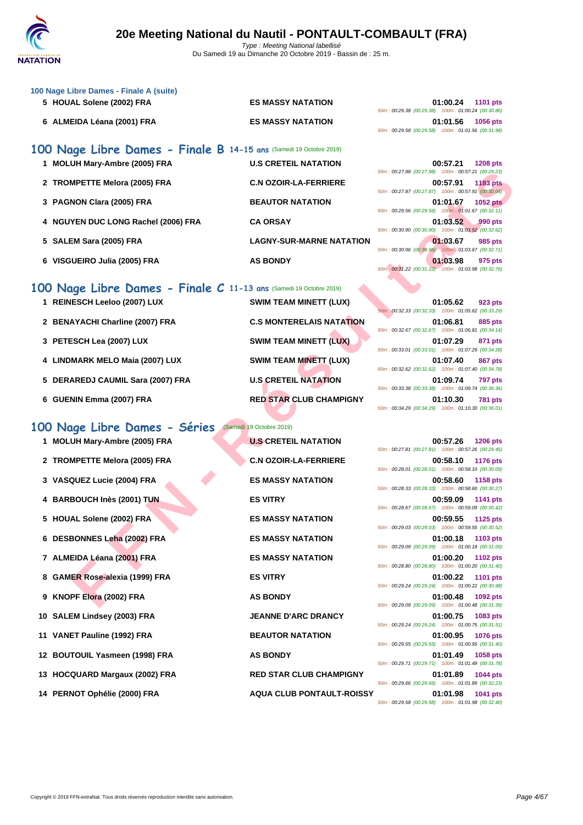

| 6 ALMEIDA Léana (2001) FRA<br><b>ES MASSY NATATION</b><br>01:01.56<br>1056 pts<br>50m: 00:29.58 (00:29.58) 100m: 01:01.56 (00:31.98)<br>100 Nage Libre Dames - Finale B 14-15 ans (Samedi 19 Octobre 2019)<br>1 MOLUH Mary-Ambre (2005) FRA<br><b>U.S CRETEIL NATATION</b><br>00:57.21<br><b>1208 pts</b><br>50m: 00:27.98 (00:27.98) 100m: 00:57.21 (00:29.23)<br>2 TROMPETTE Melora (2005) FRA<br><b>C.N OZOIR-LA-FERRIERE</b><br>00:57.91<br>1183 pts<br>50m: 00:27.87 (00:27.87) 100m: 00:57.91 (00:30.04)<br>3 PAGNON Clara (2005) FRA<br><b>BEAUTOR NATATION</b><br>01:01.67<br><b>1052 pts</b><br>50m: 00:29.56 (00:29.56) 100m: 01:01.67 (00:32.11)<br>4 NGUYEN DUC LONG Rachel (2006) FRA<br><b>CA ORSAY</b><br>01:03.52<br>990 pts<br>50m: 00:30.90 (00:30.90) 100m: 01:03.52 (00:32.62)<br>5 SALEM Sara (2005) FRA<br><b>LAGNY-SUR-MARNE NATATION</b><br>01:03.67<br>985 pts<br>50m: 00:30.96 (00:30.96) 100m: 01:03.67 (00:32.71)<br>6 VISGUEIRO Julia (2005) FRA<br><b>AS BONDY</b><br>01:03.98<br>975 pts<br>50m : 00:31.22 (00:31.22) 100m : 01:03.98 (00:32.76)<br>100 Nage Libre Dames - Finale C 11-13 ans (Samedi 19 Octobre 2019)<br>1 REINESCH Leeloo (2007) LUX<br>SWIM TEAM MINETT (LUX)<br>01:05.62<br>923 pts<br>50m: 00:32.33 (00:32.33) 100m: 01:05.62 (00:33.29)<br><b>C.S MONTERELAIS NATATION</b><br>2 BENAYACHI Charline (2007) FRA<br>01:06.81<br>885 pts<br>50m: 00:32.67 (00:32.67) 100m: 01:06.81 (00:34.14)<br>SWIM TEAM MINETT (LUX)<br>3 PETESCH Lea (2007) LUX<br>01:07.29<br>871 pts<br>50m: 00:33.01 (00:33.01) 100m: 01:07.29 (00:34.28)<br>4 LINDMARK MELO Maia (2007) LUX<br><b>SWIM TEAM MINETT (LUX)</b><br>01:07.40<br>867 pts<br>50m: 00:32.62 (00:32.62) 100m: 01:07.40 (00:34.78)<br><b>U.S CRETEIL NATATION</b><br>5 DERAREDJ CAUMIL Sara (2007) FRA<br>01:09.74<br><b>797 pts</b><br>50m: 00:33.38 (00:33.38) 100m: 01:09.74 (00:36.36)<br>6 GUENIN Emma (2007) FRA<br><b>RED STAR CLUB CHAMPIGNY</b><br>01:10.30<br><b>781 pts</b><br>50m: 00:34.29 (00:34.29) 100m: 01:10.30 (00:36.01)<br>100 Nage Libre Dames - Séries<br>(Samedi 19 Octobre 2019)<br>1 MOLUH Mary-Ambre (2005) FRA<br><b>U.S CRETEIL NATATION</b><br>00:57.26<br><b>1206 pts</b><br>50m: 00:27.81 (00:27.81) 100m: 00:57.26 (00:29.45)<br>2 TROMPETTE Melora (2005) FRA<br><b>C.N OZOIR-LA-FERRIERE</b><br>00:58.10<br><b>1176 pts</b><br>50m: 00:28.01 (00:28.01) 100m: 00:58.10 (00:30.09)<br><b>ES MASSY NATATION</b><br>3 VASQUEZ Lucie (2004) FRA<br>00:58.60<br>1158 pts<br>50m: 00:28.33 (00:28.33) 100m: 00:58.60 (00:30.27)<br>4 BARBOUCH Inès (2001) TUN<br><b>ES VITRY</b><br>00:59.09<br>1141 pts<br>50m: 00:28.67 (00:28.67) 100m: 00:59.09 (00:30.42)<br>5 HOUAL Solene (2002) FRA<br><b>ES MASSY NATATION</b><br>00:59.55<br><b>1125 pts</b><br>50m: 00:29.03 (00:29.03) 100m: 00:59.55 (00:30.52)<br>6 DESBONNES Leha (2002) FRA<br><b>ES MASSY NATATION</b><br>01:00.18<br>1103 pts<br>50m: 00:29.09 (00:29.09) 100m: 01:00.18 (00:31.09)<br>7 ALMEIDA Léana (2001) FRA<br><b>ES MASSY NATATION</b><br>01:00.20<br>1102 pts<br>50m: 00:28.80 (00:28.80) 100m: 01:00.20 (00:31.40)<br>8 GAMER Rose-alexia (1999) FRA<br><b>ES VITRY</b><br>01:00.22<br><b>1101 pts</b><br>50m: 00:29.24 (00:29.24) 100m: 01:00.22 (00:30.98)<br>9 KNOPF Elora (2002) FRA<br><b>AS BONDY</b><br>01:00.48<br>1092 pts | 100 Nage Libre Dames - Finale A (suite)<br>5 HOUAL Solene (2002) FRA | <b>ES MASSY NATATION</b> | 01:00.24<br><b>1101 pts</b>                        |
|----------------------------------------------------------------------------------------------------------------------------------------------------------------------------------------------------------------------------------------------------------------------------------------------------------------------------------------------------------------------------------------------------------------------------------------------------------------------------------------------------------------------------------------------------------------------------------------------------------------------------------------------------------------------------------------------------------------------------------------------------------------------------------------------------------------------------------------------------------------------------------------------------------------------------------------------------------------------------------------------------------------------------------------------------------------------------------------------------------------------------------------------------------------------------------------------------------------------------------------------------------------------------------------------------------------------------------------------------------------------------------------------------------------------------------------------------------------------------------------------------------------------------------------------------------------------------------------------------------------------------------------------------------------------------------------------------------------------------------------------------------------------------------------------------------------------------------------------------------------------------------------------------------------------------------------------------------------------------------------------------------------------------------------------------------------------------------------------------------------------------------------------------------------------------------------------------------------------------------------------------------------------------------------------------------------------------------------------------------------------------------------------------------------------------------------------------------------------------------------------------------------------------------------------------------------------------------------------------------------------------------------------------------------------------------------------------------------------------------------------------------------------------------------------------------------------------------------------------------------------------------------------------------------------------------------------------------------------------------------------------------------------------------------------------------------------------------------------------------------------------------------------------------------------------------------------------------------------------------------------------------------------------------------------------------------------------------------------|----------------------------------------------------------------------|--------------------------|----------------------------------------------------|
|                                                                                                                                                                                                                                                                                                                                                                                                                                                                                                                                                                                                                                                                                                                                                                                                                                                                                                                                                                                                                                                                                                                                                                                                                                                                                                                                                                                                                                                                                                                                                                                                                                                                                                                                                                                                                                                                                                                                                                                                                                                                                                                                                                                                                                                                                                                                                                                                                                                                                                                                                                                                                                                                                                                                                                                                                                                                                                                                                                                                                                                                                                                                                                                                                                                                                                                                              |                                                                      |                          | 50m: 00:29.38 (00:29.38) 100m: 01:00.24 (00:30.86) |
|                                                                                                                                                                                                                                                                                                                                                                                                                                                                                                                                                                                                                                                                                                                                                                                                                                                                                                                                                                                                                                                                                                                                                                                                                                                                                                                                                                                                                                                                                                                                                                                                                                                                                                                                                                                                                                                                                                                                                                                                                                                                                                                                                                                                                                                                                                                                                                                                                                                                                                                                                                                                                                                                                                                                                                                                                                                                                                                                                                                                                                                                                                                                                                                                                                                                                                                                              |                                                                      |                          |                                                    |
|                                                                                                                                                                                                                                                                                                                                                                                                                                                                                                                                                                                                                                                                                                                                                                                                                                                                                                                                                                                                                                                                                                                                                                                                                                                                                                                                                                                                                                                                                                                                                                                                                                                                                                                                                                                                                                                                                                                                                                                                                                                                                                                                                                                                                                                                                                                                                                                                                                                                                                                                                                                                                                                                                                                                                                                                                                                                                                                                                                                                                                                                                                                                                                                                                                                                                                                                              |                                                                      |                          |                                                    |
|                                                                                                                                                                                                                                                                                                                                                                                                                                                                                                                                                                                                                                                                                                                                                                                                                                                                                                                                                                                                                                                                                                                                                                                                                                                                                                                                                                                                                                                                                                                                                                                                                                                                                                                                                                                                                                                                                                                                                                                                                                                                                                                                                                                                                                                                                                                                                                                                                                                                                                                                                                                                                                                                                                                                                                                                                                                                                                                                                                                                                                                                                                                                                                                                                                                                                                                                              |                                                                      |                          |                                                    |
|                                                                                                                                                                                                                                                                                                                                                                                                                                                                                                                                                                                                                                                                                                                                                                                                                                                                                                                                                                                                                                                                                                                                                                                                                                                                                                                                                                                                                                                                                                                                                                                                                                                                                                                                                                                                                                                                                                                                                                                                                                                                                                                                                                                                                                                                                                                                                                                                                                                                                                                                                                                                                                                                                                                                                                                                                                                                                                                                                                                                                                                                                                                                                                                                                                                                                                                                              |                                                                      |                          |                                                    |
|                                                                                                                                                                                                                                                                                                                                                                                                                                                                                                                                                                                                                                                                                                                                                                                                                                                                                                                                                                                                                                                                                                                                                                                                                                                                                                                                                                                                                                                                                                                                                                                                                                                                                                                                                                                                                                                                                                                                                                                                                                                                                                                                                                                                                                                                                                                                                                                                                                                                                                                                                                                                                                                                                                                                                                                                                                                                                                                                                                                                                                                                                                                                                                                                                                                                                                                                              |                                                                      |                          |                                                    |
|                                                                                                                                                                                                                                                                                                                                                                                                                                                                                                                                                                                                                                                                                                                                                                                                                                                                                                                                                                                                                                                                                                                                                                                                                                                                                                                                                                                                                                                                                                                                                                                                                                                                                                                                                                                                                                                                                                                                                                                                                                                                                                                                                                                                                                                                                                                                                                                                                                                                                                                                                                                                                                                                                                                                                                                                                                                                                                                                                                                                                                                                                                                                                                                                                                                                                                                                              |                                                                      |                          |                                                    |
|                                                                                                                                                                                                                                                                                                                                                                                                                                                                                                                                                                                                                                                                                                                                                                                                                                                                                                                                                                                                                                                                                                                                                                                                                                                                                                                                                                                                                                                                                                                                                                                                                                                                                                                                                                                                                                                                                                                                                                                                                                                                                                                                                                                                                                                                                                                                                                                                                                                                                                                                                                                                                                                                                                                                                                                                                                                                                                                                                                                                                                                                                                                                                                                                                                                                                                                                              |                                                                      |                          |                                                    |
|                                                                                                                                                                                                                                                                                                                                                                                                                                                                                                                                                                                                                                                                                                                                                                                                                                                                                                                                                                                                                                                                                                                                                                                                                                                                                                                                                                                                                                                                                                                                                                                                                                                                                                                                                                                                                                                                                                                                                                                                                                                                                                                                                                                                                                                                                                                                                                                                                                                                                                                                                                                                                                                                                                                                                                                                                                                                                                                                                                                                                                                                                                                                                                                                                                                                                                                                              |                                                                      |                          |                                                    |
|                                                                                                                                                                                                                                                                                                                                                                                                                                                                                                                                                                                                                                                                                                                                                                                                                                                                                                                                                                                                                                                                                                                                                                                                                                                                                                                                                                                                                                                                                                                                                                                                                                                                                                                                                                                                                                                                                                                                                                                                                                                                                                                                                                                                                                                                                                                                                                                                                                                                                                                                                                                                                                                                                                                                                                                                                                                                                                                                                                                                                                                                                                                                                                                                                                                                                                                                              |                                                                      |                          |                                                    |
|                                                                                                                                                                                                                                                                                                                                                                                                                                                                                                                                                                                                                                                                                                                                                                                                                                                                                                                                                                                                                                                                                                                                                                                                                                                                                                                                                                                                                                                                                                                                                                                                                                                                                                                                                                                                                                                                                                                                                                                                                                                                                                                                                                                                                                                                                                                                                                                                                                                                                                                                                                                                                                                                                                                                                                                                                                                                                                                                                                                                                                                                                                                                                                                                                                                                                                                                              |                                                                      |                          |                                                    |
|                                                                                                                                                                                                                                                                                                                                                                                                                                                                                                                                                                                                                                                                                                                                                                                                                                                                                                                                                                                                                                                                                                                                                                                                                                                                                                                                                                                                                                                                                                                                                                                                                                                                                                                                                                                                                                                                                                                                                                                                                                                                                                                                                                                                                                                                                                                                                                                                                                                                                                                                                                                                                                                                                                                                                                                                                                                                                                                                                                                                                                                                                                                                                                                                                                                                                                                                              |                                                                      |                          |                                                    |
|                                                                                                                                                                                                                                                                                                                                                                                                                                                                                                                                                                                                                                                                                                                                                                                                                                                                                                                                                                                                                                                                                                                                                                                                                                                                                                                                                                                                                                                                                                                                                                                                                                                                                                                                                                                                                                                                                                                                                                                                                                                                                                                                                                                                                                                                                                                                                                                                                                                                                                                                                                                                                                                                                                                                                                                                                                                                                                                                                                                                                                                                                                                                                                                                                                                                                                                                              |                                                                      |                          |                                                    |
|                                                                                                                                                                                                                                                                                                                                                                                                                                                                                                                                                                                                                                                                                                                                                                                                                                                                                                                                                                                                                                                                                                                                                                                                                                                                                                                                                                                                                                                                                                                                                                                                                                                                                                                                                                                                                                                                                                                                                                                                                                                                                                                                                                                                                                                                                                                                                                                                                                                                                                                                                                                                                                                                                                                                                                                                                                                                                                                                                                                                                                                                                                                                                                                                                                                                                                                                              |                                                                      |                          |                                                    |
|                                                                                                                                                                                                                                                                                                                                                                                                                                                                                                                                                                                                                                                                                                                                                                                                                                                                                                                                                                                                                                                                                                                                                                                                                                                                                                                                                                                                                                                                                                                                                                                                                                                                                                                                                                                                                                                                                                                                                                                                                                                                                                                                                                                                                                                                                                                                                                                                                                                                                                                                                                                                                                                                                                                                                                                                                                                                                                                                                                                                                                                                                                                                                                                                                                                                                                                                              |                                                                      |                          |                                                    |
|                                                                                                                                                                                                                                                                                                                                                                                                                                                                                                                                                                                                                                                                                                                                                                                                                                                                                                                                                                                                                                                                                                                                                                                                                                                                                                                                                                                                                                                                                                                                                                                                                                                                                                                                                                                                                                                                                                                                                                                                                                                                                                                                                                                                                                                                                                                                                                                                                                                                                                                                                                                                                                                                                                                                                                                                                                                                                                                                                                                                                                                                                                                                                                                                                                                                                                                                              |                                                                      |                          |                                                    |
|                                                                                                                                                                                                                                                                                                                                                                                                                                                                                                                                                                                                                                                                                                                                                                                                                                                                                                                                                                                                                                                                                                                                                                                                                                                                                                                                                                                                                                                                                                                                                                                                                                                                                                                                                                                                                                                                                                                                                                                                                                                                                                                                                                                                                                                                                                                                                                                                                                                                                                                                                                                                                                                                                                                                                                                                                                                                                                                                                                                                                                                                                                                                                                                                                                                                                                                                              |                                                                      |                          |                                                    |
|                                                                                                                                                                                                                                                                                                                                                                                                                                                                                                                                                                                                                                                                                                                                                                                                                                                                                                                                                                                                                                                                                                                                                                                                                                                                                                                                                                                                                                                                                                                                                                                                                                                                                                                                                                                                                                                                                                                                                                                                                                                                                                                                                                                                                                                                                                                                                                                                                                                                                                                                                                                                                                                                                                                                                                                                                                                                                                                                                                                                                                                                                                                                                                                                                                                                                                                                              |                                                                      |                          |                                                    |
|                                                                                                                                                                                                                                                                                                                                                                                                                                                                                                                                                                                                                                                                                                                                                                                                                                                                                                                                                                                                                                                                                                                                                                                                                                                                                                                                                                                                                                                                                                                                                                                                                                                                                                                                                                                                                                                                                                                                                                                                                                                                                                                                                                                                                                                                                                                                                                                                                                                                                                                                                                                                                                                                                                                                                                                                                                                                                                                                                                                                                                                                                                                                                                                                                                                                                                                                              |                                                                      |                          |                                                    |
|                                                                                                                                                                                                                                                                                                                                                                                                                                                                                                                                                                                                                                                                                                                                                                                                                                                                                                                                                                                                                                                                                                                                                                                                                                                                                                                                                                                                                                                                                                                                                                                                                                                                                                                                                                                                                                                                                                                                                                                                                                                                                                                                                                                                                                                                                                                                                                                                                                                                                                                                                                                                                                                                                                                                                                                                                                                                                                                                                                                                                                                                                                                                                                                                                                                                                                                                              |                                                                      |                          |                                                    |
|                                                                                                                                                                                                                                                                                                                                                                                                                                                                                                                                                                                                                                                                                                                                                                                                                                                                                                                                                                                                                                                                                                                                                                                                                                                                                                                                                                                                                                                                                                                                                                                                                                                                                                                                                                                                                                                                                                                                                                                                                                                                                                                                                                                                                                                                                                                                                                                                                                                                                                                                                                                                                                                                                                                                                                                                                                                                                                                                                                                                                                                                                                                                                                                                                                                                                                                                              |                                                                      |                          |                                                    |
|                                                                                                                                                                                                                                                                                                                                                                                                                                                                                                                                                                                                                                                                                                                                                                                                                                                                                                                                                                                                                                                                                                                                                                                                                                                                                                                                                                                                                                                                                                                                                                                                                                                                                                                                                                                                                                                                                                                                                                                                                                                                                                                                                                                                                                                                                                                                                                                                                                                                                                                                                                                                                                                                                                                                                                                                                                                                                                                                                                                                                                                                                                                                                                                                                                                                                                                                              |                                                                      |                          |                                                    |
|                                                                                                                                                                                                                                                                                                                                                                                                                                                                                                                                                                                                                                                                                                                                                                                                                                                                                                                                                                                                                                                                                                                                                                                                                                                                                                                                                                                                                                                                                                                                                                                                                                                                                                                                                                                                                                                                                                                                                                                                                                                                                                                                                                                                                                                                                                                                                                                                                                                                                                                                                                                                                                                                                                                                                                                                                                                                                                                                                                                                                                                                                                                                                                                                                                                                                                                                              |                                                                      |                          |                                                    |
|                                                                                                                                                                                                                                                                                                                                                                                                                                                                                                                                                                                                                                                                                                                                                                                                                                                                                                                                                                                                                                                                                                                                                                                                                                                                                                                                                                                                                                                                                                                                                                                                                                                                                                                                                                                                                                                                                                                                                                                                                                                                                                                                                                                                                                                                                                                                                                                                                                                                                                                                                                                                                                                                                                                                                                                                                                                                                                                                                                                                                                                                                                                                                                                                                                                                                                                                              |                                                                      |                          |                                                    |
|                                                                                                                                                                                                                                                                                                                                                                                                                                                                                                                                                                                                                                                                                                                                                                                                                                                                                                                                                                                                                                                                                                                                                                                                                                                                                                                                                                                                                                                                                                                                                                                                                                                                                                                                                                                                                                                                                                                                                                                                                                                                                                                                                                                                                                                                                                                                                                                                                                                                                                                                                                                                                                                                                                                                                                                                                                                                                                                                                                                                                                                                                                                                                                                                                                                                                                                                              |                                                                      |                          |                                                    |
|                                                                                                                                                                                                                                                                                                                                                                                                                                                                                                                                                                                                                                                                                                                                                                                                                                                                                                                                                                                                                                                                                                                                                                                                                                                                                                                                                                                                                                                                                                                                                                                                                                                                                                                                                                                                                                                                                                                                                                                                                                                                                                                                                                                                                                                                                                                                                                                                                                                                                                                                                                                                                                                                                                                                                                                                                                                                                                                                                                                                                                                                                                                                                                                                                                                                                                                                              |                                                                      |                          |                                                    |
|                                                                                                                                                                                                                                                                                                                                                                                                                                                                                                                                                                                                                                                                                                                                                                                                                                                                                                                                                                                                                                                                                                                                                                                                                                                                                                                                                                                                                                                                                                                                                                                                                                                                                                                                                                                                                                                                                                                                                                                                                                                                                                                                                                                                                                                                                                                                                                                                                                                                                                                                                                                                                                                                                                                                                                                                                                                                                                                                                                                                                                                                                                                                                                                                                                                                                                                                              |                                                                      |                          |                                                    |
|                                                                                                                                                                                                                                                                                                                                                                                                                                                                                                                                                                                                                                                                                                                                                                                                                                                                                                                                                                                                                                                                                                                                                                                                                                                                                                                                                                                                                                                                                                                                                                                                                                                                                                                                                                                                                                                                                                                                                                                                                                                                                                                                                                                                                                                                                                                                                                                                                                                                                                                                                                                                                                                                                                                                                                                                                                                                                                                                                                                                                                                                                                                                                                                                                                                                                                                                              |                                                                      |                          |                                                    |
|                                                                                                                                                                                                                                                                                                                                                                                                                                                                                                                                                                                                                                                                                                                                                                                                                                                                                                                                                                                                                                                                                                                                                                                                                                                                                                                                                                                                                                                                                                                                                                                                                                                                                                                                                                                                                                                                                                                                                                                                                                                                                                                                                                                                                                                                                                                                                                                                                                                                                                                                                                                                                                                                                                                                                                                                                                                                                                                                                                                                                                                                                                                                                                                                                                                                                                                                              |                                                                      |                          |                                                    |
| 50m: 00:29.09 (00:29.09) 100m: 01:00.48 (00:31.39)                                                                                                                                                                                                                                                                                                                                                                                                                                                                                                                                                                                                                                                                                                                                                                                                                                                                                                                                                                                                                                                                                                                                                                                                                                                                                                                                                                                                                                                                                                                                                                                                                                                                                                                                                                                                                                                                                                                                                                                                                                                                                                                                                                                                                                                                                                                                                                                                                                                                                                                                                                                                                                                                                                                                                                                                                                                                                                                                                                                                                                                                                                                                                                                                                                                                                           |                                                                      |                          |                                                    |

## **100 Nage Libre Dames - Finale C 11-13 ans** (Samedi 19 Octobre 2019)

- 
- 
- 
- **4 LINDMARK MELO Maia (2007) LUX SWIM TEAM MINETT (LUX) 01:07.40 867 pts**
- **5 DERAREDJ CAUMIL Sara (2007) FRA U.S CRETEIL NATATION 01:09.74 797 pts**
- 

## **100 Nage Libre Dames - Séries** (Samedi 19 Octobre 2019)

| 1 MOLUH Mary-Ambre (2005) FRA  | <b>U.S CRETEIL NATATION</b>  | 50m: 00:27.81 (00:27.81) 100m: 00:57.26 (00:29.45)                                                       | 00:57.26 | <b>1206 pts</b> |
|--------------------------------|------------------------------|----------------------------------------------------------------------------------------------------------|----------|-----------------|
| 2 TROMPETTE Melora (2005) FRA  | <b>C.N OZOIR-LA-FERRIERE</b> | 50m: 00:28.01 (00:28.01) 100m: 00:58.10 (00:30.09)                                                       | 00:58.10 | 1176 pts        |
| 3 VASQUEZ Lucie (2004) FRA     | <b>ES MASSY NATATION</b>     | 50m: 00:28.33 (00:28.33) 100m: 00:58.60 (00:30.27)                                                       | 00:58.60 | 1158 pts        |
| 4 BARBOUCH Inès (2001) TUN     | <b>ES VITRY</b>              | 50m: 00:28.67 (00:28.67) 100m: 00:59.09 (00:30.42)                                                       | 00:59.09 | 1141 pts        |
| 5 HOUAL Solene (2002) FRA      | <b>ES MASSY NATATION</b>     | 50m: 00:29.03 (00:29.03) 100m: 00:59.55 (00:30.52)                                                       | 00:59.55 | 1125 pts        |
| 6 DESBONNES Leha (2002) FRA    | <b>ES MASSY NATATION</b>     | 50m: 00:29.09 (00:29.09) 100m: 01:00.18 (00:31.09)                                                       | 01:00.18 | 1103 pts        |
| 7 ALMEIDA Léana (2001) FRA     | <b>ES MASSY NATATION</b>     |                                                                                                          | 01:00.20 | 1102 pts        |
| 8 GAMER Rose-alexia (1999) FRA | <b>ES VITRY</b>              | 50m: 00:28.80 (00:28.80) 100m: 01:00.20 (00:31.40)<br>50m: 00:29.24 (00:29.24) 100m: 01:00.22 (00:30.98) | 01:00.22 | <b>1101 pts</b> |
| 9 KNOPF Elora (2002) FRA       | <b>AS BONDY</b>              |                                                                                                          | 01:00.48 | 1092 pts        |
| 10 SALEM Lindsey (2003) FRA    | <b>JEANNE D'ARC DRANCY</b>   | 50m: 00:29.09 (00:29.09) 100m: 01:00.48 (00:31.39)                                                       | 01:00.75 | 1083 pts        |
| 11 VANET Pauline (1992) FRA    | <b>BEAUTOR NATATION</b>      | 50m: 00:29.24 (00:29.24) 100m: 01:00.75 (00:31.51)                                                       | 01:00.95 | <b>1076 pts</b> |
| 12 BOUTOUIL Yasmeen (1998) FRA | <b>AS BONDY</b>              | 50m: 00:29.55 (00:29.55) 100m: 01:00.95 (00:31.40)                                                       | 01:01.49 | 1058 pts        |
|                                |                              | $50m \cdot 00:2971$ (00:29.71) $100m \cdot 01:0149$ (00:31.78)                                           |          |                 |

- 
- 

| 1 MOLUH Mary-Ambre (2005) FRA  | <b>U.S CRETEIL NATATION</b>      |
|--------------------------------|----------------------------------|
| 2 TROMPETTE Melora (2005) FRA  | <b>C.N OZOIR-LA-FERRIERE</b>     |
| 3 VASQUEZ Lucie (2004) FRA     | <b>ES MASSY NATATION</b>         |
| 4 BARBOUCH Inès (2001) TUN     | <b>ES VITRY</b>                  |
| 5 HOUAL Solene (2002) FRA      | <b>ES MASSY NATATION</b>         |
| 6 DESBONNES Leha (2002) FRA    | <b>ES MASSY NATATION</b>         |
| 7 ALMEIDA Léana (2001) FRA     | <b>ES MASSY NATATION</b>         |
| 8 GAMER Rose-alexia (1999) FRA | <b>ES VITRY</b>                  |
| 9 KNOPF Elora (2002) FRA       | <b>AS BONDY</b>                  |
| 10 SALEM Lindsey (2003) FRA    | <b>JEANNE D'ARC DRANCY</b>       |
| 11 VANET Pauline (1992) FRA    | <b>BEAUTOR NATATION</b>          |
| 12 BOUTOUIL Yasmeen (1998) FRA | <b>AS BONDY</b>                  |
| 13 HOCQUARD Margaux (2002) FRA | <b>RED STAR CLUB CHAMPIGNY</b>   |
| 14 PERNOT Ophélie (2000) FRA   | <b>AQUA CLUB PONTAULT-ROISSY</b> |

|                                                    | 00:57.26 1206 pts |
|----------------------------------------------------|-------------------|
| 50m: 00:27.81 (00:27.81) 100m: 00:57.26 (00:29.45) |                   |
|                                                    | 00:58.10 1176 pts |
| 50m: 00:28.01 (00:28.01) 100m: 00:58.10 (00:30.09) |                   |
|                                                    | 00:58.60 1158 pts |
| 50m: 00:28.33 (00:28.33) 100m: 00:58.60 (00:30.27) |                   |
|                                                    | 00:59.09 1141 pts |
| 50m: 00:28.67 (00:28.67) 100m: 00:59.09 (00:30.42) |                   |
|                                                    | 00:59.55 1125 pts |
| 50m: 00:29.03 (00:29.03) 100m: 00:59.55 (00:30.52) |                   |
|                                                    |                   |
| 50m: 00:29.09 (00:29.09) 100m: 01:00.18 (00:31.09) | 01:00.18 1103 pts |
|                                                    |                   |
| 50m: 00:28.80 (00:28.80) 100m: 01:00.20 (00:31.40) | 01:00.20 1102 pts |
|                                                    |                   |
|                                                    | 01:00.22 1101 pts |
| 50m: 00:29.24 (00:29.24) 100m: 01:00.22 (00:30.98) |                   |
|                                                    | 01:00.48 1092 pts |
| 50m: 00:29.09 (00:29.09) 100m: 01:00.48 (00:31.39) |                   |
|                                                    | 01:00.75 1083 pts |
| 50m: 00:29.24 (00:29.24) 100m: 01:00.75 (00:31.51) |                   |
|                                                    | 01:00.95 1076 pts |
| 50m: 00:29.55 (00:29.55) 100m: 01:00.95 (00:31.40) |                   |
|                                                    | 01:01.49 1058 pts |
| 50m: 00:29.71 (00:29.71) 100m: 01:01.49 (00:31.78) |                   |
|                                                    | 01:01.89 1044 pts |
| 50m: 00:29.66 (00:29.66) 100m: 01:01.89 (00:32.23) |                   |
|                                                    | 01:01.98 1041 pts |
| 50m: 00:29.58 (00:29.58) 100m: 01:01.98 (00:32.40) |                   |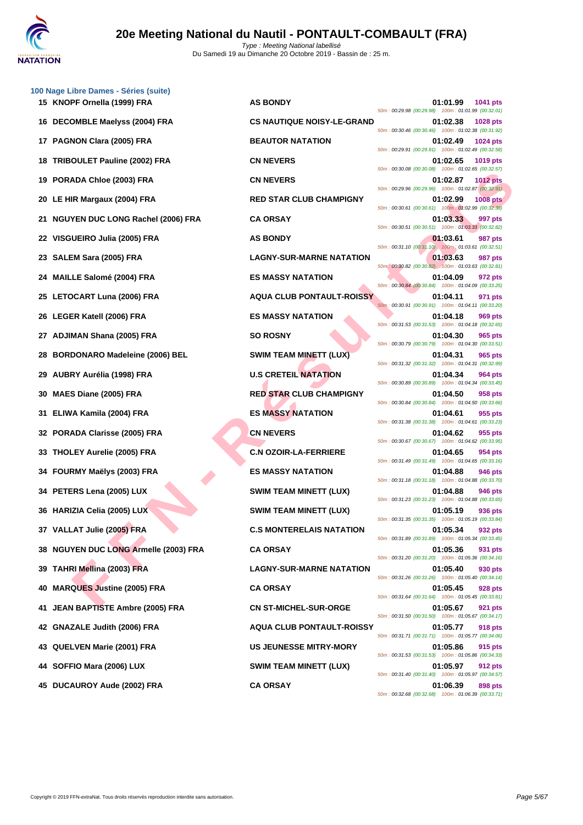|     | 100 Nage Libre Dames - Séries (suite)    |                                   |                                                                                   |
|-----|------------------------------------------|-----------------------------------|-----------------------------------------------------------------------------------|
|     | 15 KNOPF Ornella (1999) FRA              | <b>AS BONDY</b>                   | 01:01.99<br>1041 pts<br>50m: 00:29.98 (00:29.98) 100m: 01:01.99 (00:32.01)        |
|     | 16 DECOMBLE Maelyss (2004) FRA           | <b>CS NAUTIQUE NOISY-LE-GRAND</b> | 01:02.38<br><b>1028 pts</b><br>50m: 00:30.46 (00:30.46) 100m: 01:02.38 (00:31.92) |
| 17  | PAGNON Clara (2005) FRA                  | <b>BEAUTOR NATATION</b>           | 01:02.49<br>1024 pts<br>50m: 00:29.91 (00:29.91) 100m: 01:02.49 (00:32.58)        |
| 18  | TRIBOULET Pauline (2002) FRA             | <b>CN NEVERS</b>                  | 01:02.65<br>1019 pts<br>50m: 00:30.08 (00:30.08) 100m: 01:02.65 (00:32.57)        |
|     | 19 PORADA Chloe (2003) FRA               | <b>CN NEVERS</b>                  | 01:02.87<br><b>1012 pts</b><br>50m: 00:29.96 (00:29.96) 100m: 01:02.87 (00:32.91) |
|     | 20 LE HIR Margaux (2004) FRA             | <b>RED STAR CLUB CHAMPIGNY</b>    | 01:02.99<br><b>1008 pts</b><br>50m: 00:30.61 (00:30.61) 100m: 01:02.99 (00:32.38) |
| 21  | <b>NGUYEN DUC LONG Rachel (2006) FRA</b> | <b>CA ORSAY</b>                   | 01:03.33<br>997 pts<br>50m: 00:30.51 (00:30.51) 100m: 01:03.33 (00:32.82)         |
|     | 22 VISGUEIRO Julia (2005) FRA            | <b>AS BONDY</b>                   | 01:03.61<br>987 pts<br>50m: 00:31.10 (00:31.10) 100m: 01:03.61 (00:32.51)         |
| 23  | SALEM Sara (2005) FRA                    | <b>LAGNY-SUR-MARNE NATATION</b>   | 01:03.63<br>987 pts<br>50m: 00:30.82 (00:30.82) 100m: 01:03.63 (00:32.81)         |
|     | 24 MAILLE Salomé (2004) FRA              | <b>ES MASSY NATATION</b>          | 01:04.09<br>972 pts<br>50m: 00:30.84 (00:30.84) 100m: 01:04.09 (00:33.25)         |
|     | 25 LETOCART Luna (2006) FRA              | <b>AQUA CLUB PONTAULT-ROISSY</b>  | 01:04.11<br>971 pts<br>50m: 00:30.91 (00:30.91) 100m: 01:04.11 (00:33.20)         |
|     | 26 LEGER Katell (2006) FRA               | <b>ES MASSY NATATION</b>          | 01:04.18<br>969 pts<br>50m: 00:31.53 (00:31.53) 100m: 01:04.18 (00:32.65)         |
| 27. | <b>ADJIMAN Shana (2005) FRA</b>          | <b>SO ROSNY</b>                   | 01:04.30<br>965 pts<br>50m: 00:30.79 (00:30.79) 100m: 01:04.30 (00:33.51)         |
| 28  | <b>BORDONARO Madeleine (2006) BEL</b>    | <b>SWIM TEAM MINETT (LUX)</b>     | 01:04.31<br>965 pts<br>50m: 00:31.32 (00:31.32) 100m: 01:04.31 (00:32.99)         |
| 29  | AUBRY Aurélia (1998) FRA                 | <b>U.S CRETEIL NATATION</b>       | 01:04.34<br>964 pts<br>50m: 00:30.89 (00:30.89) 100m: 01:04.34 (00:33.45)         |
| 30  | MAES Diane (2005) FRA                    | <b>RED STAR CLUB CHAMPIGNY</b>    | 01:04.50<br>958 pts<br>50m: 00:30.84 (00:30.84) 100m: 01:04.50 (00:33.66)         |
|     | ELIWA Kamila (2004) FRA                  | <b>ES MASSY NATATION</b>          | 01:04.61<br>955 pts<br>50m: 00:31.38 (00:31.38) 100m: 01:04.61 (00:33.23)         |
| 32  | PORADA Clarisse (2005) FRA               | <b>CN NEVERS</b>                  | 01:04.62<br>955 pts<br>50m: 00:30.67 (00:30.67) 100m: 01:04.62 (00:33.95)         |
| 33  | <b>THOLEY Aurelie (2005) FRA</b>         | <b>C.N OZOIR-LA-FERRIERE</b>      | 01:04.65<br>954 pts                                                               |
|     | 34 FOURMY Maëlys (2003) FRA              | <b>ES MASSY NATATION</b>          | 50m: 00:31.49 (00:31.49) 100m: 01:04.65 (00:33.16)<br>01:04.88<br><b>946 pts</b>  |
|     | 34 PETERS Lena (2005) LUX                | <b>SWIM TEAM MINETT (LUX)</b>     | 50m: 00:31.18 (00:31.18) 100m: 01:04.88 (00:33.70)<br>01:04.88<br>946 pts         |
|     | 36 HARIZIA Celia (2005) LUX              | <b>SWIM TEAM MINETT (LUX)</b>     | 50m: 00:31.23 (00:31.23) 100m: 01:04.88 (00:33.65)<br>01:05.19<br>936 pts         |
|     | 37 VALLAT Julie (2005) FRA               | <b>C.S MONTERELAIS NATATION</b>   | 50m: 00:31.35 (00:31.35) 100m: 01:05.19 (00:33.84)<br>01:05.34<br>932 pts         |
|     | 38 NGUYEN DUC LONG Armelle (2003) FRA    | <b>CA ORSAY</b>                   | 50m: 00:31.89 (00:31.89) 100m: 01:05.34 (00:33.45)<br>01:05.36<br>931 pts         |
|     | 39 TAHRI Mellina (2003) FRA              | <b>LAGNY-SUR-MARNE NATATION</b>   | 50m: 00:31.20 (00:31.20) 100m: 01:05.36 (00:34.16)<br>01:05.40<br>930 pts         |
| 40  | <b>MARQUES Justine (2005) FRA</b>        | <b>CA ORSAY</b>                   | 50m: 00:31.26 (00:31.26) 100m: 01:05.40 (00:34.14)<br>01:05.45<br>928 pts         |
| 41. | JEAN BAPTISTE Ambre (2005) FRA           | <b>CN ST-MICHEL-SUR-ORGE</b>      | 50m: 00:31.64 (00:31.64) 100m: 01:05.45 (00:33.81)<br>01:05.67<br>921 pts         |
|     | 42 GNAZALE Judith (2006) FRA             | <b>AQUA CLUB PONTAULT-ROISSY</b>  | 50m: 00:31.50 (00:31.50) 100m: 01:05.67 (00:34.17)<br>01:05.77<br><b>918 pts</b>  |
|     | 43 QUELVEN Marie (2001) FRA              | <b>US JEUNESSE MITRY-MORY</b>     | 50m: 00:31.71 (00:31.71) 100m: 01:05.77 (00:34.06)<br>01:05.86<br>915 pts         |
|     | 44 SOFFIO Mara (2006) LUX                | <b>SWIM TEAM MINETT (LUX)</b>     | 50m: 00:31.53 (00:31.53) 100m: 01:05.86 (00:34.33)<br>01:05.97<br>912 pts         |
|     | BUGALIBOV A.J. (0000) FBA                | $\sim$ $\sim$ $\sim$<br>~ *       | 50m: 00:31.40 (00:31.40) 100m: 01:05.97 (00:34.57)<br>$\sim$ $\sim$ $\sim$        |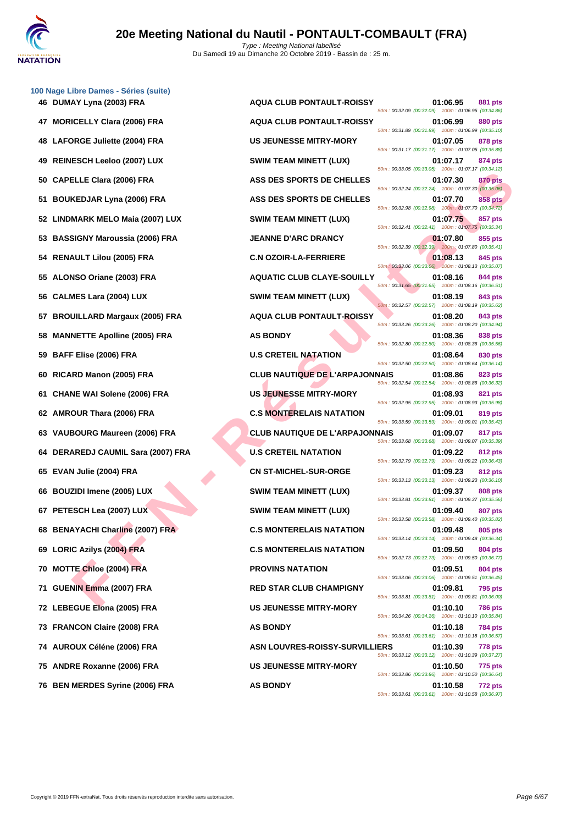|    | 100 Nage Libre Dames - Séries (suite) |                                       |                                                                |                |
|----|---------------------------------------|---------------------------------------|----------------------------------------------------------------|----------------|
|    | 46 DUMAY Lyna (2003) FRA              | <b>AQUA CLUB PONTAULT-ROISSY</b>      | 01:06.95<br>50m: 00:32.09 (00:32.09) 100m: 01:06.95 (00:34.86) | 881 pts        |
| 47 | <b>MORICELLY Clara (2006) FRA</b>     | <b>AQUA CLUB PONTAULT-ROISSY</b>      | 01:06.99<br>50m: 00:31.89 (00:31.89) 100m: 01:06.99 (00:35.10) | 880 pts        |
| 48 | <b>LAFORGE Juliette (2004) FRA</b>    | <b>US JEUNESSE MITRY-MORY</b>         | 01:07.05<br>50m: 00:31.17 (00:31.17) 100m: 01:07.05 (00:35.88) | 878 pts        |
| 49 | <b>REINESCH Leeloo (2007) LUX</b>     | <b>SWIM TEAM MINETT (LUX)</b>         | 01:07.17<br>50m: 00:33.05 (00:33.05) 100m: 01:07.17 (00:34.12) | 874 pts        |
| 50 | <b>CAPELLE Clara (2006) FRA</b>       | ASS DES SPORTS DE CHELLES             | 01:07.30<br>50m: 00:32.24 (00:32.24) 100m: 01:07.30 (00:35.06) | 870 pts        |
| 51 | <b>BOUKEDJAR Lyna (2006) FRA</b>      | ASS DES SPORTS DE CHELLES             | 01:07.70<br>50m: 00:32.98 (00:32.98) 100m: 01:07.70 (00:34.72) | 858 pts        |
| 52 | <b>LINDMARK MELO Maia (2007) LUX</b>  | <b>SWIM TEAM MINETT (LUX)</b>         | 01:07.75<br>50m: 00:32.41 (00:32.41) 100m: 01:07.75 (00:35.34) | 857 pts        |
| 53 | <b>BASSIGNY Maroussia (2006) FRA</b>  | <b>JEANNE D'ARC DRANCY</b>            | 01:07.80<br>50m: 00:32.39 (00:32.39) 100m: 01:07.80 (00:35.41) | 855 pts        |
| 54 | <b>RENAULT Lilou (2005) FRA</b>       | <b>C.N OZOIR-LA-FERRIERE</b>          | 01:08.13<br>50m: 00:33.06 (00:33.06) 100m: 01:08.13 (00:35.07) | 845 pts        |
| 55 | ALONSO Oriane (2003) FRA              | <b>AQUATIC CLUB CLAYE-SOUILLY</b>     | 01:08.16<br>50m: 00:31.65 (00:31.65) 100m: 01:08.16 (00:36.51) | 844 pts        |
| 56 | <b>CALMES Lara (2004) LUX</b>         | <b>SWIM TEAM MINETT (LUX)</b>         | 01:08.19<br>50m: 00:32.57 (00:32.57) 100m: 01:08.19 (00:35.62) | 843 pts        |
| 57 | <b>BROUILLARD Margaux (2005) FRA</b>  | <b>AQUA CLUB PONTAULT-ROISSY</b>      | 01:08.20<br>50m: 00:33.26 (00:33.26) 100m: 01:08.20 (00:34.94) | 843 pts        |
| 58 | <b>MANNETTE Apolline (2005) FRA</b>   | <b>AS BONDY</b>                       | 01:08.36<br>50m: 00:32.80 (00:32.80) 100m: 01:08.36 (00:35.56) | 838 pts        |
| 59 | BAFF Elise (2006) FRA                 | <b>U.S CRETEIL NATATION</b>           | 01:08.64<br>50m: 00:32.50 (00:32.50) 100m: 01:08.64 (00:36.14) | 830 pts        |
| 60 | RICARD Manon (2005) FRA               | <b>CLUB NAUTIQUE DE L'ARPAJONNAIS</b> | 01:08.86<br>50m: 00:32.54 (00:32.54) 100m: 01:08.86 (00:36.32) | 823 pts        |
| 61 | <b>CHANE WAI Solene (2006) FRA</b>    | <b>US JEUNESSE MITRY-MORY</b>         | 01:08.93<br>50m: 00:32.95 (00:32.95) 100m: 01:08.93 (00:35.98) | 821 pts        |
| 62 | AMROUR Thara (2006) FRA               | <b>C.S MONTERELAIS NATATION</b>       | 01:09.01<br>50m: 00:33.59 (00:33.59) 100m: 01:09.01 (00:35.42) | 819 pts        |
| 63 | VAUBOURG Maureen (2006) FRA           | <b>CLUB NAUTIQUE DE L'ARPAJONNAIS</b> | 01:09.07<br>50m: 00:33.68 (00:33.68) 100m: 01:09.07 (00:35.39) | 817 pts        |
| 64 | DERAREDJ CAUMIL Sara (2007) FRA       | <b>U.S CRETEIL NATATION</b>           | 01:09.22<br>50m: 00:32.79 (00:32.79) 100m: 01:09.22 (00:36.43) | 812 pts        |
|    | 65 EVAN Julie (2004) FRA              | <b>CN ST-MICHEL-SUR-ORGE</b>          | 01:09.23<br>50m: 00:33.13 (00:33.13) 100m: 01:09.23 (00:36.10) | 812 pts        |
|    | 66 BOUZIDI Imene (2005) LUX           | <b>SWIM TEAM MINETT (LUX)</b>         | 01:09.37<br>50m: 00:33.81 (00:33.81) 100m: 01:09.37 (00:35.56) | 808 pts        |
|    | 67 PETESCH Lea (2007) LUX             | <b>SWIM TEAM MINETT (LUX)</b>         | 01:09.40<br>50m: 00:33.58 (00:33.58) 100m: 01:09.40 (00:35.82) | <b>807 pts</b> |
|    | 68 BENAYACHI Charline (2007) FRA      | <b>C.S MONTERELAIS NATATION</b>       | 01:09.48<br>50m: 00:33.14 (00:33.14) 100m: 01:09.48 (00:36.34) | 805 pts        |
|    | 69 LORIC Azilys (2004) FRA            | <b>C.S MONTERELAIS NATATION</b>       | 01:09.50<br>50m: 00:32.73 (00:32.73) 100m: 01:09.50 (00:36.77) | 804 pts        |
|    | 70 MOTTE Chloe (2004) FRA             | <b>PROVINS NATATION</b>               | 01:09.51<br>50m: 00:33.06 (00:33.06) 100m: 01:09.51 (00:36.45) | 804 pts        |
|    | 71 GUENIN Emma (2007) FRA             | <b>RED STAR CLUB CHAMPIGNY</b>        | 01:09.81                                                       | <b>795 pts</b> |
|    | 72 LEBEGUE Elona (2005) FRA           | <b>US JEUNESSE MITRY-MORY</b>         | 50m: 00:33.81 (00:33.81) 100m: 01:09.81 (00:36.00)<br>01:10.10 | 786 pts        |
|    | 73 FRANCON Claire (2008) FRA          | <b>AS BONDY</b>                       | 50m: 00:34.26 (00:34.26) 100m: 01:10.10 (00:35.84)<br>01:10.18 | 784 pts        |
|    | 74 AUROUX Céléne (2006) FRA           | <b>ASN LOUVRES-ROISSY-SURVILLIERS</b> | 50m: 00:33.61 (00:33.61) 100m: 01:10.18 (00:36.57)<br>01:10.39 | 778 pts        |
|    | 75 ANDRE Roxanne (2006) FRA           | <b>US JEUNESSE MITRY-MORY</b>         | 50m: 00:33.12 (00:33.12) 100m: 01:10.39 (00:37.27)<br>01:10.50 | 775 pts        |
|    |                                       |                                       | 50m: 00:33.86 (00:33.86) 100m: 01:10.50 (00:36.64)             |                |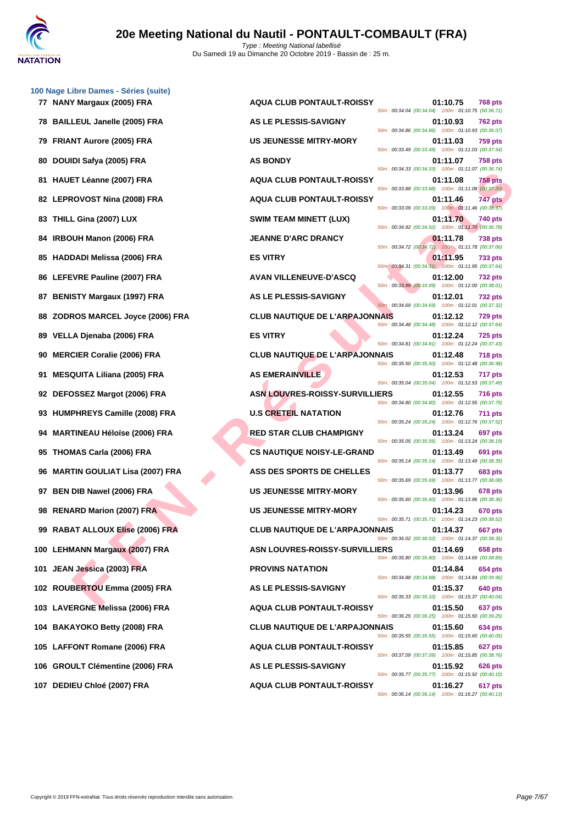

|    | 100 Nage Libre Dames - Séries (suite)<br>77 NANY Margaux (2005) FRA | <b>AQUA CLUB PONTAULT-ROISSY</b>      | 01:10.75<br><b>768 pts</b>                                                       |
|----|---------------------------------------------------------------------|---------------------------------------|----------------------------------------------------------------------------------|
|    | 78 BAILLEUL Janelle (2005) FRA                                      | AS LE PLESSIS-SAVIGNY                 | 50m: 00:34.04 (00:34.04) 100m: 01:10.75 (00:36.71)<br>01:10.93<br><b>762 pts</b> |
|    | 79 FRIANT Aurore (2005) FRA                                         | <b>US JEUNESSE MITRY-MORY</b>         | 50m: 00:34.86 (00:34.86) 100m: 01:10.93 (00:36.07)<br>01:11.03<br><b>759 pts</b> |
|    | 80 DOUIDI Safya (2005) FRA                                          | <b>AS BONDY</b>                       | 50m: 00:33.49 (00:33.49) 100m: 01:11.03 (00:37.54)<br>01:11.07<br><b>758 pts</b> |
|    | 81 HAUET Léanne (2007) FRA                                          | <b>AQUA CLUB PONTAULT-ROISSY</b>      | 50m: 00:34.33 (00:34.33) 100m: 01:11.07 (00:36.74)<br>01:11.08<br><b>758 pts</b> |
|    | 82 LEPROVOST Nina (2008) FRA                                        | <b>AQUA CLUB PONTAULT-ROISSY</b>      | 50m: 00:33.88 (00:33.88) 100m: 01:11.08 (00:37.20)<br>747 pts<br>01:11.46        |
|    | 83 THILL Gina (2007) LUX                                            | <b>SWIM TEAM MINETT (LUX)</b>         | 50m: 00:33.09 (00:33.09) 100m: 01:11.46 (00:38.37)<br>01:11.70<br>740 pts        |
|    | 84 IRBOUH Manon (2006) FRA                                          | <b>JEANNE D'ARC DRANCY</b>            | 50m: 00:34.92 (00:34.92) 100m: 01:11.70 (00:36.78)<br>01:11.78<br><b>738 pts</b> |
|    | 85 HADDADI Melissa (2006) FRA                                       | <b>ES VITRY</b>                       | 50m: 00:34.72 (00:34.72) 100m: 01:11.78 (00:37.06)<br>01:11.95<br><b>733 pts</b> |
|    | 86 LEFEVRE Pauline (2007) FRA                                       | <b>AVAN VILLENEUVE-D'ASCQ</b>         | 50m: 00:34.31 (00:34.31) 100m: 01:11.95 (00:37.64)<br>01:12.00<br><b>732 pts</b> |
|    | 87 BENISTY Margaux (1997) FRA                                       | AS LE PLESSIS-SAVIGNY                 | 50m: 00:33.99 (00:33.99) 100m: 01:12.00 (00:38.01)<br>01:12.01<br><b>732 pts</b> |
|    | 88 ZODROS MARCEL Joyce (2006) FRA                                   | <b>CLUB NAUTIQUE DE L'ARPAJONNAIS</b> | 50m: 00:34.69 (00:34.69) 100m: 01:12.01 (00:37.32)<br>01:12.12<br><b>729 pts</b> |
|    | 89 VELLA Djenaba (2006) FRA                                         | <b>ES VITRY</b>                       | 50m: 00:34.48 (00:34.48) 100m: 01:12.12 (00:37.64)<br>01:12.24<br><b>725 pts</b> |
| 90 | <b>MERCIER Coralie (2006) FRA</b>                                   | <b>CLUB NAUTIQUE DE L'ARPAJONNAIS</b> | 50m: 00:34.81 (00:34.81) 100m: 01:12.24 (00:37.43)<br>01:12.48<br><b>718 pts</b> |
| 91 | MESQUITA Liliana (2005) FRA                                         | <b>AS EMERAINVILLE</b>                | 50m: 00:35.50 (00:35.50) 100m: 01:12.48 (00:36.98)<br>01:12.53<br>717 pts        |
|    | 92 DEFOSSEZ Margot (2006) FRA                                       | <b>ASN LOUVRES-ROISSY-SURVILLIERS</b> | 50m: 00:35.04 (00:35.04) 100m: 01:12.53 (00:37.49)<br>01:12.55<br><b>716 pts</b> |
|    | 93 HUMPHREYS Camille (2008) FRA                                     | <b>U.S CRETEIL NATATION</b>           | 50m: 00:34.80 (00:34.80) 100m: 01:12.55 (00:37.75)<br>01:12.76<br><b>711 pts</b> |
|    | 94 MARTINEAU Héloïse (2006) FRA                                     | <b>RED STAR CLUB CHAMPIGNY</b>        | 50m: 00:35.24 (00:35.24) 100m: 01:12.76 (00:37.52)<br>01:13.24<br>697 pts        |
|    | 95 THOMAS Carla (2006) FRA                                          | <b>CS NAUTIQUE NOISY-LE-GRAND</b>     | 50m: 00:35.05 (00:35.05) 100m: 01:13.24 (00:38.19)<br>01:13.49<br>691 pts        |
|    | 96 MARTIN GOULIAT Lisa (2007) FRA                                   | <b>ASS DES SPORTS DE CHELLES</b>      | 50m: 00:35.14 (00:35.14) 100m: 01:13.49 (00:38.35)<br>01:13.77<br>683 pts        |
|    | 97 BEN DIB Nawel (2006) FRA                                         | <b>US JEUNESSE MITRY-MORY</b>         | 50m: 00:35.69 (00:35.69) 100m: 01:13.77 (00:38.08)<br>01:13.96<br>678 pts        |
|    | 98 RENARD Marion (2007) FRA                                         | <b>US JEUNESSE MITRY-MORY</b>         | 50m: 00:35.60 (00:35.60) 100m: 01:13.96 (00:38.36)<br>01:14.23<br>670 pts        |
|    | 99 RABAT ALLOUX Elise (2006) FRA                                    | <b>CLUB NAUTIQUE DE L'ARPAJONNAIS</b> | 50m: 00:35.71 (00:35.71) 100m: 01:14.23 (00:38.52)<br>01:14.37<br>667 pts        |
|    | 100 LEHMANN Margaux (2007) FRA                                      | <b>ASN LOUVRES-ROISSY-SURVILLIERS</b> | 50m: 00:36.02 (00:36.02) 100m: 01:14.37 (00:38.35)<br>01:14.69<br>658 pts        |
|    | 101 JEAN Jessica (2003) FRA                                         | <b>PROVINS NATATION</b>               | 50m: 00:35.80 (00:35.80) 100m: 01:14.69 (00:38.89)<br>01:14.84<br>654 pts        |
|    | 102 ROUBERTOU Emma (2005) FRA                                       | AS LE PLESSIS-SAVIGNY                 | 50m: 00:34.88 (00:34.88) 100m: 01:14.84 (00:39.96)<br>01:15.37<br>640 pts        |
|    | 103 LAVERGNE Melissa (2006) FRA                                     | <b>AQUA CLUB PONTAULT-ROISSY</b>      | 50m: 00:35.33 (00:35.33) 100m: 01:15.37 (00:40.04)<br>01:15.50<br><b>637 pts</b> |
|    | 104 BAKAYOKO Betty (2008) FRA                                       | <b>CLUB NAUTIQUE DE L'ARPAJONNAIS</b> | 50m: 00:36.25 (00:36.25) 100m: 01:15.50 (00:39.25)<br>01:15.60<br>634 pts        |
|    | 105 LAFFONT Romane (2006) FRA                                       | <b>AQUA CLUB PONTAULT-ROISSY</b>      | 50m: 00:35.55 (00:35.55) 100m: 01:15.60 (00:40.05)<br>01:15.85<br>627 pts        |
|    | 106 GROULT Clémentine (2006) FRA                                    | AS LE PLESSIS-SAVIGNY                 | 50m: 00:37.09 (00:37.09) 100m: 01:15.85 (00:38.76)<br>01:15.92<br>626 pts        |
|    | 107 DEDIEU Chloé (2007) FRA                                         | <b>AQUA CLUB PONTAULT-ROISSY</b>      | 50m: 00:35.77 (00:35.77) 100m: 01:15.92 (00:40.15)<br>01:16.27                   |
|    |                                                                     |                                       | 617 pts<br>50m: 00:36.14 (00:36.14) 100m: 01:16.27 (00:40.13)                    |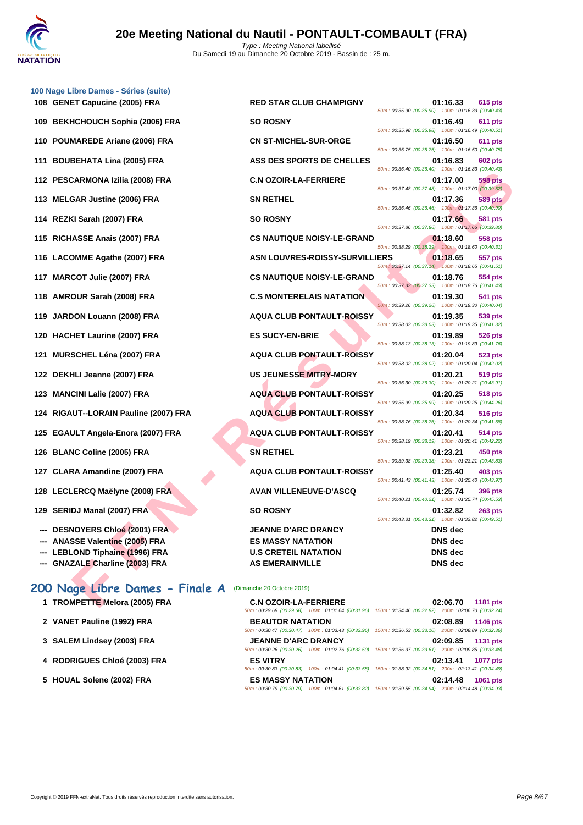

- EXERCO MABINE (2005) FRA C. S. MONTGUE HOLDY READ AND THE STRUCT AND STRUCT AND STRUCT AND SALE IN THE STRUCT ON A STRUCT ON A STRUCT ON A STRUCT ON A STRUCT ON A STRUCT ON A STRUCT ON A STRUCT ON A STRUCT ON A STRUCT ON **[100 Nage](http://www.ffnatation.fr/webffn/index.php) Libre Dames - Séries (suite) 108 GENET Capucine (2005) FRA RED STAR CLUB CHAMPIGNY 01:16.33 615 pts 109 BEKHCHOUCH Sophia (2006) FRA SO ROSNY 01:16.49 611 pts 110 POUMAREDE Ariane (2006) FRA CN ST-MICHEL-SUR-ORGE 01:16.50 611 pts 111 BOUBEHATA Lina (2005) FRA ASS DES SPORTS DE CHELLES 01:16.83 602 pts 112 PESCARMONA Izilia (2008) FRA C.N OZOIR-LA-FERRIERE 01:17.00 598 pts 113 MELGAR Justine (2006) FRA SN RETHEL 01:17.36 589 pts 114 REZKI Sarah (2007) FRA SO ROSNY 01:17.66 581 pts 115 RICHASSE Anais (2007) FRA CS NAUTIQUE NOISY-LE-GRAND 01:18.60 558 pts 116 LACOMME Agathe (2007) FRA ASN LOUVRES-ROISSY-SURVILLIERS 01:18.65 557 pts 117 MARCOT Julie (2007) FRA CS NAUTIQUE NOISY-LE-GRAND 01:18.76 554 pts 118 AMROUR Sarah (2008) FRA C.S MONTERELAIS NATATION 01:19.30 541 pts 119 JARDON Louann (2008) FRA AQUA CLUB PONTAULT-ROISSY 01:19.35 539 pts 120 HACHET Laurine (2007) FRA ES SUCY-EN-BRIE 01:19.89 526 pts 121 MURSCHEL Léna (2007) FRA AQUA CLUB PONTAULT-ROISSY 01:20.04 523 pts 122 DEKHLI Jeanne (2007) FRA US JEUNESSE MITRY-MORY 01:20.21 519 pts 123 MANCINI Lalie (2007) FRA AQUA CLUB PONTAULT-ROISSY 01:20.25 518 pts 124 RIGAUT--LORAIN Pauline (2007) FRA AQUA CLUB PONTAULT-ROISSY 01:20.34 516 pts 125 EGAULT Angela-Enora (2007) FRA AQUA CLUB PONTAULT-ROISSY 01:20.41 514 pts 126 BLANC Coline (2005) FRA SN RETHEL 01:23.21 450 pts 127 CLARA Amandine (2007) FRA AQUA CLUB PONTAULT-ROISSY 01:25.40 403 pts 128 LECLERCQ Maëlyne (2008) FRA AVAN VILLENEUVE-D'ASCQ 01:25.74 396 pts 129 SERIDJ Manal (2007) FRA SO ROSNY 01:32.82 263 pts**
	- **--- DESNOYERS Chloé (2001) FRA JEANNE D'ARC DRANCY DNS dec**
	- **--- ANASSE Valentine (2005) FRA ES MASSY NATATION DNS dec**
	- **--- LEBLOND Tiphaine (1996) FRA U.S CRETEIL NATATION DNS dec**
	- **--- GNAZALE Charline (2003) FRA AS EMERAINVILLE DNS dec**

### **200 Nage Libre Dames - Finale A** (Dimanche 20 Octobre 2019)

- **1 TROMPETTE** Melora (2005) FRA **CONSIDERIES**
- **2 VANET Pauline (1992) FRA B**
- **3 [SALEM Lindsey \(2003\) FRA](http://www.ffnatation.fr/webffn/resultats.php?idact=nat&go=epr&idcpt=62219&idepr=3) JEANNE DRAMA DRAMACY <b>CONSUMING DRAM**
- **4 RODRIGUES Chloé (2003) FRA E**
- **5 HOUAL Solene (2002) FRA E**

50m : 00:35.90 (00:35.90) 100m : 01:16.33 (00:40.43)

| <b>C.N OZOIR-LA-FERRIERE</b> |                                                     |                                                     | 02:06.70 1181 pts |          |
|------------------------------|-----------------------------------------------------|-----------------------------------------------------|-------------------|----------|
|                              | 50m: 00:29.68 (00:29.68) 100m: 01:01.64 (00:31.96)  | 150m: 01:34.46 (00:32.82) 200m: 02:06.70 (00:32.24) |                   |          |
| <b>BEAUTOR NATATION</b>      |                                                     |                                                     | 02:08.89 1146 pts |          |
|                              | 50m: 00:30.47 (00:30.47) 100m: 01:03.43 (00:32.96)  | 150m: 01:36.53 (00:33.10) 200m: 02:08.89 (00:32.36) |                   |          |
| <b>JEANNE D'ARC DRANCY</b>   |                                                     |                                                     | 02:09.85 1131 pts |          |
|                              | 50m: 00:30.26 (00:30.26) 100m: 01:02.76 (00:32.50)  | 150m: 01:36.37 (00:33.61) 200m: 02:09.85 (00:33.48) |                   |          |
| <b>ES VITRY</b>              |                                                     |                                                     | 02:13.41 1077 pts |          |
|                              | 50m: 00:30.83 (00:30.83) 100m: 01:04.41 (00:33.58)  | 150m: 01:38.92 (00:34.51) 200m: 02:13.41 (00:34.49) |                   |          |
| <b>ES MASSY NATATION</b>     |                                                     |                                                     | 02:14.48          | 1061 pts |
|                              | 50m: 00:30.79 (00:30.79)  100m: 01:04.61 (00:33.82) | 150m: 01:39.55 (00:34.94) 200m: 02:14.48 (00:34.93) |                   |          |
|                              |                                                     |                                                     |                   |          |

50m : 00:35.98 (00:35.98) 100m : 01:16.49 (00:40.51) 50m : 00:35.75 (00:35.75) 100m : 01:16.50 (00:40.75) 50m : 00:36.40 (00:36.40) 100m : 01:16.83 (00:40.43) 50m : 00:37.48 (00:37.48) 100m : 01:17.00 (00:39.52) 50m : 00:36.46 (00:36.46) 100m : 01:17.36 (00:40.90) 50m : 00:37.86 (00:37.86) 100m : 01:17.66 (00:39.80) 50m : 00:38.29 (00:38.29) 100m : 01:18.60 (00:40.31) 50m : 00:37.14 (00:37.14) 100m : 01:18.65 (00:41.51) 50m : 00:37.33 (00:37.33) 100m : 01:18.76 (00:41.43) 50m : 00:39.26 (00:39.26) 100m : 01:19.30 (00:40.04) 50m : 00:38.03 (00:38.03) 100m : 01:19.35 (00:41.32) 50m : 00:38.13 (00:38.13) 100m : 01:19.89 (00:41.76) 50m : 00:38.02 (00:38.02) 100m : 01:20.04 (00:42.02) 50m : 00:36.30 (00:36.30) 100m : 01:20.21 (00:43.91) 50m : 00:35.99 (00:35.99) 100m : 01:20.25 (00:44.26) 50m : 00:38.76 (00:38.76) 100m : 01:20.34 (00:41.58) 50m : 00:38.19 (00:38.19) 100m : 01:20.41 (00:42.22) 50m : 00:39.38 (00:39.38) 100m : 01:23.21 (00:43.83) 50m : 00:41.43 (00:41.43) 100m : 01:25.40 (00:43.97) 50m : 00:40.21 (00:40.21) 100m : 01:25.74 (00:45.53) 50m : 00:43.31 (00:43.31) 100m : 01:32.82 (00:49.51)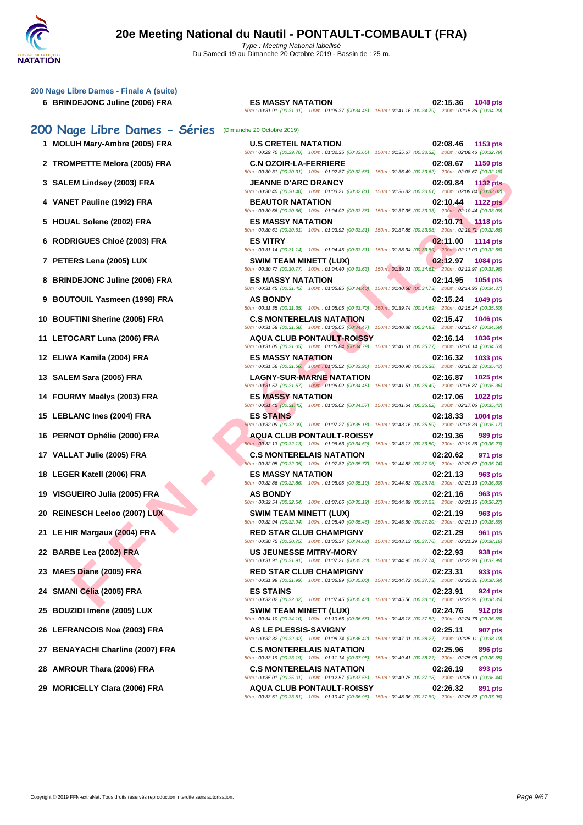| 200 Nage Libre Dames - Finale A (suite)<br>6 BRINDEJONC Juline (2006) FRA | <b>ES MASSY NATATION</b><br>50m: 00:31.91 (00:31.91) 100m: 01:06.37 (00:34.46) 150m: 01:41.16 (00:34.79) 200m: 02:15.36 (00:34.20)                                                                                                                       | 02:15.36<br>1048 pts                                                              |
|---------------------------------------------------------------------------|----------------------------------------------------------------------------------------------------------------------------------------------------------------------------------------------------------------------------------------------------------|-----------------------------------------------------------------------------------|
| 200 Nage Libre Dames - Séries                                             | (Dimanche 20 Octobre 2019)                                                                                                                                                                                                                               |                                                                                   |
| 1 MOLUH Mary-Ambre (2005) FRA                                             | <b>U.S CRETEIL NATATION</b>                                                                                                                                                                                                                              | 02:08.46<br>1153 pts                                                              |
| 2 TROMPETTE Melora (2005) FRA                                             | 50m : 00:29.70 (00:29.70) 100m : 01:02.35 (00:32.65) 150m : 01:35.67 (00:33.32) 200m : 02:08.46 (00:32.79)<br><b>C.N OZOIR-LA-FERRIERE</b><br>50m : 00:30.31 (00:30.31) 100m : 01:02.87 (00:32.56) 150m : 01:36.49 (00:33.62) 200m : 02:08.67 (00:32.18) | 02:08.67<br><b>1150 pts</b>                                                       |
| 3 SALEM Lindsey (2003) FRA                                                | <b>JEANNE D'ARC DRANCY</b>                                                                                                                                                                                                                               | 02:09.84<br><b>1132 pts</b>                                                       |
| 4 VANET Pauline (1992) FRA                                                | 50m : 00:30.40 (00:30.40) 100m : 01:03.21 (00:32.81) 150m : 01:36.82 (00:33.61) 200m : 02:09.84 (00:33.02)<br><b>BEAUTOR NATATION</b>                                                                                                                    | 02:10.44<br><b>1122 pts</b>                                                       |
| 5 HOUAL Solene (2002) FRA                                                 | 50m : 00:30.66 (00:30.66) 100m : 01:04.02 (00:33.36) 150m : 01:37.35 (00:33.33) 200m : 02:10.44 (00:33.09)<br><b>ES MASSY NATATION</b>                                                                                                                   | 02:10.71 1118 pts                                                                 |
| 6 RODRIGUES Chloé (2003) FRA                                              | 50m: 00:30.61 (00:30.61) 100m: 01:03.92 (00:33.31) 150m: 01:37.85 (00:33.93) 200m: 02:10.71 (00:32.86)<br><b>ES VITRY</b><br>50m: 00:31.14 (00:31.14) 100m: 01:04.45 (00:33.31) 150m: 01:38.34 (00:33.89) 200m: 02:11.00 (00:32.66)                      | 02:11.00<br>1114 pts                                                              |
| 7 PETERS Lena (2005) LUX                                                  | SWIM TEAM MINETT (LUX)<br>50m: 00:30.77 (00:30.77) 100m: 01:04.40 (00:33.63) 150m: 01:39.01 (00:34.61) 200m: 02:12.97 (00:33.96)                                                                                                                         | 02:12.97<br>1084 pts                                                              |
| 8 BRINDEJONC Juline (2006) FRA                                            | <b>ES MASSY NATATION</b><br>50m: 00:31.45 (00:31.45) 100m: 01:05.85 (00:34.40) 150m: 01:40.58 (00:34.73) 200m: 02:14.95 (00:34.37)                                                                                                                       | 02:14.95<br>1054 pts                                                              |
| 9 BOUTOUIL Yasmeen (1998) FRA                                             | <b>AS BONDY</b><br>50m: 00:31.35 (00:31.35) 100m: 01:05.05 (00:33.70)                                                                                                                                                                                    | 02:15.24<br>1049 pts<br>150m: 01:39.74 (00:34.69) 200m: 02:15.24 (00:35.50)       |
| 10 BOUFTINI Sherine (2005) FRA                                            | <b>C.S MONTERELAIS NATATION</b><br>50m: 00:31.58 (00:31.58) 100m: 01:06.05 (00:34.47) 150m: 01:40.88 (00:34.83) 200m: 02:15.47 (00:34.59)                                                                                                                | 02:15.47<br>1046 pts                                                              |
| 11 LETOCART Luna (2006) FRA                                               | <b>AQUA CLUB PONTAULT-ROISSY</b><br>50m: 00:31.05 (00:31.05) 100m: 01:05.84 (00:34.79) 150m: 01:41.61 (00:35.77) 200m: 02:16.14 (00:34.53)                                                                                                               | 02:16.14<br><b>1036 pts</b>                                                       |
| 12 ELIWA Kamila (2004) FRA                                                | <b>ES MASSY NATATION</b><br>50m : 00:31.56 (00:31.56) 100m : 01:05.52 (00:33.96) 150m : 01:40.90 (00:35.38) 200m : 02:16.32 (00:35.42)                                                                                                                   | 02:16.32<br>1033 pts                                                              |
| 13 SALEM Sara (2005) FRA                                                  | <b>LAGNY-SUR-MARNE NATATION</b><br>50m: 00:31.57 (00:31.57) 100m: 01:06.02 (00:34.45) 150m: 01:41.51 (00:35.49) 200m: 02:16.87 (00:35.36)                                                                                                                | 02:16.87<br>1025 pts                                                              |
| 14 FOURMY Maëlys (2003) FRA                                               | <b>ES MASSY NATATION</b><br>50m: 00:31.45 (00:31.45) 100m: 01:06.02 (00:34.57) 150m: 01:41.64 (00:35.62) 200m: 02:17.06 (00:35.42)                                                                                                                       | 02:17.06<br>1022 pts                                                              |
| 15 LEBLANC Ines (2004) FRA                                                | <b>ES STAINS</b><br>50m : 00:32.09 (00:32.09) 100m : 01:07.27 (00:35.18) 150m : 01:43.16 (00:35.89) 200m : 02:18.33 (00:35.17)                                                                                                                           | 02:18.33<br>1004 pts                                                              |
| 16 PERNOT Ophélie (2000) FRA                                              | <b>AQUA CLUB PONTAULT-ROISSY</b><br>50m: 00:32.13 (00:32.13) 100m: 01:06.63 (00:34.50) 150m: 01:43.13 (00:36.50) 200m: 02:19.36 (00:36.23)                                                                                                               | 02:19.36<br>989 pts                                                               |
| 17 VALLAT Julie (2005) FRA                                                | <b>C.S MONTERELAIS NATATION</b><br>50m: 00:32.05 (00:32.05) 100m: 01:07.82 (00:35.77) 150m: 01:44.88 (00:37.06) 200m: 02:20.62 (00:35.74)                                                                                                                | 02:20.62<br>971 pts                                                               |
| 18 LEGER Katell (2006) FRA                                                | <b>ES MASSY NATATION</b><br>50m: 00:32.86 (00:32.86) 100m: 01:08.05 (00:35.19) 150m: 01:44.83 (00:36.78) 200m: 02:21.13 (00:36.30)                                                                                                                       | 02:21.13<br>963 pts                                                               |
| 19 VISGUEIRO Julia (2005) FRA                                             | <b>AS BONDY</b><br>50m: 00:32.54 (00:32.54) 100m: 01:07.66 (00:35.12) 150m: 01:44.89 (00:37.23) 200m: 02:21.16 (00:36.27)                                                                                                                                | 02:21.16<br>963 pts                                                               |
| 20 REINESCH Leeloo (2007) LUX                                             | <b>SWIM TEAM MINETT (LUX)</b><br>50m: 00:32.94 (00:32.94) 100m: 01:08.40 (00:35.46) 150m: 01:45.60 (00:37.20) 200m: 02:21.19 (00:35.59)                                                                                                                  | 02:21.19<br><b>963 pts</b>                                                        |
| 21 LE HIR Margaux (2004) FRA                                              | <b>RED STAR CLUB CHAMPIGNY</b><br>50m : 00:30.75 (00:30.75) 100m : 01:05.37 (00:34.62) 150m : 01:43.13 (00:37.76) 200m : 02:21.29 (00:38.16)                                                                                                             | 02:21.29<br>961 pts                                                               |
| 22 BARBE Lea (2002) FRA                                                   | <b>US JEUNESSE MITRY-MORY</b><br>50m: 00:31.91 (00:31.91) 100m: 01:07.21 (00:35.30) 150m: 01:44.95 (00:37.74) 200m: 02:22.93 (00:37.98)                                                                                                                  | 02:22.93<br>938 pts                                                               |
| 23 MAES Diane (2005) FRA                                                  | <b>RED STAR CLUB CHAMPIGNY</b><br>50m: 00:31.99 (00:31.99) 100m: 01:06.99 (00:35.00)                                                                                                                                                                     | 02:23.31<br>933 pts<br>150m: 01:44.72 (00:37.73) 200m: 02:23.31 (00:38.59)        |
| 24 SMANI Célia (2005) FRA                                                 | <b>ES STAINS</b><br>50m: 00:32.02 (00:32.02) 100m: 01:07.45 (00:35.43)                                                                                                                                                                                   | 02:23.91<br>924 pts<br>150m: 01:45.56 (00:38.11) 200m: 02:23.91 (00:38.35)        |
| 25 BOUZIDI Imene (2005) LUX                                               | <b>SWIM TEAM MINETT (LUX)</b><br>50m : 00:34.10 (00:34.10) 100m : 01:10.66 (00:36.56) 150m : 01:48.18 (00:37.52) 200m : 02:24.76 (00:36.58)                                                                                                              | 02:24.76<br>912 pts                                                               |
| 26 LEFRANCOIS Noa (2003) FRA                                              | AS LE PLESSIS-SAVIGNY<br>50m: 00:32.32 (00:32.32) 100m: 01:08.74 (00:36.42)                                                                                                                                                                              | 02:25.11<br><b>907 pts</b><br>150m: 01:47.01 (00:38.27) 200m: 02:25.11 (00:38.10) |
| 27 BENAYACHI Charline (2007) FRA                                          | <b>C.S MONTERELAIS NATATION</b><br>50m: 00:33.19 (00:33.19) 100m: 01:11.14 (00:37.95)                                                                                                                                                                    | 02:25.96<br>896 pts<br>150m: 01:49.41 (00:38.27) 200m: 02:25.96 (00:36.55)        |
| 28 AMROUR Thara (2006) FRA                                                | <b>C.S MONTERELAIS NATATION</b><br>50m : 00:35.01 (00:35.01) 100m : 01:12.57 (00:37.56) 150m : 01:49.75 (00:37.18) 200m : 02:26.19 (00:36.44)                                                                                                            | 02:26.19<br>893 pts                                                               |
| 29 MORICELLY Clara (2006) FRA                                             | <b>AQUA CLUB PONTAULT-ROISSY</b>                                                                                                                                                                                                                         | 02:26.32<br>891 pts                                                               |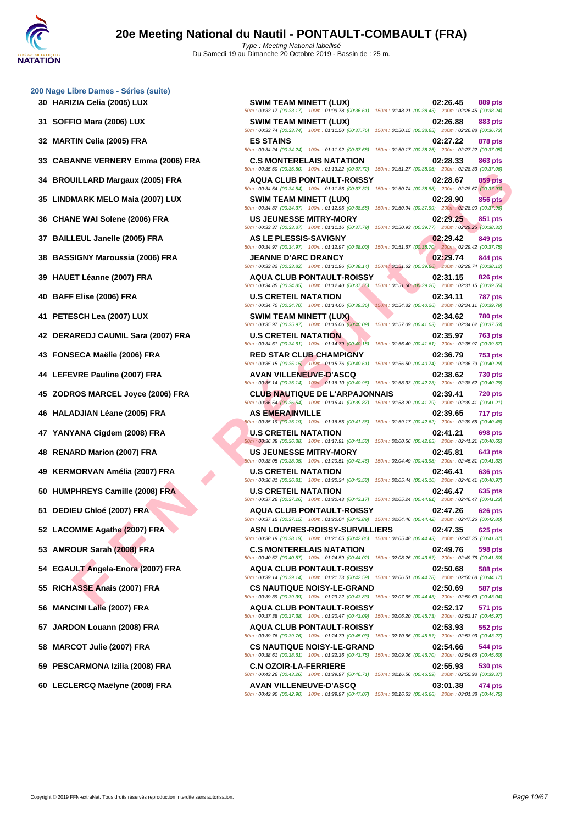UILARD Margaux (2005) FRA<br>
MARK MELO Maia (2007) UIX<br>
NARK MELO Maia (2007) UIX<br>
NARK MELO Maia (2007) UIX<br>
NARK MELO MAI (2007) UIX<br>
NARK MELO MAI (2007) FRA<br>
NARK MELO MAI (2007) FRA<br>
NARK MELO MAI (2007) FRA<br>
NARK MELO **30 HARIZIA Celia (2005) LUX SWIM TEAM MINETT (LUX) 02:26.45 889 pts** 50m : 00:33.17 (00:33.17) 100m : 01:09.78 (00:36.61) 150m : 01:48.21 (00:38.43) 200m : 02:26.45 (00:38.24) **31 SOFFIO Mara (2006) LUX SWIM TEAM MINETT (LUX) 02:26.88 883 pts** 50m : 00:33.74 (00:33.74) 100m : 01:11.50 (00:37.76) 150m : 01:50.15 (00:38.65) 200m : 02:26.88 (00:36.73) **32 MARTIN Celia (2005) FRA ES STAINS 02:27.22 878 pts** 50m : 00:34.24 (00:34.24) 100m : 01:11.92 (00:37.68) 150m : 01:50.17 (00:38.25) 200m : 02:27.22 (00:37.05) **33 CABANNE VERNERY Emma (2006) FRA C.S MONTERELAIS NATATION 02:28.33 863 pts** 50m : 00:35.50 (00:35.50) 100m : 01:13.22 (00:37.72) 150m : 01:51.27 (00:38.05) 200m : 02:28.33 (00:37.06) **34 BROUILLARD Margaux (2005) FRA AQUA CLUB PONTAULT-ROISSY 02:28.67 859 pts** 50m : 00:34.54 (00:34.54) 100m : 01:11.86 (00:37.32) 150m : 01:50.74 (00:38.88) 200m : 02:28.67 (00:37.93) **35 LINDMARK MELO Maia (2007) LUX SWIM TEAM MINETT (LUX) 02:28.90 856 pts** 50m : 00:34.37 (00:34.37) 100m : 01:12.95 (00:38.58) 150m : 01:50.94 (00:37.99) 200m : 02:28.90 (00:37.96) **36 CHANE WAI Solene (2006) FRA US JEUNESSE MITRY-MORY 02:29.25 851 pts** 50m : 00:33.37 (00:33.37) 100m : 01:11.16 (00:37.79) 150m : 01:50.93 (00:39.77) 200m : 02:29.25 (00:38.32) **37 BAILLEUL Janelle (2005) FRA AS LE PLESSIS-SAVIGNY 02:29.42 849 pts** 50m : 00:34.97 (00:34.97) 100m : 01:12.97 (00:38.00) 150m : 01:51.67 (00:38.70) 200m : 02:29.42 (00:37.75) **38 BASSIGNY Maroussia (2006) FRA JEANNE D'ARC DRANCY 02:29.74 844 pts** 50m : 00:33.82 (00:33.82) 100m : 01:11.96 (00:38.14) 150m : 01:51.62 (00:39.66) 200m : 02:29.74 (00:38.12) **39 HAUET Léanne (2007) FRA AQUA CLUB PONTAULT-ROISSY 02:31.15 826 pts** 50m : 00:34.85 (00:34.85) 100m : 01:12.40 (00:37.55) 150m : 01:51.60 (00:39.20) 200m : 02:31.15 (00:39.55) **40 BAFF Elise (2006) FRA U.S CRETEIL NATATION 02:34.11 787 pts** 50m : 00:34.70 (00:34.70) 100m : 01:14.06 (00:39.36) 150m : 01:54.32 (00:40.26) 200m : 02:34.11 (00:39.79) **41 PETESCH Lea (2007) LUX SWIM TEAM MINETT (LUX) 02:34.62 780 pts** 50m : 00:35.97 (00:35.97) 100m : 01:16.06 (00:40.09) 150m : 01:57.09 (00:41.03) 200m : 02:34.62 (00:37.53) **42 DERAREDJ CAUMIL Sara (2007) FRA U.S CRETEIL NATATION 02:35.97 763 pts** 50m : 00:34.61 (00:34.61) 100m : 01:14.79 (00:40.18) 150m : 01:56.40 (00:41.61) 200m : 02:35.97 (00:39.57) **43 FONSECA Maëlie (2006) FRA RED STAR CLUB CHAMPIGNY 02:36.79 753 pts** 50m : 00:35.15 (00:35.15) 100m : 01:15.76 (00:40.61) 150m : 01:56.50 (00:40.74) 200m : 02:36.79 (00:40.29) **44 LEFEVRE Pauline (2007) FRA AVAN VILLENEUVE-D'ASCQ 02:38.62 730 pts** 50m : 00:35.14 (00:35.14) 100m : 01:16.10 (00:40.96) 150m : 01:58.33 (00:42.23) 200m : 02:38.62 (00:40.29) **45 ZODROS MARCEL Joyce (2006) FRA CLUB NAUTIQUE DE L'ARPAJONNAIS 02:39.41 720 pts** 50m : 00:36.54 (00:36.54) 100m : 01:16.41 (00:39.87) 150m : 01:58.20 (00:41.79) 200m : 02:39.41 (00:41.21) **46 HALADJIAN Léane (2005) FRA AS EMERAINVILLE 02:39.65 717 pts** 50m : 00:35.19 (00:35.19) 100m : 01:16.55 (00:41.36) 150m : 01:59.17 (00:42.62) 200m : 02:39.65 (00:40.48) **47 YANYANA Cigdem (2008) FRA U.S CRETEIL NATATION 02:41.21 698 pts** 50m : 00:36.38 (00:36.38) 100m : 01:17.91 (00:41.53) 150m : 02:00.56 (00:42.65) 200m : 02:41.21 (00:40.65) **48 RENARD Marion (2007) FRA US JEUNESSE MITRY-MORY 02:45.81 643 pts** 50m : 00:38.05 (00:38.05) 100m : 01:20.51 (00:42.46) 150m : 02:04.49 (00:43.98) 200m : 02:45.81 (00:41.32) **49 KERMORVAN Amélia (2007) FRA U.S CRETEIL NATATION 02:46.41 636 pts** 50m : 00:36.81 (00:36.81) 100m : 01:20.34 (00:43.53) 150m : 02:05.44 (00:45.10) 200m : 02:46.41 (00:40.97) **50 HUMPHREYS Camille (2008) FRA U.S CRETEIL NATATION 02:46.47 635 pts** 50m : 00:37.26 (00:37.26) 100m : 01:20.43 (00:43.17) 150m : 02:05.24 (00:44.81) 200m : 02:46.47 (00:41.23) **51 DEDIEU Chloé (2007) FRA AQUA CLUB PONTAULT-ROISSY 02:47.26 626 pts** 50m : 00:37.15 (00:37.15) 100m : 01:20.04 (00:42.89) 150m : 02:04.46 (00:44.42) 200m : 02:47.26 (00:42.80) **52 LACOMME Agathe (2007) FRA ASN LOUVRES-ROISSY-SURVILLIERS 02:47.35 625 pts** 50m : 00:38.19 (00:38.19) 100m : 01:21.05 (00:42.86) 150m : 02:05.48 (00:44.43) 200m : 02:47.35 (00:41.87) **53 AMROUR Sarah (2008) FRA C.S MONTERELAIS NATATION 02:49.76 598 pts** 50m : 00:40.57 (00:40.57) 100m : 01:24.59 (00:44.02) 150m : 02:08.26 (00:43.67) 200m : 02:49.76 (00:41.50) **54 EGAULT Angela-Enora (2007) FRA AQUA CLUB PONTAULT-ROISSY 02:50.68 588 pts** 50m : 00:39.14 (00:39.14) 100m : 01:21.73 (00:42.59) 150m : 02:06.51 (00:44.78) 200m : 02:50.68 (00:44.17) **55 RICHASSE Anais (2007) FRA CS NAUTIQUE NOISY-LE-GRAND 02:50.69 587 pts** 50m : 00:39.39 (00:39.39) 100m : 01:23.22 (00:43.83) 150m : 02:07.65 (00:44.43) 200m : 02:50.69 (00:43.04) **56 MANCINI Lalie (2007) FRA AQUA CLUB PONTAULT-ROISSY 02:52.17 571 pts** 50m : 00:37.38 (00:37.38) 100m : 01:20.47 (00:43.09) 150m : 02:06.20 (00:45.73) 200m : 02:52.17 (00:45.97) **57 JARDON Louann (2008) FRA AQUA CLUB PONTAULT-ROISSY 02:53.93 552 pts** 50m : 00:39.76 (00:39.76) 100m : 01:24.79 (00:45.03) 150m : 02:10.66 (00:45.87) 200m : 02:53.93 (00:43.27) **58 MARCOT Julie (2007) FRA CS NAUTIQUE NOISY-LE-GRAND 02:54.66 544 pts** 50m : 00:38.61 (00:38.61) 100m : 01:22.36 (00:43.75) 150m : 02:09.06 (00:46.70) 200m : 02:54.66 (00:45.60) **59 PESCARMONA Izilia (2008) FRA C.N OZOIR-LA-FERRIERE 02:55.93 530 pts** 50m : 00:43.26 (00:43.26) 100m : 01:29.97 (00:46.71) 150m : 02:16.56 (00:46.59) 200m : 02:55.93 (00:39.37) **60 LECLERCQ Maëlyne (2008) FRA AVAN VILLENEUVE-D'ASCQ 03:01.38 474 pts** 50m : 00:42.90 (00:42.90) 100m : 01:29.97 (00:47.07) 150m : 02:16.63 (00:46.66) 200m : 03:01.38 (00:44.75)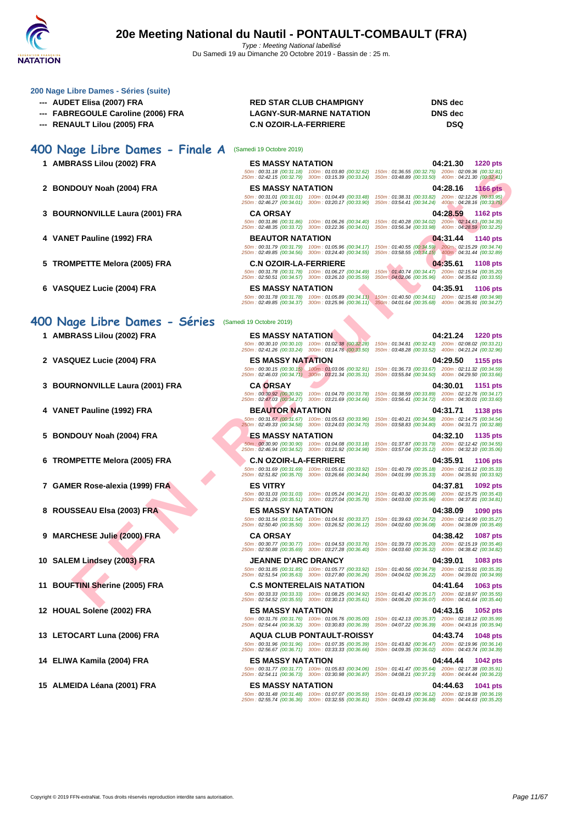

- 
- 
- 

## **400 Nage Libre Dames - Finale A** (Samedi 19 Octobre 2019)

- **1 AMBRASS Lilou (2002) FRA**
- **2 BONDOUY Noah (2004) FRA**
- **3 BOURNONVILLE Laura (2001) FRA**
- **4 VANET Pauline (1992) FRA**
- **5 TROMPETTE Melora (2005) FRA**
- **6 VASQUEZ Lucie (2004) FRA ES MASSY NATATION 04:35.91 1106 pts**

### **400 Nage Libre Dames - Séries** (Samedi 19 Octobre 2019)

- **1 AMBRASS Lilou (2002) FRA ES MASSY NATATION 04:21.24 1220 pts**
- 
- **3 BOURNONVILLE Laura (2001) FRA CA ORSAY 04:30.01 1151 pts**
- 
- 
- **6 TROMPETTE Melora (2005) FRA C.N OZOIR-LA-FERRIERE 04:35.91 1106 pts**
- **7 GAMER Rose-alexia (1999) FRA ES VITRY 04:37.81 1092 pts**
- **8 ROUSSEAU Elsa (2003) FRA ES MASSY NATATION 04:38.09 1090 pts**
- **9 MARCHESE Julie (2000) FRA CA ORSAY 04:38.42 1087 pts**
- **10 SALEM Lindsey (2003) FRA JEANNE D'ARC DRANCY 04:39.01 1083 pts**
- **11 BOUFTINI Sherine (2005) FRA C.S MONTERELAIS NATATION 04:41.64 1063 pts**
- 
- 
- 
- 

#### **--- AUDET Elisa (2007) FRA RED STAR CLUB CHAMPIGNY DNS dec --- FABREGOULE Caroline (2006) FRA LAGNY-SUR-MARNE NATATION DNS dec --- RENAULT Lilou (2005) FRA C.N OZOIR-LA-FERRIERE DSQ**

| RASS Lilou (2002) FRA                   | <b>ES MASSY NATATION</b>     |                                                                                                                                                                                                                                                                                               |                                                                                                              | 04:21.30 | <b>1220 pts</b> |
|-----------------------------------------|------------------------------|-----------------------------------------------------------------------------------------------------------------------------------------------------------------------------------------------------------------------------------------------------------------------------------------------|--------------------------------------------------------------------------------------------------------------|----------|-----------------|
|                                         |                              | 50m: 00:31.18 (00:31.18) 100m: 01:03.80 (00:32.62) 150m: 01:36.55 (00:32.75) 200m: 02:09.36 (00:32.81)<br>250m: 02:42.15 (00:32.79) 300m: 03:15.39 (00:33.24) 350m: 03:48.89 (00:33.50) 400m: 04:21.30 (00:32.41)                                                                             |                                                                                                              |          |                 |
| DOUY Noah (2004) FRA                    | <b>ES MASSY NATATION</b>     |                                                                                                                                                                                                                                                                                               |                                                                                                              | 04:28.16 | 1166 pts        |
|                                         |                              | 50m: 00:31.01 (00:31.01) 100m: 01:04.49 (00:33.48)<br>250m: 02:46.27 (00:34.01) 300m: 03:20.17 (00:33.90)                                                                                                                                                                                     | 150m: 01:38.31 (00:33.82) 200m: 02:12.26 (00:33.95)<br>350m: 03:54.41 (00:34.24) 400m: 04:28.16 (00:33.75)   |          |                 |
| RNONVILLE Laura (2001) FRA              | <b>CA ORSAY</b>              |                                                                                                                                                                                                                                                                                               |                                                                                                              | 04:28.59 | <b>1162 pts</b> |
|                                         |                              | 50m: 00:31.86 (00:31.86) 100m: 01:06.26 (00:34.40)<br>250m: 02:48.35 (00:33.72) 300m: 03:22.36 (00:34.01) 350m: 03:56.34 (00:33.98) 400m: 04:28.59 (00:32.25)                                                                                                                                 | 150m: 01:40.28 (00:34.02) 200m: 02:14.63 (00:34.35)                                                          |          |                 |
| ET Pauline (1992) FRA                   | <b>BEAUTOR NATATION</b>      |                                                                                                                                                                                                                                                                                               |                                                                                                              | 04:31.44 | 1140 pts        |
|                                         |                              | 50m : 00:31.79 (00:31.79) 100m : 01:05.96 (00:34.17) 150m : 01:40.55 (00:34.59) 200m : 02:15.29 (00:34.74)<br>250m: 02:49.85 (00:34.56) 300m: 03:24.40 (00:34.55) 350m: 03:58.55 (00:34.15) 400m: 04:31.44 (00:32.89)                                                                         |                                                                                                              |          |                 |
| MPETTE Melora (2005) FRA                | <b>C.N OZOIR-LA-FERRIERE</b> |                                                                                                                                                                                                                                                                                               |                                                                                                              | 04:35.61 | <b>1108 pts</b> |
|                                         |                              | 50m: 00:31.78 (00:31.78) 100m: 01:06.27 (00:34.49)<br>250m: 02:50.51 (00:34.57) 300m: 03:26.10 (00:35.59)                                                                                                                                                                                     | 150m: 01:40.74 (00:34.47) 200m: 02:15.94 (00:35.20)<br>350m : 04:02.06 (00:35.96) 400m : 04:35.61 (00:33.55) |          |                 |
| QUEZ Lucie (2004) FRA                   | <b>ES MASSY NATATION</b>     |                                                                                                                                                                                                                                                                                               |                                                                                                              | 04:35.91 | <b>1106 pts</b> |
|                                         |                              | $\frac{50m}{250m},\frac{00:31.78}{00:34.37},\frac{00:31.78)}{000m},\frac{100m}{0.325.96},\frac{00:34.11}{00:36.11},\frac{150m}{0.360m},\frac{101:40.50}{00:34.61},\frac{00:34.61}{00:35.68},\frac{200m}{400m},\frac{02:15.48}{00:34.27},\frac{00:34.27}{000m},\frac{00:34.27}{000m},\frac{00$ |                                                                                                              |          |                 |
|                                         |                              |                                                                                                                                                                                                                                                                                               |                                                                                                              |          |                 |
| ige Libre Dames - Séries                | (Samedi 19 Octobre 2019)     |                                                                                                                                                                                                                                                                                               |                                                                                                              |          |                 |
| RASS Lilou (2002) FRA                   | <b>ES MASSY NATATION</b>     |                                                                                                                                                                                                                                                                                               |                                                                                                              | 04:21.24 | <b>1220 pts</b> |
|                                         |                              | 50m: 00:30.10 (00:30.10) 100m: 01:02.38 (00:32.28) 150m: 01:34.81 (00:32.43) 200m: 02:08.02 (00:33.21)<br>250m: 02:41.26 (00:33.24) 300m: 03:14.76 (00:33.50) 350m: 03:48.28 (00:33.52) 400m: 04:21.24 (00:32.96)                                                                             |                                                                                                              |          |                 |
| QUEZ Lucie (2004) FRA                   | <b>ES MASSY NATATION</b>     |                                                                                                                                                                                                                                                                                               |                                                                                                              | 04:29.50 | 1155 pts        |
|                                         |                              | 50m : 00:30.15 (00:30.15) 100m : 01:03.06 (00:32.91) 150m : 01:36.73 (00:33.67) 200m : 02:11.32 (00:34.59) 50m : 02:46.03 (00:34.59) 10:030.00 (00:34.59) 50m : 03:45.03 (00:34.59) 50m : 04:29.50 (00:34.59) 50m : 04:29.50 (                                                                |                                                                                                              |          |                 |
| RNONVILLE Laura (2001) FRA              | <b>CA ORSAY</b>              |                                                                                                                                                                                                                                                                                               |                                                                                                              | 04:30.01 | <b>1151 pts</b> |
|                                         |                              | 50m: 00:30.92 (00:30.92) 100m: 01:04.70 (00:33.78) 150m: 01:38.59 (00:33.89) 200m: 02:12.76 (00:34.17)<br>250m: 02:47.03 (00:34.27) 300m: 03:21.69 (00:34.66)                                                                                                                                 | 350m: 03:56.41 (00:34.72) 400m: 04:30.01 (00:33.60)                                                          |          |                 |
| ET Pauline (1992) FRA                   | <b>BEAUTOR NATATION</b>      |                                                                                                                                                                                                                                                                                               |                                                                                                              | 04:31.71 | 1138 pts        |
|                                         |                              | 50m: 00:31.67 (00:31.67) 100m: 01:05.63 (00:33.96)<br>250m: 02:49.33 (00:34.58) 300m: 03:24.03 (00:34.70)                                                                                                                                                                                     | 150m: 01:40.21 (00:34.58) 200m: 02:14.75 (00:34.54)<br>350m: 03:58.83 (00:34.80) 400m: 04:31.71 (00:32.88)   |          |                 |
| DOUY Noah (2004) FRA                    | ES MASSY NATATION            |                                                                                                                                                                                                                                                                                               |                                                                                                              | 04:32.10 | 1135 pts        |
|                                         |                              | 50m: 00:30.90 (00:30.90) 100m: 01:04.08 (00:33.18) 150m: 01:37.87 (00:33.79) 200m: 02:12.42 (00:34.55)<br>250m: 02:46.94 (00:34.52) 300m: 03:21.92 (00:34.98)                                                                                                                                 | 350m: 03:57.04 (00:35.12) 400m: 04:32.10 (00:35.06)                                                          |          |                 |
| MPETTE Melora (2005) FRA                | <b>C.N OZOIR-LA-FERRIERE</b> |                                                                                                                                                                                                                                                                                               |                                                                                                              | 04:35.91 | <b>1106 pts</b> |
|                                         |                              | 50m: 00:31.69 (00:31.69) 100m: 01:05.61 (00:33.92)<br>250m: 02:51.82 (00:35.70) 300m: 03:26.66 (00:34.84)                                                                                                                                                                                     | 150m: 01:40.79 (00:35.18) 200m: 02:16.12 (00:35.33)<br>350m: 04:01.99 (00:35.33) 400m: 04:35.91 (00:33.92)   |          |                 |
| ER Rose-alexia (1999) FRA               | <b>ES VITRY</b>              |                                                                                                                                                                                                                                                                                               |                                                                                                              | 04:37.81 | 1092 pts        |
|                                         |                              | 50m: 00:31.03 (00:31.03) 100m: 01:05.24 (00:34.21) 150m: 01:40.32 (00:35.08) 200m: 02:15.75 (00:35.43)<br>250m: 02:51.26 (00:35.51) 300m: 03:27.04 (00:35.78) 350m: 04:03.00 (00:35.96) 400m: 04:37.81 (00:34.81)                                                                             |                                                                                                              |          |                 |
| SSEAU Elsa (2003) FRA                   | <b>ES MASSY NATATION</b>     |                                                                                                                                                                                                                                                                                               |                                                                                                              | 04:38.09 | 1090 pts        |
|                                         |                              | 50m: 00:31.54 (00:31.54) 100m: 01:04.91 (00:33.37)<br>250m: 02:50.40 (00:35.50) 300m: 03:26.52 (00:36.12)                                                                                                                                                                                     | 150m: 01:39.63 (00:34.72) 200m: 02:14.90 (00:35.27)<br>350m: 04:02.60 (00:36.08) 400m: 04:38.09 (00:35.49)   |          |                 |
| CHESE Julie (2000) FRA                  | <b>CA ORSAY</b>              |                                                                                                                                                                                                                                                                                               |                                                                                                              | 04:38.42 | <b>1087 pts</b> |
|                                         | 50m: 00:30.77 (00:30.77)     | 100m: 01:04.53 (00:33.76)<br>250m: 02:50.88 (00:35.69) 300m: 03:27.28 (00:36.40)                                                                                                                                                                                                              | 150m: 01:39.73 (00:35.20) 200m: 02:15.19 (00:35.46)<br>350m: 04:03.60 (00:36.32) 400m: 04:38.42 (00:34.82)   |          |                 |
| EM Lindsey (2003) FRA                   | <b>JEANNE D'ARC DRANCY</b>   |                                                                                                                                                                                                                                                                                               |                                                                                                              | 04:39.01 | 1083 pts        |
|                                         |                              | 50m: 00:31.85 (00:31.85) 100m: 01:05.77 (00:33.92)<br>250m: 02:51.54 (00:35.63) 300m: 03:27.80 (00:36.26)                                                                                                                                                                                     | 150m: 01:40.56 (00:34.79) 200m: 02:15.91 (00:35.35)<br>350m: 04:04.02 (00:36.22) 400m: 04:39.01 (00:34.99)   |          |                 |
| FTI <mark>NI S</mark> herine (2005) FRA |                              | <b>C.S MONTERELAIS NATATION</b>                                                                                                                                                                                                                                                               |                                                                                                              | 04:41.64 | 1063 pts        |
|                                         |                              | 50m: 00:33.33 (00:33.33) 100m: 01:08.25 (00:34.92)<br>250m: 02:54.52 (00:35.55) 300m: 03:30.13 (00:35.61)                                                                                                                                                                                     | 150m: 01:43.42 (00:35.17) 200m: 02:18.97 (00:35.55)<br>350m: 04:06.20 (00:36.07) 400m: 04:41.64 (00:35.44)   |          |                 |
|                                         |                              |                                                                                                                                                                                                                                                                                               |                                                                                                              |          |                 |

50m : 00:30.10 (00:30.10) 100m : 01:02.38 (00:32.28) 150m : 01:34.81 (00:32.43) 200m : 02:08.02 (00:33.21) 250m : 02:41.26 (00:33.24) 300m : 03:14.76 (00:33.50) 350m : 03:48.28 (00:33.52) 400m : 04:21.24 (00:32.96) **2 VASQUEZ Lucie (2004) FRA ES MASSY NATATION 04:29.50 1155 pts** 50m : 00:30.15 (00:30.15) 100m : 01:03.06 (00:32.91) 150m : 01:36.73 (00:33.67) 200m : 02:11.32 (00:34.59) 250m : 02:46.03 (00:34.71) 300m : 03:21.34 (00:35.31) 350m : 03:55.84 (00:34.50) 400m : 04:29.50 (00:33.66)

**4 VANET Pauline (1992) FRA BEAUTOR NATATION 04:31.71 1138 pts** 50m : 00:31.67 (00:31.67) 100m : 01:05.63 (00:33.96) 150m : 01:40.21 (00:34.58) 200m : 02:14.75 (00:34.54) 250m : 02:49.33 (00:34.58) 300m : 03:24.03 (00:34.70) 350m : 03:58.83 (00:34.80) 400m : 04:31.71 (00:32.88)

**12 HOUAL Solene (2002) FRA ES MASSY NATATION 04:43.16 1052 pts**

50m : 00:31.76 (00:31.76) 100m : 01:06.76 (00:35.00) 150m : 01:42.13 (00:35.37) 200m : 02:18.12 (00:35.99) 250m : 02:54.44 (00:36.32) 300m : 03:30.83 (00:36.39) 350m : 04:07.22 (00:36.39) 400m : 04:43.16 (00:35.94)

50m : 00:31.96 (00:31.96) 100m : 01:07.35 (00:35.39) 150m : 01:43.82 (00:36.47) 200m : 02:19.96 (00:36.14) 250m : 02:56.67 (00:36.71) 300m : 03:33.33 (00:36.66) 350m : 04:09.35 (00:36.02) 400m : 04:43.74 (00:34.39)

50m : 00:31.77 (00:31.77) 100m : 01:05.83 (00:34.06) 150m : 01:41.47 (00:35.64) 200m : 02:17.38 (00:35.91) 250m : 02:54.11 (00:36.73) 300m : 03:30.98 (00:36.87) 350m : 04:08.21 (00:37.23) 400m : 04:44.44 (00:36.23)

**5 BONDOUY Noah (2004) FRA ES MASSY NATATION 04:32.10 1135 pts** 50m : 00:30.90 (00:30.90) 100m : 01:04.08 (00:33.18) 150m : 01:37.87 (00:33.79) 200m : 02:12.42 (00:34.55) 250m : 02:46.94 (00:34.52) 300m : 03:21.92 (00:34.98) 350m : 03:57.04 (00:35.12) 400m : 04:32.10 (00:35.06)

**13 LETOCART Luna (2006) FRA AQUA CLUB PONTAULT-ROISSY 04:43.74 1048 pts**

**14 ELIWA Kamila (2004) FRA ES MASSY NATATION 04:44.44 1042 pts**

**15 ALMEIDA Léana (2001) FRA ES MASSY NATATION 04:44.63 1041 pts**

50m : 00:31.48 (00:31.48) 100m : 01:07.07 (00:35.59) 150m : 01:43.19 (00:36.12) 200m : 02:19.38 (00:36.19) 250m : 02:55.74 (00:36.36) 300m : 03:32.55 (00:36.81) 350m : 04:09.43 (00:36.88) 400m : 04:44.63 (00:35.20)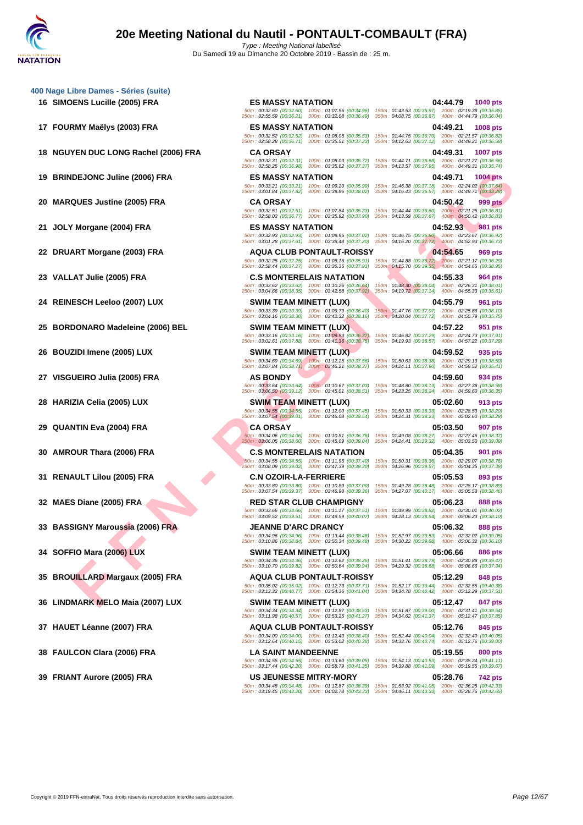**FIGURE 1990) FRANCIS (1990) FRANCIS (1990) FRANCIS (1990) FRANCIS (1990) FRANCIS (1990) FRANCIS (1990) FRANCIS (1990) FRANCIS (1990) FRANCIS (1990) FRANCIS (1990) FRANCIS (1990) FRANCIS (1990) FRANCIS (1990) FRANCIS (199 16 SIMOENS Lucille (2005) FRA ES MASSY NATATION 04:44.79 1040 pts** 50m : 00:32.60 (00:32.60) 100m : 01:07.56 (00:34.96) 150m : 01:43.53 (00:35.97) 200m : 02:19.38 (00:35.85) 250m : 02:55.59 (00:36.21) 300m : 03:32.08 (00:36.49) 350m : 04:08.75 (00:36.67) 400m : 04:44.79 (00:36.04) **17 FOURMY Maëlys (2003) FRA ES MASSY NATATION 04:49.21 1008 pts** 50m : 00:32.52 (00:32.52) 100m : 01:08.05 (00:35.53) 150m : 01:44.75 (00:36.70) 200m : 02:21.57 (00:36.82) 250m : 02:58.28 (00:36.71) 300m : 03:35.51 (00:37.23) 350m : 04:12.63 (00:37.12) 400m : 04:49.21 (00:36.58) **18 NGUYEN DUC LONG Rachel (2006) FRA CA ORSAY 04:49.31 1007 pts** 50m : 00:32.31 (00:32.31) 100m : 01:08.03 (00:35.72) 150m : 01:44.71 (00:36.68) 200m : 02:21.27 (00:36.56) 250m : 02:58.25 (00:36.98) 300m : 03:35.62 (00:37.37) 350m : 04:13.57 (00:37.95) 400m : 04:49.31 (00:35.74) **19 BRINDEJONC Juline (2006) FRA ES MASSY NATATION 04:49.71 1004 pts** 50m : 00:33.21 (00:33.21) 100m : 01:09.20 (00:35.99) 150m : 01:46.38 (00:37.18) 200m : 02:24.02 (00:37.64) 250m : 03:01.84 (00:37.82) 300m : 03:39.86 (00:38.02) 350m : 04:16.43 (00:36.57) 400m : 04:49.71 (00:33.28) **20 MARQUES Justine (2005) FRA CA ORSAY 04:50.42 999 pts** 50m : 00:32.51 (00:32.51) 100m : 01:07.84 (00:35.33) 150m : 01:44.44 (00:36.60) 200m : 02:21.25 (00:36.81) 250m : 02:58.02 (00:36.77) 300m : 03:35.92 (00:37.90) 350m : 04:13.59 (00:37.67) 400m : 04:50.42 (00:36.83) **21 JOLY Morgane (2004) FRA ES MASSY NATATION 04:52.93 981 pts** 50m : 00:32.93 (00:32.93) 100m : 01:09.95 (00:37.02) 150m : 01:46.75 (00:36.80) 200m : 02:23.67 (00:36.92) 250m : 03:01.28 (00:37.61) 300m : 03:38.48 (00:37.20) 350m : 04:16.20 (00:37.72) 400m : 04:52.93 (00:36.73) **22 DRUART Morgane (2003) FRA AQUA CLUB PONTAULT-ROISSY 04:54.65 969 pts** 50m : 00:32.25 (00:32.25) 100m : 01:08.16 (00:35.91) 150m : 01:44.88 (00:36.72) 200m : 02:21.17 (00:36.29) 250m : 02:58.44 (00:37.27) 300m : 03:36.35 (00:37.91) 350m : 04:15.70 (00:39.35) 400m : 04:54.65 (00:38.95) **23 VALLAT Julie (2005) FRA C.S MONTERELAIS NATATION 04:55.33 964 pts** 50m : 00:33.62 (00:33.62) 100m : 01:10.26 (00:36.64) 150m : 01:48.30 (00:38.04) 200m : 02:26.31 (00:38.01) 250m : 03:04.66 (00:38.35) 300m : 03:42.58 (00:37.92) 350m : 04:19.72 (00:37.14) 400m : 04:55.33 (00:35.61) **24 REINESCH Leeloo (2007) LUX SWIM TEAM MINETT (LUX) 04:55.79 961 pts** 50m : 00:33.39 (00:33.39) 100m : 01:09.79 (00:36.40) 150m : 01:47.76 (00:37.97) 200m : 02:25.86 (00:38.10) 250m : 03:04.16 (00:38.30) 300m : 03:42.32 (00:38.16) 350m : 04:20.04 (00:37.72) 400m : 04:55.79 (00:35.75) **25 BORDONARO Madeleine (2006) BEL SWIM TEAM MINETT (LUX) 04:57.22 951 pts**<br> **250m**: 00:33.16 (00:33.16) 100m: 01:09.53 (00:36.37) 150m: 01:46.82 (00:37.91) 200m: 02:24.73 (00:37.91)<br>
250m: 03:02.61 (00:37.88) 300m 50m : 00:33.16 (00:33.16) 100m : 01:09.53 (00:36.37) 150m : 01:46.82 (00:37.29) 200m : 02:24.73 (00:37.91) 250m : 03:02.61 (00:37.88) 300m : 03:41.36 (00:38.75) 350m : 04:19.93 (00:38.57) 400m : 04:57.22 (00:37.29) **26 BOUZIDI Imene (2005) LUX SWIM TEAM MINETT (LUX) 04:59.52 935 pts** 50m : 00:34.69 (00:34.69) 100m : 01:12.25 (00:37.56) 150m : 01:50.63 (00:38.38) 200m : 02:29.13 (00:38.50) 250m : 03:07.84 (00:38.71) 300m : 03:46.21 (00:38.37) 350m : 04:24.11 (00:37.90) 400m : 04:59.52 (00:35.41) **27 VISGUEIRO Julia (2005) FRA AS BONDY 04:59.60 934 pts** 50m : 00:33.64 (00:33.64) 100m : 01:10.67 (00:37.03) 150m : 01:48.80 (00:38.13) 200m : 02:27.38 (00:38.58) 250m : 03:06.50 (00:39.12) 300m : 03:45.01 (00:38.51) 350m : 04:23.25 (00:38.24) 400m : 04:59.60 (00:36.35) **28 HARIZIA Celia (2005) LUX SWIM TEAM MINETT (LUX) 05:02.60 913 pts** 50m : 00:34.55 (00:34.55) 100m : 01:12.00 (00:37.45) 150m : 01:50.33 (00:38.33) 200m : 02:28.53 (00:38.20) 250m : 03:07.54 (00:39.01) 300m : 03:46.08 (00:38.54) 350m : 04:24.31 (00:38.23) 400m : 05:02.60 (00:38.29) **29 QUANTIN Eva (2004) FRA CA ORSAY 05:03.50 907 pts** 250m : 03:06.05 (00:38.60) 300m : 03:45.09 (00:39.04) 350m : 04:24.41 (00:39.32) 400m : 05:03.50 (00:39.09) **30 AMROUR Thara (2006) FRA C.S MONTERELAIS NATATION 05:04.35 901 pts** 50m : 00:34.55 (00:34.55) 100m : 01:11.95 (00:37.40) 150m : 01:50.31 (00:38.36) 200m : 02:29.07 (00:38.76) 250m : 03:08.09 (00:39.02) 300m : 03:47.39 (00:39.30) 350m : 04:26.96 (00:39.57) 400m : 05:04.35 (00:37.39) **31 RENAULT Lilou (2005) FRA C.N OZOIR-LA-FERRIERE 05:05.53 893 pts**<br>  $\frac{50m : 00:33.80}{250m : 00:33.80}$   $\frac{100m : 01:10.80}{250m : 03:46.90}$   $\frac{100m : 01:40.80}{250m : 03:46.90}$   $\frac{100m : 01:49.28}{250m : 03:46.90}$  50m : 00:33.80 (00:33.80) 100m : 01:10.80 (00:37.00) 150m : 01:49.28 (00:38.48) 200m : 02:28.17 (00:38.89) 250m : 03:07.54 (00:39.37) 300m : 03:46.90 (00:39.36) 350m : 04:27.07 (00:40.17) 400m : 05:05.53 (00:38.46) **32 MAES Diane (2005) FRA RED STAR CLUB CHAMPIGNY 05:06.23 888 pts** 50m : 00:33.66 (00:33.66) 100m : 01:11.17 (00:37.51) 150m : 01:49.99 (00:38.82) 200m : 02:30.01 (00:40.02) 250m : 03:09.52 (00:39.51) 300m : 03:49.59 (00:40.07) 350m : 04:28.13 (00:38.54) 400m : 05:06.23 (00:38.10) **33 BASSIGNY Maroussia (2006) FRA JEANNE D'ARC DRANCY 05:06.32 888 pts** 50m : 00:34.96 (00:34.96) 100m : 01:13.44 (00:38.48) 150m : 01:52.97 (00:39.53) 200m : 02:32.02 (00:39.05) 250m : 03:10.86 (00:38.84) 300m : 03:50.34 (00:39.48) 350m : 04:30.22 (00:39.88) 400m : 05:06.32 (00:36.10) **34 SOFFIO Mara (2006) LUX SWIM TEAM MINETT (LUX) 05:06.66 886 pts** 50m : 00:34.36 (00:34.36) 100m : 01:12.62 (00:38.26) 150m : 01:51.41 (00:38.79) 200m : 02:30.88 (00:39.47) 250m : 03:10.70 (00:39.82) 300m : 03:50.64 (00:39.94) 350m : 04:29.32 (00:38.68) 400m : 05:06.66 (00:37.34) **35 BROUILLARD Margaux (2005) FRA AQUA CLUB PONTAULT-ROISSY 05:12.29 848 pts** 50m : 00:35.02 (00:35.02) 100m : 01:12.73 (00:37.71) 150m : 01:52.17 (00:39.44) 200m : 02:32.55 (00:40.38) 250m : 03:13.32 (00:40.77) 300m : 03:54.36 (00:41.04) 350m : 04:34.78 (00:40.42) 400m : 05:12.29 (00:37.51) **36 LINDMARK MELO Maia (2007) LUX SWIM TEAM MINETT (LUX) 05:12.47 847 pts** 50m : 00:34.34 (00:34.34) 100m : 01:12.87 (00:38.53) 150m : 01:51.87 (00:39.00) 200m : 02:31.41 (00:39.54) 250m : 03:11.98 (00:40.57) 300m : 03:53.25 (00:41.27) 350m : 04:34.62 (00:41.37) 400m : 05:12.47 (00:37.85) **37 HAUET Léanne (2007) FRA AQUA CLUB PONTAULT-ROISSY 05:12.76 845 pts** 50m : 00:34.00 (00:34.00) 100m : 01:12.40 (00:38.40) 150m : 01:52.44 (00:40.04) 200m : 02:32.49 (00:40.05) 250m : 03:12.64 (00:40.15) 300m : 03:53.02 (00:40.38) 350m : 04:33.76 (00:40.74) 400m : 05:12.76 (00:39.00) **38 FAULCON Clara (2006) FRA LA SAINT MANDEENNE 05:19.55 800 pts**

**39 FRIANT Aurore (2005) FRA US JEUNESSE MITRY-MORY 05:28.76 742 pts**

50m : 00:34.06 (00:34.06) 100m : 01:10.81 (00:36.75) 150m : 01:49.08 (00:38.27) 200m : 02:27.45 (00:38.37)

50m : 00:34.55 (00:34.55) 100m : 01:13.60 (00:39.05) 150m : 01:54.13 (00:40.53) 200m : 02:35.24 (00:41.11) 250m : 03:17.44 (00:42.20) 300m : 03:58.79 (00:41.35) 350m : 04:39.88 (00:41.09) 400m : 05:19.55 (00:39.67)

50m : 00:34.48 (00:34.48) 100m : 01:12.87 (00:38.39) 150m : 01:53.92 (00:41.05) 200m : 02:36.25 (00:42.33) 250m : 03:19.45 (00:43.20) 300m : 04:02.78 (00:43.33) 350m : 04:46.11 (00:43.33) 400m : 05:28.76 (00:42.65)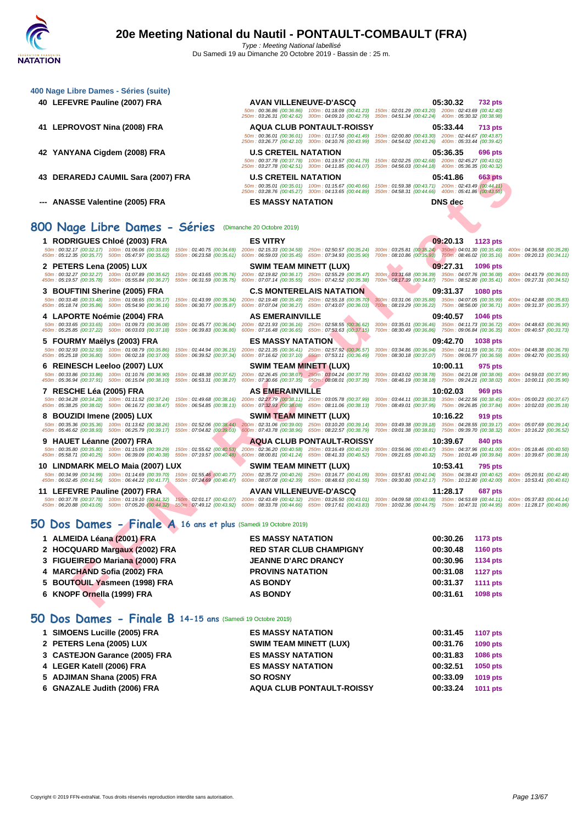| 400 Nage Libre Dames - Séries (suite)                                                                                                                                                                             |                                                                                                                                                                                          |                                                                                                                                                                                                                                                                                                                                                                                                                                                                  |
|-------------------------------------------------------------------------------------------------------------------------------------------------------------------------------------------------------------------|------------------------------------------------------------------------------------------------------------------------------------------------------------------------------------------|------------------------------------------------------------------------------------------------------------------------------------------------------------------------------------------------------------------------------------------------------------------------------------------------------------------------------------------------------------------------------------------------------------------------------------------------------------------|
| 40 LEFEVRE Pauline (2007) FRA                                                                                                                                                                                     | <b>AVAN VILLENEUVE-D'ASCQ</b>                                                                                                                                                            | 05:30.32<br>732 pts<br>50m: 00:36.86 (00:36.86) 100m: 01:18.09 (00:41.23) 150m: 02:01.29 (00:43.20) 200m: 02:43.69 (00:42.40)<br>250m: 03:26.31 (00:42.62) 300m: 04:09.10 (00:42.79) 350m: 04:51.34 (00:42.24) 400m: 05:30.32 (00:38.98)                                                                                                                                                                                                                         |
| 41 LEPROVOST Nina (2008) FRA                                                                                                                                                                                      | <b>AQUA CLUB PONTAULT-ROISSY</b><br>250m: 03:26.77 (00:42.10) 300m: 04:10.76 (00:43.99)                                                                                                  | 05:33.44<br>713 pts<br>50m; 00:36.01 (00:36.01) 100m; 01:17.50 (00:41.49) 150m; 02:00.80 (00:43.30) 200m; 02:44.67 (00:43.87)<br>350m: 04:54.02 (00:43.26) 400m: 05:33.44 (00:39.42)                                                                                                                                                                                                                                                                             |
| 42 YANYANA Cigdem (2008) FRA                                                                                                                                                                                      | <b>U.S CRETEIL NATATION</b>                                                                                                                                                              | 05:36.35<br>696 pts<br>50m: 00:37.78 (00:37.78) 100m: 01:19.57 (00:41.79) 150m: 02:02.25 (00:42.68) 200m: 02:45.27 (00:43.02)<br>250m: 03:27.78 (00:42.51) 300m: 04:11.85 (00:44.07) 350m: 04:56.03 (00:44.18) 400m: 05:36.35 (00:40.32)                                                                                                                                                                                                                         |
| 43 DERAREDJ CAUMIL Sara (2007) FRA                                                                                                                                                                                | <b>U.S CRETEIL NATATION</b>                                                                                                                                                              | 05:41.86<br>663 pts<br>50m: 00:35.01 (00:35.01) 100m: 01:15.67 (00:40.66) 150m: 01:59.38 (00:43.71) 200m: 02:43.49 (00:44.11)<br>250m: 03:28.76 (00:45.27) 300m: 04:13.65 (00:44.89) 350m: 04:58.31 (00:44.66) 400m: 05:41.86 (00:43.55)                                                                                                                                                                                                                         |
| --- ANASSE Valentine (2005) FRA                                                                                                                                                                                   | <b>ES MASSY NATATION</b>                                                                                                                                                                 | DNS dec                                                                                                                                                                                                                                                                                                                                                                                                                                                          |
| 800 Nage Libre Dames - Séries                                                                                                                                                                                     | (Dimanche 20 Octobre 2019)                                                                                                                                                               |                                                                                                                                                                                                                                                                                                                                                                                                                                                                  |
| 1 RODRIGUES Chloé (2003) FRA<br>50m: 00:32.17 (00:32.17) 100m: 01:06.06 (00:33.89)                                                                                                                                | <b>ES VITRY</b>                                                                                                                                                                          | 09:20.13<br>1123 pts<br>150m: 01:40.75 (00:34.69) 200m: 02:15.33 (00:34.58) 250m: 02:50.57 (00:35.24) 300m: 03:25.81 (00:35.24) 350m: 04:01.30 (00:35.49) 400m: 04:36.58 (00:35.28)                                                                                                                                                                                                                                                                              |
| 450m: 05:12.35 (00:35.77) 500m: 05:47.97 (00:35.62)                                                                                                                                                               |                                                                                                                                                                                          | 550m: 06:23.58 (00:35.61) 600m: 06:59.03 (00:35.45) 650m: 07:34.93 (00:35.90) 700m: 08:10.86 (00:35.93) 750m: 08:46.02 (00:35.16) 800m: 09:20.13 (00:34.11)                                                                                                                                                                                                                                                                                                      |
| 2 PETERS Lena (2005) LUX<br>50m: 00:32.27 (00:32.27) 100m: 01:07.89 (00:35.62)<br>450m: 05:19.57 (00:35.78) 500m: 05:55.84 (00:36.27)<br>550m: 06:31.59 (00:35.75)                                                | SWIM TEAM MINETT (LUX)<br>150m: 01:43.65 (00:35.76) 200m: 02:19.82 (00:36.17) 250m: 02:55.29 (00:35.47)<br>600m: 07:07.14 (00:35.55) 650m: 07:42.52 (00:35.38)                           | 09:27.31<br>1096 pts<br>300m: 03:31.68 (00:36.39) 350m: 04:07.76 (00:36.08) 400m: 04:43.79 (00:36.03)<br>700m: 08:17.39 (00:34.87) 750m: 08:52.80 (00:35.41)<br>800m: 09:27.31 (00:34.51)                                                                                                                                                                                                                                                                        |
| 3 BOUFTINI Sherine (2005) FRA                                                                                                                                                                                     | <b>C.S MONTERELAIS NATATION</b>                                                                                                                                                          | 09:31.37 1080 pts                                                                                                                                                                                                                                                                                                                                                                                                                                                |
| 50m: 00:33.48 (00:33.48) 100m: 01:08.65 (00:35.17)<br>150m: 01:43.99 (00:35.34)<br>450m: 05:18.74 (00:35.86) 500m: 05:54.90 (00:36.16)<br>550m: 06:30.77 (00:35.87)                                               | 200m: 02:19.48 (00:35.49) 250m: 02:55.18 (00:35.70)<br>600m: 07:07.04 (00:36.27) 650m: 07:43.07 (00:36.03)                                                                               | 300m: 03:31.06 (00:35.88) 350m: 04:07.05 (00:35.99)<br>400m: 04:42.88 (00:35.83)<br>700m: 08:19.29 (00:36.22) 750m: 08:56.00 (00:36.71)<br>800m: 09:31.37 (00:35.37)                                                                                                                                                                                                                                                                                             |
| 4 LAPORTE Noémie (2004) FRA<br>50m: 00:33.65 (00:33.65) 100m: 01:09.73 (00:36.08)<br>450m: 05:25.85 (00:37.22) 500m: 06:03.03 (00:37.18)                                                                          | <b>AS EMERAINVILLE</b><br>150m: 01:45.77 (00:36.04) 200m: 02:21.93 (00:36.16) 250m: 02:58.55 (00:36.62)<br>550m: 06:39.83 (00:36.80) 600m: 07:16.48 (00:36.65) 650m: 07:53.63 (00:37.15) | 09:40.57 1046 pts<br>300m: 03:35.01 (00:36.46) 350m: 04:11.73 (00:36.72) 400m: 04:48.63 (00:36.90)<br>700m: 08:30.49 (00:36.86) 750m: 09:06.84 (00:36.35) 800m: 09:40.57 (00:33.73)                                                                                                                                                                                                                                                                              |
| 5 FOURMY Maëlys (2003) FRA                                                                                                                                                                                        | <b>ES MASSY NATATION</b>                                                                                                                                                                 | 09:42.70<br>1038 pts                                                                                                                                                                                                                                                                                                                                                                                                                                             |
| 50m: 00:32.93 (00:32.93) 100m: 01:08.79 (00:35.86)<br>450m: 05:25.18 (00:36.80) 500m: 06:02.18 (00:37.00)                                                                                                         |                                                                                                                                                                                          | 150m: 01:44.94 (00:36.15) 200m: 02:21.35 (00:36.41) 250m: 02:57.92 (00:36.57) 300m: 03:34.86 (00:36.94) 350m: 04:11.59 (00:36.73) 400m: 04:48.38 (00:36.79)<br>550m : 06:39.52 (00:37.34) 600m : 07:16.62 (00:37.10) 650m : 07:53.11 (00:36.49) 700m : 08:30.18 (00:37.07) 750m : 09:06.77 (00:36.59) 800m : 09:42.70 (00:35.93)                                                                                                                                 |
| 6 REINESCH Leeloo (2007) LUX<br>450m: 05:36.94 (00:37.91) 500m: 06:15.04 (00:38.10)                                                                                                                               | <b>SWIM TEAM MINETT (LUX)</b>                                                                                                                                                            | 10:00.11<br>975 pts<br>50m: 00:33.86 (00:33.86) 100m: 01:10.76 (00:36.90) 150m: 01:48.38 (00:37.62) 200m: 02:26.45 (00:38.07) 250m: 03:04.24 (00:37.79) 300m: 03:43.02 (00:38.78) 350m: 04:21.08 (00:38.06) 400m: 04:59.03 (00:37.95)<br>550m : 06:53.31 (00:38.27) 600m : 07:30.66 (00:37.35) 650m : 08:08.01 (00:37.35) 700m : 08:46.19 (00:38.18) 750m : 09:24.21 (00:38.02) 800m : 10:00.11 (00:35.90)                                                       |
| 7 RESCHE Léa (2005) FRA                                                                                                                                                                                           | <b>AS EMERAINVILLE</b>                                                                                                                                                                   | 10:02.03<br>969 pts                                                                                                                                                                                                                                                                                                                                                                                                                                              |
|                                                                                                                                                                                                                   |                                                                                                                                                                                          | 50m: 00:34.28 (00:34.28) 100m: 01:11.52 (00:37.24) 150m: 01:49.68 (00:38.16) 200m: 02:27.79 (00:38.11) 250m: 03:05.78 (00:37.99) 300m: 03:44.11 (00:38.33) 350m: 04:22.56 (00:38.45) 400m: 05:00.23 (00:37.67)<br>450m : 05:38.25 (00:38.02) 500m : 06:16.72 (00:38.47) 550m : 06:54.85 (00:38.13) 600m : 07:32.93 (00:38.08) 650m : 08:11.06 (00:38.13) 700m : 08:49.01 (00:37.95) 750m : 09:26.85 (00:37.84) 800m : 10:02.03 (00:35.18)                        |
| 8 BOUZIDI Imene (2005) LUX                                                                                                                                                                                        | <b>SWIM TEAM MINETT (LUX)</b>                                                                                                                                                            | 10:16.22<br>919 pts<br>50m: 00:35.36 (00:35.36) 100m: 01:13.62 (00:38.26) 150m: 01:52.06 (00:38.44) 200m: 02:31.06 (00:39.00) 250m: 03:10.20 (00:39.14) 300m: 03:49.38 (00:39.18) 350m: 04:28.55 (00:39.17) 400m: 05:07.69 (00:39.14)<br>450m : 05:46.62 (00:38.93) 500m : 06:25.79 (00:39.17) 550m : 07:04.82 (00:39.03) 600m : 07:43.78 (00:38.96) 650m : 08:22.57 (00:38.79) 700m : 09:01.38 (00:38.81) 750m : 09:39.70 (00:38.32) 800m : 10:16.22 (00:36.52) |
| 9 HAUET Léanne (2007) FRA                                                                                                                                                                                         | <b>AQUA CLUB PONTAULT-ROISSY</b>                                                                                                                                                         | 10:39.67<br>840 pts                                                                                                                                                                                                                                                                                                                                                                                                                                              |
| 50m: 00:35.80 (00:35.80) 100m: 01:15.09 (00:39.29)                                                                                                                                                                | 150m: 01:55.62 (00:40.53) 200m: 02:36.20 (00:40.58) 250m: 03:16.49 (00:40.29)                                                                                                            | 300m: 03:56.96 (00:40.47) 350m: 04:37.96 (00:41.00) 400m: 05:18.46 (00:40.50)<br>450m : 05:58.71 (00:40.25) 500m : 06:39.09 (00:40.38) 550m : 07:19.57 (00:40.48) 600m : 08:00.81 (00:41.24) 650m : 08:41.33 (00:40.52) 700m : 09:21.65 (00:40.52) 750m : 10:01.49 (00:39.84) 800m : 10:39.67 (00:38.18)                                                                                                                                                         |
| 10 LINDMARK MELO Maia (2007) LUX                                                                                                                                                                                  | SWIM TEAM MINETT (LUX)                                                                                                                                                                   | 10:53.41<br>795 pts                                                                                                                                                                                                                                                                                                                                                                                                                                              |
| 50m: 00:34.99 (00:34.99) 100m: 01:14.69 (00:39.70) 150m: 01:55.46 (00:40.77) 200m: 02:35.72 (00:40.26) 250m: 03:16.77 (00:41.05)<br>450m: 06:02.45 (00:41.54) 500m: 06:44.22 (00:41.77) 550m: 07:24.69 (00:40.47) | 600m: 08:07.08 (00:42.39) 650m: 08:48.63 (00:41.55)                                                                                                                                      | 300m: 03:57.81 (00:41.04) 350m: 04:38.43 (00:40.62) 400m: 05:20.91 (00:42.48)<br>700m: 09:30.80 (00:42.17) 750m: 10:12.80 (00:42.00)<br>800m: 10:53.41 (00:40.61)                                                                                                                                                                                                                                                                                                |
| 11 LEFEVRE Pauline (2007) FRA                                                                                                                                                                                     | <b>AVAN VILLENEUVE-D'ASCQ</b>                                                                                                                                                            | 11:28.17<br>687 pts                                                                                                                                                                                                                                                                                                                                                                                                                                              |
| 50m: 00:37.78 (00:37.78) 100m: 01:19.10 (00:41.32)                                                                                                                                                                | 150m; 02:01.17 (00:42.07) 200m: 02:43.49 (00:42.32) 250m: 03:26.50 (00:43.01)                                                                                                            | 300m: 04:09.58 (00:43.08) 350m: 04:53.69 (00:44.11) 400m: 05:37.83 (00:44.14)<br>450m : 06:20.88 (00:43.05) 500m : 07:05.20 (00:44.32) 550m : 07:49.12 (00:43.92) 600m : 08:33.78 (00:44.66) 650m : 09:17.61 (00:43.83) 700m : 10:02.36 (00:44.5) 750m : 10:47.31 (00:44.55) 800m : 11:28.17 (00:40.86)                                                                                                                                                          |
| 50 Dos Dames - Finale A 16 ans et plus (Samedi 19 Octobre 2019)                                                                                                                                                   |                                                                                                                                                                                          |                                                                                                                                                                                                                                                                                                                                                                                                                                                                  |
| 1 ALMEIDA Léana (2001) FRA                                                                                                                                                                                        | <b>ES MASSY NATATION</b>                                                                                                                                                                 | 00:30.26<br><b>1173 pts</b>                                                                                                                                                                                                                                                                                                                                                                                                                                      |
| 2 HOCQUARD Margaux (2002) FRA                                                                                                                                                                                     | <b>RED STAR CLUB CHAMPIGNY</b>                                                                                                                                                           | 00:30.48<br><b>1160 pts</b>                                                                                                                                                                                                                                                                                                                                                                                                                                      |
| 3 FIGUEIREDO Mariana (2000) FRA                                                                                                                                                                                   | <b>JEANNE D'ARC DRANCY</b>                                                                                                                                                               | 00:30.96<br><b>1134 pts</b>                                                                                                                                                                                                                                                                                                                                                                                                                                      |
| 4 MARCHAND Sofia (2002) FRA                                                                                                                                                                                       | <b>PROVINS NATATION</b>                                                                                                                                                                  | 00:31.08<br><b>1127 pts</b>                                                                                                                                                                                                                                                                                                                                                                                                                                      |
| 5 BOUTOUIL Yasmeen (1998) FRA                                                                                                                                                                                     | <b>AS BONDY</b>                                                                                                                                                                          | 00:31.37<br><b>1111 pts</b>                                                                                                                                                                                                                                                                                                                                                                                                                                      |
| 6 KNOPF Ornella (1999) FRA                                                                                                                                                                                        | <b>AS BONDY</b>                                                                                                                                                                          | 00:31.61<br>1098 pts                                                                                                                                                                                                                                                                                                                                                                                                                                             |

# **50 Dos Dames - Finale A 16 ans et plus** (Samedi 19 Octobre 2019)

| 1 ALMEIDA Léana (2001) FRA      | <b>ES MASSY NATATION</b>       | 00:30.26 | 1173 pts        |
|---------------------------------|--------------------------------|----------|-----------------|
| 2 HOCQUARD Margaux (2002) FRA   | <b>RED STAR CLUB CHAMPIGNY</b> | 00:30.48 | <b>1160 pts</b> |
| 3 FIGUEIREDO Mariana (2000) FRA | <b>JEANNE D'ARC DRANCY</b>     | 00:30.96 | 1134 pts        |
| 4 MARCHAND Sofia (2002) FRA     | <b>PROVINS NATATION</b>        | 00:31.08 | 1127 pts        |
| 5 BOUTOUIL Yasmeen (1998) FRA   | <b>AS BONDY</b>                | 00:31.37 | <b>1111 pts</b> |
| 6 KNOPF Ornella (1999) FRA      | <b>AS BONDY</b>                | 00:31.61 | 1098 pts        |
|                                 |                                |          |                 |

## **50 Dos Dames - Finale B 14-15 ans** (Samedi 19 Octobre 2019)

| 1 SIMOENS Lucille (2005) FRA  | <b>ES MASSY NATATION</b>         | 00:31.45 | <b>1107 pts</b> |
|-------------------------------|----------------------------------|----------|-----------------|
| 2 PETERS Lena (2005) LUX      | <b>SWIM TEAM MINETT (LUX)</b>    | 00:31.76 | 1090 pts        |
| 3 CASTEJON Garance (2005) FRA | <b>ES MASSY NATATION</b>         | 00:31.83 | <b>1086 pts</b> |
| 4 LEGER Katell (2006) FRA     | <b>ES MASSY NATATION</b>         | 00:32.51 | <b>1050 pts</b> |
| 5 ADJIMAN Shana (2005) FRA    | <b>SO ROSNY</b>                  | 00:33.09 | 1019 pts        |
| 6 GNAZALE Judith (2006) FRA   | <b>AQUA CLUB PONTAULT-ROISSY</b> | 00:33.24 | <b>1011 pts</b> |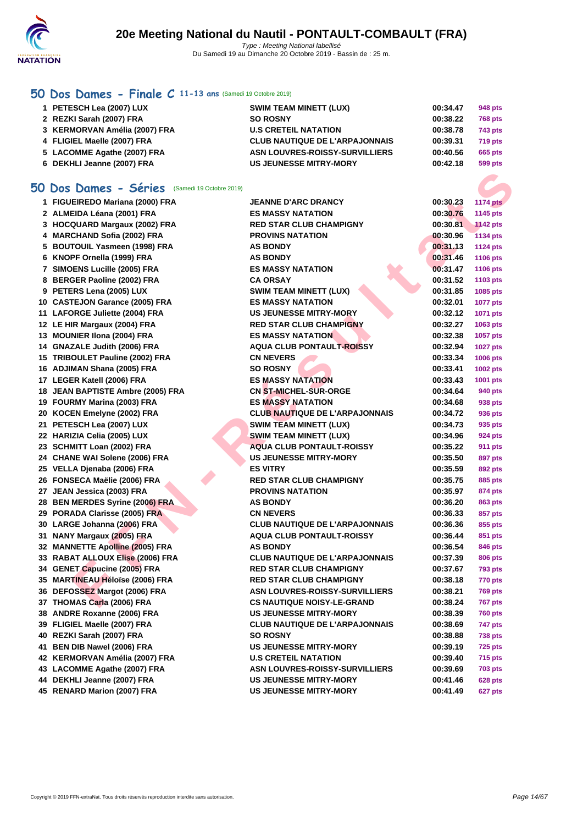

## **[50 Do](http://www.ffnatation.fr/webffn/index.php)s Dames - Finale C 11-13 ans** (Samedi 19 Octobre 2019)

| 1 PETESCH Lea (2007) LUX      | <b>SWIM TEAM MINETT (LUX)</b>         | 00:34.47 | 948 pts        |
|-------------------------------|---------------------------------------|----------|----------------|
| 2 REZKI Sarah (2007) FRA      | <b>SO ROSNY</b>                       | 00:38.22 | <b>768 pts</b> |
| 3 KERMORVAN Amélia (2007) FRA | <b>U.S CRETEIL NATATION</b>           | 00:38.78 | 743 pts        |
| 4 FLIGIEL Maelle (2007) FRA   | <b>CLUB NAUTIQUE DE L'ARPAJONNAIS</b> | 00:39.31 | <b>719 pts</b> |
| 5 LACOMME Agathe (2007) FRA   | ASN LOUVRES-ROISSY-SURVILLIERS        | 00:40.56 | 665 pts        |
| 6 DEKHLI Jeanne (2007) FRA    | <b>US JEUNESSE MITRY-MORY</b>         | 00:42.18 | 599 pts        |

## **50 Dos Dames - Séries** (Samedi 19 Octobre 2019)

| <b>iO Dos Dames - Séries</b> (Samedi 19 Octobre 2019) |                                       |          |                 |
|-------------------------------------------------------|---------------------------------------|----------|-----------------|
| 1 FIGUEIREDO Mariana (2000) FRA                       | <b>JEANNE D'ARC DRANCY</b>            | 00:30.23 | <b>1174 pts</b> |
| 2 ALMEIDA Léana (2001) FRA                            | <b>ES MASSY NATATION</b>              | 00:30.76 | 1145 pts        |
| 3 HOCQUARD Margaux (2002) FRA                         | <b>RED STAR CLUB CHAMPIGNY</b>        | 00:30.81 | <b>1142 pts</b> |
| 4 MARCHAND Sofia (2002) FRA                           | <b>PROVINS NATATION</b>               | 00:30.96 | <b>1134 pts</b> |
| 5 BOUTOUIL Yasmeen (1998) FRA                         | <b>AS BONDY</b>                       | 00:31.13 | <b>1124 pts</b> |
| 6 KNOPF Ornella (1999) FRA                            | <b>AS BONDY</b>                       | 00:31.46 | 1106 pts        |
| 7 SIMOENS Lucille (2005) FRA                          | <b>ES MASSY NATATION</b>              | 00:31.47 | 1106 pts        |
| 8 BERGER Paoline (2002) FRA                           | <b>CA ORSAY</b>                       | 00:31.52 | 1103 pts        |
| 9 PETERS Lena (2005) LUX                              | <b>SWIM TEAM MINETT (LUX)</b>         | 00:31.85 | 1085 pts        |
| 10 CASTEJON Garance (2005) FRA                        | <b>ES MASSY NATATION</b>              | 00:32.01 | 1077 pts        |
| 11 LAFORGE Juliette (2004) FRA                        | <b>US JEUNESSE MITRY-MORY</b>         | 00:32.12 | 1071 pts        |
| 12 LE HIR Margaux (2004) FRA                          | <b>RED STAR CLUB CHAMPIGNY</b>        | 00:32.27 | 1063 pts        |
| 13 MOUNIER IIona (2004) FRA                           | <b>ES MASSY NATATION</b>              | 00:32.38 | 1057 pts        |
| 14 GNAZALE Judith (2006) FRA                          | <b>AQUA CLUB PONTAULT-ROISSY</b>      | 00:32.94 | <b>1027 pts</b> |
| 15 TRIBOULET Pauline (2002) FRA                       | <b>CN NEVERS</b>                      | 00:33.34 | 1006 pts        |
| 16 ADJIMAN Shana (2005) FRA                           | <b>SO ROSNY</b>                       | 00:33.41 | 1002 pts        |
| 17 LEGER Katell (2006) FRA                            | <b>ES MASSY NATATION</b>              | 00:33.43 | 1001 pts        |
| 18 JEAN BAPTISTE Ambre (2005) FRA                     | <b>CN ST-MICHEL-SUR-ORGE</b>          | 00:34.64 | 940 pts         |
| 19 FOURMY Marina (2003) FRA                           | <b>ES MASSY NATATION</b>              | 00:34.68 | 938 pts         |
| 20 KOCEN Emelyne (2002) FRA                           | <b>CLUB NAUTIQUE DE L'ARPAJONNAIS</b> | 00:34.72 | 936 pts         |
| 21 PETESCH Lea (2007) LUX                             | <b>SWIM TEAM MINETT (LUX)</b>         | 00:34.73 | 935 pts         |
| 22 HARIZIA Celia (2005) LUX                           | <b>SWIM TEAM MINETT (LUX)</b>         | 00:34.96 | 924 pts         |
| 23 SCHMITT Loan (2002) FRA                            | <b>AQUA CLUB PONTAULT-ROISSY</b>      | 00:35.22 | <b>911 pts</b>  |
| 24 CHANE WAI Solene (2006) FRA                        | <b>US JEUNESSE MITRY-MORY</b>         | 00:35.50 | 897 pts         |
| 25 VELLA Djenaba (2006) FRA                           | <b>ES VITRY</b>                       | 00:35.59 | 892 pts         |
| 26 FONSECA Maëlie (2006) FRA                          | <b>RED STAR CLUB CHAMPIGNY</b>        | 00:35.75 | 885 pts         |
| 27 JEAN Jessica (2003) FRA                            | <b>PROVINS NATATION</b>               | 00:35.97 | 874 pts         |
| 28 BEN MERDES Syrine (2006) FRA                       | <b>AS BONDY</b>                       | 00:36.20 | 863 pts         |
| 29 PORADA Clarisse (2005) FRA                         | <b>CN NEVERS</b>                      | 00:36.33 | 857 pts         |
| 30 LARGE Johanna (2006) FRA                           | <b>CLUB NAUTIQUE DE L'ARPAJONNAIS</b> | 00:36.36 | 855 pts         |
| 31 NANY Margaux (2005) FRA                            | <b>AQUA CLUB PONTAULT-ROISSY</b>      | 00:36.44 | 851 pts         |
| 32 MANNETTE Apolline (2005) FRA                       | <b>AS BONDY</b>                       | 00:36.54 | 846 pts         |
| 33 RABAT ALLOUX Elise (2006) FRA                      | <b>CLUB NAUTIQUE DE L'ARPAJONNAIS</b> | 00:37.39 | <b>806 pts</b>  |
| 34 GENET Capucine (2005) FRA                          | <b>RED STAR CLUB CHAMPIGNY</b>        | 00:37.67 | <b>793 pts</b>  |
| 35 MARTINEAU Héloïse (2006) FRA                       | <b>RED STAR CLUB CHAMPIGNY</b>        | 00:38.18 | <b>770 pts</b>  |
| 36 DEFOSSEZ Margot (2006) FRA                         | <b>ASN LOUVRES-ROISSY-SURVILLIERS</b> | 00:38.21 | <b>769 pts</b>  |
| 37 THOMAS Carla (2006) FRA                            | <b>CS NAUTIQUE NOISY-LE-GRAND</b>     | 00:38.24 | <b>767 pts</b>  |
| 38 ANDRE Roxanne (2006) FRA                           | US JEUNESSE MITRY-MORY                | 00:38.39 | <b>760 pts</b>  |
| 39 FLIGIEL Maelle (2007) FRA                          | <b>CLUB NAUTIQUE DE L'ARPAJONNAIS</b> | 00:38.69 | 747 pts         |
| 40 REZKI Sarah (2007) FRA                             | <b>SO ROSNY</b>                       | 00:38.88 | <b>738 pts</b>  |
| 41 BEN DIB Nawel (2006) FRA                           | <b>US JEUNESSE MITRY-MORY</b>         | 00:39.19 | <b>725 pts</b>  |
| 42 KERMORVAN Amélia (2007) FRA                        | <b>U.S CRETEIL NATATION</b>           | 00:39.40 | 715 pts         |
| 43 LACOMME Agathe (2007) FRA                          | ASN LOUVRES-ROISSY-SURVILLIERS        | 00:39.69 | 703 pts         |
| 44 DEKHLI Jeanne (2007) FRA                           | <b>US JEUNESSE MITRY-MORY</b>         | 00:41.46 | <b>628 pts</b>  |
| 45 RENARD Marion (2007) FRA                           | <b>US JEUNESSE MITRY-MORY</b>         | 00:41.49 | 627 pts         |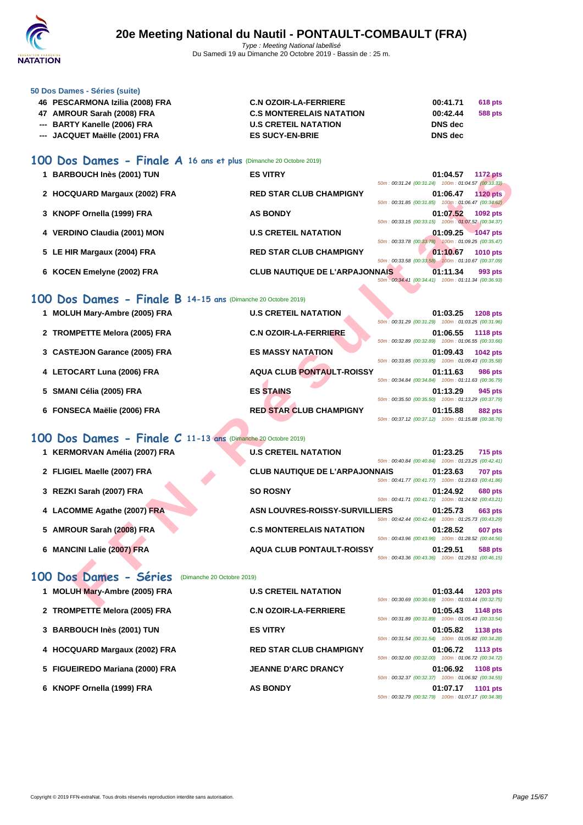

| 50 Dos Dames - Séries (suite) |  |  |  |
|-------------------------------|--|--|--|
|-------------------------------|--|--|--|

| 46 PESCARMONA Izilia (2008) FRA | <b>C.N OZOIR-LA-FERRIERE</b>    | 00:41.71 | 618 pts |
|---------------------------------|---------------------------------|----------|---------|
| 47 AMROUR Sarah (2008) FRA      | <b>C.S MONTERELAIS NATATION</b> | 00:42.44 | 588 pts |
| --- BARTY Kanelle (2006) FRA    | <b>U.S CRETEIL NATATION</b>     | DNS dec  |         |
| --- JACQUET Maëlle (2001) FRA   | <b>ES SUCY-EN-BRIE</b>          | DNS dec  |         |

## **100 Dos Dames - Finale A 16 ans et plus** (Dimanche 20 Octobre 2019)

| <b>BARBOUCH Inès (2001) TUN</b> | <b>ES VITRY</b>                       | 01:04.57<br><b>1172 pts</b><br>50m: 00:31.24 (00:31.24) 100m: 01:04.57 (00:33.33) |
|---------------------------------|---------------------------------------|-----------------------------------------------------------------------------------|
| 2 HOCQUARD Margaux (2002) FRA   | <b>RED STAR CLUB CHAMPIGNY</b>        | 01:06.47<br>1120 pts<br>$50m: 00:31.85$ (00:31.85)<br>100m: 01:06.47 (00:34.62)   |
| 3 KNOPF Ornella (1999) FRA      | <b>AS BONDY</b>                       | 01:07.52<br>1092 pts<br>50m: 00:33.15 (00:33.15)<br>100m: 01:07.52 (00:34.37)     |
| 4 VERDINO Claudia (2001) MON    | <b>U.S CRETEIL NATATION</b>           | 01:09.25<br><b>1047 pts</b><br>50m: 00:33.78 (00:33.78) 100m: 01:09.25 (00:35.47) |
| 5 LE HIR Margaux (2004) FRA     | <b>RED STAR CLUB CHAMPIGNY</b>        | 01:10.67<br><b>1010 pts</b><br>50m; 00:33.58 (00:33.58) 100m; 01:10.67 (00:37.09) |
| 6 KOCEN Emelyne (2002) FRA      | <b>CLUB NAUTIQUE DE L'ARPAJONNAIS</b> | 01:11.34<br>993 pts<br>50m: 00:34.41 (00:34.41)<br>100m: 01:11.34 (00:36.93)      |

## **100 Dos Dames - Finale B 14-15 ans** (Dimanche 20 Octobre 2019)

| 1 BARBOUCH Inès (2001) TUN                                   |                            | <b>ES VITRY</b>                       | 50m: 00:31.24 (00:31.24) 100m: 01:04.57 (00:33.33) | 01:04.57 | <b>1172 pts</b> |
|--------------------------------------------------------------|----------------------------|---------------------------------------|----------------------------------------------------|----------|-----------------|
| 2 HOCQUARD Margaux (2002) FRA                                |                            | <b>RED STAR CLUB CHAMPIGNY</b>        | 50m: 00:31.85 (00:31.85) 100m: 01:06.47 (00:34.62) | 01:06.47 | <b>1120 pts</b> |
| 3 KNOPF Ornella (1999) FRA                                   |                            | <b>AS BONDY</b>                       |                                                    | 01:07.52 | 1092 pts        |
| 4 VERDINO Claudia (2001) MON                                 |                            | <b>U.S CRETEIL NATATION</b>           | 50m: 00:33.15 (00:33.15) 100m: 01:07.52 (00:34.37) | 01:09.25 | $-1047$ pts     |
| 5 LE HIR Margaux (2004) FRA                                  |                            | <b>RED STAR CLUB CHAMPIGNY</b>        | 50m: 00:33.78 (00:33.78) 100m: 01:09.25 (00:35.47) | 01:10.67 | <b>1010 pts</b> |
| 6 KOCEN Emelyne (2002) FRA                                   |                            | <b>CLUB NAUTIQUE DE L'ARPAJONNAIS</b> | 50m; 00:33.58 (00:33.58) 100m: 01:10.67 (00:37.09) | 01:11.34 | 993 pts         |
|                                                              |                            |                                       | 50m: 00:34.41 (00:34.41) 100m: 01:11.34 (00:36.93) |          |                 |
| 00 Dos Dames - Finale B 14-15 ans (Dimanche 20 Octobre 2019) |                            |                                       |                                                    |          |                 |
| 1 MOLUH Mary-Ambre (2005) FRA                                |                            | <b>U.S CRETEIL NATATION</b>           | 50m: 00:31.29 (00:31.29) 100m: 01:03.25 (00:31.96) | 01:03.25 | <b>1208 pts</b> |
| 2 TROMPETTE Melora (2005) FRA                                |                            | <b>C.N OZOIR-LA-FERRIERE</b>          | 50m: 00:32.89 (00:32.89) 100m: 01:06.55 (00:33.66) | 01:06.55 | <b>1118 pts</b> |
| 3 CASTEJON Garance (2005) FRA                                |                            | <b>ES MASSY NATATION</b>              | 50m: 00:33.85 (00:33.85) 100m: 01:09.43 (00:35.58) | 01:09.43 | 1042 pts        |
| 4 LETOCART Luna (2006) FRA                                   |                            | <b>AQUA CLUB PONTAULT-ROISSY</b>      | 50m: 00:34.84 (00:34.84) 100m: 01:11.63 (00:36.79) | 01:11.63 | <b>986 pts</b>  |
| 5 SMANI Célia (2005) FRA                                     |                            | <b>ES STAINS</b>                      | 50m: 00:35.50 (00:35.50) 100m: 01:13.29 (00:37.79) | 01:13.29 | 945 pts         |
| 6 FONSECA Maëlie (2006) FRA                                  |                            | <b>RED STAR CLUB CHAMPIGNY</b>        | 50m: 00:37.12 (00:37.12) 100m: 01:15.88 (00:38.76) | 01:15.88 | 882 pts         |
| 00 Dos Dames - Finale C 11-13 ans (Dimanche 20 Octobre 2019) |                            |                                       |                                                    |          |                 |
| 1 KERMORVAN Amélia (2007) FRA                                |                            | <b>U.S CRETEIL NATATION</b>           |                                                    | 01:23.25 | <b>715 pts</b>  |
| 2 FLIGIEL Maelle (2007) FRA                                  |                            | <b>CLUB NAUTIQUE DE L'ARPAJONNAIS</b> | 50m: 00:40.84 (00:40.84) 100m: 01:23.25 (00:42.41) | 01:23.63 | <b>707 pts</b>  |
| 3 REZKI Sarah (2007) FRA                                     |                            | <b>SO ROSNY</b>                       | 50m: 00:41.77 (00:41.77) 100m: 01:23.63 (00:41.86) | 01:24.92 | <b>680 pts</b>  |
| 4 LACOMME Agathe (2007) FRA                                  |                            | <b>ASN LOUVRES-ROISSY-SURVILLIERS</b> | 50m: 00:41.71 (00:41.71) 100m: 01:24.92 (00:43.21) | 01:25.73 | 663 pts         |
| 5 AMROUR Sarah (2008) FRA                                    |                            | <b>C.S MONTERELAIS NATATION</b>       | 50m: 00:42.44 (00:42.44) 100m: 01:25.73 (00:43.29) | 01:28.52 | 607 pts         |
|                                                              |                            |                                       | 50m: 00:43.96 (00:43.96) 100m: 01:28.52 (00:44.56) |          |                 |
| 6 MANCINI Lalie (2007) FRA                                   |                            | <b>AQUA CLUB PONTAULT-ROISSY</b>      | 50m: 00:43.36 (00:43.36) 100m: 01:29.51 (00:46.15) | 01:29.51 | <b>588 pts</b>  |
| 00 Dos Dames - Séries                                        | (Dimanche 20 Octobre 2019) |                                       |                                                    |          |                 |
| 1 MOLUH Mary-Ambre (2005) FRA                                |                            | <b>U.S CRETEIL NATATION</b>           |                                                    | 01:03.44 | 1203 pts        |
|                                                              |                            |                                       | 50m: 00:30.69 (00:30.69) 100m: 01:03.44 (00:32.75) |          |                 |

## **100 Dos Dames - Finale C 11-13 ans** (Dimanche 20 Octobre 2019)

| 1 KERMORVAN Amélia (2007) FRA | <b>U.S CRETEIL NATATION</b><br>01:23.25<br><b>715 pts</b><br>100m: 01:23.25 (00:42.41)<br>50m: 00:40.84 (00:40.84)           |
|-------------------------------|------------------------------------------------------------------------------------------------------------------------------|
| 2 FLIGIEL Maelle (2007) FRA   | <b>CLUB NAUTIQUE DE L'ARPAJONNAIS</b><br>01:23.63<br><b>707 pts</b><br>100m: 01:23.63 (00:41.86)<br>50m: 00:41.77 (00:41.77) |
| 3 REZKI Sarah (2007) FRA      | <b>SO ROSNY</b><br>01:24.92<br><b>680 pts</b><br>50m: 00:41.71 (00:41.71) 100m: 01:24.92 (00:43.21)                          |
| 4 LACOMME Agathe (2007) FRA   | <b>ASN LOUVRES-ROISSY-SURVILLIERS</b><br>01:25.73<br><b>663 pts</b><br>50m: 00:42.44 (00:42.44)<br>100m: 01:25.73 (00:43.29) |
| 5 AMROUR Sarah (2008) FRA     | <b>C.S MONTERELAIS NATATION</b><br>01:28.52<br><b>607 pts</b><br>50m; 00:43.96 (00:43.96)<br>100m: 01:28.52 (00:44.56)       |
| 6 MANCINI Lalie (2007) FRA    | <b>AQUA CLUB PONTAULT-ROISSY</b><br>01:29.51<br>588 pts<br>100m: 01:29.51 (00:46.15)<br>50m: 00:43.36 (00:43.36)             |

## **100 Dos Dames - Séries** (Dimanche 20 Octobre 2019)

| 1 MOLUH Mary-Ambre (2005) FRA   | <b>U.S CRETEIL NATATION</b>    | 01:03.44<br>1203 pts<br>50m: 00:30.69 (00:30.69) 100m: 01:03.44 (00:32.75)        |
|---------------------------------|--------------------------------|-----------------------------------------------------------------------------------|
| 2 TROMPETTE Melora (2005) FRA   | <b>C.N OZOIR-LA-FERRIERE</b>   | 01:05.43<br><b>1148 pts</b><br>50m: 00:31.89 (00:31.89) 100m: 01:05.43 (00:33.54) |
| 3 BARBOUCH Inès (2001) TUN      | <b>ES VITRY</b>                | 01:05.82<br><b>1138 pts</b><br>50m: 00:31.54 (00:31.54) 100m: 01:05.82 (00:34.28) |
| 4 HOCQUARD Margaux (2002) FRA   | <b>RED STAR CLUB CHAMPIGNY</b> | 01:06.72<br><b>1113 pts</b><br>50m: 00:32.00 (00:32.00) 100m: 01:06.72 (00:34.72) |
| 5 FIGUEIREDO Mariana (2000) FRA | <b>JEANNE D'ARC DRANCY</b>     | 01:06.92<br><b>1108 pts</b><br>50m: 00:32.37 (00:32.37) 100m: 01:06.92 (00:34.55) |
| 6 KNOPF Ornella (1999) FRA      | <b>AS BONDY</b>                | 01:07.17<br>1101 pts<br>50m: 00:32.79 (00:32.79) 100m: 01:07.17 (00:34.38)        |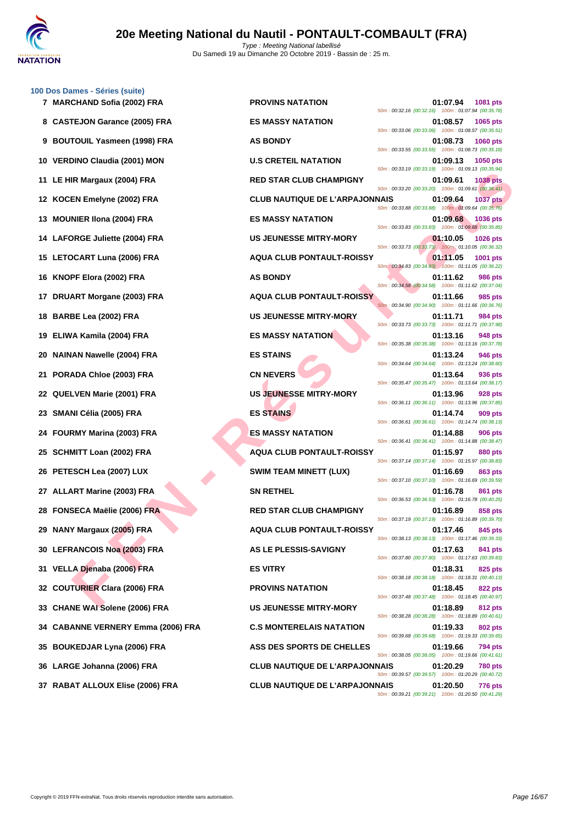

|    | 100 Dos Dames - Séries (suite)     |                                       |                                                                  |                 |
|----|------------------------------------|---------------------------------------|------------------------------------------------------------------|-----------------|
|    | 7 MARCHAND Sofia (2002) FRA        | <b>PROVINS NATATION</b>               | 01:07.94<br>50m: 00:32.16 (00:32.16) 100m: 01:07.94 (00:35.78)   | 1081 pts        |
|    | 8 CASTEJON Garance (2005) FRA      | <b>ES MASSY NATATION</b>              | 01:08.57<br>50m: 00:33.06 (00:33.06) 100m: 01:08.57 (00:35.51)   | 1065 pts        |
|    | 9 BOUTOUIL Yasmeen (1998) FRA      | <b>AS BONDY</b>                       | 01:08.73<br>50m : 00:33.55 (00:33.55) 100m : 01:08.73 (00:35.18) | <b>1060 pts</b> |
|    | 10 VERDINO Claudia (2001) MON      | <b>U.S CRETEIL NATATION</b>           | 01:09.13<br>50m: 00:33.19 (00:33.19) 100m: 01:09.13 (00:35.94)   | 1050 pts        |
|    | 11 LE HIR Margaux (2004) FRA       | <b>RED STAR CLUB CHAMPIGNY</b>        | 01:09.61<br>50m: 00:33.20 (00:33.20) 100m: 01:09.61 (00:36.41)   | <b>1038 pts</b> |
|    | 12 KOCEN Emelyne (2002) FRA        | <b>CLUB NAUTIQUE DE L'ARPAJONNAIS</b> | 01:09.64<br>50m: 00:33.88 (00:33.88) 100m: 01:09.64 (00:35.76)   | <b>1037 pts</b> |
|    | 13 MOUNIER IIona (2004) FRA        | <b>ES MASSY NATATION</b>              | 01:09.68<br>50m: 00:33.83 (00:33.83) 100m: 01:09.68 (00:35.85)   | 1036 pts        |
|    | 14 LAFORGE Juliette (2004) FRA     | <b>US JEUNESSE MITRY-MORY</b>         | 01:10.05<br>50m: 00:33.73 (00:33.73) 100m: 01:10.05 (00:36.32)   | 1026 pts        |
|    | 15 LETOCART Luna (2006) FRA        | <b>AQUA CLUB PONTAULT-ROISSY</b>      | 01:11.05<br>50m: 00:34.83 (00:34.83) 100m: 01:11.05 (00:36.22)   | 1001 pts        |
|    | 16 KNOPF Elora (2002) FRA          | <b>AS BONDY</b>                       | 01:11.62<br>50m: 00:34.58 (00:34.58) 100m: 01:11.62 (00:37.04)   | <b>986 pts</b>  |
|    | 17 DRUART Morgane (2003) FRA       | <b>AQUA CLUB PONTAULT-ROISSY</b>      | 01:11.66<br>50m: 00:34.90 (00:34.90) 100m: 01:11.66 (00:36.76)   | 985 pts         |
|    | 18 BARBE Lea (2002) FRA            | <b>US JEUNESSE MITRY-MORY</b>         | 01:11.71<br>50m: 00:33.73 (00:33.73) 100m: 01:11.71 (00:37.98)   | 984 pts         |
|    | 19 ELIWA Kamila (2004) FRA         | <b>ES MASSY NATATION</b>              | 01:13.16<br>50m: 00:35.38 (00:35.38) 100m: 01:13.16 (00:37.78)   | 948 pts         |
| 20 | NAINAN Nawelle (2004) FRA          | <b>ES STAINS</b>                      | 01:13.24<br>50m: 00:34.64 (00:34.64) 100m: 01:13.24 (00:38.60)   | <b>946 pts</b>  |
|    | 21 PORADA Chloe (2003) FRA         | <b>CN NEVERS</b>                      | 01:13.64<br>50m: 00:35.47 (00:35.47) 100m: 01:13.64 (00:38.17)   | 936 pts         |
|    | 22 QUELVEN Marie (2001) FRA        | <b>US JEUNESSE MITRY-MORY</b>         | 01:13.96<br>50m: 00:36.11 (00:36.11) 100m: 01:13.96 (00:37.85)   | 928 pts         |
|    | 23 SMANI Célia (2005) FRA          | <b>ES STAINS</b>                      | 01:14.74<br>50m: 00:36.61 (00:36.61) 100m: 01:14.74 (00:38.13)   | 909 pts         |
|    | 24 FOURMY Marina (2003) FRA        | <b>ES MASSY NATATION</b>              | 01:14.88<br>50m: 00:36.41 (00:36.41) 100m: 01:14.88 (00:38.47)   | <b>906 pts</b>  |
|    | 25 SCHMITT Loan (2002) FRA         | <b>AQUA CLUB PONTAULT-ROISSY</b>      | 01:15.97<br>50m: 00:37.14 (00:37.14) 100m: 01:15.97 (00:38.83)   | 880 pts         |
|    | 26 PETESCH Lea (2007) LUX          | <b>SWIM TEAM MINETT (LUX)</b>         | 01:16.69<br>50m: 00:37.10 (00:37.10) 100m: 01:16.69 (00:39.59)   | <b>863 pts</b>  |
|    | 27 ALLART Marine (2003) FRA        | <b>SN RETHEL</b>                      | 01:16.78<br>50m: 00:36.53 (00:36.53) 100m: 01:16.78 (00:40.25)   | 861 pts         |
|    | 28 FONSECA Maëlie (2006) FRA       | <b>RED STAR CLUB CHAMPIGNY</b>        | 01:16.89<br>50m: 00:37.19 (00:37.19) 100m: 01:16.89 (00:39.70)   | 858 pts         |
|    | 29 NANY Margaux (2005) FRA         | <b>AQUA CLUB PONTAULT-ROISSY</b>      | 01:17.46<br>50m: 00:38.13 (00:38.13) 100m: 01:17.46 (00:39.33)   | 845 pts         |
|    | 30 LEFRANCOIS Noa (2003) FRA       | <b>AS LE PLESSIS-SAVIGNY</b>          | 01:17.63<br>50m: 00:37.80 (00:37.80) 100m: 01:17.63 (00:39.83)   | 841 pts         |
|    | 31 VELLA Djenaba (2006) FRA        | <b>ES VITRY</b>                       | 01:18.31<br>50m: 00:38.18 (00:38.18) 100m: 01:18.31 (00:40.13)   | 825 pts         |
|    | 32 COUTURIER Clara (2006) FRA      | <b>PROVINS NATATION</b>               | 01:18.45<br>50m: 00:37.48 (00:37.48) 100m: 01:18.45 (00:40.97)   | <b>822 pts</b>  |
|    | 33 CHANE WAI Solene (2006) FRA     | <b>US JEUNESSE MITRY-MORY</b>         | 01:18.89<br>50m: 00:38.28 (00:38.28) 100m: 01:18.89 (00:40.61)   | 812 pts         |
|    | 34 CABANNE VERNERY Emma (2006) FRA | <b>C.S MONTERELAIS NATATION</b>       | 01:19.33<br>50m: 00:39.68 (00:39.68) 100m: 01:19.33 (00:39.65)   | 802 pts         |
|    | 35 BOUKEDJAR Lyna (2006) FRA       | ASS DES SPORTS DE CHELLES             | 01:19.66<br>50m: 00:38.05 (00:38.05) 100m: 01:19.66 (00:41.61)   | <b>794 pts</b>  |
|    | 36 LARGE Johanna (2006) FRA        | <b>CLUB NAUTIQUE DE L'ARPAJONNAIS</b> | 01:20.29<br>50m: 00:39.57 (00:39.57) 100m: 01:20.29 (00:40.72)   | <b>780 pts</b>  |
|    |                                    |                                       |                                                                  |                 |

FR EN COMPRAIS COMPRAIS CHE DE STAR CUB CHAIRPIGNY<br>
FE EN CHE DE STAR CUB CHAIRPIGNE DE L'ARPAJONNAIS<br>
NEE NEGRE (2003) FRA SAMELITE DE L'ARPAJONNAIS CHE DE L'ARPAJONNAIS CHE DE L'ARPAJONNAIS CHE DE L'ARPAJONNAIS CHE DE L **7 PROVINS NATATION 01:07.94 1081 pts** 50m : 00:32.16 (00:32.16) 100m : 01:07.94 (00:35.78) **8 CASTEJON Garance (2005) FRA ES MASSY NATATION 01:08.57 1065 pts** 50m : 00:33.06 (00:33.06) 100m : 01:08.57 (00:35.51) **91:08.73 1060 pts** 50m : 00:33.55 (00:33.55) 100m : 01:08.73 (00:35.18) **10.5 CRETEIL NATATION 01:09.13 1050 pts** 50m : 00:33.19 (00:33.19) 100m : 01:09.13 (00:35.94) **11 LE HIR Margaux (2004) FRA RED STAR CLUB CHAMPIGNY 01:09.61 1038 pts** 50m : 00:33.20 (00:33.20) 100m : 01:09.61 (00:36.41) **12 KOCEN Emelyne (2002) FRA CLUB NAUTIQUE DE L'ARPAJONNAIS 01:09.64 1037 pts** 50m : 00:33.88 (00:33.88) 100m : 01:09.64 (00:35.76) **133 <b>MOUNIER IS MASSY NATATION 136 <b>MOUNICER 1036 1036** pts 50m : 00:33.83 (00:33.83) 100m : 01:09.68 (00:35.85) **144 LAFORGE MITRY-MORY CONSUMING 1026 pts** 50m : 00:33.73 (00:33.73) 100m : 01:10.05 (00:36.32) **15 LETOCART Luna (2006) FRA AQUA CLUB PONTAULT-ROISSY 01:11.05 1001 pts** 50m : 00:34.83 (00:34.83) 100m : 01:11.05 (00:36.22) 50m : 00:34.58 (00:34.58) 100m : 01:11.62 (00:37.04) **17 DRUART Morgane (2003) FRA AQUA CLUB PONTAULT-ROISSY 01:11.66 985 pts** 50m : 00:34.90 (00:34.90) 100m : 01:11.66 (00:36.76) **18 US JEUNESSE MITRY-MORY 01:11.71 984 pts** 50m : 00:33.73 (00:33.73) 100m : 01:11.71 (00:37.98) **1998 FRANCH ES MASSY NATATION 1948 pts** 50m : 00:35.38 (00:35.38) 100m : 01:13.16 (00:37.78) 50m : 00:34.64 (00:34.64) 100m : 01:13.24 (00:38.60) 50m : 00:35.47 (00:35.47) 100m : 01:13.64 (00:38.17) **228 PMARIE (2001) EUNESSE MITRY-MORY CONTROLLY ASSESSED MARIE (2001) FRA D1:13.96 928 pts** 50m : 00:36.11 (00:36.11) 100m : 01:13.96 (00:37.85) 50m : 00:36.61 (00:36.61) 100m : 01:14.74 (00:38.13) **24 FOURMY Marina (2003) FRA ES MASSY NATATION 01:14.88 906 pts** 50m : 00:36.41 (00:36.41) 100m : 01:14.88 (00:38.47) **25 AQUA CLUB PONTAULT-ROISSY 01:15.97 880 pts** 50m : 00:37.14 (00:37.14) 100m : 01:15.97 (00:38.83) **26 263 PTE SWIM TEAM MINETT (LUX) 263 PTE 264 PTE 264 PTE 264 PTE 264 PTE 264 PTE 264 PTE 264 PTE 264 PTE** 50m : 00:37.10 (00:37.10) 100m : 01:16.69 (00:39.59) 50m : 00:36.53 (00:36.53) 100m : 01:16.78 (00:40.25) **RED STAR CLUB CHAMPIGNY 01:16.89 858 pts** 50m : 00:37.19 (00:37.19) 100m : 01:16.89 (00:39.70) **29 NANY Margaux (2005) FRA AQUA CLUB PONTAULT-ROISSY 01:17.46 845 pts** 50m : 00:38.13 (00:38.13) 100m : 01:17.46 (00:39.33) **30 LEFRANCOIS Noa (2003) FRA AS LE PLESSIS-SAVIGNY 01:17.63 841 pts** 50m : 00:37.80 (00:37.80) 100m : 01:17.63 (00:39.83) 50m : 00:38.18 (00:38.18) 100m : 01:18.31 (00:40.13) **322 pts COUTURIER COUTURIES COUTURIES COUTURIES COUTURIES COUTURIES COUTURIES COUTURIES COUTURIES COUTURIES COUTURIES COUTURIES COUTURIES COUTURIES COUTURIES COUTURIES COUTURIES COUTURIES** 50m : 00:37.48 (00:37.48) 100m : 01:18.45 (00:40.97) **33 CHANE WAI Solene (2006) FRA US JEUNESSE MITRY-MORY 01:18.89 812 pts** 50m : 00:38.28 (00:38.28) 100m : 01:18.89 (00:40.61) **34 CABANNE VERNERY Emma (2006) FRA C.S MONTERELAIS NATATION 01:19.33 802 pts** 50m : 00:39.68 (00:39.68) 100m : 01:19.33 (00:39.65) **35 BOUKEDJAR Lyna (2006) FRA ASS DES SPORTS DE CHELLES 01:19.66 794 pts** 50m : 00:38.05 (00:38.05) 100m : 01:19.66 (00:41.61) **36 LARGE Johanna (2006) FRA CLUB NAUTIQUE DE L'ARPAJONNAIS 01:20.29 780 pts** 50m : 00:39.57 (00:39.57) 100m : 01:20.29 (00:40.72) **37 RABAT ALLOUX Elise (2006) FRA CLUB NAUTIQUE DE L'ARPAJONNAIS 01:20.50 776 pts** 50m : 00:39.21 (00:39.21) 100m : 01:20.50 (00:41.29)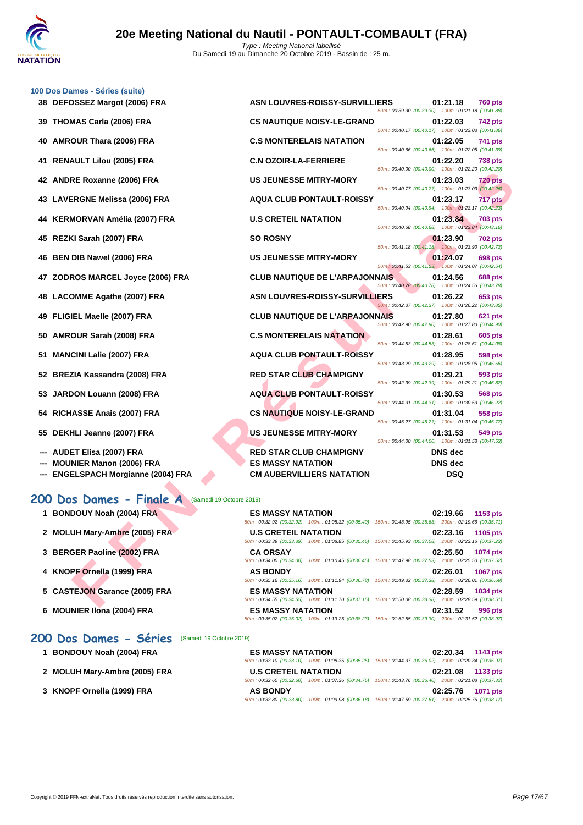

|    | 100 Dos Dames - Séries (suite)                                            |                                                                                                                                           |                                                     |                              |                 |
|----|---------------------------------------------------------------------------|-------------------------------------------------------------------------------------------------------------------------------------------|-----------------------------------------------------|------------------------------|-----------------|
|    | 38 DEFOSSEZ Margot (2006) FRA                                             | <b>ASN LOUVRES-ROISSY-SURVILLIERS</b>                                                                                                     | 50m: 00:39.30 (00:39.30) 100m: 01:21.18 (00:41.88)  | 01:21.18                     | <b>760 pts</b>  |
| 39 | THOMAS Carla (2006) FRA                                                   | <b>CS NAUTIQUE NOISY-LE-GRAND</b>                                                                                                         | 50m: 00:40.17 (00:40.17) 100m: 01:22.03 (00:41.86)  | 01:22.03                     | 742 pts         |
| 40 | <b>AMROUR Thara (2006) FRA</b>                                            | <b>C.S MONTERELAIS NATATION</b>                                                                                                           | 50m: 00:40.66 (00:40.66) 100m: 01:22.05 (00:41.39)  | 01:22.05                     | 741 pts         |
| 41 | <b>RENAULT Lilou (2005) FRA</b>                                           | <b>C.N OZOIR-LA-FERRIERE</b>                                                                                                              | 50m: 00:40.00 (00:40.00) 100m: 01:22.20 (00:42.20)  | 01:22.20                     | <b>738 pts</b>  |
| 42 | <b>ANDRE Roxanne (2006) FRA</b>                                           | <b>US JEUNESSE MITRY-MORY</b>                                                                                                             | 50m: 00:40.77 (00:40.77) 100m: 01:23.03 (00:42.26)  | 01:23.03                     | 720 pts         |
|    | 43 LAVERGNE Melissa (2006) FRA                                            | <b>AQUA CLUB PONTAULT-ROISSY</b>                                                                                                          | 50m: 00:40.94 (00:40.94) 100m: 01:23.17 (00:42.23)  | 01:23.17                     | 717 pts         |
| 44 | KERMORVAN Amélia (2007) FRA                                               | <b>U.S CRETEIL NATATION</b>                                                                                                               |                                                     | 01:23.84                     | <b>703 pts</b>  |
| 45 | REZKI Sarah (2007) FRA                                                    | <b>SO ROSNY</b>                                                                                                                           | 50m: 00:40.68 (00:40.68) 100m: 01:23.84 (00:43.16)  | 01:23.90                     | <b>702 pts</b>  |
| 46 | <b>BEN DIB Nawel (2006) FRA</b>                                           | <b>US JEUNESSE MITRY-MORY</b>                                                                                                             | 50m: 00:41.18 (00:41.18) 100m: 01:23.90 (00:42.72)  | 01:24.07                     | 698 pts         |
| 47 | ZODROS MARCEL Joyce (2006) FRA                                            | <b>CLUB NAUTIQUE DE L'ARPAJONNAIS</b>                                                                                                     | 50m: 00:41.53 (00:41.53) 100m: 01:24.07 (00:42.54)  | 01:24.56                     | <b>688 pts</b>  |
| 48 | LACOMME Agathe (2007) FRA                                                 | <b>ASN LOUVRES-ROISSY-SURVILLIERS</b>                                                                                                     | 50m: 00:40.78 (00:40.78) 100m: 01:24.56 (00:43.78)  | 01:26.22                     | 653 pts         |
| 49 | FLIGIEL Maelle (2007) FRA                                                 | <b>CLUB NAUTIQUE DE L'ARPAJONNAIS</b>                                                                                                     | 50m: 00:42.37 (00:42.37) 100m: 01:26.22 (00:43.85)  | 01:27.80                     | 621 pts         |
| 50 | AMROUR Sarah (2008) FRA                                                   | <b>C.S MONTERELAIS NATATION</b>                                                                                                           | 50m: 00:42.90 (00:42.90) 100m: 01:27.80 (00:44.90)  | 01:28.61                     | 605 pts         |
| 51 | <b>MANCINI Lalie (2007) FRA</b>                                           | <b>AQUA CLUB PONTAULT-ROISSY</b>                                                                                                          | 50m: 00:44.53 (00:44.53) 100m: 01:28.61 (00:44.08)  | 01:28.95                     | 598 pts         |
| 52 | BREZIA Kassandra (2008) FRA                                               | <b>RED STAR CLUB CHAMPIGNY</b>                                                                                                            | 50m: 00:43.29 (00:43.29) 100m: 01:28.95 (00:45.66)  | 01:29.21                     | 593 pts         |
| 53 | JARDON Louann (2008) FRA                                                  | <b>AQUA CLUB PONTAULT-ROISSY</b>                                                                                                          | 50m: 00:42.39 (00:42.39) 100m: 01:29.21 (00:46.82)  | 01:30.53                     | <b>568 pts</b>  |
| 54 | RICHASSE Anais (2007) FRA                                                 | <b>CS NAUTIQUE NOISY-LE-GRAND</b>                                                                                                         | 50m: 00:44.31 (00:44.31) 100m: 01:30.53 (00:46.22)  | 01:31.04                     | 558 pts         |
| 55 | DEKHLI Jeanne (2007) FRA                                                  | <b>US JEUNESSE MITRY-MORY</b>                                                                                                             | 50m: 00:45.27 (00:45.27) 100m: 01:31.04 (00:45.77)  | 01:31.53                     | 549 pts         |
|    |                                                                           |                                                                                                                                           | 50m: 00:44.00 (00:44.00) 100m: 01:31.53 (00:47.53)  |                              |                 |
|    | <b>AUDET Elisa (2007) FRA</b>                                             | <b>RED STAR CLUB CHAMPIGNY</b>                                                                                                            |                                                     | <b>DNS</b> dec               |                 |
|    | <b>MOUNIER Manon (2006) FRA</b><br><b>ENGELSPACH Morgianne (2004) FRA</b> | <b>ES MASSY NATATION</b><br><b>CM AUBERVILLIERS NATATION</b>                                                                              |                                                     | <b>DNS</b> dec<br><b>DSQ</b> |                 |
|    | 200 Dos Dames - Finale A<br>(Samedi 19 Octobre 2019)                      |                                                                                                                                           |                                                     |                              |                 |
|    | 1 BONDOUY Noah (2004) FRA                                                 | <b>ES MASSY NATATION</b>                                                                                                                  |                                                     | 02:19.66                     | 1153 pts        |
|    |                                                                           | 50m: 00:32.92 (00:32.92) 100m: 01:08.32 (00:35.40) 150m: 01:43.95 (00:35.63) 200m: 02:19.66 (00:35.71)                                    |                                                     |                              |                 |
|    | 2 MOLUH Mary-Ambre (2005) FRA                                             | <b>U.S CRETEIL NATATION</b><br>50m : 00:33.39 (00:33.39) 100m : 01:08.85 (00:35.46) 150m : 01:45.93 (00:37.08) 200m : 02:23.16 (00:37.23) |                                                     | 02:23.16                     | 1105 pts        |
|    | 3 BERGER Paoline (2002) FRA                                               | <b>CA ORSAY</b><br>50m: 00:34.00 (00:34.00) 100m: 01:10.45 (00:36.45)                                                                     | 150m: 01:47.98 (00:37.53) 200m: 02:25.50 (00:37.52) | 02:25.50                     | 1074 pts        |
|    | 4 KNOPF Ornella (1999) FRA                                                | <b>AS BONDY</b><br>50m: 00:35.16 (00:35.16) 100m: 01:11.94 (00:36.78)                                                                     | 150m: 01:49.32 (00:37.38) 200m: 02:26.01 (00:36.69) | 02:26.01                     | <b>1067 pts</b> |
|    | 5 CASTEJON Garance (2005) FRA                                             | <b>ES MASSY NATATION</b><br>50m: 00:34.55 (00:34.55) 100m: 01:11.70 (00:37.15) 150m: 01:50.08 (00:38.38) 200m: 02:28.59 (00:38.51)        |                                                     | 02:28.59                     | 1034 pts        |
|    |                                                                           |                                                                                                                                           |                                                     |                              |                 |

# **200 Dos Dames - Finale A** (Samedi 19 Octobre 2019)

| 1 BONDOUY Noah (2004) FRA     | <b>ES MASSY NATATION</b>                    | 02:19.66<br>1153 pts<br>50m: 00:32.92 (00:32.92) 100m: 01:08.32 (00:35.40) 150m: 01:43.95 (00:35.63) 200m: 02:19.66 (00:35.71)       |
|-------------------------------|---------------------------------------------|--------------------------------------------------------------------------------------------------------------------------------------|
| 2 MOLUH Mary-Ambre (2005) FRA | <b>U.S CRETEIL NATATION</b>                 | 02:23.16<br>1105 pts<br>50m: 00:33.39 (00:33.39) 100m: 01:08.85 (00:35.46) 150m: 01:45.93 (00:37.08) 200m: 02:23.16 (00:37.23)       |
| 3 BERGER Paoline (2002) FRA   | <b>CA ORSAY</b><br>50m: 00:34.00 (00:34.00) | 02:25.50<br><b>1074 pts</b><br>100m: 01:10.45 (00:36.45) 150m: 01:47.98 (00:37.53) 200m: 02:25.50 (00:37.52)                         |
| 4 KNOPF Ornella (1999) FRA    | <b>AS BONDY</b>                             | 02:26.01<br><b>1067 pts</b><br>50m: 00:35.16 (00:35.16) 100m: 01:11.94 (00:36.78) 150m: 01:49.32 (00:37.38) 200m: 02:26.01 (00:36.69 |
| 5 CASTEJON Garance (2005) FRA | <b>ES MASSY NATATION</b>                    | 02:28.59<br><b>1034 pts</b><br>50m: 00:34.55 (00:34.55) 100m: 01:11.70 (00:37.15) 150m: 01:50.08 (00:38.38) 200m: 02:28.59 (00:38.51 |
| 6 MOUNIER IIona (2004) FRA    | <b>ES MASSY NATATION</b>                    | 02:31.52<br>996 pts<br>50m: 00:35.02 (00:35.02) 100m: 01:13.25 (00:38.23) 150m: 01:52.55 (00:39.30) 200m: 02:31.52 (00:38.97         |

## **200 Dos Dames - Séries** (Samedi 19 Octobre 2019)

| <b>BONDOUY Noah (2004) FRA</b> | <b>ES MASSY NATATION</b>    | 02:20.34<br>1143 pts                                                                                   |
|--------------------------------|-----------------------------|--------------------------------------------------------------------------------------------------------|
|                                |                             | 50m: 00:33.10 (00:33.10) 100m: 01:08.35 (00:35.25) 150m: 01:44.37 (00:36.02) 200m: 02:20.34 (00:35.97) |
| 2 MOLUH Mary-Ambre (2005) FRA  | <b>U.S CRETEIL NATATION</b> | 02:21.08<br>1133 pts                                                                                   |
|                                |                             | 50m: 00:32.60 (00:32.60) 100m: 01:07.36 (00:34.76) 150m: 01:43.76 (00:36.40) 200m: 02:21.08 (00:37.32) |
| 3 KNOPF Ornella (1999) FRA     | <b>AS BONDY</b>             | 02:25.76<br><b>1071 pts</b>                                                                            |
|                                |                             | 50m: 00:33.80 (00:33.80) 100m: 01:09.98 (00:36.18) 150m: 01:47.59 (00:37.61) 200m: 02:25.76 (00:38.17) |
|                                |                             |                                                                                                        |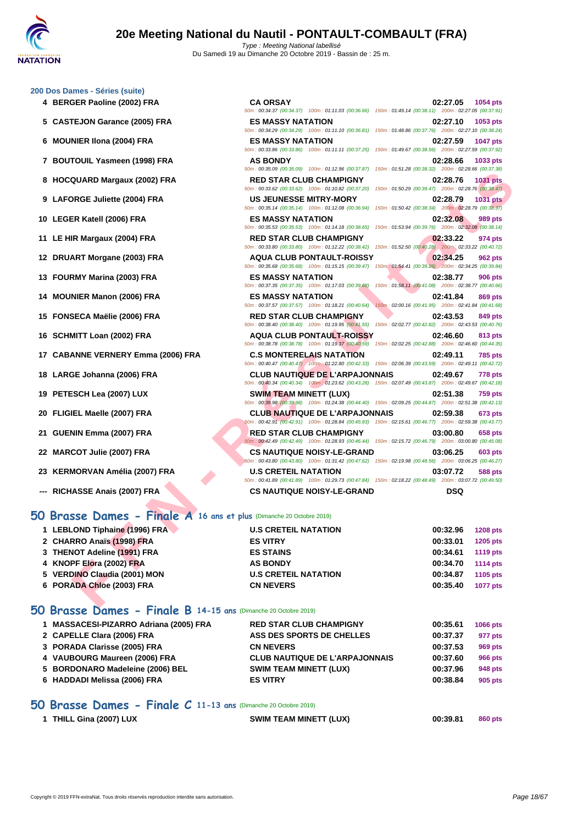50m : 00:34.37 (00:34.37) 100m : 01:11.03 (00:36.66) 150m : 01:49.14 (00:38.11) 200m : 02:27.05 (00:37.91)

50m : 00:34.29 (00:34.29) 100m : 01:11.10 (00:36.81) 150m : 01:48.86 (00:37.76) 200m : 02:27.10 (00:38.24)

50m : 00:33.86 (00:33.86) 100m : 01:11.11 (00:37.25) 150m : 01:49.67 (00:38.56) 200m : 02:27.59 (00:37.92)

50m : 00:35.09 (00:35.09) 100m : 01:12.96 (00:37.87) 150m : 01:51.28 (00:38.32) 200m : 02:28.66 (00:37.38)

#### **[200 Dos D](http://www.ffnatation.fr/webffn/index.php)ames - Séries (suite)**

- **4 BERGER Paoline (2002) FRA CA ORSAY 02:27.05 1054 pts**
- **5 CASTEJON Garance (2005) FRA ES MASSY NATATION 02:27.10 1053 pts**
- **6 MOUNIER Ilona (2004) FRA ES MASSY NATATION 02:27.59 1047 pts**
- **7 BOUTOUIL Yasmeen (1998) FRA AS BONDY 02:28.66 1033 pts**
- **8 HOCQUARD Margaux (2002) FRA RED STAR CLUB CHAMPIGNY 02:28.76 1031 pts**
- **9 LAFORGE Juliette (2004) FRA US JEUNESSE MITRY-MORY 02:28.79 1031 pts**
- **10 LEGER Katell (2006) FRA ES MASSY NATATION 02:32.08 989 pts**
- **11 LE HIR Margaux (2004) FRA RED STAR CLUB CHAMPIGNY 02:33.22 974 pts**
- **12 DRUART Morgane (2003) FRA AQUA CLUB PONTAULT-ROISSY 02:34.25 962 pts**
- **13 FOURMY Marina (2003) FRA ES MASSY NATATION 02:38.77 906 pts**
- **14 MOUNIER Manon (2006) FRA ES MASSY NATATION 02:41.84 869 pts**
- **15 FONSECA Maëlie (2006) FRA RED STAR CLUB CHAMPIGNY 02:43.53 849 pts**
- **16 SCHMITT Loan (2002) FRA AQUA CLUB PONTAULT-ROISSY 02:46.60 813 pts**
- **17 CABANNE VERNERY Emma (2006) FRA C.S MONTERELAIS NATATION 02:49.11 785 pts**
- **18 LARGE Johanna (2006) FRA CLUB NAUTIQUE DE L'ARPAJONNAIS 02:49.67 778 pts**
- **19 PETESCH Lea (2007) LUX SWIM TEAM MINETT (LUX) 02:51.38 759 pts**
- **20 FLIGIEL Maelle (2007) FRA CLUB NAUTIQUE DE L'ARPAJONNAIS 02:59.38 673 pts**
- **21 GUENIN Emma (2007) FRA RED STAR CLUB CHAMPIGNY 03:00.80 658 pts**
- **22 MARCOT Julie (2007) FRA CS NAUTIQUE NOISY-LE-GRAND 03:06.25 603 pts**
- **23 KERMORVAN Amélia (2007) FRA U.S CRETEIL NATATION 03:07.72 588 pts**
- **--- RICHASSE Anais (2007) FRA CS NAUTIQUE NOISY-LE-GRAND DSQ**

## **50 Brasse Dames - Finale A 16 ans et plus** (Dimanche 20 Octobre 2019)

|                                                                     | <u>JUIT. 00.33.09 (00.33.09)</u> TOUTE. 01.12.90 (00.37.07) TJUIT. 01.31.20 (00.30.32) ZUUTE. 02.20.00 (00.37.30)                                                                                                                                    |                                                                                   |
|---------------------------------------------------------------------|------------------------------------------------------------------------------------------------------------------------------------------------------------------------------------------------------------------------------------------------------|-----------------------------------------------------------------------------------|
| 8 HOCQUARD Margaux (2002) FRA                                       | <b>RED STAR CLUB CHAMPIGNY</b><br>50m : 00:33.62 (00:33.62) 100m : 01:10.82 (00:37.20) 150m : 01:50.29 (00:39.47) 200m : 02:28.76 (00:38.47)                                                                                                         | 02:28.76<br><b>1031 pts</b>                                                       |
| 9 LAFORGE Juliette (2004) FRA                                       | <b>US JEUNESSE MITRY-MORY</b>                                                                                                                                                                                                                        | 02:28.79<br><b>1031 pts</b>                                                       |
| 10 LEGER Katell (2006) FRA                                          | 50m: 00:35.14 (00:35.14) 100m: 01:12.08 (00:36.94) 150m: 01:50.42 (00:38.34) 200m: 02:28.79 (00:38.37)<br><b>ES MASSY NATATION</b>                                                                                                                   | 02:32.08<br>989 pts                                                               |
| 11 LE HIR Margaux (2004) FRA                                        | 50m: 00:35.53 (00:35.53) 100m: 01:14.18 (00:38.65)<br><b>RED STAR CLUB CHAMPIGNY</b>                                                                                                                                                                 | 150m: 01:53.94 (00:39.76) 200m: 02:32.08 (00:38.14)<br>02:33.22<br>974 pts        |
| 12 DRUART Morgane (2003) FRA                                        | 50m: 00:33.80 (00:33.80) 100m: 01:12.22 (00:38.42) 150m: 01:52.50 (00:40.28) 200m: 02:33.22 (00:40.72)<br><b>AQUA CLUB PONTAULT-ROISSY</b><br>50m: 00:35.68 (00:35.68) 100m: 01:15.15 (00:39.47) 150m: 01:54.41 (00:39.26) 200m: 02:34.25 (00:39.84) | 02:34.25<br><b>962 pts</b>                                                        |
| 13 FOURMY Marina (2003) FRA                                         | <b>ES MASSY NATATION</b><br>50m: 00:37.35 (00:37.35) 100m: 01:17.03 (00:39.68)                                                                                                                                                                       | 02:38.77<br><b>906 pts</b><br>150m: 01:58.11 (00:41.08) 200m: 02:38.77 (00:40.66) |
| 14 MOUNIER Manon (2006) FRA                                         | <b>ES MASSY NATATION</b><br>50m: 00:37.57 (00:37.57) 100m: 01:18.21 (00:40.64)                                                                                                                                                                       | 02:41.84<br>869 pts<br>150m: 02:00.16 (00:41.95) 200m: 02:41.84 (00:41.68)        |
| 15 FONSECA Maëlie (2006) FRA                                        | <b>RED STAR CLUB CHAMPIGNY</b><br>50m : 00:38.40 (00:38.40) 100m : 01:19.95 (00:41.55) 150m : 02:02.77 (00:42.82) 200m : 02:43.53 (00:40.76)                                                                                                         | 02:43.53<br>849 pts                                                               |
| 16 SCHMITT Loan (2002) FRA                                          | <b>AQUA CLUB PONTAULT-ROISSY</b><br>50m : 00:38.78 (00:38.78) 100m : 01:19.37 (00:40.59) 150m : 02:02.25 (00:42.88) 200m : 02:46.60 (00:44.35)                                                                                                       | 02:46.60<br>813 pts                                                               |
| 17 CABANNE VERNERY Emma (2006) FRA                                  | <b>C.S MONTERELAIS NATATION</b><br>50m: 00:40.47 (00:40.47) 100m: 01:22.80 (00:42.33) 150m: 02:06.39 (00:43.59) 200m: 02:49.11 (00:42.72)                                                                                                            | 02:49.11<br><b>785 pts</b>                                                        |
| 18 LARGE Johanna (2006) FRA                                         | <b>CLUB NAUTIQUE DE L'ARPAJONNAIS</b><br>50m: 00:40.34 (00:40.34) 100m: 01:23.62 (00:43.28) 150m: 02:07.49 (00:43.87) 200m: 02:49.67 (00:42.18)                                                                                                      | 02:49.67<br><b>778 pts</b>                                                        |
| 19 PETESCH Lea (2007) LUX                                           | <b>SWIM TEAM MINETT (LUX)</b><br>50m: 00:39.98 (00:39.98) 100m: 01:24.38 (00:44.40) 150m: 02:09.25 (00:44.87) 200m: 02:51.38 (00:42.13)                                                                                                              | 02:51.38<br>759 pts                                                               |
| 20 FLIGIEL Maelle (2007) FRA                                        | <b>CLUB NAUTIQUE DE L'ARPAJONNAIS</b><br>50m : 00:42.91 (00:42.91) 100m : 01:28.84 (00:45.93) 150m : 02:15.61 (00:46.77) 200m : 02:59.38 (00:43.77)                                                                                                  | 02:59.38<br>673 pts                                                               |
| 21 GUENIN Emma (2007) FRA                                           | <b>RED STAR CLUB CHAMPIGNY</b><br>50m : 00:42.49 (00:42.49) 100m : 01:28.93 (00:46.44) 150m : 02:15.72 (00:46.79) 200m : 03:00.80 (00:45.08)                                                                                                         | 03:00.80<br><b>658 pts</b>                                                        |
| 22 MARCOT Julie (2007) FRA                                          | <b>CS NAUTIQUE NOISY-LE-GRAND</b><br>60m: 00:43.80 (00:43.80) 100m: 01:31.42 (00:47.62) 150m: 02:19.98 (00:48.56) 200m: 03:06.25 (00:46.27)                                                                                                          | 03:06.25<br><b>603 pts</b>                                                        |
| 23 KERMORVAN Amélia (2007) FRA                                      | <b>U.S CRETEIL NATATION</b><br>50m: 00:41.89 (00:41.89) 100m: 01:29.73 (00:47.84) 150m: 02:18.22 (00:48.49) 200m: 03:07.72 (00:49.50)                                                                                                                | 03:07.72<br>588 pts                                                               |
| --- RICHASSE Anais (2007) FRA                                       | <b>CS NAUTIQUE NOISY-LE-GRAND</b>                                                                                                                                                                                                                    | <b>DSQ</b>                                                                        |
| O Brasse Dames - Finale A 16 ans et plus (Dimanche 20 Octobre 2019) |                                                                                                                                                                                                                                                      |                                                                                   |
| 1 LEBLOND Tiphaine (1996) FRA                                       | <b>U.S CRETEIL NATATION</b>                                                                                                                                                                                                                          | 00:32.96<br><b>1208 pts</b>                                                       |
| 2 CHARRO Anaïs (1998) FRA                                           | <b>ES VITRY</b>                                                                                                                                                                                                                                      | 00:33.01<br>1205 pts                                                              |
| 3 THENOT Adeline (1991) FRA                                         | <b>ES STAINS</b>                                                                                                                                                                                                                                     | 00:34.61<br><b>1119 pts</b>                                                       |
| 4 KNOPF Elora (2002) FRA                                            | <b>AS BONDY</b>                                                                                                                                                                                                                                      | 00:34.70<br><b>1114 pts</b>                                                       |
| 5 VERDINO Claudia (2001) MON                                        | <b>U.S CRETEIL NATATION</b>                                                                                                                                                                                                                          | 00:34.87<br>1105 pts                                                              |
| 6 PORADA Chloe (2003) FRA                                           | <b>CN NEVERS</b>                                                                                                                                                                                                                                     | 00:35.40<br><b>1077 pts</b>                                                       |
|                                                                     |                                                                                                                                                                                                                                                      |                                                                                   |

## **50 Brasse Dames - Finale B 14-15 ans** (Dimanche 20 Octobre 2019)

| 1 MASSACESI-PIZARRO Adriana (2005) FRA | <b>RED STAR CLUB CHAMPIGNY</b>        | 00:35.61 | <b>1066 pts</b> |
|----------------------------------------|---------------------------------------|----------|-----------------|
| 2 CAPELLE Clara (2006) FRA             | ASS DES SPORTS DE CHELLES             | 00:37.37 | 977 pts         |
| 3 PORADA Clarisse (2005) FRA           | <b>CN NEVERS</b>                      | 00:37.53 | 969 pts         |
| 4 VAUBOURG Maureen (2006) FRA          | <b>CLUB NAUTIQUE DE L'ARPAJONNAIS</b> | 00:37.60 | 966 pts         |
| 5 BORDONARO Madeleine (2006) BEL       | <b>SWIM TEAM MINETT (LUX)</b>         | 00:37.96 | 948 pts         |
| 6 HADDADI Melissa (2006) FRA           | <b>ES VITRY</b>                       | 00:38.84 | 905 pts         |

## **50 Brasse Dames - Finale C 11-13 ans** (Dimanche 20 Octobre 2019)

| 1 THILL Gina (2007) LUX | <b>SWIM TEAM MINETT (LUX)</b> | 00:39.81 | 860 pts |
|-------------------------|-------------------------------|----------|---------|
|                         |                               |          |         |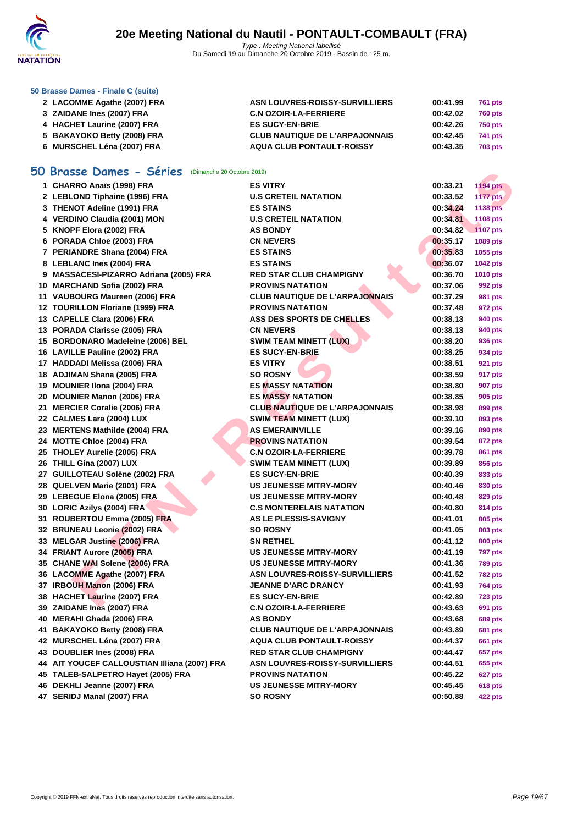

#### **[50 Brasse](http://www.ffnatation.fr/webffn/index.php) Dames - Finale C (suite)**

| 2 LACOMME Agathe (2007) FRA | ASN LOUVRES-ROISSY-SURVILLIERS        | 00:41.99 | 761 pts        |
|-----------------------------|---------------------------------------|----------|----------------|
| 3 ZAIDANE Ines (2007) FRA   | <b>C.N OZOIR-LA-FERRIERE</b>          | 00:42.02 | <b>760 pts</b> |
| 4 HACHET Laurine (2007) FRA | <b>ES SUCY-EN-BRIE</b>                | 00:42.26 | <b>750 pts</b> |
| 5 BAKAYOKO Betty (2008) FRA | <b>CLUB NAUTIQUE DE L'ARPAJONNAIS</b> | 00:42.45 | 741 pts        |
| 6 MURSCHEL Léna (2007) FRA  | <b>AQUA CLUB PONTAULT-ROISSY</b>      | 00:43.35 | <b>703 pts</b> |

## **50 Brasse Dames - Séries** (Dimanche 20 Octobre 2019)

| U. | <b>Brasse Dames - Series</b> (Dimanche 20 Octobre 2019) |                                       |          |                 |
|----|---------------------------------------------------------|---------------------------------------|----------|-----------------|
|    | 1 CHARRO Anaïs (1998) FRA                               | <b>ES VITRY</b>                       | 00:33.21 | <b>1194 pts</b> |
|    | 2 LEBLOND Tiphaine (1996) FRA                           | <b>U.S CRETEIL NATATION</b>           | 00:33.52 | <b>1177 pts</b> |
|    | 3 THENOT Adeline (1991) FRA                             | <b>ES STAINS</b>                      | 00:34.24 | <b>1138 pts</b> |
|    | 4 VERDINO Claudia (2001) MON                            | <b>U.S CRETEIL NATATION</b>           | 00:34.81 | 1108 pts        |
|    | 5 KNOPF Elora (2002) FRA                                | <b>AS BONDY</b>                       | 00:34.82 | <b>1107 pts</b> |
|    | 6 PORADA Chloe (2003) FRA                               | <b>CN NEVERS</b>                      | 00:35.17 | 1089 pts        |
|    | 7 PERIANDRE Shana (2004) FRA                            | <b>ES STAINS</b>                      | 00:35.83 | 1055 pts        |
|    | 8 LEBLANC Ines (2004) FRA                               | <b>ES STAINS</b>                      | 00:36.07 | <b>1042 pts</b> |
|    | 9 MASSACESI-PIZARRO Adriana (2005) FRA                  | <b>RED STAR CLUB CHAMPIGNY</b>        | 00:36.70 | <b>1010 pts</b> |
|    | 10 MARCHAND Sofia (2002) FRA                            | <b>PROVINS NATATION</b>               | 00:37.06 | 992 pts         |
|    | 11 VAUBOURG Maureen (2006) FRA                          | <b>CLUB NAUTIQUE DE L'ARPAJONNAIS</b> | 00:37.29 | 981 pts         |
|    | 12 TOURILLON Floriane (1999) FRA                        | <b>PROVINS NATATION</b>               | 00:37.48 | 972 pts         |
|    | 13 CAPELLE Clara (2006) FRA                             | ASS DES SPORTS DE CHELLES             | 00:38.13 | 940 pts         |
|    | 13 PORADA Clarisse (2005) FRA                           | <b>CN NEVERS</b>                      | 00:38.13 | 940 pts         |
|    | 15 BORDONARO Madeleine (2006) BEL                       | <b>SWIM TEAM MINETT (LUX)</b>         | 00:38.20 | 936 pts         |
|    | 16 LAVILLE Pauline (2002) FRA                           | <b>ES SUCY-EN-BRIE</b>                | 00:38.25 | 934 pts         |
|    | 17 HADDADI Melissa (2006) FRA                           | <b>ES VITRY</b>                       | 00:38.51 | 921 pts         |
|    | 18 ADJIMAN Shana (2005) FRA                             | <b>SO ROSNY</b>                       | 00:38.59 | 917 pts         |
|    | 19 MOUNIER IIona (2004) FRA                             | <b>ES MASSY NATATION</b>              | 00:38.80 | <b>907 pts</b>  |
|    | 20 MOUNIER Manon (2006) FRA                             | <b>ES MASSY NATATION</b>              | 00:38.85 | 905 pts         |
|    | 21 MERCIER Coralie (2006) FRA                           | <b>CLUB NAUTIQUE DE L'ARPAJONNAIS</b> | 00:38.98 | 899 pts         |
|    | 22 CALMES Lara (2004) LUX                               | <b>SWIM TEAM MINETT (LUX)</b>         | 00:39.10 | 893 pts         |
|    | 23 MERTENS Mathilde (2004) FRA                          | <b>AS EMERAINVILLE</b>                | 00:39.16 | 890 pts         |
|    | 24 MOTTE Chloe (2004) FRA                               | <b>PROVINS NATATION</b>               | 00:39.54 | 872 pts         |
|    | 25 THOLEY Aurelie (2005) FRA                            | <b>C.N OZOIR-LA-FERRIERE</b>          | 00:39.78 | 861 pts         |
|    | 26 THILL Gina (2007) LUX                                | <b>SWIM TEAM MINETT (LUX)</b>         | 00:39.89 | 856 pts         |
|    | 27 GUILLOTEAU Solène (2002) FRA                         | <b>ES SUCY-EN-BRIE</b>                | 00:40.39 | 833 pts         |
|    | 28 QUELVEN Marie (2001) FRA                             | <b>US JEUNESSE MITRY-MORY</b>         | 00:40.46 | 830 pts         |
|    | 29 LEBEGUE Elona (2005) FRA                             | <b>US JEUNESSE MITRY-MORY</b>         | 00:40.48 | 829 pts         |
|    | 30 LORIC Azilys (2004) FRA                              | <b>C.S MONTERELAIS NATATION</b>       | 00:40.80 | 814 pts         |
|    | 31 ROUBERTOU Emma (2005) FRA                            | AS LE PLESSIS-SAVIGNY                 | 00:41.01 | 805 pts         |
|    | 32 BRUNEAU Leonie (2002) FRA                            | <b>SO ROSNY</b>                       | 00:41.05 | 803 pts         |
|    | 33 MELGAR Justine (2006) FRA                            | <b>SN RETHEL</b>                      | 00:41.12 | <b>800 pts</b>  |
|    | 34 FRIANT Aurore (2005) FRA                             | <b>US JEUNESSE MITRY-MORY</b>         | 00:41.19 | <b>797 pts</b>  |
|    | 35 CHANE WAI Solene (2006) FRA                          | <b>US JEUNESSE MITRY-MORY</b>         | 00:41.36 | <b>789 pts</b>  |
|    | 36 LACOMME Agathe (2007) FRA                            | ASN LOUVRES-ROISSY-SURVILLIERS        | 00:41.52 | <b>782 pts</b>  |
|    | 37 IRBOUH Manon (2006) FRA                              | <b>JEANNE D'ARC DRANCY</b>            | 00:41.93 | 764 pts         |
|    | 38 HACHET Laurine (2007) FRA                            | <b>ES SUCY-EN-BRIE</b>                | 00:42.89 | <b>723 pts</b>  |
|    | 39 ZAIDANE Ines (2007) FRA                              | <b>C.N OZOIR-LA-FERRIERE</b>          | 00:43.63 | 691 pts         |
|    | 40 MERAHI Ghada (2006) FRA                              | <b>AS BONDY</b>                       | 00:43.68 | <b>689 pts</b>  |
|    | 41 BAKAYOKO Betty (2008) FRA                            | <b>CLUB NAUTIQUE DE L'ARPAJONNAIS</b> | 00:43.89 | <b>681 pts</b>  |
|    | 42 MURSCHEL Léna (2007) FRA                             | <b>AQUA CLUB PONTAULT-ROISSY</b>      | 00:44.37 | 661 pts         |
|    | 43 DOUBLIER Ines (2008) FRA                             | <b>RED STAR CLUB CHAMPIGNY</b>        | 00:44.47 | <b>657 pts</b>  |
|    | 44 AIT YOUCEF CALLOUSTIAN Illiana (2007) FRA            | <b>ASN LOUVRES-ROISSY-SURVILLIERS</b> | 00:44.51 | 655 pts         |
|    | 45 TALEB-SALPETRO Hayet (2005) FRA                      | <b>PROVINS NATATION</b>               | 00:45.22 | 627 pts         |
|    | 46 DEKHLI Jeanne (2007) FRA                             | <b>US JEUNESSE MITRY-MORY</b>         | 00:45.45 | <b>618 pts</b>  |
|    | 47 SERIDJ Manal (2007) FRA                              | <b>SO ROSNY</b>                       | 00:50.88 | <b>422 pts</b>  |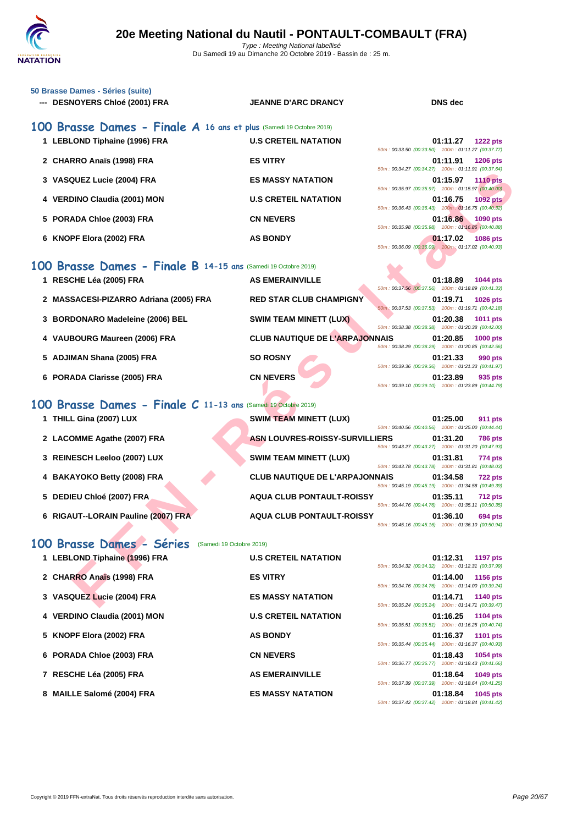#### **[50 Brasse](http://www.ffnatation.fr/webffn/index.php) Dames - Séries (suite) --- DESNOYERS Chloé (2001) FRA JEANNE D'ARC DRANCY DNS dec**

#### **100 Brasse Dames - Finale A 16 ans et plus** (Samedi 19 Octobre 2019) **1 LEBLOND Tiphaine (1996) FRA U.S CRETEIL NATATION 01:11.27 1222 pts** 50m : 00:33.50 (00:33.50) 100m : 01:11.27 (00:37.77) **2 CHARRO Anaïs (1998) FRA ES VITRY 01:11.91 1206 pts** 50m : 00:34.27 (00:34.27) 100m : 01:11.91 (00:37.64) **3 VASQUEZ Lucie (2004) FRA ES MASSY NATATION 01:15.97 1110 pts** 50m : 00:35.97 (00:35.97) 100m : 01:15.97 (00:40.00) **4 VERDINO Claudia (2001) MON U.S CRETEIL NATATION 01:16.75 1092 pts** 50m : 00:36.43 (00:36.43) 100m : 01:16.75 (00:40.32) **5 PORADA Chloe (2003) FRA CN NEVERS 01:16.86 1090 pts** 50m : 00:35.98 (00:35.98) 100m : 01:16.86 (00:40.88) **6 KNOPF Elora (2002) FRA AS BONDY 01:17.02 1086 pts**

### **100 Brasse Dames - Finale B 14-15 ans** (Samedi 19 Octobre 2019)

|                                                               |                                       | $0011.00.94.21 100.34.211 10011.01.11.31 100.31.041$ |          |                 |
|---------------------------------------------------------------|---------------------------------------|------------------------------------------------------|----------|-----------------|
| 3 VASQUEZ Lucie (2004) FRA                                    | <b>ES MASSY NATATION</b>              | 50m: 00:35.97 (00:35.97) 100m: 01:15.97 (00:40.00)   | 01:15.97 | <b>1110 pts</b> |
| 4 VERDINO Claudia (2001) MON                                  | <b>U.S CRETEIL NATATION</b>           | 50m: 00:36.43 (00:36.43) 100m: 01:16.75 (00:40.32)   | 01:16.75 | <b>1092 pts</b> |
| 5 PORADA Chloe (2003) FRA                                     | <b>CN NEVERS</b>                      | 50m: 00:35.98 (00:35.98) 100m: 01:16.86 (00:40.88)   | 01:16.86 | 1090 pts        |
| 6 KNOPF Elora (2002) FRA                                      | <b>AS BONDY</b>                       | 50m: 00:36.09 (00:36.09) 100m: 01:17.02 (00:40.93)   | 01:17.02 | 1086 pts        |
| 00 Brasse Dames - Finale B 14-15 ans (Samedi 19 Octobre 2019) |                                       |                                                      |          |                 |
| 1 RESCHE Léa (2005) FRA                                       | <b>AS EMERAINVILLE</b>                | 50m: 00:37.56 (00:37.56) 100m: 01:18.89 (00:41.33)   | 01:18.89 | 1044 pts        |
| 2 MASSACESI-PIZARRO Adriana (2005) FRA                        | <b>RED STAR CLUB CHAMPIGNY</b>        | 50m: 00:37.53 (00:37.53) 100m: 01:19.71 (00:42.18)   | 01:19.71 | 1026 pts        |
| 3 BORDONARO Madeleine (2006) BEL                              | <b>SWIM TEAM MINETT (LUX)</b>         | 50m: 00:38.38 (00:38.38) 100m: 01:20.38 (00:42.00)   | 01:20.38 | <b>1011 pts</b> |
| 4 VAUBOURG Maureen (2006) FRA                                 | <b>CLUB NAUTIQUE DE L'ARPAJONNAIS</b> | 50m: 00:38.29 (00:38.29) 100m: 01:20.85 (00:42.56)   | 01:20.85 | 1000 pts        |
| 5 ADJIMAN Shana (2005) FRA                                    | <b>SO ROSNY</b>                       | 50m: 00:39.36 (00:39.36) 100m: 01:21.33 (00:41.97)   | 01:21.33 | 990 pts         |
| 6 PORADA Clarisse (2005) FRA                                  | <b>CN NEVERS</b>                      | 50m: 00:39.10 (00:39.10) 100m: 01:23.89 (00:44.79)   | 01:23.89 | 935 pts         |
| 00 Brasse Dames - Finale C 11-13 ans (Samedi 19 Octobre 2019) |                                       |                                                      |          |                 |
| 1 THILL Gina (2007) LUX                                       | <b>SWIM TEAM MINETT (LUX)</b>         | 50m: 00:40.56 (00:40.56) 100m: 01:25.00 (00:44.44)   | 01:25.00 | <b>911 pts</b>  |
| 2 LACOMME Agathe (2007) FRA                                   | ASN LOUVRES-ROISSY-SURVILLIERS        | 50m: 00:43.27 (00:43.27) 100m: 01:31.20 (00:47.93)   | 01:31.20 | <b>786 pts</b>  |
| 3 REINESCH Leeloo (2007) LUX                                  | <b>SWIM TEAM MINETT (LUX)</b>         | 50m: 00:43.78 (00:43.78) 100m: 01:31.81 (00:48.03)   | 01:31.81 | 774 pts         |
| 4 BAKAYOKO Betty (2008) FRA                                   | <b>CLUB NAUTIQUE DE L'ARPAJONNAIS</b> | 50m: 00:45.19 (00:45.19) 100m: 01:34.58 (00:49.39)   | 01:34.58 | <b>722 pts</b>  |
| 5 DEDIEU Chloé (2007) FRA                                     | <b>AQUA CLUB PONTAULT-ROISSY</b>      | 50m: 00:44.76 (00:44.76) 100m: 01:35.11 (00:50.35)   | 01:35.11 | <b>712 pts</b>  |
| 6 RIGAUT--LORAIN Pauline (2007) FRA                           | <b>AQUA CLUB PONTAULT-ROISSY</b>      | 50m: 00:45.16 (00:45.16) 100m: 01:36.10 (00:50.94)   | 01:36.10 | 694 pts         |
| 00 Brasse Dames - Séries<br>(Samedi 19 Octobre 2019)          |                                       |                                                      |          |                 |
| 1 LEBLOND Tiphaine (1996) FRA                                 | <b>U.S CRETEIL NATATION</b>           | 50m: 00:34.32 (00:34.32) 100m: 01:12.31 (00:37.99)   | 01:12.31 | <b>1197 pts</b> |
| 2 CHARRO Anaïs (1998) FRA                                     | <b>ES VITRY</b>                       | 50m: 00:34.76 (00:34.76) 100m: 01:14.00 (00:39.24)   | 01:14.00 | <b>1156 pts</b> |
| 3 VASQUEZ Lucie (2004) FRA                                    | <b>ES MASSY NATATION</b>              | 50m: 00:35.24 (00:35.24) 100m: 01:14.71 (00:39.47)   | 01:14.71 | 1140 pts        |

## **100 Brasse Dames - Finale C 11-13 ans** (Samedi 19 Octobre 2019)

| 1 THILL Gina (2007) LUX             | <b>SWIM TEAM MINETT (LUX)</b>         | 50m: 00:40.56 (00:40.56) 100m: 01:25.00 (00:44.44) | 01:25.00 | <b>911 pts</b> |
|-------------------------------------|---------------------------------------|----------------------------------------------------|----------|----------------|
| 2 LACOMME Agathe (2007) FRA         | ASN LOUVRES-ROISSY-SURVILLIERS        | 50m: 00:43.27 (00:43.27) 100m: 01:31.20 (00:47.93) | 01:31.20 | <b>786 pts</b> |
| 3 REINESCH Leeloo (2007) LUX        | <b>SWIM TEAM MINETT (LUX)</b>         | 50m: 00:43.78 (00:43.78) 100m: 01:31.81 (00:48.03) | 01:31.81 | 774 pts        |
| 4 BAKAYOKO Betty (2008) FRA         | <b>CLUB NAUTIQUE DE L'ARPAJONNAIS</b> | 50m: 00:45.19 (00:45.19) 100m: 01:34.58 (00:49.39) | 01:34.58 | <b>722 pts</b> |
| 5 DEDIEU Chloé (2007) FRA           | <b>AQUA CLUB PONTAULT-ROISSY</b>      | 50m: 00:44.76 (00:44.76) 100m: 01:35.11 (00:50.35) | 01:35.11 | <b>712 pts</b> |
| 6 RIGAUT--LORAIN Pauline (2007) FRA | <b>AQUA CLUB PONTAULT-ROISSY</b>      | 50m: 00:45.16 (00:45.16) 100m: 01:36.10 (00:50.94) | 01:36.10 | 694 pts        |

## **100 Brasse Dames - Séries** (Samedi 19 Octobre 2019)

| 1 LEBLOND Tiphaine (1996) FRA | <b>U.S CRETEIL NATATION</b> | 01:12.31<br><b>1197 pts</b>                        |
|-------------------------------|-----------------------------|----------------------------------------------------|
|                               |                             | 50m: 00:34.32 (00:34.32) 100m: 01:12.31 (00:37.99) |
| 2 CHARRO Anaïs (1998) FRA     | <b>ES VITRY</b>             | 1156 pts<br>01:14.00                               |
|                               |                             | 50m: 00:34.76 (00:34.76) 100m: 01:14.00 (00:39.24) |
| 3 VASQUEZ Lucie (2004) FRA    | <b>ES MASSY NATATION</b>    | <b>1140 pts</b><br>01:14.71                        |
|                               |                             | 50m: 00:35.24 (00:35.24) 100m: 01:14.71 (00:39.47) |
| 4 VERDINO Claudia (2001) MON  | <b>U.S CRETEIL NATATION</b> | 01:16.25<br>1104 pts                               |
|                               |                             | 50m: 00:35.51 (00:35.51) 100m: 01:16.25 (00:40.74) |
| 5 KNOPF Elora (2002) FRA      | <b>AS BONDY</b>             | 01:16.37<br>1101 pts                               |
|                               |                             | 50m: 00:35.44 (00:35.44) 100m: 01:16.37 (00:40.93) |
| 6 PORADA Chloe (2003) FRA     | <b>CN NEVERS</b>            | 01:18.43<br>1054 pts                               |
|                               |                             | 50m: 00:36.77 (00:36.77) 100m: 01:18.43 (00:41.66) |
| 7 RESCHE Léa (2005) FRA       | <b>AS EMERAINVILLE</b>      | 01:18.64<br>1049 pts                               |
|                               |                             | 50m: 00:37.39 (00:37.39) 100m: 01:18.64 (00:41.25) |
| 8 MAILLE Salomé (2004) FRA    | <b>ES MASSY NATATION</b>    | 01:18.84<br>1045 pts                               |
|                               |                             | 50m: 00:37.42 (00:37.42) 100m: 01:18.84 (00:41.42) |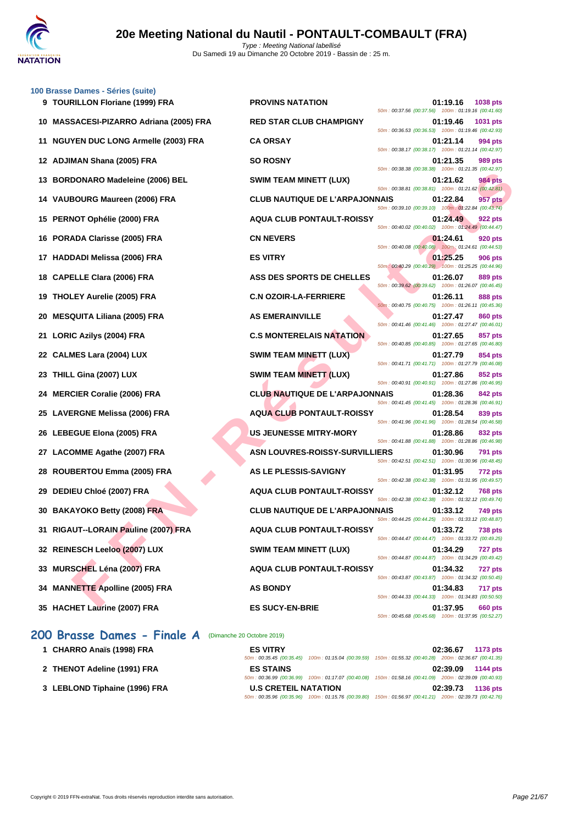

| 100 Brasse Dames - Séries (suite)<br>9 TOURILLON Floriane (1999) FRA | <b>PROVINS NATATION</b>               | 01:19.16<br>1038 pts                                                             |
|----------------------------------------------------------------------|---------------------------------------|----------------------------------------------------------------------------------|
|                                                                      |                                       | 50m: 00:37.56 (00:37.56) 100m: 01:19.16 (00:41.60)                               |
| 10 MASSACESI-PIZARRO Adriana (2005) FRA                              | <b>RED STAR CLUB CHAMPIGNY</b>        | 01:19.46<br>1031 pts<br>50m: 00:36.53 (00:36.53) 100m: 01:19.46 (00:42.93)       |
| 11 NGUYEN DUC LONG Armelle (2003) FRA                                | <b>CA ORSAY</b>                       | 01:21.14<br>994 pts<br>50m: 00:38.17 (00:38.17) 100m: 01:21.14 (00:42.97)        |
| 12 ADJIMAN Shana (2005) FRA                                          | <b>SO ROSNY</b>                       | 01:21.35<br>989 pts<br>50m: 00:38.38 (00:38.38) 100m: 01:21.35 (00:42.97)        |
| 13 BORDONARO Madeleine (2006) BEL                                    | <b>SWIM TEAM MINETT (LUX)</b>         | 01:21.62<br><b>984 pts</b><br>50m: 00:38.81 (00:38.81) 100m: 01:21.62 (00:42.81) |
| 14 VAUBOURG Maureen (2006) FRA                                       | <b>CLUB NAUTIQUE DE L'ARPAJONNAIS</b> | 01:22.84<br>957 pts<br>50m: 00:39.10 (00:39.10) 100m: 01:22.84 (00:43.74)        |
| 15 PERNOT Ophélie (2000) FRA                                         | <b>AQUA CLUB PONTAULT-ROISSY</b>      | 01:24.49<br>922 pts<br>50m: 00:40.02 (00:40.02) 100m: 01:24.49 (00:44.47)        |
| 16 PORADA Clarisse (2005) FRA                                        | <b>CN NEVERS</b>                      | 01:24.61<br>920 pts<br>50m: 00:40.08 (00:40.08) 100m: 01:24.61 (00:44.53)        |
| 17 HADDADI Melissa (2006) FRA                                        | <b>ES VITRY</b>                       | 01:25.25<br><b>906 pts</b><br>50m: 00:40.29 (00:40.29) 100m: 01:25.25 (00:44.96) |
| <b>CAPELLE Clara (2006) FRA</b><br>18                                | ASS DES SPORTS DE CHELLES             | 01:26.07<br>889 pts<br>50m: 00:39.62 (00:39.62) 100m: 01:26.07 (00:46.45)        |
| 19 THOLEY Aurelie (2005) FRA                                         | <b>C.N OZOIR-LA-FERRIERE</b>          | 01:26.11<br><b>888 pts</b><br>50m: 00:40.75 (00:40.75) 100m: 01:26.11 (00:45.36) |
| 20 MESQUITA Liliana (2005) FRA                                       | <b>AS EMERAINVILLE</b>                | 01:27.47<br><b>860 pts</b>                                                       |
| <b>LORIC Azilys (2004) FRA</b><br>21                                 | <b>C.S MONTERELAIS NATATION</b>       | 50m: 00:41.46 (00:41.46) 100m: 01:27.47 (00:46.01)<br>01:27.65<br>857 pts        |
| 22 CALMES Lara (2004) LUX                                            | <b>SWIM TEAM MINETT (LUX)</b>         | 50m: 00:40.85 (00:40.85) 100m: 01:27.65 (00:46.80)<br>01:27.79<br>854 pts        |
| THILL Gina (2007) LUX<br>23                                          | SWIM TEAM MINETT (LUX)                | 50m: 00:41.71 (00:41.71) 100m: 01:27.79 (00:46.08)<br>01:27.86<br>852 pts        |
| 24 MERCIER Coralie (2006) FRA                                        | <b>CLUB NAUTIQUE DE L'ARPAJONNAIS</b> | 50m: 00:40.91 (00:40.91) 100m: 01:27.86 (00:46.95)<br>01:28.36<br>842 pts        |
| 25 LAVERGNE Melissa (2006) FRA                                       | <b>AQUA CLUB PONTAULT-ROISSY</b>      | 50m: 00:41.45 (00:41.45) 100m: 01:28.36 (00:46.91)<br>01:28.54<br>839 pts        |
| 26 LEBEGUE Elona (2005) FRA                                          | <b>US JEUNESSE MITRY-MORY</b>         | 50m: 00:41.96 (00:41.96) 100m: 01:28.54 (00:46.58)<br>01:28.86<br>832 pts        |
| 27 LACOMME Agathe (2007) FRA                                         | <b>ASN LOUVRES-ROISSY-SURVILLIERS</b> | 50m: 00:41.88 (00:41.88) 100m: 01:28.86 (00:46.98)<br>01:30.96<br><b>791 pts</b> |
| ROUBERTOU Emma (2005) FRA<br>28                                      | AS LE PLESSIS-SAVIGNY                 | 50m: 00:42.51 (00:42.51) 100m: 01:30.96 (00:48.45)<br>01:31.95<br><b>772 pts</b> |
| DEDIEU Chloé (2007) FRA<br>29                                        | <b>AQUA CLUB PONTAULT-ROISSY</b>      | 50m: 00:42.38 (00:42.38) 100m: 01:31.95 (00:49.57)<br>01:32.12<br><b>768 pts</b> |
| 30 BAKAYOKO Betty (2008) FRA                                         | <b>CLUB NAUTIQUE DE L'ARPAJONNAIS</b> | 50m: 00:42.38 (00:42.38) 100m: 01:32.12 (00:49.74)<br>01:33.12<br>749 pts        |
| 31 RIGAUT--LORAIN Pauline (2007) FRA                                 | <b>AQUA CLUB PONTAULT-ROISSY</b>      | 50m: 00:44.25 (00:44.25) 100m: 01:33.12 (00:48.87)<br>01:33.72<br><b>738 pts</b> |
| 32 REINESCH Leeloo (2007) LUX                                        | <b>SWIM TEAM MINETT (LUX)</b>         | 50m: 00:44.47 (00:44.47) 100m: 01:33.72 (00:49.25)<br>01:34.29<br>727 pts        |
| 33 MURSCHEL Léna (2007) FRA                                          | <b>AQUA CLUB PONTAULT-ROISSY</b>      | 50m: 00:44.87 (00:44.87) 100m: 01:34.29 (00:49.42)<br>01:34.32<br>727 pts        |
| 34 MANNETTE Apolline (2005) FRA                                      | <b>AS BONDY</b>                       | 50m: 00:43.87 (00:43.87) 100m: 01:34.32 (00:50.45)<br>01:34.83<br>717 pts        |
|                                                                      |                                       | 50m: 00:44.33 (00:44.33) 100m: 01:34.83 (00:50.50)                               |
| 35 HACHET Laurine (2007) FRA                                         | <b>ES SUCY-EN-BRIE</b>                | 01:37.95<br>660 pts<br>50m: 00:45.68 (00:45.68) 100m: 01:37.95 (00:52.27)        |

## **200 Brasse Dames - Finale A** (Dimanche 20 Octobre 2019)

| 1 CHARRO Anaïs (1998) FRA     | <b>ES VITRY</b>             | 1173 pts<br>02:36.67                                                                                   |
|-------------------------------|-----------------------------|--------------------------------------------------------------------------------------------------------|
|                               |                             | 50m: 00:35.45 (00:35.45) 100m: 01:15.04 (00:39.59) 150m: 01:55.32 (00:40.28) 200m: 02:36.67 (00:41.35) |
| 2 THENOT Adeline (1991) FRA   | <b>ES STAINS</b>            | 02:39.09<br>1144 pts                                                                                   |
|                               |                             | 50m: 00:36.99 (00:36.99) 100m: 01:17.07 (00:40.08) 150m: 01:58.16 (00:41.09) 200m: 02:39.09 (00:40.93) |
| 3 LEBLOND Tiphaine (1996) FRA | <b>U.S CRETEIL NATATION</b> | 02:39.73<br>1136 pts                                                                                   |
|                               |                             | 50m: 00:35.96 (00:35.96) 100m: 01:15.76 (00:39.80) 150m: 01:56.97 (00:41.21) 200m: 02:39.73 (00:42.76) |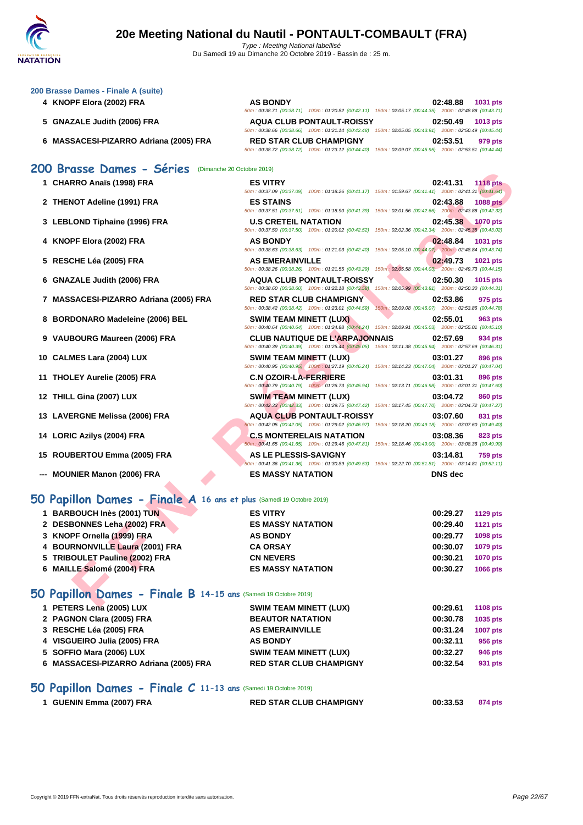

|  | 200 Brasse Dames - Finale A (suite) |  |  |
|--|-------------------------------------|--|--|
|  |                                     |  |  |

- 
- **5 GNAZALE Judith (2006) FRA**
- **6 MASSACESI-PIZARRO Adriana (2005) FRA**

| 4 KNOPF Elora (2002) FRA               | <b>AS BONDY</b> |                                                                                                        | 02:48.88 | <b>1031 pts</b> |
|----------------------------------------|-----------------|--------------------------------------------------------------------------------------------------------|----------|-----------------|
|                                        |                 | 50m: 00:38.71 (00:38.71) 100m: 01:20.82 (00:42.11) 150m: 02:05.17 (00:44.35) 200m: 02:48.88 (00:43.71) |          |                 |
| 5 GNAZALE Judith (2006) FRA            |                 | <b>AQUA CLUB PONTAULT-ROISSY</b>                                                                       | 02:50.49 | $1013$ pts      |
|                                        |                 | 50m: 00:38.66 (00:38.66) 100m: 01:21.14 (00:42.48) 150m: 02:05.05 (00:43.91) 200m: 02:50.49 (00:45.44) |          |                 |
| 6 MASSACESI-PIZARRO Adriana (2005) FRA |                 | <b>RED STAR CLUB CHAMPIGNY</b>                                                                         | 02:53.51 | 979 pts         |
|                                        |                 | 50m: 00:38.72 (00:38.72) 100m: 01:23.12 (00:44.40) 150m: 02:09.07 (00:45.95) 200m: 02:53.51 (00:44.44) |          |                 |

#### **200 Brasse Dames - Séries** (Dimanche 20 Octobre 2019)

| 1 CHARRO Anaïs (1998) FRA |
|---------------------------|
|---------------------------|

- **2 THENOT Adeline (1991) FRA ES STAINS 02:43.88 1088 pts**
- **3 LEBLOND Tiphaine (1996) FRA U.S CRETEIL NATATION 02:45.38 1070 pts**
- **4 KNOPF Elora (2002) FRA AS BONDY 02:48.84 1031 pts**
- **5 RESCHE Léa (2005) FRA AS EMERAINVILLE 02:49.73 1021 pts**
- **6 GNAZALE Judith (2006) FRA AQUA CLUB PONTAULT-ROISSY 02:50.30 1015 pts**
- **7 MASSACESI-PIZARRO Adriana (2005) FRA RED STAR CLUB CHAMPIGNY 02:53.86 975 pts**
- **8 BORDONARO Madeleine (2006) BEL SWIM TEAM MINETT (LUX) 02:55.01 963 pts**
- **9 VAUBOURG Maureen (2006) FRA CLUB NAUTIQUE DE L'ARPAJONNAIS 02:57.69 934 pts**
- **10 CALMES Lara (2004) LUX SWIM TEAM MINETT (LUX) 03:01.27 896 pts**
- **11 THOLEY Aurelie (2005) FRA C.N OZOIR-LA-FERRIERE 03:01.31 896 pts**
- **12 THILL Gina (2007) LUX SWIM TEAM MINETT (LUX) 03:04.72 860 pts**
- **13 LAVERGNE Melissa (2006) FRA AQUA CLUB PONTAULT-ROISSY 03:07.60 831 pts**
- **14 LORIC Azilys (2004) FRA C.S MONTERELAIS NATATION 03:08.36 823 pts**
- **15 ROUBERTOU Emma (2005) FRA AS LE PLESSIS-SAVIGNY 03:14.81 759 pts**
- **--- MOUNIER Manon (2006) FRA ES MASSY NATATION DNS dec**

## **50 Papillon Dames - Finale A 16 ans et plus** (Samedi 19 Octobre 2019)

| <b>UU DI'USSE DUITES - SEITES</b> (Difficulte 20 Octobre 2019)      |                                                                                                                                                 |                                                                                    |
|---------------------------------------------------------------------|-------------------------------------------------------------------------------------------------------------------------------------------------|------------------------------------------------------------------------------------|
| 1 CHARRO Anaïs (1998) FRA                                           | <b>ES VITRY</b><br>50m : 00:37.09 (00:37.09) 100m : 01:18.26 (00:41.17) 150m : 01:59.67 (00:41.41) 200m : 02:41.31 (00:41.64)                   | <b>1118 pts</b><br>02:41.31                                                        |
| 2 THENOT Adeline (1991) FRA                                         | <b>ES STAINS</b><br>50m: 00:37.51 (00:37.51) 100m: 01:18.90 (00:41.39) 150m: 02:01.56 (00:42.66) 200m: 02:43.88 (00:42.32)                      | 02:43.88<br><b>1088 pts</b>                                                        |
| 3 LEBLOND Tiphaine (1996) FRA                                       | <b>U.S CRETEIL NATATION</b><br>50m: 00:37.50 (00:37.50) 100m: 01:20.02 (00:42.52) 150m: 02:02.36 (00:42.34) 200m: 02:45.38 (00:43.02)           | 02:45.38<br>1070 pts                                                               |
| 4 KNOPF Elora (2002) FRA                                            | <b>AS BONDY</b><br>50m : 00:38.63 (00:38.63) 100m : 01:21.03 (00:42.40) 150m : 02:05.10 (00:44.07) 200m : 02:48.84 (00:43.74)                   | 02:48.84<br>1031 pts                                                               |
| 5 RESCHE Léa (2005) FRA                                             | <b>AS EMERAINVILLE</b><br>50m : 00:38.26 (00:38.26) 100m : 01:21.55 (00:43.29) 150m : 02:05.58 (00:44.03) 200m : 02:49.73 (00:44.15)            | 02:49.73<br>1021 pts                                                               |
| 6 GNAZALE Judith (2006) FRA                                         | <b>AQUA CLUB PONTAULT-ROISSY</b><br>50m: 00:38.60 (00:38.60) 100m: 01:22.18 (00:43.58)                                                          | 02:50.30<br><b>1015 pts</b><br>150m: 02:05.99 (00:43.81) 200m: 02:50.30 (00:44.31) |
| 7 MASSACESI-PIZARRO Adriana (2005) FRA                              | <b>RED STAR CLUB CHAMPIGNY</b><br>50m: 00:38.42 (00:38.42) 100m: 01:23.01 (00:44.59)                                                            | 02:53.86<br>975 pts<br>150m: 02:09.08 (00:46.07) 200m: 02:53.86 (00:44.78)         |
| 8 BORDONARO Madeleine (2006) BEL                                    | <b>SWIM TEAM MINETT (LUX)</b><br>50m: 00:40.64 (00:40.64) 100m: 01:24.88 (00:44.24) 150m: 02:09.91 (00:45.03) 200m: 02:55.01 (00:45.10)         | 02:55.01<br>963 pts                                                                |
| 9 VAUBOURG Maureen (2006) FRA                                       | <b>CLUB NAUTIQUE DE L'ARPAJONNAIS</b><br>50m: 00:40.39 (00:40.39) 100m: 01:25.44 (00:45.05) 150m: 02:11.38 (00:45.94) 200m: 02:57.69 (00:46.31) | 02:57.69<br>934 pts                                                                |
| 10 CALMES Lara (2004) LUX                                           | <b>SWIM TEAM MINETT (LUX)</b><br>50m : 00:40.95 (00:40.95) 100m : 01:27.19 (00:46.24) 150m : 02:14.23 (00:47.04) 200m : 03:01.27 (00:47.04)     | 03:01.27<br>896 pts                                                                |
| 11 THOLEY Aurelie (2005) FRA                                        | <b>C.N OZOIR-LA-FERRIERE</b><br>50m: 00:40.79 (00:40.79) 100m: 01:26.73 (00:45.94) 150m: 02:13.71 (00:46.98) 200m: 03:01.31 (00:47.60)          | 03:01.31<br><b>896 pts</b>                                                         |
| 12 THILL Gina (2007) LUX                                            | <b>SWIM TEAM MINETT (LUX)</b><br>50m: 00:42.33 (00:42.33) 100m: 01:29.75 (00:47.42) 150m: 02:17.45 (00:47.70) 200m: 03:04.72 (00:47.27)         | 03:04.72<br>860 pts                                                                |
| 13 LAVERGNE Melissa (2006) FRA                                      | <b>AQUA CLUB PONTAULT-ROISSY</b><br>50m: 00:42.05 (00:42.05) 100m: 01:29.02 (00:46.97) 150m: 02:18.20 (00:49.18) 200m: 03:07.60 (00:49.40)      | 03:07.60<br>831 pts                                                                |
| 14 LORIC Azilys (2004) FRA                                          | <b>C.S MONTERELAIS NATATION</b><br>50m: 00:41.65 (00:41.65) 100m: 01:29.46 (00:47.81) 150m: 02:18.46 (00:49.00) 200m: 03:08.36 (00:49.90)       | 03:08.36<br>823 pts                                                                |
| 15 ROUBERTOU Emma (2005) FRA                                        | AS LE PLESSIS-SAVIGNY<br>50m: 00:41.36 (00:41.36) 100m: 01:30.89 (00:49.53) 150m: 02:22.70 (00:51.81) 200m: 03:14.81 (00:52.11)                 | 03:14.81<br><b>759 pts</b>                                                         |
| --- MOUNIER Manon (2006) FRA                                        | <b>ES MASSY NATATION</b>                                                                                                                        | <b>DNS</b> dec                                                                     |
| O Papillon Dames - Finale A 16 ans et plus (Samedi 19 Octobre 2019) |                                                                                                                                                 |                                                                                    |
| 1 BARBOUCH Inès (2001) TUN                                          | <b>ES VITRY</b>                                                                                                                                 | 00:29.27<br><b>1129 pts</b>                                                        |
| 2 DESBONNES Leha (2002) FRA                                         | <b>ES MASSY NATATION</b>                                                                                                                        | 00:29.40<br><b>1121 pts</b>                                                        |
| 3 KNOPF Ornella (1999) FRA                                          | <b>AS BONDY</b>                                                                                                                                 | 00:29.77<br>1098 pts                                                               |
| 4 BOURNONVILLE Laura (2001) FRA                                     | <b>CA ORSAY</b>                                                                                                                                 | 00:30.07<br>1079 pts                                                               |
| 5 TRIBOULET Pauline (2002) FRA<br>6 MAILLE Salomé (2004) FRA        | <b>CN NEVERS</b><br><b>ES MASSY NATATION</b>                                                                                                    | 00:30.21<br><b>1070 pts</b><br>00:30.27<br>1066 pts                                |
| O Papillon Dames - Finale B 14-15 ans (Samedi 19 Octobre 2019)      |                                                                                                                                                 |                                                                                    |
| $\overline{A}$ DETEDS Lang (2005) LIIV                              | CIAIIM TEAM MINIETT /I LIVY                                                                                                                     | 00.206 <sub>04</sub><br>$\overline{ABAB}$                                          |

#### **50 Papillon Dames - Finale B 14-15 ans** (Samedi 19 Octobre 2019)

| 1 PETERS Lena (2005) LUX               | <b>SWIM TEAM MINETT (LUX)</b>  | 00:29.61 | <b>1108 pts</b> |
|----------------------------------------|--------------------------------|----------|-----------------|
| 2 PAGNON Clara (2005) FRA              | <b>BEAUTOR NATATION</b>        | 00:30.78 | 1035 pts        |
| 3 RESCHE Léa (2005) FRA                | <b>AS EMERAINVILLE</b>         | 00:31.24 | <b>1007 pts</b> |
| 4 VISGUEIRO Julia (2005) FRA           | <b>AS BONDY</b>                | 00:32.11 | 956 pts         |
| 5 SOFFIO Mara (2006) LUX               | <b>SWIM TEAM MINETT (LUX)</b>  | 00:32.27 | 946 pts         |
| 6 MASSACESI-PIZARRO Adriana (2005) FRA | <b>RED STAR CLUB CHAMPIGNY</b> | 00:32.54 | 931 pts         |
|                                        |                                |          |                 |

#### **50 Papillon Dames - Finale C 11-13 ans** (Samedi 19 Octobre 2019)

| 1 GUENIN Emma (2007) FRA | <b>RED STAR CLUB CHAMPIGNY</b> | 00:33.53 | 874 pts |
|--------------------------|--------------------------------|----------|---------|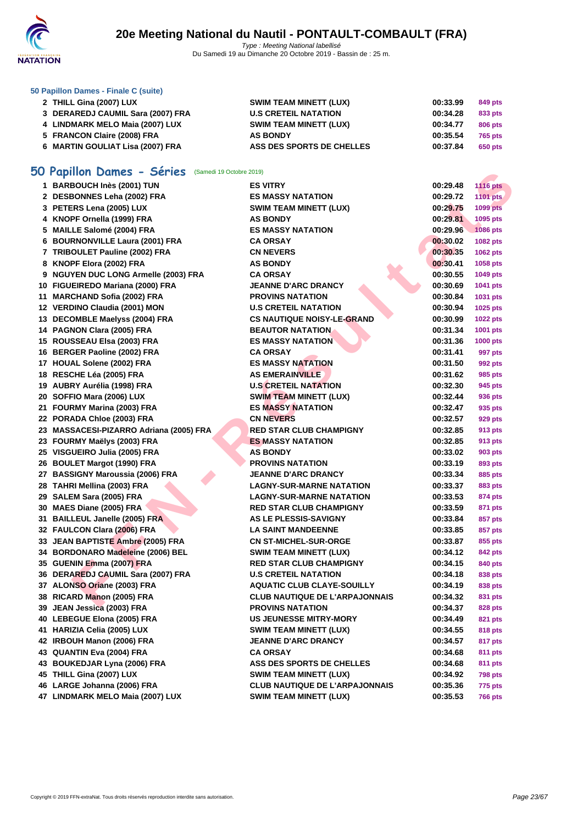

#### **[50 Papillo](http://www.ffnatation.fr/webffn/index.php)n Dames - Finale C (suite)**

| 2 THILL Gina (2007) LUX           | <b>SWIM TEAM MINETT (LUX)</b> | 00:33.99 | 849 pts        |
|-----------------------------------|-------------------------------|----------|----------------|
| 3 DERAREDJ CAUMIL Sara (2007) FRA | <b>U.S CRETEIL NATATION</b>   | 00:34.28 | 833 pts        |
| 4 LINDMARK MELO Maia (2007) LUX   | <b>SWIM TEAM MINETT (LUX)</b> | 00:34.77 | 806 pts        |
| 5 FRANCON Claire (2008) FRA       | <b>AS BONDY</b>               | 00:35.54 | <b>765 pts</b> |
| 6 MARTIN GOULIAT Lisa (2007) FRA  | ASS DES SPORTS DE CHELLES     | 00:37.84 | 650 pts        |

# **50 Papillon Dames - Séries** (Samedi 19 Octobre 2019)

| <b>IO Papillon Dames - Series</b> (Samedi 19 Octobre 2019) |                                       |          |                 |
|------------------------------------------------------------|---------------------------------------|----------|-----------------|
| 1 BARBOUCH Inès (2001) TUN                                 | <b>ES VITRY</b>                       | 00:29.48 | <b>1116 pts</b> |
| 2 DESBONNES Leha (2002) FRA                                | <b>ES MASSY NATATION</b>              | 00:29.72 | 1101 pts        |
| 3 PETERS Lena (2005) LUX                                   | <b>SWIM TEAM MINETT (LUX)</b>         | 00:29.75 | 1099 pts        |
| 4 KNOPF Ornella (1999) FRA                                 | <b>AS BONDY</b>                       | 00:29.81 | 1095 pts        |
| 5 MAILLE Salomé (2004) FRA                                 | <b>ES MASSY NATATION</b>              | 00:29.96 | <b>1086 pts</b> |
| 6 BOURNONVILLE Laura (2001) FRA                            | CA ORSAY                              | 00:30.02 | 1082 pts        |
| 7 TRIBOULET Pauline (2002) FRA                             | <b>CN NEVERS</b>                      | 00:30.35 | 1062 pts        |
| 8 KNOPF Elora (2002) FRA                                   | <b>AS BONDY</b>                       | 00:30.41 | 1058 pts        |
| 9 NGUYEN DUC LONG Armelle (2003) FRA                       | CA ORSAY                              | 00:30.55 | 1049 pts        |
| 10 FIGUEIREDO Mariana (2000) FRA                           | <b>JEANNE D'ARC DRANCY</b>            | 00:30.69 | 1041 pts        |
| 11 MARCHAND Sofia (2002) FRA                               | <b>PROVINS NATATION</b>               | 00:30.84 | 1031 pts        |
| 12 VERDINO Claudia (2001) MON                              | <b>U.S CRETEIL NATATION</b>           | 00:30.94 | 1025 pts        |
| 13 DECOMBLE Maelyss (2004) FRA                             | <b>CS NAUTIQUE NOISY-LE-GRAND</b>     | 00:30.99 | <b>1022 pts</b> |
| 14 PAGNON Clara (2005) FRA                                 | <b>BEAUTOR NATATION</b>               | 00:31.34 | 1001 pts        |
| 15 ROUSSEAU Elsa (2003) FRA                                | <b>ES MASSY NATATION</b>              | 00:31.36 | <b>1000 pts</b> |
| 16 BERGER Paoline (2002) FRA                               | <b>CA ORSAY</b>                       | 00:31.41 | 997 pts         |
| 17 HOUAL Solene (2002) FRA                                 | <b>ES MASSY NATATION</b>              | 00:31.50 | 992 pts         |
| 18 RESCHE Léa (2005) FRA                                   | <b>AS EMERAINVILLE</b>                | 00:31.62 | 985 pts         |
| 19 AUBRY Aurélia (1998) FRA                                | <b>U.S CRETEIL NATATION</b>           | 00:32.30 | 945 pts         |
| 20 SOFFIO Mara (2006) LUX                                  | <b>SWIM TEAM MINETT (LUX)</b>         | 00:32.44 | 936 pts         |
| 21 FOURMY Marina (2003) FRA                                | <b>ES MASSY NATATION</b>              | 00:32.47 | 935 pts         |
| 22 PORADA Chloe (2003) FRA                                 | <b>CN NEVERS</b>                      | 00:32.57 | 929 pts         |
| 23 MASSACESI-PIZARRO Adriana (2005) FRA                    | <b>RED STAR CLUB CHAMPIGNY</b>        | 00:32.85 | 913 pts         |
| 23 FOURMY Maëlys (2003) FRA                                | <b>ES MASSY NATATION</b>              | 00:32.85 | 913 pts         |
| 25 VISGUEIRO Julia (2005) FRA                              | <b>AS BONDY</b>                       | 00:33.02 | 903 pts         |
| 26 BOULET Margot (1990) FRA                                | <b>PROVINS NATATION</b>               | 00:33.19 | 893 pts         |
| 27 BASSIGNY Maroussia (2006) FRA                           | JEANNE D'ARC DRANCY                   | 00:33.34 | 885 pts         |
| 28 TAHRI Mellina (2003) FRA                                | <b>LAGNY-SUR-MARNE NATATION</b>       | 00:33.37 | 883 pts         |
| 29 SALEM Sara (2005) FRA                                   | <b>LAGNY-SUR-MARNE NATATION</b>       | 00:33.53 | 874 pts         |
| 30 MAES Diane (2005) FRA                                   | <b>RED STAR CLUB CHAMPIGNY</b>        | 00:33.59 | 871 pts         |
| 31 BAILLEUL Janelle (2005) FRA                             | <b>AS LE PLESSIS-SAVIGNY</b>          | 00:33.84 | 857 pts         |
| 32 FAULCON Clara (2006) FRA                                | <b>LA SAINT MANDEENNE</b>             | 00:33.85 | 857 pts         |
| 33 JEAN BAPTISTE Ambre (2005) FRA                          | <b>CN ST-MICHEL-SUR-ORGE</b>          | 00:33.87 | 855 pts         |
| 34 BORDONARO Madeleine (2006) BEL                          | <b>SWIM TEAM MINETT (LUX)</b>         | 00:34.12 | 842 pts         |
| 35 GUENIN Emma (2007) FRA                                  | <b>RED STAR CLUB CHAMPIGNY</b>        | 00:34.15 | 840 pts         |
| 36 DERAREDJ CAUMIL Sara (2007) FRA                         | <b>U.S CRETEIL NATATION</b>           | 00:34.18 | 838 pts         |
| 37 ALONSO Oriane (2003) FRA                                | <b>AQUATIC CLUB CLAYE-SOUILLY</b>     | 00:34.19 | 838 pts         |
| 38 RICARD Manon (2005) FRA                                 | <b>CLUB NAUTIQUE DE L'ARPAJONNAIS</b> | 00:34.32 | 831 pts         |
| 39 JEAN Jessica (2003) FRA                                 | PROVINS NATATION                      | 00:34.37 | <b>828 pts</b>  |
| 40 LEBEGUE Elona (2005) FRA                                | US JEUNESSE MITRY-MORY                | 00:34.49 | 821 pts         |
| 41 HARIZIA Celia (2005) LUX                                | <b>SWIM TEAM MINETT (LUX)</b>         | 00:34.55 | 818 pts         |
| 42 IRBOUH Manon (2006) FRA                                 | <b>JEANNE D'ARC DRANCY</b>            | 00:34.57 | 817 pts         |
| 43 QUANTIN Eva (2004) FRA                                  | CA ORSAY                              | 00:34.68 | 811 pts         |
| 43 BOUKEDJAR Lyna (2006) FRA                               | <b>ASS DES SPORTS DE CHELLES</b>      | 00:34.68 | 811 pts         |
| 45 THILL Gina (2007) LUX                                   | <b>SWIM TEAM MINETT (LUX)</b>         | 00:34.92 | <b>798 pts</b>  |
| 46 LARGE Johanna (2006) FRA                                | <b>CLUB NAUTIQUE DE L'ARPAJONNAIS</b> | 00:35.36 | 775 pts         |
| 47 LINDMARK MELO Maia (2007) LUX                           | <b>SWIM TEAM MINETT (LUX)</b>         | 00:35.53 | <b>766 pts</b>  |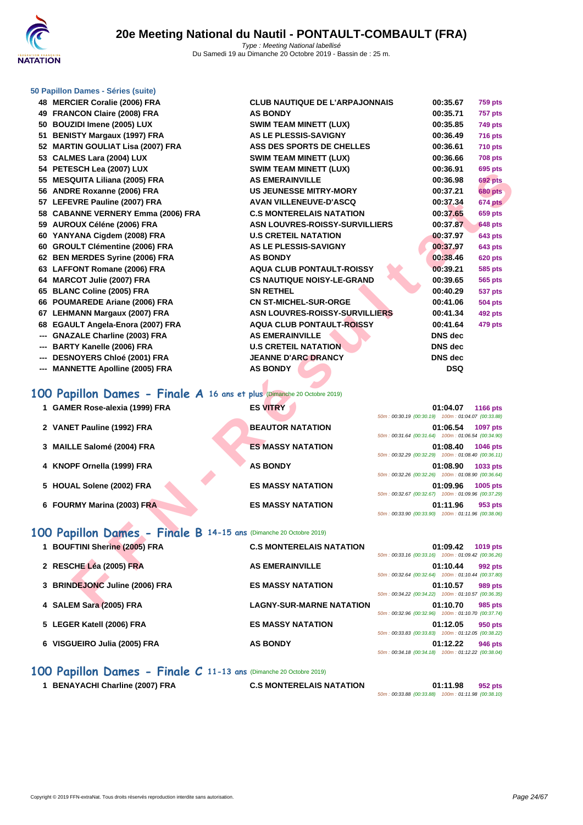#### **[50 Papillo](http://www.ffnatation.fr/webffn/index.php)n Dames - Séries (suite)**

 **MERCIER Coralie (2006) FRA CLUB NAUTIQUE DE L'ARPAJONNAIS 00:35.67 759 pts FRANCON Claire (2008) FRA AS BONDY 00:35.71 757 pts BOUZIDI Imene (2005) LUX SWIM TEAM MINETT (LUX) 00:35.85 749 pts BENISTY Margaux (1997) FRA AS LE PLESSIS-SAVIGNY 00:36.49 716 pts MARTIN GOULIAT Lisa (2007) FRA ASS DES SPORTS DE CHELLES 00:36.61 710 pts CALMES Lara (2004) LUX SWIM TEAM MINETT (LUX) 00:36.66 708 pts PETESCH Lea (2007) LUX SWIM TEAM MINETT (LUX) 00:36.91 695 pts MESQUITA Liliana (2005) FRA AS EMERAINVILLE 00:36.98 692 pts ANDRE Roxanne (2006) FRA US JEUNESSE MITRY-MORY 00:37.21 680 pts LEFEVRE Pauline (2007) FRA AVAN VILLENEUVE-D'ASCQ 00:37.34 674 pts CABANNE VERNERY Emma (2006) FRA C.S MONTERELAIS NATATION 00:37.65 659 pts AUROUX Céléne (2006) FRA ASN LOUVRES-ROISSY-SURVILLIERS 00:37.87 648 pts YANYANA Cigdem (2008) FRA U.S CRETEIL NATATION 00:37.97 643 pts GROULT Clémentine (2006) FRA AS LE PLESSIS-SAVIGNY 00:37.97 643 pts BEN MERDES Syrine (2006) FRA AS BONDY 00:38.46 620 pts LAFFONT Romane (2006) FRA AQUA CLUB PONTAULT-ROISSY 00:39.21 585 pts MARCOT Julie (2007) FRA CS NAUTIQUE NOISY-LE-GRAND 00:39.65 565 pts BLANC Coline (2005) FRA SN RETHEL 00:40.29 537 pts POUMAREDE Ariane (2006) FRA CN ST-MICHEL-SUR-ORGE 00:41.06 504 pts LEHMANN Margaux (2007) FRA ASN LOUVRES-ROISSY-SURVILLIERS 00:41.34 492 pts EGAULT Angela-Enora (2007) FRA AQUA CLUB PONTAULT-ROISSY 00:41.64 479 pts --- GNAZALE Charline (2003) FRA AS EMERAI --- BARTY Kanelle (2006) FRA U.S CRETEI** --- **DESNOYERS Chloé (2001) FRA** JEANNE D'A --- **MANNETTE Apolline (2005) FRA** AS BONDY

| <b>TIQUE DE L'ARPAJONNAIS</b>    | 00:35.67       | 759 p |
|----------------------------------|----------------|-------|
|                                  | 00:35.71       | 757 p |
| <b>A MINETT (LUX)</b>            | 00:35.85       | 749 p |
| <b>SSIS-SAVIGNY</b>              | 00:36.49       | 716 p |
| <b>PORTS DE CHELLES</b>          | 00:36.61       | 710 p |
| <b>A MINETT (LUX)</b>            | 00:36.66       | 708 p |
| <b>1 MINETT (LUX)</b>            | 00:36.91       | 695 p |
| <b>NVILLE</b>                    | 00:36.98       | 692 p |
| <b>SE MITRY-MORY</b>             | 00:37.21       | 680 p |
| <b>ENEUVE-D'ASCQ</b>             | 00:37.34       | 674 p |
| <b>RELAIS NATATION</b>           | 00:37.65       | 659 p |
| <b>RES-ROISSY-SURVILLIERS</b>    | 00:37.87       | 648 p |
| <b>IL NATATION</b>               | 00:37.97       | 643 p |
| <b>SSIS-SAVIGNY</b>              | 00:37.97       | 643 p |
|                                  | 00:38.46       | 620 p |
| <b>B PONTAULT-ROISSY</b>         | 00:39.21       | 585 p |
| <b>UE NOISY-LE-GRAND</b>         | 00:39.65       | 565 p |
|                                  | 00:40.29       | 537 p |
| <b>IEL-SUR-ORGE</b>              | 00:41.06       | 504 p |
| <b>RES-ROISSY-SURVILLIERS</b>    | 00:41.34       | 492 p |
| B PONTAULT- <mark>ROIS</mark> SY | 00:41.64       | 479 p |
| <b>NVILLE</b>                    | <b>DNS</b> dec |       |
| <b>IL NATATION</b>               | <b>DNS</b> dec |       |
| <b>ARC DRANCY</b>                | <b>DNS</b> dec |       |
|                                  | DSQ            |       |
|                                  |                |       |

#### **100 Papillon Dames - Finale A 16 ans et plus** (Dimanche 20 Octobre 2019)

| $3 + 1$ LILOUIL LEA (2007) LOA                                                                           | <b>SWIM ILAM MINLII (LOA)</b>         | 00.JU.JI<br>ບວບ µເວ                                                               |
|----------------------------------------------------------------------------------------------------------|---------------------------------------|-----------------------------------------------------------------------------------|
| 55 MESQUITA Liliana (2005) FRA                                                                           | <b>AS EMERAINVILLE</b>                | 00:36.98<br>692 pts                                                               |
| 56 ANDRE Roxanne (2006) FRA                                                                              | <b>US JEUNESSE MITRY-MORY</b>         | 00:37.21<br><b>680 pts</b>                                                        |
| 57 LEFEVRE Pauline (2007) FRA                                                                            | <b>AVAN VILLENEUVE-D'ASCQ</b>         | 00:37.34<br>674 pts                                                               |
| 58 CABANNE VERNERY Emma (2006) FRA                                                                       | <b>C.S MONTERELAIS NATATION</b>       | 00:37.65<br>659 pts                                                               |
| 59 AUROUX Céléne (2006) FRA                                                                              | <b>ASN LOUVRES-ROISSY-SURVILLIERS</b> | 00:37.87<br>648 pts                                                               |
| 60 YANYANA Cigdem (2008) FRA                                                                             | <b>U.S CRETEIL NATATION</b>           | 00:37.97<br>643 pts                                                               |
| 60 GROULT Clémentine (2006) FRA                                                                          | AS LE PLESSIS-SAVIGNY                 | 00:37.97<br>643 pts                                                               |
| 62 BEN MERDES Syrine (2006) FRA                                                                          | <b>AS BONDY</b>                       | 00:38.46<br>620 pts                                                               |
| 63 LAFFONT Romane (2006) FRA                                                                             | <b>AQUA CLUB PONTAULT-ROISSY</b>      | 00:39.21<br>585 pts                                                               |
| 64 MARCOT Julie (2007) FRA                                                                               | <b>CS NAUTIQUE NOISY-LE-GRAND</b>     | 00:39.65<br>565 pts                                                               |
| 65 BLANC Coline (2005) FRA                                                                               | <b>SN RETHEL</b>                      | 00:40.29<br>537 pts                                                               |
| 66 POUMAREDE Ariane (2006) FRA                                                                           | <b>CN ST-MICHEL-SUR-ORGE</b>          | 00:41.06<br>504 pts                                                               |
| 67 LEHMANN Margaux (2007) FRA                                                                            | <b>ASN LOUVRES-ROISSY-SURVILLIERS</b> | 00:41.34<br>492 pts                                                               |
| 68 EGAULT Angela-Enora (2007) FRA                                                                        | <b>AQUA CLUB PONTAULT-ROISSY</b>      | 00:41.64<br>479 pts                                                               |
| --- GNAZALE Charline (2003) FRA                                                                          | <b>AS EMERAINVILLE</b>                | <b>DNS</b> dec                                                                    |
| --- BARTY Kanelle (2006) FRA                                                                             | <b>U.S CRETEIL NATATION</b>           | <b>DNS</b> dec                                                                    |
| --- DESNOYERS Chloé (2001) FRA                                                                           | <b>JEANNE D'ARC DRANCY</b>            | <b>DNS</b> dec                                                                    |
| --- MANNETTE Apolline (2005) FRA                                                                         | <b>AS BONDY</b>                       | <b>DSQ</b>                                                                        |
| 00 Papillon Dames - Finale A 16 ans et plus (Dimanche 20 Octobre 2019)<br>1 GAMER Rose-alexia (1999) FRA | <b>ES VITRY</b>                       |                                                                                   |
|                                                                                                          |                                       | 01:04.07<br><b>1166 pts</b><br>50m: 00:30.19 (00:30.19) 100m: 01:04.07 (00:33.88) |
| 2 VANET Pauline (1992) FRA                                                                               | <b>BEAUTOR NATATION</b>               | 01:06.54<br>1097 pts                                                              |
|                                                                                                          |                                       | 50m: 00:31.64 (00:31.64) 100m: 01:06.54 (00:34.90)                                |
| 3 MAILLE Salomé (2004) FRA                                                                               | <b>ES MASSY NATATION</b>              | 01:08.40<br>1046 pts                                                              |
|                                                                                                          |                                       | 50m: 00:32.29 (00:32.29) 100m: 01:08.40 (00:36.11)                                |
| 4 KNOPF Ornella (1999) FRA                                                                               | <b>AS BONDY</b>                       | 01:08.90<br>1033 pts<br>50m: 00:32.26 (00:32.26) 100m: 01:08.90 (00:36.64)        |
| 5 HOUAL Solene (2002) FRA                                                                                | <b>ES MASSY NATATION</b>              | 01:09.96<br>1005 pts                                                              |
|                                                                                                          |                                       | 50m: 00:32.67 (00:32.67) 100m: 01:09.96 (00:37.29)                                |
| 6 FOURMY Marina (2003) FRA                                                                               | <b>ES MASSY NATATION</b>              | 01:11.96<br>953 pts                                                               |
|                                                                                                          |                                       | 50m: 00:33.90 (00:33.90) 100m: 01:11.96 (00:38.06)                                |
|                                                                                                          |                                       |                                                                                   |
| 00 Papillon Dames - Finale B 14-15 ans (Dimanche 20 Octobre 2019)                                        |                                       |                                                                                   |
| 1 BOUFTINI Sherine (2005) FRA                                                                            | <b>C.S MONTERELAIS NATATION</b>       | 01:09.42<br><b>1019 pts</b>                                                       |
|                                                                                                          |                                       | 50m: 00:33.16 (00:33.16) 100m: 01:09.42 (00:36.26)                                |
| 2 RESCHE Léa (2005) FRA                                                                                  | <b>AS EMERAINVILLE</b>                | 01:10.44<br>992 pts<br>50m: 00:32.64 (00:32.64) 100m: 01:10.44 (00:37.80)         |
| 3 BRINDEJONC Juline (2006) FRA                                                                           | <b>ES MASSY NATATION</b>              | 01:10.57                                                                          |
|                                                                                                          |                                       | 989 pts<br>50m: 00:34.22 (00:34.22) 100m: 01:10.57 (00:36.35)                     |
| 4 SALEM Sara (2005) FRA                                                                                  | <b>LAGNY-SUR-MARNE NATATION</b>       | 01:10.70<br>985 pts                                                               |

## **100 Papillon Dames - Finale B 14-15 ans** (Dimanche 20 Octobre 2019)

| 1 BOUFTINI Sherine (2005) FRA  | <b>C.S MONTERELAIS NATATION</b> | 01:09.42<br><b>1019 pts</b><br>50m: 00:33.16 (00:33.16) 100m: 01:09.42 (00:36.26) |
|--------------------------------|---------------------------------|-----------------------------------------------------------------------------------|
| 2 RESCHE Léa (2005) FRA        | <b>AS EMERAINVILLE</b>          | 01:10.44<br>992 pts<br>50m: 00:32.64 (00:32.64) 100m: 01:10.44 (00:37.80)         |
| 3 BRINDEJONC Juline (2006) FRA | <b>ES MASSY NATATION</b>        | 01:10.57<br><b>989 pts</b><br>50m: 00:34.22 (00:34.22) 100m: 01:10.57 (00:36.35)  |
| 4 SALEM Sara (2005) FRA        | <b>LAGNY-SUR-MARNE NATATION</b> | 01:10.70<br>985 pts<br>50m: 00:32.96 (00:32.96) 100m: 01:10.70 (00:37.74)         |
| 5 LEGER Katell (2006) FRA      | <b>ES MASSY NATATION</b>        | 01:12.05<br>950 pts<br>50m: 00:33.83 (00:33.83) 100m: 01:12.05 (00:38.22)         |
| 6 VISGUEIRO Julia (2005) FRA   | <b>AS BONDY</b>                 | 01:12.22<br>946 pts<br>50m: 00:34.18 (00:34.18) 100m: 01:12.22 (00:38.04)         |

### **100 Papillon Dames - Finale C 11-13 ans** (Dimanche 20 Octobre 2019)

**1 BENAYACHI Charline (2007) FRA C.S MONTERELAIS NATATION 01:11.98 952 pts**

50m : 00:33.88 (00:33.88) 100m : 01:11.98 (00:38.10)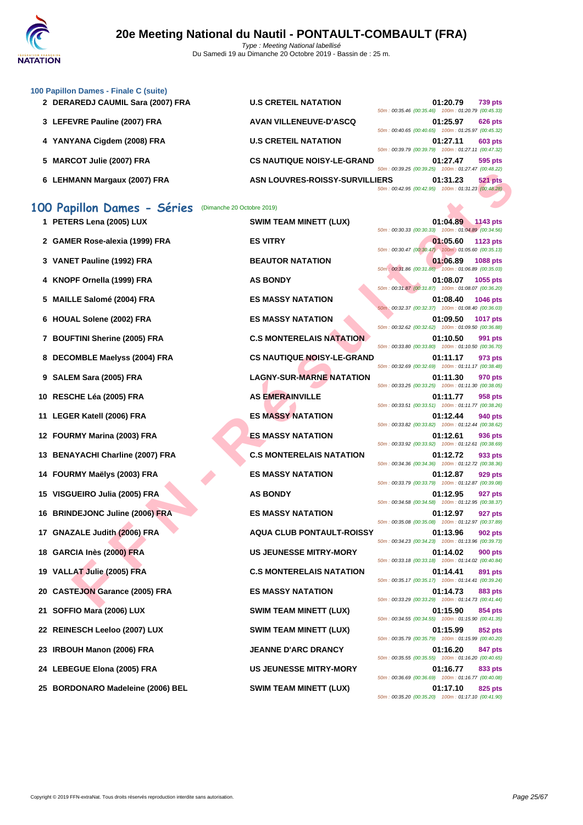

|  |  | 100 Papillon Dames - Finale C (suite) |  |  |  |  |
|--|--|---------------------------------------|--|--|--|--|
|--|--|---------------------------------------|--|--|--|--|

- **2 DERAREDJ CAUMIL Sara (2007) FRA U.S CRET**
- **3** LEFEVRE Pauline (2007) FRA **AVAN VIL**
- **4 YANYANA Cigdem (2008) FRA U.S CRET**
- **5 MARCOT Julie (2007) FRA CS NAUT**
- **6** LEHMANN Margaux (2007) FRA **ASN LOU**

| 'EIL NATATION                  |  | 01:20.79 739 pts<br>50m: 00:35.46 (00:35.46) 100m: 01:20.79 (00:45.33) |                |
|--------------------------------|--|------------------------------------------------------------------------|----------------|
| <b>LENEUVE-D'ASCQ</b>          |  | 01:25.97<br>50m: 00:40.65 (00:40.65) 100m: 01:25.97 (00:45.32)         | <b>626 pts</b> |
| <b>EIL NATATION</b>            |  | 01:27.11<br>50m: 00:39.79 (00:39.79) 100m: 01:27.11 (00:47.32)         | <b>603 pts</b> |
| <b>IQUE NOISY-LE-GRAND</b>     |  | 01:27.47<br>50m: 00:39.25 (00:39.25) 100m: 01:27.47 (00:48.22)         | 595 pts        |
| <b>VRES-ROISSY-SURVILLIERS</b> |  | 01:31.23                                                               | <b>521 pts</b> |
|                                |  | 50m: 00:42.95 (00:42.95) 100m: 01:31.23 (00:48.28)                     |                |

### **100 Papillon Dames - Séries** (Dimanche 20 Octobre 2019)

| 00 Papillon Dames - Séries       | (Dimanche 20 Octobre 2019) |                                   |                                                    |          |                 |
|----------------------------------|----------------------------|-----------------------------------|----------------------------------------------------|----------|-----------------|
| 1 PETERS Lena (2005) LUX         |                            | <b>SWIM TEAM MINETT (LUX)</b>     | 50m: 00:30.33 (00:30.33) 100m: 01:04.89 (00:34.56) | 01:04.89 | 1143 pts        |
| 2 GAMER Rose-alexia (1999) FRA   |                            | <b>ES VITRY</b>                   | 50m: 00:30.47 (00:30.47) 100m: 01:05.60 (00:35.13) | 01:05.60 | <b>1123 pts</b> |
| 3 VANET Pauline (1992) FRA       |                            | <b>BEAUTOR NATATION</b>           | 50m: 00:31.86 (00:31.86) 100m: 01:06.89 (00:35.03) | 01:06.89 | <b>1088 pts</b> |
| 4 KNOPF Ornella (1999) FRA       |                            | <b>AS BONDY</b>                   | 50m: 00:31.87 (00:31.87) 100m: 01:08.07 (00:36.20) | 01:08.07 | 1055 pts        |
| 5 MAILLE Salomé (2004) FRA       |                            | <b>ES MASSY NATATION</b>          | 50m: 00:32.37 (00:32.37) 100m: 01:08.40 (00:36.03) | 01:08.40 | 1046 pts        |
| 6 HOUAL Solene (2002) FRA        |                            | <b>ES MASSY NATATION</b>          | 50m: 00:32.62 (00:32.62) 100m: 01:09.50 (00:36.88) | 01:09.50 | <b>1017 pts</b> |
| 7 BOUFTINI Sherine (2005) FRA    |                            | <b>C.S MONTERELAIS NATATION</b>   | 50m: 00:33.80 (00:33.80) 100m: 01:10.50 (00:36.70) | 01:10.50 | 991 pts         |
| 8 DECOMBLE Maelyss (2004) FRA    |                            | <b>CS NAUTIQUE NOISY-LE-GRAND</b> |                                                    | 01:11.17 | 973 pts         |
| 9 SALEM Sara (2005) FRA          |                            | <b>LAGNY-SUR-MARNE NATATION</b>   | 50m: 00:32.69 (00:32.69) 100m: 01:11.17 (00:38.48) | 01:11.30 | 970 pts         |
| 10 RESCHE Léa (2005) FRA         |                            | <b>AS EMERAINVILLE</b>            | 50m: 00:33.25 (00:33.25) 100m: 01:11.30 (00:38.05) | 01:11.77 | 958 pts         |
| 11 LEGER Katell (2006) FRA       |                            | <b>ES MASSY NATATION</b>          | 50m: 00:33.51 (00:33.51) 100m: 01:11.77 (00:38.26) | 01:12.44 | 940 pts         |
| 12 FOURMY Marina (2003) FRA      |                            | <b>ES MASSY NATATION</b>          | 50m: 00:33.82 (00:33.82) 100m: 01:12.44 (00:38.62) | 01:12.61 | 936 pts         |
| 13 BENAYACHI Charline (2007) FRA |                            | <b>C.S MONTERELAIS NATATION</b>   | 50m: 00:33.92 (00:33.92) 100m: 01:12.61 (00:38.69) | 01:12.72 | 933 pts         |
| 14 FOURMY Maëlys (2003) FRA      |                            | <b>ES MASSY NATATION</b>          | 50m: 00:34.36 (00:34.36) 100m: 01:12.72 (00:38.36) | 01:12.87 | 929 pts         |
| 15 VISGUEIRO Julia (2005) FRA    |                            | <b>AS BONDY</b>                   | 50m: 00:33.79 (00:33.79) 100m: 01:12.87 (00:39.08) | 01:12.95 | 927 pts         |
|                                  |                            |                                   | 50m: 00:34.58 (00:34.58) 100m: 01:12.95 (00:38.37) |          |                 |

- 
- 
- 
- 
- **20 CASTEJON Garance (2005) FRA ES MASSY NATATION 01:14.73 883 pts**
- 
- 
- 
- 
- **25 BORDONARO Madeleine (2006) BEL SWIM TEAM MINETT (LUX) 01:17.10 825 pts**

 **BRINDEJONC Juline (2006) FRA ES MASSY NATATION 01:12.97 927 pts GNAZALE Judith (2006) FRA AQUA CLUB PONTAULT-ROISSY 01:13.96 902 pts GARCIA Inès (2000) FRA US JEUNESSE MITRY-MORY 01:14.02 900 pts VALLAT Julie (2005) FRA C.S MONTERELAIS NATATION 01:14.41 891 pts SOFFIO Mara (2006) LUX SWIM TEAM MINETT (LUX) 01:15.90 854 pts REINESCH Leeloo (2007) LUX SWIM TEAM MINETT (LUX) 01:15.99 852 pts IRBOUH Manon (2006) FRA JEANNE D'ARC DRANCY 01:16.20 847 pts LEBEGUE Elona (2005) FRA US JEUNESSE MITRY-MORY 01:16.77 833 pts**

MAIN Margaux (2007) FRA SIN LOUVRES-ROISSY-SURVILLERS<br>
F RIGHARA SOMETER IN A SURVES-ROISSY-SURVILLERS<br>
ER SERGENDER (1003) FRA EST TREAT IN A SURVEY CONFIDENT (1003)<br>
FF Ormedia (1999) FRA EST TREAT IN A SURVEY AND TREAT **1143 pts CONSIDERS LEAM MINETT (LUX) D1:04.89 1143 pts** 50m : 00:30.33 (00:30.33) 100m : 01:04.89 (00:34.56) **2 CAMER ROSE-Alexis (1999) FRA CAMER ROSE-Alexis (1999) FRA CAMER ROSE-Alexis (1999)** FRA 50m : 00:30.47 (00:30.47) 100m : 01:05.60 (00:35.13) **3 BEAUTOR NATATION 1992 1088 pts** 50m : 00:31.86 (00:31.86) 100m : 01:06.89 (00:35.03) **48 BONDY 01:08.07 1055 pts** 50m : 00:31.87 (00:31.87) 100m : 01:08.07 (00:36.20) **5 ES MASSY NATATION 01:08.40 1046 pts** 50m : 00:32.37 (00:32.37) 100m : 01:08.40 (00:36.03) **62 <b>ES MASSY NATATION CONSUMING (2002) 01:09.50 1017 pts** 50m : 00:32.62 (00:32.62) 100m : 01:09.50 (00:36.88) **7 BOUFFINIS SHERING C.S MONTERELAIS NATATION 01:10.50 991 pts** 50m : 00:33.80 (00:33.80) 100m : 01:10.50 (00:36.70) **8 CS NAUTIQUE NOISY-LE-GRAND 01:11.17 973 pts** 50m : 00:32.69 (00:32.69) 100m : 01:11.17 (00:38.48) **LAGNY-SUR-MARNE NATATION 01:11.30 970 pts** 50m : 00:33.25 (00:33.25) 100m : 01:11.30 (00:38.05) **100 B RESCHE RAINVILLE 100 B RMERAINVILLE 101:11.77 958 pts** 50m : 00:33.51 (00:33.51) 100m : 01:11.77 (00:38.26) **112.44 12.44 940 pts** 50m : 00:33.82 (00:33.82) 100m : 01:12.44 (00:38.62) **12.61 12.61 12.61 936 pts** 50m : 00:33.92 (00:33.92) 100m : 01:12.61 (00:38.69) **13 C.S MONTERELAIS NATATION 01:12.72 933 pts** 50m : 00:34.36 (00:34.36) 100m : 01:12.72 (00:38.36) **1414 FOURMY ES MASSY NATATION 1414 FOURMY 1203** Pts 50m : 00:33.79 (00:33.79) 100m : 01:12.87 (00:39.08) 50m : 00:34.58 (00:34.58) 100m : 01:12.95 (00:38.37) 50m : 00:35.08 (00:35.08) 100m : 01:12.97 (00:37.89) 50m : 00:34.23 (00:34.23) 100m : 01:13.96 (00:39.73) 50m : 00:33.18 (00:33.18) 100m : 01:14.02 (00:40.84) 50m : 00:35.17 (00:35.17) 100m : 01:14.41 (00:39.24) 50m : 00:33.29 (00:33.29) 100m : 01:14.73 (00:41.44) 50m : 00:34.55 (00:34.55) 100m : 01:15.90 (00:41.35) 50m : 00:35.79 (00:35.79) 100m : 01:15.99 (00:40.20) 50m : 00:35.55 (00:35.55) 100m : 01:16.20 (00:40.65) 50m : 00:36.69 (00:36.69) 100m : 01:16.77 (00:40.08) 50m : 00:35.20 (00:35.20) 100m : 01:17.10 (00:41.90)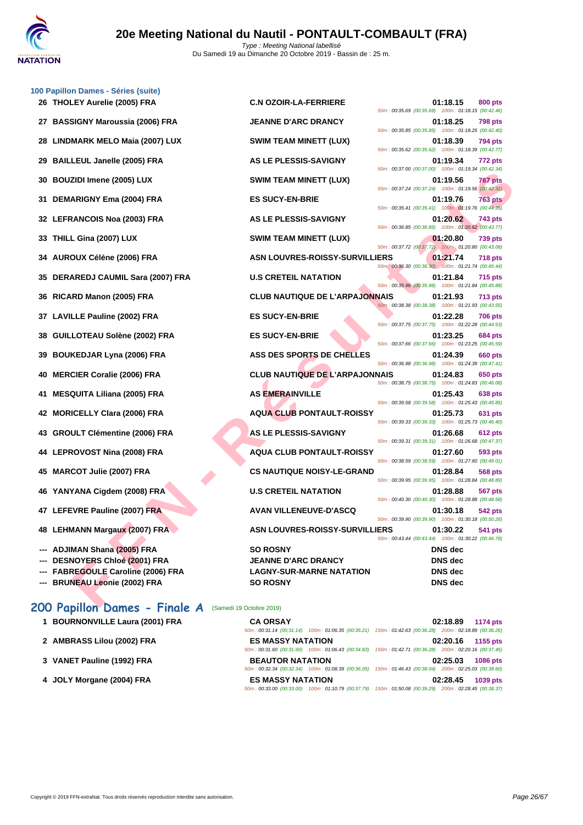

|    | 100 Papillon Dames - Séries (suite)  |                                       |                                                                                                                                 |
|----|--------------------------------------|---------------------------------------|---------------------------------------------------------------------------------------------------------------------------------|
|    | 26 THOLEY Aurelie (2005) FRA         | <b>C.N OZOIR-LA-FERRIERE</b>          | 01:18.15<br>800 pts<br>50m: 00:35.69 (00:35.69) 100m: 01:18.15 (00:42.46)                                                       |
| 27 | <b>BASSIGNY Maroussia (2006) FRA</b> | <b>JEANNE D'ARC DRANCY</b>            | 01:18.25<br><b>798 pts</b>                                                                                                      |
| 28 | <b>LINDMARK MELO Maia (2007) LUX</b> | <b>SWIM TEAM MINETT (LUX)</b>         | 50m: 00:35.85 (00:35.85) 100m: 01:18.25 (00:42.40)<br>01:18.39<br>794 pts                                                       |
| 29 | <b>BAILLEUL Janelle (2005) FRA</b>   | AS LE PLESSIS-SAVIGNY                 | 50m: 00:35.62 (00:35.62) 100m: 01:18.39 (00:42.77)<br>01:19.34<br>772 pts                                                       |
| 30 | <b>BOUZIDI Imene (2005) LUX</b>      | <b>SWIM TEAM MINETT (LUX)</b>         | 50m: 00:37.00 (00:37.00) 100m: 01:19.34 (00:42.34)<br>01:19.56<br>767 pts                                                       |
| 31 | <b>DEMARIGNY Ema (2004) FRA</b>      | <b>ES SUCY-EN-BRIE</b>                | 50m: 00:37.24 (00:37.24) 100m: 01:19.56 (00:42.32)<br>01:19.76<br><b>763 pts</b>                                                |
|    | 32 LEFRANCOIS Noa (2003) FRA         | AS LE PLESSIS-SAVIGNY                 | 50m: 00:35.41 (00:35.41) 100m: 01:19.76 (00:44.35)<br>01:20.62<br>743 pts<br>50m: 00:36.85 (00:36.85) 100m: 01:20.62 (00:43.77) |
| 33 | THILL Gina (2007) LUX                | <b>SWIM TEAM MINETT (LUX)</b>         | 01:20.80<br><b>739 pts</b>                                                                                                      |
| 34 | <b>AUROUX Céléne (2006) FRA</b>      | ASN LOUVRES-ROISSY-SURVILLIERS        | 50m: 00:37.72 (00:37.72) 100m: 01:20.80 (00:43.08)<br>01:21.74<br>718 pts<br>50m: 00:36.30 (00:36.30) 100m: 01:21.74 (00:45.44) |
| 35 | DERAREDJ CAUMIL Sara (2007) FRA      | <b>U.S CRETEIL NATATION</b>           | 01:21.84<br>715 pts<br>50m: 00:35.96 (00:35.96) 100m: 01:21.84 (00:45.88)                                                       |
| 36 | RICARD Manon (2005) FRA              | <b>CLUB NAUTIQUE DE L'ARPAJONNAIS</b> | 01:21.93<br><b>713 pts</b>                                                                                                      |
| 37 | <b>LAVILLE Pauline (2002) FRA</b>    | <b>ES SUCY-EN-BRIE</b>                | 50m: 00:38.38 (00:38.38) 100m: 01:21.93 (00:43.55)<br>01:22.28<br>706 pts                                                       |
| 38 | GUILLOTEAU Solène (2002) FRA         | <b>ES SUCY-EN-BRIE</b>                | 50m: 00:37.75 (00:37.75) 100m: 01:22.28 (00:44.53)<br>01:23.25<br>684 pts                                                       |
| 39 | <b>BOUKEDJAR Lyna (2006) FRA</b>     | ASS DES SPORTS DE CHELLES             | 50m: 00:37.66 (00:37.66) 100m: 01:23.25 (00:45.59)<br>01:24.39<br>660 pts                                                       |
| 40 | <b>MERCIER Coralie (2006) FRA</b>    | <b>CLUB NAUTIQUE DE L'ARPAJONNAIS</b> | 50m: 00:36.98 (00:36.98) 100m: 01:24.39 (00:47.41)<br>01:24.83<br>650 pts                                                       |
| 41 | <b>MESQUITA Liliana (2005) FRA</b>   | <b>AS EMERAINVILLE</b>                | 50m: 00:38.75 (00:38.75) 100m: 01:24.83 (00:46.08)<br>01:25.43<br>638 pts                                                       |
| 42 | <b>MORICELLY Clara (2006) FRA</b>    | <b>AQUA CLUB PONTAULT-ROISSY</b>      | 50m: 00:39.58 (00:39.58) 100m: 01:25.43 (00:45.85)<br>01:25.73<br>631 pts                                                       |
| 43 | <b>GROULT Clémentine (2006) FRA</b>  | AS LE PLESSIS-SAVIGNY                 | 50m: 00:39.33 (00:39.33) 100m: 01:25.73 (00:46.40)<br>01:26.68<br>612 pts                                                       |
|    | 44 LEPROVOST Nina (2008) FRA         | <b>AQUA CLUB PONTAULT-ROISSY</b>      | 50m: 00:39.31 (00:39.31) 100m: 01:26.68 (00:47.37)<br>01:27.60<br>593 pts                                                       |
| 45 | <b>MARCOT Julie (2007) FRA</b>       | <b>CS NAUTIQUE NOISY-LE-GRAND</b>     | 50m: 00:38.59 (00:38.59) 100m: 01:27.60 (00:49.01)<br>01:28.84<br><b>568 pts</b>                                                |
|    | 46 YANYANA Cigdem (2008) FRA         | <b>U.S CRETEIL NATATION</b>           | 50m: 00:39.95 (00:39.95) 100m: 01:28.84 (00:48.89)<br>01:28.88<br>567 pts                                                       |
|    | 47 LEFEVRE Pauline (2007) FRA        | <b>AVAN VILLENEUVE-D'ASCQ</b>         | 50m: 00:40.30 (00:40.30) 100m: 01:28.88 (00:48.58)<br>01:30.18<br>542 pts                                                       |
|    | 48 LEHMANN Margaux (2007) FRA        | <b>ASN LOUVRES-ROISSY-SURVILLIERS</b> | 50m: 00:39.90 (00:39.90) 100m: 01:30.18 (00:50.28)<br>01:30.22<br>541 pts                                                       |
|    |                                      |                                       | 50m: 00:43.44 (00:43.44) 100m: 01:30.22 (00:46.78)                                                                              |
|    | --- ADJIMAN Shana (2005) FRA         | <b>SO ROSNY</b>                       | <b>DNS</b> dec                                                                                                                  |
|    | --- DESNOYERS Chloé (2001) FRA       | <b>JEANNE D'ARC DRANCY</b>            | <b>DNS</b> dec                                                                                                                  |
|    | --- FABREGOULE Caroline (2006) FRA   | <b>LAGNY-SUR-MARNE NATATION</b>       | <b>DNS</b> dec                                                                                                                  |
|    | --- BRUNEAU Leonie (2002) FRA        | <b>SO ROSNY</b>                       | DNS dec                                                                                                                         |

# 200 Papillon Dames - Finale A (Samedi 19 Octobre 2019)

| 1 BOURNONVILLE Laura (2001) FRA |  |
|---------------------------------|--|
|                                 |  |

- **2 AMBRASS Lilou (2002) FRA ES MASSY NATATION 02:20.16 1155 pts**
- **3 [VANET Pauline \(1992\) FRA](http://www.ffnatation.fr/webffn/resultats.php?idact=nat&go=epr&idcpt=62219&idepr=33)**
- **4 JOLY Morgane (2004) FRA ES MASSY NATATION 02:28.45 1039 pts**

| 1 BOURNONVILLE Laura (2001) FRA | <b>CA ORSAY</b>          | 02:18.89<br>1174 pts                                                                                   |
|---------------------------------|--------------------------|--------------------------------------------------------------------------------------------------------|
|                                 |                          | 50m: 00:31.14 (00:31.14) 100m: 01:06.35 (00:35.21) 150m: 01:42.63 (00:36.28) 200m: 02:18.89 (00:36.26) |
| 2 AMBRASS Lilou (2002) FRA      | <b>ES MASSY NATATION</b> | 1155 pts<br>02:20.16                                                                                   |
|                                 |                          | 50m: 00:31.60 (00:31.60) 100m: 01:06.43 (00:34.83) 150m: 01:42.71 (00:36.28) 200m: 02:20.16 (00:37.45) |
| 3 VANET Pauline (1992) FRA      | <b>BEAUTOR NATATION</b>  | 02:25.03<br>1086 pts                                                                                   |
|                                 |                          | 50m: 00:32.34 (00:32.34) 100m: 01:08.39 (00:36.05) 150m: 01:46.43 (00:38.04) 200m: 02:25.03 (00:38.60) |
| 4 JOLY Morgane (2004) FRA       | <b>ES MASSY NATATION</b> | 02:28.45<br><b>1039 pts</b>                                                                            |
|                                 |                          | 50m: 00:33.00 (00:33.00) 100m: 01:10.79 (00:37.79) 150m: 01:50.08 (00:39.29) 200m: 02:28.45 (00:38.37) |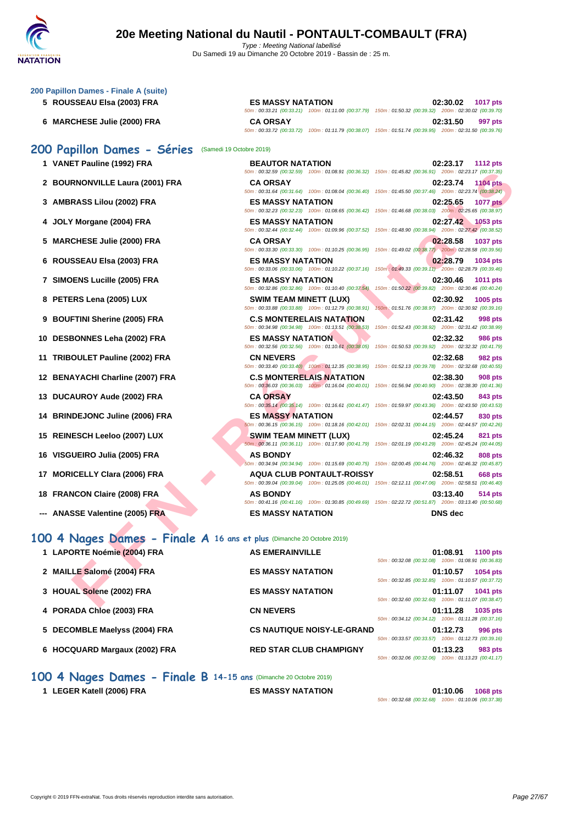50m : 00:33.21 (00:33.21) 100m : 01:11.00 (00:37.79) 150m : 01:50.32 (00:39.32) 200m : 02:30.02 (00:39.70)

50m : 00:33.72 (00:33.72) 100m : 01:11.79 (00:38.07) 150m : 01:51.74 (00:39.95) 200m : 02:31.50 (00:39.76)

50m : 00:32.59 (00:32.59) 100m : 01:08.91 (00:36.32) 150m : 01:45.82 (00:36.91) 200m : 02:23.17 (00:37.35)

| 200 Papillon Dames - Finale A (suite) |  |  |  |
|---------------------------------------|--|--|--|
|---------------------------------------|--|--|--|

- **5 ROUSSEAU Elsa (2003) FRA ES MASSY NATATION 02:30.02 1017 pts**
- **6 MARCHESE Julie (2000) FRA CA ORSAY 02:31.50 997 pts**

## **200 Papillon Dames - Séries** (Samedi 19 Octobre 2019)

- **1 VANET Pauline (1992) FRA BEAUTOR NATATION 02:23.17 1112 pts**
- **2 BOURNONVILLE Laura (2001) FRA CA ORSAY 02:23.74 1104 pts**
- **3 AMBRASS Lilou (2002) FRA ES MASSY NATATION 02:25.65 1077 pts**
- **4 JOLY Morgane (2004) FRA ES MASSY NATATION 02:27.42 1053 pts**
- **5 MARCHESE Julie (2000) FRA CA ORSAY 02:28.58 1037 pts**
- **6 ROUSSEAU Elsa (2003) FRA ES MASSY NATATION 02:28.79 1034 pts**
- **7 SIMOENS Lucille (2005) FRA ES MASSY NATATION 02:30.46 1011 pts**
- **8 PETERS Lena (2005) LUX SWIM TEAM MINETT (LUX) 02:30.92 1005 pts**
- **9 BOUFTINI Sherine (2005) FRA C.S MONTERELAIS NATATION 02:31.42 998 pts**
- **10 DESBONNES Leha (2002) FRA ES MASSY NATATION 02:32.32 986 pts**
- **11 TRIBOULET Pauline (2002) FRA CN NEVERS 02:32.68 982 pts**
- **12 BENAYACHI Charline (2007) FRA C.S MONTERELAIS NATATION 02:38.30 908 pts**
- **13 DUCAUROY Aude (2002) FRA CA ORSAY 02:43.50 843 pts**
- **14 BRINDEJONC Juline (2006) FRA ES MASSY NATATION 02:44.57 830 pts**
- **15 REINESCH Leeloo (2007) LUX SWIM TEAM MINETT (LUX) 02:45.24 821 pts**
- **16 VISGUEIRO Julia (2005) FRA AS BONDY 02:46.32 808 pts**
- **17 MORICELLY Clara (2006) FRA AQUA CLUB PONTAULT-ROISSY 02:58.51 668 pts**
- **18 FRANCON Claire (2008) FRA AS BONDY 03:13.40 514 pts**
- **--- ANASSE Valentine (2005) FRA ES MASSY NATATION DNS dec**

### **100 4 Nages Dames - Finale A 16 ans et plus** (Dimanche 20 Octobre 2019)

|                                                                       |                                                                                                                                           | 50m: 00:32.59 (00:32.59) 100m: 01:08.91 (00:36.32) 150m: 01:45.82 (00:36.91) 200m: 02:23.17 (00:37.35)                                    |
|-----------------------------------------------------------------------|-------------------------------------------------------------------------------------------------------------------------------------------|-------------------------------------------------------------------------------------------------------------------------------------------|
| 2 BOURNONVILLE Laura (2001) FRA                                       | <b>CA ORSAY</b>                                                                                                                           | 02:23.74<br><b>1104 pts</b><br>50m : 00:31.64 (00:31.64) 100m : 01:08.04 (00:36.40) 150m : 01:45.50 (00:37.46) 200m : 02:23.74 (00:38.24) |
| 3 AMBRASS Lilou (2002) FRA                                            | <b>ES MASSY NATATION</b><br>50m : 00:32.23 (00:32.23) 100m : 01:08.65 (00:36.42) 150m : 01:46.68 (00:38.03) 200m : 02:25.65 (00:38.97)    | 02:25.65<br><b>1077 pts</b>                                                                                                               |
| JOLY Morgane (2004) FRA                                               | <b>ES MASSY NATATION</b>                                                                                                                  | 02:27.42<br>$1053$ pts                                                                                                                    |
| 5 MARCHESE Julie (2000) FRA                                           | 50m: 00:32.44 (00:32.44) 100m: 01:09.96 (00:37.52) 150m: 01:48.90 (00:38.94) 200m: 02:27.42 (00:38.52)<br><b>CA ORSAY</b>                 | 02:28.58<br><b>1037 pts</b>                                                                                                               |
| 6 ROUSSEAU Elsa (2003) FRA                                            | 50m: 00:33.30 (00:33.30) 100m: 01:10.25 (00:36.95)<br><b>ES MASSY NATATION</b>                                                            | 150m: 01:49.02 (00:38.77) 200m: 02:28.58 (00:39.56)<br>02:28.79<br>1034 pts                                                               |
| 7 SIMOENS Lucille (2005) FRA                                          | 50m: 00:33.06 (00:33.06) 100m: 01:10.22 (00:37.16)<br><b>ES MASSY NATATION</b>                                                            | 150m: 01:49.33 (00:39.11) 200m: 02:28.79 (00:39.46)<br>02:30.46<br>1011 pts                                                               |
| 8 PETERS Lena (2005) LUX                                              | 50m: 00:32.86 (00:32.86) 100m: 01:10.40 (00:37.54)<br><b>SWIM TEAM MINETT (LUX)</b>                                                       | 150m: 01:50.22 (00:39.82) 200m: 02:30.46 (00:40.24)<br>02:30.92<br>1005 pts                                                               |
| <b>BOUFTINI Sherine (2005) FRA</b>                                    | 50m: 00:33.88 (00:33.88) 100m: 01:12.79 (00:38.91)<br><b>C.S MONTERELAIS NATATION</b>                                                     | 150m: 01:51.76 (00:38.97) 200m: 02:30.92 (00:39.16)<br>02:31.42<br>998 pts                                                                |
|                                                                       | 50m: 00:34.98 (00:34.98) 100m: 01:13.51 (00:38.53)                                                                                        | 150m: 01:52.43 (00:38.92) 200m: 02:31.42 (00:38.99)                                                                                       |
| 10 DESBONNES Leha (2002) FRA                                          | <b>ES MASSY NATATION</b><br>50m: 00:32.56 (00:32.56) 100m: 01:10.61 (00:38.05)                                                            | 02:32.32<br><b>986 pts</b><br>150m: 01:50.53 (00:39.92) 200m: 02:32.32 (00:41.79)                                                         |
| 11 TRIBOULET Pauline (2002) FRA                                       | <b>CN NEVERS</b><br>50m: 00:33.40 (00:33.40) 100m: 01:12.35 (00:38.95)                                                                    | 02:32.68<br><b>982 pts</b><br>150m: 01:52.13 (00:39.78) 200m: 02:32.68 (00:40.55)                                                         |
| 12 BENAYACHI Charline (2007) FRA                                      | <b>C.S MONTERELAIS NATATION</b><br>50m: 00:36.03 (00:36.03) 100m: 01:16.04 (00:40.01) 150m: 01:56.94 (00:40.90) 200m: 02:38.30 (00:41.36) | 02:38.30<br><b>908 pts</b>                                                                                                                |
| 13 DUCAUROY Aude (2002) FRA                                           | <b>CA ORSAY</b>                                                                                                                           | 02:43.50<br>843 pts                                                                                                                       |
| 14 BRINDEJONC Juline (2006) FRA                                       | <b>ES MASSY NATATION</b>                                                                                                                  | 50m: 00:35.14 (00:35.14) 100m: 01:16.61 (00:41.47) 150m: 01:59.97 (00:43.36) 200m: 02:43.50 (00:43.53)<br>02:44.57<br>830 pts             |
| 15 REINESCH Leeloo (2007) LUX                                         | SWIM TEAM MINETT (LUX)                                                                                                                    | 50m: 00:36.15 (00:36.15) 100m: 01:18.16 (00:42.01) 150m: 02:02.31 (00:44.15) 200m: 02:44.57 (00:42.26)<br>02:45.24<br>821 pts             |
| 16 VISGUEIRO Julia (2005) FRA                                         | <b>AS BONDY</b>                                                                                                                           | 50m: 00:36.11 (00:36.11) 100m: 01:17.90 (00:41.79) 150m: 02:01.19 (00:43.29) 200m: 02:45.24 (00:44.05)<br>02:46.32<br>808 pts             |
|                                                                       | 50m : 00:34.94 (00:34.94) 100m : 01:15.69 (00:40.75) 150m : 02:00.45 (00:44.76) 200m : 02:46.32 (00:45.87)                                |                                                                                                                                           |
| 17 MORICELLY Clara (2006) FRA                                         | <b>AQUA CLUB PONTAULT-ROISSY</b>                                                                                                          | 02:58.51<br>668 pts<br>50m: 00:39.04 (00:39.04) 100m: 01:25.05 (00:46.01) 150m: 02:12.11 (00:47.06) 200m: 02:58.51 (00:46.40)             |
| 18 FRANCON Claire (2008) FRA                                          | AS BONDY                                                                                                                                  | 03:13.40<br>514 pts<br>50m: 00:41.16 (00:41.16) 100m: 01:30.85 (00:49.69) 150m: 02:22.72 (00:51.87) 200m: 03:13.40 (00:50.68)             |
| <b>ANASSE Valentine (2005) FRA</b>                                    | <b>ES MASSY NATATION</b>                                                                                                                  | <b>DNS</b> dec                                                                                                                            |
| 00 4 Nages Dames - Finale A 16 ans et plus (Dimanche 20 Octobre 2019) |                                                                                                                                           |                                                                                                                                           |
| 1 LAPORTE Noémie (2004) FRA                                           | <b>AS EMERAINVILLE</b>                                                                                                                    | 01:08.91<br><b>1100 pts</b>                                                                                                               |
| 2 MAILLE Salomé (2004) FRA                                            | <b>ES MASSY NATATION</b>                                                                                                                  | 50m: 00:32.08 (00:32.08) 100m: 01:08.91 (00:36.83)<br>01:10.57<br>1054 pts                                                                |
| 3 HOUAL Solene (2002) FRA                                             | <b>ES MASSY NATATION</b>                                                                                                                  | 50m: 00:32.85 (00:32.85) 100m: 01:10.57 (00:37.72)<br>01:11.07<br>1041 pts                                                                |
| 4 PORADA Chloe (2003) FRA                                             | <b>CN NEVERS</b>                                                                                                                          | 50m: 00:32.60 (00:32.60) 100m: 01:11.07 (00:38.47)<br>01:11.28<br>1035 pts                                                                |
|                                                                       |                                                                                                                                           | 50m: 00:34.12 (00:34.12) 100m: 01:11.28 (00:37.16)                                                                                        |
| 5   DECOMBLE Maelyss (2004) FRA                                       | <b>CS NAUTIQUE NOISY-LE-GRAND</b>                                                                                                         | 01:12.73<br>996 pts<br>50m: 00:33.57 (00:33.57) 100m: 01:12.73 (00:39.16)                                                                 |
| 6 HOCQUARD Margaux (2002) FRA                                         | <b>RED STAR CLUB CHAMPIGNY</b>                                                                                                            | 01:13.23<br>983 pts<br>$50m \cdot 00:3206$ (00:32 06) $100m \cdot 01:1323$ (00:41 17)                                                     |

## **100 4 Nages Dames - Finale B 14-15 ans** (Dimanche 20 Octobre 2019)

**1 LEGER Katell (2006) FRA ES MASSY NATATION 01:10.06 1068 pts** 50m : 00:32.68 (00:32.68) 100m : 01:10.06 (00:37.38)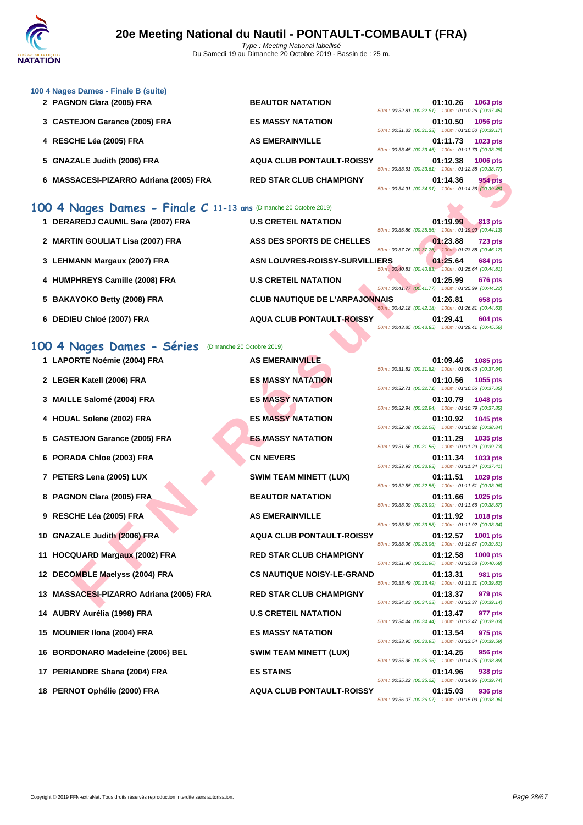

| 100 4 Nages Dames - Finale B (suite) |  |  |  |  |
|--------------------------------------|--|--|--|--|
|--------------------------------------|--|--|--|--|

| 2 PAGNON Clara (2005) FRA              | <b>BEAUTOR NATATION</b>          | 01:10.26<br>1063 pts<br>50m: 00:32.81 (00:32.81) 100m: 01:10.26 (00:37.45)           |
|----------------------------------------|----------------------------------|--------------------------------------------------------------------------------------|
| 3 CASTEJON Garance (2005) FRA          | <b>ES MASSY NATATION</b>         | 01:10.50<br>1056 pts<br>50m: 00:31.33 (00:31.33) 100m: 01:10.50 (00:39.17)           |
| 4 RESCHE Léa (2005) FRA                | <b>AS EMERAINVILLE</b>           | 01:11.73<br>1023 pts<br>50m: 00:33.45 (00:33.45)<br>100m: 01:11.73 (00:38.28)        |
| 5 GNAZALE Judith (2006) FRA            | <b>AQUA CLUB PONTAULT-ROISSY</b> | 01:12.38<br><b>1006 pts</b><br>100m: 01:12.38 (00:38.77)<br>50m: 00:33.61 (00:33.61) |
| 6 MASSACESI-PIZARRO Adriana (2005) FRA | <b>RED STAR CLUB CHAMPIGNY</b>   | <b>954 pts</b><br>01:14.36<br>50m: 00:34.91 (00:34.91) 100m: 01:14.36 (00:39.45)     |

| 1 DERAREDJ CAUMIL Sara (2007) FRA | <b>U.S CRETEIL NATATION</b>                                                    | 50m: 00:35.86 (00:35.86) 100m: 01:19.99 (00:44.13)   | 01:19.99 | 813 pts        |
|-----------------------------------|--------------------------------------------------------------------------------|------------------------------------------------------|----------|----------------|
| 2 MARTIN GOULIAT Lisa (2007) FRA  | ASS DES SPORTS DE CHELLES                                                      | 50m: 00:37.76 (00:37.76) 100m: 01:23.88 (00:46.12)   | 01:23.88 | <b>723 pts</b> |
| 3 LEHMANN Margaux (2007) FRA      | <b>ASN LOUVRES-ROISSY-SURVILLIERS</b>                                          | 50m : 00:40.83 (00:40.83) 100m : 01:25.64 (00:44.81) | 01:25.64 | <b>684 pts</b> |
| 4 HUMPHREYS Camille (2008) FRA    | <b>U.S CRETEIL NATATION</b>                                                    | 50m: 00:41.77 (00:41.77) 100m: 01:25.99 (00:44.22)   | 01:25.99 | <b>676 pts</b> |
| 5 BAKAYOKO Betty (2008) FRA       | <b>CLUB NAUTIQUE DE L'ARPAJONNAIS</b>                                          | 50m: 00:42.18 (00:42.18) 100m: 01:26.81 (00:44.63)   | 01:26.81 | 658 pts        |
| 6 DEDIEU Chloé (2007) FRA         | <b>AQUA CLUB PONTAULT-ROISSY</b><br><b>Contract Contract Contract Contract</b> | 50m: 00:43.85 (00:43.85) 100m: 01:29.41 (00:45.56)   | 01:29.41 | <b>604 pts</b> |

## **100 4 Nages Dames - Séries** (Dimanche 20 Octobre 2019)

| 6 MASSACESI-PIZARRO Adriana (2005) FRA                                                  | <b>RED STAR CLUB CHAMPIGNY</b>        | 100111.01112.00100.00.11<br>01:14.36<br>954 pts<br>50m: 00:34.91 (00:34.91) 100m: 01:14.36 (00:39.45) |
|-----------------------------------------------------------------------------------------|---------------------------------------|-------------------------------------------------------------------------------------------------------|
| 100 4 Nages Dames - Finale C 11-13 ans (Dimanche 20 Octobre 2019)                       |                                       |                                                                                                       |
| 1 DERAREDJ CAUMIL Sara (2007) FRA                                                       | <b>U.S CRETEIL NATATION</b>           | 01:19.99<br>813 pts<br>50m: 00:35.86 (00:35.86) 100m: 01:19.99 (00:44.13)                             |
| 2 MARTIN GOULIAT Lisa (2007) FRA                                                        | ASS DES SPORTS DE CHELLES             | 01:23.88<br><b>723 pts</b><br>50m: 00:37.76 (00:37.76) 100m: 01:23.88 (00:46.12)                      |
| 3 LEHMANN Margaux (2007) FRA                                                            | ASN LOUVRES-ROISSY-SURVILLIERS        | 01:25.64<br><b>684 pts</b><br>50m : 00:40.83 (00:40.83) 100m : 01:25.64 (00:44.81)                    |
| 4 HUMPHREYS Camille (2008) FRA                                                          | <b>U.S CRETEIL NATATION</b>           | 01:25.99<br><b>676 pts</b><br>50m: 00:41.77 (00:41.77) 100m: 01:25.99 (00:44.22)                      |
| 5 BAKAYOKO Betty (2008) FRA                                                             | <b>CLUB NAUTIQUE DE L'ARPAJONNAIS</b> | 01:26.81<br>658 pts<br>50m: 00:42.18 (00:42.18) 100m: 01:26.81 (00:44.63)                             |
| 6 DEDIEU Chloé (2007) FRA                                                               | <b>AQUA CLUB PONTAULT-ROISSY</b>      | 01:29.41<br><b>604 pts</b><br>50m: 00:43.85 (00:43.85) 100m: 01:29.41 (00:45.56)                      |
|                                                                                         |                                       |                                                                                                       |
| 100 4 Nages Dames - Séries<br>(Dimanche 20 Octobre 2019)<br>1 LAPORTE Noémie (2004) FRA | <b>AS EMERAINVILLE</b>                |                                                                                                       |
|                                                                                         |                                       | 01:09.46<br>1085 pts<br>50m: 00:31.82 (00:31.82) 100m: 01:09.46 (00:37.64)                            |
| 2 LEGER Katell (2006) FRA                                                               | <b>ES MASSY NATATION</b>              | 01:10.56<br>1055 pts<br>50m: 00:32.71 (00:32.71) 100m: 01:10.56 (00:37.85)                            |
| 3 MAILLE Salomé (2004) FRA                                                              | <b>ES MASSY NATATION</b>              | 01:10.79<br>1048 pts<br>50m: 00:32.94 (00:32.94) 100m: 01:10.79 (00:37.85)                            |
| 4 HOUAL Solene (2002) FRA                                                               | <b>ES MASSY NATATION</b>              | 01:10.92<br>1045 pts<br>50m: 00:32.08 (00:32.08) 100m: 01:10.92 (00:38.84)                            |
| 5 CASTEJON Garance (2005) FRA                                                           | <b>ES MASSY NATATION</b>              | 01:11.29<br>1035 pts<br>50m: 00:31.56 (00:31.56) 100m: 01:11.29 (00:39.73)                            |
| 6 PORADA Chloe (2003) FRA                                                               | <b>CN NEVERS</b>                      | 01:11.34<br>1033 pts<br>50m: 00:33.93 (00:33.93) 100m: 01:11.34 (00:37.41)                            |
| 7 PETERS Lena (2005) LUX                                                                | <b>SWIM TEAM MINETT (LUX)</b>         | 01:11.51<br>1029 pts<br>50m: 00:32.55 (00:32.55) 100m: 01:11.51 (00:38.96)                            |
| 8 PAGNON Clara (2005) FRA                                                               | <b>BEAUTOR NATATION</b>               | 01:11.66<br>1025 pts                                                                                  |
| 9 RESCHE Léa (2005) FRA                                                                 | <b>AS EMERAINVILLE</b>                | 50m: 00:33.09 (00:33.09) 100m: 01:11.66 (00:38.57)<br>01:11.92<br><b>1018 pts</b>                     |
| 10 GNAZALE Judith (2006) FRA                                                            | <b>AQUA CLUB PONTAULT-ROISSY</b>      | 50m: 00:33.58 (00:33.58) 100m: 01:11.92 (00:38.34)<br>01:12.57<br>1001 pts                            |
| 11 HOCQUARD Margaux (2002) FRA                                                          | <b>RED STAR CLUB CHAMPIGNY</b>        | 50m: 00:33.06 (00:33.06) 100m: 01:12.57 (00:39.51)<br>01:12.58<br><b>1000 pts</b>                     |
| 12 DECOMBLE Maelyss (2004) FRA                                                          | <b>CS NAUTIQUE NOISY-LE-GRAND</b>     | 50m: 00:31.90 (00:31.90) 100m: 01:12.58 (00:40.68)<br>01:13.31<br>981 pts                             |
| 13 MASSACESI-PIZARRO Adriana (2005) FRA                                                 | <b>RED STAR CLUB CHAMPIGNY</b>        | 50m: 00:33.49 (00:33.49) 100m: 01:13.31 (00:39.82)<br>01:13.37<br>979 pts                             |
| 14 AUBRY Aurélia (1998) FRA                                                             | <b>U.S CRETEIL NATATION</b>           | 50m: 00:34.23 (00:34.23) 100m: 01:13.37 (00:39.14)<br>01:13.47<br>977 pts                             |
| 15 MOUNIER IIona (2004) FRA                                                             | <b>ES MASSY NATATION</b>              | 50m: 00:34.44 (00:34.44) 100m: 01:13.47 (00:39.03)<br>01:13.54<br>975 pts                             |
| 16 BORDONARO Madeleine (2006) BEL                                                       | <b>SWIM TEAM MINETT (LUX)</b>         | 50m: 00:33.95 (00:33.95) 100m: 01:13.54 (00:39.59)<br>01:14.25<br>956 pts                             |
| 17 PERIANDRE Shana (2004) FRA                                                           | <b>ES STAINS</b>                      | 50m: 00:35.36 (00:35.36) 100m: 01:14.25 (00:38.89)<br>01:14.96<br>938 pts                             |
|                                                                                         |                                       | 50m: 00:35.22 (00:35.22) 100m: 01:14.96 (00:39.74)                                                    |
| 18 PERNOT Ophélie (2000) FRA                                                            | <b>AQUA CLUB PONTAULT-ROISSY</b>      | 01:15.03<br>936 pts<br>50m: 00:36.07 (00:36.07) 100m: 01:15.03 (00:38.96)                             |

| 01:09.46 1085 pts<br>50m: 00:31.82 (00:31.82) 100m: 01:09.46 (00:37.64) |
|-------------------------------------------------------------------------|
| 01:10.56 1055 pts                                                       |
| 50m: 00:32.71 (00:32.71) 100m: 01:10.56 (00:37.85)                      |
| 01:10.79 1048 pts                                                       |
| 50m: 00:32.94 (00:32.94) 100m: 01:10.79 (00:37.85)                      |
| 01:10.92 1045 pts                                                       |
| 50m: 00:32.08 (00:32.08) 100m: 01:10.92 (00:38.84)                      |
| 01:11.29 1035 pts                                                       |
| 50m: 00:31.56 (00:31.56) 100m: 01:11.29 (00:39.73)                      |
| 01:11.34 1033 pts                                                       |
| 50m: 00:33.93 (00:33.93) 100m: 01:11.34 (00:37.41)                      |
| 01:11.51 1029 pts                                                       |
| 50m: 00:32.55 (00:32.55) 100m: 01:11.51 (00:38.96)                      |
| 01:11.66 1025 pts                                                       |
| 50m: 00:33.09 (00:33.09) 100m: 01:11.66 (00:38.57)                      |
| 01:11.92 1018 pts                                                       |
| 50m: 00:33.58 (00:33.58) 100m: 01:11.92 (00:38.34)                      |
| 01:12.57 1001 pts                                                       |
| 50m: 00:33.06 (00:33.06) 100m: 01:12.57 (00:39.51)                      |
| 01:12.58 1000 pts                                                       |
| 50m: 00:31.90 (00:31.90) 100m: 01:12.58 (00:40.68)                      |
| 01:13.31 981 pts                                                        |
| 50m: 00:33.49 (00:33.49) 100m: 01:13.31 (00:39.82)                      |
| 01:13.37 979 pts                                                        |
| 50m: 00:34.23 (00:34.23) 100m: 01:13.37 (00:39.14)                      |
| 01:13.47 977 pts                                                        |
| 50m: 00:34.44 (00:34.44) 100m: 01:13.47 (00:39.03)                      |
| 01:13.54 975 pts                                                        |
| 50m: 00:33.95 (00:33.95) 100m: 01:13.54 (00:39.59)                      |
| 01:14.25 956 pts                                                        |
| 50m: 00:35.36 (00:35.36) 100m: 01:14.25 (00:38.89)                      |
| 01:14.96 938 pts                                                        |
| 50m: 00:35.22 (00:35.22) 100m: 01:14.96 (00:39.74)                      |
| 01:15.03 936 pts<br>50m: 00:36.07 (00:36.07) 100m: 01:15.03 (00:38.96)  |
|                                                                         |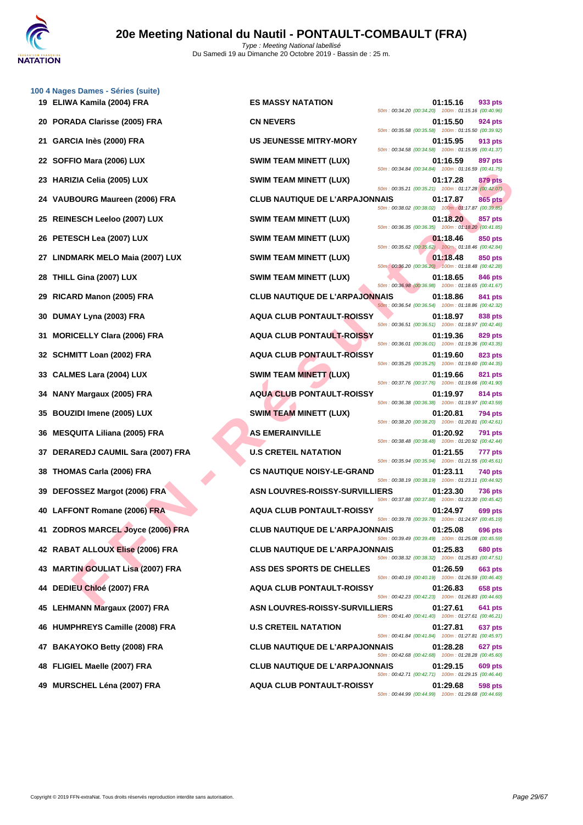

|    | 100 4 Nages Dames - Séries (suite)<br>19 ELIWA Kamila (2004) FRA | <b>ES MASSY NATATION</b>              |                                                                                                          | 01:15.16 | 933 pts        |
|----|------------------------------------------------------------------|---------------------------------------|----------------------------------------------------------------------------------------------------------|----------|----------------|
|    | 20 PORADA Clarisse (2005) FRA                                    | <b>CN NEVERS</b>                      | 50m: 00:34.20 (00:34.20) 100m: 01:15.16 (00:40.96)                                                       | 01:15.50 | 924 pts        |
| 21 | GARCIA Inès (2000) FRA                                           | <b>US JEUNESSE MITRY-MORY</b>         | 50m: 00:35.58 (00:35.58) 100m: 01:15.50 (00:39.92)<br>50m: 00:34.58 (00:34.58) 100m: 01:15.95 (00:41.37) | 01:15.95 | 913 pts        |
|    | 22 SOFFIO Mara (2006) LUX                                        | <b>SWIM TEAM MINETT (LUX)</b>         | 50m: 00:34.84 (00:34.84) 100m: 01:16.59 (00:41.75)                                                       | 01:16.59 | 897 pts        |
|    | 23 HARIZIA Celia (2005) LUX                                      | <b>SWIM TEAM MINETT (LUX)</b>         | 50m: 00:35.21 (00:35.21) 100m: 01:17.28 (00:42.07)                                                       | 01:17.28 | 879 pts        |
|    | 24 VAUBOURG Maureen (2006) FRA                                   | <b>CLUB NAUTIQUE DE L'ARPAJONNAIS</b> | 50m: 00:38.02 (00:38.02) 100m: 01:17.87 (00:39.85)                                                       | 01:17.87 | 865 pts        |
|    | 25 REINESCH Leeloo (2007) LUX                                    | <b>SWIM TEAM MINETT (LUX)</b>         | 50m: 00:36.35 (00:36.35) 100m: 01:18.20 (00:41.85)                                                       | 01:18.20 | 857 pts        |
|    | 26 PETESCH Lea (2007) LUX                                        | <b>SWIM TEAM MINETT (LUX)</b>         | 50m: 00:35.62 (00:35.62) 100m: 01:18.46 (00:42.84)                                                       | 01:18.46 | 850 pts        |
|    | 27 LINDMARK MELO Maia (2007) LUX                                 | <b>SWIM TEAM MINETT (LUX)</b>         | 50m: 00:36.20 (00:36.20) 100m: 01:18.48 (00:42.28)                                                       | 01:18.48 | 850 pts        |
|    | 28 THILL Gina (2007) LUX                                         | <b>SWIM TEAM MINETT (LUX)</b>         | 50m: 00:36.98 (00:36.98) 100m: 01:18.65 (00:41.67)                                                       | 01:18.65 | 846 pts        |
|    | 29 RICARD Manon (2005) FRA                                       | <b>CLUB NAUTIQUE DE L'ARPAJONNAIS</b> | 50m: 00:36.54 (00:36.54) 100m: 01:18.86 (00:42.32)                                                       | 01:18.86 | 841 pts        |
| 30 | DUMAY Lyna (2003) FRA                                            | <b>AQUA CLUB PONTAULT-ROISSY</b>      | 50m: 00:36.51 (00:36.51) 100m: 01:18.97 (00:42.46)                                                       | 01:18.97 | 838 pts        |
| 31 | <b>MORICELLY Clara (2006) FRA</b>                                | <b>AQUA CLUB PONTAULT-ROISSY</b>      | 50m: 00:36.01 (00:36.01) 100m: 01:19.36 (00:43.35)                                                       | 01:19.36 | 829 pts        |
|    | 32 SCHMITT Loan (2002) FRA                                       | <b>AQUA CLUB PONTAULT-ROISSY</b>      | 50m: 00:35.25 (00:35.25) 100m: 01:19.60 (00:44.35)                                                       | 01:19.60 | 823 pts        |
|    | 33 CALMES Lara (2004) LUX                                        | <b>SWIM TEAM MINETT (LUX)</b>         | 50m: 00:37.76 (00:37.76) 100m: 01:19.66 (00:41.90)                                                       | 01:19.66 | 821 pts        |
|    | 34 NANY Margaux (2005) FRA                                       | <b>AQUA CLUB PONTAULT-ROISSY</b>      | 50m: 00:36.38 (00:36.38) 100m: 01:19.97 (00:43.59)                                                       | 01:19.97 | 814 pts        |
|    | 35 BOUZIDI Imene (2005) LUX                                      | SWIM TEAM MINETT (LUX)                | 50m: 00:38.20 (00:38.20) 100m: 01:20.81 (00:42.61)                                                       | 01:20.81 | <b>794 pts</b> |
|    | 36 MESQUITA Liliana (2005) FRA                                   | <b>AS EMERAINVILLE</b>                | 50m: 00:38.48 (00:38.48) 100m: 01:20.92 (00:42.44)                                                       | 01:20.92 | <b>791 pts</b> |
|    | 37 DERAREDJ CAUMIL Sara (2007) FRA                               | <b>U.S CRETEIL NATATION</b>           | 50m: 00:35.94 (00:35.94) 100m: 01:21.55 (00:45.61)                                                       | 01:21.55 | 777 pts        |
| 38 | THOMAS Carla (2006) FRA                                          | <b>CS NAUTIQUE NOISY-LE-GRAND</b>     | 50m: 00:38.19 (00:38.19) 100m: 01:23.11 (00:44.92)                                                       | 01:23.11 | 740 pts        |
|    | 39 DEFOSSEZ Margot (2006) FRA                                    | <b>ASN LOUVRES-ROISSY-SURVILLIERS</b> | 50m: 00:37.88 (00:37.88) 100m: 01:23.30 (00:45.42)                                                       | 01:23.30 | <b>736 pts</b> |
|    | 40 LAFFONT Romane (2006) FRA                                     | <b>AQUA CLUB PONTAULT-ROISSY</b>      | 50m: 00:39.78 (00:39.78) 100m: 01:24.97 (00:45.19)                                                       | 01:24.97 | 699 pts        |
|    | 41 ZODROS MARCEL Joyce (2006) FRA                                | <b>CLUB NAUTIQUE DE L'ARPAJONNAIS</b> | 50m: 00:39.49 (00:39.49) 100m: 01:25.08 (00:45.59)                                                       | 01:25.08 | 696 pts        |
|    | 42 RABAT ALLOUX Elise (2006) FRA                                 | <b>CLUB NAUTIQUE DE L'ARPAJONNAIS</b> | 50m: 00:38.32 (00:38.32) 100m: 01:25.83 (00:47.51)                                                       | 01:25.83 | <b>680 pts</b> |
|    | 43 MARTIN GOULIAT Lisa (2007) FRA                                | ASS DES SPORTS DE CHELLES             | 50m: 00:40.19 (00:40.19) 100m: 01:26.59 (00:46.40)                                                       | 01:26.59 | 663 pts        |
|    | 44 DEDIEU Chloé (2007) FRA                                       | <b>AQUA CLUB PONTAULT-ROISSY</b>      | 50m: 00:42.23 (00:42.23) 100m: 01:26.83 (00:44.60)                                                       | 01:26.83 | 658 pts        |
|    | 45 LEHMANN Margaux (2007) FRA                                    | <b>ASN LOUVRES-ROISSY-SURVILLIERS</b> | 50m: 00:41.40 (00:41.40) 100m: 01:27.61 (00:46.21)                                                       | 01:27.61 | 641 pts        |
|    | 46 HUMPHREYS Camille (2008) FRA                                  | <b>U.S CRETEIL NATATION</b>           | 50m: 00:41.84 (00:41.84) 100m: 01:27.81 (00:45.97)                                                       | 01:27.81 | 637 pts        |
|    | 47 BAKAYOKO Betty (2008) FRA                                     | <b>CLUB NAUTIQUE DE L'ARPAJONNAIS</b> | 50m: 00:42.68 (00:42.68) 100m: 01:28.28 (00:45.60)                                                       | 01:28.28 | 627 pts        |
|    | 48 FLIGIEL Maelle (2007) FRA                                     | <b>CLUB NAUTIQUE DE L'ARPAJONNAIS</b> | 50m: 00:42.71 (00:42.71) 100m: 01:29.15 (00:46.44)                                                       | 01:29.15 | 609 pts        |
|    | 49 MURSCHEL Léna (2007) FRA                                      | <b>AQUA CLUB PONTAULT-ROISSY</b>      |                                                                                                          | 01:29.68 | 598 pts        |

| <b>\TATION</b>              | 50m: 00:34.20 (00:34.20) 100m: 01:15.16 (00:40.96) | 01:15.16 | 933 pts        |
|-----------------------------|----------------------------------------------------|----------|----------------|
|                             | 50m: 00:35.58 (00:35.58) 100m: 01:15.50 (00:39.92) | 01:15.50 | <b>924 pts</b> |
| E MITRY-MORY                | 50m: 00:34.58 (00:34.58) 100m: 01:15.95 (00:41.37) | 01:15.95 | 913 pts        |
| <b>IINETT (LUX)</b>         | 50m: 00:34.84 (00:34.84) 100m: 01:16.59 (00:41.75) | 01:16.59 | 897 pts        |
| <b>IINETT (LUX)</b>         | 50m: 00:35.21 (00:35.21) 100m: 01:17.28 (00:42.07) | 01:17.28 | <b>879 pts</b> |
| <b>NUE DE L'ARPAJONNAIS</b> |                                                    | 01:17.87 | <b>865 pts</b> |
| <b>IINETT (LUX)</b>         | 50m: 00:38.02 (00:38.02) 100m: 01:17.87 (00:39.85) | 01:18.20 | 857 pts        |
| <b>IINETT (LUX)</b>         | 50m: 00:36.35 (00:36.35) 100m: 01:18.20 (00:41.85) | 01:18.46 | 850 pts        |
| <b>IINETT (LUX)</b>         | 50m: 00:35.62 (00:35.62) 100m: 01:18.46 (00:42.84) | 01:18.48 | 850 pts        |
| <b>IINETT (LUX)</b>         | 50m: 00:36.20 (00:36.20) 100m: 01:18.48 (00:42.28) | 01:18.65 | 846 pts        |
| <b>NUE DE L'ARPAJONNAIS</b> | 50m: 00:36.98 (00:36.98) 100m: 01:18.65 (00:41.67) | 01:18.86 | 841 pts        |
| <b>PONTAULT-ROISSY</b>      | 50m: 00:36.54 (00:36.54) 100m: 01:18.86 (00:42.32) | 01:18.97 | 838 pts        |
| <b>PONTAULT-ROISSY</b>      | 50m: 00:36.51 (00:36.51) 100m: 01:18.97 (00:42.46) | 01:19.36 | 829 pts        |
| <b>PONTAULT-ROISSY</b>      | 50m: 00:36.01 (00:36.01) 100m: 01:19.36 (00:43.35) | 01:19.60 | 823 pts        |
| <b>IINETT (LUX)</b>         | 50m: 00:35.25 (00:35.25) 100m: 01:19.60 (00:44.35) | 01:19.66 |                |
|                             | 50m: 00:37.76 (00:37.76) 100m: 01:19.66 (00:41.90) |          | 821 pts        |
| <b>PONTAULT-ROISSY</b>      | 50m: 00:36.38 (00:36.38) 100m: 01:19.97 (00:43.59) | 01:19.97 | 814 pts        |
| <b>IINETT (LUX)</b>         | 50m: 00:38.20 (00:38.20) 100m: 01:20.81 (00:42.61) | 01:20.81 | <b>794 pts</b> |
| /ILLE                       | 50m: 00:38.48 (00:38.48) 100m: 01:20.92 (00:42.44) | 01:20.92 | <b>791 pts</b> |
| NATATION                    | 50m: 00:35.94 (00:35.94) 100m: 01:21.55 (00:45.61) | 01:21.55 | <b>777 pts</b> |
| <b>ENOISY-LE-GRAND</b>      | 50m: 00:38.19 (00:38.19) 100m: 01:23.11 (00:44.92) | 01:23.11 | <b>740 pts</b> |
| S-ROISSY-SURVILLIERS        | 50m: 00:37.88 (00:37.88) 100m: 01:23.30 (00:45.42) | 01:23.30 | <b>736 pts</b> |
| PONTAULT-ROISSY             | 50m: 00:39.78 (00:39.78) 100m: 01:24.97 (00:45.19) | 01:24.97 | 699 pts        |
| <b>IUE DE L'ARPAJONNAIS</b> | 50m: 00:39.49 (00:39.49) 100m: 01:25.08 (00:45.59) | 01:25.08 | 696 pts        |
| <b>NUE DE L'ARPAJONNAIS</b> | 50m: 00:38.32 (00:38.32) 100m: 01:25.83 (00:47.51) | 01:25.83 | <b>680 pts</b> |
| <b>RTS DE CHELLES</b>       | 50m: 00:40.19 (00:40.19) 100m: 01:26.59 (00:46.40) | 01:26.59 | 663 pts        |
| <b>PONTAULT-ROISSY</b>      | 50m: 00:42.23 (00:42.23) 100m: 01:26.83 (00:44.60) | 01:26.83 | <b>658 pts</b> |
| S-ROISSY-SURVILLIERS        | 50m: 00:41.40 (00:41.40) 100m: 01:27.61 (00:46.21) | 01:27.61 | 641 pts        |
| NATATION                    |                                                    | 01:27.81 | 637 pts        |
| <b>NUE DE L'ARPAJONNAIS</b> | 50m: 00:41.84 (00:41.84) 100m: 01:27.81 (00:45.97) | 01:28.28 | 627 pts        |
| <b>NUE DE L'ARPAJONNAIS</b> | 50m: 00:42.68 (00:42.68) 100m: 01:28.28 (00:45.60) | 01:29.15 | 609 pts        |
| <b>PONTAULT-ROISSY</b>      | 50m: 00:42.71 (00:42.71) 100m: 01:29.15 (00:46.44) | 01:29.68 | 598 pts        |
|                             | 50m: 00:44.99 (00:44.99) 100m: 01:29.68 (00:44.69) |          |                |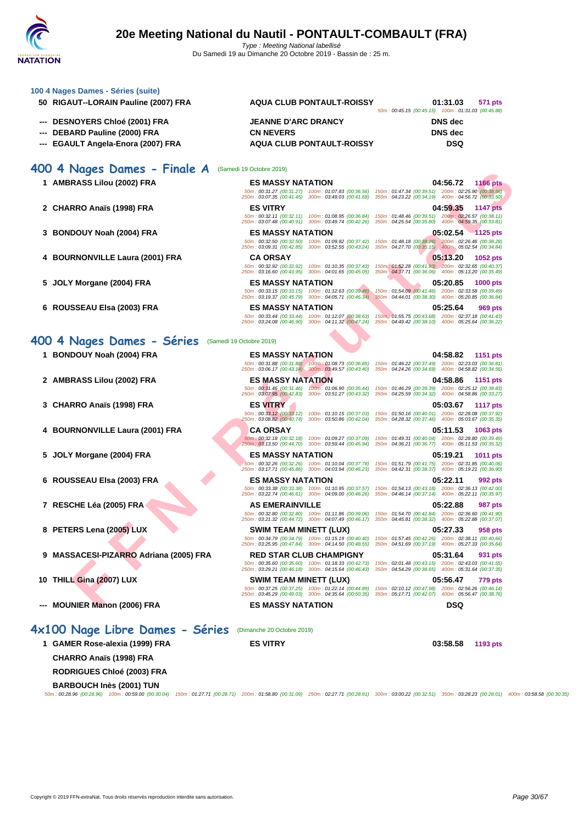

| 100 4 Nages Dames - Séries (suite)                                                                                                                                                                                                                |                                                                                                                                           |                                                                                                                                           |
|---------------------------------------------------------------------------------------------------------------------------------------------------------------------------------------------------------------------------------------------------|-------------------------------------------------------------------------------------------------------------------------------------------|-------------------------------------------------------------------------------------------------------------------------------------------|
| 50 RIGAUT--LORAIN Pauline (2007) FRA                                                                                                                                                                                                              | <b>AQUA CLUB PONTAULT-ROISSY</b>                                                                                                          | 01:31.03<br>571 pts<br>50m: 00:45.15 (00:45.15) 100m: 01:31.03 (00:45.88)                                                                 |
| ---   DESNOYERS Chloé (2001) FRA                                                                                                                                                                                                                  | <b>JEANNE D'ARC DRANCY</b>                                                                                                                | <b>DNS</b> dec                                                                                                                            |
| DEBARD Pauline (2000) FRA                                                                                                                                                                                                                         | <b>CN NEVERS</b>                                                                                                                          | <b>DNS</b> dec                                                                                                                            |
| EGAULT Angela-Enora (2007) FRA                                                                                                                                                                                                                    | <b>AQUA CLUB PONTAULT-ROISSY</b>                                                                                                          | <b>DSQ</b>                                                                                                                                |
|                                                                                                                                                                                                                                                   |                                                                                                                                           |                                                                                                                                           |
| 400 4 Nages Dames - Finale A                                                                                                                                                                                                                      | (Samedi 19 Octobre 2019)                                                                                                                  |                                                                                                                                           |
| 1 AMBRASS Lilou (2002) FRA                                                                                                                                                                                                                        | <b>ES MASSY NATATION</b>                                                                                                                  | 04:56.72<br><b>1166 pts</b><br>50m: 00:31.27 (00:31.27) 100m: 01:07.83 (00:36.56) 150m: 01:47.34 (00:39.51) 200m: 02:25.90 (00:38.56)     |
|                                                                                                                                                                                                                                                   | 250m: 03:07.35 (00:41.45) 300m: 03:49.03 (00:41.68) 350m: 04:23.22 (00:34.19) 400m: 04:56.72 (00:33.50)                                   |                                                                                                                                           |
| 2 CHARRO Anaïs (1998) FRA                                                                                                                                                                                                                         | <b>ES VITRY</b>                                                                                                                           | 04:59.35<br><b>1147 pts</b><br>50m : 00:32.11 (00:32.11) 100m : 01:08.95 (00:36.84) 150m : 01:48.46 (00:39.51) 200m : 02:26.57 (00:38.11) |
|                                                                                                                                                                                                                                                   | 250m: 03:07.48 (00:40.91) 300m: 03:49.74 (00:42.26) 350m: 04:25.54 (00:35.80) 400m: 04:59.35 (00:33.81)                                   |                                                                                                                                           |
| 3   BONDOUY Noah (2004) FRA                                                                                                                                                                                                                       | <b>ES MASSY NATATION</b>                                                                                                                  | $05:02.54$ 1125 pts<br>50m : 00:32.50 (00:32.50) 100m : 01:09.92 (00:37.42) 150m : 01:48.18 (00:38.26) 200m : 02:26.46 (00:38.28)         |
|                                                                                                                                                                                                                                                   | 250m : 03:09.31 (00:42.85) 300m : 03:52.55 (00:43.24) 350m : 04:27.70 (00:35.15) 400m : 05:02.54 (00:34.84)                               |                                                                                                                                           |
| 4 BOURNONVILLE Laura (2001) FRA                                                                                                                                                                                                                   | <b>CA ORSAY</b><br>50m: 00:32.92 (00:32.92) 100m: 01:10.35 (00:37.43)                                                                     | 05:13.20<br>1052 pts<br>150m: 01:52.28 (00:41.93) 200m: 02:32.65 (00:40.37)                                                               |
|                                                                                                                                                                                                                                                   | 250m: 03:16.60 (00:43.95) 300m: 04:01.65 (00:45.05)                                                                                       | 350m : 04:37.71 (00:36.06) 400m : 05:13.20 (00:35.49)                                                                                     |
| 5  JOLY Morgane (2004) FRA                                                                                                                                                                                                                        | <b>ES MASSY NATATION</b>                                                                                                                  | 05:20.85<br><b>1000 pts</b><br>50m: 00:33.15 (00:33.15) 100m: 01:12.63 (00:39.48) 150m: 01:54.09 (00:41.46) 200m: 02:33.58 (00:39.49)     |
|                                                                                                                                                                                                                                                   | 250m : 03:19.37 (00:45.79) 300m : 04:05.71 (00:46.34) 350m : 04:44.01 (00:38.30) 400m : 05:20.85 (00:36.84)                               |                                                                                                                                           |
| 6 ROUSSEAU Elsa (2003) FRA                                                                                                                                                                                                                        | <b>ES MASSY NATATION</b>                                                                                                                  | 05:25.64<br>969 pts<br>50m: 00:33.44 (00:33.44) 100m: 01:12.07 (00:38.63) 150m: 01:55.75 (00:43.68) 200m: 02:37.18 (00:41.43)             |
|                                                                                                                                                                                                                                                   | 250m : 03:24.08 (00:46.90) 300m : 04:11.32 (00:47.24) 350m : 04:49.42 (00:38.10) 400m : 05:25.64 (00:36.22)                               |                                                                                                                                           |
| 400 4 Nages Dames - Séries                                                                                                                                                                                                                        | (Samedi 19 Octobre 2019)                                                                                                                  |                                                                                                                                           |
| 1 BONDOUY Noah (2004) FRA                                                                                                                                                                                                                         | <b>ES MASSY NATATION</b>                                                                                                                  | 04:58.82<br>1151 pts                                                                                                                      |
|                                                                                                                                                                                                                                                   |                                                                                                                                           | 50m: 00:31.88 (00:31.88) 100m: 01:08.73 (00:36.85) 150m: 01:46.22 (00:37.49) 200m: 02:23.03 (00:36.81)                                    |
| 2 AMBRASS Lilou (2002) FRA                                                                                                                                                                                                                        | 250m: 03:06.17 (00:43.14) 300m: 03:49.57 (00:43.40) 350m: 04:24.26 (00:34.69) 400m: 04:58.82 (00:34.56)<br><b>ES MASSY NATATION</b>       | 04:58.86<br>1151 pts                                                                                                                      |
|                                                                                                                                                                                                                                                   |                                                                                                                                           | 50m: 00:31.46 (00:31.46) 100m: 01:06.90 (00:35.44) 150m: 01:46.29 (00:39.39) 200m: 02:25.12 (00:38.83)                                    |
| 3 CHARRO Anaïs (1998) FRA                                                                                                                                                                                                                         | 250m: 03:07.95 (00:42.83) 300m: 03:51.27 (00:43.32) 350m: 04:25.59 (00:34.32) 400m: 04:58.86 (00:33.27)<br><b>ES VITRY</b>                | 05:03.67<br>1117 pts                                                                                                                      |
|                                                                                                                                                                                                                                                   |                                                                                                                                           | 50m : 00:33.12 (00:33.12) 100m : 01:10.15 (00:37.03) 150m : 01:50.16 (00:40.01) 200m : 02:28.08 (00:37.92)                                |
| 4 BOURNONVILLE Laura (2001) FRA                                                                                                                                                                                                                   | 250m: 03:08.82 (00:40.74) 300m: 03:50.86 (00:42.04) 350m: 04:28.32 (00:37.46) 400m: 05:03.67 (00:35.35)<br><b>CA ORSAY</b>                | 05:11.53<br>1063 pts                                                                                                                      |
|                                                                                                                                                                                                                                                   | 250m: 03:13.50 (00:44.70) 300m: 03:59.44 (00:45.94) 350m: 04:36.21 (00:36.77) 400m: 05:11.53 (00:35.32)                                   | 50m: 00:32.18 (00:32.18) 100m: 01:09.27 (00:37.09) 150m: 01:49.31 (00:40.04) 200m: 02:28.80 (00:39.49)                                    |
| 5  JOLY Morgane (2004) FRA                                                                                                                                                                                                                        | <b>ES MASSY NATATION</b>                                                                                                                  | 05:19.21<br>1011 pts                                                                                                                      |
|                                                                                                                                                                                                                                                   | 250m: 03:17.71 (00:45.86) 300m: 04:03.94 (00:46.23) 350m: 04:42.31 (00:38.37) 400m: 05:19.21 (00:36.90)                                   | 50m: 00:32.26 (00:32.26) 100m: 01:10.04 (00:37.78) 150m: 01:51.79 (00:41.75) 200m: 02:31.85 (00:40.06)                                    |
| 6 ROUSSEAU Elsa (2003) FRA                                                                                                                                                                                                                        | <b>ES MASSY NATATION</b>                                                                                                                  | 05:22.11<br><b>992 pts</b>                                                                                                                |
|                                                                                                                                                                                                                                                   | 250m: 03:22.74 (00:46.61) 300m: 04:09.00 (00:46.26) 350m: 04:46.14 (00:37.14) 400m: 05:22.11 (00:35.97)                                   | 50m : 00:33.38 (00:33.38) 100m : 01:10.95 (00:37.57) 150m : 01:54.13 (00:43.18) 200m : 02:36.13 (00:42.00)                                |
| 7 RESCHE Léa (2005) FRA                                                                                                                                                                                                                           | <b>AS EMERAINVILLE</b>                                                                                                                    | 05:22.88<br>987 pts                                                                                                                       |
|                                                                                                                                                                                                                                                   |                                                                                                                                           | 50m : 00:32.80 (00:32.80) 100m : 01:11.86 (00:39.06) 150m : 01:54.70 (00:42.84) 200m : 02:36.60 (00:41.90)                                |
| 8 PETERS Lena (2005) LUX                                                                                                                                                                                                                          | 250m: 03:21.32 (00:44.72) 300m: 04:07.49 (00:46.17) 350m: 04:45.81 (00:38.32) 400m: 05:22.88 (00:37.07)<br>SWIM TEAM MINETT (LUX)         | 05:27.33<br>958 pts                                                                                                                       |
|                                                                                                                                                                                                                                                   |                                                                                                                                           | 50m: 00:34.79 (00:34.79) 100m: 01:15.19 (00:40.40) 150m: 01:57.45 (00:42.26) 200m: 02:38.11 (00:40.66)                                    |
| 9 MASSACESI-PIZARRO Adriana (2005) FRA                                                                                                                                                                                                            | 250m: 03:25.95 (00:47.84) 300m: 04:14.50 (00:48.55) 350m: 04:51.69 (00:37.19) 400m: 05:27.33 (00:35.64)<br><b>RED STAR CLUB CHAMPIGNY</b> | 05:31.64<br>931 pts                                                                                                                       |
|                                                                                                                                                                                                                                                   |                                                                                                                                           | 50m: 00:35.60 (00:35.60) 100m: 01:18.33 (00:42.73) 150m: 02:01.48 (00:43.15) 200m: 02:43.03 (00:41.55)                                    |
| 10 THILL Gina (2007) LUX                                                                                                                                                                                                                          | 250m: 03:29.21 (00:46.18) 300m: 04:15.64 (00:46.43) 350m: 04:54.29 (00:38.65) 400m: 05:31.64 (00:37.35)<br>SWIM TEAM MINETT (LUX)         | 05:56.47<br>779 pts                                                                                                                       |
|                                                                                                                                                                                                                                                   |                                                                                                                                           | 50m : 00:37.25 (00:37.25) 100m : 01:22.14 (00:44.89) 150m : 02:10.12 (00:47.98) 200m : 02:56.26 (00:46.14)                                |
| --- MOUNIER Manon (2006) FRA                                                                                                                                                                                                                      | 250m: 03:45.29 (00:49.03) 300m: 04:35.64 (00:50.35) 350m: 05:17.71 (00:42.07) 400m: 05:56.47 (00:38.76)<br><b>ES MASSY NATATION</b>       | <b>DSQ</b>                                                                                                                                |
|                                                                                                                                                                                                                                                   |                                                                                                                                           |                                                                                                                                           |
| 4x100 Nage Libre Dames - Séries                                                                                                                                                                                                                   | (Dimanche 20 Octobre 2019)                                                                                                                |                                                                                                                                           |
| 1 GAMER Rose-alexia (1999) FRA                                                                                                                                                                                                                    | <b>ES VITRY</b>                                                                                                                           | 03:58.58<br>1193 pts                                                                                                                      |
| <b>CHARRO Anaïs (1998) FRA</b>                                                                                                                                                                                                                    |                                                                                                                                           |                                                                                                                                           |
| <b>RODRIGUES Chloé (2003) FRA</b>                                                                                                                                                                                                                 |                                                                                                                                           |                                                                                                                                           |
|                                                                                                                                                                                                                                                   |                                                                                                                                           |                                                                                                                                           |
| <b>BARBOUCH Inès (2001) TUN</b><br>50m: 00:28.96 (00:28.96) 100m: 00:59.00 (00:30.04) 150m: 01:27.71 (00:28.71) 200m: 01:58.80 (00:31.09) 250m: 02:27.71 (00:28.91) 300m: 03:00.22 (00:32.51) 350m: 03:28.23 (00:28.01) 400m: 03:28.58 (00:30.35) |                                                                                                                                           |                                                                                                                                           |
|                                                                                                                                                                                                                                                   |                                                                                                                                           |                                                                                                                                           |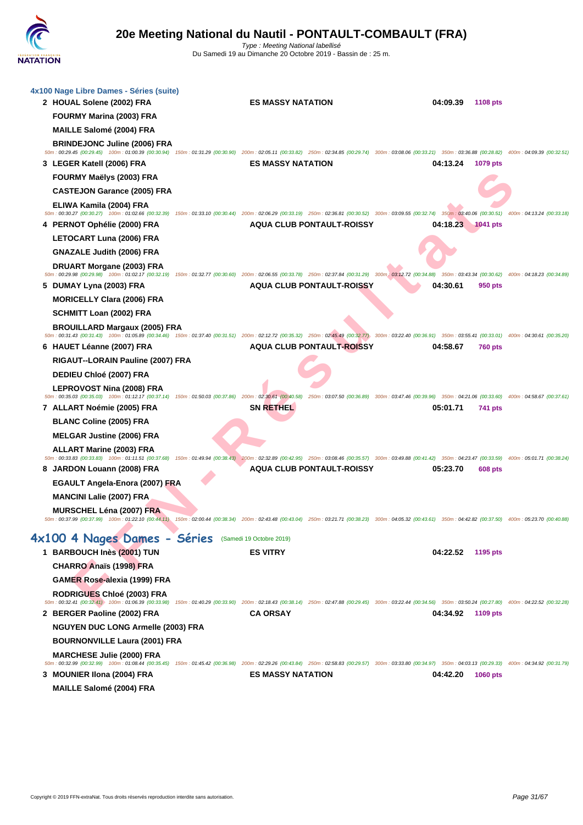

| 4x100 Nage Libre Dames - Séries (suite)                                                                                                                                                                                                               |                                  |          |                 |                           |
|-------------------------------------------------------------------------------------------------------------------------------------------------------------------------------------------------------------------------------------------------------|----------------------------------|----------|-----------------|---------------------------|
| 2 HOUAL Solene (2002) FRA                                                                                                                                                                                                                             | <b>ES MASSY NATATION</b>         | 04:09.39 | <b>1108 pts</b> |                           |
| FOURMY Marina (2003) FRA                                                                                                                                                                                                                              |                                  |          |                 |                           |
| <b>MAILLE Salomé (2004) FRA</b>                                                                                                                                                                                                                       |                                  |          |                 |                           |
| <b>BRINDEJONC Juline (2006) FRA</b><br>50m: 00:29.45 (00:29.45) 100m: 01:00.39 (00:30.94) 150m: 01:31.29 (00:30.90) 200m: 02:05.11 (00:33.82) 250m: 02:34.85 (00:29.74) 300m: 03:08.06 (00:33.21) 350m: 03:36.88 (00:28.82) 400m: 04:09.39 (00:32.51) |                                  |          |                 |                           |
| 3 LEGER Katell (2006) FRA                                                                                                                                                                                                                             | <b>ES MASSY NATATION</b>         | 04:13.24 | 1079 pts        |                           |
| FOURMY Maëlys (2003) FRA                                                                                                                                                                                                                              |                                  |          |                 |                           |
| <b>CASTEJON Garance (2005) FRA</b>                                                                                                                                                                                                                    |                                  |          |                 |                           |
| ELIWA Kamila (2004) FRA<br>50m: 00:30.27 (00:30.27) 100m: 01:02.66 (00:32.39) 150m: 01:33.10 (00:30.44) 200m: 02:06.29 (00:33.19) 250m: 02:36.81 (00:30.52) 300m: 03:09.55 (00:32.74) 350m: 03:40.06 (00:30.51) 400m: 04:13.24 (00:33.18)             |                                  |          |                 |                           |
| 4 PERNOT Ophélie (2000) FRA                                                                                                                                                                                                                           | <b>AQUA CLUB PONTAULT-ROISSY</b> | 04:18.23 | <b>1041 pts</b> |                           |
| LETOCART Luna (2006) FRA                                                                                                                                                                                                                              |                                  |          |                 |                           |
| <b>GNAZALE Judith (2006) FRA</b>                                                                                                                                                                                                                      |                                  |          |                 |                           |
| DRUART Morgane (2003) FRA<br>50m: 00:29.98 (00:29.98) 100m: 01:02.17 (00:32.19) 150m: 01:32.77 (00:30.60) 200m: 02:06.55 (00:33.78) 250m: 02:37.84 (00:31.29) 300m: 03:12.72 (00:34.88) 350m: 03:43.34 (00:30.62) 400m: 04:18.23 (00:34.89)           |                                  |          |                 |                           |
| 5 DUMAY Lyna (2003) FRA                                                                                                                                                                                                                               | <b>AQUA CLUB PONTAULT-ROISSY</b> | 04:30.61 | 950 pts         |                           |
| <b>MORICELLY Clara (2006) FRA</b>                                                                                                                                                                                                                     |                                  |          |                 |                           |
| SCHMITT Loan (2002) FRA                                                                                                                                                                                                                               |                                  |          |                 |                           |
| <b>BROUILLARD Margaux (2005) FRA</b>                                                                                                                                                                                                                  |                                  |          |                 |                           |
| 50m: 00:31.43 (00:31.43) 100m: 01:05.89 (00:34.46) 150m: 01:37.40 (00:31.51) 200m: 02:12.72 (00:35.32) 250m: 02:45.49 (00:32.77) 300m: 03:22.40 (00:36.91) 350m: 03:55.41 (00:33.01) 400m: 04:30.61 (00:35.20)<br>6 HAUET Léanne (2007) FRA           | AQUA CLUB PONTAULT-ROISSY        | 04:58.67 | 760 pts         |                           |
| RIGAUT--LORAIN Pauline (2007) FRA                                                                                                                                                                                                                     |                                  |          |                 |                           |
| DEDIEU Chloé (2007) FRA                                                                                                                                                                                                                               |                                  |          |                 |                           |
| LEPROVOST Nina (2008) FRA                                                                                                                                                                                                                             |                                  |          |                 |                           |
| 50m: 00:35.03 (00:35.03) 100m: 01:12.17 (00:37.14) 150m: 01:50.03 (00:37.86) 200m: 02:30.61 (00:40.58) 250m: 03:07.50 (00:36.89) 300m: 03:47.46 (00:39.96) 350m: 04:21.06 (00:33.60) 400m: 04:28.67 (00:37.61)                                        |                                  |          |                 |                           |
| 7   ALLART Noémie (2005) FRA<br><b>BLANC Coline (2005) FRA</b>                                                                                                                                                                                        | <b>SN RETHEL</b>                 | 05:01.71 | 741 pts         |                           |
| <b>MELGAR Justine (2006) FRA</b>                                                                                                                                                                                                                      |                                  |          |                 |                           |
| ALLART Marine (2003) FRA                                                                                                                                                                                                                              |                                  |          |                 |                           |
| 50m : 00:33.83 (00:33.83) 100m : 01:11.51 (00:37.68) 150m : 01:49.94 (00:38.43) 200m : 02:32.89 (00:42.95) 250m : 03:08.46 (00:35.57) 300m : 03:49.88 (00:41.42) 350m : 04:23.47 (00:33.59)                                                           |                                  |          |                 | 400m: 05:01.71 (00:38.24) |
| 8 JARDON Louann (2008) FRA                                                                                                                                                                                                                            | <b>AQUA CLUB PONTAULT-ROISSY</b> | 05:23.70 | <b>608 pts</b>  |                           |
| EGAULT Angela-Enora (2007) FRA                                                                                                                                                                                                                        |                                  |          |                 |                           |
| <b>MANCINI Lalie (2007) FRA</b>                                                                                                                                                                                                                       |                                  |          |                 |                           |
| <b>MURSCHEL Léna (2007) FRA</b><br>50m: 00:37.99 (00:37.99) 100m: 01:22.10 (00:44.11) 150m: 02:00.44 (00:38.34) 200m: 02:43.48 (00:43.04) 250m: 03:21.71 (00:38.23) 300m: 04:05.32 (00:43.61) 350m: 04:42.82 (00:37.50) 400m: 05:23.70 (00:40.88)     |                                  |          |                 |                           |
| 4x100 4 Nages Dames - Séries (Samedi 19 Octobre 2019)                                                                                                                                                                                                 |                                  |          |                 |                           |
| 1 BARBOUCH Inès (2001) TUN                                                                                                                                                                                                                            | <b>ES VITRY</b>                  | 04:22.52 | 1195 pts        |                           |
| <b>CHARRO Anaïs (1998) FRA</b>                                                                                                                                                                                                                        |                                  |          |                 |                           |
| <b>GAMER Rose-alexia (1999) FRA</b>                                                                                                                                                                                                                   |                                  |          |                 |                           |
| <b>RODRIGUES Chloé (2003) FRA</b>                                                                                                                                                                                                                     |                                  |          |                 |                           |
| 50m: 00:32.41 (00:32.41) 100m: 01:06.39 (00:33.98) 150m: 01:40.29 (00:33.90) 200m: 02:18.43 (00:38.14) 250m: 02:47.88 (00:29.45) 300m: 03:22.44 (00:34.56) 350m: 03:50.24 (00:27.80) 400m: 04:22.52 (00:32.28)                                        | <b>CA ORSAY</b>                  |          |                 |                           |
| 2 BERGER Paoline (2002) FRA<br><b>NGUYEN DUC LONG Armelle (2003) FRA</b>                                                                                                                                                                              |                                  | 04:34.92 | 1109 pts        |                           |
| <b>BOURNONVILLE Laura (2001) FRA</b>                                                                                                                                                                                                                  |                                  |          |                 |                           |
| <b>MARCHESE Julie (2000) FRA</b>                                                                                                                                                                                                                      |                                  |          |                 |                           |
| 50m: 00:32.99 (00:32.99) 100m: 01:08.44 (00:35.45) 150m: 01:45.42 (00:36.98) 200m: 02:29.26 (00:43.84) 250m: 02:58.83 (00:29.57) 300m: 03:33.80 (00:34.97) 350m: 04:03.13 (00:29.33) 400m: 04:34.92 (00:31.79)                                        |                                  |          |                 |                           |
| 3 MOUNIER IIona (2004) FRA                                                                                                                                                                                                                            | <b>ES MASSY NATATION</b>         | 04:42.20 | <b>1060 pts</b> |                           |
| <b>MAILLE Salomé (2004) FRA</b>                                                                                                                                                                                                                       |                                  |          |                 |                           |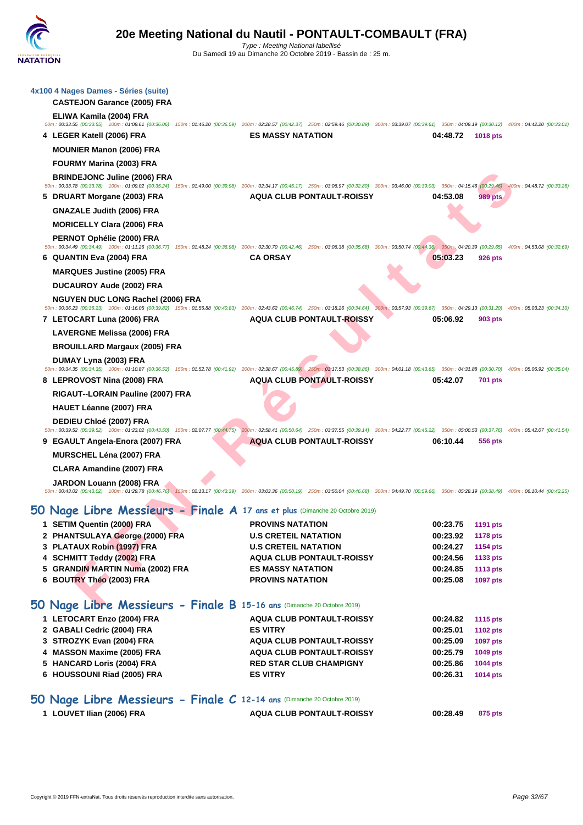|   | 4x100 4 Nages Dames - Séries (suite)<br><b>CASTEJON Garance (2005) FRA</b> |                                                                                                                                                                                                                |                      |                                    |                           |
|---|----------------------------------------------------------------------------|----------------------------------------------------------------------------------------------------------------------------------------------------------------------------------------------------------------|----------------------|------------------------------------|---------------------------|
|   | ELIWA Kamila (2004) FRA                                                    | 50m: 00:33.55 (00:33.55) 100m: 01:09.61 (00:36.06) 150m: 01:46.20 (00:36.59) 200m: 02:28.57 (00:42.37) 250m: 02:59.46 (00:30.89) 300m: 03:39.07 (00:39.61) 350m: 04:09.19 (00:30.12) 400m: 04:42.20 (00:33.01) |                      |                                    |                           |
|   | 4 LEGER Katell (2006) FRA                                                  | <b>ES MASSY NATATION</b>                                                                                                                                                                                       | 04:48.72             | <b>1018 pts</b>                    |                           |
|   | <b>MOUNIER Manon (2006) FRA</b>                                            |                                                                                                                                                                                                                |                      |                                    |                           |
|   | FOURMY Marina (2003) FRA                                                   |                                                                                                                                                                                                                |                      |                                    |                           |
|   | <b>BRINDEJONC Juline (2006) FRA</b>                                        | 50m: 00:33.78 (00:33.78) 100m: 01:09.02 (00:35.24) 150m: 01:49.00 (00:39.98) 200m: 02:34.17 (00:45.17) 250m: 03:06.97 (00:32.80) 300m: 03:46.00 (00:39.03) 350m: 04:15.46 (00:29.46) 400m: 04:48.72 (00:33.26) |                      |                                    |                           |
|   | 5 DRUART Morgane (2003) FRA                                                | <b>AQUA CLUB PONTAULT-ROISSY</b>                                                                                                                                                                               | 04:53.08             | 989 pts                            |                           |
|   | <b>GNAZALE Judith (2006) FRA</b>                                           |                                                                                                                                                                                                                |                      |                                    |                           |
|   | <b>MORICELLY Clara (2006) FRA</b>                                          |                                                                                                                                                                                                                |                      |                                    |                           |
|   | PERNOT Ophélie (2000) FRA                                                  |                                                                                                                                                                                                                |                      |                                    |                           |
|   |                                                                            | 50m: 00:34.49 (00:34.49) 100m: 01:11.26 (00:36.77) 150m: 01:48.24 (00:36.98) 200m: 02:30.70 (00:42.46) 250m: 03:06.38 (00:35.68) 300m: 03:50.74 (00:44.36) 350m: 04:20.39 (00:29.65)                           |                      |                                    | 400m: 04:53.08 (00:32.69) |
|   | 6   QUANTIN Eva (2004) FRA                                                 | <b>CA ORSAY</b>                                                                                                                                                                                                | 05:03.23             | <b>926 pts</b>                     |                           |
|   | <b>MARQUES Justine (2005) FRA</b>                                          |                                                                                                                                                                                                                |                      |                                    |                           |
|   | <b>DUCAUROY Aude (2002) FRA</b>                                            |                                                                                                                                                                                                                |                      |                                    |                           |
|   | <b>NGUYEN DUC LONG Rachel (2006) FRA</b>                                   | 50m: 00:36.23 (00:36.23) 100m: 01:16.05 (00:39.82) 150m: 01:56.88 (00:40.83) 200m: 02:43.62 (00:46.74) 250m: 03:18.26 (00:34.64) 300m: 03:57.93 (00:39.67) 350m: 04:29.13 (00:31.20) 400m: 05:03.23 (00:34.10) |                      |                                    |                           |
|   | 7 LETOCART Luna (2006) FRA                                                 | <b>AQUA CLUB PONTAULT-ROISSY</b>                                                                                                                                                                               | 05:06.92             | 903 pts                            |                           |
|   | LAVERGNE Melissa (2006) FRA                                                |                                                                                                                                                                                                                |                      |                                    |                           |
|   | <b>BROUILLARD Margaux (2005) FRA</b>                                       |                                                                                                                                                                                                                |                      |                                    |                           |
|   | DUMAY Lyna (2003) FRA                                                      | 50m: 00:34.35 (00:34.35) 100m: 01:10.87 (00:36.52) 150m: 01:52.78 (00:41.91) 200m: 02:38.67 (00:45.89) 250m: 03:17.53 (00:38.86) 300m: 04:01.18 (00:43.65) 350m: 04:31.88 (00:30.70) 400m: 05:06.92 (00:35.04) |                      |                                    |                           |
|   | 8 LEPROVOST Nina (2008) FRA                                                | <b>AQUA CLUB PONTAULT-ROISSY</b>                                                                                                                                                                               | 05:42.07             | <b>701 pts</b>                     |                           |
|   | RIGAUT--LORAIN Pauline (2007) FRA                                          |                                                                                                                                                                                                                |                      |                                    |                           |
|   | <b>HAUET Léanne (2007) FRA</b>                                             |                                                                                                                                                                                                                |                      |                                    |                           |
|   | <b>DEDIEU Chloé (2007) FRA</b>                                             | 50m: 00:39.52 (00:39.52) 100m: 01:23.02 (00:43.50) 150m: 02:07.77 (00:44.75) 200m: 02:58.41 (00:50.64) 250m: 03:37.55 (00:39.14) 300m: 04:22.77 (00:45.22) 350m: 05:00.53 (00:37.76) 400m: 05:42.07 (00:41.54) |                      |                                    |                           |
| 9 | EGAULT Angela-Enora (2007) FRA                                             | <b>AQUA CLUB PONTAULT-ROISSY</b>                                                                                                                                                                               | 06:10.44             | 556 pts                            |                           |
|   | <b>MURSCHEL Léna (2007) FRA</b>                                            |                                                                                                                                                                                                                |                      |                                    |                           |
|   | <b>CLARA Amandine (2007) FRA</b>                                           |                                                                                                                                                                                                                |                      |                                    |                           |
|   | JARDON Louann (2008) FRA                                                   | 50m: 00:43.02 (00:43.02) 100m: 01:29.78 (00:46.76) 150m: 02:13.17 (00:43.39) 200m: 03:03.36 (00:50.19) 250m: 03:50.04 (00:46.68) 300m: 04:49.70 (00:59.66) 350m: 05:28.19 (00:38.49) 400m: 06:10.44 (00:42.25) |                      |                                    |                           |
|   |                                                                            | 50 Nage Libre Messieurs - Finale A 17 ans et plus (Dimanche 20 Octobre 2019)                                                                                                                                   |                      |                                    |                           |
|   | 1 SETIM Quentin (2000) FRA                                                 | <b>PROVINS NATATION</b>                                                                                                                                                                                        | 00:23.75             | 1191 pts                           |                           |
|   | 2 PHANTSULAYA George (2000) FRA                                            | <b>U.S CRETEIL NATATION</b>                                                                                                                                                                                    | 00:23.92             | <b>1178 pts</b>                    |                           |
|   | 3 PLATAUX Robin (1997) FRA                                                 | <b>U.S CRETEIL NATATION</b>                                                                                                                                                                                    | 00:24.27             | <b>1154 pts</b>                    |                           |
|   | 4 SCHMITT Teddy (2002) FRA                                                 | <b>AQUA CLUB PONTAULT-ROISSY</b>                                                                                                                                                                               | 00:24.56             | 1133 pts                           |                           |
|   | 5 GRANDIN MARTIN Numa (2002) FRA<br>6 BOUTRY Théo (2003) FRA               | <b>ES MASSY NATATION</b><br><b>PROVINS NATATION</b>                                                                                                                                                            | 00:24.85<br>00:25.08 | <b>1113 pts</b><br><b>1097 pts</b> |                           |
|   |                                                                            |                                                                                                                                                                                                                |                      |                                    |                           |
|   | 50 Nage Libre Messieurs - Finale B 15-16 ans (Dimanche 20 Octobre 2019)    |                                                                                                                                                                                                                |                      |                                    |                           |

## **50 Nage Libre Messieurs - Finale A 17 ans et plus** (Dimanche 20 Octobre 2019)

| 1 SETIM Quentin (2000) FRA                                              | <b>PROVINS NATATION</b>          | 00:23.75 | <b>1191 pts</b> |
|-------------------------------------------------------------------------|----------------------------------|----------|-----------------|
| 2 PHANTSULAYA George (2000) FRA                                         | <b>U.S CRETEIL NATATION</b>      | 00:23.92 | <b>1178 pts</b> |
| 3 PLATAUX Robin (1997) FRA                                              | <b>U.S CRETEIL NATATION</b>      | 00:24.27 | 1154 pts        |
| 4 SCHMITT Teddy (2002) FRA                                              | <b>AQUA CLUB PONTAULT-ROISSY</b> | 00:24.56 | 1133 pts        |
| 5 GRANDIN MARTIN Numa (2002) FRA                                        | <b>ES MASSY NATATION</b>         | 00:24.85 | <b>1113 pts</b> |
| 6 BOUTRY Théo (2003) FRA                                                | <b>PROVINS NATATION</b>          | 00:25.08 | <b>1097 pts</b> |
| 50 Nage Libre Messieurs - Finale B 15-16 ans (Dimanche 20 Octobre 2019) |                                  |          |                 |
| 1 LETOCART Enzo (2004) FRA                                              | <b>AQUA CLUB PONTAULT-ROISSY</b> | 00:24.82 | 1115 pts        |

| <b>I LETOGART LIIZU (2004) FRA</b> | AWUA ULUD FUNTAULT NUISST        | $00.24.02$ $11.0 \mu$ |                 |
|------------------------------------|----------------------------------|-----------------------|-----------------|
| 2 GABALI Cedric (2004) FRA         | <b>ES VITRY</b>                  | 00:25.01              | 1102 pts        |
| 3 STROZYK Evan (2004) FRA          | <b>AQUA CLUB PONTAULT-ROISSY</b> | 00:25.09              | <b>1097 pts</b> |
| 4 MASSON Maxime (2005) FRA         | <b>AQUA CLUB PONTAULT-ROISSY</b> | 00:25.79              | 1049 pts        |
| 5 HANCARD Loris (2004) FRA         | <b>RED STAR CLUB CHAMPIGNY</b>   | 00:25.86              | <b>1044 pts</b> |
| 6 HOUSSOUNI Riad (2005) FRA        | <b>ES VITRY</b>                  | 00:26.31              | 1014 pts        |
|                                    |                                  |                       |                 |

## **50 Nage Libre Messieurs - Finale C 12-14 ans** (Dimanche 20 Octobre 2019)

| 1 LOUVET Ilian (2006) FRA | <b>AQUA CLUB PONTAULT-ROISSY</b> | 00:28.49 | 875 pts |
|---------------------------|----------------------------------|----------|---------|
|                           |                                  |          |         |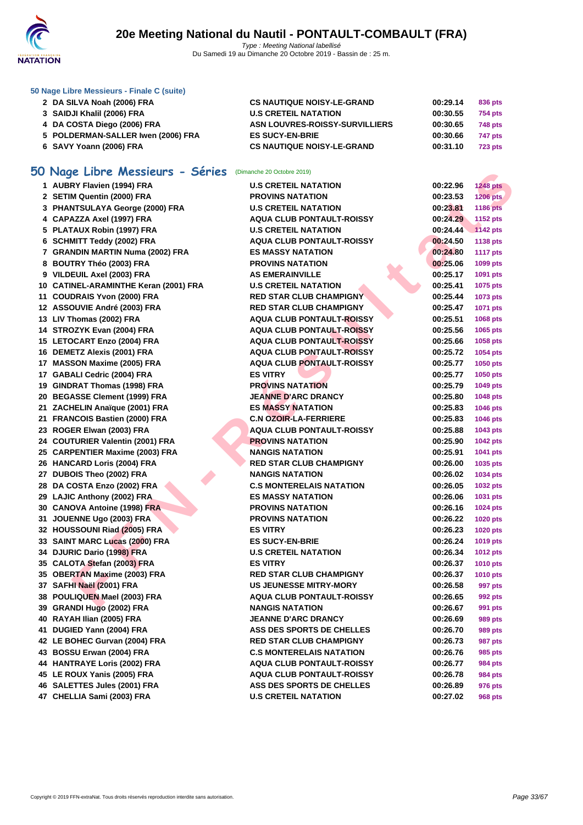

#### **[50 Nage L](http://www.ffnatation.fr/webffn/index.php)ibre Messieurs - Finale C (suite)**

| 2 DA SILVA Noah (2006) FRA         | <b>CS NAUTIQUE NOISY-LE-GRAND</b>     | 00:29.14 | 836 pts        |
|------------------------------------|---------------------------------------|----------|----------------|
| 3 SAIDJI Khalil (2006) FRA         | <b>U.S CRETEIL NATATION</b>           | 00:30.55 | 754 pts        |
| 4 DA COSTA Diego (2006) FRA        | <b>ASN LOUVRES-ROISSY-SURVILLIERS</b> | 00:30.65 | 748 pts        |
| 5 POLDERMAN-SALLER Iwen (2006) FRA | <b>ES SUCY-EN-BRIE</b>                | 00:30.66 | 747 pts        |
| 6 SAVY Yoann (2006) FRA            | <b>CS NAUTIQUE NOISY-LE-GRAND</b>     | 00:31.10 | <b>723 pts</b> |

# **50 Nage Libre Messieurs - Séries** (Dimanche 20 Octobre 2019)

| <b>IU Nage LIDre Messieurs - Series</b> (Dimanche 20 Octobre 2019) |                                  |          |                 |
|--------------------------------------------------------------------|----------------------------------|----------|-----------------|
| 1 AUBRY Flavien (1994) FRA                                         | <b>U.S CRETEIL NATATION</b>      | 00:22.96 | <b>1248 pts</b> |
| 2 SETIM Quentin (2000) FRA                                         | <b>PROVINS NATATION</b>          | 00:23.53 | 1206 pts        |
| 3 PHANTSULAYA George (2000) FRA                                    | <b>U.S CRETEIL NATATION</b>      | 00:23.81 | <b>1186 pts</b> |
| 4 CAPAZZA Axel (1997) FRA                                          | <b>AQUA CLUB PONTAULT-ROISSY</b> | 00:24.29 | 1152 pts        |
| 5 PLATAUX Robin (1997) FRA                                         | <b>U.S CRETEIL NATATION</b>      | 00:24.44 | <b>1142 pts</b> |
| 6 SCHMITT Teddy (2002) FRA                                         | AQUA CLUB PONTAULT-ROISSY        | 00:24.50 | 1138 pts        |
| 7 GRANDIN MARTIN Numa (2002) FRA                                   | <b>ES MASSY NATATION</b>         | 00:24.80 | <b>1117 pts</b> |
| 8 BOUTRY Théo (2003) FRA                                           | <b>PROVINS NATATION</b>          | 00:25.06 | 1099 pts        |
| 9 VILDEUIL Axel (2003) FRA                                         | <b>AS EMERAINVILLE</b>           | 00:25.17 | 1091 pts        |
| 10 CATINEL-ARAMINTHE Keran (2001) FRA                              | <b>U.S CRETEIL NATATION</b>      | 00:25.41 | 1075 pts        |
| 11 COUDRAIS Yvon (2000) FRA                                        | <b>RED STAR CLUB CHAMPIGNY</b>   | 00:25.44 | 1073 pts        |
| 12 ASSOUVIE André (2003) FRA                                       | <b>RED STAR CLUB CHAMPIGNY</b>   | 00:25.47 | 1071 pts        |
| 13 LIV Thomas (2002) FRA                                           | <b>AQUA CLUB PONTAULT-ROISSY</b> | 00:25.51 | 1068 pts        |
| 14 STROZYK Evan (2004) FRA                                         | <b>AQUA CLUB PONTAULT-ROISSY</b> | 00:25.56 | 1065 pts        |
| 15 LETOCART Enzo (2004) FRA                                        | <b>AQUA CLUB PONTAULT-ROISSY</b> | 00:25.66 | 1058 pts        |
| 16 DEMETZ Alexis (2001) FRA                                        | <b>AQUA CLUB PONTAULT-ROISSY</b> | 00:25.72 | 1054 pts        |
| 17 MASSON Maxime (2005) FRA                                        | <b>AQUA CLUB PONTAULT-ROISSY</b> | 00:25.77 | 1050 pts        |
| 17 GABALI Cedric (2004) FRA                                        | <b>ES VITRY</b>                  | 00:25.77 | 1050 pts        |
| 19 GINDRAT Thomas (1998) FRA                                       | <b>PROVINS NATATION</b>          | 00:25.79 | 1049 pts        |
| 20 BEGASSE Clement (1999) FRA                                      | <b>JEANNE D'ARC DRANCY</b>       | 00:25.80 | 1048 pts        |
| 21 ZACHELIN Anaïque (2001) FRA                                     | <b>ES MASSY NATATION</b>         | 00:25.83 | 1046 pts        |
| 21 FRANCOIS Bastien (2000) FRA                                     | <b>C.N OZOIR-LA-FERRIERE</b>     | 00:25.83 | 1046 pts        |
| 23 ROGER Elwan (2003) FRA                                          | <b>AQUA CLUB PONTAULT-ROISSY</b> | 00:25.88 | 1043 pts        |
| 24 COUTURIER Valentin (2001) FRA                                   | <b>PROVINS NATATION</b>          | 00:25.90 | <b>1042 pts</b> |
| 25 CARPENTIER Maxime (2003) FRA                                    | <b>NANGIS NATATION</b>           | 00:25.91 | 1041 pts        |
| 26 HANCARD Loris (2004) FRA                                        | <b>RED STAR CLUB CHAMPIGNY</b>   | 00:26.00 | 1035 pts        |
| 27 DUBOIS Theo (2002) FRA                                          | <b>NANGIS NATATION</b>           | 00:26.02 | 1034 pts        |
| 28 DA COSTA Enzo (2002) FRA                                        | <b>C.S MONTERELAIS NATATION</b>  | 00:26.05 | <b>1032 pts</b> |
| 29 LAJIC Anthony (2002) FRA                                        | <b>ES MASSY NATATION</b>         | 00:26.06 | 1031 pts        |
| 30 CANOVA Antoine (1998) FRA                                       | <b>PROVINS NATATION</b>          | 00:26.16 | 1024 pts        |
| 31 JOUENNE Ugo (2003) FRA                                          | <b>PROVINS NATATION</b>          | 00:26.22 | <b>1020 pts</b> |
| 32 HOUSSOUNI Riad (2005) FRA                                       | <b>ES VITRY</b>                  | 00:26.23 | 1020 pts        |
| 33 SAINT MARC Lucas (2000) FRA                                     | <b>ES SUCY-EN-BRIE</b>           | 00:26.24 | 1019 pts        |
| 34 DJURIC Dario (1998) FRA                                         | <b>U.S CRETEIL NATATION</b>      | 00:26.34 | <b>1012 pts</b> |
| 35 CALOTA Stefan (2003) FRA                                        | <b>ES VITRY</b>                  | 00:26.37 | <b>1010 pts</b> |
| 35 OBERTAN Maxime (2003) FRA                                       | <b>RED STAR CLUB CHAMPIGNY</b>   | 00:26.37 | <b>1010 pts</b> |
| 37 SAFHI Naël (2001) FRA                                           | <b>US JEUNESSE MITRY-MORY</b>    | 00:26.58 | 997 pts         |
| 38 POULIQUEN Mael (2003) FRA                                       | <b>AQUA CLUB PONTAULT-ROISSY</b> | 00:26.65 | 992 pts         |
| 39 GRANDI Hugo (2002) FRA                                          | <b>NANGIS NATATION</b>           | 00:26.67 | 991 pts         |
| 40 RAYAH Ilian (2005) FRA                                          | <b>JEANNE D'ARC DRANCY</b>       | 00:26.69 | 989 pts         |
| 41 DUGIED Yann (2004) FRA                                          | <b>ASS DES SPORTS DE CHELLES</b> | 00:26.70 | <b>989 pts</b>  |
| 42 LE BOHEC Gurvan (2004) FRA                                      | <b>RED STAR CLUB CHAMPIGNY</b>   | 00:26.73 | <b>987 pts</b>  |
| 43 BOSSU Erwan (2004) FRA                                          | <b>C.S MONTERELAIS NATATION</b>  | 00:26.76 | 985 pts         |
| 44 HANTRAYE Loris (2002) FRA                                       | <b>AQUA CLUB PONTAULT-ROISSY</b> | 00:26.77 | <b>984 pts</b>  |
| 45 LE ROUX Yanis (2005) FRA                                        | <b>AQUA CLUB PONTAULT-ROISSY</b> | 00:26.78 | 984 pts         |
| 46 SALETTES Jules (2001) FRA                                       | ASS DES SPORTS DE CHELLES        | 00:26.89 | 976 pts         |
| 47 CHELLIA Sami (2003) FRA                                         | <b>U.S CRETEIL NATATION</b>      | 00:27.02 | 968 pts         |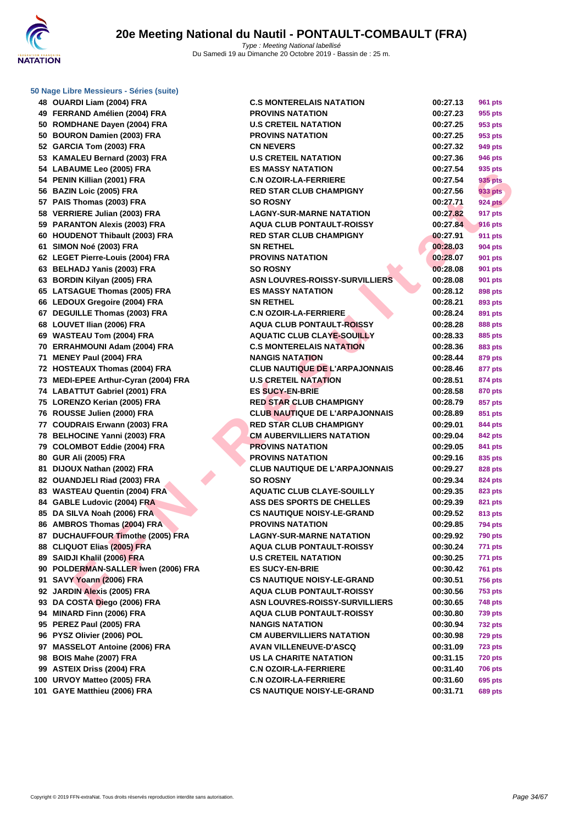**[50 Nage L](http://www.ffnatation.fr/webffn/index.php)ibre Messieurs - Séries (suite)**

**48 OUARDI Liam (2004) FRA C.S MONTERELAIS NATATION 00:27.13 961 pts 49 FERRAND Amélien (2004) FRA 50 ROMDHANE Dayen (2004) FRA 50 BOURON Damien (2003) FRA 52 GARCIA Tom (2003) FRA 53 KAMALEU Bernard (2003) FRA 54 LABAUME Leo (2005) FRA ES MASSY NATATION 00:27.54 935 pts 54 PENIN Killian (2001) FRA C.N OZOIR-LA-FERRIERE 00:27.54 935 pts 56 BAZIN Loic (2005) FRA RED STAR CLUB CHAMPIGNY 00:27.56 933 pts 57 PAIS Thomas (2003) FRA 58 VERRIERE Julian (2003) FRA LAGNY-SUR-MARNE NATATION 00:27.82 917 pts 59 PARANTON Alexis (2003) FRA 60 HOUDENOT Thibault (2003) FRA 61 SIMON Noé (2003) FRA 62 LEGET Pierre-Louis (2004) FRA 63 BELHADJ Yanis (2003) FRA 63 BORDIN Kilyan (2005) FRA 65** LATSAGUE Thomas (2005) FRA **66** LEDOUX Gregoire (2004) FRA **67 DEGUILLE Thomas (2003) FRA 68** LOUVET Ilian (2006) FRA **69 WASTEAU Tom (2004) FRA 70 ERRAHMOUNI Adam (2004) FRA 71 MENEY Paul (2004) FRA 72 HOSTEAUX Thomas (2004) FRA 73 MEDI-EPEE Arthur-Cyran (2004) FRA 74 LABATTUT Gabriel (2001) FRA 75 LORENZO Kerian (2005) FRA RED STAR CLUB CHAMPIGNY 00:28.79 857 pts 76** ROUSSE Julien (2000) FRA **77 COUDRAIS Erwann (2003) FRA 78 BELHOCINE Yanni (2003) FRA 79 COLOMBOT Eddie (2004) FRA 80 GUR Ali (2005) FRA 81 DIJOUX Nathan (2002) FRA 82 OUANDJELI Riad (2003) FRA 83 WASTEAU Quentin (2004) FRA** 84 **GABLE Ludovic (2004) FRA 85 DA SILVA Noah (2006) FRA 86 AMBROS Thomas (2004) FRA 87** DUCHAUFFOUR Timothe (2005) FRA **88 CLIQUOT Elias (2005) FRA 89 SAIDJI Khalil (2006) FRA 90 POLDERMAN-SALLER Iwen (2006) FRA 91 SAVY Yoann (2006) FRA 92 JARDIN Alexis (2005) FRA 93 DA COSTA Diego (2006) FRA 94 MINARD Finn (2006) FRA 95 PEREZ Paul (2005) FRA NANGIS NATATION 00:30.94 732 pts 96 PYSZ Olivier (2006) POL 97** MASSELOT Antoine (2006) FRA **98 BOIS Mahe (2007) FRA US LA CHARITE NATATION 00:31.15 720 pts 99 ASTEIX Driss (2004) FRA C.N OZOIR-LA-FERRIERE 00:31.40 706 pts 100 URVOY Matteo (2005) FRA C.N OZOIR-LA-FERRIERE 00:31.60 695 pts 101 GAYE Matthieu (2006) FRA** 

| RDI Liam (2004) FRA             | <b>C.S MONTERELAIS NATATION</b>       | 00:27.13 | <b>961 pts</b> |
|---------------------------------|---------------------------------------|----------|----------------|
| RAND Amélien (2004) FRA         | <b>PROVINS NATATION</b>               | 00:27.23 | 955 pts        |
| DHANE Dayen (2004) FRA          | <b>U.S CRETEIL NATATION</b>           | 00:27.25 | 953 pts        |
| RON Damien (2003) FRA           | <b>PROVINS NATATION</b>               | 00:27.25 | 953 pts        |
| <b>CIA Tom (2003) FRA</b>       | <b>CN NEVERS</b>                      | 00:27.32 | 949 pts        |
| ALEU Bernard (2003) FRA         | <b>U.S CRETEIL NATATION</b>           | 00:27.36 | 946 pts        |
| <b>AUME Leo (2005) FRA</b>      | <b>ES MASSY NATATION</b>              | 00:27.54 | 935 pts        |
| N Killian (2001) FRA            | <b>C.N OZOIR-LA-FERRIERE</b>          | 00:27.54 | 935 pts        |
| <b>N Loic (2005) FRA</b>        | <b>RED STAR CLUB CHAMPIGNY</b>        | 00:27.56 | 933 pts        |
| Thomas (2003) FRA               | <b>SO ROSNY</b>                       | 00:27.71 | <b>924 pts</b> |
| RIERE Julian (2003) FRA         | <b>LAGNY-SUR-MARNE NATATION</b>       | 00:27.82 | 917 pts        |
| <b>ANTON Alexis (2003) FRA</b>  | <b>AQUA CLUB PONTAULT-ROISSY</b>      | 00:27.84 | <b>916 pts</b> |
| DENOT Thibault (2003) FRA       | <b>RED STAR CLUB CHAMPIGNY</b>        | 00:27.91 | 911 pts        |
| 0N Noé (2003) FRA               | <b>SN RETHEL</b>                      | 00:28.03 | <b>904 pts</b> |
| ET Pierre-Louis (2004) FRA      | <b>PROVINS NATATION</b>               | 00:28.07 | 901 pts        |
| <b>HADJ Yanis (2003) FRA</b>    | <b>SO ROSNY</b>                       | 00:28.08 | 901 pts        |
| DIN Kilyan (2005) FRA           | ASN LOUVRES-ROISSY-SURVILLIERS        | 00:28.08 | 901 pts        |
| <b>SAGUE Thomas (2005) FRA</b>  | <b>ES MASSY NATATION</b>              | 00:28.12 | 898 pts        |
| <b>OUX Gregoire (2004) FRA</b>  | <b>SN RETHEL</b>                      | 00:28.21 | 893 pts        |
| UILLE Thomas (2003) FRA         | <b>C.N OZOIR-LA-FERRIERE</b>          | 00:28.24 | 891 pts        |
| VET Ilian (2006) FRA            | <b>AQUA CLUB PONTAULT-ROISSY</b>      | 00:28.28 | <b>888 pts</b> |
| TEAU Tom (2004) FRA             | <b>AQUATIC CLUB CLAYE-SOUILLY</b>     | 00:28.33 | 885 pts        |
| AHMOUNI Adam (2004) FRA         | <b>C.S MONTERELAIS NATATION</b>       | 00:28.36 | 883 pts        |
| EY Paul (2004) FRA              | <b>NANGIS NATATION</b>                | 00:28.44 | 879 pts        |
| TEAUX Thomas (2004) FRA         | <b>CLUB NAUTIQUE DE L'ARPAJONNAIS</b> | 00:28.46 | 877 pts        |
| I-EPEE Arthur-Cyran (2004) FRA  | <b>U.S CRETEIL NATATION</b>           | 00:28.51 | 874 pts        |
| <b>ATTUT Gabriel (2001) FRA</b> | <b>ES SUCY-EN-BRIE</b>                | 00:28.58 | 870 pts        |
| ENZO Kerian (2005) FRA          | <b>RED STAR CLUB CHAMPIGNY</b>        | 00:28.79 | 857 pts        |
| SSE Julien (2000) FRA           | <b>CLUB NAUTIQUE DE L'ARPAJONNAIS</b> | 00:28.89 | 851 pts        |
| DRAIS Erwann (2003) FRA         | <b>RED STAR CLUB CHAMPIGNY</b>        | 00:29.01 | 844 pts        |
| <b>HOCINE Yanni (2003) FRA</b>  | <b>CM AUBERVILLIERS NATATION</b>      | 00:29.04 | 842 pts        |
| <b>OMBOT Eddie (2004) FRA</b>   | <b>PROVINS NATATION</b>               | 00:29.05 | 841 pts        |
| Ali (2005) FRA                  | <b>PROVINS NATATION</b>               | 00:29.16 | 835 pts        |
| UX Nathan (2002) FRA            | <b>CLUB NAUTIQUE DE L'ARPAJONNAIS</b> | 00:29.27 | 828 pts        |
| NDJELI Riad (2003) FRA          | <b>SO ROSNY</b>                       | 00:29.34 | 824 pts        |
| <b>TEAU Quentin (2004) FRA</b>  | <b>AQUATIC CLUB CLAYE-SOUILLY</b>     | 00:29.35 | 823 pts        |
| LE Ludovic (2004) FRA           | ASS DES SPORTS DE CHELLES             | 00:29.39 | 821 pts        |
| ILVA Noah (2006) FRA            | <b>CS NAUTIQUE NOISY-LE-GRAND</b>     | 00:29.52 | 813 pts        |
| ROS Thomas (2004) FRA           | <b>PROVINS NATATION</b>               | 00:29.85 | <b>794 pts</b> |
| HAUFFOUR Timothe (2005) FRA     | <b>LAGNY-SUR-MARNE NATATION</b>       | 00:29.92 | <b>790 pts</b> |
| UOT Elias (2005) FRA            | <b>AQUA CLUB PONTAULT-ROISSY</b>      | 00:30.24 | 771 pts        |
| JI Khalil (2006) FRA            | <b>U.S CRETEIL NATATION</b>           | 00:30.25 | 771 pts        |
| DERMAN-SALLER Iwen (2006) FRA   | <b>ES SUCY-EN-BRIE</b>                | 00:30.42 | <b>761 pts</b> |
| Y Yoann (2006) FRA              | <b>CS NAUTIQUE NOISY-LE-GRAND</b>     | 00:30.51 | <b>756 pts</b> |
| <b>DIN Alexis (2005) FRA</b>    | <b>AQUA CLUB PONTAULT-ROISSY</b>      | 00:30.56 | <b>753 pts</b> |
| OSTA Diego (2006) FRA           | <b>ASN LOUVRES-ROISSY-SURVILLIERS</b> | 00:30.65 | <b>748 pts</b> |
| <b>RD Finn (2006) FRA</b>       | <b>AQUA CLUB PONTAULT-ROISSY</b>      | 00:30.80 | <b>739 pts</b> |
| EZ Paul (2005) FRA              | <b>NANGIS NATATION</b>                | 00:30.94 | <b>732 pts</b> |
| Z Olivier (2006) POL            | <b>CM AUBERVILLIERS NATATION</b>      | 00:30.98 | <b>729 pts</b> |
| <b>SELOT Antoine (2006) FRA</b> | <b>AVAN VILLENEUVE-D'ASCQ</b>         | 00:31.09 | <b>723 pts</b> |
| Mahe (2007) FRA                 | <b>US LA CHARITE NATATION</b>         | 00:31.15 | <b>720 pts</b> |
| EIX Driss (2004) FRA            | <b>C.N OZOIR-LA-FERRIERE</b>          | 00:31.40 | <b>706 pts</b> |
| OY Matteo (2005) FRA            | <b>C.N OZOIR-LA-FERRIERE</b>          | 00:31.60 | 695 pts        |
| E Matthieu (2006) FRA           | <b>CS NAUTIQUE NOISY-LE-GRAND</b>     | 00:31.71 | <b>689 pts</b> |
|                                 |                                       |          |                |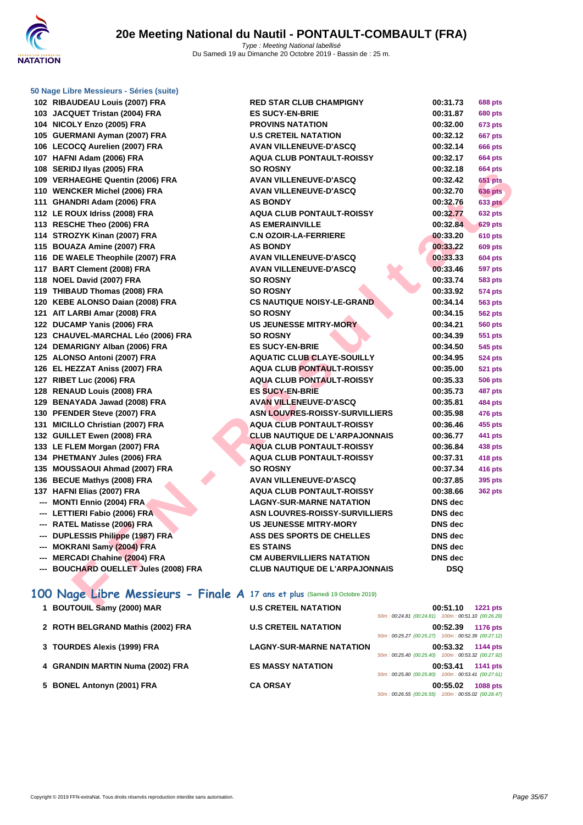|  | 50 Nage Libre Messieurs - Séries (suite) |  |  |
|--|------------------------------------------|--|--|
|  |                                          |  |  |

| 102 RIBAUDEAU Louis (2007) FRA                                              | <b>RED STAR CLUB CHAMPIGNY</b>        | 00:31.73       | <b>688 pts</b> |
|-----------------------------------------------------------------------------|---------------------------------------|----------------|----------------|
| 103 JACQUET Tristan (2004) FRA                                              | <b>ES SUCY-EN-BRIE</b>                | 00:31.87       | <b>680 pts</b> |
| 104 NICOLY Enzo (2005) FRA                                                  | <b>PROVINS NATATION</b>               | 00:32.00       | <b>673 pts</b> |
| 105 GUERMANI Ayman (2007) FRA                                               | <b>U.S CRETEIL NATATION</b>           | 00:32.12       | 667 pts        |
| 106 LECOCQ Aurelien (2007) FRA                                              | <b>AVAN VILLENEUVE-D'ASCQ</b>         | 00:32.14       | <b>666 pts</b> |
| 107 HAFNI Adam (2006) FRA                                                   | <b>AQUA CLUB PONTAULT-ROISSY</b>      | 00:32.17       | <b>664 pts</b> |
| 108 SERIDJ Ilyas (2005) FRA                                                 | <b>SO ROSNY</b>                       | 00:32.18       | <b>664 pts</b> |
| 109 VERHAEGHE Quentin (2006) FRA                                            | <b>AVAN VILLENEUVE-D'ASCQ</b>         | 00:32.42       | <b>651 pts</b> |
| 110 WENCKER Michel (2006) FRA                                               | <b>AVAN VILLENEUVE-D'ASCQ</b>         | 00:32.70       | <b>636 pts</b> |
| 111 GHANDRI Adam (2006) FRA                                                 | <b>AS BONDY</b>                       | 00:32.76       | <b>633 pts</b> |
| 112 LE ROUX Idriss (2008) FRA                                               | <b>AQUA CLUB PONTAULT-ROISSY</b>      | 00:32.77       | <b>632 pts</b> |
| 113 RESCHE Theo (2006) FRA                                                  | <b>AS EMERAINVILLE</b>                | 00:32.84       | 629 pts        |
| 114 STROZYK Kinan (2007) FRA                                                | <b>C.N OZOIR-LA-FERRIERE</b>          | 00:33.20       | <b>610 pts</b> |
| 115 BOUAZA Amine (2007) FRA                                                 | <b>AS BONDY</b>                       | 00:33.22       | <b>609 pts</b> |
| 116 DE WAELE Theophile (2007) FRA                                           | <b>AVAN VILLENEUVE-D'ASCQ</b>         | 00:33.33       | <b>604 pts</b> |
| 117 BART Clement (2008) FRA                                                 | <b>AVAN VILLENEUVE-D'ASCQ</b>         | 00:33.46       | <b>597 pts</b> |
| 118 NOEL David (2007) FRA                                                   | <b>SO ROSNY</b>                       | 00:33.74       | <b>583 pts</b> |
| 119 THIBAUD Thomas (2008) FRA                                               | <b>SO ROSNY</b>                       | 00:33.92       | <b>574 pts</b> |
| 120 KEBE ALONSO Daian (2008) FRA                                            | <b>CS NAUTIQUE NOISY-LE-GRAND</b>     | 00:34.14       | <b>563 pts</b> |
| 121 AIT LARBI Amar (2008) FRA                                               | <b>SO ROSNY</b>                       | 00:34.15       | <b>562 pts</b> |
| 122 DUCAMP Yanis (2006) FRA                                                 | <b>US JEUNESSE MITRY-MORY</b>         | 00:34.21       | <b>560 pts</b> |
| 123 CHAUVEL-MARCHAL Léo (2006) FRA                                          | <b>SO ROSNY</b>                       | 00:34.39       | 551 pts        |
| 124 DEMARIGNY Alban (2006) FRA                                              | <b>ES SUCY-EN-BRIE</b>                | 00:34.50       | 545 pts        |
| 125 ALONSO Antoni (2007) FRA                                                | <b>AQUATIC CLUB CLAYE-SOUILLY</b>     | 00:34.95       | <b>524 pts</b> |
| 126 EL HEZZAT Aniss (2007) FRA                                              | <b>AQUA CLUB PONTAULT-ROISSY</b>      | 00:35.00       | <b>521 pts</b> |
| 127 RIBET Luc (2006) FRA                                                    | <b>AQUA CLUB PONTAULT-ROISSY</b>      | 00:35.33       | <b>506 pts</b> |
| 128 RENAUD Louis (2008) FRA                                                 | <b>ES SUCY-EN-BRIE</b>                | 00:35.73       | 487 pts        |
| 129 BENAYADA Jawad (2008) FRA                                               | <b>AVAN VILLENEUVE-D'ASCQ</b>         | 00:35.81       | <b>484 pts</b> |
| 130 PFENDER Steve (2007) FRA                                                | <b>ASN LOUVRES-ROISSY-SURVILLIERS</b> | 00:35.98       | 476 pts        |
| 131 MICILLO Christian (2007) FRA                                            | <b>AQUA CLUB PONTAULT-ROISSY</b>      | 00:36.46       | 455 pts        |
| 132 GUILLET Ewen (2008) FRA                                                 | <b>CLUB NAUTIQUE DE L'ARPAJONNAIS</b> | 00:36.77       | 441 pts        |
| 133 LE FLEM Morgan (2007) FRA                                               | <b>AQUA CLUB PONTAULT-ROISSY</b>      | 00:36.84       | <b>438 pts</b> |
| 134 PHETMANY Jules (2006) FRA                                               | <b>AQUA CLUB PONTAULT-ROISSY</b>      | 00:37.31       | 418 pts        |
| 135 MOUSSAOUI Ahmad (2007) FRA                                              | <b>SO ROSNY</b>                       | 00:37.34       | 416 pts        |
| 136 BECUE Mathys (2008) FRA                                                 | AVAN VILLENEUVE-D'ASCQ                | 00:37.85       | 395 pts        |
| 137 HAFNI Elias (2007) FRA                                                  | <b>AQUA CLUB PONTAULT-ROISSY</b>      | 00:38.66       | <b>362 pts</b> |
| --- MONTI Ennio (2004) FRA                                                  | <b>LAGNY-SUR-MARNE NATATION</b>       | <b>DNS</b> dec |                |
| --- LETTIERI Fabio (2006) FRA                                               | <b>ASN LOUVRES-ROISSY-SURVILLIERS</b> | DNS dec        |                |
| --- RATEL Matisse (2006) FRA                                                | <b>US JEUNESSE MITRY-MORY</b>         | DNS dec        |                |
| --- DUPLESSIS Philippe (1987) FRA                                           | ASS DES SPORTS DE CHELLES             | <b>DNS</b> dec |                |
| --- MOKRANI Samy (2004) FRA                                                 | <b>ES STAINS</b>                      | <b>DNS</b> dec |                |
| --- MERCADI Chahine (2004) FRA                                              | <b>CM AUBERVILLIERS NATATION</b>      | <b>DNS</b> dec |                |
| --- BOUCHARD OUELLET Jules (2008) FRA                                       | <b>CLUB NAUTIQUE DE L'ARPAJONNAIS</b> | <b>DSQ</b>     |                |
|                                                                             |                                       |                |                |
| 100 Nage Libre Messieurs - Finale A 17 ans et plus (Samedi 19 Octobre 2019) |                                       |                |                |
|                                                                             |                                       |                |                |
| $\overline{a}$ DOUTOUR Computer (0000) MAD                                  | LLO ODETER MATATION                   | 00.54.40       |                |

# **1 BOUTOUIL Samy (2000) MAR U.S CRETEIL NATATION 00:51.10 1221 pts**

|                                   |                                 | 50m: 00:24.81 (00:24.81) 100m: 00:51.10 (00:26.29)             |
|-----------------------------------|---------------------------------|----------------------------------------------------------------|
| 2 ROTH BELGRAND Mathis (2002) FRA | <b>U.S CRETEIL NATATION</b>     | 00:52.39<br>1176 pts                                           |
|                                   |                                 | 50m: 00:25.27 (00:25.27) 100m: 00:52.39 (00:27.12)             |
| 3 TOURDES Alexis (1999) FRA       | <b>LAGNY-SUR-MARNE NATATION</b> | 00:53.32<br><b>1144 pts</b>                                    |
|                                   |                                 | 50m: 00:25.40 (00:25.40) 100m: 00:53.32 (00:27.92)             |
| 4 GRANDIN MARTIN Numa (2002) FRA  | <b>ES MASSY NATATION</b>        | 00:53.41<br>1141 pts                                           |
|                                   |                                 | 50m: 00:25.80 (00:25.80) 100m: 00:53.41 (00:27.61)             |
| 5 BONEL Antonyn (2001) FRA        | <b>CA ORSAY</b>                 | 00:55.02<br><b>1088 pts</b>                                    |
|                                   |                                 | $50m \cdot 00.2655$ (00:26.55) $100m \cdot 00.5502$ (00:28.47) |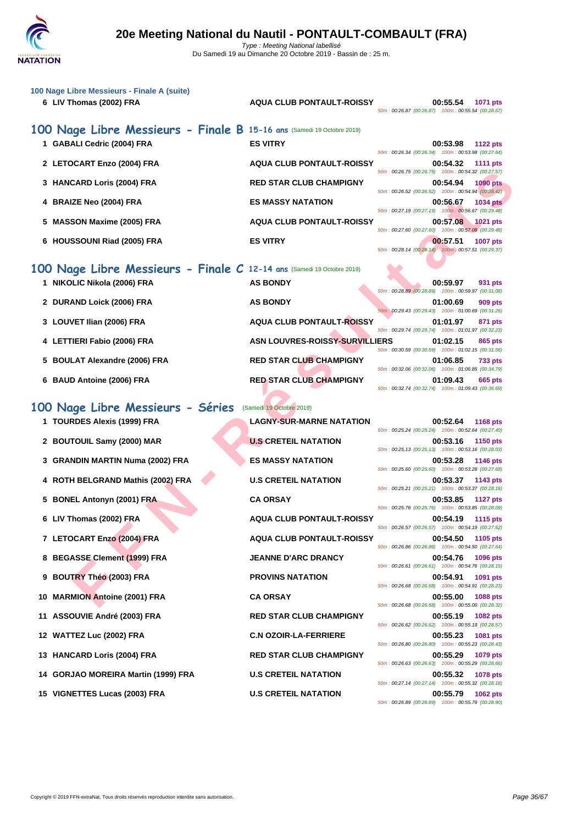

| 100 Nage Libre Messieurs - Finale A (suite)<br>6 LIV Thomas (2002) FRA | <b>AQUA CLUB PONTAULT-ROISSY</b>      | 00:55.54<br>1071 pts<br>50m: 00:26.87 (00:26.87) 100m: 00:55.54 (00:28.67)          |
|------------------------------------------------------------------------|---------------------------------------|-------------------------------------------------------------------------------------|
| 100 Nage Libre Messieurs - Finale B 15-16 ans (Samedi 19 Octobre 2019) |                                       |                                                                                     |
| 1 GABALI Cedric (2004) FRA                                             | <b>ES VITRY</b>                       | 00:53.98<br><b>1122 pts</b><br>50m: 00:26.34 (00:26.34) 100m: 00:53.98 (00:27.64)   |
| 2 LETOCART Enzo (2004) FRA                                             | <b>AQUA CLUB PONTAULT-ROISSY</b>      | 00:54.32<br><b>1111 pts</b>                                                         |
| 3 HANCARD Loris (2004) FRA                                             | <b>RED STAR CLUB CHAMPIGNY</b>        | 50m: 00:26.75 (00:26.75) 100m: 00:54.32 (00:27.57)<br>00:54.94<br>1090 pts          |
| 4 BRAIZE Neo (2004) FRA                                                | <b>ES MASSY NATATION</b>              | 50m : 00:26.52 (00:26.52) 100m : 00:54.94 (00:28.42)<br>00:56.67<br><b>1034 pts</b> |
| <b>MASSON Maxime (2005) FRA</b><br>5                                   | <b>AQUA CLUB PONTAULT-ROISSY</b>      | 50m: 00:27.19 (00:27.19) 100m: 00:56.67 (00:29.48)<br>00:57.08<br>$1021$ pts        |
| 6 HOUSSOUNI Riad (2005) FRA                                            | <b>ES VITRY</b>                       | 50m: 00:27.60 (00:27.60) 100m: 00:57.08 (00:29.48)<br>00:57.51<br><b>1007 pts</b>   |
|                                                                        |                                       | 50m: 00:28.14 (00:28.14) 100m: 00:57.51 (00:29.37)                                  |
| 100 Nage Libre Messieurs - Finale C 12-14 ans (Samedi 19 Octobre 2019) |                                       |                                                                                     |
| 1 NIKOLIC Nikola (2006) FRA                                            | <b>AS BONDY</b>                       | 00:59.97<br>931 pts<br>50m: 00:28.89 (00:28.89) 100m: 00:59.97 (00:31.08)           |
| 2 DURAND Loick (2006) FRA                                              | <b>AS BONDY</b>                       | 01:00.69<br>909 pts<br>50m: 00:29.43 (00:29.43) 100m: 01:00.69 (00:31.26)           |
| 3 LOUVET Ilian (2006) FRA                                              | <b>AQUA CLUB PONTAULT-ROISSY</b>      | 01:01.97<br>871 pts                                                                 |
| 4 LETTIERI Fabio (2006) FRA                                            | <b>ASN LOUVRES-ROISSY-SURVILLIERS</b> | 50m: 00:29.74 (00:29.74) 100m: 01:01.97 (00:32.23)<br>01:02.15<br>865 pts           |
| 5 BOULAT Alexandre (2006) FRA                                          | <b>RED STAR CLUB CHAMPIGNY</b>        | 50m: 00:30.59 (00:30.59) 100m: 01:02.15 (00:31.56)<br>01:06.85<br><b>733 pts</b>    |
| 6 BAUD Antoine (2006) FRA                                              | <b>RED STAR CLUB CHAMPIGNY</b>        | 50m: 00:32.06 (00:32.06) 100m: 01:06.85 (00:34.79)<br>01:09.43<br>665 pts           |
|                                                                        |                                       | 50m: 00:32.74 (00:32.74) 100m: 01:09.43 (00:36.69)                                  |
| 100 Nage Libre Messieurs - Séries                                      | (Samedi 19 Octobre 2019)              |                                                                                     |
| 1 TOURDES Alexis (1999) FRA                                            | <b>LAGNY-SUR-MARNE NATATION</b>       | 00:52.64<br><b>1168 pts</b><br>50m: 00:25.24 (00:25.24) 100m: 00:52.64 (00:27.40)   |
| 2 BOUTOUIL Samy (2000) MAR                                             | <b>U.S CRETEIL NATATION</b>           | 00:53.16<br><b>1150 pts</b>                                                         |
| 3 GRANDIN MARTIN Numa (2002) FRA                                       | <b>ES MASSY NATATION</b>              | 50m: 00:25.13 (00:25.13) 100m: 00:53.16 (00:28.03)<br>00:53.28<br>1146 pts          |
| 4 ROTH BELGRAND Mathis (2002) FRA                                      | <b>U.S CRETEIL NATATION</b>           | 50m: 00:25.60 (00:25.60) 100m: 00:53.28 (00:27.68)<br>00:53.37<br>1143 pts          |
| <b>BONEL Antonyn (2001) FRA</b><br>5.                                  | <b>CA ORSAY</b>                       | 50m: 00:25.21 (00:25.21) 100m: 00:53.37 (00:28.16)<br>00:53.85<br><b>1127 pts</b>   |
|                                                                        |                                       | 50m: 00:25.76 (00:25.76) 100m: 00:53.85 (00:28.09)                                  |
| 6 LIV Thomas (2002) FRA                                                | <b>AQUA CLUB PONTAULT-ROISSY</b>      | 00:54.19 1115 pts<br>50m: 00:26.57 (00:26.57) 100m: 00:54.19 (00:27.62)             |
| 7 LETOCART Enzo (2004) FRA                                             | <b>AQUA CLUB PONTAULT-ROISSY</b>      | 00:54.50<br>1105 pts<br>50m: 00:26.86 (00:26.86) 100m: 00:54.50 (00:27.64)          |
| <b>BEGASSE Clement (1999) FRA</b><br>8                                 | <b>JEANNE D'ARC DRANCY</b>            | 00:54.76<br>1096 pts<br>50m: 00:26.61 (00:26.61) 100m: 00:54.76 (00:28.15)          |
| <b>BOUTRY Théo (2003) FRA</b><br>9                                     | <b>PROVINS NATATION</b>               | 00:54.91<br>1091 pts                                                                |
| 10 MARMION Antoine (2001) FRA                                          | <b>CA ORSAY</b>                       | 50m: 00:26.68 (00:26.68) 100m: 00:54.91 (00:28.23)<br>00:55.00<br><b>1088 pts</b>   |
|                                                                        |                                       | 50m: 00:26.68 (00:26.68) 100m: 00:55.00 (00:28.32)                                  |

- **5 BOULAT Alexandre (2006) FRA RED STAR CLUB CHAMPIGNY 01:06.85 733 pts**
- **6 BAUD Antoine (2006) FRA RED STAR CLUB CHAMPIGNY 01:09.43 665 pts**

## **100 Nage Libre Messieurs - Séries** (Samedi 19 Octobre 2019)

- 
- 
- **3 GRANDIN MARTIN Numa (2002) FRA ES MASSY NATATION 00:53.28 1146 pts**
- **4 ROTH BELGRAND Mathis (2002) FRA U.S CRETEIL NATATION 00:53.37 1143 pts**
- 
- 
- 
- 
- 
- 
- 
- 
- 
- **14 GORJAO MOREIRA Martin (1999) FRA U.S CRETEIL NATATION 00:55.32 1078 pts**
- 

**1 TOURDES Alexis (1999) FRA LAGNY-SUR-MARNE NATATION 00:52.64 1168 pts**

50m : 00:25.24 (00:25.24) 100m : 00:52.64 (00:27.40) **2 BOUTOUIL Samy (2000) MAR U.S CRETEIL NATATION 00:53.16 1150 pts** 50m : 00:25.13 (00:25.13) 100m : 00:53.16 (00:28.03) 50m : 00:25.60 (00:25.60) 100m : 00:53.28 (00:27.68) 50m : 00:25.21 (00:25.21) 100m : 00:53.37 (00:28.16) **5 BONEL Antonyn (2001) FRA CA ORSAY 00:53.85 1127 pts** 50m : 00:25.76 (00:25.76) 100m : 00:53.85 (00:28.09) **6 LIV Thomas (2002) FRA AQUA CLUB PONTAULT-ROISSY 00:54.19 1115 pts** 50m : 00:26.57 (00:26.57) 100m : 00:54.19 (00:27.62) **7 LETOCART Enzo (2004) FRA AQUA CLUB PONTAULT-ROISSY 00:54.50 1105 pts** 50m : 00:26.86 (00:26.86) 100m : 00:54.50 (00:27.64) **8 BEGASSE Clement (1999) FRA JEANNE D'ARC DRANCY 00:54.76 1096 pts** 50m : 00:26.61 (00:26.61) 100m : 00:54.76 (00:28.15) **9 BOUTRY Théo (2003) FRA PROVINS NATATION 00:54.91 1091 pts** 50m : 00:26.68 (00:26.68) 100m : 00:54.91 (00:28.23) **10 MARMION Antoine (2001) FRA CA ORSAY 00:55.00 1088 pts** 50m : 00:26.68 (00:26.68) 100m : 00:55.00 (00:28.32) **11 ASSOUVIE André (2003) FRA RED STAR CLUB CHAMPIGNY 00:55.19 1082 pts** 50m : 00:26.62 (00:26.62) 100m : 00:55.19 (00:28.57) **12 WATTEZ Luc (2002) FRA C.N OZOIR-LA-FERRIERE 00:55.23 1081 pts** 50m : 00:26.80 (00:26.80) 100m : 00:55.23 (00:28.43) **13 HANCARD Loris (2004) FRA RED STAR CLUB CHAMPIGNY 00:55.29 1079 pts** 50m : 00:26.63 (00:26.63) 100m : 00:55.29 (00:28.66) 50m : 00:27.14 (00:27.14) 100m : 00:55.32 (00:28.18) **15 VIGNETTES Lucas (2003) FRA U.S CRETEIL NATATION 00:55.79 1062 pts** 50m : 00:26.89 (00:26.89) 100m : 00:55.79 (00:28.90)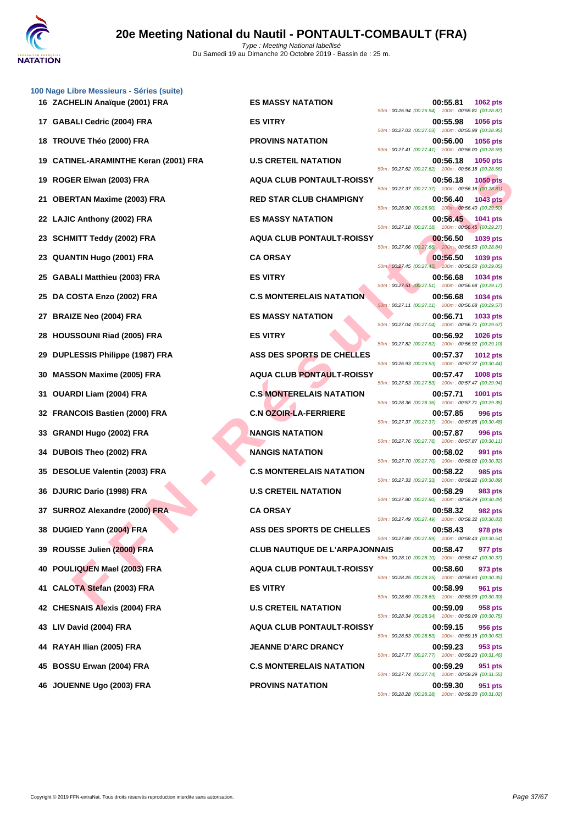|    | 100 Nage Libre Messieurs - Séries (suite) |                                       |                                                                                   |
|----|-------------------------------------------|---------------------------------------|-----------------------------------------------------------------------------------|
|    | 16 ZACHELIN Anaïque (2001) FRA            | <b>ES MASSY NATATION</b>              | 00:55.81<br>1062 pts<br>50m: 00:26.94 (00:26.94) 100m: 00:55.81 (00:28.87)        |
|    | 17 GABALI Cedric (2004) FRA               | <b>ES VITRY</b>                       | 00:55.98<br>1056 pts<br>50m: 00:27.03 (00:27.03) 100m: 00:55.98 (00:28.95)        |
|    | 18 TROUVE Théo (2000) FRA                 | <b>PROVINS NATATION</b>               | 00:56.00<br>1056 pts<br>50m: 00:27.41 (00:27.41) 100m: 00:56.00 (00:28.59)        |
|    | <b>CATINEL-ARAMINTHE Keran (2001) FRA</b> | <b>U.S CRETEIL NATATION</b>           | 00:56.18<br>1050 pts<br>50m: 00:27.62 (00:27.62) 100m: 00:56.18 (00:28.56)        |
|    | 19 ROGER Elwan (2003) FRA                 | <b>AQUA CLUB PONTAULT-ROISSY</b>      | 1050 pts<br>00:56.18<br>50m: 00:27.37 (00:27.37) 100m: 00:56.18 (00:28.81)        |
| 21 | <b>OBERTAN Maxime (2003) FRA</b>          | <b>RED STAR CLUB CHAMPIGNY</b>        | 00:56.40<br><b>1043 pts</b><br>50m: 00:26.90 (00:26.90) 100m: 00:56.40 (00:29.50) |
|    | 22 LAJIC Anthony (2002) FRA               | <b>ES MASSY NATATION</b>              | 00:56.45<br>1041 pts<br>50m: 00:27.18 (00:27.18) 100m: 00:56.45 (00:29.27)        |
|    | 23 SCHMITT Teddy (2002) FRA               | <b>AQUA CLUB PONTAULT-ROISSY</b>      | 00:56.50<br>1039 pts<br>50m : 00:27.66 (00:27.66) 100m : 00:56.50 (00:28.84)      |
| 23 | QUANTIN Hugo (2001) FRA                   | <b>CA ORSAY</b>                       | 00:56.50<br>1039 pts<br>50m: 00:27.45 (00:27.45) 100m: 00:56.50 (00:29.05)        |
|    | 25 GABALI Matthieu (2003) FRA             | <b>ES VITRY</b>                       | 00:56.68<br>1034 pts<br>50m: 00:27.51 (00:27.51) 100m: 00:56.68 (00:29.17)        |
|    | 25 DA COSTA Enzo (2002) FRA               | <b>C.S MONTERELAIS NATATION</b>       | 00:56.68<br>1034 pts<br>50m: 00:27.11 (00:27.11) 100m: 00:56.68 (00:29.57)        |
|    | 27 BRAIZE Neo (2004) FRA                  | <b>ES MASSY NATATION</b>              | 00:56.71<br>1033 pts<br>50m: 00:27.04 (00:27.04) 100m: 00:56.71 (00:29.67)        |
| 28 | <b>HOUSSOUNI Riad (2005) FRA</b>          | <b>ES VITRY</b>                       | 00:56.92<br>1026 pts<br>50m: 00:27.82 (00:27.82) 100m: 00:56.92 (00:29.10)        |
|    | 29 DUPLESSIS Philippe (1987) FRA          | ASS DES SPORTS DE CHELLES             | 1012 pts<br>00:57.37<br>50m : 00:26.93 (00:26.93) 100m : 00:57.37 (00:30.44)      |
|    | 30 MASSON Maxime (2005) FRA               | <b>AQUA CLUB PONTAULT-ROISSY</b>      | 00:57.47<br>1008 pts<br>50m: 00:27.53 (00:27.53) 100m: 00:57.47 (00:29.94,        |
|    | 31 OUARDI Liam (2004) FRA                 | <b>C.S MONTERELAIS NATATION</b>       | 00:57.71<br>1001 pts<br>50m: 00:28.36 (00:28.36) 100m: 00:57.71 (00:29.35)        |
|    | 32 FRANCOIS Bastien (2000) FRA            | <b>C.N OZOIR-LA-FERRIERE</b>          | 00:57.85<br>996 pts<br>50m: 00:27.37 (00:27.37) 100m: 00:57.85 (00:30.48)         |
| 33 | <b>GRANDI Hugo (2002) FRA</b>             | <b>NANGIS NATATION</b>                | 00:57.87<br><b>996 pts</b><br>50m: 00:27.76 (00:27.76) 100m: 00:57.87 (00:30.11)  |
|    | 34 DUBOIS Theo (2002) FRA                 | <b>NANGIS NATATION</b>                | 00:58.02<br>991 pts<br>50m: 00:27.70 (00:27.70) 100m: 00:58.02 (00:30.32)         |
|    | 35 DESOLUE Valentin (2003) FRA            | <b>C.S MONTERELAIS NATATION</b>       | 00:58.22<br><b>985 pts</b><br>50m: 00:27.33 (00:27.33) 100m: 00:58.22 (00:30.89)  |
|    | 36 DJURIC Dario (1998) FRA                | <b>U.S CRETEIL NATATION</b>           | 00:58.29<br>983 pts<br>50m: 00:27.80 (00:27.80) 100m: 00:58.29 (00:30.49)         |
|    | 37 SURROZ Alexandre (2000) FRA            | <b>CA ORSAY</b>                       | 00:58.32<br>982 pts<br>50m: 00:27.49 (00:27.49) 100m: 00:58.32 (00:30.83)         |
|    | 38 DUGIED Yann (2004) FRA                 | ASS DES SPORTS DE CHELLES             | 00:58.43<br>978 pts<br>50m: 00:27.89 (00:27.89) 100m: 00:58.43 (00:30.54)         |
|    | 39 ROUSSE Julien (2000) FRA               | <b>CLUB NAUTIQUE DE L'ARPAJONNAIS</b> | 00:58.47<br>977 pts<br>50m: 00:28.10 (00:28.10) 100m: 00:58.47 (00:30.37)         |
| 40 | POULIQUEN Mael (2003) FRA                 | <b>AQUA CLUB PONTAULT-ROISSY</b>      | 00:58.60<br>973 pts<br>50m: 00:28.25 (00:28.25) 100m: 00:58.60 (00:30.35)         |
|    | CALOTA Stefan (2003) FRA                  | <b>ES VITRY</b>                       | 00:58.99<br>961 pts<br>50m: 00:28.69 (00:28.69) 100m: 00:58.99 (00:30.30)         |
|    | 42 CHESNAIS Alexis (2004) FRA             | <b>U.S CRETEIL NATATION</b>           | 00:59.09<br>958 pts<br>50m: 00:28.34 (00:28.34) 100m: 00:59.09 (00:30.75)         |
|    | 43 LIV David (2004) FRA                   | <b>AQUA CLUB PONTAULT-ROISSY</b>      | 00:59.15<br>956 pts<br>50m: 00:28.53 (00:28.53) 100m: 00:59.15 (00:30.62)         |
|    | 44 RAYAH Ilian (2005) FRA                 | <b>JEANNE D'ARC DRANCY</b>            | 00:59.23<br>953 pts<br>50m: 00:27.77 (00:27.77) 100m: 00:59.23 (00:31.46)         |
|    | 45 BOSSU Erwan (2004) FRA                 | <b>C.S MONTERELAIS NATATION</b>       | 951 pts<br>00:59.29<br>50m: 00:27.74 (00:27.74) 100m: 00:59.29 (00:31.55)         |
|    | 46 JOUENNE Ugo (2003) FRA                 | <b>PROVINS NATATION</b>               | 00:59.30<br>951 nts                                                               |

ER SHARI MACHINE (2003) FRA<br>
FRIAN MACHINE (2003) FRA<br>
FIED STAR CLUB PONTAULT-ROISY<br>
CAN MACHINE (2003) FRA<br>
FIED STAR ES MONTERELAIS NATATION<br>
MITT HOGH (2003) FRA<br>
ESSE (2002) FRA<br>
ESSE (2002) FRA<br>
ESSE (2002) FRA<br>
FIED **162 <b>Anal 1662 pts 1662 pts CO**:55.81 **1662 pts** 50m : 00:26.94 (00:26.94) 100m : 00:55.81 (00:28.87) **17 GABALI Cedric (2004) FRA ES VITRY 00:55.98 1056 pts** 50m : 00:27.03 (00:27.03) 100m : 00:55.98 (00:28.95) **188 <b>PROVINS NATATION 1056 pts** 50m : 00:27.41 (00:27.41) 100m : 00:56.00 (00:28.59) **19 CATINEL-ARAMINTHE Keran (2001) FRA U.S CRETEIL NATATION 00:56.18 1050 pts** 50m : 00:27.62 (00:27.62) 100m : 00:56.18 (00:28.56) **19 ROGER Elwan (2003) FRA AQUA CLUB PONTAULT-ROISSY 00:56.18 1050 pts** 50m : 00:27.37 (00:27.37) 100m : 00:56.18 (00:28.81) **21 OBERTAN Maxime (2003) FRA RED STAR CLUB CHAMPIGNY 00:56.40 1043 pts** 50m : 00:26.90 (00:26.90) 100m : 00:56.40 (00:29.50) **22 LAJIC Anthony (2002) FRA ES MASSY NATATION 00:56.45 1041 pts** 50m : 00:27.18 (00:27.18) 100m : 00:56.45 (00:29.27) **23 AQUA CLUB PONTAULT-ROISSY 00:56.50 1039 pts** 50m : 00:27.66 (00:27.66) 100m : 00:56.50 (00:28.84) **23 CA ORSAY 23 CA ORSAY 23 CA ORSAY 23 CA ORSAY 24 CA ORSAY 24 CA** 50m : 00:27.45 (00:27.45) 100m : 00:56.50 (00:29.05) **25 CABALIC MATTHIEU (2003) FRANCH MATTHIEU (2003) FRANCH MATTHIEU (2003) FRANCH MATTHIEU (2003) FRANCH MATTHIEU (2003) FRANCH MATTHIEU (2003) FRANCH MATTHIEU (2003) FRANCH MATTHIEU (2003) FRANCH MATTHIEU (2003) FRANCH M** 50m : 00:27.51 (00:27.51) 100m : 00:56.68 (00:29.17) **25 DA C.S MONTERELAIS NATATION 00:56.68 1034 pts** 50m : 00:27.11 (00:27.11) 100m : 00:56.68 (00:29.57) **27 <b>BS MASSY NATATION 2004 DO:56.71 1033 pts** 50m : 00:27.04 (00:27.04) 100m : 00:56.71 (00:29.67) **28 <b>HOUSSOUNI RIGHTSON 28 <b>HOUSSOUNI RIGHTSON 20056.92 1026 pts** 50m : 00:27.82 (00:27.82) 100m : 00:56.92 (00:29.10) **29 ASS DES SPORTS DE CHELLES 00:57.37 1012 pts** 50m : 00:26.93 (00:26.93) 100m : 00:57.37 (00:30.44) **30 MASSON Maxime (2005) FRA AQUA CLUB PONTAULT-ROISSY 00:57.47 1008 pts** 50m : 00:27.53 (00:27.53) 100m : 00:57.47 (00:29.94) **C.S MONTERELAIS NATATION 00:57.71 1001 pts** 50m : 00:28.36 (00:28.36) 100m : 00:57.71 (00:29.35) **C.N OZOIR-LA-FERRIERE 00:57.85 996 pts** 50m : 00:27.37 (00:27.37) 100m : 00:57.85 (00:30.48) **33 GRANDI Hugo (2002) FRA NANGIS NATATION 00:57.87 996 pts** 50m : 00:27.76 (00:27.76) 100m : 00:57.87 (00:30.11) **DUBOIS NATATION 00:58.02 991 pts** 50m : 00:27.70 (00:27.70) 100m : 00:58.02 (00:30.32) **C.S MONTERELAIS NATATION 00:58.22 985 pts** 50m : 00:27.33 (00:27.33) 100m : 00:58.22 (00:30.89) **26 DJURIC DATATION DDES 29 983 pts** 50m : 00:27.80 (00:27.80) 100m : 00:58.29 (00:30.49) 50m : 00:27.49 (00:27.49) 100m : 00:58.32 (00:30.83) **ASS DES SPORTS DE CHELLES** 00:58.43 978 pts 50m : 00:27.89 (00:27.89) 100m : 00:58.43 (00:30.54) **39 ROUSSE Julien (2000) FRA CLUB NAUTIQUE DE L'ARPAJONNAIS 00:58.47 977 pts** 50m : 00:28.10 (00:28.10) 100m : 00:58.47 (00:30.37) **40 POULIQUEN Mael (2003) FRA AQUA CLUB PONTAULT-ROISSY 00:58.60 973 pts** 50m : 00:28.25 (00:28.25) 100m : 00:58.60 (00:30.35) 50m : 00:28.69 (00:28.69) 100m : 00:58.99 (00:30.30) **42.5 CRETEIL NATATION 12.5 00:59.09 958 pts** 50m : 00:28.34 (00:28.34) 100m : 00:59.09 (00:30.75) **43 LIV David (2004) FRA AQUA CLUB PONTAULT-ROISSY 00:59.15 956 pts** 50m : 00:28.53 (00:28.53) 100m : 00:59.15 (00:30.62) **44 RAYAH Ilian (2005) FRA JEANNE D'ARC DRANCY 00:59.23 953 pts** 50m : 00:27.77 (00:27.77) 100m : 00:59.23 (00:31.46) **455 C.S MONTERELAIS NATATION 00:59.29 951 pts** 50m : 00:27.74 (00:27.74) 100m : 00:59.29 (00:31.55) **46 JOUENNE Ugo (2003) FRA PROVINS NATATION 00:59.30 951 pts** 50m : 00:28.28 (00:28.28) 100m : 00:59.30 (00:31.02)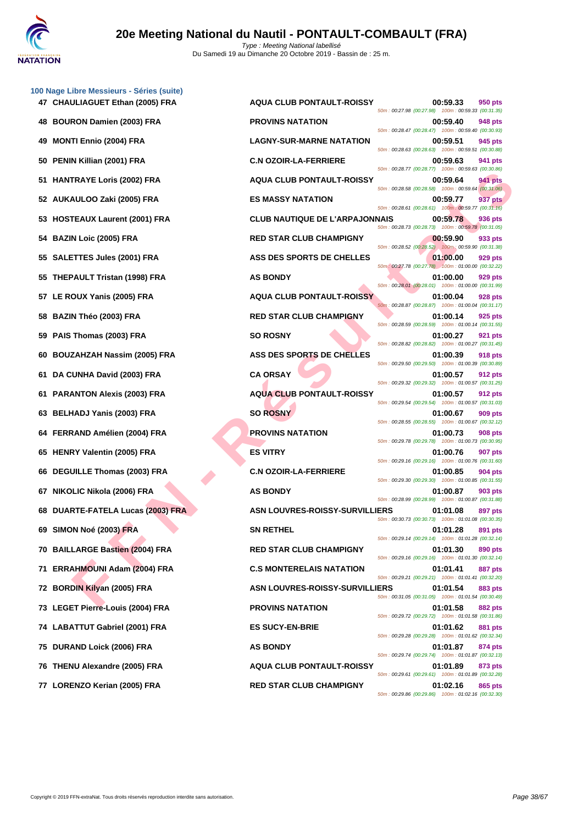

| 100 Nage Libre Messieurs - Séries (suite)<br>47 CHAULIAGUET Ethan (2005) FRA | <b>AQUA CLUB PONTAULT-ROISSY</b>      | 00:59.33<br>950 pts<br>50m: 00:27.98 (00:27.98) 100m: 00:59.33 (00:31.35)        |
|------------------------------------------------------------------------------|---------------------------------------|----------------------------------------------------------------------------------|
| 48 BOURON Damien (2003) FRA                                                  | <b>PROVINS NATATION</b>               | 00:59.40<br>948 pts                                                              |
| <b>MONTI Ennio (2004) FRA</b><br>49                                          | <b>LAGNY-SUR-MARNE NATATION</b>       | 50m: 00:28.47 (00:28.47) 100m: 00:59.40 (00:30.93)<br>00:59.51<br>945 pts        |
| 50 PENIN Killian (2001) FRA                                                  | <b>C.N OZOIR-LA-FERRIERE</b>          | 50m: 00:28.63 (00:28.63) 100m: 00:59.51 (00:30.88)<br>00:59.63<br>941 pts        |
| 51 HANTRAYE Loris (2002) FRA                                                 | <b>AQUA CLUB PONTAULT-ROISSY</b>      | 50m: 00:28.77 (00:28.77) 100m: 00:59.63 (00:30.86)<br>00:59.64<br>941 pts        |
| 52 AUKAULOO Zaki (2005) FRA                                                  | <b>ES MASSY NATATION</b>              | 50m: 00:28.58 (00:28.58) 100m: 00:59.64 (00:31.06)<br>00:59.77<br>937 pts        |
| 53 HOSTEAUX Laurent (2001) FRA                                               | <b>CLUB NAUTIQUE DE L'ARPAJONNAIS</b> | 50m: 00:28.61 (00:28.61) 100m: 00:59.77 (00:31.16)<br>00:59.78<br>936 pts        |
| 54 BAZIN Loic (2005) FRA                                                     | <b>RED STAR CLUB CHAMPIGNY</b>        | 50m: 00:28.73 (00:28.73) 100m: 00:59.78 (00:31.05)<br>00:59.90<br>933 pts        |
| 55 SALETTES Jules (2001) FRA                                                 | ASS DES SPORTS DE CHELLES             | 50m: 00:28.52 (00:28.52) 100m: 00:59.90 (00:31.38)<br>01:00.00<br>929 pts        |
| 55 THEPAULT Tristan (1998) FRA                                               | <b>AS BONDY</b>                       | 50m: 00:27.78 (00:27.78) 100m: 01:00.00 (00:32.22)<br>01:00.00<br>929 pts        |
| 57 LE ROUX Yanis (2005) FRA                                                  | <b>AQUA CLUB PONTAULT-ROISSY</b>      | 50m: 00:28.01 (00:28.01) 100m: 01:00.00 (00:31.99)<br>01:00.04<br>928 pts        |
| <b>BAZIN Théo (2003) FRA</b><br>58                                           | <b>RED STAR CLUB CHAMPIGNY</b>        | 50m: 00:28.87 (00:28.87) 100m: 01:00.04 (00:31.17)<br>01:00.14<br>925 pts        |
| 59 PAIS Thomas (2003) FRA                                                    | <b>SO ROSNY</b>                       | 50m: 00:28.59 (00:28.59) 100m: 01:00.14 (00:31.55)<br>01:00.27<br>921 pts        |
| 60 BOUZAHZAH Nassim (2005) FRA                                               | ASS DES SPORTS DE CHELLES             | 50m: 00:28.82 (00:28.82) 100m: 01:00.27 (00:31.45)<br>01:00.39<br>918 pts        |
| DA CUNHA David (2003) FRA<br>61                                              | <b>CA ORSAY</b>                       | 50m: 00:29.50 (00:29.50) 100m: 01:00.39 (00:30.89)<br>01:00.57<br><b>912 pts</b> |
| 61 PARANTON Alexis (2003) FRA                                                | <b>AQUA CLUB PONTAULT-ROISSY</b>      | 50m: 00:29.32 (00:29.32) 100m: 01:00.57 (00:31.25)<br>01:00.57<br><b>912 pts</b> |
| 63 BELHADJ Yanis (2003) FRA                                                  | <b>SO ROSNY</b>                       | 50m: 00:29.54 (00:29.54) 100m: 01:00.57 (00:31.03)<br>01:00.67<br>909 pts        |
|                                                                              | <b>PROVINS NATATION</b>               | 50m: 00:28.55 (00:28.55) 100m: 01:00.67 (00:32.12)                               |
| 64 FERRAND Amélien (2004) FRA                                                |                                       | 01:00.73<br>908 pts<br>50m: 00:29.78 (00:29.78) 100m: 01:00.73 (00:30.95)        |
| 65 HENRY Valentin (2005) FRA                                                 | <b>ES VITRY</b>                       | 01:00.76<br>907 pts<br>50m: 00:29.16 (00:29.16) 100m: 01:00.76 (00:31.60)        |
| 66 DEGUILLE Thomas (2003) FRA                                                | <b>C.N OZOIR-LA-FERRIERE</b>          | 01:00.85<br>904 pts<br>50m: 00:29.30 (00:29.30) 100m: 01:00.85 (00:31.55)        |
| 67 NIKOLIC Nikola (2006) FRA                                                 | <b>AS BONDY</b>                       | 01:00.87<br>903 pts<br>50m: 00:28.99 (00:28.99) 100m: 01:00.87 (00:31.88)        |
| 68 DUARTE-FATELA Lucas (2003) FRA                                            | <b>ASN LOUVRES-ROISSY-SURVILLIERS</b> | 01:01.08<br>897 pts<br>50m: 00:30.73 (00:30.73) 100m: 01:01.08 (00:30.35)        |
| 69 SIMON Noé (2003) FRA                                                      | <b>SN RETHEL</b>                      | 01:01.28<br>891 pts<br>50m: 00:29.14 (00:29.14) 100m: 01:01.28 (00:32.14)        |
| 70 BAILLARGE Bastien (2004) FRA                                              | <b>RED STAR CLUB CHAMPIGNY</b>        | 01:01.30<br>890 pts<br>50m: 00:29.16 (00:29.16) 100m: 01:01.30 (00:32.14)        |
| 71 ERRAHMOUNI Adam (2004) FRA                                                | <b>C.S MONTERELAIS NATATION</b>       | 01:01.41<br>887 pts<br>50m: 00:29.21 (00:29.21) 100m: 01:01.41 (00:32.20)        |
| 72 BORDIN Kilyan (2005) FRA                                                  | <b>ASN LOUVRES-ROISSY-SURVILLIERS</b> | 01:01.54<br>883 pts<br>50m: 00:31.05 (00:31.05) 100m: 01:01.54 (00:30.49)        |
| 73 LEGET Pierre-Louis (2004) FRA                                             | <b>PROVINS NATATION</b>               | 01:01.58<br><b>882 pts</b><br>50m: 00:29.72 (00:29.72) 100m: 01:01.58 (00:31.86) |
| 74 LABATTUT Gabriel (2001) FRA                                               | <b>ES SUCY-EN-BRIE</b>                | 01:01.62<br>881 pts<br>50m: 00:29.28 (00:29.28) 100m: 01:01.62 (00:32.34)        |
| 75 DURAND Loick (2006) FRA                                                   | <b>AS BONDY</b>                       | 01:01.87<br>874 pts<br>50m: 00:29.74 (00:29.74) 100m: 01:01.87 (00:32.13)        |
| 76 THENU Alexandre (2005) FRA                                                | <b>AQUA CLUB PONTAULT-ROISSY</b>      | 01:01.89<br>873 pts<br>50m: 00:29.61 (00:29.61) 100m: 01:01.89 (00:32.28)        |
| $77.1$ ODENTO Karian (2005) ED A                                             | DED CTAD CLUB CHAMBICNY               | 04.024c                                                                          |

| 47 CHAULIAGUET Ethan (2005) FRA   | <b>AQUA CLUB PONTAULT-ROISSY</b>      | 50m: 00:27.98 (00:27.98) 100m: 00:59.33 (00:31.35)    | 00:59.33 | 950 pts        |
|-----------------------------------|---------------------------------------|-------------------------------------------------------|----------|----------------|
| 48 BOURON Damien (2003) FRA       | <b>PROVINS NATATION</b>               | 50m: 00:28.47 (00:28.47) 100m: 00:59.40 (00:30.93)    | 00:59.40 | 948 pts        |
| 49 MONTI Ennio (2004) FRA         | <b>LAGNY-SUR-MARNE NATATION</b>       | 50m: 00:28.63 (00:28.63) 100m: 00:59.51 (00:30.88)    | 00:59.51 | 945 pts        |
| 50 PENIN Killian (2001) FRA       | <b>C.N OZOIR-LA-FERRIERE</b>          | 50m: 00:28.77 (00:28.77) 100m: 00:59.63 (00:30.86)    | 00:59.63 | 941 pts        |
| 51 HANTRAYE Loris (2002) FRA      | <b>AQUA CLUB PONTAULT-ROISSY</b>      | 50m: 00:28.58 (00:28.58) 100m: 00:59.64 (00:31.06)    | 00:59.64 | 941 pts        |
| 52 AUKAULOO Zaki (2005) FRA       | <b>ES MASSY NATATION</b>              | 50m: 00:28.61 (00:28.61) 100m: 00:59.77 (00:31.16)    | 00:59.77 | 937 pts        |
| 53 HOSTEAUX Laurent (2001) FRA    | <b>CLUB NAUTIQUE DE L'ARPAJONNAIS</b> | 50m: 00:28.73 (00:28.73) 100m: 00:59.78 (00:31.05)    | 00:59.78 | 936 pts        |
| 54 BAZIN Loic (2005) FRA          | <b>RED STAR CLUB CHAMPIGNY</b>        | 50m: 00:28.52 (00:28.52) 100m: 00:59.90 (00:31.38)    | 00:59.90 | 933 pts        |
| 55 SALETTES Jules (2001) FRA      | ASS DES SPORTS DE CHELLES             | 50m: 00:27.78 (00:27.78) 100m: 01:00.00 (00:32.22)    | 01:00.00 | 929 pts        |
| 55 THEPAULT Tristan (1998) FRA    | <b>AS BONDY</b>                       | 50m: 00:28.01 (00:28.01) 100m: 01:00.00 (00:31.99)    | 01:00.00 | 929 pts        |
| 57 LE ROUX Yanis (2005) FRA       | <b>AQUA CLUB PONTAULT-ROISSY</b>      | 50m: 00:28.87 (00:28.87) 100m: 01:00.04 (00:31.17)    | 01:00.04 | 928 pts        |
| 58 BAZIN Théo (2003) FRA          | <b>RED STAR CLUB CHAMPIGNY</b>        | 50m: 00:28.59 (00:28.59) 100m: 01:00.14 (00:31.55)    | 01:00.14 | 925 pts        |
| 59 PAIS Thomas (2003) FRA         | <b>SO ROSNY</b>                       | 50m: 00:28.82 (00:28.82) 100m: 01:00.27 (00:31.45)    | 01:00.27 | 921 pts        |
| 60 BOUZAHZAH Nassim (2005) FRA    | ASS DES SPORTS DE CHELLES             | 50m: 00:29.50 (00:29.50) 100m: 01:00.39 (00:30.89)    | 01:00.39 | <b>918 pts</b> |
| 61 DA CUNHA David (2003) FRA      | <b>CA ORSAY</b>                       | 50m: 00:29.32 (00:29.32) 100m: 01:00.57 (00:31.25)    | 01:00.57 | 912 pts        |
| 61 PARANTON Alexis (2003) FRA     | <b>AQUA CLUB PONTAULT-ROISSY</b>      | 50m: 00:29.54 (00:29.54) 100m: 01:00.57 (00:31.03)    | 01:00.57 | 912 pts        |
| 63 BELHADJ Yanis (2003) FRA       | <b>SO ROSNY</b>                       | 50m: 00:28.55 (00:28.55) 100m: 01:00.67 (00:32.12)    | 01:00.67 | 909 pts        |
| 64 FERRAND Amélien (2004) FRA     | <b>PROVINS NATATION</b>               | 50m: 00:29.78 (00:29.78) 100m: 01:00.73 (00:30.95)    | 01:00.73 | <b>908 pts</b> |
| 65 HENRY Valentin (2005) FRA      | <b>ES VITRY</b>                       | 50m: 00:29.16 (00:29.16) 100m: 01:00.76 (00:31.60)    | 01:00.76 | 907 pts        |
| 66 DEGUILLE Thomas (2003) FRA     | <b>C.N OZOIR-LA-FERRIERE</b>          | 50m: 00:29.30 (00:29.30) 100m: 01:00.85 (00:31.55)    | 01:00.85 | 904 pts        |
| 67 NIKOLIC Nikola (2006) FRA      | <b>AS BONDY</b>                       | 50m: 00:28.99 (00:28.99) 100m: 01:00.87 (00:31.88)    | 01:00.87 | 903 pts        |
| 68 DUARTE-FATELA Lucas (2003) FRA | <b>ASN LOUVRES-ROISSY-SURVILLIERS</b> | 50m: 00:30.73 (00:30.73) 100m: 01:01.08 (00:30.35)    | 01:01.08 | 897 pts        |
| 69 SIMON Noé (2003) FRA           | <b>SN RETHEL</b>                      | 50m : 00:29.14 (00:29.14)  100m : 01:01.28 (00:32.14) | 01:01.28 | 891 pts        |
| 70 BAILLARGE Bastien (2004) FRA   | <b>RED STAR CLUB CHAMPIGNY</b>        | 50m: 00:29.16 (00:29.16) 100m: 01:01.30 (00:32.14)    | 01:01.30 | 890 pts        |
| 71 ERRAHMOUNI Adam (2004) FRA     | <b>C.S MONTERELAIS NATATION</b>       | 50m: 00:29.21 (00:29.21) 100m: 01:01.41 (00:32.20)    | 01:01.41 | 887 pts        |
| 72 BORDIN Kilyan (2005) FRA       | <b>ASN LOUVRES-ROISSY-SURVILLIERS</b> | 50m: 00:31.05 (00:31.05) 100m: 01:01.54 (00:30.49)    | 01:01.54 | 883 pts        |
| 73 LEGET Pierre-Louis (2004) FRA  | <b>PROVINS NATATION</b>               | 50m: 00:29.72 (00:29.72) 100m: 01:01.58 (00:31.86)    | 01:01.58 | 882 pts        |
| 74 LABATTUT Gabriel (2001) FRA    | <b>ES SUCY-EN-BRIE</b>                | 50m: 00:29.28 (00:29.28) 100m: 01:01.62 (00:32.34)    | 01:01.62 | 881 pts        |
| 75 DURAND Loick (2006) FRA        | <b>AS BONDY</b>                       | 50m: 00:29.74 (00:29.74) 100m: 01:01.87 (00:32.13)    | 01:01.87 | 874 pts        |
| 76 THENU Alexandre (2005) FRA     | <b>AQUA CLUB PONTAULT-ROISSY</b>      | 50m: 00:29.61 (00:29.61) 100m: 01:01.89 (00:32.28)    | 01:01.89 | 873 pts        |
| 77 LORENZO Kerian (2005) FRA      | <b>RED STAR CLUB CHAMPIGNY</b>        | 50m: 00:29.86 (00:29.86) 100m: 01:02.16 (00:32.30)    | 01:02.16 | 865 pts        |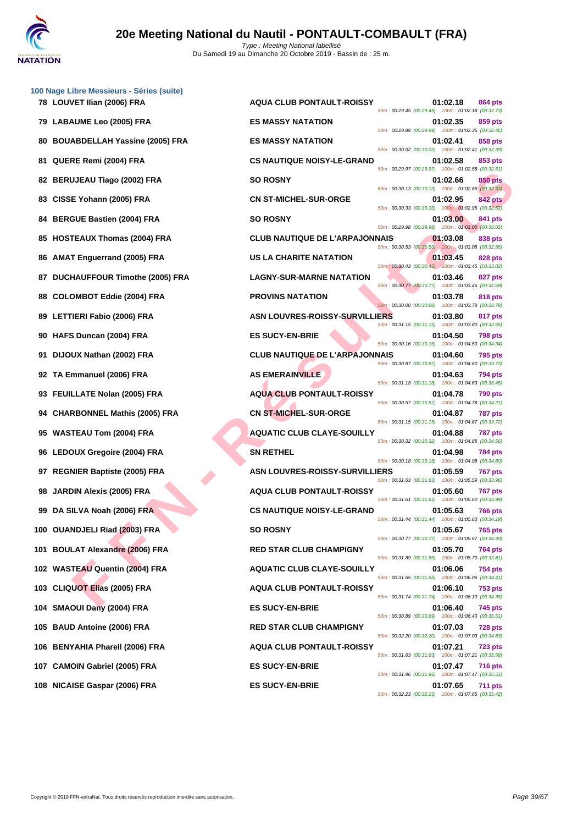

| 100 Nage Libre Messieurs - Séries (suite)<br>78 LOUVET Ilian (2006) FRA | <b>AQUA CLUB PONTAULT-ROISSY</b>      | 01:02.18<br>864 pts                                                                                                                    |
|-------------------------------------------------------------------------|---------------------------------------|----------------------------------------------------------------------------------------------------------------------------------------|
| 79 LABAUME Leo (2005) FRA                                               | <b>ES MASSY NATATION</b>              | 50m: 00:29.45 (00:29.45) 100m: 01:02.18 (00:32.73)<br>01:02.35<br>859 pts                                                              |
| 80 BOUABDELLAH Yassine (2005) FRA                                       | <b>ES MASSY NATATION</b>              | 50m: 00:29.89 (00:29.89) 100m: 01:02.35 (00:32.46)<br>01:02.41<br>858 pts                                                              |
| QUERE Remi (2004) FRA<br>81.                                            | <b>CS NAUTIQUE NOISY-LE-GRAND</b>     | 50m: 00:30.02 (00:30.02) 100m: 01:02.41 (00:32.39)<br>01:02.58<br>853 pts                                                              |
| 82 BERUJEAU Tiago (2002) FRA                                            | <b>SO ROSNY</b>                       | 50m: 00:29.97 (00:29.97) 100m: 01:02.58 (00:32.61)<br>01:02.66<br>850 pts                                                              |
| 83 CISSE Yohann (2005) FRA                                              | <b>CN ST-MICHEL-SUR-ORGE</b>          | 50m: 00:30.13 (00:30.13) 100m: 01:02.66 (00:32.53)<br>01:02.95<br><b>842 pts</b>                                                       |
| 84 BERGUE Bastien (2004) FRA                                            | <b>SO ROSNY</b>                       | 50m: 00:30.33 (00:30.33) 100m: 01:02.95 (00:32.62)<br>01:03.00<br>841 pts                                                              |
| 85 HOSTEAUX Thomas (2004) FRA                                           | <b>CLUB NAUTIQUE DE L'ARPAJONNAIS</b> | 50m: 00:29.98 (00:29.98) 100m: 01:03.00 (00:33.02)<br>01:03.08<br>838 pts                                                              |
| <b>AMAT Enguerrand (2005) FRA</b><br>86                                 | <b>US LA CHARITE NATATION</b>         | 50m: 00:30.53 (00:30.53) 100m: 01:03.08 (00:32.55)<br>01:03.45<br>828 pts                                                              |
| 87 DUCHAUFFOUR Timothe (2005) FRA                                       | <b>LAGNY-SUR-MARNE NATATION</b>       | 50m: 00:30.43 (00:30.43) 100m: 01:03.45 (00:33.02)<br>01:03.46<br>827 pts                                                              |
| 88 COLOMBOT Eddie (2004) FRA                                            | <b>PROVINS NATATION</b>               | 50m: 00:30.77 (00:30.77) 100m: 01:03.46 (00:32.69)<br>01:03.78<br><b>818 pts</b>                                                       |
| 89 LETTIERI Fabio (2006) FRA                                            | <b>ASN LOUVRES-ROISSY-SURVILLIERS</b> | 50m: 00:30.00 (00:30.00) 100m: 01:03.78 (00:33.78)<br>01:03.80<br>817 pts                                                              |
| 90 HAFS Duncan (2004) FRA                                               | <b>ES SUCY-EN-BRIE</b>                | 50m: 00:31.15 (00:31.15) 100m: 01:03.80 (00:32.65)<br>01:04.50<br><b>798 pts</b>                                                       |
| 91 DIJOUX Nathan (2002) FRA                                             | <b>CLUB NAUTIQUE DE L'ARPAJONNAIS</b> | 50m: 00:30.16 (00:30.16) 100m: 01:04.50 (00:34.34)<br>01:04.60<br>795 pts                                                              |
| 92 TA Emmanuel (2006) FRA                                               | <b>AS EMERAINVILLE</b>                | 50m: 00:30.87 (00:30.87) 100m: 01:04.60 (00:33.73)<br>01:04.63<br><b>794 pts</b><br>50m: 00:31.18 (00:31.18) 100m: 01:04.63 (00:33.45) |
| 93 FEUILLATE Nolan (2005) FRA                                           | <b>AQUA CLUB PONTAULT-ROISSY</b>      | 01:04.78<br><b>790 pts</b><br>50m: 00:30.57 (00:30.57) 100m: 01:04.78 (00:34.21)                                                       |
| 94 CHARBONNEL Mathis (2005) FRA                                         | <b>CN ST-MICHEL-SUR-ORGE</b>          | 01:04.87<br>787 pts<br>50m: 00:31.15 (00:31.15) 100m: 01:04.87 (00:33.72)                                                              |
| 95 WASTEAU Tom (2004) FRA                                               | <b>AQUATIC CLUB CLAYE-SOUILLY</b>     | 01:04.88<br><b>787 pts</b><br>50m: 00:30.32 (00:30.32) 100m: 01:04.88 (00:34.56)                                                       |
| 96 LEDOUX Gregoire (2004) FRA                                           | <b>SN RETHEL</b>                      | 01:04.98<br><b>784 pts</b><br>50m: 00:30.18 (00:30.18) 100m: 01:04.98 (00:34.80)                                                       |
| 97 REGNIER Baptiste (2005) FRA                                          | <b>ASN LOUVRES-ROISSY-SURVILLIERS</b> | 01:05.59<br><b>767 pts</b><br>50m: 00:31.63 (00:31.63) 100m: 01:05.59 (00:33.96)                                                       |
| <b>JARDIN Alexis (2005) FRA</b><br>98                                   | <b>AQUA CLUB PONTAULT-ROISSY</b>      | 01:05.60<br><b>767 pts</b>                                                                                                             |
| 99 DA SILVA Noah (2006) FRA                                             |                                       |                                                                                                                                        |
|                                                                         | <b>CS NAUTIQUE NOISY-LE-GRAND</b>     | 50m: 00:31.61 (00:31.61) 100m: 01:05.60 (00:33.99)<br>01:05.63<br><b>766 pts</b>                                                       |
| 100 OUANDJELI Riad (2003) FRA                                           | <b>SO ROSNY</b>                       | 50m: 00:31.44 (00:31.44) 100m: 01:05.63 (00:34.19)<br>01:05.67<br><b>765 pts</b>                                                       |
| 101 BOULAT Alexandre (2006) FRA                                         | <b>RED STAR CLUB CHAMPIGNY</b>        | 50m: 00:30.77 (00:30.77) 100m: 01:05.67 (00:34.90)<br>01:05.70<br>764 pts                                                              |
| 102 WASTEAU Quentin (2004) FRA                                          | <b>AQUATIC CLUB CLAYE-SOUILLY</b>     | 50m: 00:31.89 (00:31.89) 100m: 01:05.70 (00:33.81)<br>01:06.06<br>754 pts                                                              |
| 103 CLIQUOT Elias (2005) FRA                                            | <b>AQUA CLUB PONTAULT-ROISSY</b>      | 50m: 00:31.65 (00:31.65) 100m: 01:06.06 (00:34.41)<br>01:06.10<br>753 pts                                                              |
| 104 SMAOUI Dany (2004) FRA                                              | <b>ES SUCY-EN-BRIE</b>                | 50m: 00:31.74 (00:31.74) 100m: 01:06.10 (00:34.36)<br>01:06.40<br>745 pts                                                              |
| 105 BAUD Antoine (2006) FRA                                             | <b>RED STAR CLUB CHAMPIGNY</b>        | 50m: 00:30.89 (00:30.89) 100m: 01:06.40 (00:35.51)<br>01:07.03<br><b>728 pts</b>                                                       |
| 106 BENYAHIA Pharell (2006) FRA                                         | <b>AQUA CLUB PONTAULT-ROISSY</b>      | 50m: 00:32.20 (00:32.20) 100m: 01:07.03 (00:34.83)<br>01:07.21<br><b>723 pts</b>                                                       |
| 107 CAMOIN Gabriel (2005) FRA                                           | <b>ES SUCY-EN-BRIE</b>                | 50m: 00:31.63 (00:31.63) 100m: 01:07.21 (00:35.58)<br>01:07.47<br><b>716 pts</b>                                                       |
| 108 NICAISE Gaspar (2006) FRA                                           | <b>ES SUCY-EN-BRIE</b>                | 50m: 00:31.96 (00:31.96) 100m: 01:07.47 (00:35.51)<br>01:07.65<br><b>711 pts</b><br>50m: 00:32.23 (00:32.23) 100m: 01:07.65 (00:35.42) |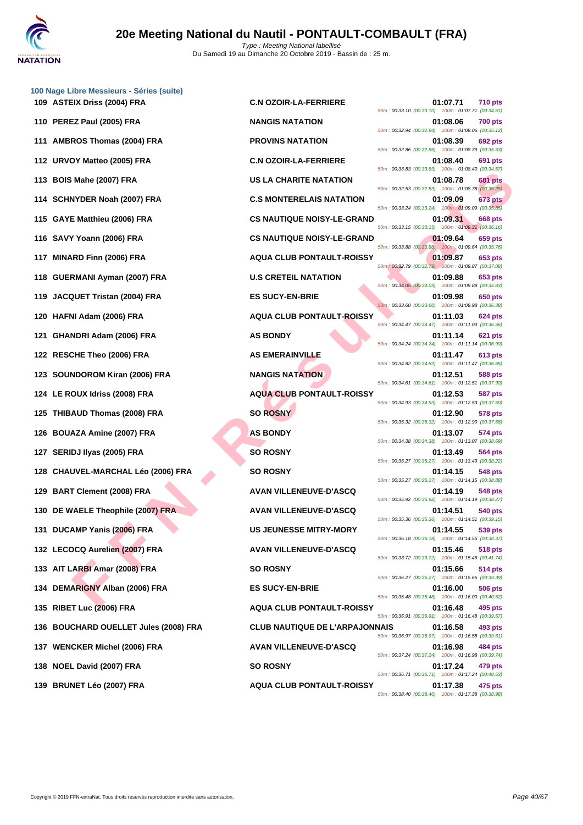| 100 Nage Libre Messieurs - Séries (suite)<br>109 ASTEIX Driss (2004) FRA | <b>C.N OZOIR-LA-FERRIERE</b>          | 01:07.71<br><b>710 pts</b>                                                                                                      |
|--------------------------------------------------------------------------|---------------------------------------|---------------------------------------------------------------------------------------------------------------------------------|
| 110 PEREZ Paul (2005) FRA                                                | <b>NANGIS NATATION</b>                | 50m: 00:33.10 (00:33.10) 100m: 01:07.71 (00:34.61)<br>01:08.06<br><b>700 pts</b>                                                |
| 111 AMBROS Thomas (2004) FRA                                             | <b>PROVINS NATATION</b>               | 50m: 00:32.94 (00:32.94) 100m: 01:08.06 (00:35.12)<br>01:08.39<br>692 pts                                                       |
| 112 URVOY Matteo (2005) FRA                                              | <b>C.N OZOIR-LA-FERRIERE</b>          | 50m: 00:32.86 (00:32.86) 100m: 01:08.39 (00:35.53)<br>01:08.40<br>691 pts                                                       |
| 113 BOIS Mahe (2007) FRA                                                 | <b>US LA CHARITE NATATION</b>         | 50m: 00:33.83 (00:33.83) 100m: 01:08.40 (00:34.57)<br>01:08.78<br><b>681 pts</b>                                                |
| 114 SCHNYDER Noah (2007) FRA                                             | <b>C.S MONTERELAIS NATATION</b>       | 50m: 00:32.53 (00:32.53) 100m: 01:08.78 (00:36.25)<br>01:09.09<br><b>673 pts</b>                                                |
| 115 GAYE Matthieu (2006) FRA                                             | <b>CS NAUTIQUE NOISY-LE-GRAND</b>     | 50m: 00:33.24 (00:33.24) 100m: 01:09.09 (00:35.85)<br>01:09.31<br><b>668 pts</b>                                                |
| 116 SAVY Yoann (2006) FRA                                                | <b>CS NAUTIQUE NOISY-LE-GRAND</b>     | 50m: 00:33.15 (00:33.15) 100m: 01:09.31 (00:36.16)<br>01:09.64<br>659 pts                                                       |
| 117 MINARD Finn (2006) FRA                                               | <b>AQUA CLUB PONTAULT-ROISSY</b>      | 50m: 00:33.88 (00:33.88) 100m: 01:09.64 (00:35.76)<br>01:09.87<br>653 pts                                                       |
| 118 GUERMANI Ayman (2007) FRA                                            | <b>U.S CRETEIL NATATION</b>           | 50m: 00:32.79 (00:32.79) 100m: 01:09.87 (00:37.08)<br>01:09.88<br>653 pts<br>50m: 00:34.05 (00:34.05) 100m: 01:09.88 (00:35.83) |
| 119 JACQUET Tristan (2004) FRA                                           | <b>ES SUCY-EN-BRIE</b>                | 01:09.98<br>650 pts<br>50m: 00:33.60 (00:33.60) 100m: 01:09.98 (00:36.38)                                                       |
| 120 HAFNI Adam (2006) FRA                                                | <b>AQUA CLUB PONTAULT-ROISSY</b>      | 01:11.03<br><b>624 pts</b><br>50m: 00:34.47 (00:34.47) 100m: 01:11.03 (00:36.56)                                                |
| GHANDRI Adam (2006) FRA<br>121                                           | <b>AS BONDY</b>                       | 01:11.14<br>621 pts<br>50m: 00:34.24 (00:34.24) 100m: 01:11.14 (00:36.90)                                                       |
| 122 RESCHE Theo (2006) FRA                                               | <b>AS EMERAINVILLE</b>                | 01:11.47<br>613 pts<br>50m: 00:34.82 (00:34.82) 100m: 01:11.47 (00:36.65)                                                       |
| 123 SOUNDOROM Kiran (2006) FRA                                           | <b>NANGIS NATATION</b>                | 01:12.51<br>588 pts<br>50m: 00:34.61 (00:34.61) 100m: 01:12.51 (00:37.90)                                                       |
| 124 LE ROUX Idriss (2008) FRA                                            | <b>AQUA CLUB PONTAULT-ROISSY</b>      | 01:12.53<br><b>587 pts</b><br>50m: 00:34.93 (00:34.93) 100m: 01:12.53 (00:37.60)                                                |
| 125 THIBAUD Thomas (2008) FRA                                            | <b>SO ROSNY</b>                       | 01:12.90<br>578 pts<br>50m: 00:35.32 (00:35.32) 100m: 01:12.90 (00:37.58)                                                       |
| 126 BOUAZA Amine (2007) FRA                                              | <b>AS BONDY</b>                       | 01:13.07<br>574 pts<br>50m: 00:34.38 (00:34.38) 100m: 01:13.07 (00:38.69)                                                       |
| SERIDJ Ilyas (2005) FRA<br>127                                           | <b>SO ROSNY</b>                       | 01:13.49<br>564 pts<br>50m: 00:35.27 (00:35.27) 100m: 01:13.49 (00:38.22)                                                       |
| 128 CHAUVEL-MARCHAL Léo (2006) FRA                                       | <b>SO ROSNY</b>                       | 01:14.15<br><b>548 pts</b><br>50m: 00:35.27 (00:35.27) 100m: 01:14.15 (00:38.88)                                                |
| 129 BART Clement (2008) FRA                                              | <b>AVAN VILLENEUVE-D'ASCQ</b>         | 01:14.19<br>548 pts<br>50m: 00:35.92 (00:35.92) 100m: 01:14.19 (00:38.27)                                                       |
| 130 DE WAELE Theophile (2007) FRA                                        | <b>AVAN VILLENEUVE-D'ASCQ</b>         | 01:14.51<br>540 pts<br>50m: 00:35.36 (00:35.36) 100m: 01:14.51 (00:39.15)                                                       |
| 131 DUCAMP Yanis (2006) FRA                                              | <b>US JEUNESSE MITRY-MORY</b>         | 01:14.55<br>539 pts<br>50m: 00:36.18 (00:36.18) 100m: 01:14.55 (00:38.37)                                                       |
| 132 LECOCQ Aurelien (2007) FRA                                           | <b>AVAN VILLENEUVE-D'ASCQ</b>         | 01:15.46<br>518 pts<br>50m: 00:33.72 (00:33.72) 100m: 01:15.46 (00:41.74)                                                       |
| 133 AIT LARBI Amar (2008) FRA                                            | <b>SO ROSNY</b>                       | 01:15.66<br>514 pts<br>50m: 00:36.27 (00:36.27) 100m: 01:15.66 (00:39.39)                                                       |
| 134 DEMARIGNY Alban (2006) FRA                                           | <b>ES SUCY-EN-BRIE</b>                | 01:16.00<br><b>506 pts</b><br>50m: 00:35.48 (00:35.48) 100m: 01:16.00 (00:40.52)                                                |
| 135 RIBET Luc (2006) FRA                                                 | <b>AQUA CLUB PONTAULT-ROISSY</b>      | 01:16.48<br>495 pts<br>50m: 00:36.91 (00:36.91) 100m: 01:16.48 (00:39.57)                                                       |
| 136 BOUCHARD OUELLET Jules (2008) FRA                                    | <b>CLUB NAUTIQUE DE L'ARPAJONNAIS</b> | 493 pts<br>01:16.58<br>50m: 00:36.97 (00:36.97) 100m: 01:16.58 (00:39.61)                                                       |
| 137 WENCKER Michel (2006) FRA                                            | <b>AVAN VILLENEUVE-D'ASCQ</b>         | 01:16.98<br>484 pts<br>50m: 00:37.24 (00:37.24) 100m: 01:16.98 (00:39.74)                                                       |
| 138 NOEL David (2007) FRA                                                | <b>SO ROSNY</b>                       | 01:17.24<br>479 pts<br>50m: 00:36.71 (00:36.71) 100m: 01:17.24 (00:40.53)                                                       |
| 139 BRUNET Léo (2007) FRA                                                | <b>AQUA CLUB PONTAULT-ROISSY</b>      | 01:17.38<br>475 pts<br>50m: 00:38.40 (00:38.40) 100m: 01:17.38 (00:38.98)                                                       |
|                                                                          |                                       |                                                                                                                                 |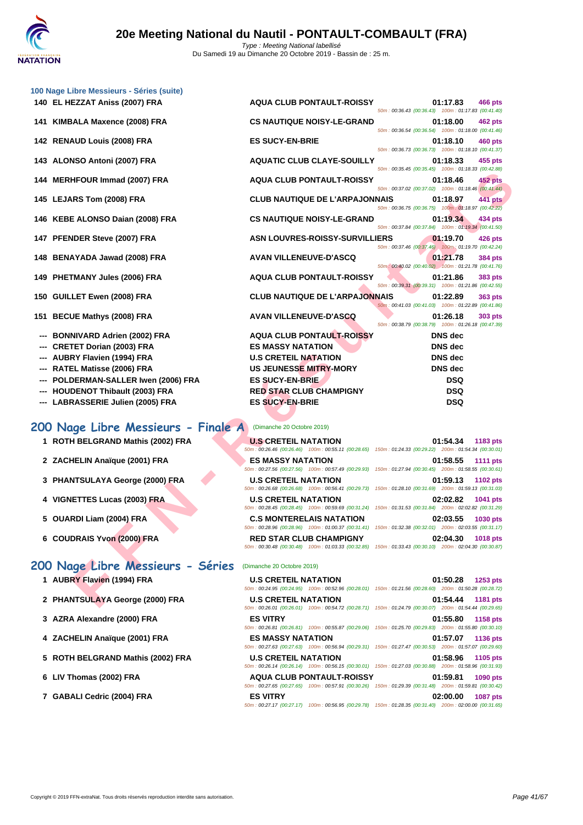|     | 100 Nage Libre Messieurs - Séries (suite) |                                       |                                                                                                                                           |
|-----|-------------------------------------------|---------------------------------------|-------------------------------------------------------------------------------------------------------------------------------------------|
|     | 140 EL HEZZAT Aniss (2007) FRA            | <b>AQUA CLUB PONTAULT-ROISSY</b>      | 01:17.83<br>466 pts<br>50m: 00:36.43 (00:36.43) 100m: 01:17.83 (00:41.40)                                                                 |
|     | 141 KIMBALA Maxence (2008) FRA            | <b>CS NAUTIQUE NOISY-LE-GRAND</b>     | 01:18.00<br>462 pts<br>50m: 00:36.54 (00:36.54) 100m: 01:18.00 (00:41.46)                                                                 |
|     | 142 RENAUD Louis (2008) FRA               | <b>ES SUCY-EN-BRIE</b>                | 01:18.10<br>460 pts<br>50m: 00:36.73 (00:36.73) 100m: 01:18.10 (00:41.37)                                                                 |
|     | 143 ALONSO Antoni (2007) FRA              | <b>AQUATIC CLUB CLAYE-SOUILLY</b>     | 01:18.33<br>455 pts                                                                                                                       |
|     | 144 MERHFOUR Immad (2007) FRA             | <b>AQUA CLUB PONTAULT-ROISSY</b>      | 50m: 00:35.45 (00:35.45) 100m: 01:18.33 (00:42.88)<br>01:18.46<br><b>452 pts</b>                                                          |
|     | 145 LEJARS Tom (2008) FRA                 | <b>CLUB NAUTIQUE DE L'ARPAJONNAIS</b> | 50m: 00:37.02 (00:37.02) 100m: 01:18.46 (00:41.44)<br>441 pts<br>01:18.97                                                                 |
|     | 146 KEBE ALONSO Daian (2008) FRA          | <b>CS NAUTIQUE NOISY-LE-GRAND</b>     | 50m: 00:36.75 (00:36.75) 100m: 01:18.97 (00:42.22)<br>01:19.34<br>434 pts                                                                 |
|     | 147 PFENDER Steve (2007) FRA              | <b>ASN LOUVRES-ROISSY-SURVILLIERS</b> | 50m: 00:37.84 (00:37.84) 100m: 01:19.34 (00:41.50)<br>01:19.70<br>426 pts                                                                 |
|     | 148 BENAYADA Jawad (2008) FRA             | <b>AVAN VILLENEUVE-D'ASCQ</b>         | 50m: 00:37.46 (00:37.46) 100m: 01:19.70 (00:42.24)<br>01:21.78<br>384 pts                                                                 |
|     | 149 PHETMANY Jules (2006) FRA             | <b>AQUA CLUB PONTAULT-ROISSY</b>      | 50m: 00:40.02 (00:40.02) 100m: 01:21.78 (00:41.76)<br>01:21.86<br>383 pts                                                                 |
|     | 150 GUILLET Ewen (2008) FRA               | <b>CLUB NAUTIQUE DE L'ARPAJONNAIS</b> | 50m: 00:39.31 (00:39.31) 100m: 01:21.86 (00:42.55)<br>01:22.89<br><b>363 pts</b>                                                          |
|     | 151 BECUE Mathys (2008) FRA               | <b>AVAN VILLENEUVE-D'ASCQ</b>         | 50m: 00:41.03 (00:41.03) 100m: 01:22.89 (00:41.86)<br>01:26.18<br>303 pts                                                                 |
|     | <b>BONNIVARD Adrien (2002) FRA</b>        | <b>AQUA CLUB PONTAULT-ROISSY</b>      | 50m: 00:38.79 (00:38.79) 100m: 01:26.18 (00:47.39)<br><b>DNS</b> dec                                                                      |
|     | <b>CRETET Dorian (2003) FRA</b>           | <b>ES MASSY NATATION</b>              | <b>DNS</b> dec                                                                                                                            |
|     | <b>AUBRY Flavien (1994) FRA</b>           | <b>U.S CRETEIL NATATION</b>           | <b>DNS</b> dec                                                                                                                            |
| --- | RATEL Matisse (2006) FRA                  | US JEUNESSE MITRY-MORY                | <b>DNS</b> dec                                                                                                                            |
|     | POLDERMAN-SALLER Iwen (2006) FRA          | <b>ES SUCY-EN-BRIE</b>                | <b>DSQ</b>                                                                                                                                |
|     |                                           |                                       |                                                                                                                                           |
|     | <b>HOUDENOT Thibault (2003) FRA</b>       | <b>RED STAR CLUB CHAMPIGNY</b>        | <b>DSQ</b>                                                                                                                                |
|     | --- LABRASSERIE Julien (2005) FRA         | <b>ES SUCY-EN-BRIE</b>                | <b>DSQ</b>                                                                                                                                |
|     | 200 Nage Libre Messieurs - Finale A       | (Dimanche 20 Octobre 2019)            |                                                                                                                                           |
|     | 1 ROTH BELGRAND Mathis (2002) FRA         | <b>U.S CRETEIL NATATION</b>           | 01:54.34<br>1183 pts<br>50m: 00:26.46 (00:26.46) 100m: 00:55.11 (00:28.65) 150m: 01:24.33 (00:29.22) 200m: 01:54.34 (00:30.01)            |
|     | 2 ZACHELIN Anaïque (2001) FRA             | <b>ES MASSY NATATION</b>              | 01:58.55<br><b>1111 pts</b><br>50m: 00:27.56 (00:27.56) 100m: 00:57.49 (00:29.93) 150m: 01:27.94 (00:30.45) 200m: 01:58.55 (00:30.61)     |
|     | 3 PHANTSULAYA George (2000) FRA           | <b>U.S CRETEIL NATATION</b>           | 01:59.13<br>1102 pts<br>50m: 00:26.68 (00:26.68) 100m: 00:56.41 (00:29.73) 150m: 01:28.10 (00:31.69) 200m: 01:59.13 (00:31.03)            |
|     | 4 VIGNETTES Lucas (2003) FRA              | <b>U.S CRETEIL NATATION</b>           | 02:02.82<br>1041 pts<br>50m: 00:28.45 (00:28.45) 100m: 00:59.69 (00:31.24) 150m: 01:31.53 (00:31.84) 200m: 02:02.82 (00:31.29)            |
|     | 5 OUARDI Liam (2004) FRA                  | <b>C.S MONTERELAIS NATATION</b>       | 02:03.55<br>1030 pts<br>50m: 00:28.96 (00:28.96) 100m: 01:00.37 (00:31.41) 150m: 01:32.38 (00:32.01) 200m: 02:03.55 (00:31.17)            |
|     | 6 COUDRAIS Yvon (2000) FRA                | <b>RED STAR CLUB CHAMPIGNY</b>        | 02:04.30<br><b>1018 pts</b><br>50m : 00:30.48 (00:30.48) 100m : 01:03.33 (00:32.85) 150m : 01:33.43 (00:30.10) 200m : 02:04.30 (00:30.87) |
|     | 200 Nage Libre Messieurs - Séries         | (Dimanche 20 Octobre 2019)            |                                                                                                                                           |
|     | 1 AUBRY Flavien (1994) FRA                | <b>U.S CRETEIL NATATION</b>           | 01:50.28<br><b>1253 pts</b><br>50m : 00:24.95 (00:24.95) 100m : 00:52.96 (00:28.01) 150m : 01:21.56 (00:28.60) 200m : 01:50.28 (00:28.72) |
|     | 2 PHANTSULAYA George (2000) FRA           | <b>U.S CRETEIL NATATION</b>           | 01:54.44<br>1181 pts                                                                                                                      |
|     |                                           |                                       |                                                                                                                                           |

## **200 Nage Libre Messieurs - Finale A** (Dimanche 20 Octobre 2019)

- **1 ROTH BELGRAND Mathis (2002) FRA U.S CRETEIL NATATION 01:54.34 1183 pts**
- **2 ZACHELIN** Anaïque (2001) FRA **ES MASSY NATA RES**
- **3 PHANTSULAYA George (2000) FRA U.S CRETEIL**
- **4 VIGNETTES Lucas (2003) FRA D.S CRETEIL**
- **5 OUARDI Liam (2004) FRA C.S MONTERI**
- **6** COUDRAIS Yvon (2000) FRA **RED STAR CL**

## **200 Nage Libre Messieurs - Séries** (Dimanche 20 Octobre 2019)

- **1 AUBRY Flavien (1994) FRA**
- **2 PHANTSULAYA George (2000) FRA**
- **3** [AZRA Alexandre \(2000\) FRA](http://www.ffnatation.fr/webffn/resultats.php?idact=nat&go=epr&idcpt=62219&idepr=53)
- **4 ZACHELIN Anaïque (2001) FRA**
- **5** ROTH BELGRAND Mathis (2002) FRA
- **6** LIV Thomas (2002) FRA
- **7 GABALI Cedric (2004) FRA**

| <b>UI.J4.J4 110J</b> PLS                            | <b>U.S UNETER NATATION</b>                                                                             |
|-----------------------------------------------------|--------------------------------------------------------------------------------------------------------|
|                                                     | 50m: 00:26.46 (00:26.46) 100m: 00:55.11 (00:28.65) 150m: 01:24.33 (00:29.22) 200m: 01:54.34 (00:30.01) |
| 01:58.55 1111 pts                                   | <b>ES MASSY NATATION</b>                                                                               |
|                                                     | 50m: 00:27.56 (00:27.56) 100m: 00:57.49 (00:29.93) 150m: 01:27.94 (00:30.45) 200m: 01:58.55 (00:30.61) |
| 01:59.13 1102 pts                                   | <b>U.S CRETEIL NATATION</b>                                                                            |
|                                                     | 50m: 00:26.68 (00:26.68) 100m: 00:56.41 (00:29.73) 150m: 01:28.10 (00:31.69) 200m: 01:59.13 (00:31.03) |
| 02:02.82 1041 pts                                   | <b>U.S CRETEIL NATATION</b>                                                                            |
| 150m: 01:31.53 (00:31.84) 200m: 02:02.82 (00:31.29) | 50m: 00:28.45 (00:28.45) 100m: 00:59.69 (00:31.24)                                                     |
| 02:03.55 1030 pts                                   | <b>C.S MONTERELAIS NATATION</b>                                                                        |
|                                                     | 50m: 00:28.96 (00:28.96) 100m: 01:00.37 (00:31.41) 150m: 01:32.38 (00:32.01) 200m: 02:03.55 (00:31.17) |
|                                                     |                                                                                                        |
| 02:04.30<br>1018 pts                                | <b>RED STAR CLUB CHAMPIGNY</b>                                                                         |

| <b>U.S CRETEIL NATATION</b> |                                                                                                        |                                                     | $01:50.28$ 1253 pts |  |
|-----------------------------|--------------------------------------------------------------------------------------------------------|-----------------------------------------------------|---------------------|--|
|                             | 50m: 00:24.95 (00:24.95) 100m: 00:52.96 (00:28.01) 150m: 01:21.56 (00:28.60) 200m: 01:50.28 (00:28.72) |                                                     |                     |  |
| <b>U.S CRETEIL NATATION</b> |                                                                                                        |                                                     | 01:54.44 1181 pts   |  |
|                             | 50m: 00:26.01 (00:26.01) 100m: 00:54.72 (00:28.71) 150m: 01:24.79 (00:30.07) 200m: 01:54.44 (00:29.65) |                                                     |                     |  |
| <b>ES VITRY</b>             |                                                                                                        |                                                     | 01:55.80 1158 pts   |  |
|                             | 50m: 00:26.81 (00:26.81) 100m: 00:55.87 (00:29.06)                                                     | 150m: 01:25.70 (00:29.83) 200m: 01:55.80 (00:30.10) |                     |  |
| <b>ES MASSY NATATION</b>    |                                                                                                        |                                                     | 01:57.07 1136 pts   |  |
|                             | 50m: 00:27.63 (00:27.63) 100m: 00:56.94 (00:29.31) 150m: 01:27.47 (00:30.53) 200m: 01:57.07 (00:29.60) |                                                     |                     |  |
| <b>U.S CRETEIL NATATION</b> |                                                                                                        |                                                     | 01:58.96 1105 pts   |  |
|                             | 50m: 00:26.14 (00:26.14) 100m: 00:56.15 (00:30.01) 150m: 01:27.03 (00:30.88) 200m: 01:58.96 (00:31.93) |                                                     |                     |  |
|                             | <b>AQUA CLUB PONTAULT-ROISSY</b>                                                                       |                                                     | 01:59.81 1090 pts   |  |
|                             | 50m: 00:27.65 (00:27.65) 100m: 00:57.91 (00:30.26) 150m: 01:29.39 (00:31.48) 200m: 01:59.81 (00:30.42) |                                                     |                     |  |
| <b>ES VITRY</b>             |                                                                                                        |                                                     | 02:00.00 1087 pts   |  |
|                             | 50m: 00:27.17 (00:27.17) 100m: 00:56.95 (00:29.78) 150m: 01:28.35 (00:31.40) 200m: 02:00.00 (00:31.65) |                                                     |                     |  |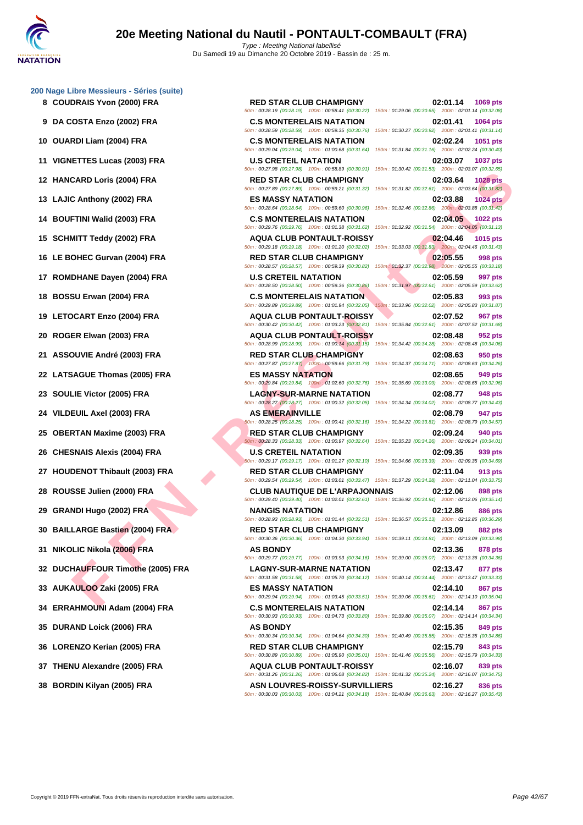**[200 Nage](http://www.ffnatation.fr/webffn/index.php) Libre Messieurs - Séries (suite)**

- **8 COUDRAIS Yvon (2000) FRA RED STAR CLUB CHAMPIGNY 02:01.14 1069 pts**
- 
- 
- 
- 
- 
- 
- 
- 
- 
- 
- 
- 
- 
- 
- 
- 
- 
- 
- 
- 
- 
- 
- 
- 
- 
- 
- 
- 
- 
- 

CARD Loris (2004) FRA - ER EN STAR CUB PONTAUT HOSPY (2002) FRA - ER EN STAR CUB CHAMPIGNY<br>
FE NAMES (2004) FRA - ES MASSY NATATION<br>
TETH WHITE (2003) FRA - ES MASSY NATATION (2003) FRA - ES MASSY NATATION<br>
CONNECTION (20 50m : 00:28.19 (00:28.19) 100m : 00:58.41 (00:30.22) 150m : 01:29.06 (00:30.65) 200m : 02:01.14 (00:32.08) **9 DA COSTA Enzo (2002) FRA C.S MONTERELAIS NATATION 02:01.41 1064 pts** 50m : 00:28.59 (00:28.59) 100m : 00:59.35 (00:30.76) 150m : 01:30.27 (00:30.92) 200m : 02:01.41 (00:31.14) **10 OUARDI Liam (2004) FRA C.S MONTERELAIS NATATION 02:02.24 1051 pts** 50m : 00:29.04 (00:29.04) 100m : 01:00.68 (00:31.64) 150m : 01:31.84 (00:31.16) 200m : 02:02.24 (00:30.40) **11 VIGNETTES Lucas (2003) FRA U.S CRETEIL NATATION 02:03.07 1037 pts** 50m : 00:27.98 (00:27.98) 100m : 00:58.89 (00:30.91) 150m : 01:30.42 (00:31.53) 200m : 02:03.07 (00:32.65) **12 HANCARD Loris (2004) FRA RED STAR CLUB CHAMPIGNY 02:03.64 1028 pts** 50m : 00:27.89 (00:27.89) 100m : 00:59.21 (00:31.32) 150m : 01:31.82 (00:32.61) 200m : 02:03.64 (00:31.82) **13 LAJIC Anthony (2002) FRA ES MASSY NATATION 02:03.88 1024 pts** 50m : 00:28.64 (00:28.64) 100m : 00:59.60 (00:30.96) 150m : 01:32.46 (00:32.86) 200m : 02:03.88 (00:31.42) **14 BOUFTINI Walid (2003) FRA C.S MONTERELAIS NATATION 02:04.05 1022 pts** 50m : 00:29.76 (00:29.76) 100m : 01:01.38 (00:31.62) 150m : 01:32.92 (00:31.54) 200m : 02:04.05 (00:31.13) **15 SCHMITT Teddy (2002) FRA AQUA CLUB PONTAULT-ROISSY 02:04.46 1015 pts** 50m : 00:29.18 (00:29.18) 100m : 01:01.20 (00:32.02) 150m : 01:33.03 (00:31.83) 200m : 02:04.46 (00:31.43) **16 LE BOHEC Gurvan (2004) FRA RED STAR CLUB CHAMPIGNY 02:05.55 998 pts** 50m : 00:28.57 (00:28.57) 100m : 00:59.39 (00:30.82) 150m : 01:32.37 (00:32.98) 200m : 02:05.55 (00:33.18) **17 ROMDHANE Dayen (2004) FRA U.S CRETEIL NATATION 02:05.59 997 pts** 50m : 00:28.50 (00:28.50) 100m : 00:59.36 (00:30.86) 150m : 01:31.97 (00:32.61) 200m : 02:05.59 (00:33.62) **18 BOSSU Erwan (2004) FRA C.S MONTERELAIS NATATION 02:05.83 993 pts**<br>
50m : 002:05.83 **100:32.05** (00:32.02) 200m : 02:05.83 (00:32.05) 150m : 01:01.94 (00:32.05) 150m : 01:33.96 (00:32.02) 200m : 02:05.83 (00:31. **19 LETOCART Enzo (2004) FRA AQUA CLUB PONTAULT-ROISSY 02:07.52 967 pts** 50m : 00:30.42 (00:30.42) 100m : 01:03.23 (00:32.81) 150m : 01:35.84 (00:32.61) 200m : 02:07.52 (00:31.68) **20 ROGER Elwan (2003) FRA AQUA CLUB PONTAULT-ROISSY 02:08.48 952 pts** 50m : 00:28.99 (00:28.99) 100m : 01:00.14 (00:31.15) 150m : 01:34.42 (00:34.28) 200m : 02:08.48 (00:34.06) **21 ASSOUVIE André (2003) FRA RED STAR CLUB CHAMPIGNY 02:08.63 950 pts** 50m : 00:27.87 (00:27.87) 100m : 00:59.66 (00:31.79) 150m : 01:34.37 (00:34.71) 200m : 02:08.63 (00:34.26) **22 LATSAGUE Thomas (2005) FRA ES MASSY NATATION 02:08.65 949 pts** 50m : 00:29.84 (00:29.84) 100m : 01:02.60 (00:32.76) 150m : 01:35.69 (00:33.09) 200m : 02:08.65 (00:32.96) **23 SOULIE Victor (2005) FRA LAGNY-SUR-MARNE NATATION 02:08.77 948 pts** 50m : 00:28.27 (00:28.27) 100m : 01:00.32 (00:32.05) 150m : 01:34.34 (00:34.02) 200m : 02:08.77 (00:34.43) **24 VILDEUIL Axel (2003) FRA AS EMERAINVILLE 02:08.79 947 pts** 50m : 00:28.25 (00:28.25) 100m : 01:00.41 (00:32.16) 150m : 01:34.22 (00:33.81) 200m : 02:08.79 (00:34.57) **25 OBERTAN Maxime (2003) FRA RED STAR CLUB CHAMPIGNY 02:09.24 940 pts** 50m : 00:28.33 (00:28.33) 100m : 01:00.97 (00:32.64) 150m : 01:35.23 (00:34.26) 200m : 02:09.24 (00:34.01) **26 CHESNAIS Alexis (2004) FRA U.S CRETEIL NATATION 02:09.35 939 pts** 50m : 00:29.17 (00:29.17) 100m : 01:01.27 (00:32.10) 150m : 01:34.66 (00:33.39) 200m : 02:09.35 (00:34.69) **27 HOUDENOT Thibault (2003) FRA RED STAR CLUB CHAMPIGNY 02:11.04 913 pts** 50m : 00:29.54 (00:29.54) 100m : 01:03.01 (00:33.47) 150m : 01:37.29 (00:34.28) 200m : 02:11.04 (00:33.75) **28 ROUSSE Julien (2000) FRA CLUB NAUTIQUE DE L'ARPAJONNAIS 02:12.06 898 pts** 50m : 00:29.40 (00:29.40) 100m : 01:02.01 (00:32.61) 150m : 01:36.92 (00:34.91) 200m : 02:12.06 (00:35.14) **29 GRANDI Hugo (2002) FRA NANGIS NATATION 02:12.86 886 pts** 50m : 00:28.93 (00:28.93) 100m : 01:01.44 (00:32.51) 150m : 01:36.57 (00:35.13) 200m : 02:12.86 (00:36.29) **30 BAILLARGE Bastien (2004) FRA RED STAR CLUB CHAMPIGNY 02:13.09 882 pts** 50m : 00:30.36 (00:30.36) 100m : 01:04.30 (00:33.94) 150m : 01:39.11 (00:34.81) 200m : 02:13.09 (00:33.98) **31 NIKOLIC Nikola (2006) FRA AS BONDY 02:13.36 878 pts** 50m : 00:29.77 (00:29.77) 100m : 01:03.93 (00:34.16) 150m : 01:39.00 (00:35.07) 200m : 02:13.36 (00:34.36) **32 DUCHAUFFOUR Timothe (2005) FRA LAGNY-SUR-MARNE NATATION 02:13.47 877 pts** 50m : 00:31.58 (00:31.58) 100m : 01:05.70 (00:34.12) 150m : 01:40.14 (00:34.44) 200m : 02:13.47 (00:33.33) **33 AUKAULOO Zaki (2005) FRA ES MASSY NATATION 02:14.10 867 pts** 50m : 00:29.94 (00:29.94) 100m : 01:03.45 (00:33.51) 150m : 01:39.06 (00:35.61) 200m : 02:14.10 (00:35.04) **34 ERRAHMOUNI Adam (2004) FRA C.S MONTERELAIS NATATION 02:14.14 867 pts** 50m : 00:30.93 (00:30.93) 100m : 01:04.73 (00:33.80) 150m : 01:39.80 (00:35.07) 200m : 02:14.14 (00:34.34) **35 DURAND Loick (2006) FRA AS BONDY 02:15.35 849 pts** 50m : 00:30.34 (00:30.34) 100m : 01:04.64 (00:34.30) 150m : 01:40.49 (00:35.85) 200m : 02:15.35 (00:34.86) **36 LORENZO Kerian (2005) FRA RED STAR CLUB CHAMPIGNY 02:15.79 843 pts** 50m : 00:30.89 (00:30.89) 100m : 01:05.90 (00:35.01) 150m : 01:41.46 (00:35.56) 200m : 02:15.79 (00:34.33) **37 THENU Alexandre (2005) FRA AQUA CLUB PONTAULT-ROISSY 02:16.07 839 pts** 50m : 00:31.26 (00:31.26) 100m : 01:06.08 (00:34.82) 150m : 01:41.32 (00:35.24) 200m : 02:16.07 (00:34.75)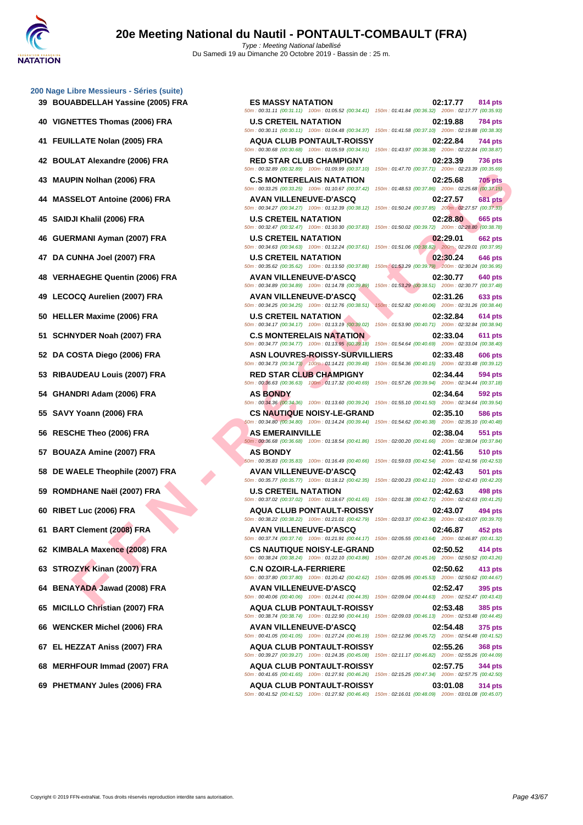|    | 200 Nage Libre Messieurs - Séries (suite)<br>39 BOUABDELLAH Yassine (2005) FRA |
|----|--------------------------------------------------------------------------------|
|    | 40 VIGNETTES Thomas (2006) FRA                                                 |
| 41 | FEUILLATE Nolan (2005) FRA                                                     |
| 42 | <b>BOULAT Alexandre (2006) FRA</b>                                             |
|    | 43 MAUPIN Nolhan (2006) FRA                                                    |
|    | 44 MASSELOT Antoine (2006) FRA                                                 |
|    | 45 SAIDJI Khalil (2006) FRA                                                    |
|    | 46 GUERMANI Ayman (2007) FRA                                                   |
|    | 47 DA CUNHA Joel (2007) FRA                                                    |
|    | 48 VERHAEGHE Quentin (2006) FRA                                                |
|    | 49 LECOCQ Aurelien (2007) FRA                                                  |
|    | 50 HELLER Maxime (2006) FRA                                                    |
|    | 51 SCHNYDER Noah (2007) FRA                                                    |
|    | 52 DA COSTA Diego (2006) FRA                                                   |
|    | 53 RIBAUDEAU Louis (2007) FRA                                                  |
|    | 54 GHANDRI Adam (2006) FRA                                                     |
|    | 55 SAVY Yoann (2006) FRA                                                       |
|    | 56 RESCHE Theo (2006) FRA                                                      |
|    | 57 BOUAZA Amine (2007) FRA                                                     |
|    | 58 DE WAELE Theophile (2007) FRA                                               |
|    | 59 ROMDHANE Naël (2007) FRA                                                    |
|    | 60 RIBET Luc (2006) FRA                                                        |
| 61 | <b>BART Clement (2008) FRA</b>                                                 |
|    | 62 KIMBALA Maxence (2008) FRA                                                  |
|    | 63 STROZYK Kinan (2007) FRA                                                    |
| 64 | <b>BENAYADA Jawad (2008) FRA</b>                                               |
|    | 65 MICILLO Christian (2007) FRA                                                |
|    | 66 WENCKER Michel (2006) FRA                                                   |
|    | 67 EL HEZZAT Aniss (2007) FRA                                                  |
|    | 68 MERHFOUR Immad (2007) FRA                                                   |
|    | 69 PHETMANY Jules (2006) FRA                                                   |

| $\sigma$ mage Libre meadled a concerned from $\sigma$ |                                                                                                                                                 |                                                                            |
|-------------------------------------------------------|-------------------------------------------------------------------------------------------------------------------------------------------------|----------------------------------------------------------------------------|
| 39 BOUABDELLAH Yassine (2005) FRA                     | <b>ES MASSY NATATION</b><br>50m: 00:31.11 (00:31.11) 100m: 01:05.52 (00:34.41) 150m: 01:41.84 (00:36.32) 200m: 02:17.77 (00:35.93)              | 02:17.77<br>814 pts                                                        |
| 40 VIGNETTES Thomas (2006) FRA                        | <b>U.S CRETEIL NATATION</b><br>50m: 00:30.11 (00:30.11) 100m: 01:04.48 (00:34.37) 150m: 01:41.58 (00:37.10) 200m: 02:19.88 (00:38.30)           | 02:19.88<br>784 pts                                                        |
| 41 FEUILLATE Nolan (2005) FRA                         | <b>AQUA CLUB PONTAULT-ROISSY</b><br>50m: 00:30.68 (00:30.68) 100m: 01:05.59 (00:34.91) 150m: 01:43.97 (00:38.38) 200m: 02:22.84 (00:38.87)      | 02:22.84<br>744 pts                                                        |
| 42 BOULAT Alexandre (2006) FRA                        | <b>RED STAR CLUB CHAMPIGNY</b><br>50m: 00:32.89 (00:32.89) 100m: 01:09.99 (00:37.10) 150m: 01:47.70 (00:37.71) 200m: 02:23.39 (00:35.69)        | 02:23.39<br><b>736 pts</b>                                                 |
| 43 MAUPIN Nolhan (2006) FRA                           | <b>C.S MONTERELAIS NATATION</b><br>50m: 00:33.25 (00:33.25) 100m: 01:10.67 (00:37.42) 150m: 01:48.53 (00:37.86) 200m: 02:25.68 (00:37.15)       | 02:25.68<br><b>705 pts</b>                                                 |
| 44 MASSELOT Antoine (2006) FRA                        | <b>AVAN VILLENEUVE-D'ASCQ</b><br>50m: 00:34.27 (00:34.27) 100m: 01:12.39 (00:38.12) 150m: 01:50.24 (00:37.85) 200m: 02:27.57 (00:37.33)         | <b>681 pts</b><br>02:27.57                                                 |
| 45 SAIDJI Khalil (2006) FRA                           | <b>U.S CRETEIL NATATION</b><br>50m: 00:32.47 (00:32.47) 100m: 01:10.30 (00:37.83) 150m: 01:50.02 (00:39.72) 200m: 02:28.80 (00:38.78)           | 02:28.80<br>665 pts                                                        |
| 46 GUERMANI Ayman (2007) FRA                          | <b>U.S CRETEIL NATATION</b><br>50m: 00:34.63 (00:34.63) 100m: 01:12.24 (00:37.61) 150m: 01:51.06 (00:38.82) 200m: 02:29.01 (00:37.95)           | 02:29.01<br><b>662 pts</b>                                                 |
| 47 DA CUNHA Joel (2007) FRA                           | <b>U.S CRETEIL NATATION</b><br>50m: 00:35.62 (00:35.62) 100m: 01:13.50 (00:37.88) 150m: 01:53.29 (00:39.79) 200m: 02:30.24 (00:36.95)           | 02:30.24<br>646 pts                                                        |
| 48 VERHAEGHE Quentin (2006) FRA                       | <b>AVAN VILLENEUVE-D'ASCQ</b><br>50m: 00:34.89 (00:34.89) 100m: 01:14.78 (00:39.89)                                                             | 02:30.77<br>640 pts<br>150m: 01:53.29 (00:38.51) 200m: 02:30.77 (00:37.48) |
| 49 LECOCQ Aurelien (2007) FRA                         | <b>AVAN VILLENEUVE-D'ASCQ</b><br>50m: 00:34.25 (00:34.25) 100m: 01:12.76 (00:38.51)                                                             | 02:31.26<br>633 pts<br>150m: 01:52.82 (00:40.06) 200m: 02:31.26 (00:38.44) |
| 50 HELLER Maxime (2006) FRA                           | <b>U.S CRETEIL NATATION</b><br>50m: 00:34.17 (00:34.17) 100m: 01:13.19 (00:39.02) 150m: 01:53.90 (00:40.71) 200m: 02:32.84 (00:38.94)           | 02:32.84<br><b>614 pts</b>                                                 |
| 51 SCHNYDER Noah (2007) FRA                           | <b>C.S MONTERELAIS NATATION</b><br>50m : 00:34.77 (00:34.77) 100m : 01:13.95 (00:39.18) 150m : 01:54.64 (00:40.69) 200m : 02:33.04 (00:38.40)   | 02:33.04<br><b>611 pts</b>                                                 |
| 52   DA COSTA Diego (2006) FRA                        | ASN LOUVRES-ROISSY-SURVILLIERS<br>50m: 00:34.73 (00:34.73) 100m: 01:14.21 (00:39.48) 150m: 01:54.36 (00:40.15) 200m: 02:33.48 (00:39.12)        | 02:33.48<br><b>606 pts</b>                                                 |
| 53 RIBAUDEAU Louis (2007) FRA                         | <b>RED STAR CLUB CHAMPIGNY</b><br>50m : 00:36.63 (00:36.63) 100m : 01:17.32 (00:40.69) 150m : 01:57.26 (00:39.94) 200m : 02:34.44 (00:37.18)    | 02:34.44<br>594 pts                                                        |
| 54   GHANDRI Adam (2006) FRA                          | <b>AS BONDY</b><br>50m : 00:34.36 (00:34.36) 100m : 01:13.60 (00:39.24) 150m : 01:55.10 (00:41.50) 200m : 02:34.64 (00:39.54)                   | 02:34.64<br>592 pts                                                        |
| 55 SAVY Yoann (2006) FRA                              | <b>CS NAUTIQUE NOISY-LE-GRAND</b><br>50m : 00:34.80 (00:34.80) 100m : 01:14.24 (00:39.44) 150m : 01:54.62 (00:40.38) 200m : 02:35.10 (00:40.48) | 02:35.10<br>586 pts                                                        |
| 56 RESCHE Theo (2006) FRA                             | <b>AS EMERAINVILLE</b><br>50m: 00:36.68 (00:36.68) 100m: 01:18.54 (00:41.86) 150m: 02:00.20 (00:41.66) 200m: 02:38.04 (00:37.84)                | 02:38.04<br>551 pts                                                        |
| 57   BOUAZA Amine (2007) FRA                          | <b>AS BONDY</b><br>50m: 00:35.83 (00:35.83) 100m: 01:16.49 (00:40.66) 150m: 01:59.03 (00:42.54) 200m: 02:41.56 (00:42.53)                       | 02:41.56<br>510 pts                                                        |
| 58 DE WAELE Theophile (2007) FRA                      | <b>AVAN VILLENEUVE-D'ASCQ</b><br>50m: 00:35.77 (00:35.77) 100m: 01:18.12 (00:42.35) 150m: 02:00.23 (00:42.11) 200m: 02:42.43 (00:42.20)         | 02:42.43<br><b>501 pts</b>                                                 |
| 59 ROMDHANE Naël (2007) FRA                           | <b>U.S CRETEIL NATATION</b><br>50m: 00:37.02 (00:37.02) 100m: 01:18.67 (00:41.65) 150m: 02:01.38 (00:42.71) 200m: 02:42.63 (00:41.25)           | 02:42.63<br>498 pts                                                        |
| 60 RIBET Luc (2006) FRA                               | <b>AQUA CLUB PONTAULT-ROISSY</b><br>50m: 00:38.22 (00:38.22) 100m: 01:21.01 (00:42.79) 150m: 02:03.37 (00:42.36) 200m: 02:43.07 (00:39.70)      | 02:43.07<br>494 pts                                                        |
| 61 BART Clement (2008) FRA                            | AVAN VILLENEUVE-D'ASCQ<br>50m: 00:37.74 (00:37.74) 100m: 01:21.91 (00:44.17) 150m: 02:05.55 (00:43.64) 200m: 02:46.87 (00:41.32)                | 02:46.87<br>452 pts                                                        |
| 62 KIMBALA Maxence (2008) FRA                         | <b>CS NAUTIQUE NOISY-LE-GRAND</b><br>50m : 00:38.24 (00:38.24) 100m : 01:22.10 (00:43.86) 150m : 02:07.26 (00:45.16) 200m : 02:50.52 (00:43.26) | 02:50.52<br>414 pts                                                        |
| 63 STROZYK Kinan (2007) FRA                           | <b>C.N OZOIR-LA-FERRIERE</b><br>50m: 00:37.80 (00:37.80) 100m: 01:20.42 (00:42.62) 150m: 02:05.95 (00:45.53) 200m: 02:50.62 (00:44.67)          | 02:50.62<br>413 pts                                                        |
| 64 BENAYADA Jawad (2008) FRA                          | <b>AVAN VILLENEUVE-D'ASCQ</b><br>50m : 00:40.06 (00:40.06) 100m : 01:24.41 (00:44.35) 150m : 02:09.04 (00:44.63) 200m : 02:52.47 (00:43.43)     | 02:52.47<br>395 pts                                                        |
| 65 MICILLO Christian (2007) FRA                       | <b>AQUA CLUB PONTAULT-ROISSY</b><br>50m: 00:38.74 (00:38.74) 100m: 01:22.90 (00:44.16) 150m: 02:09.03 (00:46.13) 200m: 02:53.48 (00:44.45)      | 02:53.48<br>385 pts                                                        |
| 66 WENCKER Michel (2006) FRA                          | <b>AVAN VILLENEUVE-D'ASCQ</b><br>50m : 00:41.05 (00:41.05) 100m : 01:27.24 (00:46.19) 150m : 02:12.96 (00:45.72) 200m : 02:54.48 (00:41.52)     | 02:54.48<br>375 pts                                                        |
| 67 EL HEZZAT Aniss (2007) FRA                         | <b>AQUA CLUB PONTAULT-ROISSY</b><br>50m: 00:39.27 (00:39.27) 100m: 01:24.35 (00:45.08) 150m: 02:11.17 (00:46.82) 200m: 02:55.26 (00:44.09)      | 02:55.26<br><b>368 pts</b>                                                 |
| 68 MERHFOUR Immad (2007) FRA                          | <b>AQUA CLUB PONTAULT-ROISSY</b><br>50m : 00:41.65 (00:41.65) 100m : 01:27.91 (00:46.26) 150m : 02:15.25 (00:47.34) 200m : 02:57.75 (00:42.50)  | 02:57.75<br>344 pts                                                        |
| 69 PHETMANY Jules (2006) FRA                          | <b>AQUA CLUB PONTAULT-ROISSY</b><br>50m; 00:41.52 (00:41.52) 100m; 01:27.92 (00:46.40) 150m; 02:16.01 (00:48.09) 200m; 03:01.08 (00:45.07)      | 03:01.08<br>314 pts                                                        |
|                                                       |                                                                                                                                                 |                                                                            |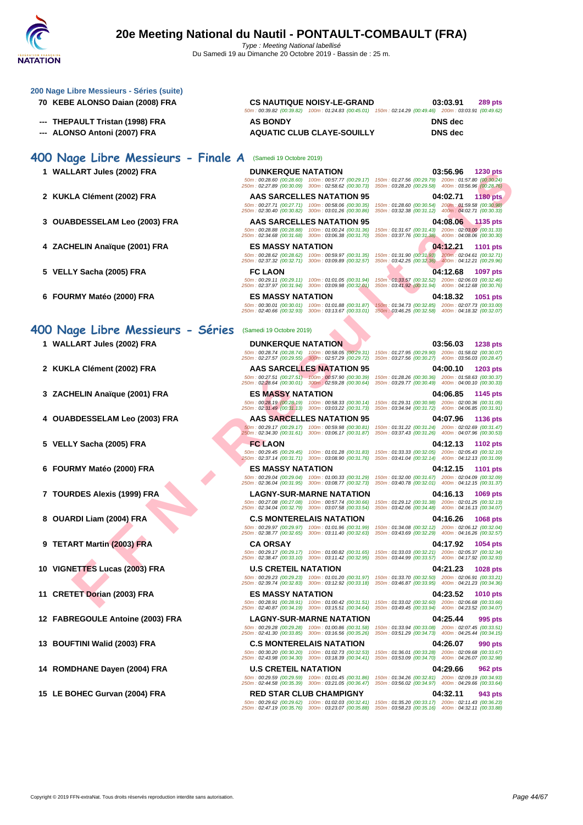| TATION                                                                       |                                                                                                                                                                                                                                                      |                                                                                                                                           |
|------------------------------------------------------------------------------|------------------------------------------------------------------------------------------------------------------------------------------------------------------------------------------------------------------------------------------------------|-------------------------------------------------------------------------------------------------------------------------------------------|
| 200 Nage Libre Messieurs - Séries (suite)<br>70 KEBE ALONSO Daian (2008) FRA | <b>CS NAUTIQUE NOISY-LE-GRAND</b><br>50m: 00:39.82 (00:39.82) 100m: 01:24.83 (00:45.01) 150m: 02:14.29 (00:49.46) 200m: 03:03.91 (00:49.62)                                                                                                          | 03:03.91<br><b>289 pts</b>                                                                                                                |
| --- THEPAULT Tristan (1998) FRA                                              | <b>AS BONDY</b>                                                                                                                                                                                                                                      | <b>DNS</b> dec                                                                                                                            |
| --- ALONSO Antoni (2007) FRA                                                 | <b>AQUATIC CLUB CLAYE-SOUILLY</b>                                                                                                                                                                                                                    | <b>DNS</b> dec                                                                                                                            |
| 400 Nage Libre Messieurs - Finale A                                          | (Samedi 19 Octobre 2019)                                                                                                                                                                                                                             |                                                                                                                                           |
| 1 WALLART Jules (2002) FRA                                                   | <b>DUNKERQUE NATATION</b><br>50m: 00:28.60 (00:28.60) 100m: 00:57.77 (00:29.17) 150m: 01:27.56 (00:29.79) 200m: 01:57.80 (00:30.24)<br>250m: 02:27.89 (00:30.09) 300m: 02:58.62 (00:30.73) 350m: 03:28.20 (00:29.58) 400m: 03:56.96 (00:28.76)       | 03:56.96<br><b>1230 pts</b>                                                                                                               |
| 2 KUKLA Clément (2002) FRA                                                   | AAS SARCELLES NATATION 95<br>50m: 00:27.71 (00:27.71) 100m: 00:58.06 (00:30.35)<br>250m: 02:30.40 (00:30.82) 300m: 03:01.26 (00:30.86)                                                                                                               | 04:02.71<br><b>1180 pts</b><br>150m: 01:28.60 (00:30.54) 200m: 01:59.58 (00:30.98)<br>350m: 03:32.38 (00:31.12) 400m: 04:02.71 (00:30.33) |
| 3 OUABDESSELAM Leo (2003) FRA                                                | AAS SARCELLES NATATION 95<br>50m: 00:28.88 (00:28.88) 100m: 01:00.24 (00:31.36)                                                                                                                                                                      | 04:08.06 1135 pts<br>150m: 01:31.67 (00:31.43) 200m: 02:03.00 (00:31.33)                                                                  |
| 4 ZACHELIN Anaïque (2001) FRA                                                | 250m: 02:34.68 (00:31.68) 300m: 03:06.38 (00:31.70)<br><b>ES MASSY NATATION</b><br>50m : 00:28.62 (00:28.62) 100m : 00:59.97 (00:31.35) 150m : 01:31.90 (00:31.93) 200m : 02:04.61 (00:32.71)                                                        | 350m: 03:37.76 (00:31.38) 400m: 04:08.06 (00:30.30)<br>04:12.21<br><b>1101 pts</b>                                                        |
| 5 VELLY Sacha (2005) FRA                                                     | 250m: 02:37.32 (00:32.71) 300m: 03:09.89 (00:32.57)<br><b>FC LAON</b>                                                                                                                                                                                | 350m; 03:42.25 (00:32.36) 400m: 04:12.21 (00:29.96)<br>04:12.68<br>1097 pts                                                               |
| 6 FOURMY Matéo (2000) FRA                                                    | 50m: 00:29.11 (00:29.11) 100m: 01:01.05 (00:31.94)<br>250m: 02:37.97 (00:31.94) 300m: 03:09.98 (00:32.01)<br><b>ES MASSY NATATION</b>                                                                                                                | 150m: 01:33.57 (00:32.52) 200m: 02:06.03 (00:32.46)<br>350m: 03:41.92 (00:31.94) 400m: 04:12.68 (00:30.76)<br>04:18.32<br><b>1051 pts</b> |
|                                                                              | 50m: 00:30.01 (00:30.01) 100m: 01:01.88 (00:31.87)<br>250m: 02:40.66 (00:32.93) 300m: 03:13.67 (00:33.01) 350m: 03:46.25 (00:32.58) 400m: 04:18.32 (00:32.07)                                                                                        | 150m: 01:34.73 (00:32.85) 200m: 02:07.73 (00:33.00)                                                                                       |
| 400 Nage Libre Messieurs - Séries                                            | (Samedi 19 Octobre 2019)                                                                                                                                                                                                                             |                                                                                                                                           |
| 1 WALLART Jules (2002) FRA                                                   | <b>DUNKERQUE NATATION</b><br>50m: 00:28.74 (00:28.74) 100m: 00:58.05 (00:29.31)<br>250m: 02:27.57 (00:29.55) 300m: 02:57.29 (00:29.72)                                                                                                               | 03:56.03<br><b>1238 pts</b><br>150m: 01:27.95 (00:29.90) 200m: 01:58.02 (00:30.07)<br>350m: 03:27.56 (00:30.27) 400m: 03:56.03 (00:28.47) |
| 2 KUKLA Clément (2002) FRA                                                   | AAS SARCELLES NATATION 95<br>50m: 00:27.51 (00:27.51) - 100m: 00:57.90 (00:30.39)<br>250m: 02:28.64 (00:30.01) 300m: 02:59.28 (00:30.64)                                                                                                             | 04:00.10<br><b>1203 pts</b><br>150m: 01:28.26 (00:30.36) 200m: 01:58.63 (00:30.37)<br>350m: 03:29.77 (00:30.49) 400m: 04:00.10 (00:30.33) |
| 3 ZACHELIN Anaïque (2001) FRA                                                | <b>ES MASSY NATATION</b><br>50m : 00:28.19 (00:28.19) 100m : 00:58.33 (00:30.14) 150m : 01:29.31 (00:30.98) 200m : 02:00.36 (00:31.05)<br>250m: 02:31.49 (00:31.13) 300m: 03:03.22 (00:31.73)                                                        | 04:06.85<br>1145 pts<br>350m: 03:34.94 (00:31.72)  400m: 04:06.85 (00:31.91)                                                              |
| 4 OUABDESSELAM Leo (2003) FRA                                                | <b>AAS SARCELLES NATATION 95</b><br>50m: 00:29.17 (00:29.17) 100m: 00:59.98 (00:30.81) 150m: 01:31.22 (00:31.24) 200m: 02:02.69 (00:31.47)                                                                                                           | 04:07.96<br><b>1136 pts</b>                                                                                                               |
| 5 VELLY Sacha (2005) FRA                                                     | 250m: 02:34.30 (00:31.61) 300m: 03:06.17 (00:31.87) 350m: 03:37.43 (00:31.26) 400m: 04:07.96 (00:30.53)<br><b>FC LAON</b><br>50m: 00:29.45 (00:29.45) 100m: 01:01.28 (00:31.83) 150m: 01:33.33 (00:32.05) 200m: 02:05.43 (00:32.10)                  | 04:12.13<br>1102 pts                                                                                                                      |
| 6 FOURMY Matéo (2000) FRA                                                    | 250m: 02:37.14 (00:31.71) 300m: 03:08.90 (00:31.76) 350m: 03:41.04 (00:32.14) 400m: 04:12.13 (00:31.09)<br><b>ES MASSY NATATION</b><br>50m: 00:29.04 (00:29.04) 100m: 01:00.33 (00:31.29) 150m: 01:32.00 (00:31.67) 200m: 02:04.09 (00:32.09)        | 04:12.15<br><b>1101 pts</b>                                                                                                               |
| 7 TOURDES Alexis (1999) FRA                                                  | 250m: 02:36.04 (00:31.95) 300m: 03:08.77 (00:32.73) 350m: 03:40.78 (00:32.01) 400m: 04:12.15 (00:31.37)<br><b>LAGNY-SUR-MARNE NATATION</b><br>50m: 00:27.08 (00:27.08) 100m: 00:57.74 (00:30.66) 150m: 01:29.12 (00:31.38) 200m: 02:01.25 (00:32.13) | 04:16.13 1069 pts                                                                                                                         |
| 8 OUARDI Liam (2004) FRA                                                     | 250m: 02:34.04 (00:32.79) 300m: 03:07.58 (00:33.54) 350m: 03:42.06 (00:34.48) 400m: 04:16.13 (00:34.07)<br><b>C.S MONTERELAIS NATATION</b>                                                                                                           | 04:16.26<br><b>1068 pts</b>                                                                                                               |
| 9 TETART Martin (2003) FRA                                                   | 50m : 00:29.97 (00:29.97) 100m : 01:01.96 (00:31.99) 150m : 01:34.08 (00:32.12) 200m : 02:06.12 (00:32.04)<br>250m: 02:38.77 (00:32.65) 300m: 03:11.40 (00:32.63) 350m: 03:43.69 (00:32.29) 400m: 04:16.26 (00:32.57)<br><b>CA ORSAY</b>             | 04:17.92<br>1054 pts                                                                                                                      |
| 10 VIGNETTES Lucas (2003) FRA                                                | 50m: 00:29.17 (00:29.17) 100m: 01:00.82 (00:31.65) 150m: 01:33.03 (00:32.21) 200m: 02:05.37 (00:32.34)<br>250m: 02:38.47 (00:33.10) 300m: 03:11.42 (00:32.95) 350m: 03:44.99 (00:33.57) 400m: 04:17.92 (00:32.93)<br><b>U.S CRETEIL NATATION</b>     | 04:21.23<br><b>1028 pts</b>                                                                                                               |
| 11 CRETET Dorian (2003) FRA                                                  | 50m: 00:29.23 (00:29.23) 100m: 01:01.20 (00:31.97) 150m: 01:33.70 (00:32.50) 200m: 02:06.91 (00:33.21)<br>250m: 02:39.74 (00:32.83) 300m: 03:12.92 (00:33.18) 350m: 03:46.87 (00:33.95) 400m: 04:21.23 (00:34.36)<br><b>ES MASSY NATATION</b>        | 04:23.52                                                                                                                                  |
|                                                                              | 50m: 00:28.91 (00:28.91) 100m: 01:00.42 (00:31.51) 150m: 01:33.02 (00:32.60) 200m: 02:06.68 (00:33.66)<br>250m: 02:40.87 (00:34.19) 300m: 03:15.51 (00:34.64) 350m: 03:49.45 (00:33.94) 400m: 04:23.52 (00:34.07)                                    | <b>1010 pts</b>                                                                                                                           |
| 12 FABREGOULE Antoine (2003) FRA                                             | <b>LAGNY-SUR-MARNE NATATION</b><br>50m: 00:29.28 (00:29.28) 100m: 01:00.86 (00:31.58)<br>250m: 02:41.30 (00:33.85) 300m: 03:16.56 (00:35.26)                                                                                                         | 04:25.44<br>995 pts<br>150m: 01:33.94 (00:33.08) 200m: 02:07.45 (00:33.51)<br>350m: 03:51.29 (00:34.73) 400m: 04:25.44 (00:34.15)         |
| 13 BOUFTINI Walid (2003) FRA                                                 | <b>C.S MONTERELAIS NATATION</b><br>50m: 00:30.20 (00:30.20) 100m: 01:02.73 (00:32.53)<br>250m: 02:43.98 (00:34.30) 300m: 03:18.39 (00:34.41)                                                                                                         | 04:26.07<br>990 pts<br>150m: 01:36.01 (00:33.28) 200m: 02:09.68 (00:33.67)<br>350m: 03:53.09 (00:34.70) 400m: 04:26.07 (00:32.98)         |
| 14 ROMDHANE Dayen (2004) FRA                                                 | <b>U.S CRETEIL NATATION</b><br>50m: 00:29.59 (00:29.59) 100m: 01:01.45 (00:31.86) 150m: 01:34.26 (00:32.81) 200m: 02:09.19 (00:34.93)                                                                                                                | 04:29.66<br><b>962 pts</b>                                                                                                                |
| 15 LE BOHEC Gurvan (2004) FRA                                                | 250m: 02:44.58 (00:35.39) 300m: 03:21.05 (00:36.47) 350m: 03:56.02 (00:34.97) 400m: 04:29.66 (00:33.64)<br><b>RED STAR CLUB CHAMPIGNY</b>                                                                                                            | 04:32.11<br>943 pts                                                                                                                       |

50m : 00:29.62 (00:29.62) 100m : 01:02.03 (00:32.41) 150m : 01:35.20 (00:33.17) 200m : 02:11.43 (00:36.23) 250m : 02:47.19 (00:35.76) 300m : 03:23.07 (00:35.88) 350m : 03:58.23 (00:35.16) 400m : 04:32.11 (00:33.88)

Copyright © 2019 FFN-extraNat. Tous droits réservés reproduction interdite sans autorisation.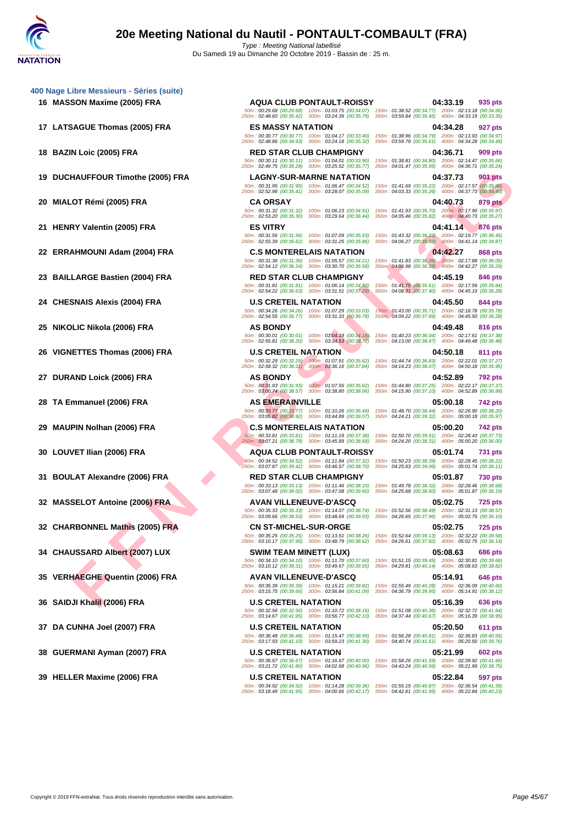**[400 Nage](http://www.ffnatation.fr/webffn/index.php) Libre Messieurs - Séries (suite)**

- 
- 

- 
- 
- 

- 
- 
- 
- 

- 
- 
- 
- 
- 

HAUFFOUR TIMORE (2005) FRA<br>
TAN ISLAM (2005) FRA<br>
CA OR CARSA CA OR CARSA CA OR CARSA CA OR CA OR CA OR CA OR CA OR CA OR CA OR CA OR CA OR CA OR CA OR CA OR CA OR CA OR CA OR CA OR CA OR CA OR CA OR CA OR CA OR CA OR CA **16 MASSON Maxime (2005) FRA AQUA CLUB PONTAULT-ROISSY 04:33.19 935 pts** 50m : 00:29.68 (00:29.68) 100m : 01:03.75 (00:34.07) 150m : 01:38.52 (00:34.77) 200m : 02:13.18 (00:34.66) 250m : 02:48.60 (00:35.42) 300m : 03:24.39 (00:35.79) 350m : 03:59.84 (00:35.45) 400m : 04:33.19 (00:33.35) **17 LATSAGUE Thomas (2005) FRA ES MASSY NATATION 04:34.28 927 pts** 50m : 00:30.77 (00:30.77) 100m : 01:04.17 (00:33.40) 150m : 01:38.96 (00:34.79) 200m : 02:13.93 (00:34.97) 250m : 02:48.86 (00:34.93) 300m : 03:24.18 (00:35.32) 350m : 03:59.79 (00:35.61) 400m : 04:34.28 (00:34.49) **18 BAZIN Loic (2005) FRA RED STAR CLUB CHAMPIGNY 04:36.71 909 pts** 50m : 00:30.11 (00:30.11) 100m : 01:04.01 (00:33.90) 150m : 01:38.81 (00:34.80) 200m : 02:14.47 (00:35.66) 250m : 02:49.75 (00:35.28) 300m : 03:25.52 (00:35.77) 350m : 04:01.47 (00:35.95) 400m : 04:36.71 (00:35.24) **19 DUCHAUFFOUR Timothe (2005) FRA LAGNY-SUR-MARNE NATATION 04:37.73 901 pts** 250m : 02:52.98 (00:35.41) 300m : 03:28.07 (00:35.09) 350m : 04:03.33 (00:35.26) 400m : 04:37.73 (00:34.40) **20 MIALOT Rémi (2005) FRA CA ORSAY CA ORSAY CA ORSAY 04:40.73 879 pts**<br> **20 04:40.73 00:35.97 09:40.73 00:35.97 200m**: 02:53.20 (00:36.32) 100m : 01:06.23 (00:34.91) 150m : 01:41.93 (00:35.70) **200m** 50m : 00:31.32 (00:31.32) 100m : 01:06.23 (00:34.91) 150m : 01:41.93 (00:35.70) 200m : 02:17.90 (00:35.97) 250m : 02:53.20 (00:35.30) 300m : 03:29.64 (00:36.44) 350m : 04:05.46 (00:35.82) 400m : 04:40.73 (00:35.27) **21 HENRY Valentin (2005) FRA ES VITRY 04:41.14 876 pts** 50m : 00:31.56 (00:31.56) 100m : 01:07.09 (00:35.53) 150m : 01:43.32 (00:36.23) 200m : 02:19.77 (00:36.45) 250m : 02:55.39 (00:35.62) 300m : 03:31.25 (00:35.86) 350m : 04:06.27 (00:35.02) 400m : 04:41.14 (00:34.87) **22 ERRAHMOUNI Adam (2004) FRA C.S MONTERELAIS NATATION 04:42.27 868 pts** 50m : 00:31.36 (00:31.36) 100m : 01:05.57 (00:34.21) 150m : 01:41.83 (00:36.26) 200m : 02:17.88 (00:36.05) 250m : 02:54.12 (00:36.24) 300m : 03:30.70 (00:36.58) 350m : 04:06.98 (00:36.28) 400m : 04:42.27 (00:35.29) **23 BAILLARGE Bastien (2004) FRA RED STAR CLUB CHAMPIGNY 04:45.19 846 pts** 50m : 00:31.81 (00:31.81) 100m : 01:06.14 (00:34.33) 150m : 01:41.75 (00:35.61) 200m : 02:17.59 (00:35.84) **24** CHESNAIS Alexis (2004) FRA<br> **24 CHESNAIS Alexis (2004) FRA U.S CRETEIL NATATION 00:33.03 150m**: 01:43.00 (00:35.71) **200m**: 02:18.78 (00:35.78)<br>
250m: 02:54.55 (00:35.77) **300m**: 03:31.33 (00:36.78) 350m p4:45 50m : 00:34.26 (00:34.26) 100m : 01:07.29 (00:33.03) 150m : 01:43.00 (00:35.71) 200m : 02:18.78 (00:35.78) 250m : 02:54.55 (00:35.77) 300m : 03:31.33 (00:36.78) 350m : 04:09.22 (00:37.89) 400m : 04:45.50 (00:36.28) **25 NIKOLIC Nikola (2006) FRA AS BONDY 04:49.48 816 pts** 50m : 00:30.01 (00:30.01) 100m : 01:04.19 (00:34.18) 150m : 01:40.23 (00:36.04) 200m : 02:17.61 (00:37.38) 250m : 02:55.81 (00:38.20) 300m : 03:34.53 (00:38.72) 350m : 04:13.00 (00:38.47) 400m : 04:49.48 (00:36.48) **26 VIGNETTES Thomas (2006) FRA U.S CRETEIL NATATION 04:50.18 811 pts** 50m : 00:32.29 (00:32.29) 100m : 01:07.91 (00:35.62) 150m : 01:44.74 (00:36.83) 200m : 02:22.01 (00:37.27) 250m : 02:58.32 (00:36.31) 300m : 03:36.16 (00:37.84) 350m : 04:14.23 (00:38.07) 400m : 04:50.18 (00:35.95) **27 DURAND Loick (2006) FRA AS BONDY 04:52.89 792 pts** 50m : 00:31.93 (00:31.93) 100m : 01:07.55 (00:35.62) 150m : 01:44.80 (00:37.25) 200m : 02:22.17 (00:37.37) 250m : 03:00.74 (00:38.57) 300m : 03:38.80 (00:38.06) 350m : 04:15.90 (00:37.10) 400m : 04:52.89 (00:36.99) **28 TA Emmanuel (2006) FRA AS EMERAINVILLE 05:00.18 742 pts** 50m : 00:33.77 (00:33.77) 100m : 01:10.26 (00:36.49) 150m : 01:48.70 (00:38.44) 200m : 02:26.90 (00:38.20) 250m : 03:05.82 (00:38.92) 300m : 03:44.89 (00:39.07) 350m : 04:24.21 (00:39.32) 400m : 05:00.18 (00:35.97) **29 MAUPIN Nolhan (2006) FRA C.S MONTERELAIS NATATION 05:00.20 742 pts** 50m : 00:33.81 (00:33.81) 100m : 01:11.19 (00:37.38) 150m : 01:50.70 (00:39.51) 200m : 02:28.43 (00:37.73) 250m : 03:07.21 (00:38.78) 300m : 03:45.89 (00:38.68) 350m : 04:24.20 (00:38.31) 400m : 05:00.20 (00:36.00) **30 LOUVET Ilian (2006) FRA AQUA CLUB PONTAULT-ROISSY 05:01.74 731 pts** 50m : 00:34.52 (00:34.52) 100m : 01:11.84 (00:37.32) 150m : 01:50.23 (00:38.39) 200m : 02:28.45 (00:38.22) 250m : 03:07.87 (00:39.42) 300m : 03:46.57 (00:38.70) 350m : 04:25.63 (00:39.06) 400m : 05:01.74 (00:36.11) **31 BOULAT Alexandre (2006) FRA RED STAR CLUB CHAMPIGNY 05:01.87 730 pts** 50m : 00:33.13 (00:33.13) 100m : 01:11.46 (00:38.33) 150m : 01:49.78 (00:38.32) 200m : 02:28.46 (00:38.68) 250m : 03:07.48 (00:39.02) 300m : 03:47.08 (00:39.60) 350m : 04:25.68 (00:38.60) 400m : 05:01.87 (00:36.19) **32 MASSELOT Antoine (2006) FRA AVAN VILLENEUVE-D'ASCQ 05:02.75 725 pts** 50m : 00:35.33 (00:35.33) 100m : 01:14.07 (00:38.74) 150m : 01:52.56 (00:38.49) 200m : 02:31.13 (00:38.57) 250m : 03:09.66 (00:38.53) 300m : 03:48.69 (00:39.03) 350m : 04:26.65 (00:37.96) 400m : 05:02.75 (00:36.10) **32 CHARBONNEL Mathis (2005) FRA CN ST-MICHEL-SUR-ORGE 05:02.75 725 pts** 50m : 00:35.25 (00:35.25) 100m : 01:13.51 (00:38.26) 150m : 01:52.64 (00:39.13) 200m : 02:32.22 (00:39.58) 250m : 03:10.17 (00:37.95) 300m : 03:48.79 (00:38.62) 350m : 04:26.61 (00:37.82) 400m : 05:02.75 (00:36.14) **34 CHAUSSARD Albert (2007) LUX SWIM TEAM MINETT (LUX) 05:08.63 686 pts** 50m : 00:34.10 (00:34.10) 100m : 01:11.70 (00:37.60) 150m : 01:51.15 (00:39.45) 200m : 02:30.81 (00:39.66) 250m : 03:10.12 (00:39.31) 300m : 03:49.67 (00:39.55) 350m : 04:29.81 (00:40.14) 400m : 05:08.63 (00:38.82) **35 VERHAEGHE Quentin (2006) FRA AVAN VILLENEUVE-D'ASCQ 05:14.91 646 pts** 50m : 00:35.39 (00:35.39) 100m : 01:15.21 (00:39.82) 150m : 01:55.49 (00:40.28) 200m : 02:36.09 (00:40.60) 250m : 03:15.75 (00:39.66) 300m : 03:56.84 (00:41.09) 350m : 04:36.79 (00:39.95) 400m : 05:14.91 (00:38.12) **36 SAIDJI Khalil (2006) FRA U.S CRETEIL NATATION 05:16.39 636 pts** 50m : 00:32.56 (00:32.56) 100m : 01:10.72 (00:38.16) 150m : 01:51.08 (00:40.36) 200m : 02:32.72 (00:41.64) 250m : 03:14.67 (00:41.95) 300m : 03:56.77 (00:42.10) 350m : 04:37.44 (00:40.67) 400m : 05:16.39 (00:38.95) **37 DA CUNHA Joel (2007) FRA U.S CRETEIL NATATION 05:20.50 611 pts** 50m : 00:36.48 (00:36.48) 100m : 01:15.47 (00:38.99) 150m : 01:56.28 (00:40.81) 200m : 02:36.83 (00:40.55) 250m : 03:17.93 (00:41.10) 300m : 03:59.23 (00:41.30) 350m : 04:40.74 (00:41.51) 400m : 05:20.50 (00:39.76) **38 GUERMANI Ayman (2007) FRA U.S CRETEIL NATATION 05:21.99 602 pts** 50m : 00:36.67 (00:36.67) 100m : 01:16.67 (00:40.00) 150m : 01:58.26 (00:41.59) 200m : 02:39.92 (00:41.66) 250m : 03:21.72 (00:41.80) 300m : 04:02.68 (00:40.96) 350m : 04:43.24 (00:40.56) 400m : 05:21.99 (00:38.75) **39 HELLER Maxime (2006) FRA U.S CRETEIL NATATION 05:22.84 597 pts** 50m : 00:34.92 (00:34.92) 100m : 01:14.28 (00:39.36) 150m : 01:55.15 (00:40.87) 200m : 02:36.54 (00:41.39) 250m : 03:18.49 (00:41.95) 300m : 04:00.66 (00:42.17) 350m : 04:42.61 (00:41.95) 400m : 05:22.84 (00:40.23)

50m : 00:31.95 (00:31.95) 100m : 01:06.47 (00:34.52) 150m : 01:41.69 (00:35.22) 200m : 02:17.57 (00:35.88) 250m : 02:54.22 (00:36.63) 300m : 03:31.51 (00:37.29) 350m : 04:08.91 (00:37.40) 400m : 04:45.19 (00:36.28)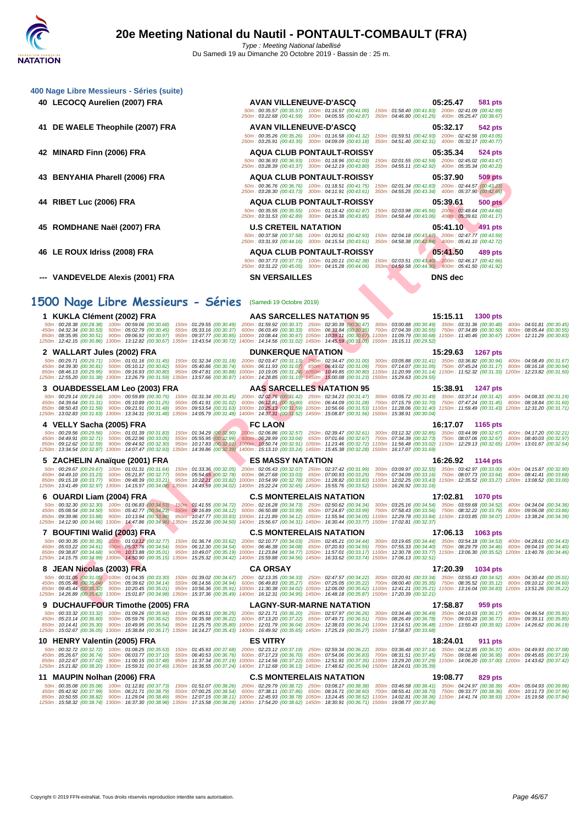| 400 Nage Libre Messieurs - Séries (suite)                                                                                                                                                                                                                                                                                                                                                                                                                                                                                                                                                                                                                                                                                                                                                                                                      |                                                                                                                                                                |                                                                                                                                                                                                                                                                                                                                                                                                                                                                                                      |                           |
|------------------------------------------------------------------------------------------------------------------------------------------------------------------------------------------------------------------------------------------------------------------------------------------------------------------------------------------------------------------------------------------------------------------------------------------------------------------------------------------------------------------------------------------------------------------------------------------------------------------------------------------------------------------------------------------------------------------------------------------------------------------------------------------------------------------------------------------------|----------------------------------------------------------------------------------------------------------------------------------------------------------------|------------------------------------------------------------------------------------------------------------------------------------------------------------------------------------------------------------------------------------------------------------------------------------------------------------------------------------------------------------------------------------------------------------------------------------------------------------------------------------------------------|---------------------------|
| 40 LECOCQ Aurelien (2007) FRA                                                                                                                                                                                                                                                                                                                                                                                                                                                                                                                                                                                                                                                                                                                                                                                                                  | <b>AVAN VILLENEUVE-D'ASCQ</b><br>250m: 03:22.68 (00:41.59) 300m: 04:05.55 (00:42.87) 350m: 04:46.80 (00:41.25) 400m: 05:25.47 (00:38.67)                       | 05:25.47<br>581 pts<br>50m: 00:35.57 (00:35.57) 100m: 01:16.57 (00:41.00) 150m: 01:58.40 (00:41.83) 200m: 02:41.09 (00:42.69)                                                                                                                                                                                                                                                                                                                                                                        |                           |
| 41 DE WAELE Theophile (2007) FRA                                                                                                                                                                                                                                                                                                                                                                                                                                                                                                                                                                                                                                                                                                                                                                                                               | <b>AVAN VILLENEUVE-D'ASCQ</b><br>250m: 03:25.91 (00:43.35) 300m: 04:09.09 (00:43.18) 350m: 04:51.40 (00:42.31) 400m: 05:32.17 (00:40.77)                       | 05:32.17<br>542 pts<br>50m: 00:35.26 (00:35.26) 100m: 01:16.58 (00:41.32) 150m: 01:59.51 (00:42.93) 200m: 02:42.56 (00:43.05)                                                                                                                                                                                                                                                                                                                                                                        |                           |
| 42 MINARD Finn (2006) FRA                                                                                                                                                                                                                                                                                                                                                                                                                                                                                                                                                                                                                                                                                                                                                                                                                      | <b>AQUA CLUB PONTAULT-ROISSY</b><br>250m: 03:28.39 (00:43.37) 300m: 04:12.19 (00:43.80) 350m: 04:55.11 (00:42.92) 400m: 05:35.34 (00:40.23)                    | 05:35.34<br>524 pts<br>50m: 00:36.93 (00:36.93) 100m: 01:18.96 (00:42.03) 150m: 02:01.55 (00:42.59) 200m: 02:45.02 (00:43.47)                                                                                                                                                                                                                                                                                                                                                                        |                           |
| 43 BENYAHIA Pharell (2006) FRA                                                                                                                                                                                                                                                                                                                                                                                                                                                                                                                                                                                                                                                                                                                                                                                                                 | <b>AQUA CLUB PONTAULT-ROISSY</b><br>250m: 03:28.30 (00:43.73) 300m: 04:11.91 (00:43.61) 350m: 04:55.25 (00:43.34) 400m: 05:37.90 (00:42.65)                    | 05:37.90<br>509 pts<br>50m: 00:36.76 (00:36.76) 100m: 01:18.51 (00:41.75) 150m: 02:01.34 (00:42.83) 200m: 02:44.57 (00:43.23)                                                                                                                                                                                                                                                                                                                                                                        |                           |
| 44 RIBET Luc (2006) FRA                                                                                                                                                                                                                                                                                                                                                                                                                                                                                                                                                                                                                                                                                                                                                                                                                        | <b>AQUA CLUB PONTAULT-ROISSY</b><br>250m: 03:31.53 (00:42.89) 300m: 04:15.38 (00:43.85) 350m: 04:58.44 (00:43.06) 400m: 05:39.61 (00:41.17)                    | 05:39.61<br>500 pts<br>50m: 00:35.55 (00:35.55) 100m: 01:18.42 (00:42.87) 150m: 02:03.98 (00:45.56) 200m: 02:48.64 (00:44.66)                                                                                                                                                                                                                                                                                                                                                                        |                           |
| 45 ROMDHANE Naël (2007) FRA                                                                                                                                                                                                                                                                                                                                                                                                                                                                                                                                                                                                                                                                                                                                                                                                                    | <b>U.S CRETEIL NATATION</b><br>250m: 03:31.93 (00:44.16) 300m: 04:15.54 (00:43.61) 350m: 04:58.38 (00:42.84) 400m: 05:41.10 (00:42.72)                         | 05:41.10<br>491 pts<br>50m: 00:37.58 (00:37.58) 100m: 01:20.51 (00:42.93) 150m: 02:04.18 (00:43.67) 200m: 02:47.77 (00:43.59)                                                                                                                                                                                                                                                                                                                                                                        |                           |
| 46 LE ROUX Idriss (2008) FRA                                                                                                                                                                                                                                                                                                                                                                                                                                                                                                                                                                                                                                                                                                                                                                                                                   | <b>AQUA CLUB PONTAULT-ROISSY</b><br>250m: 03:31.22 (00:45.05) 300m: 04:15.28 (00:44.06) 350m: 04:59.58 (00:44.30) 400m: 05:41.50 (00:41.92)                    | 05:41.50<br>489 pts<br>50m: 00:37.73 (00:37.73) 100m: 01:20.11 (00:42.38) 150m; 02:03.51 (00:43.40) 200m: 02:46.17 (00:42.66)                                                                                                                                                                                                                                                                                                                                                                        |                           |
| --- VANDEVELDE Alexis (2001) FRA                                                                                                                                                                                                                                                                                                                                                                                                                                                                                                                                                                                                                                                                                                                                                                                                               | <b>SN VERSAILLES</b>                                                                                                                                           | <b>DNS</b> dec                                                                                                                                                                                                                                                                                                                                                                                                                                                                                       |                           |
|                                                                                                                                                                                                                                                                                                                                                                                                                                                                                                                                                                                                                                                                                                                                                                                                                                                |                                                                                                                                                                |                                                                                                                                                                                                                                                                                                                                                                                                                                                                                                      |                           |
| 1500 Nage Libre Messieurs - Séries (Samedi 19 Octobre 2019)                                                                                                                                                                                                                                                                                                                                                                                                                                                                                                                                                                                                                                                                                                                                                                                    |                                                                                                                                                                |                                                                                                                                                                                                                                                                                                                                                                                                                                                                                                      |                           |
| 1 KUKLA Clément (2002) FRA                                                                                                                                                                                                                                                                                                                                                                                                                                                                                                                                                                                                                                                                                                                                                                                                                     | AAS SARCELLES NATATION 95                                                                                                                                      | 15:15.11<br><b>1300 pts</b>                                                                                                                                                                                                                                                                                                                                                                                                                                                                          |                           |
| 50m: 00:28.38 (00:28.38) 100m: 00:59.06 (00:30.68) 150m: 01:29.55 (00:30.49) 200m: 01:59.92 (00:30.37) 250m: 02:30.39 (00:30.47) 300m: 03:00.88 (00:30.49) 350m: 03:31.36 (00:30.48) 400m: 04:01.81 (00:30.45)<br>450m: 04:32.34 (00:30.53) 500m: 05:02.79 (00:30.45)<br>850m: 08:35.95 (00:30.51) 900m: 09:06.92 (00:30.97)<br>1250m : 12:42.15 (00:30.86) 1300m : 13:12.82 (00:30.67) 1350m : 13:43.54 (00:30.72) 1400m : 14:14.56 (00:31.02) 1450m : 14:45.59 (00:31.03) 1500m : 15:15.11 (00:29.52)                                                                                                                                                                                                                                                                                                                                        | 550m: 05:33.16 (00:30.37) 600m: 06:03.49 (00:30.33) 650m: 06:33.84 (00:30.35)                                                                                  | 700m: 07:04.39 (00:30.55) 750m: 07:34.89 (00:30.50) 800m: 08:05.44 (00:30.55)<br>950m: 09:37.77 (00:30.85) 1000m: 10:08.44 (00:30.67) 1050m: 10:39.11 (00:30.67) 1100m: 11:09.79 (00:30.68) 1150m: 11:40.46 (00:30.67) 1200m: 12:11.29 (00:30.83)                                                                                                                                                                                                                                                    |                           |
| 2 WALLART Jules (2002) FRA                                                                                                                                                                                                                                                                                                                                                                                                                                                                                                                                                                                                                                                                                                                                                                                                                     | <b>DUNKERQUE NATATION</b>                                                                                                                                      | 15:29.63<br><b>1267 pts</b>                                                                                                                                                                                                                                                                                                                                                                                                                                                                          |                           |
| 50m: 00:29.71 (00:29.71) 100m: 01:01.16 (00:31.45)<br>450m: 04:39.30 (00:30.81) 500m: 05:10.12 (00:30.82)<br>850m: 08:46.13 (00:29.95) 900m: 09:16.93 (00:30.80)<br>1250m: 12:55.20 (00:31.38) 1300m: 13:26.79 (00:31.59) 1350m: 13:57.66 (00:30.87) 1400m: 14:28.85 (00:31.19) 1450m: 15:00.08 (00:31.23) 1500m: 15:29.63 (00:29.55)                                                                                                                                                                                                                                                                                                                                                                                                                                                                                                          | 150m: 01:32.34 (00:31.18) 200m: 02:03.47 (00:31.13) 250m: 02:34.47 (00:31.00)<br>550m: 05:40.86 (00:30.74) 600m: 06:11.93 (00:31.07) 650m: 06:43.02 (00:31.09) | 300m: 03:05.88 (00:31.41) 350m: 03:36.82 (00:30.94) 400m: 04:08.49 (00:31.67)<br>700m: 07:14.07 (00:31.05) 750m: 07:45.24 (00:31.17) 800m: 08:16.18 (00:30.94)<br>950m: 09:47.81 (00:30.88) 1000m: 10:19.05 (00:31.24) 1050m: 10:49.85 (00:30.80) 1100m: 11:20.99 (00:31.14) 1150m: 11:52.32 (00:31.33) 1200m: 12:23.82 (00:31.50)                                                                                                                                                                   |                           |
| 3 OUABDESSELAM Leo (2003) FRA                                                                                                                                                                                                                                                                                                                                                                                                                                                                                                                                                                                                                                                                                                                                                                                                                  | AAS SARCELLES NATATION 95                                                                                                                                      | 15:38.91<br><b>1247 pts</b>                                                                                                                                                                                                                                                                                                                                                                                                                                                                          |                           |
| 50m: 00:29.14 (00:29.14) 100m: 00:59.89 (00:30.75)<br>450m: 04:39.64 (00:31.31) 500m: 05:10.89 (00:31.25)<br>850m: 08:50.43 (00:31.59) 900m: 09:21.91 (00:31.48)<br>1250m: 13:02.83 (00:31.63) 1300m: 13:34.31 (00:31.48) 1350m: 14:05.79 (00:31.48) 1400m: 14:37.31 (00:31.52) 1450m: 15:08.87 (00:31.56) 1500m: 15:08.91 (00:31.63)                                                                                                                                                                                                                                                                                                                                                                                                                                                                                                          | 550m: 05:41.91 (00:31.02) 600m: 06:12.81 (00:30.90) 650m: 06:44.09 (00:31.28)                                                                                  | 150m: 01:31.34 (00:31.45) 200m: 02:02.76 (00:31.42) 250m: 02:34.23 (00:31.47) 300m: 03:05.72 (00:31.49) 350m: 03:37.14 (00:31.42) 400m: 04:08.33 (00:31.19)<br>700m: 07:15.79 (00:31.70) 750m: 07:47.24 (00:31.45) 800m: 08:18.84 (00:31.60)<br>950m: 09:53.54 (00:31.63) 1000m: 10:25.13 (00:31.59) 1050m: 10:56.66 (00:31.53) 1100m: 11:28.06 (00:31.40) 1150m: 11:59.49 (00:31.43) 1200m: 12:31.20 (00:31.71)                                                                                     |                           |
| 4 VELLY Sacha (2005) FRA                                                                                                                                                                                                                                                                                                                                                                                                                                                                                                                                                                                                                                                                                                                                                                                                                       | <b>FC LAON</b>                                                                                                                                                 | 16:17.07 1165 pts                                                                                                                                                                                                                                                                                                                                                                                                                                                                                    |                           |
| 50m: 00:29.56 (00:29.56) 100m: 01:01.39 (00:31.83)<br>450m: 04:49.91 (00:32.71) 500m: 05:22.96 (00:33.05)<br>850m: 09:12.62 (00:32.59) 900m: 09:44.92 (00:32.30)<br>1250m: 13:34.54 (00:32.87) 1300m: 14:07.47 (00:32.93) 1350m: 14:39.86 (00:32.39) 1400m: 15:13.10 (00:33.24) 1450m: 15:45.38 (00:32.28) 1500m: 16:17.07 (00:31.69)                                                                                                                                                                                                                                                                                                                                                                                                                                                                                                          |                                                                                                                                                                | 150m: 01:34.29 (00:32.90) 200m: 02:06.86 (00:32.57) 250m: 02:39.47 (00:32.61) 300m: 03:12.32 (00:32.85) 350m: 03:44.99 (00:32.67) 400m: 04:17.20 (00:32.21)<br>550m : 05:55.95 (00:32.99) 600m : 06:28.99 (00:33.04) 650m : 07:01.66 (00:32.67) 700m : 07:34.39 (00:32.73) 750m : 08:07.06 (00:32.67) 800m : 08:40.03 (00:32.97)<br>950m: 10:17.83 (00:32.91) 1000m: 10:50.74 (00:32.91) 1050m: 11:23.46 (00:32.72) 1100m: 11:56.48 (00:33.02) 1150m: 12:29.13 (00:32.65) 1200m: 13:01.67 (00:32.54) |                           |
| 5 ZACHELIN Anaïque (2001) FRA                                                                                                                                                                                                                                                                                                                                                                                                                                                                                                                                                                                                                                                                                                                                                                                                                  | <b>ES MASSY NATATION</b>                                                                                                                                       | 16:26.92<br>1144 pts                                                                                                                                                                                                                                                                                                                                                                                                                                                                                 |                           |
| 50m: 00:29.67 (00:29.67) 100m: 01:01.31 (00:31.64) 150m: 01:33.36 (00:32.05) 200m: 02:05.43 (00:32.07) 250m: 02:37.42 (00:31.99) 300m: 03:09.97 (00:32.55) 350m: 03:42.97 (00:32.90) 400m: 04:15.87 (00:32.90)<br>450m: 04:49.10 (00:33.23) 500m: 05:21.87 (00:32.77)<br>850m: 09:15.18 (00:33.77) 900m: 09:48.39 (00:33.21) 950m: 10:22.21 (00:33.82) 1000m: 10:54.99 (00:32.78) 1050m: 11:28.82 (00:33.83) 1100m: 12:02.25 (00:33.43) 1150m: 12:35.52 (00:33.27) 1200m: 13:08.52 (00:33.00)<br>1250m: 13:41.49 (00:32.97) 1300m: 14:15.57 (00:34.08) 1350m: 14:49.59 (00:34.02) 1400m: 15:22.24 (00:32.65) 1450m: 15:55.76 (00:33.52) 1500m: 16:26.92 (00:31.16)                                                                                                                                                                             |                                                                                                                                                                | 550m: 05:54.65 (00:32.78) 600m: 06:27.68 (00:33.03) 650m: 07:00.93 (00:33.25) 700m: 07:34.09 (00:33.16) 750m: 08:07.73 (00:33.64) 800m: 08:41.41 (00:33.68)                                                                                                                                                                                                                                                                                                                                          |                           |
| 6 OUARDI Liam (2004) FRA                                                                                                                                                                                                                                                                                                                                                                                                                                                                                                                                                                                                                                                                                                                                                                                                                       | <b>C.S MONTERELAIS NATATION</b>                                                                                                                                | 17:02.81<br><b>1070 pts</b>                                                                                                                                                                                                                                                                                                                                                                                                                                                                          |                           |
| 50m: 00:32.30 (00:32.30) 100m: 01:06.83 (00:34.53) 150m: 01:41.55 (00:34.72) 200m: 02:16.28 (00:34.73) 250m: 02:50.62 (00:34.34) 300m: 03:25.16 (00:34.54) 350m: 03:59.68 (00:34.52) 400m: 04:34.04 (00:34.36)<br>450m : 05:08.54 (00:34.50) 500m : 05:42.77 (00:34.23) 550m : 06:16.89 (00:34.12) 600m : 06:50.88 (00:33.99) 650m : 07:24.87 (00:33.99) 700m : 07:58.43 (00:33.56) 750m : 08:32.22 (00:33.79) 800m : 09:06.08 (00:33.86)<br>850m : 09:39.96 (00:33.88) 900m : 10:13.94 (00:33.98) 950m : 10:47.77 (00:33.83) 1000m : 11:21.89 (00:34.12) 1050m : 11:55.94 (00:34.05) 1100m : 12:29.78 (00:33.84) 1150m : 13:03.85 (00:34.07) 1200m : 13:38.24 (00:34.39)<br>1250m: 14:12.90 (00:34.66) 1300m: 14:47.86 (00:34.96) 1350m: 15:22.36 (00:34.50) 1400m: 15:56.67 (00:34.31) 1450m: 16:30.44 (00:33.77) 1500m: 17:02.81 (00:32.37) |                                                                                                                                                                |                                                                                                                                                                                                                                                                                                                                                                                                                                                                                                      |                           |
| 7 BOUFTINI Walid (2003) FRA                                                                                                                                                                                                                                                                                                                                                                                                                                                                                                                                                                                                                                                                                                                                                                                                                    | <b>C.S MONTERELAIS NATATION</b>                                                                                                                                | 17:06.13 1063 pts                                                                                                                                                                                                                                                                                                                                                                                                                                                                                    |                           |
| 50m: 00:30.35 (00:30.35) 100m: 01:03.12 (00:32.77) 150m: 01:36.74 (00:33.62) 200m: 02:10.77 (00:34.03) 250m: 02:45.21 (00:34.44) 300m: 03:19.65 (00:34.44) 350m: 03:54.18 (00:34.53)<br>450m: 05:03.22 (00:34.61) 500m: 05:37.76 (00:34.54) 550m: 06:12.30 (00:34.54) 600m: 06:46.38 (00:34.08) 650m: 07:20.93 (00:34.55) 700m: 07:55.33 (00:34.40) 750m: 08:29.79 (00:34.46) 800m: 09:04.19 (00:34.40)<br>850m: 09:38.87 (00:34.68) 900m: 10:13.88 (00:35.01) 950m: 10:49.07 (00:35.19) 1000m: 11:23.84 (00:34.77) 1050m: 11:57.01 (00:33.17) 1100m: 12:30.78 (00:33.77) 1150m: 13:06.30 (00:35.52) 1200m: 13:40.76 (00:34.46)<br>1250m: 14:15.75 (00:34.99) 1300m: 14:50.90 (00:35.15) 1350m: 15:25.32 (00:34.42) 1400m: 15:59.88 (00:34.56) 1450m: 16:33.62 (00:33.74) 1500m: 17:06.13 (00:32.51)                                           |                                                                                                                                                                |                                                                                                                                                                                                                                                                                                                                                                                                                                                                                                      | 400m: 04:28.61 (00:34.43) |
| 8 JEAN Nicolas (2003) FRA                                                                                                                                                                                                                                                                                                                                                                                                                                                                                                                                                                                                                                                                                                                                                                                                                      | <b>CA ORSAY</b>                                                                                                                                                | 17:20.39<br>1034 pts                                                                                                                                                                                                                                                                                                                                                                                                                                                                                 |                           |
| 50m: 00:31.05 (00:31.05) 100m: 01:04.35 (00:33.30) 150m: 01:39.02 (00:34.67) 200m: 02:13.35 (00:34.33) 250m: 02:47.57 (00:34.22) 300m: 03:20.91 (00:33.34) 350m: 03:55.43 (00:34.52) 400m: 04:30.44 (00:35.01)<br>450m: 05:05.48 (00:35.04) 500m: 05:39.62 (00:34.14)<br>850m: 09:45.44 (00:35.32) 900m: 10:20.45 (00:35.01) 950m: 10:56.36 (00:35.91) 1000m: 11:30.38 (00:34.02) 1050m: 12:06.00 (00:35.62) 1100m: 12:41.21 (00:35.21) 1150m: 13:16.04 (00:34.83) 1200m: 13:51.26 (00:35.22)<br>1250m: 14:26.89 (00:35.63) 1300m: 15:01.87 (00:34.98) 1350m: 15:37.36 (00:35.49) 1400m: 16:12.31 (00:34.95) 1450m: 16:48.18 (00:35.87) 1500m: 17:20.39 (00:32.21)                                                                                                                                                                             | 550m: 06:14.56 (00:34.94) 600m: 06:49.83 (00:35.27) 650m: 07:25.05 (00:35.22)                                                                                  | 700m: 08:00.40 (00:35.35) 750m: 08:35.52 (00:35.12)                                                                                                                                                                                                                                                                                                                                                                                                                                                  | 800m: 09:10.12 (00:34.60) |
| 9 DUCHAUFFOUR Timothe (2005) FRA                                                                                                                                                                                                                                                                                                                                                                                                                                                                                                                                                                                                                                                                                                                                                                                                               | <b>LAGNY-SUR-MARNE NATATION</b>                                                                                                                                | 17:58.87<br>959 pts                                                                                                                                                                                                                                                                                                                                                                                                                                                                                  |                           |
| 50m: 00:33.32 (00:33.32) 100m: 01:09.26 (00:35.94)<br>450m: 05:23.14 (00:36.60)<br>500m: 05:59.76 (00:36.62)<br>850m: 10:14.41 (00:35.30) 900m: 10:49.95 (00:35.54)<br>1250m: 15:02.67 (00:36.05) 1300m: 15:38.84 (00:36.17) 1350m: 16:14.27 (00:35.43) 1400m: 16:49.92 (00:35.65) 1450m: 17:25.19 (00:35.27) 1500m: 17:58.87 (00:33.68)                                                                                                                                                                                                                                                                                                                                                                                                                                                                                                       | 150m: 01:45.51 (00:36.25) 200m: 02:21.71 (00:36.20) 250m: 02:57.97 (00:36.26)<br>550m: 06:35.98 (00:36.22) 600m: 07:13.20 (00:37.22) 650m: 07:49.71 (00:36.51) | 300m: 03:34.46 (00:36.49) 350m: 04:10.63 (00:36.17) 400m: 04:46.54 (00:35.91<br>700m: 08:26.49 (00:36.78) 750m: 09:03.26 (00:36.77) 800m: 09:39.11 (00:35.85)<br>950m: 11:25.75 (00:35.80) 1000m: 12:01.79 (00:36.04) 1050m: 12:38.03 (00:36.24) 1100m: 13:14.51 (00:36.48) 1150m: 13:50.43 (00:35.92) 1200m: 14:26.62 (00:36.19)                                                                                                                                                                    |                           |
| 10 HENRY Valentin (2005) FRA                                                                                                                                                                                                                                                                                                                                                                                                                                                                                                                                                                                                                                                                                                                                                                                                                   | <b>ES VITRY</b>                                                                                                                                                | 18:24.01<br>911 pts                                                                                                                                                                                                                                                                                                                                                                                                                                                                                  |                           |
| 50m: 00:32.72 (00:32.72) 100m: 01:08.25 (00:35.53) 150m: 01:45.93 (00:37.68) 200m: 02:23.12 (00:37.19) 250m: 02:59.34 (00:36.22) 300m: 03:36.48 (00:37.14) 350m: 04:12.85 (00:36.37) 400m: 04:49.93 (00:37.08)<br>450m: 05:26.67 (00:36.74) 500m: 06:03.77 (00:37.10)<br>850m: 10:22.67 (00:37.02) 900m: 11:00.15 (00:37.48)<br>1250m: 15:21.82 (00:38.20) 1300m: 15:59.31 (00:37.49) 1350m: 16:36.55 (00:37.24) 1400m: 17:12.68 (00:36.13) 1450m: 17:48.62 (00:35.94) 1500m: 18:24.01 (00:35.39)                                                                                                                                                                                                                                                                                                                                              | 550m: 06:40.53 (00:36.76) 600m: 07:17.23 (00:36.70) 650m: 07:54.06 (00:36.83)                                                                                  | 700m: 08:31.51 (00:37.45) 750m: 09:08.46 (00:36.95) 800m: 09:45.65 (00:37.19)<br>950m: 11:37.34 (00:37.19) 1000m: 12:14.56 (00:37.22) 1050m: 12:51.91 (00:37.35) 1100m: 13:29.20 (00:37.29) 1150m: 14:06.20 (00:37.00) 1200m: 14:43.62 (00:37.42)                                                                                                                                                                                                                                                    |                           |
| 11 MAUPIN Nolhan (2006) FRA                                                                                                                                                                                                                                                                                                                                                                                                                                                                                                                                                                                                                                                                                                                                                                                                                    | <b>C.S MONTERELAIS NATATION</b>                                                                                                                                | 19:08.77<br>829 pts                                                                                                                                                                                                                                                                                                                                                                                                                                                                                  |                           |
| 50m: 00:35.08 (00:35.08) 100m: 01:12.81 (00:37.73)<br>450m: 05:42.92 (00:37.99) 500m: 06:21.71 (00:38.79)<br>850m: 10:50.55 (00:38.82) 900m: 11:29.04 (00:38.49)<br>1250m: 15:58.32 (00:38.74) 1300m: 16:37.30 (00:38.98) 1350m: 17:15.58 (00:38.28) 1400m: 17:54.20 (00:38.62) 1450m: 18:30.91 (00:36.71) 1500m: 19:08.77 (00:37.86)                                                                                                                                                                                                                                                                                                                                                                                                                                                                                                          | 150m: 01:51.07 (00:38.26) 200m: 02:29.79 (00:38.72) 250m: 03:08.17 (00:38.38)<br>550m: 07:00.25 (00:38.54) 600m: 07:38.11 (00:37.86) 650m: 08:16.71 (00:38.60) | 300m: 03:46.58 (00:38.41) 350m: 04:24.97 (00:38.39)<br>700m: 08:55.41 (00:38.70) 750m: 09:33.77 (00:38.36) 800m: 10:11.73 (00:37.96)<br>950m: 12:07.15 (00:38.11) 1000m: 12:45.93 (00:38.78) 1050m: 13:24.45 (00:38.52) 1100m: 14:02.81 (00:38.36) 1150m: 14:41.74 (00:38.93) 1200m: 15:19.58 (00:37.84)                                                                                                                                                                                             | 400m: 05:04.93 (00:39.96) |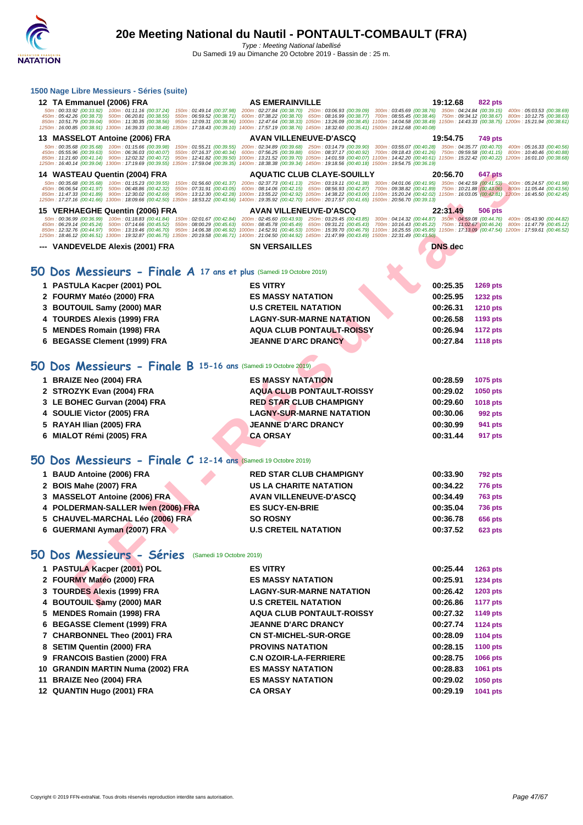#### **[1500 Nag](http://www.ffnatation.fr/webffn/index.php)e Libre Messieurs - Séries (suite)**

| 12 TA Emmanuel (2006) FRA<br>50m: 00:33.92 (00:33.92) 100m: 01:11.16 (00:37.24)<br>150m: 01:49.14 (00:37.98)<br>450m: 05:42.26 (00:38.73) 500m: 06:20.81 (00:38.55)<br>550m: 06:59.52 (00:38.71)<br>850m: 10:51.79 (00:39.04) 900m: 11:30.35 (00:38.56)<br>950m: 12:09.31 (00:38.96)<br>1250m: 16:00.85 (00:38.91) 1300m: 16:39.33 (00:38.48)<br>1350m: 17:18.43 (00:39.10)                                                                                                   | <b>AS EMERAINVILLE</b><br>200m: 02:27.84 (00:38.70) 250m: 03:06.93 (00:39.09)<br>600m: 07:38.22 (00:38.70) 650m: 08:16.99 (00:38.77)<br>1400m: 17:57.19 (00:38.76) 1450m: 18:32.60 (00:35.41) 1500m: 19:12.68 (00:40.08)                                   | 19:12.68<br>822 pts<br>300m: 03:45.69 (00:38.76) 350m: 04:24.84 (00:39.15)<br>400m: 05:03.53 (00:38.69)<br>700m: 08:55.45 (00:38.46) 750m: 09:34.12 (00:38.67)<br>800m: 10:12.75 (00:38.63)<br>1000m: 12:47.64 (00:38.33) 1050m: 13:26.09 (00:38.45) 1100m: 14:04.58 (00:38.49) 1150m: 14:43.33 (00:38.75) 1200m: 15:21.94 (00:38.61) |  |
|-------------------------------------------------------------------------------------------------------------------------------------------------------------------------------------------------------------------------------------------------------------------------------------------------------------------------------------------------------------------------------------------------------------------------------------------------------------------------------|------------------------------------------------------------------------------------------------------------------------------------------------------------------------------------------------------------------------------------------------------------|---------------------------------------------------------------------------------------------------------------------------------------------------------------------------------------------------------------------------------------------------------------------------------------------------------------------------------------|--|
| 13 MASSELOT Antoine (2006) FRA                                                                                                                                                                                                                                                                                                                                                                                                                                                | <b>AVAN VILLENEUVE-D'ASCQ</b>                                                                                                                                                                                                                              | 19:54.75<br><b>749 pts</b>                                                                                                                                                                                                                                                                                                            |  |
| 50m: 00:35.68 (00:35.68) 100m: 01:15.66 (00:39.98)<br>150m: 01:55.21 (00:39.55)<br>500m: 06:36.03 (00:40.07)<br>450m: 05:55.96 (00:39.63)<br>550m: 07:16.37 (00:40.34)<br>850m: 11:21.60 (00:41.14) 900m: 12:02.32 (00:40.72)<br>950m: 12:41.82 (00:39.50)<br>1250m: 16:40.14 (00:39.04) 1300m: 17:19.69 (00:39.55)<br>1350m: 17:59.04 (00:39.35)                                                                                                                             | 200m: 02:34.89 (00:39.68) 250m: 03:14.79 (00:39.90)<br>600m: 07:56.25 (00:39.88)<br>650m: 08:37.17 (00:40.92)<br>1000m: 13:21.52 (00:39.70) 1050m: 14:01.59 (00:40.07)<br>1400m: 18:38.38 (00:39.34) 1450m: 19:18.56 (00:40.18) 1500m: 19:54.75 (00:36.19) | 300m: 03:55.07 (00:40.28) 350m: 04:35.77 (00:40.70)<br>400m: 05:16.33 (00:40.56)<br>750m: 09:59.58 (00:41.15)<br>700m: 09:18.43 (00:41.26)<br>800m: 10:40.46 (00:40.88)<br>1100m: 14:42.20 (00:40.61) 1150m: 15:22.42 (00:40.22) 1200m: 16:01.10 (00:38.68)                                                                           |  |
| 14 WASTEAU Quentin (2004) FRA                                                                                                                                                                                                                                                                                                                                                                                                                                                 | <b>AQUATIC CLUB CLAYE-SOUILLY</b>                                                                                                                                                                                                                          | 20:56.70<br>647 pts                                                                                                                                                                                                                                                                                                                   |  |
| 50m: 00:35.68 (00:35.68) 100m: 01:15.23 (00:39.55)<br>150m: 01:56.60 (00:41.37)<br>450m : 06:06.54 (00:41.97)<br>500m: 06:48.86 (00:42.32)<br>550m: 07:31.91 (00:43.05)<br>850m: 11:47.33 (00:41.89)<br>900m: 12:30.02 (00:42.69)<br>950m: 13:12.30 (00:42.28)<br>1250m: 17:27.16 (00:41.66) 1300m: 18:09.66 (00:42.50)                                                                                                                                                       | 200m: 02:37.73 (00:41.13) 250m: 03:19.11 (00:41.38)<br>600m: 08:14.06 (00:42.15) 650m: 08:56.93 (00:42.87)<br>1350m: 18:53.22 (00:43.56) 1400m: 19:35.92 (00:42.70) 1450m: 20:17.57 (00:41.65) 1500m: 20:56.70 (00:39.13)                                  | 300m: 04:01.06 (00:41.95) 350m: 04:42.59 (00:41.53)<br>400m: 05:24.57 (00:41.98)<br>750m: 10:21.88 (00:43.06) 800m: 11:05.44 (00:43.56)<br>700m: 09:38.82 (00:41.89)<br>1000m: 13:55.22 (00:42.92) 1050m: 14:38.22 (00:43.00) 1100m: 15:20.24 (00:42.02) 1150m: 16:03.05 (00:42.81) 1200m: 16:45.50 (00:42.45)                        |  |
| 15 VERHAEGHE Quentin (2006) FRA                                                                                                                                                                                                                                                                                                                                                                                                                                               | <b>AVAN VILLENEUVE-D'ASCQ</b>                                                                                                                                                                                                                              | 22:31.49<br><b>506 pts</b>                                                                                                                                                                                                                                                                                                            |  |
| 50m: 00:36.99 (00:36.99) 100m: 01:18.83 (00:41.84) 150m: 02:01.67 (00:42.84) 200m: 02:45.60 (00:43.93) 250m: 03:29.45 (00:43.85)<br>450m: 06:29.14 (00:45.24) 500m: 07:14.66 (00:45.52)<br>550m: 08:00.29 (00:45.63)<br>850m: 12:32.76 (00:44.97) 900m: 13:19.46 (00:46.70)<br>950m: 14:06.38 (00:46.92)<br>1250m: 18:46.12 (00:46.51) 1300m: 19:32.87 (00:46.75) 1350m: 20:19.58 (00:46.71) 1400m: 21:04.50 (00:44.92) 1450m: 21:47.99 (00:43.49) 1500m: 22:31.49 (00:43.50) | 600m: 08:45.78 (00:45.49) 650m: 09:31.21 (00:45.43)                                                                                                                                                                                                        | 300m : 04:14.32 (00:44.87) 350m : 04:59.08 (00:44.76) 400m : 05:43.90 (00:44.82)<br>700m : 10:16.43 (00:45.22) 750m : 11:02.67 (00:46.24) 800m : 11:47.79 (00:45.12)<br>1000m: 14:52.91 (00:46.53) 1050m: 15:39.70 (00:46.79) 1100m: 16:25.55 (00:45.85) 1150m: 17:13.09 (00:47.54) 1200m: 17:59.61 (00:46.52)                        |  |
| --- VANDEVELDE Alexis (2001) FRA                                                                                                                                                                                                                                                                                                                                                                                                                                              | <b>SN VERSAILLES</b>                                                                                                                                                                                                                                       | DNS dec                                                                                                                                                                                                                                                                                                                               |  |
|                                                                                                                                                                                                                                                                                                                                                                                                                                                                               |                                                                                                                                                                                                                                                            |                                                                                                                                                                                                                                                                                                                                       |  |
| 50 Dos Messieurs - Finale $A$ 17 ans et plus (Samedi 19 Octobre 2019)                                                                                                                                                                                                                                                                                                                                                                                                         |                                                                                                                                                                                                                                                            |                                                                                                                                                                                                                                                                                                                                       |  |
| 1 PASTULA Kacper (2001) POL                                                                                                                                                                                                                                                                                                                                                                                                                                                   | <b>ES VITRY</b>                                                                                                                                                                                                                                            | 00:25.35<br><b>1269 pts</b>                                                                                                                                                                                                                                                                                                           |  |
| 2 FOURMY Matéo (2000) FRA                                                                                                                                                                                                                                                                                                                                                                                                                                                     | <b>ES MASSY NATATION</b>                                                                                                                                                                                                                                   | 00:25.95<br><b>1232 pts</b>                                                                                                                                                                                                                                                                                                           |  |
| 3 BOUTOUIL Samy (2000) MAR                                                                                                                                                                                                                                                                                                                                                                                                                                                    | <b>U.S CRETEIL NATATION</b>                                                                                                                                                                                                                                | 00:26.31<br><b>1210 pts</b>                                                                                                                                                                                                                                                                                                           |  |
| <b>TOURDES Alexis (1999) FRA</b><br>4                                                                                                                                                                                                                                                                                                                                                                                                                                         | <b>LAGNY-SUR-MARNE NATATION</b>                                                                                                                                                                                                                            | 00:26.58<br>1193 pts                                                                                                                                                                                                                                                                                                                  |  |
| <b>MENDES Romain (1998) FRA</b><br>5                                                                                                                                                                                                                                                                                                                                                                                                                                          | <b>AQUA CLUB PONTAULT-ROISSY</b>                                                                                                                                                                                                                           | 00:26.94<br><b>1172 pts</b>                                                                                                                                                                                                                                                                                                           |  |
| <b>BEGASSE Clement (1999) FRA</b><br>6                                                                                                                                                                                                                                                                                                                                                                                                                                        | <b>JEANNE D'ARC DRANCY</b>                                                                                                                                                                                                                                 | 00:27.84<br><b>1118 pts</b>                                                                                                                                                                                                                                                                                                           |  |
| 50 Dos Messieurs - Finale B 15-16 ans (Samedi 19 Octobre 2019)<br>1 BRAIZE Neo (2004) FRA                                                                                                                                                                                                                                                                                                                                                                                     | <b>ES MASSY NATATION</b>                                                                                                                                                                                                                                   | 00:28.59<br>1075 pts                                                                                                                                                                                                                                                                                                                  |  |
| 2 STROZYK Evan (2004) FRA                                                                                                                                                                                                                                                                                                                                                                                                                                                     | <b>AQUA CLUB PONTAULT-ROISSY</b>                                                                                                                                                                                                                           | 00:29.02<br>1050 pts                                                                                                                                                                                                                                                                                                                  |  |
| 3 LE BOHEC Gurvan (2004) FRA                                                                                                                                                                                                                                                                                                                                                                                                                                                  | <b>RED STAR CLUB CHAMPIGNY</b>                                                                                                                                                                                                                             | 00:29.60<br><b>1018 pts</b>                                                                                                                                                                                                                                                                                                           |  |
| 4 SOULIE Victor (2005) FRA                                                                                                                                                                                                                                                                                                                                                                                                                                                    | <b>LAGNY-SUR-MARNE NATATION</b>                                                                                                                                                                                                                            | 00:30.06<br>992 pts                                                                                                                                                                                                                                                                                                                   |  |
| 5 RAYAH Ilian (2005) FRA                                                                                                                                                                                                                                                                                                                                                                                                                                                      | <b>JEANNE D'ARC DRANCY</b>                                                                                                                                                                                                                                 | 00:30.99<br>941 pts                                                                                                                                                                                                                                                                                                                   |  |
| 6 MIALOT Rémi (2005) FRA                                                                                                                                                                                                                                                                                                                                                                                                                                                      | <b>CA ORSAY</b>                                                                                                                                                                                                                                            | 00:31.44<br>917 pts                                                                                                                                                                                                                                                                                                                   |  |
| 50 Dos Messieurs - Finale C 12-14 ans (Samedi 19 Octobre 2019)                                                                                                                                                                                                                                                                                                                                                                                                                |                                                                                                                                                                                                                                                            |                                                                                                                                                                                                                                                                                                                                       |  |
| 1 BAUD Antoine (2006) FRA                                                                                                                                                                                                                                                                                                                                                                                                                                                     | <b>RED STAR CLUB CHAMPIGNY</b>                                                                                                                                                                                                                             | 00:33.90<br><b>792 pts</b>                                                                                                                                                                                                                                                                                                            |  |
| BOIS Mahe (2007) FRA<br>2                                                                                                                                                                                                                                                                                                                                                                                                                                                     | US LA CHARITE NATATION                                                                                                                                                                                                                                     | 00:34.22<br><b>776 pts</b>                                                                                                                                                                                                                                                                                                            |  |
| 3 MASSELOT Antoine (2006) FRA                                                                                                                                                                                                                                                                                                                                                                                                                                                 | <b>AVAN VILLENEUVE-D'ASCQ</b>                                                                                                                                                                                                                              | 00:34.49<br><b>763 pts</b>                                                                                                                                                                                                                                                                                                            |  |
| POLDERMAN-SALLER Iwen (2006) FRA                                                                                                                                                                                                                                                                                                                                                                                                                                              | <b>ES SUCY-EN-BRIE</b>                                                                                                                                                                                                                                     | 00:35.04<br><b>736 pts</b>                                                                                                                                                                                                                                                                                                            |  |
| <b>CHAUVEL-MARCHAL Léo (2006) FRA</b><br>5                                                                                                                                                                                                                                                                                                                                                                                                                                    | <b>SO ROSNY</b>                                                                                                                                                                                                                                            | 00:36.78<br><b>656 pts</b>                                                                                                                                                                                                                                                                                                            |  |
| 6 GUERMANI Ayman (2007) FRA                                                                                                                                                                                                                                                                                                                                                                                                                                                   | <b>U.S CRETEIL NATATION</b>                                                                                                                                                                                                                                | 00:37.52<br><b>623 pts</b>                                                                                                                                                                                                                                                                                                            |  |
| 50 Dos Messieurs - Séries<br>(Samedi 19 Octobre 2019)                                                                                                                                                                                                                                                                                                                                                                                                                         |                                                                                                                                                                                                                                                            |                                                                                                                                                                                                                                                                                                                                       |  |
| 1 PASTULA Kacper (2001) POL                                                                                                                                                                                                                                                                                                                                                                                                                                                   | <b>ES VITRY</b>                                                                                                                                                                                                                                            | 00:25.44<br><b>1263 pts</b>                                                                                                                                                                                                                                                                                                           |  |
| 2 FOURMY Matéo (2000) FRA                                                                                                                                                                                                                                                                                                                                                                                                                                                     | <b>ES MASSY NATATION</b>                                                                                                                                                                                                                                   | 00:25.91<br><b>1234 pts</b>                                                                                                                                                                                                                                                                                                           |  |
| 3 TOURDES Alexis (1999) FRA                                                                                                                                                                                                                                                                                                                                                                                                                                                   | <b>LAGNY-SUR-MARNE NATATION</b>                                                                                                                                                                                                                            | 00:26.42<br>1203 pts                                                                                                                                                                                                                                                                                                                  |  |
| 4 BOUTOUIL Samy (2000) MAR                                                                                                                                                                                                                                                                                                                                                                                                                                                    | <b>U.S CRETEIL NATATION</b>                                                                                                                                                                                                                                | 00:26.86<br><b>1177 pts</b>                                                                                                                                                                                                                                                                                                           |  |
|                                                                                                                                                                                                                                                                                                                                                                                                                                                                               |                                                                                                                                                                                                                                                            |                                                                                                                                                                                                                                                                                                                                       |  |

| 2 FOURMY Matéo (2000) FRA    | <b>ES MASSY NATATION</b>         | 00:25.95 | 1232 pts |
|------------------------------|----------------------------------|----------|----------|
| 3 BOUTOUIL Samy (2000) MAR   | <b>U.S CRETEIL NATATION</b>      | 00:26.31 | 1210 pts |
| 4 TOURDES Alexis (1999) FRA  | <b>LAGNY-SUR-MARNE NATATION</b>  | 00:26.58 | 1193 pts |
| 5 MENDES Romain (1998) FRA   | <b>AQUA CLUB PONTAULT-ROISSY</b> | 00:26.94 | 1172 pts |
| 6 BEGASSE Clement (1999) FRA | <b>JEANNE D'ARC DRANCY</b>       | 00:27.84 | 1118 pts |
|                              |                                  |          |          |

# **50 Dos Messieurs - Finale B 15-16 ans** (Samedi 19 Octobre 2019)

| 1 BRAIZE Neo (2004) FRA      |  | <b>ES MASSY NATATION</b>         | 00:28.59 | 1075 pts        |
|------------------------------|--|----------------------------------|----------|-----------------|
| 2 STROZYK Evan (2004) FRA    |  | <b>AQUA CLUB PONTAULT-ROISSY</b> | 00:29.02 | 1050 pts        |
| 3 LE BOHEC Gurvan (2004) FRA |  | <b>RED STAR CLUB CHAMPIGNY</b>   | 00:29.60 | <b>1018 pts</b> |
| 4 SOULIE Victor (2005) FRA   |  | <b>LAGNY-SUR-MARNE NATATION</b>  | 00:30.06 | 992 pts         |
| 5 RAYAH Ilian (2005) FRA     |  | <b>JEANNE D'ARC DRANCY</b>       | 00:30.99 | 941 pts         |
| 6 MIALOT Rémi (2005) FRA     |  | <b>CA ORSAY</b>                  | 00:31.44 | 917 pts         |
|                              |  |                                  |          |                 |

## **50 Dos Messieurs - Finale C 12-14 ans** (Samedi 19 Octobre 2019)

| 1 BAUD Antoine (2006) FRA          | <b>RED STAR CLUB CHAMPIGNY</b> | 00:33.90 | <b>792 pts</b> |
|------------------------------------|--------------------------------|----------|----------------|
| 2 BOIS Mahe (2007) FRA             | <b>US LA CHARITE NATATION</b>  | 00:34.22 | <b>776 pts</b> |
| 3 MASSELOT Antoine (2006) FRA      | <b>AVAN VILLENEUVE-D'ASCQ</b>  | 00:34.49 | <b>763 pts</b> |
| 4 POLDERMAN-SALLER Iwen (2006) FRA | <b>ES SUCY-EN-BRIE</b>         | 00:35.04 | <b>736 pts</b> |
| 5 CHAUVEL-MARCHAL Léo (2006) FRA   | <b>SO ROSNY</b>                | 00:36.78 | <b>656 pts</b> |
| 6 GUERMANI Ayman (2007) FRA        | <b>U.S CRETEIL NATATION</b>    | 00:37.52 | <b>623 pts</b> |

## **50 Dos Messieurs - Séries** (Samedi 19 Octobre 2019)

| 1 PASTULA Kacper (2001) POL       | <b>ES VITRY</b>                  | 00:25.44 | <b>1263 pts</b> |
|-----------------------------------|----------------------------------|----------|-----------------|
| 2 FOURMY Matéo (2000) FRA         | <b>ES MASSY NATATION</b>         | 00:25.91 | 1234 pts        |
| 3 TOURDES Alexis (1999) FRA       | <b>LAGNY-SUR-MARNE NATATION</b>  | 00:26.42 | 1203 pts        |
| 4 BOUTOUIL Samy (2000) MAR        | <b>U.S CRETEIL NATATION</b>      | 00:26.86 | <b>1177 pts</b> |
| 5 MENDES Romain (1998) FRA        | <b>AQUA CLUB PONTAULT-ROISSY</b> | 00:27.32 | 1149 pts        |
| 6 BEGASSE Clement (1999) FRA      | <b>JEANNE D'ARC DRANCY</b>       | 00:27.74 | 1124 pts        |
| 7 CHARBONNEL Theo (2001) FRA      | <b>CN ST-MICHEL-SUR-ORGE</b>     | 00:28.09 | 1104 pts        |
| 8 SETIM Quentin (2000) FRA        | <b>PROVINS NATATION</b>          | 00:28.15 | 1100 pts        |
| 9 FRANCOIS Bastien (2000) FRA     | <b>C.N OZOIR-LA-FERRIERE</b>     | 00:28.75 | <b>1066 pts</b> |
| 10 GRANDIN MARTIN Numa (2002) FRA | <b>ES MASSY NATATION</b>         | 00:28.83 | 1061 pts        |
| 11 BRAIZE Neo (2004) FRA          | <b>ES MASSY NATATION</b>         | 00:29.02 | 1050 pts        |
| 12 QUANTIN Hugo (2001) FRA        | <b>CA ORSAY</b>                  | 00:29.19 | 1041 pts        |
|                                   |                                  |          |                 |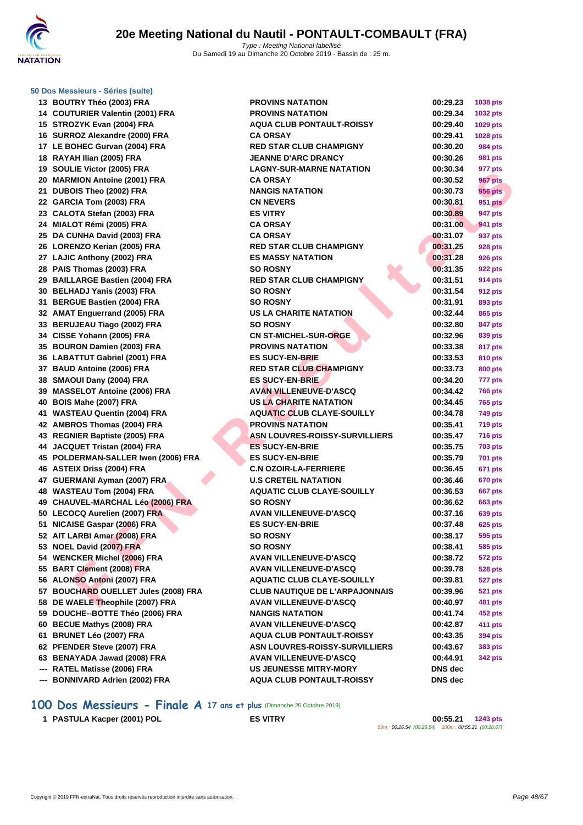

#### **[50 Dos M](http://www.ffnatation.fr/webffn/index.php)essieurs - Séries (suite)**

|     | <b>POOTIVE THEO (2003) LIVE</b>          |
|-----|------------------------------------------|
|     | 14 COUTURIER Valentin (2001) FRA         |
|     | 15 STROZYK Evan (2004) FRA               |
|     | 16 SURROZ Alexandre (2000) FRA           |
|     | 17 LE BOHEC Gurvan (2004) FRA            |
|     | 18 RAYAH Ilian (2005) FRA                |
| 19  | SOULIE Victor (2005) FRA                 |
| 20  | <b>MARMION Antoine (2001) FRA</b>        |
| 21  | DUBOIS Theo (2002) FRA                   |
| 22  | GARCIA Tom (2003) FRA                    |
| 23  | CALOTA Stefan (2003) FRA                 |
| 24  | MIALOT Rémi (2005) FRA                   |
| 25  | DA CUNHA David (2003) FRA                |
|     | 26 LORENZO Kerian (2005) FRA             |
|     | 27 LAJIC Anthony (2002) FRA              |
|     | 28 PAIS Thomas (2003) FRA                |
|     | 29 BAILLARGE Bastien (2004) FRA          |
|     | 30 BELHADJ Yanis (2003) FRA              |
|     | 31 BERGUE Bastien (2004) FRA             |
|     | 32 AMAT Enguerrand (2005) FRA            |
|     | 33 BERUJEAU Tiago (2002) FRA             |
|     | 34 CISSE Yohann (2005) FRA               |
|     | 35 BOURON Damien (2003) FRA              |
|     | 36 LABATTUT Gabriel (2001) FRA           |
|     | 37 BAUD Antoine (2006) FRA               |
| 38  | SMAOUI Dany (2004) FRA                   |
|     | 39 MASSELOT Antoine (2006) FRA           |
| 40  | BOIS Mahe (2007) FRA                     |
| 41  | <b>WASTEAU Quentin (2004) FRA</b>        |
|     | 42 AMBROS Thomas (2004) FRA              |
|     | 43 REGNIER Baptiste (2005) FRA           |
|     | 44 JACQUET Tristan (2004) FRA            |
|     | 45 POLDERMAN-SALLER Iwen (2006) FRA      |
|     | 46 ASTEIX Driss (2004) FRA               |
|     | 47 GUERMANI Ayman (2007) FRA             |
| 48  | <b>WASTEAU Tom (2004) FRA</b>            |
|     | 49 CHAUVEL-MARCHAL Léo (2006) FRA        |
|     | 50 LECOCQ Aurelien (2007) FRA            |
|     | 51 NICAISE Gaspar (2006) FRA             |
|     | 52 AIT LARBI Amar (2008) FRA             |
| 53  | <b>NOEL David (2007) FRA</b>             |
| 54  | <b>WENCKER Michel (2006) FRA</b>         |
| 55  | <b>BART Clement (2008) FRA</b>           |
| 56  | <b>ALONSO Antoni (2007) FRA</b>          |
| 57  | <b>BOUCHARD OUELLET Jules (2008) FRA</b> |
| 58  | DE WAELE Theophile (2007) FRA            |
| 59  | DOUCHE--BOTTE Théo (2006) FRA            |
| 60  | <b>BECUE Mathys (2008) FRA</b>           |
| 61  | BRUNET Léo (2007) FRA                    |
| 62  | PFENDER Steve (2007) FRA                 |
|     | 63 BENAYADA Jawad (2008) FRA             |
| --- | RATEL Matisse (2006) FRA                 |
| --- | <b>BONNIVARD Adrien (2002) FRA</b>       |
|     |                                          |

| 13 BOUTRY Théo (2003) FRA                                       | <b>PROVINS NATATION</b>                                           | 00:29.23           | 1038 pts       |
|-----------------------------------------------------------------|-------------------------------------------------------------------|--------------------|----------------|
| 14 COUTURIER Valentin (2001) FRA                                | <b>PROVINS NATATION</b>                                           | 00:29.34           | 1032 pts       |
| 15 STROZYK Evan (2004) FRA                                      | <b>AQUA CLUB PONTAULT-ROISSY</b>                                  | 00:29.40           | 1029 pts       |
| 16 SURROZ Alexandre (2000) FRA                                  | <b>CA ORSAY</b>                                                   | 00:29.41           | 1028 pts       |
| 17 LE BOHEC Gurvan (2004) FRA                                   | <b>RED STAR CLUB CHAMPIGNY</b>                                    | 00:30.20           | 984 pts        |
| 18 RAYAH Ilian (2005) FRA                                       | <b>JEANNE D'ARC DRANCY</b>                                        | 00:30.26           | <b>981 pts</b> |
| 19 SOULIE Victor (2005) FRA                                     | <b>LAGNY-SUR-MARNE NATATION</b>                                   | 00:30.34           | 977 pts        |
| 20 MARMION Antoine (2001) FRA                                   | <b>CA ORSAY</b>                                                   | 00:30.52           | <b>967 pts</b> |
| 21 DUBOIS Theo (2002) FRA                                       | <b>NANGIS NATATION</b>                                            | 00:30.73           | 956 pts        |
| 22 GARCIA Tom (2003) FRA                                        | <b>CN NEVERS</b>                                                  | 00:30.81           | 951 pts        |
| 23 CALOTA Stefan (2003) FRA                                     | <b>ES VITRY</b>                                                   | 00:30.89           | 947 pts        |
| 24 MIALOT Rémi (2005) FRA                                       | <b>CA ORSAY</b>                                                   | 00:31.00           | <b>941 pts</b> |
| 25 DA CUNHA David (2003) FRA                                    | <b>CA ORSAY</b>                                                   | 00:31.07           | 937 pts        |
| 26 LORENZO Kerian (2005) FRA                                    | <b>RED STAR CLUB CHAMPIGNY</b>                                    | 00:31.25           | 928 pts        |
| 27 LAJIC Anthony (2002) FRA                                     | <b>ES MASSY NATATION</b>                                          | 00:31.28           | 926 pts        |
| 28 PAIS Thomas (2003) FRA                                       | <b>SO ROSNY</b>                                                   | 00:31.35           | 922 pts        |
| 29 BAILLARGE Bastien (2004) FRA                                 | <b>RED STAR CLUB CHAMPIGNY</b>                                    | 00:31.51           | 914 pts        |
| 30 BELHADJ Yanis (2003) FRA                                     | <b>SO ROSNY</b>                                                   | 00:31.54           | <b>912 pts</b> |
| 31 BERGUE Bastien (2004) FRA                                    | <b>SO ROSNY</b>                                                   | 00:31.91           | 893 pts        |
| 32 AMAT Enguerrand (2005) FRA                                   | <b>US LA CHARITE NATATION</b>                                     | 00:32.44           | 865 pts        |
| 33 BERUJEAU Tiago (2002) FRA                                    | <b>SO ROSNY</b>                                                   | 00:32.80           | 847 pts        |
| 34 CISSE Yohann (2005) FRA                                      | <b>CN ST-MICHEL-SUR-ORGE</b>                                      | 00:32.96           | 839 pts        |
| 35 BOURON Damien (2003) FRA                                     | <b>PROVINS NATATION</b>                                           | 00:33.38           | 817 pts        |
| 36 LABATTUT Gabriel (2001) FRA                                  | <b>ES SUCY-EN-BRIE</b>                                            | 00:33.53           | 810 pts        |
| 37 BAUD Antoine (2006) FRA                                      | <b>RED STAR CLUB CHAMPIGNY</b>                                    | 00:33.73           | 800 pts        |
| 38 SMAOUI Dany (2004) FRA                                       | <b>ES SUCY-EN-BRIE</b>                                            | 00:34.20           | 777 pts        |
| 39 MASSELOT Antoine (2006) FRA                                  | <b>AVAN VILLENEUVE-D'ASCQ</b>                                     | 00:34.42           | 766 pts        |
| 40 BOIS Mahe (2007) FRA                                         | US LA CHARITE NATATION                                            | 00:34.45           | <b>765 pts</b> |
| 41 WASTEAU Quentin (2004) FRA                                   | <b>AQUATIC CLUB CLAYE-SOUILLY</b>                                 | 00:34.78           | <b>749 pts</b> |
| 42 AMBROS Thomas (2004) FRA                                     | <b>PROVINS NATATION</b>                                           | 00:35.41           | <b>719 pts</b> |
| 43 REGNIER Baptiste (2005) FRA                                  | ASN LOUVRES-ROISSY-SURVILLIERS                                    | 00:35.47           | <b>716 pts</b> |
| 44 JACQUET Tristan (2004) FRA                                   | <b>ES SUCY-EN-BRIE</b>                                            | 00:35.75           | <b>703 pts</b> |
| 45 POLDERMAN-SALLER Iwen (2006) FRA                             | <b>ES SUCY-EN-BRIE</b>                                            | 00:35.79           | 701 pts        |
| 46 ASTEIX Driss (2004) FRA                                      | <b>C.N OZOIR-LA-FERRIERE</b>                                      | 00:36.45           | 671 pts        |
| 47 GUERMANI Ayman (2007) FRA                                    | <b>U.S CRETEIL NATATION</b>                                       | 00:36.46           | <b>670 pts</b> |
| 48 WASTEAU Tom (2004) FRA                                       | <b>AQUATIC CLUB CLAYE-SOUILLY</b>                                 | 00:36.53           | <b>667 pts</b> |
| 49 CHAUVEL-MARCHAL Léo (2006) FRA                               | <b>SO ROSNY</b>                                                   | 00:36.62           | 663 pts        |
| 50 LECOCQ Aurelien (2007) FRA                                   | <b>AVAN VILLENEUVE-D'ASCQ</b>                                     | 00:37.16           | 639 pts        |
| 51 NICAISE Gaspar (2006) FRA                                    | <b>ES SUCY-EN-BRIE</b>                                            | 00:37.48           | <b>625 pts</b> |
| 52 AIT LARBI Amar (2008) FRA                                    | <b>SO ROSNY</b>                                                   | 00:38.17           | <b>595 pts</b> |
| 53 NOEL David (2007) FRA                                        | <b>SO ROSNY</b>                                                   | 00:38.41           | 585 pts        |
| 54 WENCKER Michel (2006) FRA                                    | <b>AVAN VILLENEUVE-D'ASCQ</b>                                     | 00:38.72           | <b>572 pts</b> |
| 55 BART Clement (2008) FRA                                      | <b>AVAN VILLENEUVE-D'ASCQ</b>                                     | 00:39.78           | <b>528 pts</b> |
| 56 ALONSO Antoni (2007) FRA                                     | <b>AQUATIC CLUB CLAYE-SOUILLY</b>                                 | 00:39.81           | <b>527 pts</b> |
| 57 BOUCHARD OUELLET Jules (2008) FRA                            | <b>CLUB NAUTIQUE DE L'ARPAJONNAIS</b>                             | 00:39.96           | <b>521 pts</b> |
| 58 DE WAELE Theophile (2007) FRA                                | <b>AVAN VILLENEUVE-D'ASCQ</b>                                     | 00:40.97           | 481 pts        |
| 59 DOUCHE--BOTTE Théo (2006) FRA                                | <b>NANGIS NATATION</b>                                            | 00:41.74           | 452 pts        |
| 60 BECUE Mathys (2008) FRA                                      | <b>AVAN VILLENEUVE-D'ASCQ</b>                                     | 00:42.87           | 411 pts        |
| 61 BRUNET Léo (2007) FRA                                        | <b>AQUA CLUB PONTAULT-ROISSY</b>                                  | 00:43.35           | 394 pts        |
| 62 PFENDER Steve (2007) FRA                                     | <b>ASN LOUVRES-ROISSY-SURVILLIERS</b>                             | 00:43.67           | 383 pts        |
| 63 BENAYADA Jawad (2008) FRA                                    | <b>AVAN VILLENEUVE-D'ASCQ</b>                                     | 00:44.91           | 342 pts        |
| --- RATEL Matisse (2006) FRA<br>--- BONNIVARD Adrien (2002) FRA | <b>US JEUNESSE MITRY-MORY</b><br><b>AQUA CLUB PONTAULT-ROISSY</b> | DNS dec<br>DNS dec |                |
|                                                                 |                                                                   |                    |                |

## **100 Dos Messieurs - Finale A 17 ans et plus** (Dimanche 20 Octobre 2019)

 **PASTULA Kacper (2001) POL ES VITRY 00:55.21 1243 pts** 50m : 00:26.54 (00:26.54) 100m : 00:55.21 (00:28.67)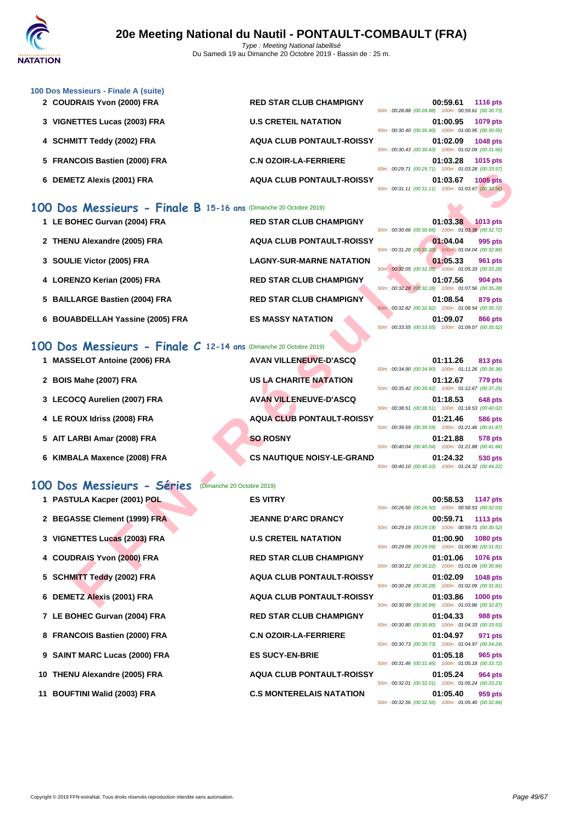

| 100 Dos Messieurs - Finale A (suite) |                                  |                                                    |          |                 |
|--------------------------------------|----------------------------------|----------------------------------------------------|----------|-----------------|
| 2 COUDRAIS Yvon (2000) FRA           | <b>RED STAR CLUB CHAMPIGNY</b>   | 50m: 00:28.88 (00:28.88) 100m: 00:59.61 (00:30.73) | 00:59.61 | <b>1116 pts</b> |
| 3 VIGNETTES Lucas (2003) FRA         | <b>U.S CRETEIL NATATION</b>      | 50m: 00:30.40 (00:30.40) 100m: 01:00.95 (00:30.55) | 01:00.95 | 1079 pts        |
| 4 SCHMITT Teddy (2002) FRA           | <b>AQUA CLUB PONTAULT-ROISSY</b> | 50m: 00:30.43 (00:30.43) 100m: 01:02.09 (00:31.66) | 01:02.09 | <b>1048 pts</b> |
| 5 FRANCOIS Bastien (2000) FRA        | <b>C.N OZOIR-LA-FERRIERE</b>     | 50m: 00:29.71 (00:29.71) 100m: 01:03.28 (00:33.57) | 01:03.28 | <b>1015</b> pts |
| 6 DEMETZ Alexis (2001) FRA           | <b>AQUA CLUB PONTAULT-ROISSY</b> | 50m: 00:31.11 (00:31.11) 100m: 01:03.67 (00:32.56) | 01:03.67 | <b>1005 pts</b> |

## **100 Dos Messieurs - Finale B 15-16 ans** (Dimanche 20 Octobre 2019)

|                                                                         |                                   | $0.23.11$ (00.23.11) T0011. 01.00.20 (00.00.01)                                                          |          |                 |
|-------------------------------------------------------------------------|-----------------------------------|----------------------------------------------------------------------------------------------------------|----------|-----------------|
| 6 DEMETZ Alexis (2001) FRA                                              | <b>AQUA CLUB PONTAULT-ROISSY</b>  | 50m: 00:31.11 (00:31.11) 100m: 01:03.67 (00:32.56)                                                       | 01:03.67 | <b>1005 pts</b> |
| 10 Dos Messieurs - Finale B 15-16 ans (Dimanche 20 Octobre 2019)        |                                   |                                                                                                          |          |                 |
| 1 LE BOHEC Gurvan (2004) FRA                                            | <b>RED STAR CLUB CHAMPIGNY</b>    | 50m: 00:30.66 (00:30.66) 100m: 01:03.38 (00:32.72)                                                       | 01:03.38 | <b>1013 pts</b> |
| 2 THENU Alexandre (2005) FRA                                            | <b>AQUA CLUB PONTAULT-ROISSY</b>  | 50m: 00:31.20 (00:31.20) 100m: 01:04.04 (00:32.84)                                                       | 01:04.04 | 995 pts         |
| 3 SOULIE Victor (2005) FRA                                              | <b>LAGNY-SUR-MARNE NATATION</b>   |                                                                                                          | 01:05.33 | 961 pts         |
| 4 LORENZO Kerian (2005) FRA                                             | <b>RED STAR CLUB CHAMPIGNY</b>    | 50m : 00:32.05 (00:32.05) 100m : 01:05.33 (00:33.28)                                                     | 01:07.56 | 904 pts         |
| 5 BAILLARGE Bastien (2004) FRA                                          | <b>RED STAR CLUB CHAMPIGNY</b>    | 50m: 00:32.28 (00:32.28) 100m: 01:07.56 (00:35.28)                                                       | 01:08.54 | 879 pts         |
| 6 BOUABDELLAH Yassine (2005) FRA                                        | <b>ES MASSY NATATION</b>          | 50m: 00:32.82 (00:32.82) 100m: 01:08.54 (00:35.72)<br>50m: 00:33.55 (00:33.55) 100m: 01:09.07 (00:35.52) | 01:09.07 | 866 pts         |
| <b>10 Dos Messieurs - Finale C 12-14 ans (Dimanche 20 Octobre 2019)</b> |                                   |                                                                                                          |          |                 |
| 1 MASSELOT Antoine (2006) FRA                                           | <b>AVAN VILLENEUVE-D'ASCQ</b>     |                                                                                                          | 01:11.26 | 813 pts         |
| 2 BOIS Mahe (2007) FRA                                                  | US LA CHARITE NATATION            | 50m: 00:34.90 (00:34.90) 100m: 01:11.26 (00:36.36)                                                       | 01:12.67 | <b>779 pts</b>  |
| 3 LECOCQ Aurelien (2007) FRA                                            | <b>AVAN VILLENEUVE-D'ASCQ</b>     | 50m: 00:35.42 (00:35.42) 100m: 01:12.67 (00:37.25)                                                       | 01:18.53 | 648 pts         |
| 4 LE ROUX Idriss (2008) FRA                                             | <b>AQUA CLUB PONTAULT-ROISSY</b>  | 50m: 00:38.51 (00:38.51) 100m: 01:18.53 (00:40.02)                                                       | 01:21.46 | 586 pts         |
| 5 AIT LARBI Amar (2008) FRA                                             | <b>SO ROSNY</b>                   | 50m: 00:39.59 (00:39.59) 100m: 01:21.46 (00:41.87)                                                       | 01:21.88 | 578 pts         |
| 6 KIMBALA Maxence (2008) FRA                                            | <b>CS NAUTIQUE NOISY-LE-GRAND</b> | 50m: 00:40.04 (00:40.04) 100m: 01:21.88 (00:41.84)                                                       | 01:24.32 | 530 pts         |
|                                                                         |                                   | 50m: 00:40.10 (00:40.10) 100m: 01:24.32 (00:44.22)                                                       |          |                 |
| 10 Dos Messieurs - Séries<br>(Dimanche 20 Octobre 2019)                 |                                   |                                                                                                          |          |                 |
| 1 PASTULA Kacper (2001) POL                                             | <b>ES VITRY</b>                   | 50m: 00:26.50 (00:26.50) 100m: 00:58.53 (00:32.03)                                                       | 00:58.53 | <b>1147 pts</b> |
| 2 BEGASSE Clement (1999) FRA                                            | <b>JEANNE D'ARC DRANCY</b>        | 50m: 00:29.19 (00:29.19) 100m: 00:59.71 (00:30.52)                                                       | 00:59.71 | <b>1113 pts</b> |
| 3 VIGNETTES Lucas (2003) FRA                                            | <b>U.S CRETEIL NATATION</b>       | 50m: 00:29.09 (00:29.09) 100m: 01:00.90 (00:31.81)                                                       | 01:00.90 | 1080 pts        |
| 4 COUDRAIS Yvon (2000) FRA                                              | <b>RED STAR CLUB CHAMPIGNY</b>    | 50m: 00:30.22 (00:30.22) 100m: 01:01.06 (00:30.84)                                                       | 01:01.06 | 1076 pts        |
| 5 SCHMITT Teddy (2002) FRA                                              | <b>AQUA CLUB PONTAULT-ROISSY</b>  |                                                                                                          | 01:02.09 | <b>1048 pts</b> |
| 6 DEMETZ Alexis (2001) FRA                                              | <b>AQUA CLUB PONTAULT-ROISSY</b>  | 50m: 00:30.28 (00:30.28) 100m: 01:02.09 (00:31.81)                                                       | 01:03.86 | <b>1000 pts</b> |
|                                                                         |                                   | 50m: 00:30.99 (00:30.99) 100m: 01:03.86 (00:32.87)                                                       |          |                 |

## **100 Dos Messieurs - Finale C 12-14 ans** (Dimanche 20 Octobre 2019)

| <b>MASSELOT Antoine (2006) FRA</b> | <b>AVAN VILLENEUVE-D'ASCQ</b><br>01:11.26<br>813 pts<br>50m: 00:34.90 (00:34.90) 100m: 01:11.26 (00:36.36)           |
|------------------------------------|----------------------------------------------------------------------------------------------------------------------|
| 2 BOIS Mahe (2007) FRA             | US LA CHARITE NATATION<br>01:12.67<br><b>779 pts</b>                                                                 |
| 3 LECOCQ Aurelien (2007) FRA       | 50m: 00:35.42 (00:35.42) 100m: 01:12.67 (00:37.25)<br><b>AVAN VILLENEUVE-D'ASCQ</b><br>01:18.53<br><b>648 pts</b>    |
| 4 LE ROUX Idriss (2008) FRA        | 50m: 00:38.51 (00:38.51) 100m: 01:18.53 (00:40.02)<br><b>AQUA CLUB PONTAULT-ROISSY</b><br>01:21.46<br><b>586 pts</b> |
| 5 AIT LARBI Amar (2008) FRA        | 50m: 00:39.59 (00:39.59) 100m: 01:21.46 (00:41.87)<br><b>SO ROSNY</b><br>01:21.88<br>578 pts                         |
|                                    | 50m: 00:40.04 (00:40.04) 100m: 01:21.88 (00:41.84)                                                                   |
| 6 KIMBALA Maxence (2008) FRA       | <b>CS NAUTIQUE NOISY-LE-GRAND</b><br>01:24.32<br>530 pts<br>50m: 00:40.10 (00:40.10) 100m: 01:24.32 (00:44.22)       |

## **100 Dos Messieurs - Séries** (Dimanche 20 Octobre 2019)

| 1 PASTULA Kacper (2001) POL   | <b>ES VITRY</b>                  |                                                    | 00:58.53 1147 pts |          |
|-------------------------------|----------------------------------|----------------------------------------------------|-------------------|----------|
|                               |                                  | 50m: 00:26.50 (00:26.50) 100m: 00:58.53 (00:32.03) |                   |          |
| 2 BEGASSE Clement (1999) FRA  | <b>JEANNE D'ARC DRANCY</b>       |                                                    | 00:59.71 1113 pts |          |
|                               |                                  | 50m: 00:29.19 (00:29.19) 100m: 00:59.71 (00:30.52) |                   |          |
| 3 VIGNETTES Lucas (2003) FRA  | <b>U.S CRETEIL NATATION</b>      | 50m: 00:29.09 (00:29.09) 100m: 01:00.90 (00:31.81) | 01:00.90 1080 pts |          |
|                               | <b>RED STAR CLUB CHAMPIGNY</b>   |                                                    |                   |          |
| 4 COUDRAIS Yvon (2000) FRA    |                                  | 50m: 00:30.22 (00:30.22) 100m: 01:01.06 (00:30.84) | 01:01.06 1076 pts |          |
| 5 SCHMITT Teddy (2002) FRA    | <b>AQUA CLUB PONTAULT-ROISSY</b> |                                                    | 01:02.09          | 1048 pts |
|                               |                                  | 50m: 00:30.28 (00:30.28) 100m: 01:02.09 (00:31.81) |                   |          |
| 6 DEMETZ Alexis (2001) FRA    | <b>AQUA CLUB PONTAULT-ROISSY</b> |                                                    | 01:03.86 1000 pts |          |
|                               |                                  | 50m: 00:30.99 (00:30.99) 100m: 01:03.86 (00:32.87) |                   |          |
| 7 LE BOHEC Gurvan (2004) FRA  | <b>RED STAR CLUB CHAMPIGNY</b>   |                                                    | 01:04.33          | 988 pts  |
|                               |                                  | 50m: 00:30.80 (00:30.80) 100m: 01:04.33 (00:33.53) |                   |          |
| 8 FRANCOIS Bastien (2000) FRA | <b>C.N OZOIR-LA-FERRIERE</b>     |                                                    | 01:04.97          | 971 pts  |
|                               |                                  | 50m: 00:30.73 (00:30.73) 100m: 01:04.97 (00:34.24) |                   |          |
| 9 SAINT MARC Lucas (2000) FRA | <b>ES SUCY-EN-BRIE</b>           |                                                    | 01:05.18          | 965 pts  |
|                               |                                  | 50m: 00:31.46 (00:31.46) 100m: 01:05.18 (00:33.72) |                   |          |
| 10 THENU Alexandre (2005) FRA | <b>AQUA CLUB PONTAULT-ROISSY</b> | 50m: 00:32.01 (00:32.01) 100m: 01:05.24 (00:33.23) | 01:05.24          | 964 pts  |
| 11 BOUFTINI Walid (2003) FRA  | <b>C.S MONTERELAIS NATATION</b>  |                                                    | 01:05.40          | 959 pts  |
|                               |                                  |                                                    |                   |          |

| <b>ES VITRY</b>                  |
|----------------------------------|
| <b>JEANNE D'ARC DRANCY</b>       |
| <b>U.S CRETEIL NATATION</b>      |
| <b>RED STAR CLUB CHAMPIGNY</b>   |
| <b>AQUA CLUB PONTAULT-ROISSY</b> |
| <b>AQUA CLUB PONTAULT-ROISSY</b> |
| <b>RED STAR CLUB CHAMPIGNY</b>   |
| <b>C.N OZOIR-LA-FERRIERE</b>     |
| <b>ES SUCY-EN-BRIE</b>           |
| <b>AQUA CLUB PONTAULT-ROISSY</b> |
| <b>C.S MONTERELAIS NATATION</b>  |

|                                                    | 00:58.53 1147 pts |
|----------------------------------------------------|-------------------|
| 50m: 00:26.50 (00:26.50) 100m: 00:58.53 (00:32.03) |                   |
|                                                    | 00:59.71 1113 pts |
| 50m: 00:29.19 (00:29.19) 100m: 00:59.71 (00:30.52) |                   |
|                                                    | 01:00.90 1080 pts |
| 50m: 00:29.09 (00:29.09) 100m: 01:00.90 (00:31.81) |                   |
|                                                    | 01:01.06 1076 pts |
| 50m: 00:30.22 (00:30.22) 100m: 01:01.06 (00:30.84) |                   |
|                                                    | 01:02.09 1048 pts |
| 50m: 00:30.28 (00:30.28) 100m: 01:02.09 (00:31.81) |                   |
|                                                    | 01:03.86 1000 pts |
| 50m: 00:30.99 (00:30.99) 100m: 01:03.86 (00:32.87) |                   |
|                                                    | 01:04.33 988 pts  |
| 50m: 00:30.80 (00:30.80) 100m: 01:04.33 (00:33.53) |                   |
|                                                    | 01:04.97 971 pts  |
| 50m: 00:30.73 (00:30.73) 100m: 01:04.97 (00:34.24) |                   |
|                                                    | 01:05.18 965 pts  |
| 50m: 00:31.46 (00:31.46) 100m: 01:05.18 (00:33.72) |                   |
|                                                    | 01:05.24 964 pts  |
| 50m: 00:32.01 (00:32.01) 100m: 01:05.24 (00:33.23) |                   |
|                                                    | 01:05.40 959 pts  |
| 50m: 00:32.56 (00:32.56) 100m: 01:05.40 (00:32.84) |                   |
|                                                    |                   |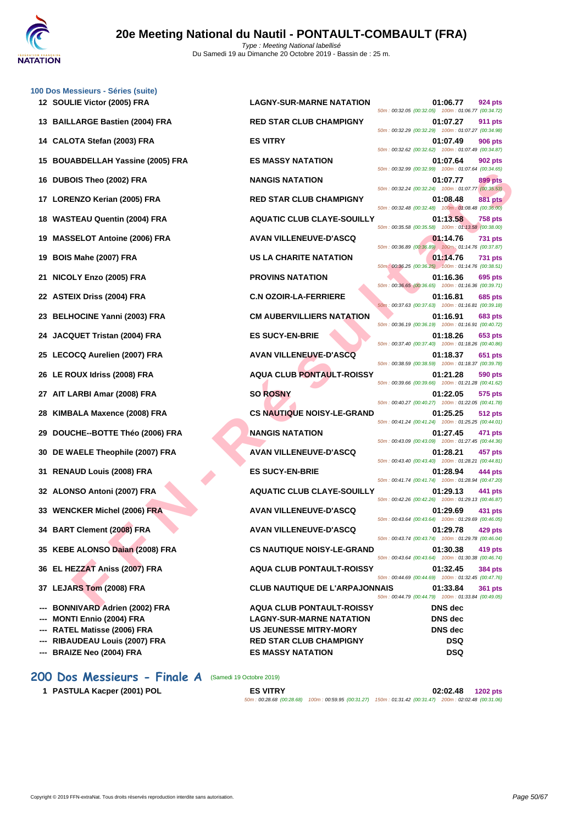

| 100 Dos Messieurs - Séries (suite)<br>12 SOULIE Victor (2005) FRA | <b>LAGNY-SUR-MARNE NATATION</b>       | 01:06.77                                                       | 924 pts        |
|-------------------------------------------------------------------|---------------------------------------|----------------------------------------------------------------|----------------|
| 13 BAILLARGE Bastien (2004) FRA                                   | <b>RED STAR CLUB CHAMPIGNY</b>        | 50m: 00:32.05 (00:32.05) 100m: 01:06.77 (00:34.72)<br>01:07.27 | <b>911 pts</b> |
|                                                                   |                                       | 50m: 00:32.29 (00:32.29) 100m: 01:07.27 (00:34.98)             |                |
| 14 CALOTA Stefan (2003) FRA                                       | <b>ES VITRY</b>                       | 01:07.49<br>50m: 00:32.62 (00:32.62) 100m: 01:07.49 (00:34.87) | <b>906 pts</b> |
| 15 BOUABDELLAH Yassine (2005) FRA                                 | <b>ES MASSY NATATION</b>              | 01:07.64<br>50m: 00:32.99 (00:32.99) 100m: 01:07.64 (00:34.65) | 902 pts        |
| 16 DUBOIS Theo (2002) FRA                                         | <b>NANGIS NATATION</b>                | 01:07.77<br>50m: 00:32.24 (00:32.24) 100m: 01:07.77 (00:35.53) | 899 pts        |
| 17 LORENZO Kerian (2005) FRA                                      | <b>RED STAR CLUB CHAMPIGNY</b>        | 01:08.48<br>50m: 00:32.48 (00:32.48) 100m: 01:08.48 (00:36.00) | <b>881 pts</b> |
| 18 WASTEAU Quentin (2004) FRA                                     | <b>AQUATIC CLUB CLAYE-SOUILLY</b>     | 01:13.58<br>50m: 00:35.58 (00:35.58) 100m: 01:13.58 (00:38.00) | <b>758 pts</b> |
| 19 MASSELOT Antoine (2006) FRA                                    | <b>AVAN VILLENEUVE-D'ASCQ</b>         | 01:14.76                                                       | <b>731 pts</b> |
| 19 BOIS Mahe (2007) FRA                                           | US LA CHARITE NATATION                | 50m: 00:36.89 (00:36.89) 100m: 01:14.76 (00:37.87)<br>01:14.76 | <b>731 pts</b> |
| 21 NICOLY Enzo (2005) FRA                                         | <b>PROVINS NATATION</b>               | 50m: 00:36.25 (00:36.25) 100m: 01:14.76 (00:38.51)<br>01:16.36 | 695 pts        |
| 22 ASTEIX Driss (2004) FRA                                        | <b>C.N OZOIR-LA-FERRIERE</b>          | 50m: 00:36.65 (00:36.65) 100m: 01:16.36 (00:39.71)<br>01:16.81 | 685 pts        |
| 23 BELHOCINE Yanni (2003) FRA                                     | <b>CM AUBERVILLIERS NATATION</b>      | 50m: 00:37.63 (00:37.63) 100m: 01:16.81 (00:39.18)<br>01:16.91 | 683 pts        |
| 24 JACQUET Tristan (2004) FRA                                     | <b>ES SUCY-EN-BRIE</b>                | 50m: 00:36.19 (00:36.19) 100m: 01:16.91 (00:40.72)<br>01:18.26 | 653 pts        |
| 25 LECOCQ Aurelien (2007) FRA                                     | <b>AVAN VILLENEUVE-D'ASCQ</b>         | 50m: 00:37.40 (00:37.40) 100m: 01:18.26 (00:40.86)<br>01:18.37 | 651 pts        |
| 26 LE ROUX Idriss (2008) FRA                                      | <b>AQUA CLUB PONTAULT-ROISSY</b>      | 50m: 00:38.59 (00:38.59) 100m: 01:18.37 (00:39.78)<br>01:21.28 | 590 pts        |
| 27 AIT LARBI Amar (2008) FRA                                      | <b>SO ROSNY</b>                       | 50m: 00:39.66 (00:39.66) 100m: 01:21.28 (00:41.62)<br>01:22.05 | 575 pts        |
| 28 KIMBALA Maxence (2008) FRA                                     | <b>CS NAUTIQUE NOISY-LE-GRAND</b>     | 50m: 00:40.27 (00:40.27) 100m: 01:22.05 (00:41.78)<br>01:25.25 | <b>512 pts</b> |
| 29 DOUCHE--BOTTE Théo (2006) FRA                                  | <b>NANGIS NATATION</b>                | 50m: 00:41.24 (00:41.24) 100m: 01:25.25 (00:44.01)<br>01:27.45 | 471 pts        |
| 30 DE WAELE Theophile (2007) FRA                                  | <b>AVAN VILLENEUVE-D'ASCQ</b>         | 50m: 00:43.09 (00:43.09) 100m: 01:27.45 (00:44.36)<br>01:28.21 | 457 pts        |
| 31 RENAUD Louis (2008) FRA                                        | <b>ES SUCY-EN-BRIE</b>                | 50m: 00:43.40 (00:43.40) 100m: 01:28.21 (00:44.81)<br>01:28.94 | 444 pts        |
| 32 ALONSO Antoni (2007) FRA                                       | <b>AQUATIC CLUB CLAYE-SOUILLY</b>     | 50m: 00:41.74 (00:41.74) 100m: 01:28.94 (00:47.20)<br>01:29.13 | 441 pts        |
| 33 WENCKER Michel (2006) FRA                                      | <b>AVAN VILLENEUVE-D'ASCQ</b>         | 50m: 00:42.26 (00:42.26) 100m: 01:29.13 (00:46.87)<br>01:29.69 | 431 pts        |
| 34 BART Clement (2008) FRA                                        | <b>AVAN VILLENEUVE-D'ASCQ</b>         | 50m: 00:43.64 (00:43.64) 100m: 01:29.69 (00:46.05)<br>01:29.78 | 429 pts        |
| 35 KEBE ALONSO Daian (2008) FRA                                   | <b>CS NAUTIQUE NOISY-LE-GRAND</b>     | 50m: 00:43.74 (00:43.74) 100m: 01:29.78 (00:46.04)<br>01:30.38 | 419 pts        |
| 36 EL HEZZAT Aniss (2007) FRA                                     | <b>AQUA CLUB PONTAULT-ROISSY</b>      | 50m: 00:43.64 (00:43.64) 100m: 01:30.38 (00:46.74)<br>01:32.45 | 384 pts        |
| 37 LEJARS Tom (2008) FRA                                          | <b>CLUB NAUTIQUE DE L'ARPAJONNAIS</b> | 50m: 00:44.69 (00:44.69) 100m: 01:32.45 (00:47.76)<br>01:33.84 | <b>361 pts</b> |
| <b>BONNIVARD Adrien (2002) FRA</b>                                | <b>AQUA CLUB PONTAULT-ROISSY</b>      | 50m: 00:44.79 (00:44.79) 100m: 01:33.84 (00:49.05)<br>DNS dec  |                |
| <b>MONTI Ennio (2004) FRA</b>                                     | <b>LAGNY-SUR-MARNE NATATION</b>       | <b>DNS</b> dec                                                 |                |
| RATEL Matisse (2006) FRA                                          | <b>US JEUNESSE MITRY-MORY</b>         | <b>DNS</b> dec                                                 |                |
| <b>RIBAUDEAU Louis (2007) FRA</b>                                 | <b>RED STAR CLUB CHAMPIGNY</b>        | <b>DSQ</b>                                                     |                |
| --- BRAIZE Neo (2004) FRA                                         | <b>ES MASSY NATATION</b>              | <b>DSQ</b>                                                     |                |
|                                                                   |                                       |                                                                |                |

#### **FIND (2003) FRA**<br> **FRIO KATION (2005) FRA**<br> **FED STAR CLUB CHAMPIONY**<br> **FED STAR CLUB CHAMPIONY**<br> **FED STAR CLUB CHAMPIONY**<br> **FED STAR CLUB CHAMPIONY**<br> **FED STAR AND LIENEUVE D'ASCOULLY (assumed a solid a solid a solid a** 50m : 00:32.05 (00:32.05) 100m : 01:06.77 (00:34.72) **13 BAILLARGE Bastien (2004) FRA RED STAR CLUB CHAMPIGNY 01:07.27 911 pts** 50m : 00:32.29 (00:32.29) 100m : 01:07.27 (00:34.98) 50m : 00:32.62 (00:32.62) 100m : 01:07.49 (00:34.87) **15 BOUABBELLAH ISLAM ISLAM ISLAM ISLAM ISLAM ISLAM ISLAM ISLAM ISLAM ISLAM ISLAM ISLAM ISLAM ISLAM ISLAM ISLAM ISLAM ISLAM ISLAM ISLAM ISLAM ISLAM ISLAM ISLAM ISLAM ISLAM ISLAM ISLAM ISLAM ISLAM ISLAM ISLAM ISLAM ISLAM** 50m : 00:32.99 (00:32.99) 100m : 01:07.64 (00:34.65) **16 DUBOIS NATATION DESCRIPTION 01:07.77 899 pts** 50m : 00:32.24 (00:32.24) 100m : 01:07.77 (00:35.53) **17 <b>RED STAR CLUB CHAMPIGNY 17 01:08.48 881 pts** 50m : 00:32.48 (00:32.48) 100m : 01:08.48 (00:36.00) **18 18 AQUATIC CLUB CLAYE-SOUILLY 11:13.58 758 pts** 50m : 00:35.58 (00:35.58) 100m : 01:13.58 (00:38.00) **199 120 1206 11:14.76 12:14.76 12:14.76 731 pts** 50m : 00:36.89 (00:36.89) 100m : 01:14.76 (00:37.87) **1988 I.A CHARITE NATATION 1988 12:14.76 731 pts** 50m : 00:36.25 (00:36.25) 100m : 01:14.76 (00:38.51) **21.16.36 695 pts** 50m : 00:36.65 (00:36.65) 100m : 01:16.36 (00:39.71) **22 ASTEIX Driss (2004) FRA C.N OZOIR-LA-FERRIERE 01:16.81 685 pts** 50m : 00:37.63 (00:37.63) 100m : 01:16.81 (00:39.18) **23 CM AUBERVILLIERS NATATION 01:16.91 683 pts** 50m : 00:36.19 (00:36.19) 100m : 01:16.91 (00:40.72) **241 <b>24 24 241 <b>241** 25 **241 124 <b>241 124** 26 **01:18.26 653 pts** 50m : 00:37.40 (00:37.40) 100m : 01:18.26 (00:40.86) **251 <b>AVAN VILLENEUVE-D'ASCQ COLOCACC 651 pts** 50m : 00:38.59 (00:38.59) 100m : 01:18.37 (00:39.78) **26 LE ROUX Idriss (2008) FRA AQUA CLUB PONTAULT-ROISSY 01:21.28 590 pts** 50m : 00:39.66 (00:39.66) 100m : 01:21.28 (00:41.62) 50m : 00:40.27 (00:40.27) 100m : 01:22.05 (00:41.78) **28 KIMBALE NOISY-LE-GRAND 01:25.25 512 pts** 50m : 00:41.24 (00:41.24) 100m : 01:25.25 (00:44.01) **29 127.45 <b>ADOUCHEFFE** THEORY **CONGRESS NATATION CONGRESS AND REPORT OF STATE OF STATE STATE** 50m : 00:43.09 (00:43.09) 100m : 01:27.45 (00:44.36) **30 DE WAELE Theophile (2007) FRA AVAN VILLENEUVE-D'ASCQ 01:28.21 457 pts** 50m : 00:43.40 (00:43.40) 100m : 01:28.21 (00:44.81) **31 RENAUD Louis (2008) FRA ES SUCY-EN-BRIE 01:28.94 444 pts** 50m : 00:41.74 (00:41.74) 100m : 01:28.94 (00:47.20) **32 ALONSO Antoni (2007) FRA AQUATIC CLUB CLAYE-SOUILLY 01:29.13 441 pts** 50m : 00:42.26 (00:42.26) 100m : 01:29.13 (00:46.87) **33 WENCKER Michel (2006) FRA AVAN VILLENEUVE-D'ASCQ 01:29.69 431 pts** 50m : 00:43.64 (00:43.64) 100m : 01:29.69 (00:46.05) **34 BART Clement (2008) FRA AVAN VILLENEUVE-D'ASCQ 01:29.78 429 pts** 50m : 00:43.74 (00:43.74) 100m : 01:29.78 (00:46.04) **CS NAUTIQUE NOISY-LE-GRAND 01:30.38 419 pts** 50m : 00:43.64 (00:43.64) 100m : 01:30.38 (00:46.74) **36 EL HEZZAT Aniss (2007) FRA AQUA CLUB PONTAULT-ROISSY 01:32.45 384 pts** 50m : 00:44.69 (00:44.69) 100m : 01:32.45 (00:47.76) **37 LEJARS Tom (2008) FRA CLUB NAUTIQUE DE L'ARPAJONNAIS 01:33.84 361 pts** 50m : 00:44.79 (00:44.79) 100m : 01:33.84 (00:49.05) **--- BONNIVARD Adrien (2002) FRA AQUA CLUB PONTAULT-ROISSY DNS dec --- MONTI Ennio (2004) FRA LAGNY-SUR-MARNE NATATION DNS dec US JEUNESSE MITRY-MORY DNS dec**

**200 Dos Messieurs - Finale A** (Samedi 19 Octobre 2019)

**1 PASTULA Kacper (2001) POL ES VITRY 02:02.48 1202 pts** 50m : 00:28.68 (00:28.68) 100m : 00:59.95 (00:31.27) 150m : 01:31.42 (00:31.47) 200m : 02:02.48 (00:31.06)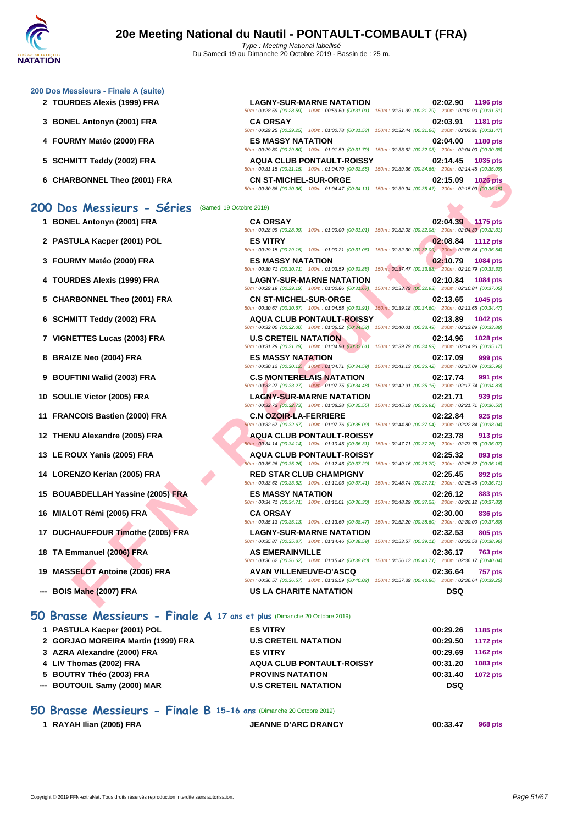#### **[200 Dos M](http://www.ffnatation.fr/webffn/index.php)essieurs - Finale A (suite)**

- **2 TOURDES Alexis (1999) FRA LAGNY-SUR-MARNE NATATION 02:02.90 1196 pts**
- **3 BONEL Antonyn (2001) FRA**
- **4 FOURMY Matéo (2000) FRA ES MASSY NATATION 02:04.00 1180 pts**
- **5 SCHMITT Teddy (2002) FRA**
- **6** CHARBONNEL Theo (2001) FRA

| RDES Alexis (1999) FRA                        | <b>LAGNY-SUR-MARNE NATATION</b><br>50m: 00:28.59 (00:28.59) 100m: 00:59.60 (00:31.01) 150m: 01:31.39 (00:31.79) 200m: 02:02.90 (00:31.51)      | 02:02.90<br>1196 pts                                                               |
|-----------------------------------------------|------------------------------------------------------------------------------------------------------------------------------------------------|------------------------------------------------------------------------------------|
| EL Antonyn (2001) FRA                         | <b>CA ORSAY</b>                                                                                                                                | 02:03.91<br>1181 pts                                                               |
|                                               | 50m: 00:29.25 (00:29.25) 100m: 01:00.78 (00:31.53) 150m: 01:32.44 (00:31.66) 200m: 02:03.91 (00:31.47)                                         |                                                                                    |
| RMY Matéo (2000) FRA                          | <b>ES MASSY NATATION</b><br>50m: 00:29.80 (00:29.80) 100m: 01:01.59 (00:31.79) 150m: 01:33.62 (00:32.03) 200m: 02:04.00 (00:30.38)             | 02:04.00<br>1180 pts                                                               |
| MITT Teddy (2002) FRA                         | <b>AQUA CLUB PONTAULT-ROISSY</b><br>50m: 00:31.15 (00:31.15) 100m: 01:04.70 (00:33.55) 150m: 01:39.36 (00:34.66) 200m: 02:14.45 (00:35.09)     | 1035 pts<br>02:14.45                                                               |
| RBONNEL Theo (2001) FRA                       | <b>CN ST-MICHEL-SUR-ORGE</b><br>50m : 00:30.36 (00:30.36) 100m : 01:04.47 (00:34.11) 150m : 01:39.94 (00:35.47) 200m : 02:15.09 (00:35.15)     | 02:15.09<br><b>1026 pts</b>                                                        |
| S Messieurs - Séries (Samedi 19 Octobre 2019) |                                                                                                                                                |                                                                                    |
| EL Antonyn (2001) FRA                         | <b>CA ORSAY</b><br>50m: 00:28.99 (00:28.99) 100m: 01:00.00 (00:31.01) 150m: 01:32.08 (00:32.08) 200m: 02:04.39 (00:32.31)                      | 02:04.39<br>1175 pts                                                               |
| TULA Kacper (2001) POL                        | <b>ES VITRY</b><br>50m : 00:29.15 (00:29.15) 100m : 01:00.21 (00:31.06) 150m : 01:32.30 (00:32.09) 200m : 02:08.84 (00:36.54)                  | 02:08.84<br><b>1112 pts</b>                                                        |
| RMY Matéo (2000) FRA                          | <b>ES MASSY NATATION</b><br>50m: 00:30.71 (00:30.71) 100m: 01:03.59 (00:32.88) 150m: 01:37.47 (00:33.88) 200m: 02:10.79 (00:33.32)             | 02:10.79<br>1084 pts                                                               |
| RDES Alexis (1999) FRA                        | <b>LAGNY-SUR-MARNE NATATION</b><br>50m: 00:29.19 (00:29.19) 100m: 01:00.86 (00:31.67)                                                          | 02:10.84<br><b>1084 pts</b><br>150m: 01:33.79 (00:32.93) 200m: 02:10.84 (00:37.05) |
| <b>RBONNEL Theo (2001) FRA</b>                | <b>CN ST-MICHEL-SUR-ORGE</b><br>50m: 00:30.67 (00:30.67) 100m: 01:04.58 (00:33.91)                                                             | 02:13.65<br>1045 pts<br>150m: 01:39.18 (00:34.60) 200m: 02:13.65 (00:34.47)        |
| MITT Teddy (2002) FRA                         | <b>AQUA CLUB PONTAULT-ROISSY</b><br>50m : 00:32.00 (00:32.00) 100m : 01:06.52 (00:34.52) 150m : 01:40.01 (00:33.49) 200m : 02:13.89 (00:33.88) | 02:13.89<br>1042 pts                                                               |
| IETTES Lucas (2003) FRA                       | <b>U.S CRETEIL NATATION</b><br>50m : 00:31.29 (00:31.29) 100m : 01:04.90 (00:33.61) 150m : 01:39.79 (00:34.89) 200m : 02:14.96 (00:35.17)      | 02:14.96<br>1028 pts                                                               |
| IZE Neo (2004) FRA                            | <b>ES MASSY NATATION</b><br>50m : 00:30.12 (00:30.12) 100m : 01:04.71 (00:34.59) 150m : 01:41.13 (00:36.42) 200m : 02:17.09 (00:35.96)         | 02:17.09<br>999 pts                                                                |
| FTINI Walid (2003) FRA                        | <b>C.S MONTERELAIS NATATION</b><br>50m: 00:33.27 (00:33.27) 100m: 01:07.75 (00:34.48) 150m: 01:42.91 (00:35.16) 200m: 02:17.74 (00:34.83)      | 02:17.74<br>991 pts                                                                |
| LIE Victor (2005) FRA                         | <b>LAGNY-SUR-MARNE NATATION</b><br>50m: 00:32.73 (00:32.73) 100m: 01:08.28 (00:35.55) 150m: 01:45.19 (00:36.91) 200m: 02:21.71 (00:36.52)      | 02:21.71<br>939 pts                                                                |
| <b>NCOIS Bastien (2000) FRA</b>               | <b>C.N OZOIR-LA-FERRIERE</b><br>50m : 00:32.67 (00:32.67) 100m : 01:07.76 (00:35.09) 150m : 01:44.80 (00:37.04) 200m : 02:22.84 (00:38.04)     | 02:22.84<br>925 pts                                                                |
| <b>NU Alexandre (2005) FRA</b>                | <b>AQUA CLUB PONTAULT-ROISSY</b><br>50m: 00:34.14 (00:34.14) 100m: 01:10.45 (00:36.31) 150m: 01:47.71 (00:37.26) 200m: 02:23.78 (00:36.07)     | 02:23.78<br>913 pts                                                                |
| OUX Yanis (2005) FRA                          | <b>AQUA CLUB PONTAULT-ROISSY</b><br>50m : 00:35.26 (00:35.26) 100m : 01:12.46 (00:37.20) 150m : 01:49.16 (00:36.70) 200m : 02:25.32 (00:36.16) | 02:25.32<br>893 pts                                                                |
| ENZO Kerian (2005) FRA                        | <b>RED STAR CLUB CHAMPIGNY</b><br>50m: 00:33.62 (00:33.62) 100m: 01:11.03 (00:37.41) 150m: 01:48.74 (00:37.71) 200m: 02:25.45 (00:36.71)       | 02:25.45<br>892 pts                                                                |
| ABDELLAH Yassine (2005) FRA                   | <b>ES MASSY NATATION</b><br>50m: 00:34.71 (00:34.71) 100m: 01:11.01 (00:36.30) 150m: 01:48.29 (00:37.28) 200m: 02:26.12 (00:37.83)             | 02:26.12<br>883 pts                                                                |
| .OT Rémi (2005) FRA                           | <b>CA ORSAY</b><br>50m: 00:35.13 (00:35.13) 100m: 01:13.60 (00:38.47) 150m: 01:52.20 (00:38.60) 200m: 02:30.00 (00:37.80)                      | 836 pts<br>02.30.00                                                                |
| HAUFFOUR Timothe (2005) FRA                   | <b>LAGNY-SUR-MARNE NATATION</b><br>50m: 00:35.87 (00:35.87) 100m: 01:14.46 (00:38.59) 150m: 01:53.57 (00:39.11) 200m: 02:32.53 (00:38.96)      | 02:32.53<br>805 pts                                                                |
| mmanuel (2006) FRA                            | <b>AS EMERAINVILLE</b><br>50m: 00:36.62 (00:36.62) 100m: 01:15.42 (00:38.80) 150m: 01:56.13 (00:40.71) 200m: 02:36.17 (00:40.04)               | 02:36.17<br><b>763 pts</b>                                                         |
| SELOT Antoine (2006) FRA                      | <b>AVAN VILLENEUVE-D'ASCQ</b>                                                                                                                  | 02:36.64<br><b>757 pts</b>                                                         |
|                                               | 50m: 00:36.57 (00:36.57) 100m: 01:16.59 (00:40.02) 150m: 01:57.39 (00:40.80) 200m: 02:36.64 (00:39.25)                                         |                                                                                    |

#### **200 Dos Messieurs - Séries** (Samedi 19 Octobre 2019)

- **1 BONEL Antonyn (2001) FRA CA ORSAY 02:04.39 1175 pts**
- **2 PASTULA Kacper (2001) POL ES VITRY 02:08.84 1112 pts**
- **3 FOURMY Matéo (2000) FRA ES MASSY NATATION 02:10.79 1084 pts**
- **4 TOURDES Alexis (1999) FRA LAGNY-SUR-MARNE NATATION 02:10.84 1084 pts**
- **5 CHARBONNEL Theo (2001) FRA CN ST-MICHEL-SUR-ORGE 02:13.65 1045 pts**
- **6 SCHMITT Teddy (2002) FRA AQUA CLUB PONTAULT-ROISSY 02:13.89 1042 pts**
- **7 VIGNETTES Lucas (2003) FRA U.S CRETEIL NATATION 02:14.96 1028 pts**
- **8 BRAIZE Neo (2004) FRA ES MASSY NATATION 02:17.09 999 pts**
- **9 BOUFTINI Walid (2003) FRA C.S MONTERELAIS NATATION 02:17.74 991 pts**
- **10 SOULIE Victor (2005) FRA LAGNY-SUR-MARNE NATATION 02:21.71 939 pts**
- **11 FRANCOIS Bastien (2000) FRA C.N OZOIR-LA-FERRIERE 02:22.84 925 pts**
- **12 THENU Alexandre (2005) FRA AQUA CLUB PONTAULT-ROISSY 02:23.78 913 pts**
- **13 LE ROUX Yanis (2005) FRA AQUA CLUB PONTAULT-ROISSY 02:25.32 893 pts**
- **14 LORENZO Kerian (2005) FRA RED STAR CLUB CHAMPIGNY 02:25.45 892 pts**
- **15 BOUABDELLAH Yassine (2005) FRA ES MASSY NATATION 02:26.12 883 pts**
- **16 MIALOT Rémi (2005) FRA CA ORSAY 02:30.00 836 pts**
- **17 DUCHAUFFOUR Timothe (2005) FRA LAGNY-SUR-MARNE NATATION 02:32.53 805 pts**
- **18 TA Emmanuel (2006) FRA AS EMERAINVILLE 02:36.17 763 pts**
- **19 MASSELOT Antoine (2006) FRA AVAN VILLENEUVE-D'ASCQ 02:36.64 757 pts**
- **--- BOIS Mahe (2007) FRA US LA CHARITE NATATION DSQ**

## **50 Brasse Messieurs - Finale A 17 ans et plus** (Dimanche 20 Octobre 2019)

| 1 PASTULA Kacper (2001) POL        | <b>ES VITRY</b>                  | 00:29.26   | 1185 pts        |
|------------------------------------|----------------------------------|------------|-----------------|
| 2 GORJAO MOREIRA Martin (1999) FRA | <b>U.S CRETEIL NATATION</b>      | 00:29.50   | <b>1172 pts</b> |
| 3 AZRA Alexandre (2000) FRA        | <b>ES VITRY</b>                  | 00:29.69   | <b>1162 pts</b> |
| 4 LIV Thomas (2002) FRA            | <b>AQUA CLUB PONTAULT-ROISSY</b> | 00:31.20   | 1083 pts        |
| 5 BOUTRY Théo (2003) FRA           | <b>PROVINS NATATION</b>          | 00:31.40   | <b>1072 pts</b> |
| --- BOUTOUIL Samy (2000) MAR       | <b>U.S CRETEIL NATATION</b>      | <b>DSQ</b> |                 |
|                                    |                                  |            |                 |

#### **50 Brasse Messieurs - Finale B 15-16 ans** (Dimanche 20 Octobre 2019)

**1 RAYAH Ilian (2005) FRA JEANNE D'ARC DRANCY 00:33.47 968 pts**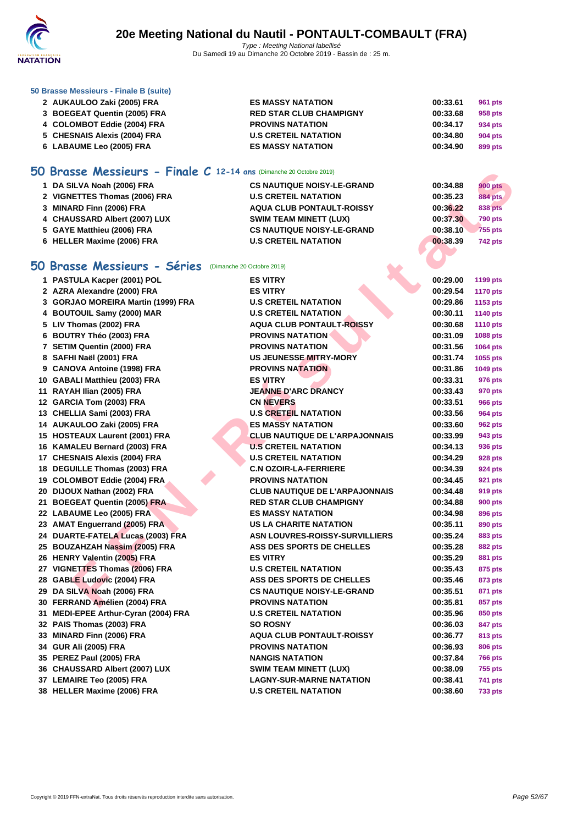

#### **[50 Brasse](http://www.ffnatation.fr/webffn/index.php) Messieurs - Finale B (suite)**

| 2 AUKAULOO Zaki (2005) FRA   | <b>ES MASSY NATATION</b>       | 00:33.61 | 961 pts |
|------------------------------|--------------------------------|----------|---------|
| 3 BOEGEAT Quentin (2005) FRA | <b>RED STAR CLUB CHAMPIGNY</b> | 00:33.68 | 958 pts |
| 4 COLOMBOT Eddie (2004) FRA  | <b>PROVINS NATATION</b>        | 00:34.17 | 934 pts |
| 5 CHESNAIS Alexis (2004) FRA | <b>U.S CRETEIL NATATION</b>    | 00:34.80 | 904 pts |
| 6 LABAUME Leo (2005) FRA     | <b>ES MASSY NATATION</b>       | 00:34.90 | 899 pts |

## **50 Brasse Messieurs - Finale C 12-14 ans** (Dimanche 20 Octobre 2019)

| 1 DA SILVA Noah (2006) FRA    | <b>CS NAUTIQUE NOISY-LE-GRAND</b> | 00:34.88 | <b>900 pts</b> |
|-------------------------------|-----------------------------------|----------|----------------|
| 2 VIGNETTES Thomas (2006) FRA | <b>U.S CRETEIL NATATION</b>       | 00:35.23 | <b>884 pts</b> |
| 3 MINARD Finn (2006) FRA      | <b>AQUA CLUB PONTAULT-ROISSY</b>  | 00:36.22 | 838 pts        |
| 4 CHAUSSARD Albert (2007) LUX | <b>SWIM TEAM MINETT (LUX)</b>     | 00:37.30 | <b>790 pts</b> |
| 5 GAYE Matthieu (2006) FRA    | <b>CS NAUTIQUE NOISY-LE-GRAND</b> | 00:38.10 | 755 pts        |
| 6 HELLER Maxime (2006) FRA    | <b>U.S CRETEIL NATATION</b>       | 00:38.39 | <b>742 pts</b> |

## **50 Brasse Messieurs - Séries** (Dimanche 20 Octobre 2019)

| <b>Brasse Messieurs - Finale C 12-14 ans (Dimanche 20 Octobre 2019)</b> |                                       |          |                 |
|-------------------------------------------------------------------------|---------------------------------------|----------|-----------------|
| 1 DA SILVA Noah (2006) FRA                                              | <b>CS NAUTIQUE NOISY-LE-GRAND</b>     | 00:34.88 | <b>900 pts</b>  |
| 2 VIGNETTES Thomas (2006) FRA                                           | <b>U.S CRETEIL NATATION</b>           | 00:35.23 | <b>884 pts</b>  |
| 3 MINARD Finn (2006) FRA                                                | <b>AQUA CLUB PONTAULT-ROISSY</b>      | 00:36.22 | 838 pts         |
| 4 CHAUSSARD Albert (2007) LUX                                           | <b>SWIM TEAM MINETT (LUX)</b>         | 00:37.30 | <b>790 pts</b>  |
| 5 GAYE Matthieu (2006) FRA                                              | <b>CS NAUTIQUE NOISY-LE-GRAND</b>     | 00:38.10 | <b>755 pts</b>  |
| 6 HELLER Maxime (2006) FRA                                              | <b>U.S CRETEIL NATATION</b>           | 00:38.39 | <b>742 pts</b>  |
|                                                                         |                                       |          |                 |
| <b>iO Brasse Messieurs - Séries</b>                                     | (Dimanche 20 Octobre 2019)            |          |                 |
| 1 PASTULA Kacper (2001) POL                                             | <b>ES VITRY</b>                       | 00:29.00 | 1199 pts        |
| 2 AZRA Alexandre (2000) FRA                                             | <b>ES VITRY</b>                       | 00:29.54 | <b>1170 pts</b> |
| 3 GORJAO MOREIRA Martin (1999) FRA                                      | <b>U.S CRETEIL NATATION</b>           | 00:29.86 | 1153 pts        |
| 4 BOUTOUIL Samy (2000) MAR                                              | <b>U.S CRETEIL NATATION</b>           | 00:30.11 | 1140 pts        |
| 5 LIV Thomas (2002) FRA                                                 | <b>AQUA CLUB PONTAULT-ROISSY</b>      | 00:30.68 | <b>1110 pts</b> |
| 6 BOUTRY Théo (2003) FRA                                                | <b>PROVINS NATATION</b>               | 00:31.09 | 1088 pts        |
| 7 SETIM Quentin (2000) FRA                                              | <b>PROVINS NATATION</b>               | 00:31.56 | 1064 pts        |
| 8 SAFHI Naël (2001) FRA                                                 | <b>US JEUNESSE MITRY-MORY</b>         | 00:31.74 | 1055 pts        |
| 9 CANOVA Antoine (1998) FRA                                             | <b>PROVINS NATATION</b>               | 00:31.86 | 1049 pts        |
| 10 GABALI Matthieu (2003) FRA                                           | <b>ES VITRY</b>                       | 00:33.31 | 976 pts         |
| 11 RAYAH Ilian (2005) FRA                                               | <b>JEANNE D'ARC DRANCY</b>            | 00:33.43 | 970 pts         |
| 12 GARCIA Tom (2003) FRA                                                | <b>CN NEVERS</b>                      | 00:33.51 | <b>966 pts</b>  |
| 13 CHELLIA Sami (2003) FRA                                              | <b>U.S CRETEIL NATATION</b>           | 00:33.56 | <b>964 pts</b>  |
| 14 AUKAULOO Zaki (2005) FRA                                             | <b>ES MASSY NATATION</b>              | 00:33.60 | <b>962 pts</b>  |
| 15 HOSTEAUX Laurent (2001) FRA                                          | <b>CLUB NAUTIQUE DE L'ARPAJONNAIS</b> | 00:33.99 | 943 pts         |
| 16 KAMALEU Bernard (2003) FRA                                           | <b>U.S CRETEIL NATATION</b>           | 00:34.13 | 936 pts         |
| 17 CHESNAIS Alexis (2004) FRA                                           | <b>U.S CRETEIL NATATION</b>           | 00:34.29 | <b>928 pts</b>  |
| 18 DEGUILLE Thomas (2003) FRA                                           | <b>C.N OZOIR-LA-FERRIERE</b>          | 00:34.39 | 924 pts         |
| 19 COLOMBOT Eddie (2004) FRA                                            | <b>PROVINS NATATION</b>               | 00:34.45 | 921 pts         |
| 20 DIJOUX Nathan (2002) FRA                                             | <b>CLUB NAUTIQUE DE L'ARPAJONNAIS</b> | 00:34.48 | <b>919 pts</b>  |
| 21 BOEGEAT Quentin (2005) FRA                                           | <b>RED STAR CLUB CHAMPIGNY</b>        | 00:34.88 | <b>900 pts</b>  |
| 22 LABAUME Leo (2005) FRA                                               | <b>ES MASSY NATATION</b>              | 00:34.98 | 896 pts         |
| 23 AMAT Enguerrand (2005) FRA                                           | <b>US LA CHARITE NATATION</b>         | 00:35.11 | 890 pts         |
| 24 DUARTE-FATELA Lucas (2003) FRA                                       | <b>ASN LOUVRES-ROISSY-SURVILLIERS</b> | 00:35.24 | 883 pts         |
| 25 BOUZAHZAH Nassim (2005) FRA                                          | ASS DES SPORTS DE CHELLES             | 00:35.28 | 882 pts         |
| 26 HENRY Valentin (2005) FRA                                            | <b>ES VITRY</b>                       | 00:35.29 | 881 pts         |
| 27 VIGNETTES Thomas (2006) FRA                                          | <b>U.S CRETEIL NATATION</b>           | 00:35.43 | 875 pts         |
| 28 GABLE Ludovic (2004) FRA                                             | ASS DES SPORTS DE CHELLES             | 00:35.46 | 873 pts         |
| 29 DA SILVA Noah (2006) FRA                                             | <b>CS NAUTIQUE NOISY-LE-GRAND</b>     | 00:35.51 | 871 pts         |
| 30 FERRAND Amélien (2004) FRA                                           | <b>PROVINS NATATION</b>               | 00:35.81 | 857 pts         |
| 31 MEDI-EPEE Arthur-Cyran (2004) FRA                                    | <b>U.S CRETEIL NATATION</b>           | 00:35.96 | 850 pts         |
| 32 PAIS Thomas (2003) FRA                                               | <b>SO ROSNY</b>                       | 00:36.03 | 847 pts         |
| 33 MINARD Finn (2006) FRA                                               | AQUA CLUB PONTAULT-ROISSY             | 00:36.77 | 813 pts         |
| 34 GUR Ali (2005) FRA                                                   | <b>PROVINS NATATION</b>               | 00:36.93 | 806 pts         |
| 35 PEREZ Paul (2005) FRA                                                | <b>NANGIS NATATION</b>                | 00:37.84 | <b>766 pts</b>  |
| 36 CHAUSSARD Albert (2007) LUX                                          | <b>SWIM TEAM MINETT (LUX)</b>         | 00:38.09 | 755 pts         |
| 37 LEMAIRE Teo (2005) FRA                                               | <b>LAGNY-SUR-MARNE NATATION</b>       | 00:38.41 | 741 pts         |
| 38 HELLER Maxime (2006) FRA                                             | <b>U.S CRETEIL NATATION</b>           | 00:38.60 | 733 pts         |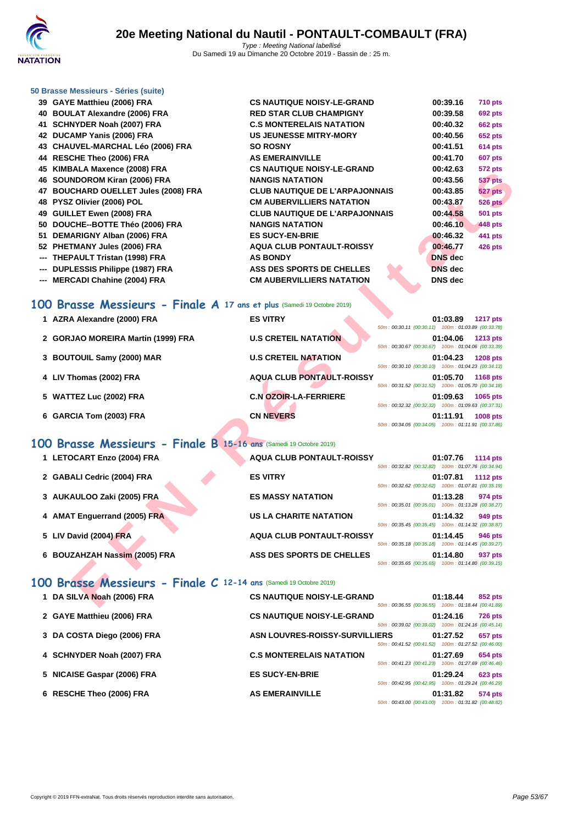

#### **[50 Brasse](http://www.ffnatation.fr/webffn/index.php) Messieurs - Séries (suite)**

| 39 GAYE Matthieu (2006) FRA          | <b>CS NAUTIQUE NOISY-LE-GRAND</b>     | 00:39.16       | <b>710 pts</b> |
|--------------------------------------|---------------------------------------|----------------|----------------|
| 40 BOULAT Alexandre (2006) FRA       | <b>RED STAR CLUB CHAMPIGNY</b>        | 00:39.58       | <b>692 pts</b> |
| 41 SCHNYDER Noah (2007) FRA          | <b>C.S MONTERELAIS NATATION</b>       | 00:40.32       | <b>662 pts</b> |
| 42 DUCAMP Yanis (2006) FRA           | <b>US JEUNESSE MITRY-MORY</b>         | 00:40.56       | <b>652 pts</b> |
| 43 CHAUVEL-MARCHAL Léo (2006) FRA    | <b>SO ROSNY</b>                       | 00:41.51       | <b>614 pts</b> |
| 44 RESCHE Theo (2006) FRA            | <b>AS EMERAINVILLE</b>                | 00:41.70       | <b>607 pts</b> |
| 45 KIMBALA Maxence (2008) FRA        | <b>CS NAUTIQUE NOISY-LE-GRAND</b>     | 00:42.63       | <b>572 pts</b> |
| 46 SOUNDOROM Kiran (2006) FRA        | <b>NANGIS NATATION</b>                | 00:43.56       | <b>537 pts</b> |
| 47 BOUCHARD OUELLET Jules (2008) FRA | <b>CLUB NAUTIQUE DE L'ARPAJONNAIS</b> | 00:43.85       | <b>527 pts</b> |
| 48 PYSZ Olivier (2006) POL           | <b>CM AUBERVILLIERS NATATION</b>      | 00:43.87       | <b>526 pts</b> |
| 49 GUILLET Ewen (2008) FRA           | <b>CLUB NAUTIQUE DE L'ARPAJONNAIS</b> | 00:44.58       | <b>501 pts</b> |
| 50 DOUCHE--BOTTE Théo (2006) FRA     | <b>NANGIS NATATION</b>                | 00:46.10       | 448 pts        |
| 51 DEMARIGNY Alban (2006) FRA        | <b>ES SUCY-EN-BRIE</b>                | 00:46.32       | 441 pts        |
| 52 PHETMANY Jules (2006) FRA         | <b>AQUA CLUB PONTAULT-ROISSY</b>      | 00:46.77       | <b>426 pts</b> |
| --- THEPAULT Tristan (1998) FRA      | <b>AS BONDY</b>                       | <b>DNS</b> dec |                |
| --- DUPLESSIS Philippe (1987) FRA    | ASS DES SPORTS DE CHELLES             | <b>DNS</b> dec |                |
| --- MERCADI Chahine (2004) FRA       | <b>CM AUBERVILLIERS NATATION</b>      | <b>DNS</b> dec |                |
|                                      |                                       |                |                |

## **100 Brasse Messieurs - Finale A 17 ans et plus** (Samedi 19 Octobre 2019)

| J KINDALA MAXCIKC (2000) I KA                                          |                                       | 00.TZ.UJ<br>υ≀∡ μιο                                                               |
|------------------------------------------------------------------------|---------------------------------------|-----------------------------------------------------------------------------------|
| 6 SOUNDOROM Kiran (2006) FRA                                           | <b>NANGIS NATATION</b>                | 00:43.56<br><b>537 pts</b>                                                        |
| 7 BOUCHARD OUELLET Jules (2008) FRA                                    | <b>CLUB NAUTIQUE DE L'ARPAJONNAIS</b> | 00:43.85<br>527 pts                                                               |
| 8 PYSZ Olivier (2006) POL                                              | <b>CM AUBERVILLIERS NATATION</b>      | 00:43.87<br><b>526 pts</b>                                                        |
| 9 GUILLET Ewen (2008) FRA                                              | <b>CLUB NAUTIQUE DE L'ARPAJONNAIS</b> | 00:44.58<br><b>501 pts</b>                                                        |
| 0 DOUCHE--BOTTE Théo (2006) FRA                                        | <b>NANGIS NATATION</b>                | 00:46.10<br>448 pts                                                               |
| 1 DEMARIGNY Alban (2006) FRA                                           | <b>ES SUCY-EN-BRIE</b>                | 00:46.32<br>441 pts                                                               |
| 2 PHETMANY Jules (2006) FRA                                            | <b>AQUA CLUB PONTAULT-ROISSY</b>      | 00:46.77<br><b>426 pts</b>                                                        |
| -- THEPAULT Tristan (1998) FRA                                         | <b>AS BONDY</b>                       | <b>DNS</b> dec                                                                    |
| -- DUPLESSIS Philippe (1987) FRA                                       | ASS DES SPORTS DE CHELLES             | <b>DNS</b> dec                                                                    |
| -- MERCADI Chahine (2004) FRA                                          | <b>CM AUBERVILLIERS NATATION</b>      | <b>DNS</b> dec                                                                    |
| 10 Brasse Messieurs - Finale A 17 ans et plus (Samedi 19 Octobre 2019) |                                       |                                                                                   |
| 1 AZRA Alexandre (2000) FRA                                            | <b>ES VITRY</b>                       | 01:03.89<br><b>1217 pts</b>                                                       |
|                                                                        |                                       | 50m: 00:30.11 (00:30.11) 100m: 01:03.89 (00:33.78)                                |
| 2 GORJAO MOREIRA Martin (1999) FRA                                     | <b>U.S CRETEIL NATATION</b>           | 01:04.06<br><b>1213 pts</b><br>50m: 00:30.67 (00:30.67) 100m: 01:04.06 (00:33.39) |
| 3 BOUTOUIL Samy (2000) MAR                                             | <b>U.S CRETEIL NATATION</b>           | 01:04.23<br><b>1208 pts</b>                                                       |
|                                                                        |                                       | 50m: 00:30.10 (00:30.10) 100m: 01:04.23 (00:34.13)                                |
| 4 LIV Thomas (2002) FRA                                                | <b>AQUA CLUB PONTAULT-ROISSY</b>      | 01:05.70<br>1168 pts                                                              |
|                                                                        |                                       | 50m: 00:31.52 (00:31.52) 100m: 01:05.70 (00:34.18)                                |
| 5 WATTEZ Luc (2002) FRA                                                | <b>C.N OZOIR-LA-FERRIERE</b>          | 01:09.63<br>1065 pts                                                              |
|                                                                        | <b>CN NEVERS</b>                      | 50m: 00:32.32 (00:32.32) 100m: 01:09.63 (00:37.31)                                |
| 6 GARCIA Tom (2003) FRA                                                |                                       | 01:11.91<br><b>1008 pts</b><br>50m: 00:34.05 (00:34.05) 100m: 01:11.91 (00:37.86) |
|                                                                        |                                       |                                                                                   |
| 10 Brasse Messieurs - Finale B 15-16 ans (Samedi 19 Octobre 2019)      |                                       |                                                                                   |
| 1 LETOCART Enzo (2004) FRA                                             | <b>AQUA CLUB PONTAULT-ROISSY</b>      | 01:07.76<br><b>1114 pts</b>                                                       |
|                                                                        |                                       | 50m: 00:32.82 (00:32.82) 100m: 01:07.76 (00:34.94)                                |
| 2 GABALI Cedric (2004) FRA                                             | <b>ES VITRY</b>                       | 01:07.81<br><b>1112 pts</b>                                                       |
|                                                                        |                                       | 50m: 00:32.62 (00:32.62) 100m: 01:07.81 (00:35.19)                                |
| 3 AUKAULOO Zaki (2005) FRA                                             | <b>ES MASSY NATATION</b>              | 01:13.28<br>974 pts<br>50m: 00:35.01 (00:35.01) 100m: 01:13.28 (00:38.27)         |
| 4 AMAT Enguerrand (2005) FRA                                           | <b>US LA CHARITE NATATION</b>         | 01:14.32<br>949 pts                                                               |
|                                                                        |                                       | 50m: 00:35.45 (00:35.45) 100m: 01:14.32 (00:38.87)                                |
| 5 LIV David (2004) FRA                                                 | <b>AQUA CLUB PONTAULT-ROISSY</b>      | 01:14.45<br><b>946 pts</b>                                                        |
|                                                                        |                                       | 50m: 00:35.18 (00:35.18) 100m: 01:14.45 (00:39.27)                                |
| 6 BOUZAHZAH Nassim (2005) FRA                                          | ASS DES SPORTS DE CHELLES             | 01:14.80<br>937 pts                                                               |
|                                                                        |                                       | 50m: 00:35.65 (00:35.65) 100m: 01:14.80 (00:39.15)                                |
|                                                                        |                                       |                                                                                   |
| O Brasse Messieurs - Finale C 12-14 ans (Samedi 19 Octobre 2019)       |                                       |                                                                                   |
| 1 DA SILVA Noah (2006) FRA                                             | <b>CS NAUTIQUE NOISY-LE-GRAND</b>     | 01:18.44<br>852 pts                                                               |
|                                                                        |                                       | 50m: 00:36.55 (00:36.55) 100m: 01:18.44 (00:41.89)                                |

## **100 Brasse Messieurs - Finale B 15-16 ans** (Samedi 19 Octobre 2019)

| 1 LETOCART Enzo (2004) FRA    | <b>AQUA CLUB PONTAULT-ROISSY</b> | 01:07.76<br><b>1114 pts</b>                                                       |
|-------------------------------|----------------------------------|-----------------------------------------------------------------------------------|
| 2 GABALI Cedric (2004) FRA    | <b>ES VITRY</b>                  | 50m: 00:32.82 (00:32.82) 100m: 01:07.76 (00:34.94)<br>01:07.81<br><b>1112 pts</b> |
| 3 AUKAULOO Zaki (2005) FRA    | <b>ES MASSY NATATION</b>         | 50m: 00:32.62 (00:32.62) 100m: 01:07.81 (00:35.19)<br>01:13.28<br>974 pts         |
| 4 AMAT Enguerrand (2005) FRA  | US LA CHARITE NATATION           | 50m: 00:35.01 (00:35.01) 100m: 01:13.28 (00:38.27)<br>01:14.32<br>949 pts         |
| 5 LIV David (2004) FRA        | <b>AQUA CLUB PONTAULT-ROISSY</b> | 50m: 00:35.45 (00:35.45) 100m: 01:14.32 (00:38.87)<br>01:14.45<br><b>946 pts</b>  |
|                               | ASS DES SPORTS DE CHELLES        | 50m: 00:35.18 (00:35.18) 100m: 01:14.45 (00:39.27)<br>01:14.80                    |
| 6 BOUZAHZAH Nassim (2005) FRA |                                  | 937 pts<br>50m: 00:35.65 (00:35.65) 100m: 01:14.80 (00:39.15)                     |

## **100 Brasse Messieurs - Finale C 12-14 ans** (Samedi 19 Octobre 2019)

| 1 DA SILVA Noah (2006) FRA  | <b>CS NAUTIQUE NOISY-LE-GRAND</b>     | 50m: 00:36.55 (00:36.55)                           | 01:18.44<br>100m: 01:18.44 (00:41.89) | 852 pts        |
|-----------------------------|---------------------------------------|----------------------------------------------------|---------------------------------------|----------------|
| 2 GAYE Matthieu (2006) FRA  | <b>CS NAUTIQUE NOISY-LE-GRAND</b>     | 50m: 00:39.02 (00:39.02)                           | 01:24.16<br>100m: 01:24.16 (00:45.14) | <b>726 pts</b> |
| 3 DA COSTA Diego (2006) FRA | <b>ASN LOUVRES-ROISSY-SURVILLIERS</b> | 50m: 00:41.52 (00:41.52)                           | 01:27.52<br>100m: 01:27.52 (00:46.00) | 657 pts        |
| 4 SCHNYDER Noah (2007) FRA  | <b>C.S MONTERELAIS NATATION</b>       | 50m: 00:41.23 (00:41.23) 100m: 01:27.69 (00:46.46) | 01:27.69                              | 654 pts        |
| 5 NICAISE Gaspar (2006) FRA | <b>ES SUCY-EN-BRIE</b>                | 50m: 00:42.95 (00:42.95)                           | 01:29.24<br>100m: 01:29.24 (00:46.29) | <b>623 pts</b> |
| 6 RESCHE Theo (2006) FRA    | <b>AS EMERAINVILLE</b>                | 50m : 00:43.00 (00:43.00)                          | 01:31.82<br>100m: 01:31.82 (00:48.82) | 574 pts        |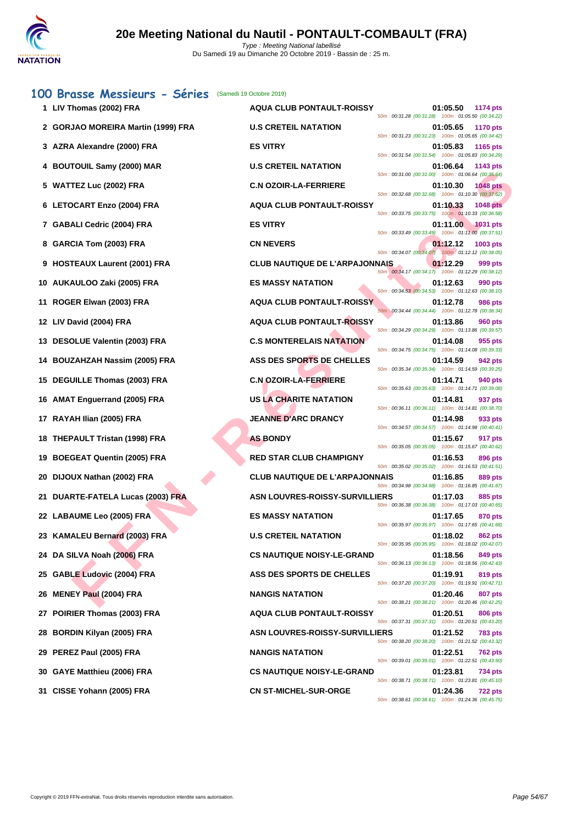| 100 Brasse Messieurs - Séries            | (Samedi 19 Octobre 2019)              | 01:05.50                                                                          |
|------------------------------------------|---------------------------------------|-----------------------------------------------------------------------------------|
| 1 LIV Thomas (2002) FRA                  | <b>AQUA CLUB PONTAULT-ROISSY</b>      | 1174 pts<br>50m: 00:31.28 (00:31.28) 100m: 01:05.50 (00:34.22)                    |
| 2 GORJAO MOREIRA Martin (1999) FRA       | <b>U.S CRETEIL NATATION</b>           | 01:05.65<br><b>1170 pts</b><br>50m: 00:31.23 (00:31.23) 100m: 01:05.65 (00:34.42) |
| 3 AZRA Alexandre (2000) FRA              | <b>ES VITRY</b>                       | 01:05.83<br><b>1165 pts</b><br>50m: 00:31.54 (00:31.54) 100m: 01:05.83 (00:34.29) |
| 4 BOUTOUIL Samy (2000) MAR               | <b>U.S CRETEIL NATATION</b>           | 01:06.64<br>1143 pts<br>50m: 00:31.00 (00:31.00) 100m: 01:06.64 (00:35.64)        |
| 5 WATTEZ Luc (2002) FRA                  | <b>C.N OZOIR-LA-FERRIERE</b>          | 01:10.30<br><b>1048 pts</b><br>50m: 00:32.68 (00:32.68) 100m: 01:10.30 (00:37.62) |
| 6 LETOCART Enzo (2004) FRA               | <b>AQUA CLUB PONTAULT-ROISSY</b>      | 01:10.33<br><b>1048 pts</b><br>50m: 00:33.75 (00:33.75) 100m: 01:10.33 (00:36.58) |
| 7 GABALI Cedric (2004) FRA               | <b>ES VITRY</b>                       | 01:11.00<br><b>1031 pts</b><br>50m: 00:33.49 (00:33.49) 100m: 01:11.00 (00:37.51) |
| 8 GARCIA Tom (2003) FRA                  | <b>CN NEVERS</b>                      | 01:12.12<br>1003 pts<br>50m: 00:34.07 (00:34.07) 100m: 01:12.12 (00:38.05)        |
| 9 HOSTEAUX Laurent (2001) FRA            | <b>CLUB NAUTIQUE DE L'ARPAJONNAIS</b> | 01:12.29<br>999 pts                                                               |
| AUKAULOO Zaki (2005) FRA<br>10           | <b>ES MASSY NATATION</b>              | 50m : 00:34.17 (00:34.17) 100m : 01:12.29 (00:38.12)<br>01:12.63<br>990 pts       |
| ROGER Elwan (2003) FRA<br>11             | <b>AQUA CLUB PONTAULT-ROISSY</b>      | 50m: 00:34.53 (00:34.53) 100m: 01:12.63 (00:38.10)<br>01:12.78<br>986 pts         |
| 12 LIV David (2004) FRA                  | <b>AQUA CLUB PONTAULT-ROISSY</b>      | 50m: 00:34.44 (00:34.44) 100m: 01:12.78 (00:38.34)<br>01:13.86<br>960 pts         |
| <b>DESOLUE Valentin (2003) FRA</b><br>13 | <b>C.S MONTERELAIS NATATION</b>       | 50m: 00:34.29 (00:34.29) 100m: 01:13.86 (00:39.57)<br>01:14.08<br>955 pts         |
| <b>BOUZAHZAH Nassim (2005) FRA</b>       | ASS DES SPORTS DE CHELLES             | 50m: 00:34.75 (00:34.75) 100m: 01:14.08 (00:39.33)<br>01:14.59<br>942 pts         |
| 15 DEGUILLE Thomas (2003) FRA            | <b>C.N OZOIR-LA-FERRIERE</b>          | 50m: 00:35.34 (00:35.34) 100m: 01:14.59 (00:39.25)<br>01:14.71<br>940 pts         |
| <b>AMAT Enguerrand (2005) FRA</b><br>16  | US LA CHARITE NATATION                | 50m: 00:35.63 (00:35.63) 100m: 01:14.71 (00:39.08)<br>01:14.81<br>937 pts         |
| RAYAH Ilian (2005) FRA<br>17             | <b>JEANNE D'ARC DRANCY</b>            | 50m: 00:36.11 (00:36.11) 100m: 01:14.81 (00:38.70)<br>01:14.98<br>933 pts         |
| <b>THEPAULT Tristan (1998) FRA</b><br>18 | <b>AS BONDY</b>                       | 50m: 00:34.57 (00:34.57) 100m: 01:14.98 (00:40.41)<br>01:15.67<br>917 pts         |
| <b>BOEGEAT Quentin (2005) FRA</b><br>19  | <b>RED STAR CLUB CHAMPIGNY</b>        | 50m: 00:35.05 (00:35.05) 100m: 01:15.67 (00:40.62)<br>01:16.53<br>896 pts         |
| DIJOUX Nathan (2002) FRA<br>20           | <b>CLUB NAUTIQUE DE L'ARPAJONNAIS</b> | 50m: 00:35.02 (00:35.02) 100m: 01:16.53 (00:41.51)<br>01:16.85<br>889 pts         |
| DUARTE-FATELA Lucas (2003) FRA<br>21     | <b>ASN LOUVRES-ROISSY-SURVILLIERS</b> | 50m: 00:34.98 (00:34.98) 100m: 01:16.85 (00:41.87)<br>01:17.03<br>885 pts         |
| 22 LABAUME Leo (2005) FRA                | <b>ES MASSY NATATION</b>              | 50m: 00:36.38 (00:36.38) 100m: 01:17.03 (00:40.65)<br>01:17.65<br>870 pts         |
| 23 KAMALEU Bernard (2003) FRA            | <b>U.S CRETEIL NATATION</b>           | 50m: 00:35.97 (00:35.97) 100m: 01:17.65 (00:41.68)<br>01:18.02<br>862 pts         |
| 24 DA SILVA Noah (2006) FRA              | <b>CS NAUTIQUE NOISY-LE-GRAND</b>     | 50m: 00:35.95 (00:35.95) 100m: 01:18.02 (00:42.07)<br>01:18.56<br>849 pts         |
| <b>GABLE Ludovic (2004) FRA</b><br>25    | ASS DES SPORTS DE CHELLES             | 50m: 00:36.13 (00:36.13) 100m: 01:18.56 (00:42.43)<br>01:19.91<br>819 pts         |
|                                          |                                       | 50m: 00:37.20 (00:37.20) 100m: 01:19.91 (00:42.71)                                |
| <b>MENEY Paul (2004) FRA</b><br>26       | <b>NANGIS NATATION</b>                | 01:20.46<br>807 pts<br>50m: 00:38.21 (00:38.21) 100m: 01:20.46 (00:42.25)         |
| POIRIER Thomas (2003) FRA                | <b>AQUA CLUB PONTAULT-ROISSY</b>      | 01:20.51<br>806 pts<br>50m: 00:37.31 (00:37.31) 100m: 01:20.51 (00:43.20)         |
| <b>BORDIN Kilyan (2005) FRA</b><br>28    | <b>ASN LOUVRES-ROISSY-SURVILLIERS</b> | 01:21.52<br><b>783 pts</b><br>50m: 00:38.20 (00:38.20) 100m: 01:21.52 (00:43.32)  |
| PEREZ Paul (2005) FRA<br>29              | <b>NANGIS NATATION</b>                | 01:22.51<br><b>762 pts</b><br>50m: 00:39.01 (00:39.01) 100m: 01:22.51 (00:43.50)  |
| GAYE Matthieu (2006) FRA<br>30           | <b>CS NAUTIQUE NOISY-LE-GRAND</b>     | 01:23.81<br>734 pts<br>50m: 00:38.71 (00:38.71) 100m: 01:23.81 (00:45.10)         |
| CISSE Yohann (2005) FRA<br>31            | <b>CN ST-MICHEL-SUR-ORGE</b>          | 01:24.36<br><b>722 pts</b><br>50m: 00:38.61 (00:38.61) 100m: 01:24.36 (00:45.75)  |
|                                          |                                       |                                                                                   |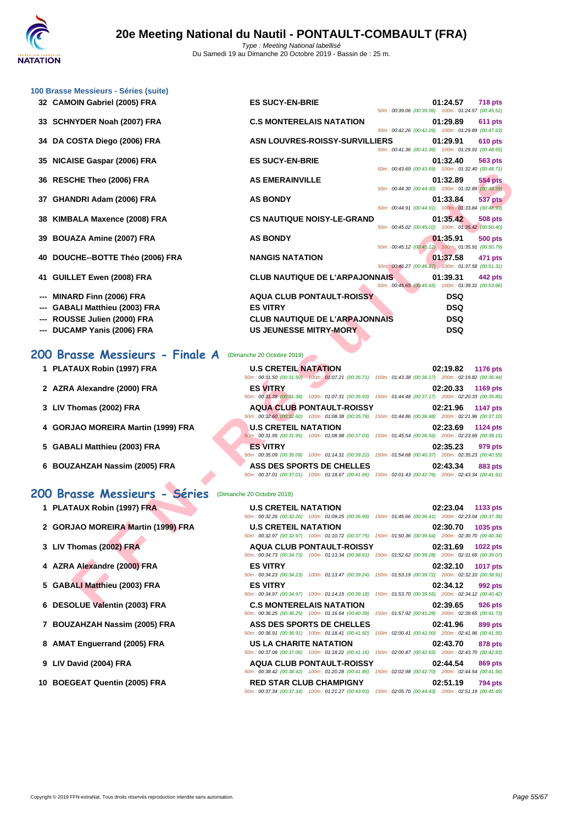

| 100 Brasse Messieurs - Séries (suite)                         |                                                                                                                                                            |                 |
|---------------------------------------------------------------|------------------------------------------------------------------------------------------------------------------------------------------------------------|-----------------|
| 32 CAMOIN Gabriel (2005) FRA                                  | <b>ES SUCY-EN-BRIE</b><br>01:24.57                                                                                                                         | <b>718 pts</b>  |
| <b>SCHNYDER Noah (2007) FRA</b><br>33                         | 50m: 00:39.06 (00:39.06) 100m: 01:24.57 (00:45.51)<br><b>C.S MONTERELAIS NATATION</b><br>01:29.89                                                          | 611 pts         |
|                                                               | 50m: 00:42.26 (00:42.26) 100m: 01:29.89 (00:47.63)                                                                                                         |                 |
| 34 DA COSTA Diego (2006) FRA                                  | <b>ASN LOUVRES-ROISSY-SURVILLIERS</b><br>01:29.91<br>50m: 00:41.36 (00:41.36) 100m: 01:29.91 (00:48.55)                                                    | <b>610 pts</b>  |
| NICAISE Gaspar (2006) FRA<br>35                               | <b>ES SUCY-EN-BRIE</b><br>01:32.40<br>50m: 00:43.69 (00:43.69) 100m: 01:32.40 (00:48.71)                                                                   | 563 pts         |
| <b>RESCHE Theo (2006) FRA</b><br>36                           | <b>AS EMERAINVILLE</b><br>01:32.89                                                                                                                         | 554 pts         |
| GHANDRI Adam (2006) FRA                                       | 50m: 00:44.30 (00:44.30) 100m: 01:32.89 (00:48.59)                                                                                                         |                 |
| 37                                                            | <b>AS BONDY</b><br>01:33.84<br>50m: 00:44.91 (00:44.91) 100m: 01:33.84 (00:48.93)                                                                          | <b>537 pts</b>  |
| KIMBALA Maxence (2008) FRA<br>38                              | <b>CS NAUTIQUE NOISY-LE-GRAND</b><br>01:35.42<br>50m: 00:45.02 (00:45.02) 100m: 01:35.42 (00:50.40)                                                        | <b>508 pts</b>  |
| <b>BOUAZA Amine (2007) FRA</b><br>39                          | <b>AS BONDY</b><br>01:35.91                                                                                                                                | <b>500 pts</b>  |
| DOUCHE--BOTTE Théo (2006) FRA<br>40                           | 50m: 00:45.12 (00:45.12) 100m: 01:35.91 (00:50.79)<br><b>NANGIS NATATION</b><br>01:37.58                                                                   |                 |
|                                                               | 50m: 00:46.27 (00:46.27) 100m: 01:37.58 (00:51.31)                                                                                                         | 471 pts         |
| <b>GUILLET Ewen (2008) FRA</b><br>41                          | <b>CLUB NAUTIQUE DE L'ARPAJONNAIS</b><br>01:39.31<br>50m: 00:45.65 (00:45.65) 100m: 01:39.31 (00:53.66)                                                    | 442 pts         |
| <b>MINARD Finn (2006) FRA</b>                                 | <b>DSQ</b><br><b>AQUA CLUB PONTAULT-ROISSY</b>                                                                                                             |                 |
| <b>GABALI Matthieu (2003) FRA</b>                             | <b>DSQ</b><br><b>ES VITRY</b>                                                                                                                              |                 |
| ROUSSE Julien (2000) FRA                                      | <b>CLUB NAUTIQUE DE L'ARPAJONNAIS</b><br><b>DSQ</b>                                                                                                        |                 |
| DUCAMP Yanis (2006) FRA                                       | <b>US JEUNESSE MITRY-MORY</b><br><b>DSQ</b>                                                                                                                |                 |
| 200 Brasse Messieurs - Finale A<br>1 PLATAUX Robin (1997) FRA | <b>U.S CRETEIL NATATION</b><br>02:19.82<br>50m: 00:31.50 (00:31.50) 100m: 01:07.21 (00:35.71) 150m: 01:43.38 (00:36.17) 200m: 02:19.82 (00:36.44)          | <b>1176 pts</b> |
| 2 AZRA Alexandre (2000) FRA                                   | <b>ES VITRY</b><br>02:20.33                                                                                                                                | 1169 pts        |
|                                                               | 50m: 00:31.38 (00:31.38) 100m: 01:07.31 (00:35.93) 150m: 01:44.48 (00:37.17) 200m: 02:20.33 (00:35.85)                                                     |                 |
| 3 LIV Thomas (2002) FRA                                       | <b>AQUA CLUB PONTAULT-ROISSY</b><br>02:21.96<br>50m : 00:32.60 (00:32.60) 100m : 01:08.38 (00:35.78) 150m : 01:44.86 (00:36.48) 200m : 02:21.96 (00:37.10) | 1147 pts        |
| 4 GORJAO MOREIRA Martin (1999) FRA                            | <b>U.S CRETEIL NATATION</b><br>02:23.69                                                                                                                    | <b>1124 pts</b> |
| 5 GABALI Matthieu (2003) FRA                                  | 50m: 00:31.95 (00:31.95) 100m: 01:08.98 (00:37.03) 150m: 01:45.54 (00:36.56) 200m: 02:23.69 (00:38.15)<br><b>ES VITRY</b><br>02:35.23                      | 979 pts         |
|                                                               | 50m: 00:35.09 (00:35.09) 100m: 01:14.31 (00:39.22) 150m: 01:54.68 (00:40.37) 200m: 02:35.23 (00:40.55)                                                     |                 |
| 6 BOUZAHZAH Nassim (2005) FRA                                 | ASS DES SPORTS DE CHELLES<br>02:43.34                                                                                                                      | 883 pts         |
|                                                               | 50m: 00:37.01 (00:37.01) 100m: 01:18.67 (00:41.66) 150m: 02:01.43 (00:42.76) 200m: 02:43.34 (00:41.91)                                                     |                 |
| 200 Brasse Messieurs - Séries                                 | (Dimanche 20 Octobre 2019)                                                                                                                                 |                 |
| 1 PLATAUX Robin (1997) FRA                                    | <b>U.S CRETEIL NATATION</b><br>02:23.04<br>50m: 00:32.26 (00:32.26) 100m: 01:09.25 (00:36.99) 150m: 01:45.66 (00:36.41) 200m: 02:23.04 (00:37.38)          | 1133 pts        |
| 2 GORJAO MOREIRA Martin (1999) FRA                            | <b>U.S CRETEIL NATATION</b><br>02:30.70 1035 pts<br>50m: 00:32.97 (00:32.97) 100m: 01:10.72 (00:37.75) 150m: 01:50.36 (00:39.64) 200m: 02:30.70 (00:40.34) |                 |
| 3 LIV Thomas (2002) FRA                                       | <b>AQUA CLUB PONTAULT-ROISSY</b><br>02:31.69                                                                                                               | <b>1022 pts</b> |
|                                                               | 50m: 00:34.73 (00:34.73) 100m: 01:13.34 (00:38.61) 150m: 01:52.62 (00:39.28) 200m: 02:31.69 (00:39.07)                                                     |                 |
| 4 AZRA Alexandre (2000) FRA                                   | <b>ES VITRY</b><br>02:32.10<br>50m: 00:34.23 (00:34.23) 100m: 01:13.47 (00:39.24) 150m: 01:53.19 (00:39.72) 200m: 02:32.10 (00:38.91)                      | <b>1017 pts</b> |
| 5 GABALI Matthieu (2003) FRA                                  | <b>ES VITRY</b><br>02:34.12                                                                                                                                | 992 pts         |
|                                                               | 50m: 00:34.97 (00:34.97) 100m: 01:14.15 (00:39.18) 150m: 01:53.70 (00:39.55) 200m: 02:34.12 (00:40.42)                                                     |                 |
| 6 DESOLUE Valentin (2003) FRA                                 | <b>C.S MONTERELAIS NATATION</b><br>02:39.65                                                                                                                | 926 pts         |

### 200 Brasse Messieurs - Finale A (Dimanche 20 Octobre 2019)

- **1 PLATAUX Robin (1997) FRA**
- **2 AZRA Alexandre (2000) FRA**
- **3** LIV Thomas (2002) FRA
- **4 GORJAO MOREIRA Martin (1999) FRA**
- **5 GABALI Matthieu (2003) FRA**
- **6** BOUZAHZAH Nassim (2005) FRA

### 200 Brasse Messieurs - Séri

- **1 PLATAUX Robin (1997) FRA**
- **2 GORJAO MOREIRA Martin (1999) FRA**
- **3 LIV Thomas (2002) FRA**
- **4** AZRA Alexandre (2000) FRA
- **5 GABALI Matthieu (2003) FRA**
- **6 DESOLUE Valentin (2003) FRA**
- **7 BOUZAHZAH Nassim (2005) FRA**
- **8 AMAT Enguerrand (2005) FRA**
- **9** LIV David (2004) FRA
- **10 BOEGEAT Quentin (2005) FRA**

| <b>U.S CRETEIL NATATION</b> |                                                     | 02:19.82<br><b>1176 pts</b>                         |
|-----------------------------|-----------------------------------------------------|-----------------------------------------------------|
|                             | 50m: 00:31.50 (00:31.50) -100m: 01:07.21 (00:35.71) | 150m: 01:43.38 (00:36.17) 200m: 02:19.82 (00:36.44) |
| <b>ES VITRY</b>             |                                                     | 02:20.33<br><b>1169 pts</b>                         |
| 50m: 00:31.38 (00:31.38)    | 100m: 01:07.31 (00:35.93)                           | 150m: 01:44.48 (00:37.17) 200m: 02:20.33 (00:35.85) |
|                             | <b>AQUA CLUB PONTAULT-ROISSY</b>                    | 02:21.96<br><b>1147 pts</b>                         |
|                             | 50m: 00:32.60 (00:32.60) 100m: 01:08.38 (00:35.78)  | 150m: 01:44.86 (00:36.48) 200m: 02:21.96 (00:37.10) |
| <b>U.S CRETEIL NATATION</b> |                                                     | 02:23.69<br><b>1124 pts</b>                         |
| 50m: 00:31.95 (00:31.95)    | 100m: 01:08.98 (00:37.03)                           | 150m: 01:45.54 (00:36.56) 200m: 02:23.69 (00:38.15) |
| <b>ES VITRY</b>             |                                                     | 02:35.23<br>979 pts                                 |
|                             | 50m: 00:35.09 (00:35.09) 100m: 01:14.31 (00:39.22)  | 150m: 01:54.68 (00:40.37) 200m: 02:35.23 (00:40.55) |
|                             | ASS DES SPORTS DE CHELLES                           | 02:43.34<br>883 pts                                 |
| 50m: 00:37.01 (00:37.01)    | 100m: 01:18.67 (00:41.66)                           | 150m: 02:01.43 (00:42.76) 200m: 02:43.34 (00:41.91) |

| es | (Dimanche 20 Octobre 2019) |  |
|----|----------------------------|--|
|    |                            |  |

| <b>U.S CRETEIL NATATION</b>   |                                                                                                        |                                                     | 02:23.04 1133 pts   |  |
|-------------------------------|--------------------------------------------------------------------------------------------------------|-----------------------------------------------------|---------------------|--|
|                               | 50m: 00:32.26 (00:32.26) 100m: 01:09.25 (00:36.99) 150m: 01:45.66 (00:36.41) 200m: 02:23.04 (00:37.38) |                                                     |                     |  |
| <b>U.S CRETEIL NATATION</b>   |                                                                                                        |                                                     | 02:30.70 1035 pts   |  |
|                               | 50m: 00:32.97 (00:32.97) 100m: 01:10.72 (00:37.75) 150m: 01:50.36 (00:39.64) 200m: 02:30.70 (00:40.34) |                                                     |                     |  |
|                               | <b>AQUA CLUB PONTAULT-ROISSY</b>                                                                       |                                                     | 02:31.69 1022 pts   |  |
|                               | 50m: 00:34.73 (00:34.73) 100m: 01:13.34 (00:38.61) 150m: 01:52.62 (00:39.28) 200m: 02:31.69 (00:39.07) |                                                     |                     |  |
| <b>ES VITRY</b>               |                                                                                                        |                                                     | 02:32.10 1017 pts   |  |
|                               | 50m; 00:34.23 (00:34.23) 100m; 01:13.47 (00:39.24) 150m; 01:53.19 (00:39.72) 200m; 02:32.10 (00:38.91) |                                                     |                     |  |
| <b>ES VITRY</b>               |                                                                                                        |                                                     | 02:34.12 992 pts    |  |
|                               | 50m: 00:34.97 (00:34.97) 100m: 01:14.15 (00:39.18) 150m: 01:53.70 (00:39.55) 200m: 02:34.12 (00:40.42) |                                                     |                     |  |
|                               |                                                                                                        |                                                     |                     |  |
|                               | <b>C.S MONTERELAIS NATATION</b>                                                                        |                                                     | 02:39.65<br>926 pts |  |
|                               | 50m: 00:36.25 (00:36.25) 100m: 01:16.64 (00:40.39)                                                     | 150m: 01:57.92 (00:41.28) 200m: 02:39.65 (00:41.73) |                     |  |
|                               | ASS DES SPORTS DE CHELLES                                                                              |                                                     | 02:41.96 899 pts    |  |
|                               | 50m: 00:36.91 (00:36.91) 100m: 01:18.41 (00:41.50) 150m: 02:00.41 (00:42.00) 200m: 02:41.96 (00:41.55) |                                                     |                     |  |
| <b>US LA CHARITE NATATION</b> |                                                                                                        |                                                     | 02:43.70 878 pts    |  |
|                               | 50m: 00:37.06 (00:37.06) 100m: 01:18.22 (00:41.16) 150m: 02:00.87 (00:42.65) 200m: 02:43.70 (00:42.83) |                                                     |                     |  |
|                               | <b>AQUA CLUB PONTAULT-ROISSY</b>                                                                       |                                                     | 02:44.54 869 pts    |  |
|                               | 50m: 00:38.42 (00:38.42) 100m: 01:20.28 (00:41.86) 150m: 02:02.98 (00:42.70) 200m: 02:44.54 (00:41.56) |                                                     |                     |  |
|                               | <b>RED STAR CLUB CHAMPIGNY</b>                                                                         |                                                     | 02:51.19 794 pts    |  |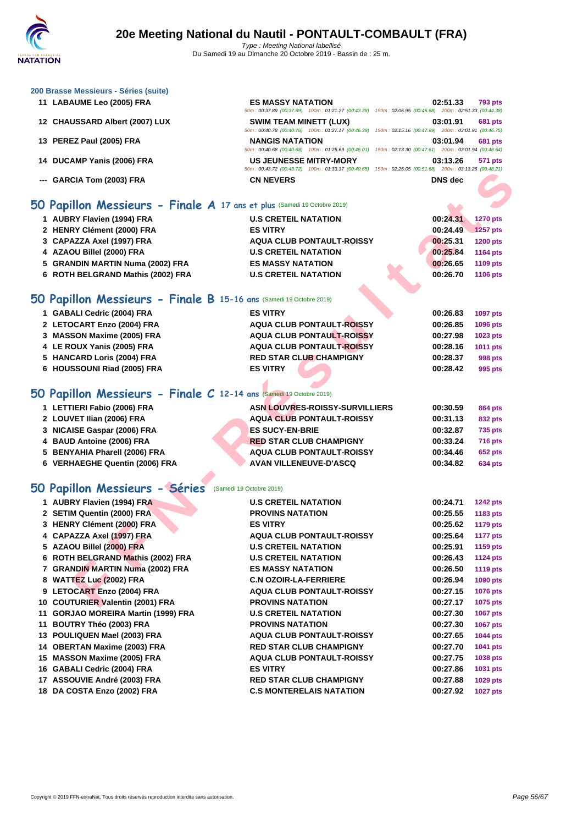50m : 00:37.89 (00:37.89) 100m : 01:21.27 (00:43.38) 150m : 02:06.95 (00:45.68) 200m : 02:51.33 (00:44.38)

50m : 00:40.78 (00:40.78) 100m : 01:27.17 (00:46.39) 150m : 02:15.16 (00:47.99) 200m : 03:01.91 (00:46.75)

50m : 00:40.68 (00:40.68) 100m : 01:25.69 (00:45.01) 150m : 02:13.30 (00:47.61) 200m : 03:01.94 (00:48.64)

50m : 00:43.72 (00:43.72) 100m : 01:33.37 (00:49.65) 150m : 02:25.05 (00:51.68) 200m : 03:13.26 (00:48.21)

#### **[200 Brass](http://www.ffnatation.fr/webffn/index.php)e Messieurs - Séries (suite)**

- **LABAUME Leo (2005) FRA ES MASSY NATATION 02:51.33 793 pts**
- **CHAUSSARD Albert (2007) LUX SWIM TEAM MINETT (LUX) 03:01.91 681 pts**
- **PEREZ Paul (2005) FRA NANGIS NATATION 03:01.94 681 pts**
- **DUCAMP Yanis (2006) FRA US JEUNESSE MITRY-MORY 03:13.26 571 pts**
- **--- GARCIA Tom (2003) FRA CN NEVERS DNS dec**

## **50 Papillon Messieurs - Finale A 17 ans et plus** (Samedi 19 Octobre 2019)

| 1 AUBRY Flavien (1994) FRA        | <b>U.S CRETEIL NATATION</b>      |  | 00:24.31 | <b>1270 pts</b> |
|-----------------------------------|----------------------------------|--|----------|-----------------|
| 2 HENRY Clément (2000) FRA        | <b>ES VITRY</b>                  |  | 00:24.49 | 1257 pts        |
| 3 CAPAZZA Axel (1997) FRA         | <b>AQUA CLUB PONTAULT-ROISSY</b> |  | 00:25.31 | <b>1200 pts</b> |
| 4 AZAOU Billel (2000) FRA         | <b>U.S CRETEIL NATATION</b>      |  | 00:25.84 | 1164 pts        |
| 5 GRANDIN MARTIN Numa (2002) FRA  | <b>ES MASSY NATATION</b>         |  | 00:26.65 | 1109 pts        |
| 6 ROTH BELGRAND Mathis (2002) FRA | <b>U.S CRETEIL NATATION</b>      |  | 00:26.70 | 1106 pts        |
|                                   |                                  |  |          |                 |

## **50 Papillon Messieurs - Finale B 15-16 ans** (Samedi 19 Octobre 2019)

| 1 GABALI Cedric (2004) FRA  | <b>ES VITRY</b>                  | 00:26.83<br><b>1097 pts</b> |
|-----------------------------|----------------------------------|-----------------------------|
| 2 LETOCART Enzo (2004) FRA  | <b>AQUA CLUB PONTAULT-ROISSY</b> | 00:26.85<br><b>1096 pts</b> |
| 3 MASSON Maxime (2005) FRA  | <b>AQUA CLUB PONTAULT-ROISSY</b> | 00:27.98<br>1023 pts        |
| 4 LE ROUX Yanis (2005) FRA  | <b>AQUA CLUB PONTAULT-ROISSY</b> | 00:28.16<br><b>1011 pts</b> |
| 5 HANCARD Loris (2004) FRA  | <b>RED STAR CLUB CHAMPIGNY</b>   | 00:28.37<br>998 pts         |
| 6 HOUSSOUNI Riad (2005) FRA | <b>ES VITRY</b>                  | 00:28.42<br>995 pts         |
|                             |                                  |                             |

# **50 Papillon Messieurs - Finale C 12-14 ans** (Samedi 19 Octobre 2019)

| 1 LETTIERI Fabio (2006) FRA    | <b>ASN LOUVRES-ROISSY-SURVILLIERS</b> | 00:30.59 | 864 pts        |
|--------------------------------|---------------------------------------|----------|----------------|
| 2 LOUVET Ilian (2006) FRA      | <b>AQUA CLUB PONTAULT-ROISSY</b>      | 00:31.13 | 832 pts        |
| 3 NICAISE Gaspar (2006) FRA    | <b>ES SUCY-EN-BRIE</b>                | 00:32.87 | <b>735 pts</b> |
| 4 BAUD Antoine (2006) FRA      | <b>RED STAR CLUB CHAMPIGNY</b>        | 00:33.24 | <b>716 pts</b> |
| 5 BENYAHIA Pharell (2006) FRA  | AQUA CLUB PONTAULT-ROISSY             | 00:34.46 | <b>652 pts</b> |
| 6 VERHAEGHE Quentin (2006) FRA | <b>AVAN VILLENEUVE-D'ASCQ</b>         | 00:34.82 | 634 pts        |

## **50 Papillon Messieurs - Séries** (Samedi 19 Octobre 2019)

|                                                                            | $0011.00143.12$ $00143.12$ $10011.01.33.31$ $00143.00$ $10011.02.23.03$ $0010.01.00$ |                |                 |
|----------------------------------------------------------------------------|--------------------------------------------------------------------------------------|----------------|-----------------|
| --- GARCIA Tom (2003) FRA                                                  | <b>CN NEVERS</b>                                                                     | <b>DNS</b> dec |                 |
|                                                                            |                                                                                      |                |                 |
| iO Papillon Messieurs - Finale A 17 ans et plus (Samedi 19 Octobre 2019)   |                                                                                      |                |                 |
| 1 AUBRY Flavien (1994) FRA                                                 | <b>U.S CRETEIL NATATION</b>                                                          | 00:24.31       | <b>1270 pts</b> |
| 2 HENRY Clément (2000) FRA                                                 | <b>ES VITRY</b>                                                                      | 00:24.49       | 1257 pts        |
| 3 CAPAZZA Axel (1997) FRA                                                  | <b>AQUA CLUB PONTAULT-ROISSY</b>                                                     | 00:25.31       | <b>1200 pts</b> |
| 4 AZAOU Billel (2000) FRA                                                  | <b>U.S CRETEIL NATATION</b>                                                          | 00:25.84       | <b>1164 pts</b> |
| 5 GRANDIN MARTIN Numa (2002) FRA                                           | <b>ES MASSY NATATION</b>                                                             | 00:26.65       | 1109 pts        |
| 6 ROTH BELGRAND Mathis (2002) FRA                                          | <b>U.S CRETEIL NATATION</b>                                                          | 00:26.70       | 1106 pts        |
| iO Papillon Messieurs - Finale B 15-16 ans (Samedi 19 Octobre 2019)        |                                                                                      |                |                 |
|                                                                            |                                                                                      |                |                 |
| 1 GABALI Cedric (2004) FRA                                                 | <b>ES VITRY</b>                                                                      | 00:26.83       | 1097 pts        |
| 2 LETOCART Enzo (2004) FRA                                                 | <b>AQUA CLUB PONTAULT-ROISSY</b>                                                     | 00:26.85       | 1096 pts        |
| 3 MASSON Maxime (2005) FRA                                                 | <b>AQUA CLUB PONTAULT-ROISSY</b>                                                     | 00:27.98       | 1023 pts        |
| 4 LE ROUX Yanis (2005) FRA                                                 | <b>AQUA CLUB PONTAULT-ROISSY</b>                                                     | 00:28.16       | 1011 pts        |
| 5 HANCARD Loris (2004) FRA                                                 | <b>RED STAR CLUB CHAMPIGNY</b>                                                       | 00:28.37       | 998 pts         |
| 6 HOUSSOUNI Riad (2005) FRA                                                | <b>ES VITRY</b>                                                                      | 00:28.42       | 995 pts         |
|                                                                            |                                                                                      |                |                 |
| <b>iO Papillon Messieurs - Finale C</b> 12-14 ans (Samedi 19 Octobre 2019) |                                                                                      |                |                 |
| 1 LETTIERI Fabio (2006) FRA                                                | <b>ASN LOUVRES-ROISSY-SURVILLIERS</b>                                                | 00:30.59       | <b>864 pts</b>  |
| 2 LOUVET Ilian (2006) FRA                                                  | <b>AQUA CLUB PONTAULT-ROISSY</b>                                                     | 00:31.13       | 832 pts         |
| 3 NICAISE Gaspar (2006) FRA                                                | <b>ES SUCY-EN-BRIE</b>                                                               | 00:32.87       | 735 pts         |
| 4 BAUD Antoine (2006) FRA                                                  | <b>RED STAR CLUB CHAMPIGNY</b>                                                       | 00:33.24       | <b>716 pts</b>  |
| 5 BENYAHIA Pharell (2006) FRA                                              | <b>AQUA CLUB PONTAULT-ROISSY</b>                                                     | 00:34.46       | <b>652 pts</b>  |
| 6 VERHAEGHE Quentin (2006) FRA                                             | AVAN VILLENEUVE-D'ASCQ                                                               | 00:34.82       | 634 pts         |
| <b>iO Papillon Messieurs - Séries</b> (Samedi 19 Octobre 2019)             |                                                                                      |                |                 |
|                                                                            |                                                                                      |                |                 |
| 1 AUBRY Flavien (1994) FRA                                                 | <b>U.S CRETEIL NATATION</b>                                                          | 00:24.71       | <b>1242 pts</b> |
| 2 SETIM Quentin (2000) FRA                                                 | <b>PROVINS NATATION</b>                                                              | 00:25.55       | 1183 pts        |
| 3 HENRY Clément (2000) FRA                                                 | <b>ES VITRY</b>                                                                      | 00:25.62       | <b>1179 pts</b> |
| 4 CAPAZZA Axel (1997) FRA                                                  | AQUA CLUB PONTAULT-ROISSY                                                            | 00:25.64       | <b>1177 pts</b> |
| 5 AZAOU Billel (2000) FRA                                                  | <b>U.S CRETEIL NATATION</b>                                                          | 00:25.91       | 1159 pts        |
| 6 ROTH BELGRAND Mathis (2002) FRA                                          | <b>U.S CRETEIL NATATION</b>                                                          | 00:26.43       | <b>1124 pts</b> |
| 7 GRANDIN MARTIN Numa (2002) FRA                                           | <b>ES MASSY NATATION</b>                                                             | 00:26.50       | <b>1119 pts</b> |
| 8 WATTEZ Luc (2002) FRA                                                    | <b>C.N OZOIR-LA-FERRIERE</b>                                                         | 00:26.94       | 1090 pts        |
| 9 LETOCART Enzo (2004) FRA                                                 | <b>AQUA CLUB PONTAULT-ROISSY</b>                                                     | 00:27.15       | 1076 pts        |
| 10 COUTURIER Valentin (2001) FRA                                           | <b>PROVINS NATATION</b>                                                              | 00:27.17       | 1075 pts        |
| 11 GORJAO MOREIRA Martin (1999) FRA                                        | <b>U.S CRETEIL NATATION</b>                                                          | 00:27.30       | 1067 pts        |
| 11 BOUTRY Théo (2003) FRA                                                  | <b>PROVINS NATATION</b>                                                              | 00:27.30       | 1067 pts        |
| 13 POULIQUEN Mael (2003) FRA                                               | <b>AQUA CLUB PONTAULT-ROISSY</b>                                                     | 00:27.65       | <b>1044 pts</b> |
| 14 OBERTAN Maxime (2003) FRA                                               | <b>RED STAR CLUB CHAMPIGNY</b>                                                       | 00:27.70       | 1041 pts        |
| 15 MASSON Maxime (2005) FRA                                                | <b>AQUA CLUB PONTAULT-ROISSY</b>                                                     | 00:27.75       | 1038 pts        |
| 16 GABALI Cedric (2004) FRA                                                | <b>ES VITRY</b>                                                                      | 00:27.86       | 1031 pts        |
| 17 ASSOUVIE André (2003) FRA                                               | <b>RED STAR CLUB CHAMPIGNY</b>                                                       | 00:27.88       | 1029 pts        |
| 18 DA COSTA Enzo (2002) FRA                                                | <b>C.S MONTERELAIS NATATION</b>                                                      | 00:27.92       | <b>1027 pts</b> |
|                                                                            |                                                                                      |                |                 |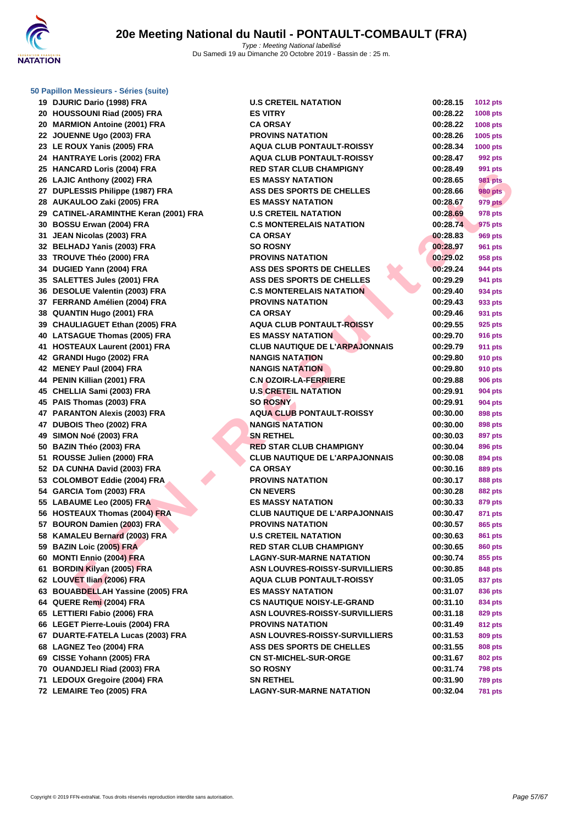

**[50 Papillo](http://www.ffnatation.fr/webffn/index.php)n Messieurs - Séries (suite)**

**19 DJURIC Dario (1998) FRA 20 HOUSSOUNI Riad (2005) FRA ESSENT RIA 20 MARMION Antoine (2001) FRA 22 JOUENNE Ugo (2003) FRA 23 LE ROUX Yanis (2005) FRA 24 HANTRAYE Loris (2002) FRA 25 HANCARD Loris (2004) FRA RED STAR CLUB CHAMPIGNY 00:28.49 991 pts 26 LAJIC Anthony (2002) FRA 27 DUPLESSIS Philippe (1987) FRA 28 AUKAULOO Zaki (2005) FRA ES MASSY NATATION 00:28.67 979 pts 29 CATINEL-ARAMINTHE Keran (2001) FRA 30 BOSSU Erwan (2004) FRA C.S MONTERELAIS NATATION 00:28.74 975 pts 31 JEAN Nicolas (2003) FRA CA ORSAY 00:28.83 969 pts 32 BELHADJ Yanis (2003) FRA 33 TROUVE Théo (2000) FRA PROVINS NATATION 00:29.02 958 pts 34 DUGIED Yann (2004) FRA ASS DES SPORTS DE CHELLES 00:29.24 944 pts 35 SALETTES Jules (2001) FRA 36 DESOLUE Valentin (2003) FRA 37 FERRAND Amélien (2004) FRA 38 QUANTIN Hugo (2001) FRA 39 CHAULIAGUET Ethan (2005) FRA 40** LATSAGUE Thomas (2005) FRA **41 <b>HOSTEAUX** Laurent (2001) FRA **42 GRANDI Hugo (2002) FRA NANGIS NATATION N 42 MENEY Paul (2004) FRA 44 PENIN Killian (2001) FRA C.N OZOIR-LA-FERRIERE 00:29.88 906 pts 45 CHELLIA Sami (2003) FRA U.S CRETEIL NATATION 00:29.91 904 pts 45 PAIS Thomas (2003) FRA 47 PARANTON Alexis (2003) FRA 47 DUBOIS Theo (2002) FRA NANGIS NATATION 00:30.00 898 pts 49 SIMON Noé (2003) FRA 50 BAZIN Théo (2003) FRA RED STAR CLUB CHAMPIGNY 00:30.04 896 pts 51 ROUSSE Julien (2000) FRA 52 DA CUNHA David (2003) FRA CA ORSAY 00:30.16 889 pts 53 COLOMBOT Eddie (2004) FRA 54 GARCIA Tom (2003) FRA 55 LABAUME Leo (2005) FRA ES MASSY NATATION 00:30.33 879 pts 56 HOSTEAUX Thomas (2004) FRA 57 BOURON Damien (2003) FRA 58 KAMALEU Bernard** (2003) FRA **59 BAZIN Loic (2005) FRA 60 MONTI Ennio (2004) FRA LAGNY-SUR-MARNE NATATION 00:30.74 855 pts 61 BORDIN Kilyan (2005) FRA 62 LOUVET Ilian (2006) FRA 63 BOUABDELLAH Yassine (2005) FRA 64 QUERE Remi (2004) FRA CS NAUTIQUE NOISY-LE-GRAND 00:31.10 834 pts 65** LETTIERI Fabio (2006) FRA **66** LEGET Pierre-Louis (2004) FRA **67 DUARTE-FATELA Lucas (2003) FRA 68 LAGNEZ Teo (2004) FRA ASS DES SPORTS DE CHELLES 00:31.55 808 pts 69 CISSE Yohann (2005) FRA 70 OUANDJELI Riad (2003) FRA 71 LEDOUX Gregoire (2004) FRA 72 LEMAIRE Teo (2005) FRA LAGNY-SUR-MARNE NATATION 00:32.04 781 pts**

| <b>RIC Dario (1998) FRA</b>     | <b>U.S CRETEIL NATATION</b>           | 00:28.15 | <b>1012 pts</b> |
|---------------------------------|---------------------------------------|----------|-----------------|
| SSOUNI Riad (2005) FRA          | <b>ES VITRY</b>                       | 00:28.22 | 1008 pts        |
| MION Antoine (2001) FRA         | <b>CA ORSAY</b>                       | 00:28.22 | <b>1008 pts</b> |
| ENNE Ugo (2003) FRA             | <b>PROVINS NATATION</b>               | 00:28.26 | 1005 pts        |
| OUX Yanis (2005) FRA            | <b>AQUA CLUB PONTAULT-ROISSY</b>      | 00:28.34 | 1000 pts        |
| TRAYE Loris (2002) FRA          | <b>AQUA CLUB PONTAULT-ROISSY</b>      | 00:28.47 | 992 pts         |
| <b>CARD Loris (2004) FRA</b>    | <b>RED STAR CLUB CHAMPIGNY</b>        | 00:28.49 | 991 pts         |
| C Anthony (2002) FRA            | <b>ES MASSY NATATION</b>              | 00:28.65 | <b>981 pts</b>  |
| LESSIS Philippe (1987) FRA      | ASS DES SPORTS DE CHELLES             | 00:28.66 | <b>980 pts</b>  |
| AULOO Zaki (2005) FRA           | <b>ES MASSY NATATION</b>              | 00:28.67 | 979 pts         |
| NEL-ARAMINTHE Keran (2001) FRA  | <b>U.S CRETEIL NATATION</b>           | 00:28.69 | 978 pts         |
| SU Erwan (2004) FRA             | <b>C.S MONTERELAIS NATATION</b>       | 00:28.74 | 975 pts         |
| <b>N Nicolas (2003) FRA</b>     | <b>CA ORSAY</b>                       | 00:28.83 | 969 pts         |
| <b>HADJ Yanis (2003) FRA</b>    | <b>SO ROSNY</b>                       | 00:28.97 | <b>961 pts</b>  |
| UVE Théo (2000) FRA             | <b>PROVINS NATATION</b>               | 00:29.02 | 958 pts         |
| IED Yann (2004) FRA             | ASS DES SPORTS DE CHELLES             | 00:29.24 | 944 pts         |
| ETTES Jules (2001) FRA          | ASS DES SPORTS DE CHELLES             | 00:29.29 | 941 pts         |
| <b>OLUE Valentin (2003) FRA</b> | <b>C.S MONTERELAIS NATATION</b>       | 00:29.40 | 934 pts         |
| RAND Amélien (2004) FRA         | <b>PROVINS NATATION</b>               | 00:29.43 | 933 pts         |
| NTIN Hugo (2001) FRA            | <b>CA ORSAY</b>                       | 00:29.46 | 931 pts         |
| ULIAGUET Ethan (2005) FRA       | <b>AQUA CLUB PONTAULT-ROISSY</b>      | 00:29.55 | 925 pts         |
| <b>SAGUE Thomas (2005) FRA</b>  | <b>ES MASSY NATATION</b>              | 00:29.70 | 916 pts         |
| TEAUX Laurent (2001) FRA        | <b>CLUB NAUTIQUE DE L'ARPAJONNAIS</b> | 00:29.79 | <b>911 pts</b>  |
| NDI Hugo (2002) FRA             | <b>NANGIS NATATION</b>                | 00:29.80 | <b>910 pts</b>  |
| EY Paul (2004) FRA              | <b>NANGIS NATATION</b>                | 00:29.80 | <b>910 pts</b>  |
| N Killian (2001) FRA            | <b>C.N OZOIR-LA-FERRIERE</b>          | 00:29.88 | <b>906 pts</b>  |
| LLIA Sami (2003) FRA            | <b>U.S CRETEIL NATATION</b>           | 00:29.91 | 904 pts         |
| Thomas (2003) FRA               | <b>SO ROSNY</b>                       | 00:29.91 | 904 pts         |
| <b>ANTON Alexis (2003) FRA</b>  | <b>AQUA CLUB PONTAULT-ROISSY</b>      | 00:30.00 | 898 pts         |
| <b>OIS Theo (2002) FRA</b>      | <b>NANGIS NATATION</b>                | 00:30.00 | 898 pts         |
| )N Noé (2003) FRA               | <b>SN RETHEL</b>                      | 00:30.03 | 897 pts         |
| N Théo (2003) FRA               | <b>RED STAR CLUB CHAMPIGNY</b>        | 00:30.04 | 896 pts         |
| SSE Julien (2000) FRA           | <b>CLUB NAUTIQUE DE L'ARPAJONNAIS</b> | 00:30.08 | 894 pts         |
| UNHA David (2003) FRA           | <b>CA ORSAY</b>                       | 00:30.16 | 889 pts         |
| OMBOT Eddie (2004) FRA          | <b>PROVINS NATATION</b>               | 00:30.17 | 888 pts         |
| CIA Tom (2003) FRA              | <b>CN NEVERS</b>                      | 00:30.28 | 882 pts         |
| <b>AUME Leo (2005) FRA</b>      | <b>ES MASSY NATATION</b>              | 00:30.33 | 879 pts         |
| <b>TEAUX Thomas (2004) FRA</b>  | <b>CLUB NAUTIQUE DE L'ARPAJONNAIS</b> | 00:30.47 | 871 pts         |
| RON Damien (2003) FRA           | <b>PROVINS NATATION</b>               | 00:30.57 | 865 pts         |
| ALEU Bernard (2003) FRA         | <b>U.S CRETEIL NATATION</b>           | 00:30.63 | 861 pts         |
| <b>N Loic (2005) FRA</b>        | <b>RED STAR CLUB CHAMPIGNY</b>        | 00:30.65 | <b>860 pts</b>  |
| TI Ennio (2004) FRA             | <b>LAGNY-SUR-MARNE NATATION</b>       | 00:30.74 | 855 pts         |
| DIN Kilyan (2005) FRA           | <b>ASN LOUVRES-ROISSY-SURVILLIERS</b> | 00:30.85 | 848 pts         |
| VET Ilian (2006) FRA            | <b>AQUA CLUB PONTAULT-ROISSY</b>      | 00:31.05 | 837 pts         |
| ABDELLAH Yassine (2005) FRA     | <b>ES MASSY NATATION</b>              | 00:31.07 | 836 pts         |
| RE Remi (2004) FRA              | <b>CS NAUTIQUE NOISY-LE-GRAND</b>     | 00:31.10 | 834 pts         |
| <b>TERI Fabio (2006) FRA</b>    | <b>ASN LOUVRES-ROISSY-SURVILLIERS</b> | 00:31.18 | 829 pts         |
| ET Pierre-Louis (2004) FRA      | <b>PROVINS NATATION</b>               | 00:31.49 | 812 pts         |
| RTE-FATELA Lucas (2003) FRA     | <b>ASN LOUVRES-ROISSY-SURVILLIERS</b> | 00:31.53 | 809 pts         |
| <b>NEZ Teo (2004) FRA</b>       | <b>ASS DES SPORTS DE CHELLES</b>      | 00:31.55 | 808 pts         |
| E Yohann (2005) FRA             | <b>CN ST-MICHEL-SUR-ORGE</b>          | 00:31.67 | <b>802 pts</b>  |
| <b>NDJELI Riad (2003) FRA</b>   | <b>SO ROSNY</b>                       | 00:31.74 | <b>798 pts</b>  |
| <b>OUX Gregoire (2004) FRA</b>  | <b>SN RETHEL</b>                      | 00:31.90 | <b>789 pts</b>  |
| <b>AIRE Teo (2005) FRA</b>      | <b>LAGNY-SUR-MARNE NATATION</b>       | 00:32.04 | <b>781 pts</b>  |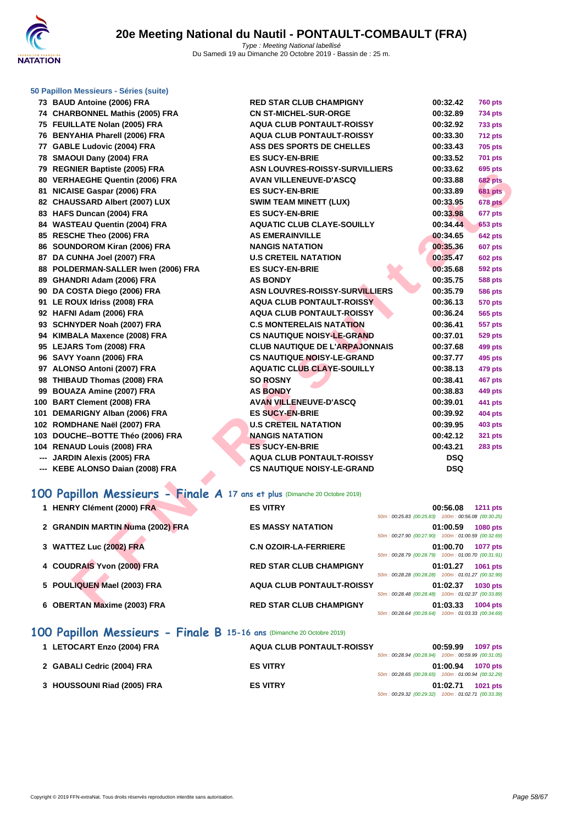

#### **[50 Papillo](http://www.ffnatation.fr/webffn/index.php)n Messieurs - Séries (suite)**

| 73 BAUD Antoine (2006) FRA                                                 | <b>RED STAR CLUB CHAMPIGNY</b>        | 00:32.42                                                       | <b>760 pts</b>  |
|----------------------------------------------------------------------------|---------------------------------------|----------------------------------------------------------------|-----------------|
| 74 CHARBONNEL Mathis (2005) FRA                                            | <b>CN ST-MICHEL-SUR-ORGE</b>          | 00:32.89                                                       | <b>734 pts</b>  |
| 75 FEUILLATE Nolan (2005) FRA                                              | <b>AQUA CLUB PONTAULT-ROISSY</b>      | 00:32.92                                                       | <b>733 pts</b>  |
| 76 BENYAHIA Pharell (2006) FRA                                             | <b>AQUA CLUB PONTAULT-ROISSY</b>      | 00:33.30                                                       | <b>712 pts</b>  |
| 77 GABLE Ludovic (2004) FRA                                                | ASS DES SPORTS DE CHELLES             | 00:33.43                                                       | <b>705 pts</b>  |
| 78 SMAOUI Dany (2004) FRA                                                  | <b>ES SUCY-EN-BRIE</b>                | 00:33.52                                                       | 701 pts         |
| 79 REGNIER Baptiste (2005) FRA                                             | <b>ASN LOUVRES-ROISSY-SURVILLIERS</b> | 00:33.62                                                       | 695 pts         |
| 80 VERHAEGHE Quentin (2006) FRA                                            | <b>AVAN VILLENEUVE-D'ASCQ</b>         | 00:33.88                                                       | <b>682 pts</b>  |
| 81 NICAISE Gaspar (2006) FRA                                               | <b>ES SUCY-EN-BRIE</b>                | 00:33.89                                                       | <b>681 pts</b>  |
| 82 CHAUSSARD Albert (2007) LUX                                             | <b>SWIM TEAM MINETT (LUX)</b>         | 00:33.95                                                       | 678 pts         |
| 83 HAFS Duncan (2004) FRA                                                  | <b>ES SUCY-EN-BRIE</b>                | 00:33.98                                                       | 677 pts         |
| 84 WASTEAU Quentin (2004) FRA                                              | <b>AQUATIC CLUB CLAYE-SOUILLY</b>     | 00:34.44                                                       | <b>653 pts</b>  |
| 85 RESCHE Theo (2006) FRA                                                  | <b>AS EMERAINVILLE</b>                | 00:34.65                                                       | <b>642 pts</b>  |
| 86 SOUNDOROM Kiran (2006) FRA                                              | <b>NANGIS NATATION</b>                | 00:35.36                                                       | 607 pts         |
| 87 DA CUNHA Joel (2007) FRA                                                | <b>U.S CRETEIL NATATION</b>           | 00:35.47                                                       | <b>602 pts</b>  |
| 88 POLDERMAN-SALLER Iwen (2006) FRA                                        | <b>ES SUCY-EN-BRIE</b>                | 00:35.68                                                       | <b>592 pts</b>  |
| 89 GHANDRI Adam (2006) FRA                                                 | <b>AS BONDY</b>                       | 00:35.75                                                       | 588 pts         |
| 90 DA COSTA Diego (2006) FRA                                               | <b>ASN LOUVRES-ROISSY-SURVILLIERS</b> | 00:35.79                                                       | 586 pts         |
| 91 LE ROUX Idriss (2008) FRA                                               | <b>AQUA CLUB PONTAULT-ROISSY</b>      | 00:36.13                                                       | 570 pts         |
| 92 HAFNI Adam (2006) FRA                                                   | <b>AQUA CLUB PONTAULT-ROISSY</b>      | 00:36.24                                                       | 565 pts         |
| 93 SCHNYDER Noah (2007) FRA                                                | <b>C.S MONTERELAIS NATATION</b>       | 00:36.41                                                       | 557 pts         |
| 94 KIMBALA Maxence (2008) FRA                                              | <b>CS NAUTIQUE NOISY-LE-GRAND</b>     | 00:37.01                                                       | <b>529 pts</b>  |
| 95 LEJARS Tom (2008) FRA                                                   | <b>CLUB NAUTIQUE DE L'ARPAJONNAIS</b> | 00:37.68                                                       | 499 pts         |
| 96 SAVY Yoann (2006) FRA                                                   | <b>CS NAUTIQUE NOISY-LE-GRAND</b>     | 00:37.77                                                       | 495 pts         |
| 97 ALONSO Antoni (2007) FRA                                                | <b>AQUATIC CLUB CLAYE-SOUILLY</b>     | 00:38.13                                                       | 479 pts         |
| 98 THIBAUD Thomas (2008) FRA                                               | <b>SO ROSNY</b>                       | 00:38.41                                                       | <b>467 pts</b>  |
| 99 BOUAZA Amine (2007) FRA                                                 | <b>AS BONDY</b>                       | 00:38.83                                                       | 449 pts         |
| 100 BART Clement (2008) FRA                                                | <b>AVAN VILLENEUVE-D'ASCQ</b>         | 00:39.01                                                       | 441 pts         |
| 101 DEMARIGNY Alban (2006) FRA                                             | <b>ES SUCY-EN-BRIE</b>                | 00:39.92                                                       | <b>404 pts</b>  |
| 102 ROMDHANE Naël (2007) FRA                                               | <b>U.S CRETEIL NATATION</b>           | 00:39.95                                                       | <b>403 pts</b>  |
| 103 DOUCHE--BOTTE Théo (2006) FRA                                          | <b>NANGIS NATATION</b>                | 00:42.12                                                       | <b>321 pts</b>  |
| 104 RENAUD Louis (2008) FRA                                                | <b>ES SUCY-EN-BRIE</b>                | 00:43.21                                                       | <b>283 pts</b>  |
| --- JARDIN Alexis (2005) FRA                                               | <b>AQUA CLUB PONTAULT-ROISSY</b>      | <b>DSQ</b>                                                     |                 |
| --- KEBE ALONSO Daian (2008) FRA                                           | <b>CS NAUTIQUE NOISY-LE-GRAND</b>     | <b>DSQ</b>                                                     |                 |
|                                                                            |                                       |                                                                |                 |
| 00 Papillon Messieurs - Finale A 17 ans et plus (Dimanche 20 Octobre 2019) |                                       |                                                                |                 |
|                                                                            |                                       |                                                                |                 |
| 1 HENRY Clément (2000) FRA                                                 | <b>ES VITRY</b>                       | 00:56.08<br>50m: 00:25.83 (00:25.83) 100m: 00:56.08 (00:30.25) | <b>1211 pts</b> |
| 2 GRANDIN MARTIN Numa (2002) FRA                                           | <b>ES MASSY NATATION</b>              |                                                                |                 |
|                                                                            |                                       | 01:00.59<br>50m: 00:27.90 (00:27.90) 100m: 01:00.59 (00:32.69) | <b>1080 pts</b> |
| 3 WATTEZ Luc (2002) FRA                                                    | <b>C.N OZOIR-LA-FERRIERE</b>          | 01:00.70                                                       | <b>1077 pts</b> |
|                                                                            |                                       | 50m: 00:28.79 (00:28.79) 100m: 01:00.70 (00:31.91)             |                 |
| 4 COUDRAIS Yvon (2000) FRA                                                 | <b>RED STAR CLUB CHAMPIGNY</b>        | 01:01.27                                                       | 1061 pts        |
|                                                                            |                                       | 50m: 00:28.28 (00:28.28) 100m: 01:01.27 (00:32.99)             |                 |
| 5 POULIQUEN Mael (2003) FRA                                                | <b>AQUA CLUB PONTAULT-ROISSY</b>      | 01:02.37                                                       | 1030 pts        |
|                                                                            |                                       | 50m: 00:28.48 (00:28.48) 100m: 01:02.37 (00:33.89)             |                 |
| 6 OBERTAN Maxime (2003) FRA                                                | <b>RED STAR CLUB CHAMPIGNY</b>        | 01:03.33                                                       | 1004 pts        |

| 1 HENRY Clément (2000) FRA       | <b>ES VITRY</b>                  | 00:56.08<br><b>1211 pts</b><br>50m: 00:25.83 (00:25.83) 100m: 00:56.08 (00:30.25) |
|----------------------------------|----------------------------------|-----------------------------------------------------------------------------------|
| 2 GRANDIN MARTIN Numa (2002) FRA | <b>ES MASSY NATATION</b>         | 01:00.59<br><b>1080 pts</b><br>50m: 00:27.90 (00:27.90) 100m: 01:00.59 (00:32.69) |
| 3 WATTEZ Luc (2002) FRA          | <b>C.N OZOIR-LA-FERRIERE</b>     | 01:00.70<br><b>1077 pts</b><br>50m: 00:28.79 (00:28.79) 100m: 01:00.70 (00:31.91) |
| 4 COUDRAIS Yvon (2000) FRA       | <b>RED STAR CLUB CHAMPIGNY</b>   | 01:01.27<br><b>1061 pts</b><br>50m: 00:28.28 (00:28.28) 100m: 01:01.27 (00:32.99) |
| 5 POULIQUEN Mael (2003) FRA      | <b>AQUA CLUB PONTAULT-ROISSY</b> | 01:02.37<br><b>1030 pts</b><br>50m: 00:28.48 (00:28.48) 100m: 01:02.37 (00:33.89) |
| 6 OBERTAN Maxime (2003) FRA      | <b>RED STAR CLUB CHAMPIGNY</b>   | 01:03.33<br><b>1004 pts</b><br>50m: 00:28.64 (00:28.64) 100m: 01:03.33 (00:34.69) |

# **100 Papillon Messieurs - Finale B 15-16 ans** (Dimanche 20 Octobre 2019)

| 1 LETOCART Enzo (2004) FRA  | <b>AQUA CLUB PONTAULT-ROISSY</b> |                                                    | 00:59.99 | <b>1097 pts</b> |
|-----------------------------|----------------------------------|----------------------------------------------------|----------|-----------------|
|                             |                                  | 50m: 00:28.94 (00:28.94) 100m: 00:59.99 (00:31.05) |          |                 |
| 2 GABALI Cedric (2004) FRA  | <b>ES VITRY</b>                  |                                                    | 01:00.94 | <b>1070 pts</b> |
|                             |                                  | 50m: 00:28.65 (00:28.65) 100m: 01:00.94 (00:32.29) |          |                 |
| 3 HOUSSOUNI Riad (2005) FRA | <b>ES VITRY</b>                  |                                                    | 01:02.71 | <b>1021 pts</b> |
|                             |                                  | 50m: 00:29.32 (00:29.32) 100m: 01:02.71 (00:33.39) |          |                 |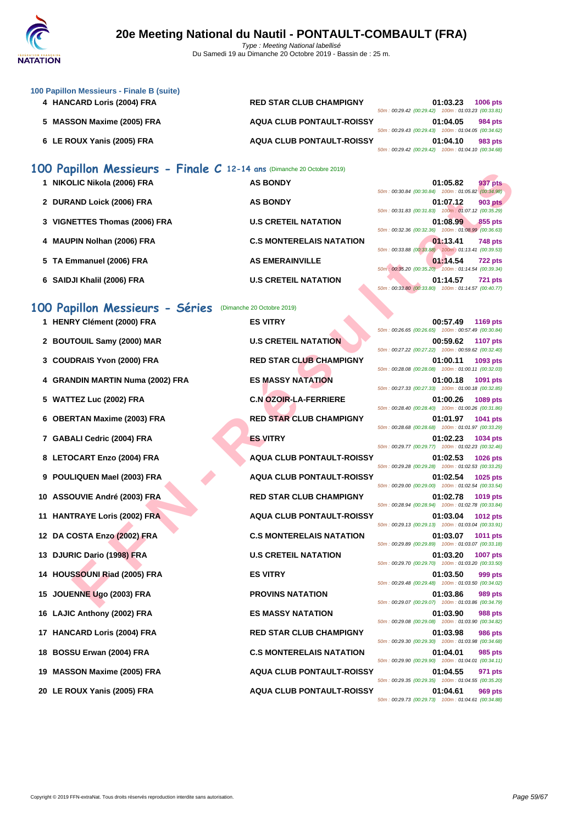

|    | 100 Papillon Messieurs - Finale B (suite)<br>4 HANCARD Loris (2004) FRA | <b>RED STAR CLUB CHAMPIGNY</b>   | 01:03.23<br><b>1006 pts</b><br>50m: 00:29.42 (00:29.42) 100m: 01:03.23 (00:33.81)  |
|----|-------------------------------------------------------------------------|----------------------------------|------------------------------------------------------------------------------------|
|    | 5 MASSON Maxime (2005) FRA                                              | <b>AQUA CLUB PONTAULT-ROISSY</b> | 01:04.05<br>984 pts<br>50m: 00:29.43 (00:29.43) 100m: 01:04.05 (00:34.62)          |
|    | 6 LE ROUX Yanis (2005) FRA                                              | <b>AQUA CLUB PONTAULT-ROISSY</b> | 01:04.10<br>983 pts<br>50m: 00:29.42 (00:29.42) 100m: 01:04.10 (00:34.68)          |
|    | 100 Papillon Messieurs - Finale C 12-14 ans (Dimanche 20 Octobre 2019)  |                                  |                                                                                    |
|    | 1 NIKOLIC Nikola (2006) FRA                                             | <b>AS BONDY</b>                  | 01:05.82<br>937 pts<br>50m: 00:30.84 (00:30.84) 100m: 01:05.82 (00:34.98)          |
|    | 2 DURAND Loick (2006) FRA                                               | <b>AS BONDY</b>                  | 01:07.12<br><b>903 pts</b><br>50m: 00:31.83 (00:31.83) 100m: 01:07.12 (00:35.29)   |
|    | 3 VIGNETTES Thomas (2006) FRA                                           | <b>U.S CRETEIL NATATION</b>      | 01:08.99<br>855 pts                                                                |
|    | 4 MAUPIN Nolhan (2006) FRA                                              | <b>C.S MONTERELAIS NATATION</b>  | 50m: 00:32.36 (00:32.36) 100m: 01:08.99 (00:36.63)<br>01:13.41<br>748 pts          |
|    | 5 TA Emmanuel (2006) FRA                                                | <b>AS EMERAINVILLE</b>           | 50m: 00:33.88 (00:33.88) 100m: 01:13.41 (00:39.53)<br>01:14.54<br><b>722 pts</b>   |
|    | 6 SAIDJI Khalil (2006) FRA                                              | <b>U.S CRETEIL NATATION</b>      | 50m : 00:35.20 (00:35.20) 100m : 01:14.54 (00:39.34)<br>01:14.57<br><b>721 pts</b> |
|    |                                                                         |                                  | 50m: 00:33.80 (00:33.80) 100m: 01:14.57 (00:40.77)                                 |
|    | 100 Papillon Messieurs - Séries<br>1 HENRY Clément (2000) FRA           | (Dimanche 20 Octobre 2019)       |                                                                                    |
|    |                                                                         | <b>ES VITRY</b>                  | 00:57.49<br>1169 pts<br>50m: 00:26.65 (00:26.65) 100m: 00:57.49 (00:30.84)         |
|    | 2 BOUTOUIL Samy (2000) MAR                                              | <b>U.S CRETEIL NATATION</b>      | 00:59.62<br><b>1107 pts</b><br>50m: 00:27.22 (00:27.22) 100m: 00:59.62 (00:32.40)  |
|    | 3 COUDRAIS Yvon (2000) FRA                                              | <b>RED STAR CLUB CHAMPIGNY</b>   | 01:00.11<br>1093 pts<br>50m: 00:28.08 (00:28.08) 100m: 01:00.11 (00:32.03)         |
|    | 4 GRANDIN MARTIN Numa (2002) FRA                                        | <b>ES MASSY NATATION</b>         | 01:00.18<br>1091 pts<br>50m: 00:27.33 (00:27.33) 100m: 01:00.18 (00:32.85)         |
|    | 5 WATTEZ Luc (2002) FRA                                                 | <b>C.N OZOIR-LA-FERRIERE</b>     | 01:00.26<br>1089 pts<br>50m: 00:28.40 (00:28.40) 100m: 01:00.26 (00:31.86)         |
| 6  | <b>OBERTAN Maxime (2003) FRA</b>                                        | <b>RED STAR CLUB CHAMPIGNY</b>   | 01:01.97<br>1041 pts<br>50m: 00:28.68 (00:28.68) 100m: 01:01.97 (00:33.29)         |
|    | 7 GABALI Cedric (2004) FRA                                              | <b>ES VITRY</b>                  | 01:02.23<br>1034 pts<br>50m: 00:29.77 (00:29.77) 100m: 01:02.23 (00:32.46)         |
|    | 8 LETOCART Enzo (2004) FRA                                              | <b>AQUA CLUB PONTAULT-ROISSY</b> | 01:02.53<br><b>1026 pts</b>                                                        |
|    | 9 POULIQUEN Mael (2003) FRA                                             | <b>AQUA CLUB PONTAULT-ROISSY</b> | 50m: 00:29.28 (00:29.28) 100m: 01:02.53 (00:33.25)<br>01:02.54<br>1025 pts         |
|    | 10 ASSOUVIE André (2003) FRA                                            | <b>RED STAR CLUB CHAMPIGNY</b>   | 50m: 00:29.00 (00:29.00) 100m: 01:02.54 (00:33.54)<br>01:02.78<br><b>1019 pts</b>  |
|    | 11 HANTRAYE Loris (2002) FRA                                            | AQUA CLUB PONTAULT-ROISSY        | 50m: 00:28.94 (00:28.94) 100m: 01:02.78 (00:33.84)<br>01:03.04<br>1012 pts         |
|    | 12 DA COSTA Enzo (2002) FRA                                             | <b>C.S MONTERELAIS NATATION</b>  | 50m: 00:29.13 (00:29.13) 100m: 01:03.04 (00:33.91)<br>01:03.07<br><b>1011 pts</b>  |
|    | 13 DJURIC Dario (1998) FRA                                              | <b>U.S CRETEIL NATATION</b>      | 50m: 00:29.89 (00:29.89) 100m: 01:03.07 (00:33.18)<br>01:03.20<br>1007 pts         |
|    | 14 HOUSSOUNI Riad (2005) FRA                                            | <b>ES VITRY</b>                  | 50m: 00:29.70 (00:29.70) 100m: 01:03.20 (00:33.50)<br>01:03.50<br>999 pts          |
|    | JOUENNE Ugo (2003) FRA                                                  | <b>PROVINS NATATION</b>          | 50m: 00:29.48 (00:29.48) 100m: 01:03.50 (00:34.02)<br>01:03.86<br>989 pts          |
|    |                                                                         |                                  | 50m: 00:29.07 (00:29.07) 100m: 01:03.86 (00:34.79)                                 |
|    | 16 LAJIC Anthony (2002) FRA                                             | <b>ES MASSY NATATION</b>         | 01:03.90<br>988 pts<br>50m: 00:29.08 (00:29.08) 100m: 01:03.90 (00:34.82)          |
| 17 | <b>HANCARD Loris (2004) FRA</b>                                         | <b>RED STAR CLUB CHAMPIGNY</b>   | 01:03.98<br><b>986 pts</b><br>50m: 00:29.30 (00:29.30) 100m: 01:03.98 (00:34.68)   |
| 18 | <b>BOSSU Erwan (2004) FRA</b>                                           | <b>C.S MONTERELAIS NATATION</b>  | 01:04.01<br>985 pts<br>50m: 00:29.90 (00:29.90) 100m: 01:04.01 (00:34.11)          |
| 19 | <b>MASSON Maxime (2005) FRA</b>                                         | <b>AQUA CLUB PONTAULT-ROISSY</b> | 01:04.55<br>971 pts<br>50m: 00:29.35 (00:29.35) 100m: 01:04.55 (00:35.20)          |
|    | 20 LE ROUX Yanis (2005) FRA                                             | <b>AQUA CLUB PONTAULT-ROISSY</b> | 01:04.61<br>969 pts<br>50m: 00:29.73 (00:29.73) 100m: 01:04.61 (00:34.88)          |
|    |                                                                         |                                  |                                                                                    |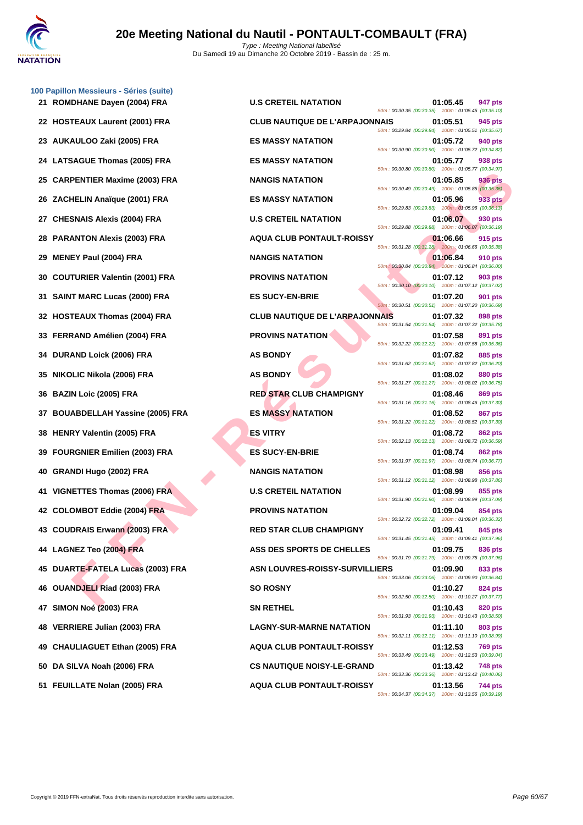

|    | 100 Papillon Messieurs - Séries (suite)<br>21 ROMDHANE Dayen (2004) FRA | <b>U.S CRETEIL NATATION</b>           | 50m: 00:30.35 (00:30.35) 100m: 01:05.45 (00:35.10)   | 01:05.45 | 947 pts        |
|----|-------------------------------------------------------------------------|---------------------------------------|------------------------------------------------------|----------|----------------|
|    | 22 HOSTEAUX Laurent (2001) FRA                                          | <b>CLUB NAUTIQUE DE L'ARPAJONNAIS</b> | 50m: 00:29.84 (00:29.84) 100m: 01:05.51 (00:35.67)   | 01:05.51 | 945 pts        |
|    | 23 AUKAULOO Zaki (2005) FRA                                             | <b>ES MASSY NATATION</b>              | 50m: 00:30.90 (00:30.90) 100m: 01:05.72 (00:34.82)   | 01:05.72 | 940 pts        |
|    | 24 LATSAGUE Thomas (2005) FRA                                           | <b>ES MASSY NATATION</b>              | 50m: 00:30.80 (00:30.80) 100m: 01:05.77 (00:34.97)   | 01:05.77 | 938 pts        |
|    | 25 CARPENTIER Maxime (2003) FRA                                         | <b>NANGIS NATATION</b>                | 50m: 00:30.49 (00:30.49) 100m: 01:05.85 (00:35.36)   | 01:05.85 | <b>936 pts</b> |
|    | 26 ZACHELIN Anaïque (2001) FRA                                          | <b>ES MASSY NATATION</b>              | 50m : 00:29.83 (00:29.83) 100m : 01:05.96 (00:36.13) | 01:05.96 | 933 pts        |
|    | 27 CHESNAIS Alexis (2004) FRA                                           | <b>U.S CRETEIL NATATION</b>           | 50m: 00:29.88 (00:29.88) 100m: 01:06.07 (00:36.19)   | 01:06.07 | 930 pts        |
|    | 28 PARANTON Alexis (2003) FRA                                           | <b>AQUA CLUB PONTAULT-ROISSY</b>      | 50m: 00:31.28 (00:31.28) 100m: 01:06.66 (00:35.38)   | 01:06.66 | 915 pts        |
| 29 | <b>MENEY Paul (2004) FRA</b>                                            | <b>NANGIS NATATION</b>                | 50m: 00:30.84 (00:30.84) 100m: 01:06.84 (00:36.00)   | 01:06.84 | 910 pts        |
| 30 | <b>COUTURIER Valentin (2001) FRA</b>                                    | <b>PROVINS NATATION</b>               | 50m: 00:30.10 (00:30.10) 100m: 01:07.12 (00:37.02)   | 01:07.12 | <b>903 pts</b> |
|    | 31 SAINT MARC Lucas (2000) FRA                                          | <b>ES SUCY-EN-BRIE</b>                | 50m: 00:30.51 (00:30.51) 100m: 01:07.20 (00:36.69)   | 01:07.20 | 901 pts        |
|    | 32 HOSTEAUX Thomas (2004) FRA                                           | <b>CLUB NAUTIQUE DE L'ARPAJONNAIS</b> | 50m: 00:31.54 (00:31.54) 100m: 01:07.32 (00:35.78)   | 01:07.32 | 898 pts        |
|    | 33 FERRAND Amélien (2004) FRA                                           | <b>PROVINS NATATION</b>               | 50m: 00:32.22 (00:32.22) 100m: 01:07.58 (00:35.36)   | 01:07.58 | 891 pts        |
|    | 34 DURAND Loick (2006) FRA                                              | <b>AS BONDY</b>                       | 50m: 00:31.62 (00:31.62) 100m: 01:07.82 (00:36.20)   | 01:07.82 | 885 pts        |
|    | 35 NIKOLIC Nikola (2006) FRA                                            | <b>AS BONDY</b>                       | 50m: 00:31.27 (00:31.27) 100m: 01:08.02 (00:36.75)   | 01:08.02 | 880 pts        |
|    | 36 BAZIN Loic (2005) FRA                                                | <b>RED STAR CLUB CHAMPIGNY</b>        | 50m: 00:31.16 (00:31.16) 100m: 01:08.46 (00:37.30)   | 01:08.46 | 869 pts        |
|    | 37 BOUABDELLAH Yassine (2005) FRA                                       | <b>ES MASSY NATATION</b>              | 50m: 00:31.22 (00:31.22) 100m: 01:08.52 (00:37.30)   | 01:08.52 | <b>867 pts</b> |
|    | 38 HENRY Valentin (2005) FRA                                            | <b>ES VITRY</b>                       | 50m: 00:32.13 (00:32.13) 100m: 01:08.72 (00:36.59)   | 01:08.72 | 862 pts        |
|    | 39 FOURGNIER Emilien (2003) FRA                                         | <b>ES SUCY-EN-BRIE</b>                | 50m: 00:31.97 (00:31.97) 100m: 01:08.74 (00:36.77)   | 01:08.74 | <b>862 pts</b> |
| 40 | <b>GRANDI Hugo (2002) FRA</b>                                           | <b>NANGIS NATATION</b>                | 50m: 00:31.12 (00:31.12) 100m: 01:08.98 (00:37.86)   | 01:08.98 | <b>856 pts</b> |
|    | 41 VIGNETTES Thomas (2006) FRA                                          | <b>U.S CRETEIL NATATION</b>           | 50m: 00:31.90 (00:31.90) 100m: 01:08.99 (00:37.09)   | 01:08.99 | 855 pts        |
|    | 42 COLOMBOT Eddie (2004) FRA                                            | <b>PROVINS NATATION</b>               | 50m: 00:32.72 (00:32.72) 100m: 01:09.04 (00:36.32)   | 01:09.04 | 854 pts        |
|    | 43 COUDRAIS Erwann (2003) FRA                                           | <b>RED STAR CLUB CHAMPIGNY</b>        | 50m: 00:31.45 (00:31.45) 100m: 01:09.41 (00:37.96)   | 01:09.41 | 845 pts        |
|    | 44 LAGNEZ Teo (2004) FRA                                                | ASS DES SPORTS DE CHELLES             | 50m: 00:31.79 (00:31.79) 100m: 01:09.75 (00:37.96)   | 01:09.75 | 836 pts        |
|    | 45 DUARTE-FATELA Lucas (2003) FRA                                       | ASN LOUVRES-ROISSY-SURVILLIERS        | 50m: 00:33.06 (00:33.06) 100m: 01:09.90 (00:36.84)   | 01:09.90 | 833 pts        |
|    | 46 OUANDJELI Riad (2003) FRA                                            | <b>SO ROSNY</b>                       | 50m: 00:32.50 (00:32.50) 100m: 01:10.27 (00:37.77)   | 01:10.27 | 824 pts        |
|    | 47 SIMON Noé (2003) FRA                                                 | <b>SN RETHEL</b>                      | 50m: 00:31.93 (00:31.93) 100m: 01:10.43 (00:38.50)   | 01:10.43 | 820 pts        |
|    | 48 VERRIERE Julian (2003) FRA                                           | <b>LAGNY-SUR-MARNE NATATION</b>       | 50m: 00:32.11 (00:32.11) 100m: 01:11.10 (00:38.99)   | 01:11.10 | 803 pts        |
|    | 49 CHAULIAGUET Ethan (2005) FRA                                         | <b>AQUA CLUB PONTAULT-ROISSY</b>      | 50m: 00:33.49 (00:33.49) 100m: 01:12.53 (00:39.04)   | 01:12.53 | 769 pts        |
|    | 50 DA SILVA Noah (2006) FRA                                             | <b>CS NAUTIQUE NOISY-LE-GRAND</b>     | 50m: 00:33.36 (00:33.36) 100m: 01:13.42 (00:40.06)   | 01:13.42 | 748 pts        |
|    | 51 FEUILLATE Nolan (2005) FRA                                           | <b>AQUA CLUB PONTAULT-ROISSY</b>      | 50m: 00:34.37 (00:34.37) 100m: 01:13.56 (00:39.19)   | 01:13.56 | 744 pts        |
|    |                                                                         |                                       |                                                      |          |                |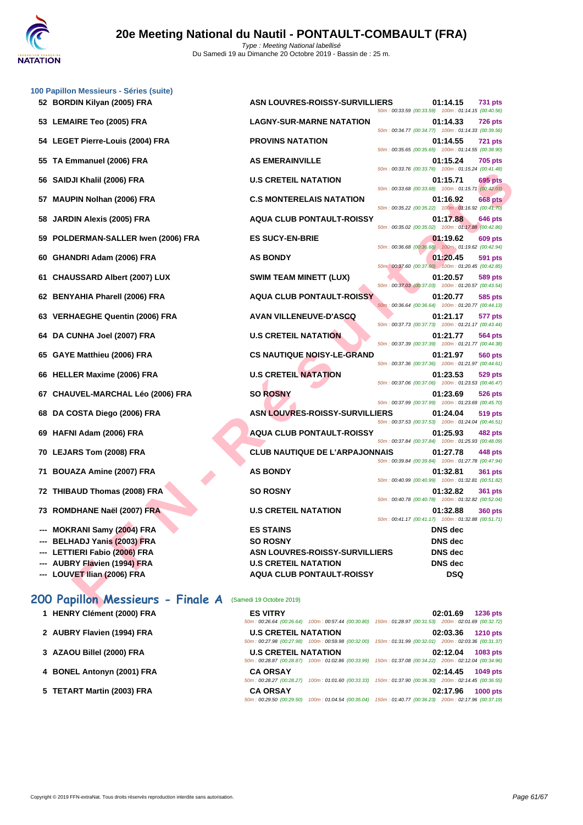|    | 100 Papillon Messieurs - Séries (suite) |                                       |                                                                                                          |                |                |
|----|-----------------------------------------|---------------------------------------|----------------------------------------------------------------------------------------------------------|----------------|----------------|
|    | 52 BORDIN Kilyan (2005) FRA             | ASN LOUVRES-ROISSY-SURVILLIERS        | 50m: 00:33.59 (00:33.59) 100m: 01:14.15 (00:40.56)                                                       | 01:14.15       | <b>731 pts</b> |
|    | 53 LEMAIRE Teo (2005) FRA               | <b>LAGNY-SUR-MARNE NATATION</b>       | 50m: 00:34.77 (00:34.77) 100m: 01:14.33 (00:39.56)                                                       | 01:14.33       | 726 pts        |
|    | 54 LEGET Pierre-Louis (2004) FRA        | <b>PROVINS NATATION</b>               | 50m: 00:35.65 (00:35.65) 100m: 01:14.55 (00:38.90)                                                       | 01:14.55       | <b>721 pts</b> |
|    | 55 TA Emmanuel (2006) FRA               | <b>AS EMERAINVILLE</b>                | 50m: 00:33.76 (00:33.76) 100m: 01:15.24 (00:41.48)                                                       | 01:15.24       | <b>705 pts</b> |
|    | 56 SAIDJI Khalil (2006) FRA             | <b>U.S CRETEIL NATATION</b>           | 50m: 00:33.68 (00:33.68) 100m: 01:15.71 (00:42.03)                                                       | 01:15.71       | 695 pts        |
|    | 57 MAUPIN Nolhan (2006) FRA             | <b>C.S MONTERELAIS NATATION</b>       | 50m: 00:35.22 (00:35.22) 100m: 01:16.92 (00:41.70)                                                       | 01:16.92       | <b>668 pts</b> |
|    | 58 JARDIN Alexis (2005) FRA             | <b>AQUA CLUB PONTAULT-ROISSY</b>      | 50m: 00:35.02 (00:35.02) 100m: 01:17.88 (00:42.86)                                                       | 01:17.88       | 646 pts        |
|    | 59 POLDERMAN-SALLER Iwen (2006) FRA     | <b>ES SUCY-EN-BRIE</b>                | 50m: 00:36.68 (00:36.68) 100m: 01:19.62 (00:42.94)                                                       | 01:19.62       | <b>609 pts</b> |
|    | 60 GHANDRI Adam (2006) FRA              | <b>AS BONDY</b>                       | 50m: 00:37.60 (00:37.60) 100m: 01:20.45 (00:42.85)                                                       | 01:20.45       | 591 pts        |
|    | 61 CHAUSSARD Albert (2007) LUX          | <b>SWIM TEAM MINETT (LUX)</b>         | 50m: 00:37.03 (00:37.03) 100m: 01:20.57 (00:43.54)                                                       | 01:20.57       | 589 pts        |
|    | 62 BENYAHIA Pharell (2006) FRA          | <b>AQUA CLUB PONTAULT-ROISSY</b>      | 50m: 00:36.64 (00:36.64) 100m: 01:20.77 (00:44.13)                                                       | 01:20.77       | 585 pts        |
|    | 63 VERHAEGHE Quentin (2006) FRA         | <b>AVAN VILLENEUVE-D'ASCQ</b>         | 50m: 00:37.73 (00:37.73) 100m: 01:21.17 (00:43.44)                                                       | 01:21.17       | 577 pts        |
|    | 64 DA CUNHA Joel (2007) FRA             | <b>U.S CRETEIL NATATION</b>           | 50m: 00:37.39 (00:37.39) 100m: 01:21.77 (00:44.38)                                                       | 01:21.77       | 564 pts        |
|    | 65 GAYE Matthieu (2006) FRA             | <b>CS NAUTIQUE NOISY-LE-GRAND</b>     | 50m: 00:37.36 (00:37.36) 100m: 01:21.97 (00:44.61)                                                       | 01:21.97       | 560 pts        |
|    | 66 HELLER Maxime (2006) FRA             | <b>U.S CRETEIL NATATION</b>           | 50m: 00:37.06 (00:37.06) 100m: 01:23.53 (00:46.47)                                                       | 01:23.53       | 529 pts        |
|    | 67 CHAUVEL-MARCHAL Léo (2006) FRA       | <b>SO ROSNY</b>                       | 50m: 00:37.99 (00:37.99) 100m: 01:23.69 (00:45.70)                                                       | 01:23.69       | 526 pts        |
|    | 68 DA COSTA Diego (2006) FRA            | <b>ASN LOUVRES-ROISSY-SURVILLIERS</b> | 50m: 00:37.53 (00:37.53) 100m: 01:24.04 (00:46.51)                                                       | 01:24.04       | 519 pts        |
|    | 69 HAFNI Adam (2006) FRA                | <b>AQUA CLUB PONTAULT-ROISSY</b>      | 50m: 00:37.84 (00:37.84) 100m: 01:25.93 (00:48.09)                                                       | 01:25.93       | 482 pts        |
|    | 70 LEJARS Tom (2008) FRA                | <b>CLUB NAUTIQUE DE L'ARPAJONNAIS</b> |                                                                                                          | 01:27.78       | 448 pts        |
| 71 | <b>BOUAZA Amine (2007) FRA</b>          | <b>AS BONDY</b>                       | 50m: 00:39.84 (00:39.84) 100m: 01:27.78 (00:47.94)<br>50m: 00:40.99 (00:40.99) 100m: 01:32.81 (00:51.82) | 01:32.81       | <b>361 pts</b> |
|    | 72 THIBAUD Thomas (2008) FRA            | <b>SO ROSNY</b>                       |                                                                                                          | 01:32.82       | <b>361 pts</b> |
|    | 73 ROMDHANE Naël (2007) FRA             | <b>U.S CRETEIL NATATION</b>           | 50m: 00:40.78 (00:40.78) 100m: 01:32.82 (00:52.04)                                                       | 01:32.88       | <b>360 pts</b> |
|    | --- MOKRANI Samy (2004) FRA             | <b>ES STAINS</b>                      | 50m: 00:41.17 (00:41.17) 100m: 01:32.88 (00:51.71)                                                       | DNS dec        |                |
|    | --- BELHADJ Yanis (2003) FRA            | <b>SO ROSNY</b>                       |                                                                                                          | DNS dec        |                |
|    | --- LETTIERI Fabio (2006) FRA           | <b>ASN LOUVRES-ROISSY-SURVILLIERS</b> |                                                                                                          | <b>DNS</b> dec |                |
|    | --- AUBRY Flavien (1994) FRA            | <b>U.S CRETEIL NATATION</b>           |                                                                                                          | <b>DNS</b> dec |                |
|    | --- LOUVET Ilian (2006) FRA             | <b>AQUA CLUB PONTAULT-ROISSY</b>      |                                                                                                          | DSQ            |                |
|    | 200 Papillon Messieurs - Finale A       | (Samedi 19 Octobre 2019)              |                                                                                                          |                |                |

# **200 Papillon Messieurs - Finale A** (Samedi 19 Octobre 2019)

- 
- 
- 
- 
- 

**1 HENRY Clément (2000) FRA ES VITRY 02:01.69 1236 pts** 50m : 00:26.64 (00:26.64) 100m : 00:57.44 (00:30.80) 150m : 01:28.97 (00:31.53) 200m : 02:01.69 (00:32.72) **2 AUBRY Flavien (1994) FRA U.S CRETEIL NATATION 02:03.36 1210 pts** 50m : 00:27.98 (00:27.98) 100m : 00:59.98 (00:32.00) 150m : 01:31.99 (00:32.01) 200m : 02:03.36 (00:31.37) **3 [AZAOU Billel \(2000\) FRA](http://www.ffnatation.fr/webffn/resultats.php?idact=nat&go=epr&idcpt=62219&idepr=83) U.S CRETEIL NATATION 02:12.04 1083 pts** 50m : 00:28.87 (00:28.87) 100m : 01:02.86 (00:33.99) 150m : 01:37.08 (00:34.22) 200m : 02:12.04 (00:34.96) **4 BONEL Antonyn (2001) FRA CA ORSAY 02:14.45 1049 pts** 50m : 00:28.27 (00:28.27) 100m : 01:01.60 (00:33.33) 150m : 01:37.90 (00:36.30) 200m : 02:14.45 (00:36.55) **5 TETART Martin (2003) FRA CA ORSAY 02:17.96 1000 pts** 50m : 00:29.50 (00:29.50) 100m : 01:04.54 (00:35.04) 150m : 01:40.77 (00:36.23) 200m : 02:17.96 (00:37.19)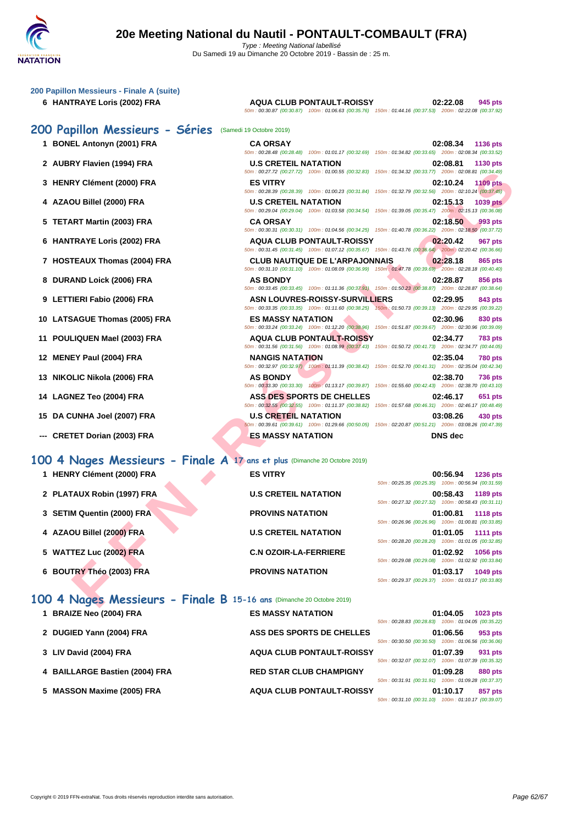| 200 Papillon Messieurs - Finale A (suite)                                  |                                                                                                                                                     |                                                                                                                                   |
|----------------------------------------------------------------------------|-----------------------------------------------------------------------------------------------------------------------------------------------------|-----------------------------------------------------------------------------------------------------------------------------------|
| 6 HANTRAYE Loris (2002) FRA                                                | AQUA CLUB PONTAULT-ROISSY<br>50m: 00:30.87 (00:30.87) 100m: 01:06.63 (00:35.76) 150m: 01:44.16 (00:37.53) 200m: 02:22.08 (00:37.92)                 | 02:22.08<br>945 pts                                                                                                               |
| 200 Papillon Messieurs - Séries                                            | (Samedi 19 Octobre 2019)                                                                                                                            |                                                                                                                                   |
| 1 BONEL Antonyn (2001) FRA                                                 | <b>CA ORSAY</b><br>50m: 00:28.48 (00:28.48) 100m: 01:01.17 (00:32.69) 150m: 01:34.82 (00:33.65) 200m: 02:08.34 (00:33.52)                           | 02:08.34<br>1136 pts                                                                                                              |
| 2 AUBRY Flavien (1994) FRA                                                 | <b>U.S CRETEIL NATATION</b><br>50m : 00:27.72 (00:27.72) 100m : 01:00.55 (00:32.83) 150m : 01:34.32 (00:33.77) 200m : 02:08.81 (00:34.49)           | 02:08.81<br>1130 pts                                                                                                              |
| 3 HENRY Clément (2000) FRA                                                 | <b>ES VITRY</b><br>50m: 00:28.39 (00:28.39) 100m: 01:00.23 (00:31.84) 150m: 01:32.79 (00:32.56) 200m: 02:10.24 (00:37.45)                           | 02:10.24<br><b>1109 pts</b>                                                                                                       |
| 4 AZAOU Billel (2000) FRA                                                  | <b>U.S CRETEIL NATATION</b><br>50m : 00:29.04 (00:29.04) 100m : 01:03.58 (00:34.54) 150m : 01:39.05 (00:35.47) 200m : 02:15.13 (00:36.08)           | 02:15.13<br><b>1039 pts</b>                                                                                                       |
| 5 TETART Martin (2003) FRA                                                 | <b>CA ORSAY</b><br>50m: 00:30.31 (00:30.31) 100m: 01:04.56 (00:34.25) 150m: 01:40.78 (00:36.22) 200m: 02:18.50 (00:37.72)                           | 02:18.50<br>993 pts                                                                                                               |
| 6 HANTRAYE Loris (2002) FRA                                                | <b>AQUA CLUB PONTAULT-ROISSY</b><br>50m: 00:31.45 (00:31.45) 100m: 01:07.12 (00:35.67) 150m: 01:43.76 (00:36.64) 200m: 02:20.42 (00:36.66)          | 02:20.42<br><b>967 pts</b>                                                                                                        |
| 7 HOSTEAUX Thomas (2004) FRA                                               | <b>CLUB NAUTIQUE DE L'ARPAJONNAIS</b><br>50m : 00:31.10 (00:31.10) 100m : 01:08.09 (00:36.99) 150m : 01:47.78 (00:39.69) 200m : 02:28.18 (00:40.40) | 02:28.18<br>865 pts                                                                                                               |
| 8 DURAND Loick (2006) FRA                                                  | <b>AS BONDY</b><br>50m: 00:33.45 (00:33.45) 100m: 01:11.36 (00:37.91) 150m: 01:50.23 (00:38.87) 200m: 02:28.87 (00:38.64)                           | 02:28.87<br><b>856 pts</b>                                                                                                        |
| 9 LETTIERI Fabio (2006) FRA                                                | <b>ASN LOUVRES-ROISSY-SURVILLIERS</b><br>50m: 00:33.35 (00:33.35) 100m: 01:11.60 (00:38.25) 150m: 01:50.73 (00:39.13) 200m: 02:29.95 (00:39.22)     | 02:29.95<br>843 pts                                                                                                               |
| 10 LATSAGUE Thomas (2005) FRA                                              | <b>ES MASSY NATATION</b><br>50m : 00:33.24 (00:33.24) 100m : 01:12.20 (00:38.96) 150m : 01:51.87 (00:39.67) 200m : 02:30.96 (00:39.09)              | 02:30.96<br>830 pts                                                                                                               |
| 11 POULIQUEN Mael (2003) FRA                                               | <b>AQUA CLUB PONTAULT-ROISSY</b><br>50m: 00:31.56 (00:31.56) 100m: 01:08.99 (00:37.43) 150m: 01:50.72 (00:41.73) 200m: 02:34.77 (00:44.05)          | 02:34.77<br>783 pts                                                                                                               |
| 12 MENEY Paul (2004) FRA                                                   | <b>NANGIS NATATION</b><br>50m : 00:32.97 (00:32.97) 100m : 01:11.39 (00:38.42) 150m : 01:52.70 (00:41.31) 200m : 02:35.04 (00:42.34)                | 02:35.04<br><b>780 pts</b>                                                                                                        |
| 13 NIKOLIC Nikola (2006) FRA                                               | <b>AS BONDY</b><br>50m: 00:33.30 (00:33.30) 100m: 01:13.17 (00:39.87) 150m: 01:55.60 (00:42.43) 200m: 02:38.70 (00:43.10)                           | 02:38.70<br><b>736 pts</b>                                                                                                        |
| 14 LAGNEZ Teo (2004) FRA                                                   | <b>ASS DES SPORTS DE CHELLES</b><br>50m: 00:32.55 (00:32.55) 100m: 01:11.37 (00:38.82) 150m: 01:57.68 (00:46.31) 200m: 02:46.17 (00:48.49)          | 02:46.17<br>651 pts                                                                                                               |
| 15 DA CUNHA Joel (2007) FRA                                                | <b>U.S CRETEIL NATATION</b><br>50m : 00:39.61 (00:39.61) 100m : 01:29.66 (00:50.05) 150m : 02:20.87 (00:51.21) 200m : 03:08.26 (00:47.39)           | 03:08.26<br>430 pts                                                                                                               |
| --- CRETET Dorian (2003) FRA                                               | <b>ES MASSY NATATION</b>                                                                                                                            | <b>DNS</b> dec                                                                                                                    |
| 100 4 Nages Messieurs - Finale A 17 ans et plus (Dimanche 20 Octobre 2019) |                                                                                                                                                     |                                                                                                                                   |
| 1 HENRY Clément (2000) FRA                                                 | <b>ES VITRY</b>                                                                                                                                     | 00:56.94<br><b>1236 pts</b><br>50m: 00:25.35 (00:25.35) 100m: 00:56.94 (00:31.59)                                                 |
| 2 PLATAUX Robin (1997) FRA                                                 | <b>U.S CRETEIL NATATION</b>                                                                                                                         | 00:58.43<br>1189 pts<br>50m: 00:27.32 (00:27.32) 100m: 00:58.43 (00:31.11)                                                        |
| 3 SETIM Quentin (2000) FRA                                                 | <b>PROVINS NATATION</b>                                                                                                                             | 01:00.81<br><b>1118 pts</b><br>50m: 00:26.96 (00:26.96) 100m: 01:00.81 (00:33.85)                                                 |
| 4 AZAOU Billel (2000) FRA                                                  | <b>U.S CRETEIL NATATION</b>                                                                                                                         | 01:01.05<br><b>1111 pts</b><br>50m: 00:28.20 (00:28.20) 100m: 01:01.05 (00:32.85)                                                 |
| 5 WATTEZ Luc (2002) FRA                                                    | <b>C.N OZOIR-LA-FERRIERE</b>                                                                                                                        | 01:02.92<br><b>1056 pts</b><br>50m: 00:29.08 (00:29.08) 100m: 01:02.92 (00:33.84)                                                 |
| 6 BOUTRY Théo (2003) FRA                                                   | <b>PROVINS NATATION</b>                                                                                                                             | 01:03.17<br>1049 pts<br>50m: 00:29.37 (00:29.37) 100m: 01:03.17 (00:33.80)                                                        |
| 100 4 Nages Messieurs - Finale B 15-16 ans (Dimanche 20 Octobre 2019)      |                                                                                                                                                     |                                                                                                                                   |
| 1 BRAIZE Neo (2004) FRA                                                    | <b>ES MASSY NATATION</b>                                                                                                                            | 01:04.05<br>1023 pts<br>50m: 00:28.83 (00:28.83) 100m: 01:04.05 (00:35.22)                                                        |
| 2 DUGIED Yann (2004) FRA                                                   | ASS DES SPORTS DE CHELLES                                                                                                                           | 01:06.56<br>953 pts                                                                                                               |
| 3 LIV David (2004) FRA                                                     | <b>AQUA CLUB PONTAULT-ROISSY</b>                                                                                                                    | 50m : 00:30.50 (00:30.50) 100m : 01:06.56 (00:36.06)<br>01:07.39<br>931 pts<br>50m: 00:32.07 (00:32.07) 100m: 01:07.39 (00:35.32) |

**4 BAILLARGE Bastien (2004) FRA RED STAR CLUB CHAMPIGNY 01:09.28 880 pts**

**5 MASSON Maxime (2005) FRA AQUA CLUB PONTAULT-ROISSY 01:10.17 857 pts**

50m : 00:31.91 (00:31.91) 100m : 01:09.28 (00:37.37)

**01:10.17** 857 pts<br> $50m : 00:31.10$   $(00:31.10)$   $100m : 01:10.17$   $(00:39.07)$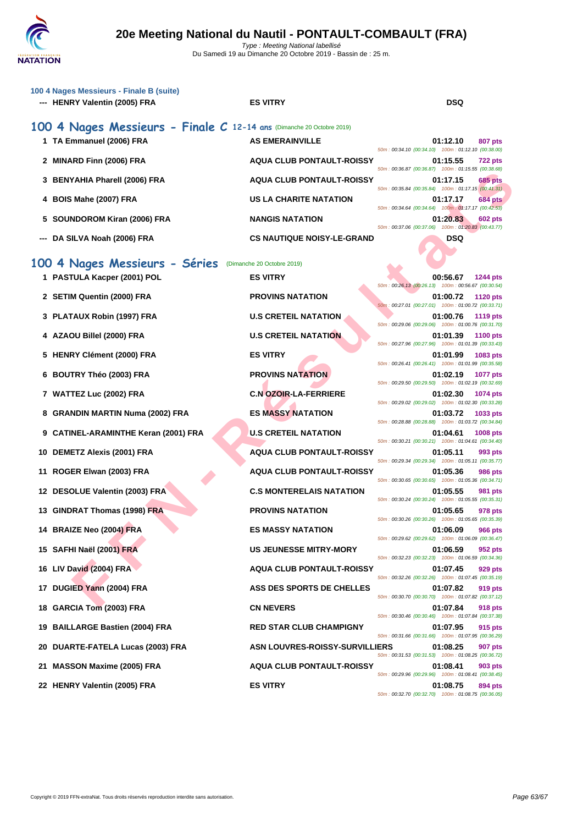|    | 100 4 Nages Messieurs - Finale B (suite)<br>--- HENRY Valentin (2005) FRA | <b>ES VITRY</b>                       | <b>DSQ</b>                                                                        |
|----|---------------------------------------------------------------------------|---------------------------------------|-----------------------------------------------------------------------------------|
|    | 100 4 Nages Messieurs - Finale C 12-14 ans (Dimanche 20 Octobre 2019)     |                                       |                                                                                   |
|    | 1 TA Emmanuel (2006) FRA                                                  | <b>AS EMERAINVILLE</b>                | 01:12.10<br>807 pts<br>50m: 00:34.10 (00:34.10) 100m: 01:12.10 (00:38.00)         |
|    | 2 MINARD Finn (2006) FRA                                                  | <b>AQUA CLUB PONTAULT-ROISSY</b>      | 01:15.55<br><b>722 pts</b><br>50m: 00:36.87 (00:36.87) 100m: 01:15.55 (00:38.68)  |
|    | 3 BENYAHIA Pharell (2006) FRA                                             | <b>AQUA CLUB PONTAULT-ROISSY</b>      | 01:17.15<br><b>685 pts</b><br>50m: 00:35.84 (00:35.84) 100m: 01:17.15 (00:41.31)  |
|    | 4 BOIS Mahe (2007) FRA                                                    | <b>US LA CHARITE NATATION</b>         | <b>684 pts</b><br>01:17.17<br>50m: 00:34.64 (00:34.64) 100m: 01:17.17 (00:42.53)  |
|    | 5 SOUNDOROM Kiran (2006) FRA                                              | <b>NANGIS NATATION</b>                | 01:20.83<br><b>602 pts</b><br>50m: 00:37.06 (00:37.06) 100m: 01:20.83 (00:43.77)  |
|    | DA SILVA Noah (2006) FRA                                                  | <b>CS NAUTIQUE NOISY-LE-GRAND</b>     | <b>DSQ</b>                                                                        |
|    | 100 4 Nages Messieurs - Séries                                            | (Dimanche 20 Octobre 2019)            |                                                                                   |
|    | 1 PASTULA Kacper (2001) POL                                               | <b>ES VITRY</b>                       | 00:56.67<br>1244 pts                                                              |
|    | 2 SETIM Quentin (2000) FRA                                                | <b>PROVINS NATATION</b>               | 50m: 00:26.13 (00:26.13) 100m: 00:56.67 (00:30.54)<br>01:00.72<br><b>1120 pts</b> |
|    |                                                                           |                                       | 50m: 00:27.01 (00:27.01) 100m: 01:00.72 (00:33.71)                                |
|    | 3 PLATAUX Robin (1997) FRA                                                | <b>U.S CRETEIL NATATION</b>           | 01:00.76<br><b>1119 pts</b><br>50m: 00:29.06 (00:29.06) 100m: 01:00.76 (00:31.70) |
|    | 4 AZAOU Billel (2000) FRA                                                 | <b>U.S CRETEIL NATATION</b>           | 01:01.39<br><b>1100 pts</b><br>50m: 00:27.96 (00:27.96) 100m: 01:01.39 (00:33.43) |
|    | 5 HENRY Clément (2000) FRA                                                | <b>ES VITRY</b>                       | 01:01.99<br>1083 pts<br>50m: 00:26.41 (00:26.41) 100m: 01:01.99 (00:35.58)        |
|    | 6 BOUTRY Théo (2003) FRA                                                  | <b>PROVINS NATATION</b>               | 01:02.19<br><b>1077 pts</b><br>50m: 00:29.50 (00:29.50) 100m: 01:02.19 (00:32.69) |
|    | 7 WATTEZ Luc (2002) FRA                                                   | <b>C.N OZOIR-LA-FERRIERE</b>          | 01:02.30<br>1074 pts                                                              |
|    | 8 GRANDIN MARTIN Numa (2002) FRA                                          | <b>ES MASSY NATATION</b>              | 50m: 00:29.02 (00:29.02) 100m: 01:02.30 (00:33.28)<br>01:03.72<br>1033 pts        |
|    | 9 CATINEL-ARAMINTHE Keran (2001) FRA                                      | <b>U.S CRETEIL NATATION</b>           | 50m: 00:28.88 (00:28.88) 100m: 01:03.72 (00:34.84)<br>01:04.61<br>1008 pts        |
|    | 10 DEMETZ Alexis (2001) FRA                                               | <b>AQUA CLUB PONTAULT-ROISSY</b>      | 50m: 00:30.21 (00:30.21) 100m: 01:04.61 (00:34.40)<br>01:05.11<br>993 pts         |
| 11 | ROGER Elwan (2003) FRA                                                    | <b>AQUA CLUB PONTAULT-ROISSY</b>      | 50m: 00:29.34 (00:29.34) 100m: 01:05.11 (00:35.77)<br>01:05.36<br>986 pts         |
|    | 12 DESOLUE Valentin (2003) FRA                                            | <b>C.S MONTERELAIS NATATION</b>       | 50m: 00:30.65 (00:30.65) 100m: 01:05.36 (00:34.71)<br>01:05.55<br>981 pts         |
|    | 13 GINDRAT Thomas (1998) FRA                                              | <b>PROVINS NATATION</b>               | 50m: 00:30.24 (00:30.24) 100m: 01:05.55 (00:35.31)<br>01:05.65<br>978 pts         |
|    | 14 BRAIZE Neo (2004) FRA                                                  | <b>ES MASSY NATATION</b>              | 50m: 00:30.26 (00:30.26) 100m: 01:05.65 (00:35.39)<br>01:06.09<br><b>966 pts</b>  |
|    | 15 SAFHI Naël (2001) FRA                                                  | <b>US JEUNESSE MITRY-MORY</b>         | 50m: 00:29.62 (00:29.62) 100m: 01:06.09 (00:36.47)<br>01:06.59<br>952 pts         |
|    | 16 LIV David (2004) FRA                                                   | <b>AQUA CLUB PONTAULT-ROISSY</b>      | 50m: 00:32.23 (00:32.23) 100m: 01:06.59 (00:34.36)<br>01:07.45<br>929 pts         |
| 17 | DUGIED Yann (2004) FRA                                                    | ASS DES SPORTS DE CHELLES             | 50m: 00:32.26 (00:32.26) 100m: 01:07.45 (00:35.19)<br>01:07.82<br>919 pts         |
| 18 | <b>GARCIA Tom (2003) FRA</b>                                              | <b>CN NEVERS</b>                      | 50m: 00:30.70 (00:30.70) 100m: 01:07.82 (00:37.12)<br>01:07.84<br>918 pts         |
| 19 | <b>BAILLARGE Bastien (2004) FRA</b>                                       | <b>RED STAR CLUB CHAMPIGNY</b>        | 50m: 00:30.46 (00:30.46) 100m: 01:07.84 (00:37.38)<br>01:07.95<br>915 pts         |
| 20 | DUARTE-FATELA Lucas (2003) FRA                                            | <b>ASN LOUVRES-ROISSY-SURVILLIERS</b> | 50m: 00:31.66 (00:31.66) 100m: 01:07.95 (00:36.29)<br>01:08.25<br><b>907 pts</b>  |
| 21 | <b>MASSON Maxime (2005) FRA</b>                                           | <b>AQUA CLUB PONTAULT-ROISSY</b>      | 50m: 00:31.53 (00:31.53) 100m: 01:08.25 (00:36.72)<br>01:08.41<br>903 pts         |
|    |                                                                           |                                       | 50m: 00:29.96 (00:29.96) 100m: 01:08.41 (00:38.45)                                |
|    | 22 HENRY Valentin (2005) FRA                                              | <b>ES VITRY</b>                       | 01:08.75<br>894 pts<br>50m: 00:32.70 (00:32.70) 100m: 01:08.75 (00:36.05)         |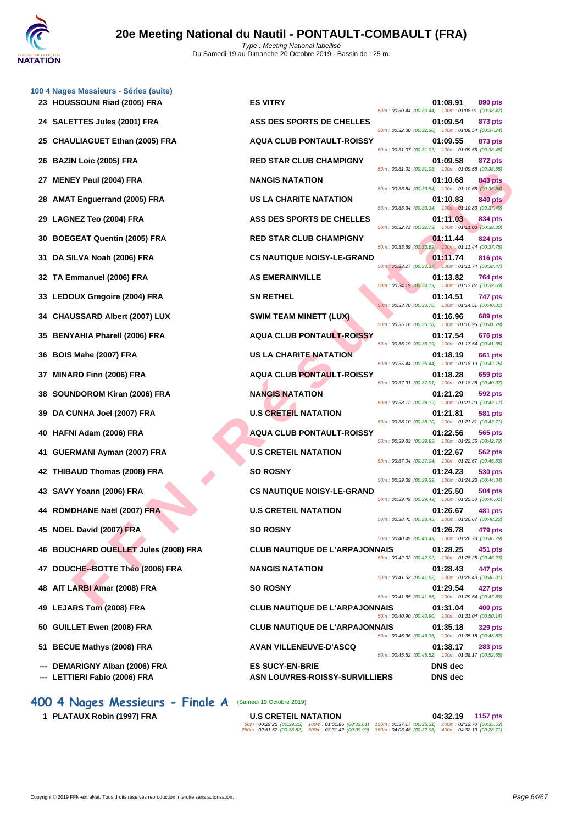

| 100 4 Nages Messieurs - Séries (suite)<br>23 HOUSSOUNI Riad (2005) FRA | <b>ES VITRY</b>                                          | 01:08.91<br>890 pts                                                                                                             |
|------------------------------------------------------------------------|----------------------------------------------------------|---------------------------------------------------------------------------------------------------------------------------------|
| 24 SALETTES Jules (2001) FRA                                           | ASS DES SPORTS DE CHELLES                                | 50m: 00:30.44 (00:30.44) 100m: 01:08.91 (00:38.47)<br>01:09.54<br>873 pts                                                       |
| 25 CHAULIAGUET Ethan (2005) FRA                                        | <b>AQUA CLUB PONTAULT-ROISSY</b>                         | 50m: 00:32.30 (00:32.30) 100m: 01:09.54 (00:37.24)<br>01:09.55<br>873 pts                                                       |
| 26 BAZIN Loic (2005) FRA                                               | <b>RED STAR CLUB CHAMPIGNY</b>                           | 50m: 00:31.07 (00:31.07) 100m: 01:09.55 (00:38.48)<br>01:09.58<br>872 pts                                                       |
| <b>MENEY Paul (2004) FRA</b><br>27                                     | <b>NANGIS NATATION</b>                                   | 50m: 00:31.03 (00:31.03) 100m: 01:09.58 (00:38.55)<br>01:10.68<br>843 pts                                                       |
| <b>AMAT Enguerrand (2005) FRA</b><br>28                                | US LA CHARITE NATATION                                   | 50m: 00:33.84 (00:33.84) 100m: 01:10.68 (00:36.84)<br>01:10.83<br>840 pts                                                       |
| 29 LAGNEZ Teo (2004) FRA                                               | ASS DES SPORTS DE CHELLES                                | 50m: 00:33.34 (00:33.34) 100m: 01:10.83 (00:37.49)<br>01:11.03<br>834 pts                                                       |
| 30 BOEGEAT Quentin (2005) FRA                                          | <b>RED STAR CLUB CHAMPIGNY</b>                           | 50m: 00:32.73 (00:32.73) 100m: 01:11.03 (00:38.30)<br>01:11.44<br>824 pts                                                       |
| 31 DA SILVA Noah (2006) FRA                                            | <b>CS NAUTIQUE NOISY-LE-GRAND</b>                        | 50m: 00:33.69 (00:33.69) 100m: 01:11.44 (00:37.75)<br>01:11.74<br>816 pts<br>50m: 00:33.27 (00:33.27) 100m: 01:11.74 (00:38.47) |
| 32 TA Emmanuel (2006) FRA                                              | <b>AS EMERAINVILLE</b>                                   | 01:13.82<br><b>764 pts</b><br>50m: 00:34.19 (00:34.19) 100m: 01:13.82 (00:39.63)                                                |
| 33 LEDOUX Gregoire (2004) FRA                                          | <b>SN RETHEL</b>                                         | 01:14.51<br>747 pts<br>50m: 00:33.70 (00:33.70) 100m: 01:14.51 (00:40.81)                                                       |
| 34 CHAUSSARD Albert (2007) LUX                                         | <b>SWIM TEAM MINETT (LUX)</b>                            | 01:16.96<br><b>689 pts</b><br>50m: 00:35.18 (00:35.18) 100m: 01:16.96 (00:41.78)                                                |
| <b>BENYAHIA Pharell (2006) FRA</b><br>35.                              | <b>AQUA CLUB PONTAULT-ROISSY</b>                         | 01:17.54<br>676 pts<br>50m: 00:36.19 (00:36.19) 100m: 01:17.54 (00:41.35)                                                       |
| 36 BOIS Mahe (2007) FRA                                                | <b>US LA CHARITE NATATION</b>                            | 01:18.19<br>661 pts<br>50m: 00:35.44 (00:35.44) 100m: 01:18.19 (00:42.75)                                                       |
| MINARD Finn (2006) FRA<br>37                                           | <b>AQUA CLUB PONTAULT-ROISSY</b>                         | 01:18.28<br>659 pts<br>50m: 00:37.91 (00:37.91) 100m: 01:18.28 (00:40.37)                                                       |
| <b>SOUNDOROM Kiran (2006) FRA</b><br>38                                | <b>NANGIS NATATION</b>                                   | 01:21.29<br>592 pts<br>50m: 00:38.12 (00:38.12) 100m: 01:21.29 (00:43.17)                                                       |
| 39 DA CUNHA Joel (2007) FRA                                            | <b>U.S CRETEIL NATATION</b>                              | 01:21.81<br>581 pts<br>50m: 00:38.10 (00:38.10) 100m: 01:21.81 (00:43.71)                                                       |
| 40 HAFNI Adam (2006) FRA                                               | <b>AQUA CLUB PONTAULT-ROISSY</b>                         | 01:22.56<br>565 pts<br>50m: 00:39.83 (00:39.83) 100m: 01:22.56 (00:42.73)                                                       |
| GUERMANI Ayman (2007) FRA<br>41                                        | <b>U.S CRETEIL NATATION</b>                              | 01:22.67<br><b>562 pts</b><br>50m: 00:37.04 (00:37.04) 100m: 01:22.67 (00:45.63)                                                |
| 42 THIBAUD Thomas (2008) FRA                                           | <b>SO ROSNY</b>                                          | 01:24.23<br>530 pts<br>50m: 00:39.39 (00:39.39) 100m: 01:24.23 (00:44.84)                                                       |
| 43 SAVY Yoann (2006) FRA                                               | <b>CS NAUTIQUE NOISY-LE-GRAND</b>                        | 01:25.50<br>504 pts<br>50m: 00:39.49 (00:39.49) 100m: 01:25.50 (00:46.01)                                                       |
| 44 ROMDHANE Naël (2007) FRA                                            | <b>U.S CRETEIL NATATION</b>                              | 01:26.67<br>481 pts<br>50m: 00:38.45 (00:38.45) 100m: 01:26.67 (00:48.22)                                                       |
| 45 NOEL David (2007) FRA                                               | <b>SO ROSNY</b>                                          | 01:26.78<br>479 pts<br>50m: 00:40.49 (00:40.49) 100m: 01:26.78 (00:46.29)                                                       |
| 46 BOUCHARD OUELLET Jules (2008) FRA                                   | <b>CLUB NAUTIQUE DE L'ARPAJONNAIS</b>                    | 01:28.25<br>451 pts<br>50m: 00:42.02 (00:42.02) 100m: 01:28.25 (00:46.23)                                                       |
| 47 DOUCHE--BOTTE Théo (2006) FRA                                       | <b>NANGIS NATATION</b>                                   | 01:28.43<br>447 pts<br>50m: 00:41.62 (00:41.62) 100m: 01:28.43 (00:46.81)                                                       |
| 48 AIT LARBI Amar (2008) FRA                                           | <b>SO ROSNY</b>                                          | 01:29.54<br>427 pts<br>50m: 00:41.65 (00:41.65) 100m: 01:29.54 (00:47.89)                                                       |
| 49 LEJARS Tom (2008) FRA                                               | <b>CLUB NAUTIQUE DE L'ARPAJONNAIS</b>                    | 01:31.04<br>400 pts<br>50m: 00:40.90 (00:40.90) 100m: 01:31.04 (00:50.14)                                                       |
| 50 GUILLET Ewen (2008) FRA                                             | <b>CLUB NAUTIQUE DE L'ARPAJONNAIS</b>                    | 01:35.18<br><b>329 pts</b><br>50m: 00:46.36 (00:46.36) 100m: 01:35.18 (00:48.82)                                                |
| 51 BECUE Mathys (2008) FRA                                             | <b>AVAN VILLENEUVE-D'ASCQ</b>                            | 01:38.17<br><b>283 pts</b><br>50m: 00:45.52 (00:45.52) 100m: 01:38.17 (00:52.65)                                                |
| DEMARIGNY Alban (2006) FRA<br>--- LETTIERI Fabio (2006) FRA            | <b>ES SUCY-EN-BRIE</b><br>ASN LOUVRES-ROISSY-SURVILLIERS | <b>DNS</b> dec<br><b>DNS</b> dec                                                                                                |
|                                                                        |                                                          |                                                                                                                                 |

**400 4 Nages Messieurs - Finale A** (Samedi 19 Octobre 2019)

**1 PLATAUX Robin (1997) FRA U.S CRETEIL NATATION 04:32.19 1157 pts** 50m : 00:29.25 (00:29.25) 100m : 01:01.86 (00:32.61) 150m : 01:37.17 (00:35.31) 200m : 02:12.70 (00:35.53) 250m : 02:51.52 (00:38.82) 300m : 03:31.42 (00:39.90) 350m : 04:03.48 (00:32.06) 400m : 04:32.19 (00:28.71)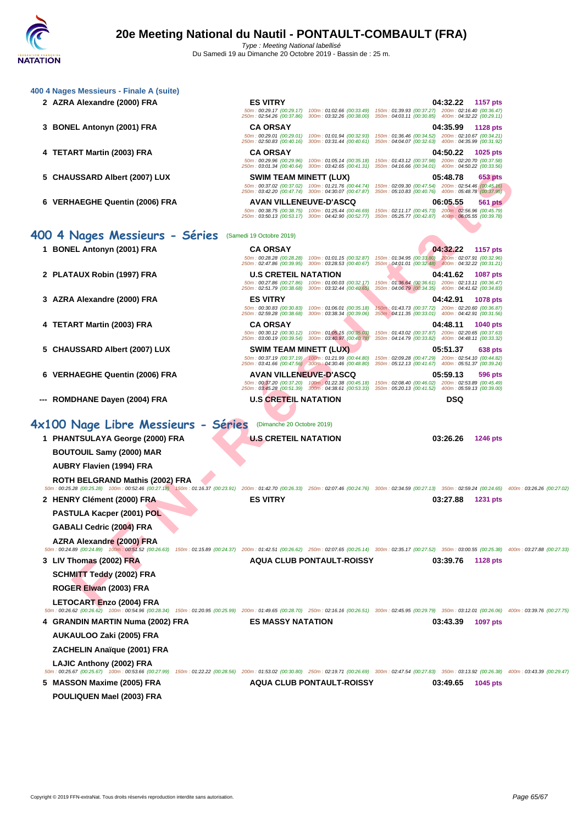| <b>ES VITRY</b><br>2 AZRA Alexandre (2000) FRA<br>04:32.22 1157 pts<br>50m: 00:29.17 (00:29.17) 100m: 01:02.66 (00:33.49) 150m: 01:39.93 (00:37.27) 200m: 02:16.40 (00:36.47)<br>250m: 02:54.26 (00:37.86) 300m: 03:32.26 (00:38.00) 350m: 04:03.11 (00:30.85) 400m: 04:32.22 (00:29.11)<br>3 BONEL Antonyn (2001) FRA<br><b>CA ORSAY</b><br>04:35.99<br>1128 pts<br>150m: 01:36.46 (00:34.52) 200m: 02:10.67 (00:34.21)<br>50m: 00:29.01 (00:29.01) 100m: 01:01.94 (00:32.93)<br>250m: 02:50.83 (00:40.16) 300m: 03:31.44 (00:40.61) 350m: 04:04.07 (00:32.63) 400m: 04:35.99 (00:31.92)<br>4 TETART Martin (2003) FRA<br><b>CA ORSAY</b><br>04:50.22<br><b>1025 pts</b><br>50m: 00:29.96 (00:29.96) 100m: 01:05.14 (00:35.18) 150m: 01:43.12 (00:37.98) 200m: 02:20.70 (00:37.58)<br>250m: 03:01.34 (00:40.64) 300m: 03:42.65 (00:41.31) 350m: 04:16.66 (00:34.01) 400m: 04:50.22 (00:33.56)<br>5 CHAUSSARD Albert (2007) LUX<br>SWIM TEAM MINETT (LUX)<br>05:48.78<br>653 pts |                                                                                                                                                                                                                |                                                                                                        |  | 400 4 Nages Messieurs - Finale A (suite) |                                |                                                     |                                                     |  |
|----------------------------------------------------------------------------------------------------------------------------------------------------------------------------------------------------------------------------------------------------------------------------------------------------------------------------------------------------------------------------------------------------------------------------------------------------------------------------------------------------------------------------------------------------------------------------------------------------------------------------------------------------------------------------------------------------------------------------------------------------------------------------------------------------------------------------------------------------------------------------------------------------------------------------------------------------------------------------------|----------------------------------------------------------------------------------------------------------------------------------------------------------------------------------------------------------------|--------------------------------------------------------------------------------------------------------|--|------------------------------------------|--------------------------------|-----------------------------------------------------|-----------------------------------------------------|--|
|                                                                                                                                                                                                                                                                                                                                                                                                                                                                                                                                                                                                                                                                                                                                                                                                                                                                                                                                                                                  |                                                                                                                                                                                                                |                                                                                                        |  |                                          |                                |                                                     |                                                     |  |
|                                                                                                                                                                                                                                                                                                                                                                                                                                                                                                                                                                                                                                                                                                                                                                                                                                                                                                                                                                                  |                                                                                                                                                                                                                |                                                                                                        |  |                                          |                                |                                                     |                                                     |  |
|                                                                                                                                                                                                                                                                                                                                                                                                                                                                                                                                                                                                                                                                                                                                                                                                                                                                                                                                                                                  |                                                                                                                                                                                                                |                                                                                                        |  |                                          |                                |                                                     |                                                     |  |
|                                                                                                                                                                                                                                                                                                                                                                                                                                                                                                                                                                                                                                                                                                                                                                                                                                                                                                                                                                                  |                                                                                                                                                                                                                |                                                                                                        |  |                                          |                                |                                                     |                                                     |  |
|                                                                                                                                                                                                                                                                                                                                                                                                                                                                                                                                                                                                                                                                                                                                                                                                                                                                                                                                                                                  |                                                                                                                                                                                                                |                                                                                                        |  |                                          |                                |                                                     |                                                     |  |
|                                                                                                                                                                                                                                                                                                                                                                                                                                                                                                                                                                                                                                                                                                                                                                                                                                                                                                                                                                                  |                                                                                                                                                                                                                |                                                                                                        |  |                                          |                                |                                                     |                                                     |  |
|                                                                                                                                                                                                                                                                                                                                                                                                                                                                                                                                                                                                                                                                                                                                                                                                                                                                                                                                                                                  |                                                                                                                                                                                                                |                                                                                                        |  |                                          |                                |                                                     |                                                     |  |
| 250m: 03:42.20 (00:47.74) 300m: 04:30.07 (00:47.87) 350m: 05:10.83 (00:40.76) 400m: 05:48.78 (00:37.95)                                                                                                                                                                                                                                                                                                                                                                                                                                                                                                                                                                                                                                                                                                                                                                                                                                                                          |                                                                                                                                                                                                                |                                                                                                        |  |                                          |                                |                                                     |                                                     |  |
| 6 VERHAEGHE Quentin (2006) FRA<br><b>AVAN VILLENEUVE-D'ASCQ</b><br>06:05.55<br>561 pts                                                                                                                                                                                                                                                                                                                                                                                                                                                                                                                                                                                                                                                                                                                                                                                                                                                                                           |                                                                                                                                                                                                                | 50m: 00:37.02 (00:37.02) 100m: 01:21.76 (00:44.74) 150m: 02:09.30 (00:47.54) 200m: 02:54.46 (00:45.16) |  |                                          |                                |                                                     |                                                     |  |
| 250m: 03:50.13 (00:53.17) 300m: 04:42.90 (00:52.77) 350m: 05:25.77 (00:42.87) 400m: 06:05.55 (00:39.78)                                                                                                                                                                                                                                                                                                                                                                                                                                                                                                                                                                                                                                                                                                                                                                                                                                                                          |                                                                                                                                                                                                                |                                                                                                        |  |                                          |                                |                                                     |                                                     |  |
|                                                                                                                                                                                                                                                                                                                                                                                                                                                                                                                                                                                                                                                                                                                                                                                                                                                                                                                                                                                  | 50m: 00:38.75 (00:38.75) 100m: 01:25.44 (00:46.69) 150m: 02:11.17 (00:45.73) 200m: 02:56.96 (00:45.79)                                                                                                         |                                                                                                        |  |                                          |                                |                                                     |                                                     |  |
|                                                                                                                                                                                                                                                                                                                                                                                                                                                                                                                                                                                                                                                                                                                                                                                                                                                                                                                                                                                  |                                                                                                                                                                                                                |                                                                                                        |  |                                          |                                |                                                     |                                                     |  |
| <b>1157 pts</b>                                                                                                                                                                                                                                                                                                                                                                                                                                                                                                                                                                                                                                                                                                                                                                                                                                                                                                                                                                  | (Samedi 19 Octobre 2019)                                                                                                                                                                                       | 400 4 Nages Messieurs - Séries                                                                         |  |                                          |                                |                                                     |                                                     |  |
| 250m: 02:47.86 (00:39.95) 300m: 03:28.53 (00:40.67) 350m; 04:01.01 (00:32.48) 400m: 04:32.22 (00:31.21)                                                                                                                                                                                                                                                                                                                                                                                                                                                                                                                                                                                                                                                                                                                                                                                                                                                                          | <b>CA ORSAY</b><br>04:32.22                                                                                                                                                                                    | 1 BONEL Antonyn (2001) FRA                                                                             |  |                                          |                                |                                                     |                                                     |  |
| <b>U.S CRETEIL NATATION</b><br>04:41.62<br><b>1087 pts</b>                                                                                                                                                                                                                                                                                                                                                                                                                                                                                                                                                                                                                                                                                                                                                                                                                                                                                                                       | 50m: 00:28.28 (00:28.28) 100m: 01:01.15 (00:32.87) 150m: 01:34.95 (00:33.80) 200m: 02:07.91 (00:32.96)                                                                                                         |                                                                                                        |  |                                          |                                |                                                     |                                                     |  |
|                                                                                                                                                                                                                                                                                                                                                                                                                                                                                                                                                                                                                                                                                                                                                                                                                                                                                                                                                                                  |                                                                                                                                                                                                                | 2 PLATAUX Robin (1997) FRA                                                                             |  |                                          |                                |                                                     | 350m: 04:06.79 (00:34.35) 400m: 04:41.62 (00:34.83) |  |
| 250m: 02:51.79 (00:38.68) 300m: 03:32.44 (00:40.65)                                                                                                                                                                                                                                                                                                                                                                                                                                                                                                                                                                                                                                                                                                                                                                                                                                                                                                                              | 50m: 00:27.86 (00:27.86) 100m: 01:00.03 (00:32.17)<br>150m: 01:36.64 (00:36.61) 200m: 02:13.11 (00:36.47)                                                                                                      |                                                                                                        |  |                                          | 3 AZRA Alexandre (2000) FRA    |                                                     | 04:42.91<br><b>1078 pts</b>                         |  |
| <b>ES VITRY</b>                                                                                                                                                                                                                                                                                                                                                                                                                                                                                                                                                                                                                                                                                                                                                                                                                                                                                                                                                                  |                                                                                                                                                                                                                |                                                                                                        |  |                                          |                                |                                                     | 350m: 04:11.35 (00:33.01) 400m: 04:42.91 (00:31.56) |  |
| 150m: 01:43.73 (00:37.72) 200m: 02:20.60 (00:36.87)<br>50m: 00:30.83 (00:30.83) 100m: 01:06.01 (00:35.18)<br>250m: 02:59.28 (00:38.68) 300m: 03:38.34 (00:39.06)                                                                                                                                                                                                                                                                                                                                                                                                                                                                                                                                                                                                                                                                                                                                                                                                                 |                                                                                                                                                                                                                |                                                                                                        |  |                                          | 4 TETART Martin (2003) FRA     | <b>CA ORSAY</b>                                     | 04:48.11<br><b>1040 pts</b>                         |  |
|                                                                                                                                                                                                                                                                                                                                                                                                                                                                                                                                                                                                                                                                                                                                                                                                                                                                                                                                                                                  |                                                                                                                                                                                                                |                                                                                                        |  |                                          |                                |                                                     | 350m: 04:14.79 (00:33.82) 400m: 04:48.11 (00:33.32) |  |
| 50m: 00:30.12 (00:30.12) 100m: 01:05.15 (00:35.03)<br>150m: 01:43.02 (00:37.87) 200m: 02:20.65 (00:37.63)<br>250m: 03:00.19 (00:39.54) 300m: 03:40.97 (00:40.78)                                                                                                                                                                                                                                                                                                                                                                                                                                                                                                                                                                                                                                                                                                                                                                                                                 |                                                                                                                                                                                                                |                                                                                                        |  |                                          | 5 CHAUSSARD Albert (2007) LUX  | <b>SWIM TEAM MINETT (LUX)</b>                       | 05:51.37<br>638 pts                                 |  |
|                                                                                                                                                                                                                                                                                                                                                                                                                                                                                                                                                                                                                                                                                                                                                                                                                                                                                                                                                                                  |                                                                                                                                                                                                                |                                                                                                        |  |                                          |                                | 250m: 03:41.66 (00:47.56) 300m: 04:30.46 (00:48.80) | 350m: 05:12.13 (00:41.67) 400m: 05:51.37 (00:39.24) |  |
| 50m: 00:37.19 (00:37.19) 100m: 01:21.99 (00:44.80)<br>150m: 02:09.28 (00:47.29) 200m: 02:54.10 (00:44.82)                                                                                                                                                                                                                                                                                                                                                                                                                                                                                                                                                                                                                                                                                                                                                                                                                                                                        |                                                                                                                                                                                                                |                                                                                                        |  |                                          | 6 VERHAEGHE Quentin (2006) FRA | <b>AVAN VILLENEUVE-D'ASCQ</b>                       | 05:59.13<br>596 pts                                 |  |
|                                                                                                                                                                                                                                                                                                                                                                                                                                                                                                                                                                                                                                                                                                                                                                                                                                                                                                                                                                                  |                                                                                                                                                                                                                |                                                                                                        |  |                                          |                                |                                                     |                                                     |  |
| 50m: 00:37.20 (00:37.20) 100m: 01:22.38 (00:45.18)<br>150m: 02:08.40 (00:46.02) 200m: 02:53.89 (00:45.49)<br>250m: 03:45.28 (00:51.39) 300m: 04:38.61 (00:53.33)<br>400m: 05:59.13 (00:39.00)<br>350m: 05:20.13 (00:41.52)                                                                                                                                                                                                                                                                                                                                                                                                                                                                                                                                                                                                                                                                                                                                                       |                                                                                                                                                                                                                |                                                                                                        |  |                                          |                                |                                                     |                                                     |  |
| <b>U.S CRETEIL NATATION</b><br><b>DSQ</b><br>--- ROMDHANE Dayen (2004) FRA                                                                                                                                                                                                                                                                                                                                                                                                                                                                                                                                                                                                                                                                                                                                                                                                                                                                                                       |                                                                                                                                                                                                                |                                                                                                        |  |                                          |                                |                                                     |                                                     |  |
|                                                                                                                                                                                                                                                                                                                                                                                                                                                                                                                                                                                                                                                                                                                                                                                                                                                                                                                                                                                  |                                                                                                                                                                                                                |                                                                                                        |  |                                          |                                |                                                     |                                                     |  |
| 4x100 Nage Libre Messieurs - Séries<br>(Dimanche 20 Octobre 2019)                                                                                                                                                                                                                                                                                                                                                                                                                                                                                                                                                                                                                                                                                                                                                                                                                                                                                                                |                                                                                                                                                                                                                |                                                                                                        |  |                                          |                                |                                                     |                                                     |  |
| 1 PHANTSULAYA George (2000) FRA<br><b>U.S CRETEIL NATATION</b><br>03:26.26<br><b>1246 pts</b>                                                                                                                                                                                                                                                                                                                                                                                                                                                                                                                                                                                                                                                                                                                                                                                                                                                                                    |                                                                                                                                                                                                                |                                                                                                        |  |                                          |                                |                                                     |                                                     |  |
| <b>BOUTOUIL Samy (2000) MAR</b>                                                                                                                                                                                                                                                                                                                                                                                                                                                                                                                                                                                                                                                                                                                                                                                                                                                                                                                                                  |                                                                                                                                                                                                                |                                                                                                        |  |                                          |                                |                                                     |                                                     |  |
| AUBRY Flavien (1994) FRA                                                                                                                                                                                                                                                                                                                                                                                                                                                                                                                                                                                                                                                                                                                                                                                                                                                                                                                                                         |                                                                                                                                                                                                                |                                                                                                        |  |                                          |                                |                                                     |                                                     |  |
| ROTH BELGRAND Mathis (2002) FRA                                                                                                                                                                                                                                                                                                                                                                                                                                                                                                                                                                                                                                                                                                                                                                                                                                                                                                                                                  |                                                                                                                                                                                                                |                                                                                                        |  |                                          |                                |                                                     |                                                     |  |
|                                                                                                                                                                                                                                                                                                                                                                                                                                                                                                                                                                                                                                                                                                                                                                                                                                                                                                                                                                                  | 50m: 00:25.28 (00:25.28) 100m: 00:52.46 (00:27.18) 150m: 01:16.37 (00:23.91) 200m: 01:42.70 (00:26.33) 250m: 02:07.46 (00:24.76) 300m: 02:34.59 (00:27.13) 350m: 02:59.24 (00:24.65) 400m: 03:26.26 (00:27.02) |                                                                                                        |  |                                          |                                |                                                     |                                                     |  |
| <b>ES VITRY</b><br>2 HENRY Clément (2000) FRA<br>03:27.88<br><b>1231 pts</b>                                                                                                                                                                                                                                                                                                                                                                                                                                                                                                                                                                                                                                                                                                                                                                                                                                                                                                     |                                                                                                                                                                                                                |                                                                                                        |  |                                          |                                |                                                     |                                                     |  |
| PASTULA Kacper (2001) POL                                                                                                                                                                                                                                                                                                                                                                                                                                                                                                                                                                                                                                                                                                                                                                                                                                                                                                                                                        |                                                                                                                                                                                                                |                                                                                                        |  |                                          |                                |                                                     |                                                     |  |
| GABALI Cedric (2004) FRA                                                                                                                                                                                                                                                                                                                                                                                                                                                                                                                                                                                                                                                                                                                                                                                                                                                                                                                                                         |                                                                                                                                                                                                                |                                                                                                        |  |                                          |                                |                                                     |                                                     |  |
| AZRA Alexandre (2000) FRA                                                                                                                                                                                                                                                                                                                                                                                                                                                                                                                                                                                                                                                                                                                                                                                                                                                                                                                                                        |                                                                                                                                                                                                                |                                                                                                        |  |                                          |                                |                                                     |                                                     |  |
|                                                                                                                                                                                                                                                                                                                                                                                                                                                                                                                                                                                                                                                                                                                                                                                                                                                                                                                                                                                  | 50m: 00:24.89 (00:24.89) 100m: 00:51.52 (00:26.63) 150m: 01:15.89 (00:24.37) 200m: 01:42.51 (00:26.62) 250m: 02:07.65 (00:25.14) 300m: 02:35.17 (00:27.52) 350m: 03:00.55 (00:25.38) 400m: 03:27.88 (00:27.33) |                                                                                                        |  |                                          |                                |                                                     |                                                     |  |
| 3 LIV Thomas (2002) FRA<br><b>AQUA CLUB PONTAULT-ROISSY</b><br>03:39.76<br>1128 pts                                                                                                                                                                                                                                                                                                                                                                                                                                                                                                                                                                                                                                                                                                                                                                                                                                                                                              |                                                                                                                                                                                                                |                                                                                                        |  |                                          |                                |                                                     |                                                     |  |
| <b>SCHMITT Teddy (2002) FRA</b>                                                                                                                                                                                                                                                                                                                                                                                                                                                                                                                                                                                                                                                                                                                                                                                                                                                                                                                                                  |                                                                                                                                                                                                                |                                                                                                        |  |                                          |                                |                                                     |                                                     |  |
| ROGER Elwan (2003) FRA                                                                                                                                                                                                                                                                                                                                                                                                                                                                                                                                                                                                                                                                                                                                                                                                                                                                                                                                                           |                                                                                                                                                                                                                |                                                                                                        |  |                                          |                                |                                                     |                                                     |  |
| LETOCART Enzo (2004) FRA                                                                                                                                                                                                                                                                                                                                                                                                                                                                                                                                                                                                                                                                                                                                                                                                                                                                                                                                                         | 50m: 00:26.62 (00:26.62) 100m: 00:54.96 (00:28.34) 150m: 01:20.95 (00:25.99) 200m: 01:49.65 (00:28.70) 250m: 02:16.16 (00:26.51) 300m: 02:45.95 (00:27.75) 350m: 03:12.01 (00:26.62) 400m: 03:39.76 (00:27.75) |                                                                                                        |  |                                          |                                |                                                     |                                                     |  |
| 4 GRANDIN MARTIN Numa (2002) FRA<br><b>ES MASSY NATATION</b><br>03:43.39<br>1097 pts                                                                                                                                                                                                                                                                                                                                                                                                                                                                                                                                                                                                                                                                                                                                                                                                                                                                                             |                                                                                                                                                                                                                |                                                                                                        |  |                                          |                                |                                                     |                                                     |  |
| AUKAULOO Zaki (2005) FRA                                                                                                                                                                                                                                                                                                                                                                                                                                                                                                                                                                                                                                                                                                                                                                                                                                                                                                                                                         |                                                                                                                                                                                                                |                                                                                                        |  |                                          |                                |                                                     |                                                     |  |
| ZACHELIN Anaïque (2001) FRA                                                                                                                                                                                                                                                                                                                                                                                                                                                                                                                                                                                                                                                                                                                                                                                                                                                                                                                                                      |                                                                                                                                                                                                                |                                                                                                        |  |                                          |                                |                                                     |                                                     |  |
| LAJIC Anthony (2002) FRA                                                                                                                                                                                                                                                                                                                                                                                                                                                                                                                                                                                                                                                                                                                                                                                                                                                                                                                                                         |                                                                                                                                                                                                                |                                                                                                        |  |                                          |                                |                                                     |                                                     |  |
| <b>AQUA CLUB PONTAULT-ROISSY</b><br>5 MASSON Maxime (2005) FRA<br>03:49.65<br>1045 pts                                                                                                                                                                                                                                                                                                                                                                                                                                                                                                                                                                                                                                                                                                                                                                                                                                                                                           | 50m:00:25.67 (00:25.67) 100m:00:53.66 (00:27.99) 150m:01:22.22 (00:28.56) 200m:01:53.02 (00:30.80) 250m:02:19.71 (00:26.69) 300m:02:47.54 (00:27.83) 350m:03:13.92 (00:26.38) 400m:03:43.39 (00:26.47)         |                                                                                                        |  |                                          |                                |                                                     |                                                     |  |
|                                                                                                                                                                                                                                                                                                                                                                                                                                                                                                                                                                                                                                                                                                                                                                                                                                                                                                                                                                                  |                                                                                                                                                                                                                |                                                                                                        |  |                                          |                                |                                                     |                                                     |  |
|                                                                                                                                                                                                                                                                                                                                                                                                                                                                                                                                                                                                                                                                                                                                                                                                                                                                                                                                                                                  |                                                                                                                                                                                                                |                                                                                                        |  |                                          |                                |                                                     |                                                     |  |
|                                                                                                                                                                                                                                                                                                                                                                                                                                                                                                                                                                                                                                                                                                                                                                                                                                                                                                                                                                                  |                                                                                                                                                                                                                |                                                                                                        |  |                                          |                                |                                                     |                                                     |  |
|                                                                                                                                                                                                                                                                                                                                                                                                                                                                                                                                                                                                                                                                                                                                                                                                                                                                                                                                                                                  |                                                                                                                                                                                                                |                                                                                                        |  |                                          |                                |                                                     |                                                     |  |
|                                                                                                                                                                                                                                                                                                                                                                                                                                                                                                                                                                                                                                                                                                                                                                                                                                                                                                                                                                                  |                                                                                                                                                                                                                |                                                                                                        |  |                                          |                                |                                                     |                                                     |  |
|                                                                                                                                                                                                                                                                                                                                                                                                                                                                                                                                                                                                                                                                                                                                                                                                                                                                                                                                                                                  |                                                                                                                                                                                                                |                                                                                                        |  |                                          |                                |                                                     |                                                     |  |
|                                                                                                                                                                                                                                                                                                                                                                                                                                                                                                                                                                                                                                                                                                                                                                                                                                                                                                                                                                                  |                                                                                                                                                                                                                |                                                                                                        |  |                                          |                                |                                                     |                                                     |  |
|                                                                                                                                                                                                                                                                                                                                                                                                                                                                                                                                                                                                                                                                                                                                                                                                                                                                                                                                                                                  |                                                                                                                                                                                                                |                                                                                                        |  |                                          |                                |                                                     |                                                     |  |
|                                                                                                                                                                                                                                                                                                                                                                                                                                                                                                                                                                                                                                                                                                                                                                                                                                                                                                                                                                                  |                                                                                                                                                                                                                |                                                                                                        |  |                                          |                                |                                                     |                                                     |  |
|                                                                                                                                                                                                                                                                                                                                                                                                                                                                                                                                                                                                                                                                                                                                                                                                                                                                                                                                                                                  |                                                                                                                                                                                                                |                                                                                                        |  |                                          |                                |                                                     |                                                     |  |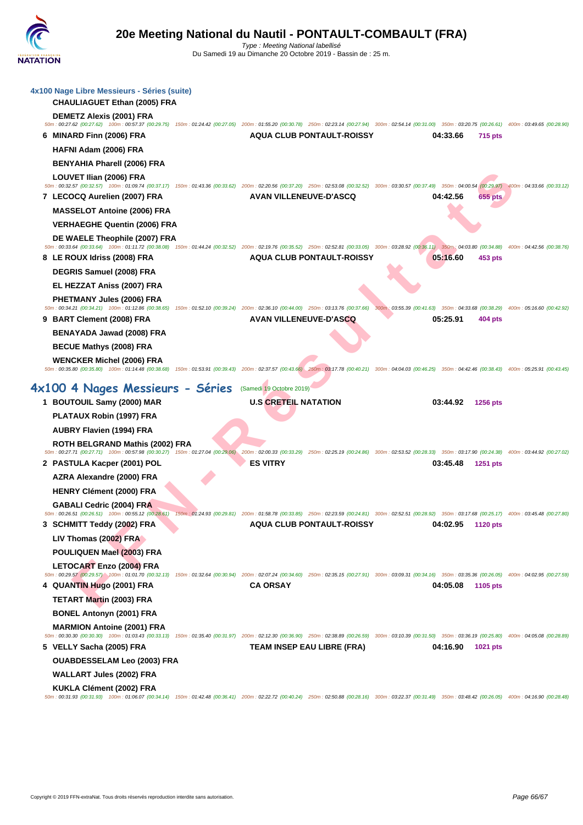| 4x100 Nage Libre Messieurs - Séries (suite)<br><b>CHAULIAGUET Ethan (2005) FRA</b>                                                                                                                                                                        |                                   |                             |
|-----------------------------------------------------------------------------------------------------------------------------------------------------------------------------------------------------------------------------------------------------------|-----------------------------------|-----------------------------|
| <b>DEMETZ Alexis (2001) FRA</b><br>50m : 00:27.62 (00:27.62) 100m : 00:57.37 (00:29.75) 150m : 01:24.42 (00:27.05) 200m : 01:55.20 (00:30.78) 250m : 02:23.14 (00:27.94) 300m : 02:54.14 (00:31.00) 350m : 03:20.75 (00:26.61) 400m : 03:49.65 (00:28.90) |                                   |                             |
| 6 MINARD Finn (2006) FRA                                                                                                                                                                                                                                  | <b>AQUA CLUB PONTAULT-ROISSY</b>  | 04:33.66<br>715 pts         |
| HAFNI Adam (2006) FRA                                                                                                                                                                                                                                     |                                   |                             |
| <b>BENYAHIA Pharell (2006) FRA</b>                                                                                                                                                                                                                        |                                   |                             |
| LOUVET Ilian (2006) FRA                                                                                                                                                                                                                                   |                                   |                             |
| 50m: 00:32.57 (00:32.57) 100m: 01:09.74 (00:37.17) 150m: 01:43.36 (00:33.62) 200m: 02:20.56 (00:37.20) 250m: 02:53.08 (00:32.52) 300m: 03:30.57 (00:37.49) 350m: 04:00.54 (00:29.97) 400m: 04:33.66 (00:33.12)                                            | <b>AVAN VILLENEUVE-D'ASCQ</b>     | 04:42.56<br>655 pts         |
| 7 LECOCQ Aurelien (2007) FRA                                                                                                                                                                                                                              |                                   |                             |
| <b>MASSELOT Antoine (2006) FRA</b>                                                                                                                                                                                                                        |                                   |                             |
| <b>VERHAEGHE Quentin (2006) FRA</b>                                                                                                                                                                                                                       |                                   |                             |
| DE WAELE Theophile (2007) FRA<br>50m: 00:33.64 (00:33.64) 100m: 01:11.72 (00:38.08) 150m: 01:44.24 (00:32.52) 200m: 02:19.76 (00:35.52) 250m: 02:52.81 (00:33.05) 300m: 03:28.92 (00:36.11) 350m: 04:03.80 (00:34.88)                                     |                                   | 400m: 04:42.56 (00:38.76)   |
| 8 LE ROUX Idriss (2008) FRA                                                                                                                                                                                                                               | <b>AQUA CLUB PONTAULT-ROISSY</b>  | 05:16.60<br>453 pts         |
| <b>DEGRIS Samuel (2008) FRA</b>                                                                                                                                                                                                                           |                                   |                             |
| EL HEZZAT Aniss (2007) FRA                                                                                                                                                                                                                                |                                   |                             |
| PHETMANY Jules (2006) FRA                                                                                                                                                                                                                                 |                                   |                             |
| 50m : 00:34.21 (00:34.21) 100m : 01:12.86 (00:38.65) 150m : 01:52.10 (00:39.24) 200m : 02:36.10 (00:44.00) 250m : 03:13.76 (00:37.66) 300m : 03:55.39 (00:41.63) 350m : 04:33.68 (00:38.29) 400m : 05:16.60 (00:42.92)<br>9 BART Clement (2008) FRA       | <b>AVAN VILLENEUVE-D'ASCQ</b>     | 05:25.91<br>404 pts         |
| BENAYADA Jawad (2008) FRA                                                                                                                                                                                                                                 |                                   |                             |
| <b>BECUE Mathys (2008) FRA</b>                                                                                                                                                                                                                            |                                   |                             |
| <b>WENCKER Michel (2006) FRA</b>                                                                                                                                                                                                                          |                                   |                             |
| 50m: 00:35.80 (00:35.80) 100m: 01:14.48 (00:38.68) 150m: 01:53.91 (00:39.43) 200m: 02:37.57 (00:43.66) 250m: 03:17.78 (00:40.21) 300m: 04:04.03 (00:46.25) 350m: 04:04.46 (00:38.43) 400m: 05:25.91 (00:43.45)                                            |                                   |                             |
| 4x100 4 Nages Messieurs - Séries                                                                                                                                                                                                                          | (Samedi 19 Octobre 2019)          |                             |
|                                                                                                                                                                                                                                                           |                                   |                             |
|                                                                                                                                                                                                                                                           | <b>U.S CRETEIL NATATION</b>       | 03:44.92<br>1256 pts        |
| 1 BOUTOUIL Samy (2000) MAR                                                                                                                                                                                                                                |                                   |                             |
| PLATAUX Robin (1997) FRA                                                                                                                                                                                                                                  |                                   |                             |
| <b>AUBRY Flavien (1994) FRA</b>                                                                                                                                                                                                                           |                                   |                             |
| ROTH BELGRAND Mathis (2002) FRA<br>50m: 00:27.71 (00:27.71) 100m: 00:57.98 (00:30.27) 150m: 01:27.04 (00:29.06) 200m: 02:00.33 (00:33.29) 250m: 02:25.19 (00:24.86) 300m: 02:53.52 (00:28.33) 350m: 03:17.90 (00:24.38) 400m: 03:44.92 (00:27.02)         |                                   |                             |
| 2 PASTULA Kacper (2001) POL                                                                                                                                                                                                                               | <b>ES VITRY</b>                   | 03:45.48<br><b>1251 pts</b> |
| AZRA Alexandre (2000) FRA                                                                                                                                                                                                                                 |                                   |                             |
| HENRY Clément (2000) FRA                                                                                                                                                                                                                                  |                                   |                             |
| GABALI Cedric (2004) FRA<br>50m: 00:26.51 (00:26.51) 100m: 00:55.12 (00:28.61) 150m: 01:24.93 (00:29.81) 200m: 01:58.78 (00:33.85) 250m: 02:23.59 (00:24.81) 300m: 02:52.51 (00:28.92) 350m: 03:17.68 (00:25.17) 400m: 03:45.48 (00:27.80)                |                                   |                             |
| 3 SCHMITT Teddy (2002) FRA                                                                                                                                                                                                                                | <b>AQUA CLUB PONTAULT-ROISSY</b>  | 04:02.95<br>1120 pts        |
| LIV Thomas (2002) FRA                                                                                                                                                                                                                                     |                                   |                             |
| POULIQUEN Mael (2003) FRA                                                                                                                                                                                                                                 |                                   |                             |
| LETOCART Enzo (2004) FRA                                                                                                                                                                                                                                  |                                   |                             |
| 50m: 00:29.57 (00:29.57) 100m: 01:01.70 (00:32.13) 150m: 01:32.64 (00:30.94) 200m: 02:07.24 (00:34.60) 250m: 02:35.15 (00:27.91) 300m: 03:09.31 (00:34.16) 350m: 03:35.36 (00:26.05) 400m: 04:02.95 (00:27.59)                                            |                                   |                             |
| 4 QUANTIN Hugo (2001) FRA                                                                                                                                                                                                                                 | <b>CA ORSAY</b>                   | 04:05.08<br>1105 pts        |
| <b>TETART Martin (2003) FRA</b>                                                                                                                                                                                                                           |                                   |                             |
| <b>BONEL Antonyn (2001) FRA</b>                                                                                                                                                                                                                           |                                   |                             |
| <b>MARMION Antoine (2001) FRA</b><br>50m: 00:30.30 (00:30.30) 100m: 01:03.43 (00:33.13) 150m: 01:35.40 (00:31.97) 200m: 02:12.30 (00:36.90) 250m: 02:38.89 (00:26.59) 300m: 03:10.39 (00:31.50) 350m: 03:36.19 (00:25.80) 400m: 04:05.08 (00:28.89)       |                                   |                             |
| 5 VELLY Sacha (2005) FRA                                                                                                                                                                                                                                  | <b>TEAM INSEP EAU LIBRE (FRA)</b> | 04:16.90<br>1021 pts        |
| <b>OUABDESSELAM Leo (2003) FRA</b>                                                                                                                                                                                                                        |                                   |                             |
| <b>WALLART Jules (2002) FRA</b>                                                                                                                                                                                                                           |                                   |                             |